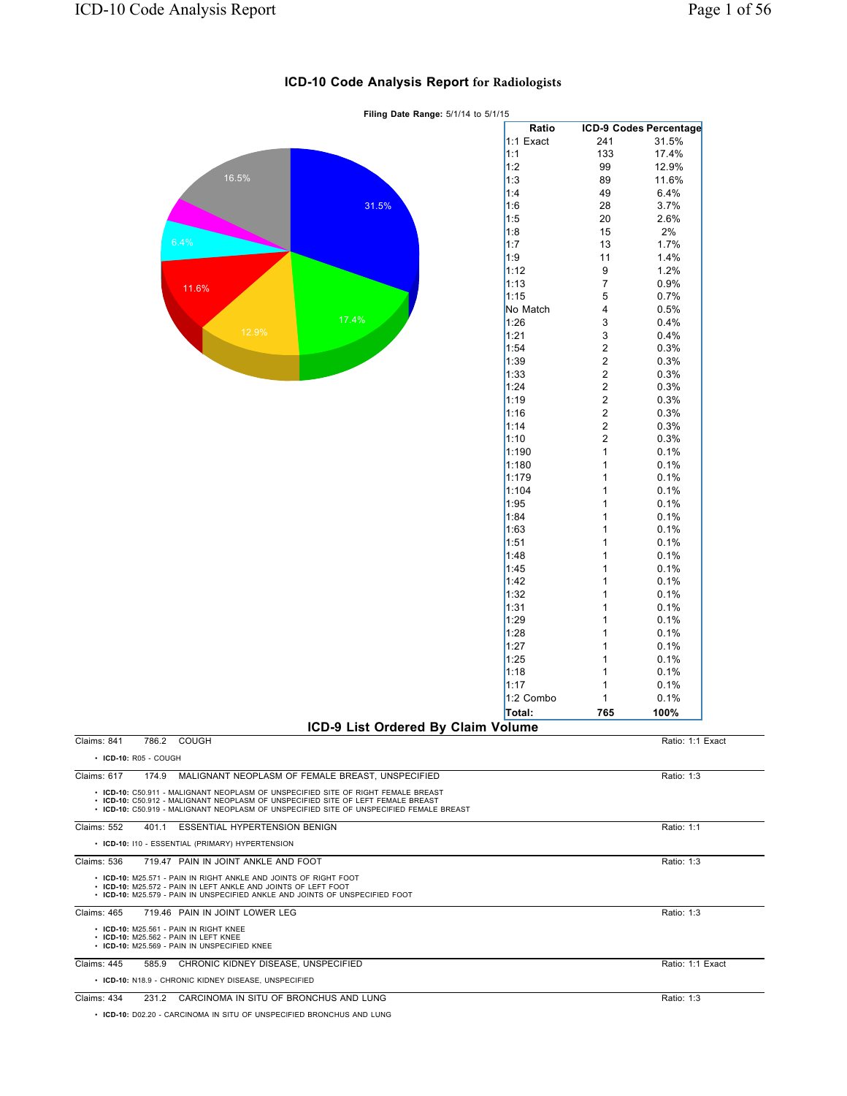|                                                                                                                                                                                                                                                                                                                                                                                                                                                                                                                                                                                                                                                                                                    | Ratio       |                         | <b>ICD-9 Codes Percentage</b> |
|----------------------------------------------------------------------------------------------------------------------------------------------------------------------------------------------------------------------------------------------------------------------------------------------------------------------------------------------------------------------------------------------------------------------------------------------------------------------------------------------------------------------------------------------------------------------------------------------------------------------------------------------------------------------------------------------------|-------------|-------------------------|-------------------------------|
|                                                                                                                                                                                                                                                                                                                                                                                                                                                                                                                                                                                                                                                                                                    | $1:1$ Exact | 241                     | 31.5%                         |
|                                                                                                                                                                                                                                                                                                                                                                                                                                                                                                                                                                                                                                                                                                    | 1:1         | 133                     | 17.4%                         |
|                                                                                                                                                                                                                                                                                                                                                                                                                                                                                                                                                                                                                                                                                                    |             | 99                      | 12.9%                         |
|                                                                                                                                                                                                                                                                                                                                                                                                                                                                                                                                                                                                                                                                                                    |             | 89                      | 11.6%                         |
|                                                                                                                                                                                                                                                                                                                                                                                                                                                                                                                                                                                                                                                                                                    |             | 49                      | 6.4%                          |
|                                                                                                                                                                                                                                                                                                                                                                                                                                                                                                                                                                                                                                                                                                    |             | 28                      | 3.7%                          |
|                                                                                                                                                                                                                                                                                                                                                                                                                                                                                                                                                                                                                                                                                                    |             | 20                      | 2.6%                          |
|                                                                                                                                                                                                                                                                                                                                                                                                                                                                                                                                                                                                                                                                                                    |             | 15                      | 2%                            |
|                                                                                                                                                                                                                                                                                                                                                                                                                                                                                                                                                                                                                                                                                                    | 1:7         | 13                      | 1.7%                          |
| 1:2<br>16.5%<br> 1:3<br>1:4<br>1:6<br>31.5%<br>1:5<br>1:8<br>6.4%<br>1:9<br>1:12<br>1:13<br>11.6%<br>1:15<br>No Match<br>17.4%<br>1:26<br>12.9%<br>1:21<br>1:54<br>1:39<br>1:33<br>1:24<br>1:19<br>1:16<br>1:14<br>1:10<br>1:190<br>1:180<br>1:179<br>1:104<br>1:95<br>1:84<br>1:63<br>1:51<br>1:48<br>1:45<br>1:42<br>1:32<br>1:31<br>1:29<br>1:28<br>1:27<br>1:25<br>1:18<br>1:17<br>1:2 Combo<br>Total:<br>ICD-9 List Ordered By Claim Volume<br>786.2<br>COUGH<br>174.9<br>MALIGNANT NEOPLASM OF FEMALE BREAST, UNSPECIFIED<br>• ICD-10: C50.911 - MALIGNANT NEOPLASM OF UNSPECIFIED SITE OF RIGHT FEMALE BREAST<br>401.1 ESSENTIAL HYPERTENSION BENIGN<br>719.47 PAIN IN JOINT ANKLE AND FOOT | 11          | 1.4%                    |                               |
|                                                                                                                                                                                                                                                                                                                                                                                                                                                                                                                                                                                                                                                                                                    | 9           | 1.2%                    |                               |
|                                                                                                                                                                                                                                                                                                                                                                                                                                                                                                                                                                                                                                                                                                    |             | $\overline{7}$          | 0.9%                          |
|                                                                                                                                                                                                                                                                                                                                                                                                                                                                                                                                                                                                                                                                                                    |             | 5                       | 0.7%                          |
|                                                                                                                                                                                                                                                                                                                                                                                                                                                                                                                                                                                                                                                                                                    |             | 4                       | 0.5%                          |
|                                                                                                                                                                                                                                                                                                                                                                                                                                                                                                                                                                                                                                                                                                    |             | 3                       | 0.4%                          |
|                                                                                                                                                                                                                                                                                                                                                                                                                                                                                                                                                                                                                                                                                                    |             | 3                       | 0.4%                          |
|                                                                                                                                                                                                                                                                                                                                                                                                                                                                                                                                                                                                                                                                                                    |             | $\overline{\mathbf{c}}$ | 0.3%                          |
|                                                                                                                                                                                                                                                                                                                                                                                                                                                                                                                                                                                                                                                                                                    |             |                         |                               |
|                                                                                                                                                                                                                                                                                                                                                                                                                                                                                                                                                                                                                                                                                                    |             | $\overline{\mathbf{c}}$ | 0.3%                          |
|                                                                                                                                                                                                                                                                                                                                                                                                                                                                                                                                                                                                                                                                                                    |             | $\overline{\mathbf{c}}$ | 0.3%                          |
|                                                                                                                                                                                                                                                                                                                                                                                                                                                                                                                                                                                                                                                                                                    |             | $\overline{\mathbf{c}}$ | 0.3%                          |
|                                                                                                                                                                                                                                                                                                                                                                                                                                                                                                                                                                                                                                                                                                    |             | $\overline{\mathbf{c}}$ | 0.3%                          |
|                                                                                                                                                                                                                                                                                                                                                                                                                                                                                                                                                                                                                                                                                                    |             | $\overline{\mathbf{c}}$ | 0.3%                          |
|                                                                                                                                                                                                                                                                                                                                                                                                                                                                                                                                                                                                                                                                                                    |             | $\overline{\mathbf{c}}$ | 0.3%                          |
|                                                                                                                                                                                                                                                                                                                                                                                                                                                                                                                                                                                                                                                                                                    |             | $\overline{\mathbf{c}}$ | 0.3%                          |
|                                                                                                                                                                                                                                                                                                                                                                                                                                                                                                                                                                                                                                                                                                    |             | $\mathbf 1$             | 0.1%                          |
|                                                                                                                                                                                                                                                                                                                                                                                                                                                                                                                                                                                                                                                                                                    |             | 1                       | 0.1%                          |
|                                                                                                                                                                                                                                                                                                                                                                                                                                                                                                                                                                                                                                                                                                    |             | 1                       | 0.1%                          |
|                                                                                                                                                                                                                                                                                                                                                                                                                                                                                                                                                                                                                                                                                                    |             | 1                       | 0.1%                          |
|                                                                                                                                                                                                                                                                                                                                                                                                                                                                                                                                                                                                                                                                                                    |             | 1                       | 0.1%                          |
|                                                                                                                                                                                                                                                                                                                                                                                                                                                                                                                                                                                                                                                                                                    |             | 1                       | 0.1%                          |
|                                                                                                                                                                                                                                                                                                                                                                                                                                                                                                                                                                                                                                                                                                    |             | 1                       | 0.1%                          |
|                                                                                                                                                                                                                                                                                                                                                                                                                                                                                                                                                                                                                                                                                                    |             |                         |                               |
|                                                                                                                                                                                                                                                                                                                                                                                                                                                                                                                                                                                                                                                                                                    |             | 1                       | 0.1%                          |
|                                                                                                                                                                                                                                                                                                                                                                                                                                                                                                                                                                                                                                                                                                    |             | 1                       | 0.1%                          |
|                                                                                                                                                                                                                                                                                                                                                                                                                                                                                                                                                                                                                                                                                                    |             | 1                       | 0.1%                          |
|                                                                                                                                                                                                                                                                                                                                                                                                                                                                                                                                                                                                                                                                                                    |             | 1                       | 0.1%                          |
|                                                                                                                                                                                                                                                                                                                                                                                                                                                                                                                                                                                                                                                                                                    |             | 1                       | 0.1%                          |
|                                                                                                                                                                                                                                                                                                                                                                                                                                                                                                                                                                                                                                                                                                    |             | 1                       | 0.1%                          |
|                                                                                                                                                                                                                                                                                                                                                                                                                                                                                                                                                                                                                                                                                                    |             | 1                       | 0.1%                          |
|                                                                                                                                                                                                                                                                                                                                                                                                                                                                                                                                                                                                                                                                                                    |             | 1                       | 0.1%                          |
|                                                                                                                                                                                                                                                                                                                                                                                                                                                                                                                                                                                                                                                                                                    |             | 1                       | 0.1%                          |
|                                                                                                                                                                                                                                                                                                                                                                                                                                                                                                                                                                                                                                                                                                    |             | 1                       | 0.1%                          |
|                                                                                                                                                                                                                                                                                                                                                                                                                                                                                                                                                                                                                                                                                                    |             | 1                       | 0.1%                          |
|                                                                                                                                                                                                                                                                                                                                                                                                                                                                                                                                                                                                                                                                                                    |             | 1                       | 0.1%                          |
|                                                                                                                                                                                                                                                                                                                                                                                                                                                                                                                                                                                                                                                                                                    |             | $\mathbf{1}$            | 0.1%                          |
|                                                                                                                                                                                                                                                                                                                                                                                                                                                                                                                                                                                                                                                                                                    |             |                         |                               |
|                                                                                                                                                                                                                                                                                                                                                                                                                                                                                                                                                                                                                                                                                                    |             | 765                     | 100%                          |
|                                                                                                                                                                                                                                                                                                                                                                                                                                                                                                                                                                                                                                                                                                    |             |                         |                               |
| Claims: 841                                                                                                                                                                                                                                                                                                                                                                                                                                                                                                                                                                                                                                                                                        |             |                         | Ratio: 1:1 Exact              |
| $\cdot$ ICD-10: R05 - COUGH                                                                                                                                                                                                                                                                                                                                                                                                                                                                                                                                                                                                                                                                        |             |                         |                               |
| Claims: 617                                                                                                                                                                                                                                                                                                                                                                                                                                                                                                                                                                                                                                                                                        |             |                         | Ratio: 1:3                    |
|                                                                                                                                                                                                                                                                                                                                                                                                                                                                                                                                                                                                                                                                                                    |             |                         |                               |
| • ICD-10: C50.912 - MALIGNANT NEOPLASM OF UNSPECIFIED SITE OF LEFT FEMALE BREAST<br>• ICD-10: C50.919 - MALIGNANT NEOPLASM OF UNSPECIFIED SITE OF UNSPECIFIED FEMALE BREAST                                                                                                                                                                                                                                                                                                                                                                                                                                                                                                                        |             |                         |                               |
| <b>Claims: 552</b>                                                                                                                                                                                                                                                                                                                                                                                                                                                                                                                                                                                                                                                                                 |             |                         | Ratio: 1:1                    |
| • ICD-10: I10 - ESSENTIAL (PRIMARY) HYPERTENSION                                                                                                                                                                                                                                                                                                                                                                                                                                                                                                                                                                                                                                                   |             |                         |                               |
| Claims: 536                                                                                                                                                                                                                                                                                                                                                                                                                                                                                                                                                                                                                                                                                        |             |                         | Ratio: 1:3                    |
| • ICD-10: M25.571 - PAIN IN RIGHT ANKLE AND JOINTS OF RIGHT FOOT<br>• ICD-10: M25.572 - PAIN IN LEFT ANKLE AND JOINTS OF LEFT FOOT<br>• ICD-10: M25.579 - PAIN IN UNSPECIFIED ANKLE AND JOINTS OF UNSPECIFIED FOOT                                                                                                                                                                                                                                                                                                                                                                                                                                                                                 |             |                         |                               |
|                                                                                                                                                                                                                                                                                                                                                                                                                                                                                                                                                                                                                                                                                                    |             |                         |                               |
| <b>Claims: 465</b><br>719.46 PAIN IN JOINT LOWER LEG                                                                                                                                                                                                                                                                                                                                                                                                                                                                                                                                                                                                                                               |             |                         | Ratio: 1:3                    |
| • ICD-10: M25.561 - PAIN IN RIGHT KNEE<br>• ICD-10: M25.562 - PAIN IN LEFT KNEE<br>• ICD-10: M25.569 - PAIN IN UNSPECIFIED KNEE                                                                                                                                                                                                                                                                                                                                                                                                                                                                                                                                                                    |             |                         |                               |

## **ICD-10 Code Analysis Report for Radiologists**

**Filing Date Range:** 5/1/14 to 5/1/15

• **ICD-10:** D02.20 - CARCINOMA IN SITU OF UNSPECIFIED BRONCHUS AND LUNG

• **ICD-10:** N18.9 - CHRONIC KIDNEY DISEASE, UNSPECIFIED

| Claims:<br>-445 | 585.9 | Y DISEASE.<br><b>UNSPECIFIED</b><br><b>KIDNE</b><br><b>CHRONIC</b> | Ratio<br>Exact |
|-----------------|-------|--------------------------------------------------------------------|----------------|

Claims: 434 231.2 CARCINOMA IN SITU OF BRONCHUS AND LUNG Ratio: 1:3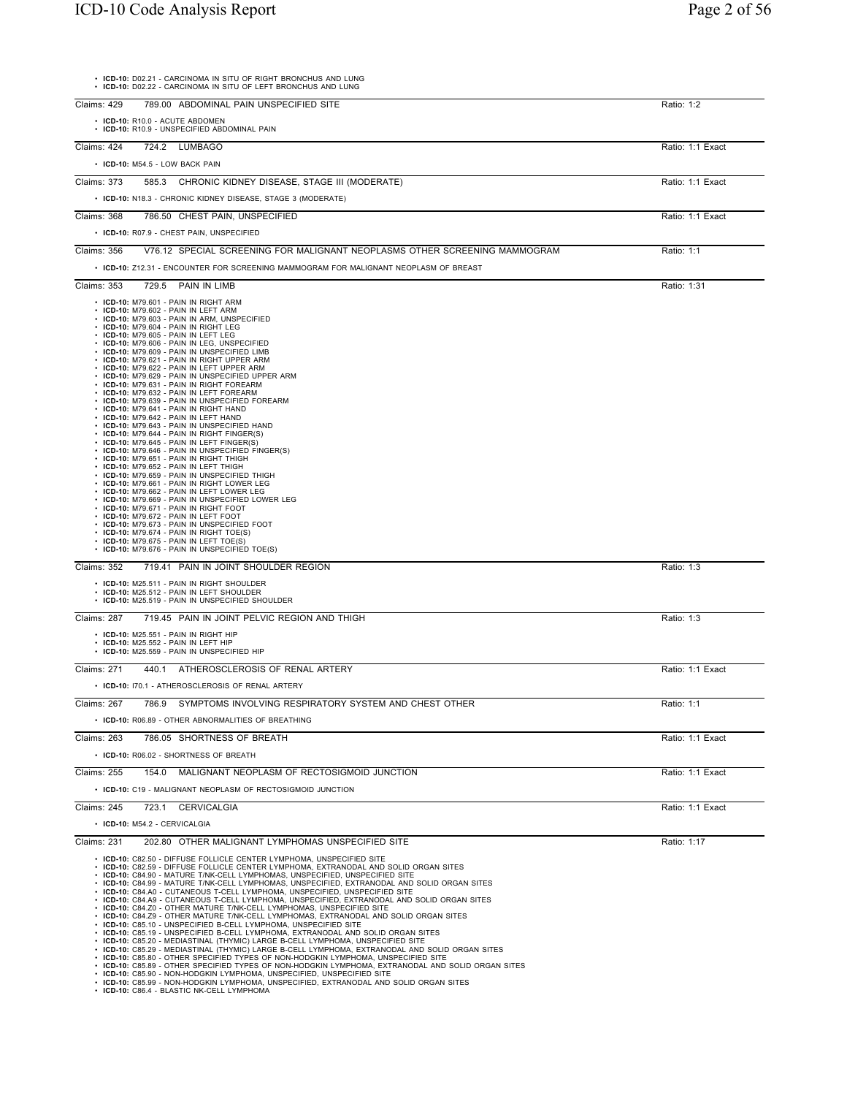| • ICD-10: D02.21 - CARCINOMA IN SITU OF RIGHT BRONCHUS AND LUNG<br>• ICD-10: D02.22 - CARCINOMA IN SITU OF LEFT BRONCHUS AND LUNG                                                                                                                                                                                                                                                                                                                                                                                                                                                                                                                                                                                                                                                                                                                                                                                                                                                                                                                                                                                                                                                                                                                                                                                                                                                                                                                                                                                                              |                  |
|------------------------------------------------------------------------------------------------------------------------------------------------------------------------------------------------------------------------------------------------------------------------------------------------------------------------------------------------------------------------------------------------------------------------------------------------------------------------------------------------------------------------------------------------------------------------------------------------------------------------------------------------------------------------------------------------------------------------------------------------------------------------------------------------------------------------------------------------------------------------------------------------------------------------------------------------------------------------------------------------------------------------------------------------------------------------------------------------------------------------------------------------------------------------------------------------------------------------------------------------------------------------------------------------------------------------------------------------------------------------------------------------------------------------------------------------------------------------------------------------------------------------------------------------|------------------|
| 789.00 ABDOMINAL PAIN UNSPECIFIED SITE<br>Claims: 429                                                                                                                                                                                                                                                                                                                                                                                                                                                                                                                                                                                                                                                                                                                                                                                                                                                                                                                                                                                                                                                                                                                                                                                                                                                                                                                                                                                                                                                                                          | Ratio: 1:2       |
| • ICD-10: R10.0 - ACUTE ABDOMEN<br>• ICD-10: R10.9 - UNSPECIFIED ABDOMINAL PAIN                                                                                                                                                                                                                                                                                                                                                                                                                                                                                                                                                                                                                                                                                                                                                                                                                                                                                                                                                                                                                                                                                                                                                                                                                                                                                                                                                                                                                                                                |                  |
| Claims: 424<br>724.2 LUMBAGO                                                                                                                                                                                                                                                                                                                                                                                                                                                                                                                                                                                                                                                                                                                                                                                                                                                                                                                                                                                                                                                                                                                                                                                                                                                                                                                                                                                                                                                                                                                   | Ratio: 1:1 Exact |
| • ICD-10: M54.5 - LOW BACK PAIN                                                                                                                                                                                                                                                                                                                                                                                                                                                                                                                                                                                                                                                                                                                                                                                                                                                                                                                                                                                                                                                                                                                                                                                                                                                                                                                                                                                                                                                                                                                |                  |
| Claims: 373<br>585.3 CHRONIC KIDNEY DISEASE, STAGE III (MODERATE)                                                                                                                                                                                                                                                                                                                                                                                                                                                                                                                                                                                                                                                                                                                                                                                                                                                                                                                                                                                                                                                                                                                                                                                                                                                                                                                                                                                                                                                                              | Ratio: 1:1 Exact |
| • ICD-10: N18.3 - CHRONIC KIDNEY DISEASE, STAGE 3 (MODERATE)                                                                                                                                                                                                                                                                                                                                                                                                                                                                                                                                                                                                                                                                                                                                                                                                                                                                                                                                                                                                                                                                                                                                                                                                                                                                                                                                                                                                                                                                                   |                  |
| 786.50 CHEST PAIN, UNSPECIFIED<br>Claims: 368                                                                                                                                                                                                                                                                                                                                                                                                                                                                                                                                                                                                                                                                                                                                                                                                                                                                                                                                                                                                                                                                                                                                                                                                                                                                                                                                                                                                                                                                                                  | Ratio: 1:1 Exact |
| • ICD-10: R07.9 - CHEST PAIN, UNSPECIFIED                                                                                                                                                                                                                                                                                                                                                                                                                                                                                                                                                                                                                                                                                                                                                                                                                                                                                                                                                                                                                                                                                                                                                                                                                                                                                                                                                                                                                                                                                                      |                  |
| Claims: 356<br>V76.12 SPECIAL SCREENING FOR MALIGNANT NEOPLASMS OTHER SCREENING MAMMOGRAM                                                                                                                                                                                                                                                                                                                                                                                                                                                                                                                                                                                                                                                                                                                                                                                                                                                                                                                                                                                                                                                                                                                                                                                                                                                                                                                                                                                                                                                      | Ratio: 1:1       |
| • ICD-10: Z12.31 - ENCOUNTER FOR SCREENING MAMMOGRAM FOR MALIGNANT NEOPLASM OF BREAST                                                                                                                                                                                                                                                                                                                                                                                                                                                                                                                                                                                                                                                                                                                                                                                                                                                                                                                                                                                                                                                                                                                                                                                                                                                                                                                                                                                                                                                          |                  |
| Claims: 353<br>729.5 PAIN IN LIMB                                                                                                                                                                                                                                                                                                                                                                                                                                                                                                                                                                                                                                                                                                                                                                                                                                                                                                                                                                                                                                                                                                                                                                                                                                                                                                                                                                                                                                                                                                              | Ratio: 1:31      |
| • ICD-10: M79.601 - PAIN IN RIGHT ARM<br>• ICD-10: M79.602 - PAIN IN LEFT ARM<br>• ICD-10: M79.603 - PAIN IN ARM, UNSPECIFIED<br>· ICD-10: M79.604 - PAIN IN RIGHT LEG<br>• ICD-10: M79.605 - PAIN IN LEFT LEG<br>• ICD-10: M79.606 - PAIN IN LEG. UNSPECIFIED<br>• ICD-10: M79.609 - PAIN IN UNSPECIFIED LIMB<br>• ICD-10: M79.621 - PAIN IN RIGHT UPPER ARM<br>• ICD-10: M79.622 - PAIN IN LEFT UPPER ARM<br>• ICD-10: M79.629 - PAIN IN UNSPECIFIED UPPER ARM<br>• ICD-10: M79.631 - PAIN IN RIGHT FOREARM<br>• ICD-10: M79.632 - PAIN IN LEFT FOREARM<br>• ICD-10: M79.639 - PAIN IN UNSPECIFIED FOREARM<br>• ICD-10: M79.641 - PAIN IN RIGHT HAND<br>$\cdot$ ICD-10: M79.642 - PAIN IN LEFT HAND<br>• ICD-10: M79.643 - PAIN IN UNSPECIFIED HAND<br>$\cdot$ ICD-10: M79.644 - PAIN IN RIGHT FINGER(S)<br>· ICD-10: M79.645 - PAIN IN LEFT FINGER(S)<br>• ICD-10: M79.646 - PAIN IN UNSPECIFIED FINGER(S)<br>• ICD-10: M79.651 - PAIN IN RIGHT THIGH<br>• ICD-10: M79.652 - PAIN IN LEFT THIGH<br>• ICD-10: M79.659 - PAIN IN UNSPECIFIED THIGH<br>· ICD-10: M79.661 - PAIN IN RIGHT LOWER LEG<br>· ICD-10: M79.662 - PAIN IN LEFT LOWER LEG<br>• ICD-10: M79.669 - PAIN IN UNSPECIFIED LOWER LEG<br>• ICD-10: M79.671 - PAIN IN RIGHT FOOT<br>• ICD-10: M79.672 - PAIN IN LEFT FOOT<br>• ICD-10: M79.673 - PAIN IN UNSPECIFIED FOOT<br>$\cdot$ ICD-10: M79.674 - PAIN IN RIGHT TOE(S)<br>• ICD-10: M79.675 - PAIN IN LEFT TOE(S)<br>• ICD-10: M79.676 - PAIN IN UNSPECIFIED TOE(S)<br>Claims: 352<br>719.41 PAIN IN JOINT SHOULDER REGION | Ratio: 1:3       |
| • ICD-10: M25.511 - PAIN IN RIGHT SHOULDER<br>· ICD-10: M25.512 - PAIN IN LEFT SHOULDER<br>• ICD-10: M25.519 - PAIN IN UNSPECIFIED SHOULDER                                                                                                                                                                                                                                                                                                                                                                                                                                                                                                                                                                                                                                                                                                                                                                                                                                                                                                                                                                                                                                                                                                                                                                                                                                                                                                                                                                                                    |                  |
| Claims: 287<br>719.45 PAIN IN JOINT PELVIC REGION AND THIGH                                                                                                                                                                                                                                                                                                                                                                                                                                                                                                                                                                                                                                                                                                                                                                                                                                                                                                                                                                                                                                                                                                                                                                                                                                                                                                                                                                                                                                                                                    | Ratio: 1:3       |
| $\cdot$ ICD-10: M25.551 - PAIN IN RIGHT HIP<br>• ICD-10: M25.552 - PAIN IN LEFT HIP<br>• ICD-10: M25.559 - PAIN IN UNSPECIFIED HIP                                                                                                                                                                                                                                                                                                                                                                                                                                                                                                                                                                                                                                                                                                                                                                                                                                                                                                                                                                                                                                                                                                                                                                                                                                                                                                                                                                                                             |                  |
| Claims: 271<br>ATHEROSCLEROSIS OF RENAL ARTERY<br>440.1                                                                                                                                                                                                                                                                                                                                                                                                                                                                                                                                                                                                                                                                                                                                                                                                                                                                                                                                                                                                                                                                                                                                                                                                                                                                                                                                                                                                                                                                                        | Ratio: 1:1 Exact |
| • ICD-10: 170.1 - ATHEROSCLEROSIS OF RENAL ARTERY                                                                                                                                                                                                                                                                                                                                                                                                                                                                                                                                                                                                                                                                                                                                                                                                                                                                                                                                                                                                                                                                                                                                                                                                                                                                                                                                                                                                                                                                                              |                  |
| SYMPTOMS INVOLVING RESPIRATORY SYSTEM AND CHEST OTHER<br>Claims: 267<br>786.9                                                                                                                                                                                                                                                                                                                                                                                                                                                                                                                                                                                                                                                                                                                                                                                                                                                                                                                                                                                                                                                                                                                                                                                                                                                                                                                                                                                                                                                                  | Ratio: 1:1       |
| • ICD-10: R06.89 - OTHER ABNORMALITIES OF BREATHING                                                                                                                                                                                                                                                                                                                                                                                                                                                                                                                                                                                                                                                                                                                                                                                                                                                                                                                                                                                                                                                                                                                                                                                                                                                                                                                                                                                                                                                                                            |                  |
| Claims: 263<br>786.05 SHORTNESS OF BREATH                                                                                                                                                                                                                                                                                                                                                                                                                                                                                                                                                                                                                                                                                                                                                                                                                                                                                                                                                                                                                                                                                                                                                                                                                                                                                                                                                                                                                                                                                                      | Ratio: 1:1 Exact |
| • ICD-10: R06.02 - SHORTNESS OF BREATH                                                                                                                                                                                                                                                                                                                                                                                                                                                                                                                                                                                                                                                                                                                                                                                                                                                                                                                                                                                                                                                                                                                                                                                                                                                                                                                                                                                                                                                                                                         |                  |
| Claims: 255<br>154.0<br>MALIGNANT NEOPLASM OF RECTOSIGMOID JUNCTION                                                                                                                                                                                                                                                                                                                                                                                                                                                                                                                                                                                                                                                                                                                                                                                                                                                                                                                                                                                                                                                                                                                                                                                                                                                                                                                                                                                                                                                                            | Ratio: 1:1 Exact |
| • ICD-10: C19 - MALIGNANT NEOPLASM OF RECTOSIGMOID JUNCTION                                                                                                                                                                                                                                                                                                                                                                                                                                                                                                                                                                                                                                                                                                                                                                                                                                                                                                                                                                                                                                                                                                                                                                                                                                                                                                                                                                                                                                                                                    |                  |
| Claims: 245<br>723.1 CERVICALGIA<br>• ICD-10: M54.2 - CERVICALGIA                                                                                                                                                                                                                                                                                                                                                                                                                                                                                                                                                                                                                                                                                                                                                                                                                                                                                                                                                                                                                                                                                                                                                                                                                                                                                                                                                                                                                                                                              | Ratio: 1:1 Exact |
| Claims: 231<br>202.80 OTHER MALIGNANT LYMPHOMAS UNSPECIFIED SITE                                                                                                                                                                                                                                                                                                                                                                                                                                                                                                                                                                                                                                                                                                                                                                                                                                                                                                                                                                                                                                                                                                                                                                                                                                                                                                                                                                                                                                                                               | Ratio: 1:17      |
| • ICD-10: C82.50 - DIFFUSE FOLLICLE CENTER LYMPHOMA, UNSPECIFIED SITE<br>• ICD-10: C82.59 - DIFFUSE FOLLICLE CENTER LYMPHOMA, EXTRANODAL AND SOLID ORGAN SITES<br>• ICD-10: C84.90 - MATURE T/NK-CELL LYMPHOMAS, UNSPECIFIED, UNSPECIFIED SITE<br>• ICD-10: C84.99 - MATURE T/NK-CELL LYMPHOMAS, UNSPECIFIED, EXTRANODAL AND SOLID ORGAN SITES<br>• ICD-10: C84.A0 - CUTANEOUS T-CELL LYMPHOMA, UNSPECIFIED, UNSPECIFIED SITE<br>• ICD-10: C84.A9 - CUTANEOUS T-CELL LYMPHOMA, UNSPECIFIED, EXTRANODAL AND SOLID ORGAN SITES<br>• ICD-10: C84.Z0 - OTHER MATURE T/NK-CELL LYMPHOMAS, UNSPECIFIED SITE<br>• ICD-10: C84.Z9 - OTHER MATURE T/NK-CELL LYMPHOMAS, EXTRANODAL AND SOLID ORGAN SITES<br>• ICD-10: C85.10 - UNSPECIFIED B-CELL LYMPHOMA, UNSPECIFIED SITE<br>• ICD-10: C85.19 - UNSPECIFIED B-CELL LYMPHOMA, EXTRANODAL AND SOLID ORGAN SITES<br>• ICD-10: C85.20 - MEDIASTINAL (THYMIC) LARGE B-CELL LYMPHOMA, UNSPECIFIED SITE<br>· ICD-10: C85.29 - MEDIASTINAL (THYMIC) LARGE B-CELL LYMPHOMA, EXTRANODAL AND SOLID ORGAN SITES<br>• ICD-10: C85.80 - OTHER SPECIFIED TYPES OF NON-HODGKIN LYMPHOMA, UNSPECIFIED SITE<br>· ICD-10: C85.89 - OTHER SPECIFIED TYPES OF NON-HODGKIN LYMPHOMA, EXTRANODAL AND SOLID ORGAN SITES<br>• ICD-10: C85.90 - NON-HODGKIN LYMPHOMA, UNSPECIFIED, UNSPECIFIED SITE<br>· ICD-10: C85.99 - NON-HODGKIN LYMPHOMA, UNSPECIFIED, EXTRANODAL AND SOLID ORGAN SITES<br>• ICD-10: C86.4 - BLASTIC NK-CELL LYMPHOMA                                                                                     |                  |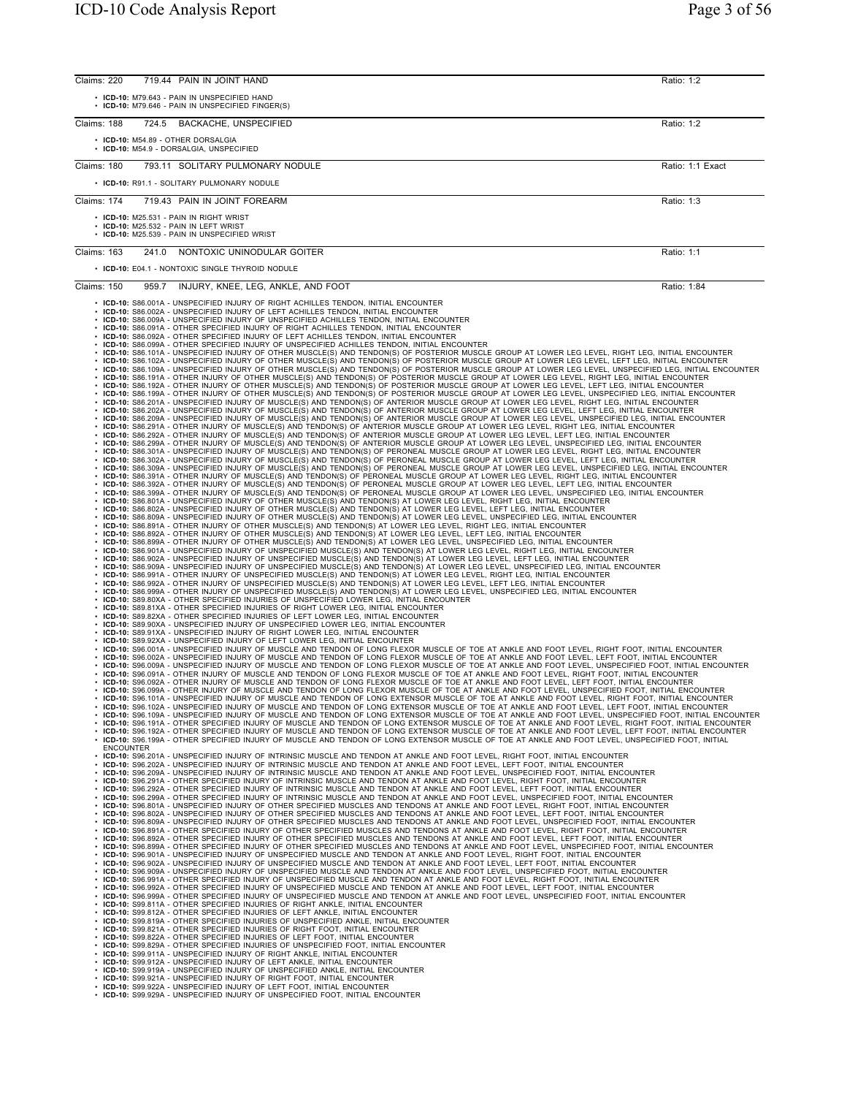| Claims: 220<br>719.44 PAIN IN JOINT HAND                                                                                                                                                                                                                                                                                                                                                                                                                              | Ratio: 1:2       |
|-----------------------------------------------------------------------------------------------------------------------------------------------------------------------------------------------------------------------------------------------------------------------------------------------------------------------------------------------------------------------------------------------------------------------------------------------------------------------|------------------|
| • ICD-10: M79.643 - PAIN IN UNSPECIFIED HAND<br>• ICD-10: M79.646 - PAIN IN UNSPECIFIED FINGER(S)                                                                                                                                                                                                                                                                                                                                                                     |                  |
| Claims: 188<br>724.5 BACKACHE, UNSPECIFIED                                                                                                                                                                                                                                                                                                                                                                                                                            | Ratio: 1:2       |
| • ICD-10: M54.89 - OTHER DORSALGIA<br>· ICD-10: M54.9 - DORSALGIA, UNSPECIFIED                                                                                                                                                                                                                                                                                                                                                                                        |                  |
| Claims: 180<br>793.11 SOLITARY PULMONARY NODULE                                                                                                                                                                                                                                                                                                                                                                                                                       | Ratio: 1:1 Exact |
| • ICD-10: R91.1 - SOLITARY PULMONARY NODULE                                                                                                                                                                                                                                                                                                                                                                                                                           |                  |
| Claims: 174<br>719.43 PAIN IN JOINT FOREARM                                                                                                                                                                                                                                                                                                                                                                                                                           | Ratio: 1:3       |
| • ICD-10: M25.531 - PAIN IN RIGHT WRIST<br>• ICD-10: M25.532 - PAIN IN LEFT WRIST                                                                                                                                                                                                                                                                                                                                                                                     |                  |
| • ICD-10: M25.539 - PAIN IN UNSPECIFIED WRIST                                                                                                                                                                                                                                                                                                                                                                                                                         |                  |
| 241.0 NONTOXIC UNINODULAR GOITER<br>Claims: 163                                                                                                                                                                                                                                                                                                                                                                                                                       | Ratio: 1:1       |
| • ICD-10: E04.1 - NONTOXIC SINGLE THYROID NODULE                                                                                                                                                                                                                                                                                                                                                                                                                      |                  |
| Claims: 150<br>959.7<br>INJURY, KNEE, LEG, ANKLE, AND FOOT                                                                                                                                                                                                                                                                                                                                                                                                            | Ratio: 1:84      |
| • ICD-10: S86.001A - UNSPECIFIED INJURY OF RIGHT ACHILLES TENDON, INITIAL ENCOUNTER<br>• ICD-10: S86.002A - UNSPECIFIED INJURY OF LEFT ACHILLES TENDON, INITIAL ENCOUNTER                                                                                                                                                                                                                                                                                             |                  |
| ICD-10: S86.009A - UNSPECIFIED INJURY OF UNSPECIFIED ACHILLES TENDON, INITIAL ENCOUNTER<br>ICD-10: S86.091A - OTHER SPECIFIED INJURY OF RIGHT ACHILLES TENDON, INITIAL ENCOUNTER                                                                                                                                                                                                                                                                                      |                  |
| ICD-10: S86.092A - OTHER SPECIFIED INJURY OF LEFT ACHILLES TENDON, INITIAL ENCOUNTER<br>ICD-10: S86.099A - OTHER SPECIFIED INJURY OF UNSPECIFIED ACHILLES TENDON, INITIAL ENCOUNTER                                                                                                                                                                                                                                                                                   |                  |
| ICD-10: S86.101A - UNSPECIFIED INJURY OF OTHER MUSCLE(S) AND TENDON(S) OF POSTERIOR MUSCLE GROUP AT LOWER LEG LEVEL, RIGHT LEG, INITIAL ENCOUNTER<br>ICD-10: S86.102A - UNSPECIFIED INJURY OF OTHER MUSCLE(S) AND TENDON(S) OF POSTERIOR MUSCLE GROUP AT LOWER LEG LEVEL, LEFT LEG, INITIAL ENCOUNTER                                                                                                                                                                 |                  |
| ICD-10: S86.109A - UNSPECIFIED INJURY OF OTHER MUSCLE(S) AND TENDON(S) OF POSTERIOR MUSCLE GROUP AT LOWER LEG LEVEL, UNSPECIFIED LEG, INITIAL ENCOUNTER<br>ICD-10: S86.191A - OTHER INJURY OF OTHER MUSCLE(S) AND TENDON(S) OF POSTERIOR MUSCLE GROUP AT LOWER LEG LEVEL, RIGHT LEG, INITIAL ENCOUNTER                                                                                                                                                                |                  |
| ICD-10: S86.192A - OTHER INJURY OF OTHER MUSCLE(S) AND TENDON(S) OF POSTERIOR MUSCLE GROUP AT LOWER LEG LEVEL, LEFT LEG, INITIAL ENCOUNTER<br>ICD-10: S86.199A - OTHER INJURY OF OTHER MUSCLE(S) AND TENDON(S) OF POSTERIOR MUSCL                                                                                                                                                                                                                                     |                  |
| · ICD-10: S86.201A - UNSPECIFIED INJURY OF MUSCLE(S) AND TENDON(S) OF ANTERIOR MUSCLE GROUP AT LOWER LEG LEVEL, RIGHT LEG, INITIAL ENCOUNTER<br>· ICD-10: S86.202A - UNSPECIFIED INJURY OF MUSCLE(S) AND TENDON(S) OF ANTERIOR MUSCLE GROUP AT LOWER LEG LEVEL, LEFT LEG, INITIAL ENCOUNTER                                                                                                                                                                           |                  |
| · ICD-10: S86.209A - UNSPECIFIED INJURY OF MUSCLE(S) AND TENDON(S) OF ANTERIOR MUSCLE GROUP AT LOWER LEG LEVEL, UNSPECIFIED LEG, INITIAL ENCOUNTER<br>ICD-10: S86.291A - OTHER INJURY OF MUSCLE(S) AND TENDON(S) OF ANTERIOR MUSCLE GROUP AT LOWER LEG LEVEL, RIGHT LEG, INITIAL ENCOUNTER                                                                                                                                                                            |                  |
| . ICD-10: S86.292A - OTHER INJURY OF MUSCLE(S) AND TENDON(S) OF ANTERIOR MUSCLE GROUP AT LOWER LEG LEVEL, LEFT LEG, INITIAL ENCOUNTER<br>· ICD-10: S86.299A - OTHER INJURY OF MUSCLE(S) AND TENDON(S) OF ANTERIOR MUSCLE GROUP AT LOWER LEG LEVEL, UNSPECIFIED LEG, INITIAL ENCOUNTER                                                                                                                                                                                 |                  |
| ICD-10: S86.301A - UNSPECIFIED INJURY OF MUSCLE(S) AND TENDON(S) OF PERONEAL MUSCLE GROUP AT LOWER LEG LEVEL, RIGHT LEG, INITIAL ENCOUNTER<br>ICD-10: S86.302A - UNSPECIFIED INJURY OF MUSCLE(S) AND TENDON(S) OF PERONEAL MUSCLE GROUP AT LOWER LEG LEVEL, LEFT LEG, INITIAL ENCOUNTER                                                                                                                                                                               |                  |
| · ICD-10: S86.309A - UNSPECIFIED INJURY OF MUSCLE(S) AND TENDON(S) OF PERONEAL MUSCLE GROUP AT LOWER LEG LEVEL, UNSPECIFIED LEG, INITIAL ENCOUNTER<br>· ICD-10: S86.391A - OTHER INJURY OF MUSCLE(S) AND TENDON(S) OF PERONEAL MUSCLE GROUP AT LOWER LEG LEVEL, RIGHT LEG, INITIAL ENCOUNTER                                                                                                                                                                          |                  |
| . ICD-10: S86.392A - OTHER INJURY OF MUSCLE(S) AND TENDON(S) OF PERONEAL MUSCLE GROUP AT LOWER LEG LEVEL, LEFT LEG, INITIAL ENCOUNTER<br>· ICD-10: S86.399A - OTHER INJURY OF MUSCLE(S) AND TENDON(S) OF PERONEAL MUSCLE GROUP AT LOWER LEG LEVEL, UNSPECIFIED LEG, INITIAL ENCOUNTER                                                                                                                                                                                 |                  |
| · ICD-10: S86.801A - UNSPECIFIED INJURY OF OTHER MUSCLE(S) AND TENDON(S) AT LOWER LEG LEVEL, RIGHT LEG, INITIAL ENCOUNTER<br>. ICD-10: S86.802A - UNSPECIFIED INJURY OF OTHER MUSCLE(S) AND TENDON(S) AT LOWER LEG LEVEL, LEFT LEG, INITIAL ENCOUNTER<br>• ICD-10: S86.809A - UNSPECIFIED INJURY OF OTHER MUSCLE(S) AND TENDON(S) AT LOWER LEG LEVEL, UNSPECIFIED LEG, INITIAL ENCOUNTER                                                                              |                  |
| • ICD-10: S86.891A - OTHER INJURY OF OTHER MUSCLE(S) AND TENDON(S) AT LOWER LEG LEVEL, RIGHT LEG, INITIAL ENCOUNTER<br>. ICD-10: S86.892A - OTHER INJURY OF OTHER MUSCLE(S) AND TENDON(S) AT LOWER LEG LEVEL, LEFT LEG, INITIAL ENCOUNTER                                                                                                                                                                                                                             |                  |
| · ICD-10: S86.899A - OTHER INJURY OF OTHER MUSCLE(S) AND TENDON(S) AT LOWER LEG LEVEL, UNSPECIFIED LEG, INITIAL ENCOUNTER<br>. ICD-10: S86.901A - UNSPECIFIED INJURY OF UNSPECIFIED MUSCLE(S) AND TENDON(S) AT LOWER LEG LEVEL, RIGHT LEG, INITIAL ENCOUNTER                                                                                                                                                                                                          |                  |
| · ICD-10: S86.902A - UNSPECIFIED INJURY OF UNSPECIFIED MUSCLE(S) AND TENDON(S) AT LOWER LEG LEVEL, LEFT LEG, INITIAL ENCOUNTER<br>· ICD-10: S86.909A - UNSPECIFIED INJURY OF UNSPECIFIED MUSCLE(S) AND TENDON(S) AT LOWER LEG LEVEL, UNSPECIFIED LEG, INITIAL ENCOUNTER                                                                                                                                                                                               |                  |
| ∙ ICD-10: S86.991A - OTHER INJURY OF UNSPECIFIED MUSCLE(S) AND TENDON(S) AT LOWER LEG LEVEL, RIGHT LEG, INITIAL ENCOUNTER<br>. ICD-10: S86.992A - OTHER INJURY OF UNSPECIFIED MUSCLE(S) AND TENDON(S) AT LOWER LEG LEVEL, LEFT LEG, INITIAL ENCOUNTER                                                                                                                                                                                                                 |                  |
| · ICD-10: S86.999A - OTHER INJURY OF UNSPECIFIED MUSCLE(S) AND TENDON(S) AT LOWER LEG LEVEL, UNSPECIFIED LEG, INITIAL ENCOUNTER<br>• ICD-10: S89.80XA - OTHER SPECIFIED INJURIES OF UNSPECIFIED LOWER LEG, INITIAL ENCOUNTER                                                                                                                                                                                                                                          |                  |
| • ICD-10: S89.81XA - OTHER SPECIFIED INJURIES OF RIGHT LOWER LEG, INITIAL ENCOUNTER<br>• ICD-10: S89.82XA - OTHER SPECIFIED INJURIES OF LEFT LOWER LEG, INITIAL ENCOUNTER                                                                                                                                                                                                                                                                                             |                  |
| · ICD-10: S89.90XA - UNSPECIFIED INJURY OF UNSPECIFIED LOWER LEG, INITIAL ENCOUNTER<br>• ICD-10: S89.91XA - UNSPECIFIED INJURY OF RIGHT LOWER LEG, INITIAL ENCOUNTER                                                                                                                                                                                                                                                                                                  |                  |
| • ICD-10: S89.92XA - UNSPECIFIED INJURY OF LEFT LOWER LEG, INITIAL ENCOUNTER<br>. ICD-10: S96.001A - UNSPECIFIED INJURY OF MUSCLE AND TENDON OF LONG FLEXOR MUSCLE OF TOE AT ANKLE AND FOOT LEVEL, RIGHT FOOT, INITIAL ENCOUNTER                                                                                                                                                                                                                                      |                  |
| · ICD-10: S96.002A - UNSPECIFIED INJURY OF MUSCLE AND TENDON OF LONG FLEXOR MUSCLE OF TOE AT ANKLE AND FOOT LEVEL, LEFT FOOT, INITIAL ENCOUNTER<br>· ICD-10: S96.009A - UNSPECIFIED INJURY OF MUSCLE AND TENDON OF LONG FLEXOR MUSCLE OF TOE AT ANKLE AND FOOT LEVEL, UNSPECIFIED FOOT, INITIAL ENCOUNTER                                                                                                                                                             |                  |
| . ICD-10: S96.091A - OTHER INJURY OF MUSCLE AND TENDON OF LONG FLEXOR MUSCLE OF TOE AT ANKLE AND FOOT LEVEL, RIGHT FOOT, INITIAL ENCOUNTER<br>. ICD-10: S96.092A - OTHER INJURY OF MUSCLE AND TENDON OF LONG FLEXOR MUSCLE OF TOE AT ANKLE AND FOOT LEVEL, LEFT FOOT, INITIAL ENCOUNTER                                                                                                                                                                               |                  |
| . ICD-10: S96.099A - OTHER INJURY OF MUSCLE AND TENDON OF LONG FLEXOR MUSCLE OF TOE AT ANKLE AND FOOT LEVEL, UNSPECIFIED FOOT, INITIAL ENCOUNTER<br>. ICD-10: S96.101A - UNSPECIFIED INJURY OF MUSCLE AND TENDON OF LONG EXTENSOR MUSCLE OF TOE AT ANKLE AND FOOT LEVEL, RIGHT FOOT, INITIAL ENCOUNTER                                                                                                                                                                |                  |
| . ICD-10: S96.102A - UNSPECIFIED INJURY OF MUSCLE AND TENDON OF LONG EXTENSOR MUSCLE OF TOE AT ANKLE AND FOOT LEVEL, LEFT FOOT, INITIAL ENCOUNTER<br>. ICD-10: S96.109A - UNSPECIFIED INJURY OF MUSCLE AND TENDON OF LONG EXTENSOR MUSCLE OF TOE AT ANKLE AND FOOT LEVEL, UNSPECIFIED FOOT, INITIAL ENCOUNTER                                                                                                                                                         |                  |
| . ICD-10: S96.191A - OTHER SPECIFIED INJURY OF MUSCLE AND TENDON OF LONG EXTENSOR MUSCLE OF TOE AT ANKLE AND FOOT LEVEL, RIGHT FOOT, INITIAL ENCOUNTER<br>. ICD-10: S96.192A - OTHER SPECIFIED INJURY OF MUSCLE AND TENDON OF LONG EXTENSOR MUSCLE OF TOE AT ANKLE AND FOOT LEVEL, LEFT FOOT, INITIAL ENCOUNTER<br>. ICD-10: S96.199A - OTHER SPECIFIED INJURY OF MUSCLE AND TENDON OF LONG EXTENSOR MUSCLE OF TOE AT ANKLE AND FOOT LEVEL, UNSPECIFIED FOOT, INITIAL |                  |
| <b>ENCOUNTER</b><br>. ICD-10: S96.201A - UNSPECIFIED INJURY OF INTRINSIC MUSCLE AND TENDON AT ANKLE AND FOOT LEVEL. RIGHT FOOT. INITIAL ENCOUNTER                                                                                                                                                                                                                                                                                                                     |                  |
| . ICD-10: S96.202A - UNSPECIFIED INJURY OF INTRINSIC MUSCLE AND TENDON AT ANKLE AND FOOT LEVEL, LEFT FOOT, INITIAL ENCOUNTER<br>. ICD-10: S96.209A - UNSPECIFIED INJURY OF INTRINSIC MUSCLE AND TENDON AT ANKLE AND FOOT LEVEL, UNSPECIFIED FOOT, INITIAL ENCOUNTER                                                                                                                                                                                                   |                  |
| . ICD-10: S96.291A - OTHER SPECIFIED INJURY OF INTRINSIC MUSCLE AND TENDON AT ANKLE AND FOOT LEVEL, RIGHT FOOT, INITIAL ENCOUNTER<br>. ICD-10: S96.292A - OTHER SPECIFIED INJURY OF INTRINSIC MUSCLE AND TENDON AT ANKLE AND FOOT LEVEL, LEFT FOOT, INITIAL ENCOUNTER                                                                                                                                                                                                 |                  |
| . ICD-10: S96.299A - OTHER SPECIFIED INJURY OF INTRINSIC MUSCLE AND TENDON AT ANKLE AND FOOT LEVEL, UNSPECIFIED FOOT, INITIAL ENCOUNTER<br>. ICD-10: S96.801A - UNSPECIFIED INJURY OF OTHER SPECIFIED MUSCLES AND TENDONS AT ANKLE AND FOOT LEVEL, RIGHT FOOT, INITIAL ENCOUNTER                                                                                                                                                                                      |                  |
| . ICD-10: S96.802A - UNSPECIFIED INJURY OF OTHER SPECIFIED MUSCLES AND TENDONS AT ANKLE AND FOOT LEVEL, LEFT FOOT, INITIAL ENCOUNTER<br>. ICD-10: S96.809A - UNSPECIFIED INJURY OF OTHER SPECIFIED MUSCLES AND TENDONS AT ANKLE AND FOOT LEVEL, UNSPECIFIED FOOT, INITIAL ENCOUNTER                                                                                                                                                                                   |                  |
| · ICD-10: S96.891A - OTHER SPECIFIED INJURY OF OTHER SPECIFIED MUSCLES AND TENDONS AT ANKLE AND FOOT LEVEL, RIGHT FOOT, INITIAL ENCOUNTER<br>. ICD-10: S96.892A - OTHER SPECIFIED INJURY OF OTHER SPECIFIED MUSCLES AND TENDONS AT ANKLE AND FOOT LEVEL, LEFT FOOT, INITIAL ENCOUNTER                                                                                                                                                                                 |                  |
| · ICD-10: S96.899A - OTHER SPECIFIED INJURY OF OTHER SPECIFIED MUSCLES AND TENDONS AT ANKLE AND FOOT LEVEL, UNSPECIFIED FOOT, INITIAL ENCOUNTER<br>. ICD-10: S96.901A - UNSPECIFIED INJURY OF UNSPECIFIED MUSCLE AND TENDON AT ANKLE AND FOOT LEVEL, RIGHT FOOT, INITIAL ENCOUNTER                                                                                                                                                                                    |                  |
| . ICD-10: S96.902A - UNSPECIFIED INJURY OF UNSPECIFIED MUSCLE AND TENDON AT ANKLE AND FOOT LEVEL, LEFT FOOT, INITIAL ENCOUNTER<br>· ICD-10: S96.909A - UNSPECIFIED INJURY OF UNSPECIFIED MUSCLE AND TENDON AT ANKLE AND FOOT LEVEL, UNSPECIFIED FOOT, INITIAL ENCOUNTER                                                                                                                                                                                               |                  |
| · ICD-10: S96.991A - OTHER SPECIFIED INJURY OF UNSPECIFIED MUSCLE AND TENDON AT ANKLE AND FOOT LEVEL, RIGHT FOOT, INITIAL ENCOUNTER<br>. ICD-10: S96.992A - OTHER SPECIFIED INJURY OF UNSPECIFIED MUSCLE AND TENDON AT ANKLE AND FOOT LEVEL, LEFT FOOT, INITIAL ENCOUNTER                                                                                                                                                                                             |                  |
| · ICD-10: S96.999A - OTHER SPECIFIED INJURY OF UNSPECIFIED MUSCLE AND TENDON AT ANKLE AND FOOT LEVEL, UNSPECIFIED FOOT, INITIAL ENCOUNTER<br>• ICD-10: S99.811A - OTHER SPECIFIED INJURIES OF RIGHT ANKLE, INITIAL ENCOUNTER                                                                                                                                                                                                                                          |                  |
| • ICD-10: S99.812A - OTHER SPECIFIED INJURIES OF LEFT ANKLE, INITIAL ENCOUNTER<br>• ICD-10: S99.819A - OTHER SPECIFIED INJURIES OF UNSPECIFIED ANKLE, INITIAL ENCOUNTER                                                                                                                                                                                                                                                                                               |                  |
| • ICD-10: S99.821A - OTHER SPECIFIED INJURIES OF RIGHT FOOT, INITIAL ENCOUNTER<br>• ICD-10: S99.822A - OTHER SPECIFIED INJURIES OF LEFT FOOT, INITIAL ENCOUNTER                                                                                                                                                                                                                                                                                                       |                  |
| • ICD-10: S99.829A - OTHER SPECIFIED INJURIES OF UNSPECIFIED FOOT, INITIAL ENCOUNTER<br>• ICD-10: S99.911A - UNSPECIFIED INJURY OF RIGHT ANKLE, INITIAL ENCOUNTER                                                                                                                                                                                                                                                                                                     |                  |
| • ICD-10: S99.912A - UNSPECIFIED INJURY OF LEFT ANKLE, INITIAL ENCOUNTER<br>• ICD-10: S99.919A - UNSPECIFIED INJURY OF UNSPECIFIED ANKLE, INITIAL ENCOUNTER                                                                                                                                                                                                                                                                                                           |                  |
| • ICD-10: S99.921A - UNSPECIFIED INJURY OF RIGHT FOOT, INITIAL ENCOUNTER<br>• ICD-10: S99.922A - UNSPECIFIED INJURY OF LEFT FOOT, INITIAL ENCOUNTER                                                                                                                                                                                                                                                                                                                   |                  |
| • ICD-10: S99.929A - UNSPECIFIED INJURY OF UNSPECIFIED FOOT, INITIAL ENCOUNTER                                                                                                                                                                                                                                                                                                                                                                                        |                  |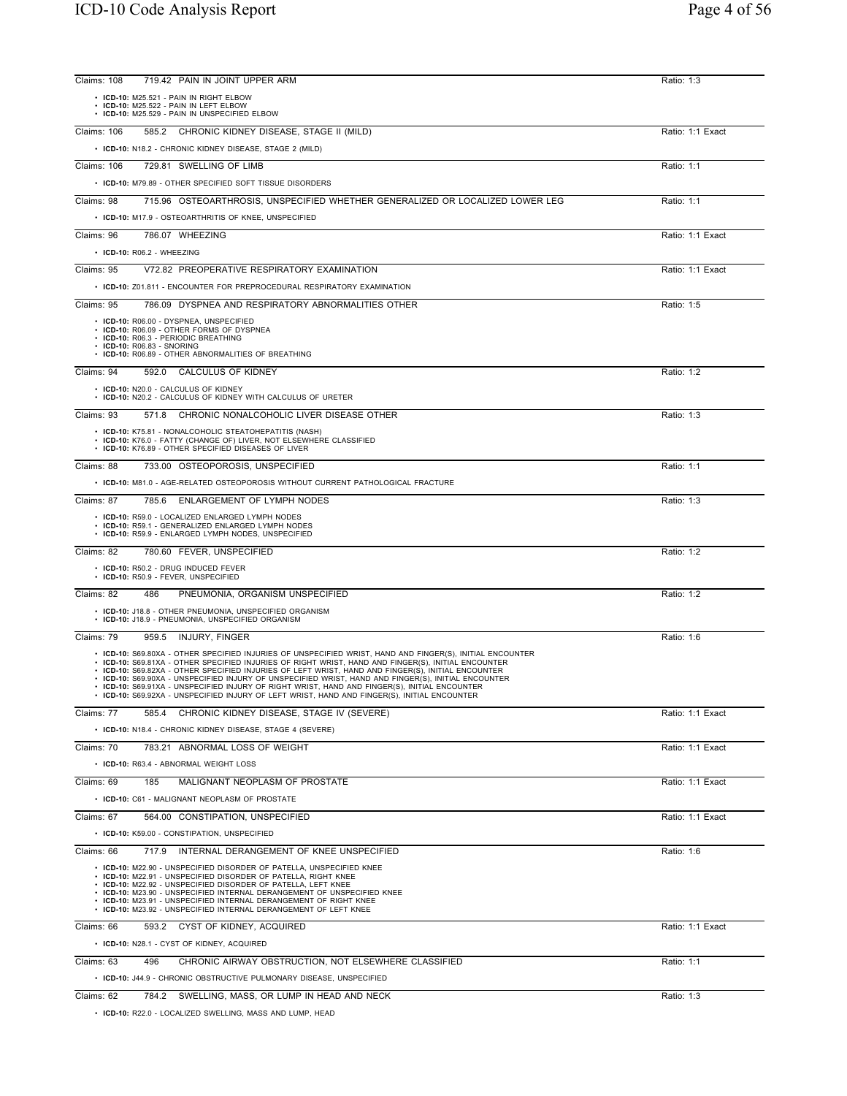| Claims: 108 | 719.42 PAIN IN JOINT UPPER ARM                                                                                                                                                                                                                                                                                                                                                                                                                                                                                                                                                                                                       | Ratio: 1:3       |
|-------------|--------------------------------------------------------------------------------------------------------------------------------------------------------------------------------------------------------------------------------------------------------------------------------------------------------------------------------------------------------------------------------------------------------------------------------------------------------------------------------------------------------------------------------------------------------------------------------------------------------------------------------------|------------------|
|             | • ICD-10: M25.521 - PAIN IN RIGHT ELBOW<br>• ICD-10: M25.522 - PAIN IN LEFT ELBOW<br>• ICD-10: M25.529 - PAIN IN UNSPECIFIED ELBOW                                                                                                                                                                                                                                                                                                                                                                                                                                                                                                   |                  |
| Claims: 106 | 585.2 CHRONIC KIDNEY DISEASE, STAGE II (MILD)                                                                                                                                                                                                                                                                                                                                                                                                                                                                                                                                                                                        | Ratio: 1:1 Exact |
|             | • ICD-10: N18.2 - CHRONIC KIDNEY DISEASE, STAGE 2 (MILD)                                                                                                                                                                                                                                                                                                                                                                                                                                                                                                                                                                             |                  |
| Claims: 106 | 729.81 SWELLING OF LIMB                                                                                                                                                                                                                                                                                                                                                                                                                                                                                                                                                                                                              | Ratio: 1:1       |
|             | • ICD-10: M79.89 - OTHER SPECIFIED SOFT TISSUE DISORDERS                                                                                                                                                                                                                                                                                                                                                                                                                                                                                                                                                                             |                  |
| Claims: 98  | 715.96 OSTEOARTHROSIS, UNSPECIFIED WHETHER GENERALIZED OR LOCALIZED LOWER LEG                                                                                                                                                                                                                                                                                                                                                                                                                                                                                                                                                        | Ratio: 1:1       |
|             | • ICD-10: M17.9 - OSTEOARTHRITIS OF KNEE, UNSPECIFIED                                                                                                                                                                                                                                                                                                                                                                                                                                                                                                                                                                                |                  |
| Claims: 96  | 786.07 WHEEZING                                                                                                                                                                                                                                                                                                                                                                                                                                                                                                                                                                                                                      | Ratio: 1:1 Exact |
|             | • ICD-10: R06.2 - WHEEZING                                                                                                                                                                                                                                                                                                                                                                                                                                                                                                                                                                                                           |                  |
| Claims: 95  | V72.82 PREOPERATIVE RESPIRATORY EXAMINATION                                                                                                                                                                                                                                                                                                                                                                                                                                                                                                                                                                                          | Ratio: 1:1 Exact |
|             | • ICD-10: Z01.811 - ENCOUNTER FOR PREPROCEDURAL RESPIRATORY EXAMINATION                                                                                                                                                                                                                                                                                                                                                                                                                                                                                                                                                              |                  |
| Claims: 95  | 786.09 DYSPNEA AND RESPIRATORY ABNORMALITIES OTHER                                                                                                                                                                                                                                                                                                                                                                                                                                                                                                                                                                                   | Ratio: 1:5       |
|             | • ICD-10: R06.00 - DYSPNEA, UNSPECIFIED<br>• ICD-10: R06.09 - OTHER FORMS OF DYSPNEA<br>• ICD-10: R06.3 - PERIODIC BREATHING<br>• ICD-10: R06.83 - SNORING<br>• ICD-10: R06.89 - OTHER ABNORMALITIES OF BREATHING                                                                                                                                                                                                                                                                                                                                                                                                                    |                  |
| Claims: 94  | 592.0 CALCULUS OF KIDNEY                                                                                                                                                                                                                                                                                                                                                                                                                                                                                                                                                                                                             | Ratio: 1:2       |
|             | • ICD-10: N20.0 - CALCULUS OF KIDNEY<br>• ICD-10: N20.2 - CALCULUS OF KIDNEY WITH CALCULUS OF URETER                                                                                                                                                                                                                                                                                                                                                                                                                                                                                                                                 |                  |
| Claims: 93  | 571.8 CHRONIC NONALCOHOLIC LIVER DISEASE OTHER                                                                                                                                                                                                                                                                                                                                                                                                                                                                                                                                                                                       | Ratio: 1:3       |
|             | • ICD-10: K75.81 - NONALCOHOLIC STEATOHEPATITIS (NASH)<br>• ICD-10: K76.0 - FATTY (CHANGE OF) LIVER, NOT ELSEWHERE CLASSIFIED<br>• ICD-10: K76.89 - OTHER SPECIFIED DISEASES OF LIVER                                                                                                                                                                                                                                                                                                                                                                                                                                                |                  |
| Claims: 88  | 733.00 OSTEOPOROSIS, UNSPECIFIED                                                                                                                                                                                                                                                                                                                                                                                                                                                                                                                                                                                                     | Ratio: 1:1       |
|             | • ICD-10: M81.0 - AGE-RELATED OSTEOPOROSIS WITHOUT CURRENT PATHOLOGICAL FRACTURE                                                                                                                                                                                                                                                                                                                                                                                                                                                                                                                                                     |                  |
| Claims: 87  | 785.6 ENLARGEMENT OF LYMPH NODES                                                                                                                                                                                                                                                                                                                                                                                                                                                                                                                                                                                                     | Ratio: 1:3       |
|             | • ICD-10: R59.0 - LOCALIZED ENLARGED LYMPH NODES<br>• ICD-10: R59.1 - GENERALIZED ENLARGED LYMPH NODES<br>• ICD-10: R59.9 - ENLARGED LYMPH NODES, UNSPECIFIED                                                                                                                                                                                                                                                                                                                                                                                                                                                                        |                  |
| Claims: 82  | 780.60 FEVER, UNSPECIFIED                                                                                                                                                                                                                                                                                                                                                                                                                                                                                                                                                                                                            | Ratio: 1:2       |
|             | • ICD-10: R50.2 - DRUG INDUCED FEVER<br>• ICD-10: R50.9 - FEVER, UNSPECIFIED                                                                                                                                                                                                                                                                                                                                                                                                                                                                                                                                                         |                  |
| Claims: 82  | PNEUMONIA, ORGANISM UNSPECIFIED<br>486                                                                                                                                                                                                                                                                                                                                                                                                                                                                                                                                                                                               | Ratio: 1:2       |
|             | • ICD-10: J18.8 - OTHER PNEUMONIA, UNSPECIFIED ORGANISM<br>• ICD-10: J18.9 - PNEUMONIA, UNSPECIFIED ORGANISM                                                                                                                                                                                                                                                                                                                                                                                                                                                                                                                         |                  |
| Claims: 79  | 959.5 INJURY, FINGER                                                                                                                                                                                                                                                                                                                                                                                                                                                                                                                                                                                                                 | Ratio: 1:6       |
|             | • ICD-10: S69.80XA - OTHER SPECIFIED INJURIES OF UNSPECIFIED WRIST, HAND AND FINGER(S), INITIAL ENCOUNTER<br>. ICD-10: S69.81XA - OTHER SPECIFIED INJURIES OF RIGHT WRIST, HAND AND FINGER(S), INITIAL ENCOUNTER<br>• ICD-10: S69.82XA - OTHER SPECIFIED INJURIES OF LEFT WRIST, HAND AND FINGER(S), INITIAL ENCOUNTER<br>• ICD-10: S69.90XA - UNSPECIFIED INJURY OF UNSPECIFIED WRIST, HAND AND FINGER(S), INITIAL ENCOUNTER<br>$\cdot$ ICD-10: S69.91XA - UNSPECIFIED INJURY OF RIGHT WRIST. HAND AND FINGER(S). INITIAL ENCOUNTER<br>• ICD-10: S69.92XA - UNSPECIFIED INJURY OF LEFT WRIST, HAND AND FINGER(S), INITIAL ENCOUNTER |                  |
| Claims: 77  | CHRONIC KIDNEY DISEASE, STAGE IV (SEVERE)<br>585.4                                                                                                                                                                                                                                                                                                                                                                                                                                                                                                                                                                                   | Ratio: 1:1 Exact |
|             | • ICD-10: N18.4 - CHRONIC KIDNEY DISEASE, STAGE 4 (SEVERE)                                                                                                                                                                                                                                                                                                                                                                                                                                                                                                                                                                           |                  |
| Claims: 70  | 783.21 ABNORMAL LOSS OF WEIGHT                                                                                                                                                                                                                                                                                                                                                                                                                                                                                                                                                                                                       | Ratio: 1:1 Exact |
|             | • ICD-10: R63.4 - ABNORMAL WEIGHT LOSS                                                                                                                                                                                                                                                                                                                                                                                                                                                                                                                                                                                               |                  |
| Claims: 69  | MALIGNANT NEOPLASM OF PROSTATE<br>185                                                                                                                                                                                                                                                                                                                                                                                                                                                                                                                                                                                                | Ratio: 1:1 Exact |
|             | • ICD-10: C61 - MALIGNANT NEOPLASM OF PROSTATE                                                                                                                                                                                                                                                                                                                                                                                                                                                                                                                                                                                       |                  |
| Claims: 67  | 564.00 CONSTIPATION, UNSPECIFIED<br>• ICD-10: K59.00 - CONSTIPATION, UNSPECIFIED                                                                                                                                                                                                                                                                                                                                                                                                                                                                                                                                                     | Ratio: 1:1 Exact |
| Claims: 66  | 717.9 INTERNAL DERANGEMENT OF KNEE UNSPECIFIED                                                                                                                                                                                                                                                                                                                                                                                                                                                                                                                                                                                       | Ratio: 1:6       |
|             | • ICD-10: M22.90 - UNSPECIFIED DISORDER OF PATELLA, UNSPECIFIED KNEE<br>• ICD-10: M22.91 - UNSPECIFIED DISORDER OF PATELLA, RIGHT KNEE<br>• ICD-10: M22.92 - UNSPECIFIED DISORDER OF PATELLA, LEFT KNEE<br>• ICD-10: M23.90 - UNSPECIFIED INTERNAL DERANGEMENT OF UNSPECIFIED KNEE<br>• ICD-10: M23.91 - UNSPECIFIED INTERNAL DERANGEMENT OF RIGHT KNEE<br>• ICD-10: M23.92 - UNSPECIFIED INTERNAL DERANGEMENT OF LEFT KNEE                                                                                                                                                                                                          |                  |
| Claims: 66  | 593.2 CYST OF KIDNEY, ACQUIRED                                                                                                                                                                                                                                                                                                                                                                                                                                                                                                                                                                                                       | Ratio: 1:1 Exact |
|             | • ICD-10: N28.1 - CYST OF KIDNEY, ACQUIRED                                                                                                                                                                                                                                                                                                                                                                                                                                                                                                                                                                                           |                  |
| Claims: 63  | 496<br>CHRONIC AIRWAY OBSTRUCTION, NOT ELSEWHERE CLASSIFIED                                                                                                                                                                                                                                                                                                                                                                                                                                                                                                                                                                          | Ratio: 1:1       |
|             | • ICD-10: J44.9 - CHRONIC OBSTRUCTIVE PULMONARY DISEASE, UNSPECIFIED                                                                                                                                                                                                                                                                                                                                                                                                                                                                                                                                                                 |                  |
| Claims: 62  | 784.2 SWELLING, MASS, OR LUMP IN HEAD AND NECK                                                                                                                                                                                                                                                                                                                                                                                                                                                                                                                                                                                       | Ratio: 1:3       |

• **ICD-10:** R22.0 - LOCALIZED SWELLING, MASS AND LUMP, HEAD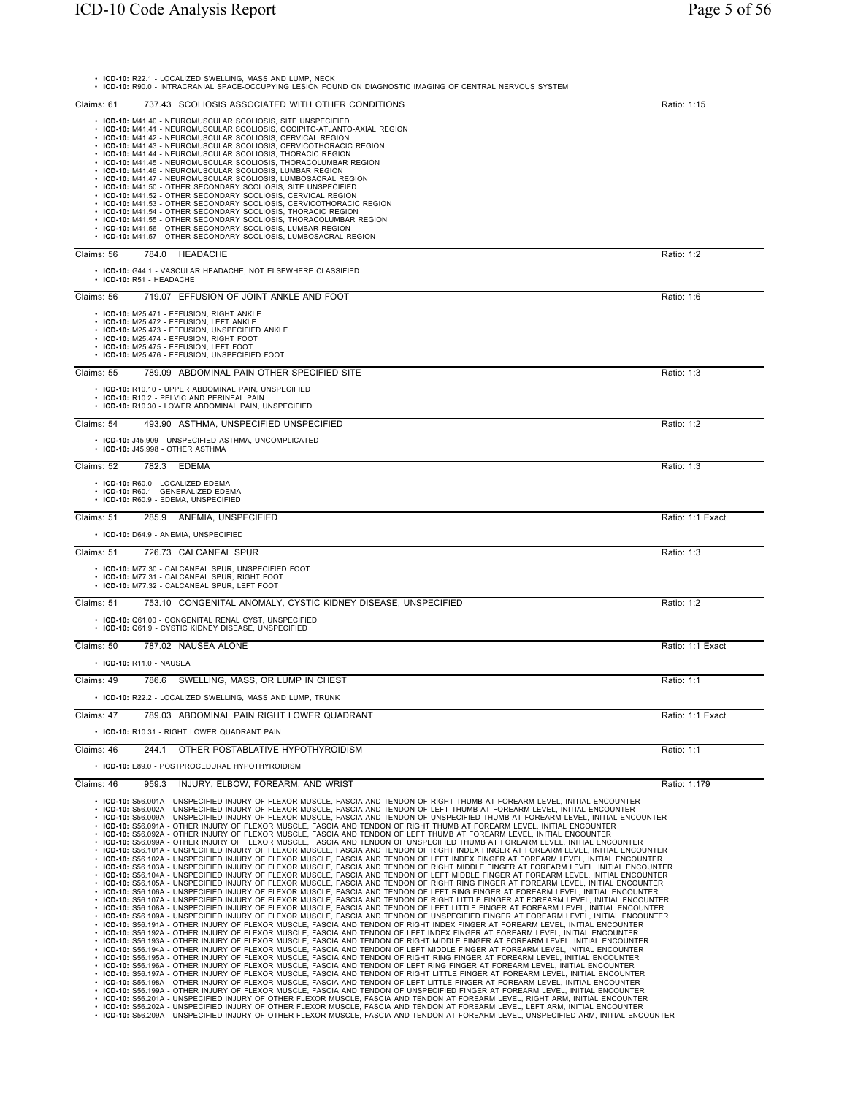| • ICD-10: R22.1 - LOCALIZED SWELLING, MASS AND LUMP, NECK<br>· ICD-10: R90.0 - INTRACRANIAL SPACE-OCCUPYING LESION FOUND ON DIAGNOSTIC IMAGING OF CENTRAL NERVOUS SYSTEM                                                                                                                                                                                                                                                                                                                                                                                                                                                                                                                                                                                                                                                                                                                                                                                                                                                                                                                                                                                                                                                                                                                                                                                                                                                                                                                                                                                                                                                                                                                                                                                                                                                                                                                                                                                                                                                                                                                                                                                                                                                                                                                                                                                                                                                                                                                                                                                                                                                                                                                                                                |                  |
|-----------------------------------------------------------------------------------------------------------------------------------------------------------------------------------------------------------------------------------------------------------------------------------------------------------------------------------------------------------------------------------------------------------------------------------------------------------------------------------------------------------------------------------------------------------------------------------------------------------------------------------------------------------------------------------------------------------------------------------------------------------------------------------------------------------------------------------------------------------------------------------------------------------------------------------------------------------------------------------------------------------------------------------------------------------------------------------------------------------------------------------------------------------------------------------------------------------------------------------------------------------------------------------------------------------------------------------------------------------------------------------------------------------------------------------------------------------------------------------------------------------------------------------------------------------------------------------------------------------------------------------------------------------------------------------------------------------------------------------------------------------------------------------------------------------------------------------------------------------------------------------------------------------------------------------------------------------------------------------------------------------------------------------------------------------------------------------------------------------------------------------------------------------------------------------------------------------------------------------------------------------------------------------------------------------------------------------------------------------------------------------------------------------------------------------------------------------------------------------------------------------------------------------------------------------------------------------------------------------------------------------------------------------------------------------------------------------------------------------------|------------------|
| 737.43 SCOLIOSIS ASSOCIATED WITH OTHER CONDITIONS<br>Claims: 61                                                                                                                                                                                                                                                                                                                                                                                                                                                                                                                                                                                                                                                                                                                                                                                                                                                                                                                                                                                                                                                                                                                                                                                                                                                                                                                                                                                                                                                                                                                                                                                                                                                                                                                                                                                                                                                                                                                                                                                                                                                                                                                                                                                                                                                                                                                                                                                                                                                                                                                                                                                                                                                                         | Ratio: 1:15      |
| • ICD-10: M41.40 - NEUROMUSCULAR SCOLIOSIS, SITE UNSPECIFIED<br>• ICD-10: M41.41 - NEUROMUSCULAR SCOLIOSIS, OCCIPITO-ATLANTO-AXIAL REGION<br>• ICD-10: M41.42 - NEUROMUSCULAR SCOLIOSIS, CERVICAL REGION<br>· ICD-10: M41.43 - NEUROMUSCULAR SCOLIOSIS, CERVICOTHORACIC REGION<br>• ICD-10: M41.44 - NEUROMUSCULAR SCOLIOSIS, THORACIC REGION<br>· ICD-10: M41.45 - NEUROMUSCULAR SCOLIOSIS, THORACOLUMBAR REGION<br>• ICD-10: M41.46 - NEUROMUSCULAR SCOLIOSIS, LUMBAR REGION<br>• ICD-10: M41.47 - NEUROMUSCULAR SCOLIOSIS, LUMBOSACRAL REGION<br>• ICD-10: M41.50 - OTHER SECONDARY SCOLIOSIS, SITE UNSPECIFIED<br>• ICD-10: M41.52 - OTHER SECONDARY SCOLIOSIS, CERVICAL REGION<br>• ICD-10: M41.53 - OTHER SECONDARY SCOLIOSIS, CERVICOTHORACIC REGION<br>ICD-10: M41.54 - OTHER SECONDARY SCOLIOSIS, THORACIC REGION<br>• ICD-10: M41.55 - OTHER SECONDARY SCOLIOSIS, THORACOLUMBAR REGION<br>• ICD-10: M41.56 - OTHER SECONDARY SCOLIOSIS, LUMBAR REGION<br>• ICD-10: M41.57 - OTHER SECONDARY SCOLIOSIS, LUMBOSACRAL REGION                                                                                                                                                                                                                                                                                                                                                                                                                                                                                                                                                                                                                                                                                                                                                                                                                                                                                                                                                                                                                                                                                                                                                                                                                                                                                                                                                                                                                                                                                                                                                                                                                                                                                                     |                  |
| 784.0<br>HEADACHE<br>Claims: 56                                                                                                                                                                                                                                                                                                                                                                                                                                                                                                                                                                                                                                                                                                                                                                                                                                                                                                                                                                                                                                                                                                                                                                                                                                                                                                                                                                                                                                                                                                                                                                                                                                                                                                                                                                                                                                                                                                                                                                                                                                                                                                                                                                                                                                                                                                                                                                                                                                                                                                                                                                                                                                                                                                         | Ratio: 1:2       |
| • ICD-10: G44.1 - VASCULAR HEADACHE, NOT ELSEWHERE CLASSIFIED<br>$\cdot$ ICD-10: R51 - HEADACHE                                                                                                                                                                                                                                                                                                                                                                                                                                                                                                                                                                                                                                                                                                                                                                                                                                                                                                                                                                                                                                                                                                                                                                                                                                                                                                                                                                                                                                                                                                                                                                                                                                                                                                                                                                                                                                                                                                                                                                                                                                                                                                                                                                                                                                                                                                                                                                                                                                                                                                                                                                                                                                         |                  |
| 719.07 EFFUSION OF JOINT ANKLE AND FOOT<br>Claims: 56                                                                                                                                                                                                                                                                                                                                                                                                                                                                                                                                                                                                                                                                                                                                                                                                                                                                                                                                                                                                                                                                                                                                                                                                                                                                                                                                                                                                                                                                                                                                                                                                                                                                                                                                                                                                                                                                                                                                                                                                                                                                                                                                                                                                                                                                                                                                                                                                                                                                                                                                                                                                                                                                                   | Ratio: 1:6       |
| • ICD-10: M25.471 - EFFUSION, RIGHT ANKLE<br>• ICD-10: M25.472 - EFFUSION, LEFT ANKLE<br>• ICD-10: M25.473 - EFFUSION, UNSPECIFIED ANKLE<br>• ICD-10: M25.474 - EFFUSION, RIGHT FOOT<br>· ICD-10: M25.475 - EFFUSION, LEFT FOOT<br>• ICD-10: M25.476 - EFFUSION, UNSPECIFIED FOOT                                                                                                                                                                                                                                                                                                                                                                                                                                                                                                                                                                                                                                                                                                                                                                                                                                                                                                                                                                                                                                                                                                                                                                                                                                                                                                                                                                                                                                                                                                                                                                                                                                                                                                                                                                                                                                                                                                                                                                                                                                                                                                                                                                                                                                                                                                                                                                                                                                                       |                  |
| Claims: 55<br>789.09 ABDOMINAL PAIN OTHER SPECIFIED SITE                                                                                                                                                                                                                                                                                                                                                                                                                                                                                                                                                                                                                                                                                                                                                                                                                                                                                                                                                                                                                                                                                                                                                                                                                                                                                                                                                                                                                                                                                                                                                                                                                                                                                                                                                                                                                                                                                                                                                                                                                                                                                                                                                                                                                                                                                                                                                                                                                                                                                                                                                                                                                                                                                | Ratio: 1:3       |
| • ICD-10: R10.10 - UPPER ABDOMINAL PAIN, UNSPECIFIED<br>• ICD-10: R10.2 - PELVIC AND PERINEAL PAIN<br>• ICD-10: R10.30 - LOWER ABDOMINAL PAIN, UNSPECIFIED                                                                                                                                                                                                                                                                                                                                                                                                                                                                                                                                                                                                                                                                                                                                                                                                                                                                                                                                                                                                                                                                                                                                                                                                                                                                                                                                                                                                                                                                                                                                                                                                                                                                                                                                                                                                                                                                                                                                                                                                                                                                                                                                                                                                                                                                                                                                                                                                                                                                                                                                                                              |                  |
| 493.90 ASTHMA, UNSPECIFIED UNSPECIFIED<br>Claims: 54                                                                                                                                                                                                                                                                                                                                                                                                                                                                                                                                                                                                                                                                                                                                                                                                                                                                                                                                                                                                                                                                                                                                                                                                                                                                                                                                                                                                                                                                                                                                                                                                                                                                                                                                                                                                                                                                                                                                                                                                                                                                                                                                                                                                                                                                                                                                                                                                                                                                                                                                                                                                                                                                                    | Ratio: 1:2       |
| • ICD-10: J45.909 - UNSPECIFIED ASTHMA, UNCOMPLICATED<br>• ICD-10: J45.998 - OTHER ASTHMA                                                                                                                                                                                                                                                                                                                                                                                                                                                                                                                                                                                                                                                                                                                                                                                                                                                                                                                                                                                                                                                                                                                                                                                                                                                                                                                                                                                                                                                                                                                                                                                                                                                                                                                                                                                                                                                                                                                                                                                                                                                                                                                                                                                                                                                                                                                                                                                                                                                                                                                                                                                                                                               |                  |
| 782.3<br>Claims: 52<br>EDEMA                                                                                                                                                                                                                                                                                                                                                                                                                                                                                                                                                                                                                                                                                                                                                                                                                                                                                                                                                                                                                                                                                                                                                                                                                                                                                                                                                                                                                                                                                                                                                                                                                                                                                                                                                                                                                                                                                                                                                                                                                                                                                                                                                                                                                                                                                                                                                                                                                                                                                                                                                                                                                                                                                                            | Ratio: 1:3       |
| • ICD-10: R60.0 - LOCALIZED EDEMA<br>• ICD-10: R60.1 - GENERALIZED EDEMA<br>• ICD-10: R60.9 - EDEMA, UNSPECIFIED                                                                                                                                                                                                                                                                                                                                                                                                                                                                                                                                                                                                                                                                                                                                                                                                                                                                                                                                                                                                                                                                                                                                                                                                                                                                                                                                                                                                                                                                                                                                                                                                                                                                                                                                                                                                                                                                                                                                                                                                                                                                                                                                                                                                                                                                                                                                                                                                                                                                                                                                                                                                                        |                  |
| 285.9 ANEMIA, UNSPECIFIED<br>Claims: 51                                                                                                                                                                                                                                                                                                                                                                                                                                                                                                                                                                                                                                                                                                                                                                                                                                                                                                                                                                                                                                                                                                                                                                                                                                                                                                                                                                                                                                                                                                                                                                                                                                                                                                                                                                                                                                                                                                                                                                                                                                                                                                                                                                                                                                                                                                                                                                                                                                                                                                                                                                                                                                                                                                 | Ratio: 1:1 Exact |
| • ICD-10: D64.9 - ANEMIA, UNSPECIFIED                                                                                                                                                                                                                                                                                                                                                                                                                                                                                                                                                                                                                                                                                                                                                                                                                                                                                                                                                                                                                                                                                                                                                                                                                                                                                                                                                                                                                                                                                                                                                                                                                                                                                                                                                                                                                                                                                                                                                                                                                                                                                                                                                                                                                                                                                                                                                                                                                                                                                                                                                                                                                                                                                                   |                  |
| Claims: 51<br>726.73 CALCANEAL SPUR                                                                                                                                                                                                                                                                                                                                                                                                                                                                                                                                                                                                                                                                                                                                                                                                                                                                                                                                                                                                                                                                                                                                                                                                                                                                                                                                                                                                                                                                                                                                                                                                                                                                                                                                                                                                                                                                                                                                                                                                                                                                                                                                                                                                                                                                                                                                                                                                                                                                                                                                                                                                                                                                                                     | Ratio: 1:3       |
| • ICD-10: M77.30 - CALCANEAL SPUR, UNSPECIFIED FOOT<br>· ICD-10: M77.31 - CALCANEAL SPUR, RIGHT FOOT<br>· ICD-10: M77.32 - CALCANEAL SPUR, LEFT FOOT                                                                                                                                                                                                                                                                                                                                                                                                                                                                                                                                                                                                                                                                                                                                                                                                                                                                                                                                                                                                                                                                                                                                                                                                                                                                                                                                                                                                                                                                                                                                                                                                                                                                                                                                                                                                                                                                                                                                                                                                                                                                                                                                                                                                                                                                                                                                                                                                                                                                                                                                                                                    |                  |
| Claims: 51<br>753.10 CONGENITAL ANOMALY, CYSTIC KIDNEY DISEASE, UNSPECIFIED                                                                                                                                                                                                                                                                                                                                                                                                                                                                                                                                                                                                                                                                                                                                                                                                                                                                                                                                                                                                                                                                                                                                                                                                                                                                                                                                                                                                                                                                                                                                                                                                                                                                                                                                                                                                                                                                                                                                                                                                                                                                                                                                                                                                                                                                                                                                                                                                                                                                                                                                                                                                                                                             | Ratio: 1:2       |
| • ICD-10: Q61.00 - CONGENITAL RENAL CYST, UNSPECIFIED<br>• ICD-10: Q61.9 - CYSTIC KIDNEY DISEASE, UNSPECIFIED                                                                                                                                                                                                                                                                                                                                                                                                                                                                                                                                                                                                                                                                                                                                                                                                                                                                                                                                                                                                                                                                                                                                                                                                                                                                                                                                                                                                                                                                                                                                                                                                                                                                                                                                                                                                                                                                                                                                                                                                                                                                                                                                                                                                                                                                                                                                                                                                                                                                                                                                                                                                                           |                  |
| 787.02 NAUSEA ALONE<br>Claims: 50<br>• ICD-10: R11.0 - NAUSEA                                                                                                                                                                                                                                                                                                                                                                                                                                                                                                                                                                                                                                                                                                                                                                                                                                                                                                                                                                                                                                                                                                                                                                                                                                                                                                                                                                                                                                                                                                                                                                                                                                                                                                                                                                                                                                                                                                                                                                                                                                                                                                                                                                                                                                                                                                                                                                                                                                                                                                                                                                                                                                                                           | Ratio: 1:1 Exact |
| Claims: 49<br>786.6<br>SWELLING, MASS, OR LUMP IN CHEST                                                                                                                                                                                                                                                                                                                                                                                                                                                                                                                                                                                                                                                                                                                                                                                                                                                                                                                                                                                                                                                                                                                                                                                                                                                                                                                                                                                                                                                                                                                                                                                                                                                                                                                                                                                                                                                                                                                                                                                                                                                                                                                                                                                                                                                                                                                                                                                                                                                                                                                                                                                                                                                                                 | Ratio: 1:1       |
| • ICD-10: R22.2 - LOCALIZED SWELLING, MASS AND LUMP, TRUNK                                                                                                                                                                                                                                                                                                                                                                                                                                                                                                                                                                                                                                                                                                                                                                                                                                                                                                                                                                                                                                                                                                                                                                                                                                                                                                                                                                                                                                                                                                                                                                                                                                                                                                                                                                                                                                                                                                                                                                                                                                                                                                                                                                                                                                                                                                                                                                                                                                                                                                                                                                                                                                                                              |                  |
| 789.03 ABDOMINAL PAIN RIGHT LOWER QUADRANT<br>Claims: 47                                                                                                                                                                                                                                                                                                                                                                                                                                                                                                                                                                                                                                                                                                                                                                                                                                                                                                                                                                                                                                                                                                                                                                                                                                                                                                                                                                                                                                                                                                                                                                                                                                                                                                                                                                                                                                                                                                                                                                                                                                                                                                                                                                                                                                                                                                                                                                                                                                                                                                                                                                                                                                                                                | Ratio: 1:1 Exact |
| • ICD-10: R10.31 - RIGHT LOWER QUADRANT PAIN                                                                                                                                                                                                                                                                                                                                                                                                                                                                                                                                                                                                                                                                                                                                                                                                                                                                                                                                                                                                                                                                                                                                                                                                                                                                                                                                                                                                                                                                                                                                                                                                                                                                                                                                                                                                                                                                                                                                                                                                                                                                                                                                                                                                                                                                                                                                                                                                                                                                                                                                                                                                                                                                                            |                  |
| Claims: 46<br>244.1<br>OTHER POSTABLATIVE HYPOTHYROIDISM                                                                                                                                                                                                                                                                                                                                                                                                                                                                                                                                                                                                                                                                                                                                                                                                                                                                                                                                                                                                                                                                                                                                                                                                                                                                                                                                                                                                                                                                                                                                                                                                                                                                                                                                                                                                                                                                                                                                                                                                                                                                                                                                                                                                                                                                                                                                                                                                                                                                                                                                                                                                                                                                                | Ratio: 1:1       |
| • ICD-10: E89.0 - POSTPROCEDURAL HYPOTHYROIDISM                                                                                                                                                                                                                                                                                                                                                                                                                                                                                                                                                                                                                                                                                                                                                                                                                                                                                                                                                                                                                                                                                                                                                                                                                                                                                                                                                                                                                                                                                                                                                                                                                                                                                                                                                                                                                                                                                                                                                                                                                                                                                                                                                                                                                                                                                                                                                                                                                                                                                                                                                                                                                                                                                         |                  |
| INJURY, ELBOW, FOREARM, AND WRIST<br>Claims: 46<br>959.3                                                                                                                                                                                                                                                                                                                                                                                                                                                                                                                                                                                                                                                                                                                                                                                                                                                                                                                                                                                                                                                                                                                                                                                                                                                                                                                                                                                                                                                                                                                                                                                                                                                                                                                                                                                                                                                                                                                                                                                                                                                                                                                                                                                                                                                                                                                                                                                                                                                                                                                                                                                                                                                                                | Ratio: 1:179     |
| . ICD-10: S56.001A - UNSPECIFIED INJURY OF FLEXOR MUSCLE, FASCIA AND TENDON OF RIGHT THUMB AT FOREARM LEVEL, INITIAL ENCOUNTER<br>• ICD-10: S56.002A - UNSPECIFIED INJURY OF FLEXOR MUSCLE. FASCIA AND TENDON OF LEFT THUMB AT FOREARM LEVEL. INITIAL ENCOUNTER<br>. ICD-10: S56.009A - UNSPECIFIED INJURY OF FLEXOR MUSCLE, FASCIA AND TENDON OF UNSPECIFIED THUMB AT FOREARM LEVEL, INITIAL ENCOUNTER<br>. ICD-10: S56.091A - OTHER INJURY OF FLEXOR MUSCLE. FASCIA AND TENDON OF RIGHT THUMB AT FOREARM LEVEL. INITIAL ENCOUNTER<br>. ICD-10: S56.092A - OTHER INJURY OF FLEXOR MUSCLE, FASCIA AND TENDON OF LEFT THUMB AT FOREARM LEVEL, INITIAL ENCOUNTER<br>. ICD-10: S56.099A - OTHER INJURY OF FLEXOR MUSCLE, FASCIA AND TENDON OF UNSPECIFIED THUMB AT FOREARM LEVEL, INITIAL ENCOUNTER<br>· ICD-10: S56.101A - UNSPECIFIED INJURY OF FLEXOR MUSCLE, FASCIA AND TENDON OF RIGHT INDEX FINGER AT FOREARM LEVEL, INITIAL ENCOUNTER<br>· ICD-10: S56.102A - UNSPECIFIED INJURY OF FLEXOR MUSCLE, FASCIA AND TENDON OF LEFT INDEX FINGER AT FOREARM LEVEL, INITIAL ENCOUNTER<br>· ICD-10: S56.103A - UNSPECIFIED INJURY OF FLEXOR MUSCLE, FASCIA AND TENDON OF RIGHT MIDDLE FINGER AT FOREARM LEVEL, INITIAL ENCOUNTER<br>· ICD-10: S56.104A - UNSPECIFIED INJURY OF FLEXOR MUSCLE, FASCIA AND TENDON OF LEFT MIDDLE FINGER AT FOREARM LEVEL, INITIAL ENCOUNTER<br>· ICD-10: S56.105A - UNSPECIFIED INJURY OF FLEXOR MUSCLE, FASCIA AND TENDON OF RIGHT RING FINGER AT FOREARM LEVEL, INITIAL ENCOUNTER<br>· ICD-10: S56.106A - UNSPECIFIED INJURY OF FLEXOR MUSCLE, FASCIA AND TENDON OF LEFT RING FINGER AT FOREARM LEVEL, INITIAL ENCOUNTER<br>· ICD-10: S56.107A - UNSPECIFIED INJURY OF FLEXOR MUSCLE, FASCIA AND TENDON OF RIGHT LITTLE FINGER AT FOREARM LEVEL, INITIAL ENCOUNTER<br>· ICD-10: S56.108A - UNSPECIFIED INJURY OF FLEXOR MUSCLE, FASCIA AND TENDON OF LEFT LITTLE FINGER AT FOREARM LEVEL, INITIAL ENCOUNTER<br>· ICD-10: S56.109A - UNSPECIFIED INJURY OF FLEXOR MUSCLE, FASCIA AND TENDON OF UNSPECIFIED FINGER AT FOREARM LEVEL, INITIAL ENCOUNTER<br>. ICD-10: S56.191A - OTHER INJURY OF FLEXOR MUSCLE, FASCIA AND TENDON OF RIGHT INDEX FINGER AT FOREARM LEVEL, INITIAL ENCOUNTER<br>. ICD-10: S56.192A - OTHER INJURY OF FLEXOR MUSCLE, FASCIA AND TENDON OF LEFT INDEX FINGER AT FOREARM LEVEL, INITIAL ENCOUNTER<br>· ICD-10: S56.193A - OTHER INJURY OF FLEXOR MUSCLE, FASCIA AND TENDON OF RIGHT MIDDLE FINGER AT FOREARM LEVEL, INITIAL ENCOUNTER<br>· ICD-10: S56.194A - OTHER INJURY OF FLEXOR MUSCLE, FASCIA AND TENDON OF LEFT MIDDLE FINGER AT FOREARM LEVEL, INITIAL ENCOUNTER<br>OTHER IN HIDY OF FLEVOR MHOOLE<br>FACCIA AND TENDON OF DICUT DINC FINCED AT FOREADM LEVEL INITIAL ENCOUR |                  |

• ICD-10: S66.1944 - OTHER INJURY OF FLEXOR MUSCLE, FASCIA AND TENDON OF LEFT MIDDLE FINGER AT FOREARM LEVEL, INITIAL ENCOUNTER<br>• ICD-10: S66.1954 - OTHER INJURY OF FLEXOR MUSCLE, FASCIA AND TENDON OF RIGHT RING FINGER AT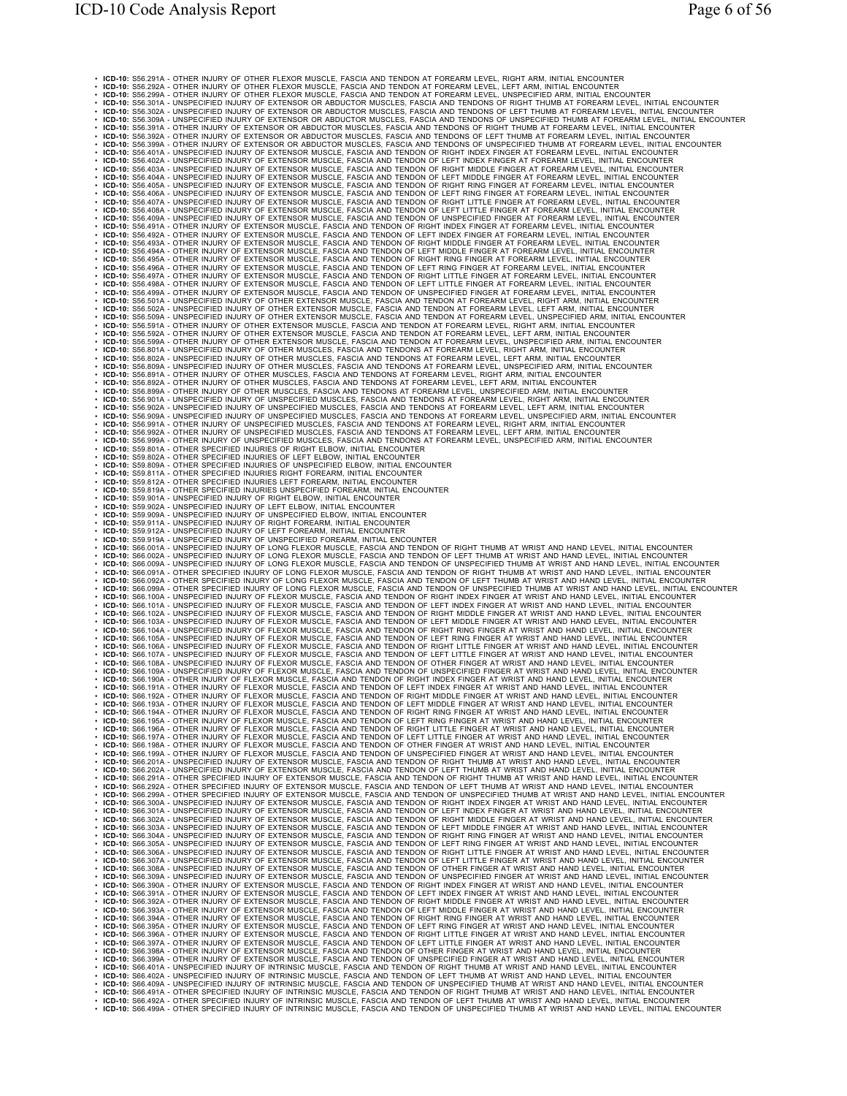ι IGO-10: 88.294 - OTHER NUMY OF OTHER RECOR NUSCE, FASCIA AND TENDON AT FOREABM LIVEL, IRGPT ANN, INITIAL ERCOUNTER<br>IF IGO-10: 88.394 - OTHER NUMY OF OTHER RECOR NUSCE, FASCIA AND TENDON AT FOREABM LIVEL, IRGPT ANN, INI • ICD-10: S56.899A - OTHER INJURY OF OTHER MUSCLES, FASCIA AND TENDONS AT FOREARM LEVEL, UNSPECIFIED ARM, INITIAL ENCOUNTER<br>• ICD-10: S56.991A - UNSPECIFIED INJURY OF UNSPECIFIED MUSCLES, FASCIA AND TENDONS AT FOREARM LEVE • ICD-10: S59.801A - OTHER SPECIFIED INJURIES OF RIGHT ELBOW, INITIAL ENCOUNTER<br>• ICD-10: S59.802A - OTHER SPECIFIED INJURIES OF LEFT ELBOW, INITIAL ENCOUNTER<br>• ICD-10: S59.809A - OTHER SPECIFIED INJURIES OF UNSPECIFIED EL ι ICO-00: S68 913A - OTHER SPECIFIED INJURIS LEFT FOREAMA, INTUAL ENCOUNTER<br>IN ICO-00: S68 9004 - UNSPECIFIED INJURY OF LEFT ELEOVATION THAN ENCOUNTER<br>IN ICO-00: S68 9004 - UNSPECIFIED INJURY OF LEFT ELEOVATION ENCOUNTER - I CD-10: 562.304 ^ OTHER SPECIFIED INJUY OF EXTENSOR MUSCLE, FASCIA AND TENDON OF GEHT HIJUME AT WRIST AND HAND LEVEL, INITIAL ENCOUNTER<br>- I CD-10: 562.324 ^ OTHER SPECIFIED INJUY OF EXTENSOR MUSCLE, FASCIA AND TENDON O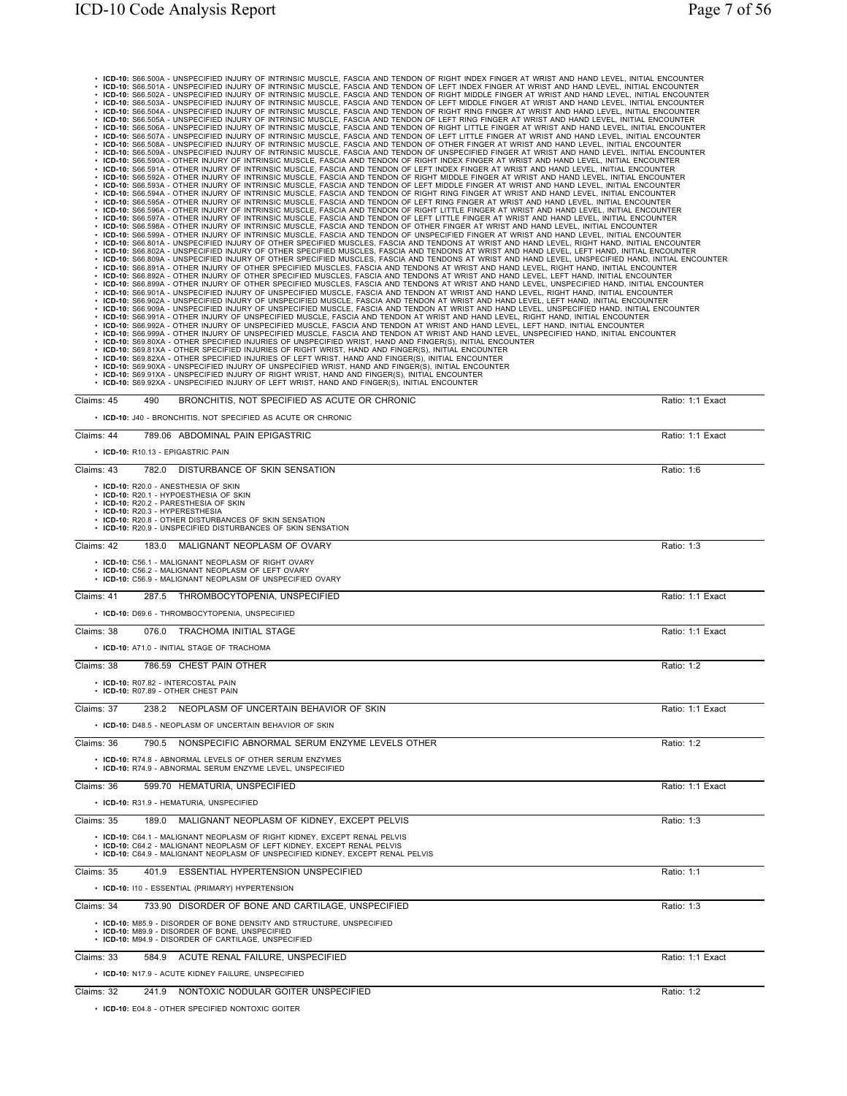| · ICD-10: S66.500A - UNSPECIFIED INJURY OF INTRINSIC MUSCLE, FASCIA AND TENDON OF RIGHT INDEX FINGER AT WRIST AND HAND LEVEL, INITIAL ENCOUNTER<br>· ICD-10: S66.501A - UNSPECIFIED INJURY OF INTRINSIC MUSCLE, FASCIA AND TENDON OF LEFT INDEX FINGER AT WRIST AND HAND LEVEL, INITIAL ENCOUNTER<br>· ICD-10: S66.502A - UNSPECIFIED INJURY OF INTRINSIC MUSCLE, FASCIA AND TENDON OF RIGHT MIDDLE FINGER AT WRIST AND HAND LEVEL, INITIAL ENCOUNTER<br>· ICD-10: S66.503A - UNSPECIFIED INJURY OF INTRINSIC MUSCLE, FASCIA AND TENDON OF LEFT MIDDLE FINGER AT WRIST AND HAND LEVEL, INITIAL ENCOUNTER<br>· ICD-10: S66.504A - UNSPECIFIED INJURY OF INTRINSIC MUSCLE, FASCIA AND TENDON OF RIGHT RING FINGER AT WRIST AND HAND LEVEL, INITIAL ENCOUNTER<br>· ICD-10: S66.505A - UNSPECIFIED INJURY OF INTRINSIC MUSCLE, FASCIA AND TENDON OF LEFT RING FINGER AT WRIST AND HAND LEVEL, INITIAL ENCOUNTER<br>· ICD-10: S66.506A - UNSPECIFIED INJURY OF INTRINSIC MUSCLE, FASCIA AND TENDON OF RIGHT LITTLE FINGER AT WRIST AND HAND LEVEL, INITIAL ENCOUNTER<br>· ICD-10: S66.507A - UNSPECIFIED INJURY OF INTRINSIC MUSCLE, FASCIA AND TENDON OF LEFT LITTLE FINGER AT WRIST AND HAND LEVEL, INITIAL ENCOUNTER<br>· ICD-10: S66.508A - UNSPECIFIED INJURY OF INTRINSIC MUSCLE, FASCIA AND TENDON OF OTHER FINGER AT WRIST AND HAND LEVEL, INITIAL ENCOUNTER<br>· ICD-10: S66.509A - UNSPECIFIED INJURY OF INTRINSIC MUSCLE, FASCIA AND TENDON OF UNSPECIFIED FINGER AT WRIST AND HAND LEVEL, INITIAL ENCOUNTER<br>. ICD-10: S66.590A - OTHER INJURY OF INTRINSIC MUSCLE, FASCIA AND TENDON OF RIGHT INDEX FINGER AT WRIST AND HAND LEVEL, INITIAL ENCOUNTER<br>. ICD-10: S66.591A - OTHER INJURY OF INTRINSIC MUSCLE, FASCIA AND TENDON OF LEFT INDEX FINGER AT WRIST AND HAND LEVEL, INITIAL ENCOUNTER<br>. ICD-10: S66.592A - OTHER INJURY OF INTRINSIC MUSCLE, FASCIA AND TENDON OF RIGHT MIDDLE FINGER AT WRIST AND HAND LEVEL, INITIAL ENCOUNTER<br>. ICD-10: S66.593A - OTHER INJURY OF INTRINSIC MUSCLE, FASCIA AND TENDON OF LEFT MIDDLE FINGER AT WRIST AND HAND LEVEL, INITIAL ENCOUNTER<br>. ICD-10: S66.594A - OTHER INJURY OF INTRINSIC MUSCLE, FASCIA AND TENDON OF RIGHT RING FINGER AT WRIST AND HAND LEVEL, INITIAL ENCOUNTER<br>. ICD-10: S66.595A - OTHER INJURY OF INTRINSIC MUSCLE, FASCIA AND TENDON OF LEFT RING FINGER AT WRIST AND HAND LEVEL, INITIAL ENCOUNTER<br>· ICD-10: S66.596A - OTHER INJURY OF INTRINSIC MUSCLE, FASCIA AND TENDON OF RIGHT LITTLE FINGER AT WRIST AND HAND LEVEL, INITIAL ENCOUNTER<br>. ICD-10: S66.597A - OTHER INJURY OF INTRINSIC MUSCLE. FASCIA AND TENDON OF LEFT LITTLE FINGER AT WRIST AND HAND LEVEL. INITIAL ENCOUNTER<br>. ICD-10: S66.598A - OTHER INJURY OF INTRINSIC MUSCLE, FASCIA AND TENDON OF OTHER FINGER AT WRIST AND HAND LEVEL, INITIAL ENCOUNTER<br>. ICD-10: S66.599A - OTHER INJURY OF INTRINSIC MUSCLE, FASCIA AND TENDON OF UNSPECIFIED FINGER AT WRIST AND HAND LEVEL, INITIAL ENCOUNTER<br>· ICD-10: S66.801A - UNSPECIFIED INJURY OF OTHER SPECIFIED MUSCLES, FASCIA AND TENDONS AT WRIST AND HAND LEVEL, RIGHT HAND, INITIAL ENCOUNTER<br>· ICD-10: S66.802A - UNSPECIFIED INJURY OF OTHER SPECIFIED MUSCLES, FASCIA AND TENDONS AT WRIST AND HAND LEVEL, LEFT HAND, INITIAL ENCOUNTER<br>· ICD-10: S66.809A - UNSPECIFIED INJURY OF OTHER SPECIFIED MUSCLES, FASCIA AND TENDONS AT WRIST AND HAND LEVEL, UNSPECIFIED HAND, INITIAL ENCOUNTER<br>. ICD-10: S66.891A - OTHER INJURY OF OTHER SPECIFIED MUSCLES, FASCIA AND TENDONS AT WRIST AND HAND LEVEL, RIGHT HAND, INITIAL ENCOUNTER<br>· ICD-10: S66.892A - OTHER INJURY OF OTHER SPECIFIED MUSCLES, FASCIA AND TENDONS AT WRIST AND HAND LEVEL, LEFT HAND, INITIAL ENCOUNTER<br>· ICD-10: S66.899A - OTHER INJURY OF OTHER SPECIFIED MUSCLES, FASCIA AND TENDONS AT WRIST AND HAND LEVEL, UNSPECIFIED HAND, INITIAL ENCOUNTER<br>· ICD-10: S66.901A - UNSPECIFIED INJURY OF UNSPECIFIED MUSCLE, FASCIA AND TENDON AT WRIST AND HAND LEVEL, RIGHT HAND, INITIAL ENCOUNTER<br>· ICD-10: S66.902A - UNSPECIFIED INJURY OF UNSPECIFIED MUSCLE, FASCIA AND TENDON AT WRIST AND HAND LEVEL, LEFT HAND, INITIAL ENCOUNTER<br>· ICD-10: S66.909A - UNSPECIFIED INJURY OF UNSPECIFIED MUSCLE, FASCIA AND TENDON AT WRIST AND HAND LEVEL, UNSPECIFIED HAND, INITIAL ENCOUNTER<br>· ICD-10: S66.991A - OTHER INJURY OF UNSPECIFIED MUSCLE, FASCIA AND TENDON AT WRIST AND HAND LEVEL, RIGHT HAND, INITIAL ENCOUNTER<br>· ICD-10: S66.992A - OTHER INJURY OF UNSPECIFIED MUSCLE, FASCIA AND TENDON AT WRIST AND HAND LEVEL, LEFT HAND, INITIAL ENCOUNTER<br>· ICD-10: S66.999A - OTHER INJURY OF UNSPECIFIED MUSCLE, FASCIA AND TENDON AT WRIST AND HAND LEVEL, UNSPECIFIED HAND, INITIAL ENCOUNTER<br>· ICD-10: S69.80XA - OTHER SPECIFIED INJURIES OF UNSPECIFIED WRIST, HAND AND FINGER(S), INITIAL ENCOUNTER<br>· ICD-10: S69.81XA - OTHER SPECIFIED INJURIES OF RIGHT WRIST, HAND AND FINGER(S), INITIAL ENCOUNTER<br>• ICD-10: S69.82XA - OTHER SPECIFIED INJURIES OF LEFT WRIST, HAND AND FINGER(S), INITIAL ENCOUNTER<br>· ICD-10: S69.90XA - UNSPECIFIED INJURY OF UNSPECIFIED WRIST, HAND AND FINGER(S), INITIAL ENCOUNTER<br>· ICD-10: S69.91XA - UNSPECIFIED INJURY OF RIGHT WRIST, HAND AND FINGER(S), INITIAL ENCOUNTER<br>• ICD-10: S69.92XA - UNSPECIFIED INJURY OF LEFT WRIST, HAND AND FINGER(S), INITIAL ENCOUNTER |                  |
|------------------------------------------------------------------------------------------------------------------------------------------------------------------------------------------------------------------------------------------------------------------------------------------------------------------------------------------------------------------------------------------------------------------------------------------------------------------------------------------------------------------------------------------------------------------------------------------------------------------------------------------------------------------------------------------------------------------------------------------------------------------------------------------------------------------------------------------------------------------------------------------------------------------------------------------------------------------------------------------------------------------------------------------------------------------------------------------------------------------------------------------------------------------------------------------------------------------------------------------------------------------------------------------------------------------------------------------------------------------------------------------------------------------------------------------------------------------------------------------------------------------------------------------------------------------------------------------------------------------------------------------------------------------------------------------------------------------------------------------------------------------------------------------------------------------------------------------------------------------------------------------------------------------------------------------------------------------------------------------------------------------------------------------------------------------------------------------------------------------------------------------------------------------------------------------------------------------------------------------------------------------------------------------------------------------------------------------------------------------------------------------------------------------------------------------------------------------------------------------------------------------------------------------------------------------------------------------------------------------------------------------------------------------------------------------------------------------------------------------------------------------------------------------------------------------------------------------------------------------------------------------------------------------------------------------------------------------------------------------------------------------------------------------------------------------------------------------------------------------------------------------------------------------------------------------------------------------------------------------------------------------------------------------------------------------------------------------------------------------------------------------------------------------------------------------------------------------------------------------------------------------------------------------------------------------------------------------------------------------------------------------------------------------------------------------------------------------------------------------------------------------------------------------------------------------------------------------------------------------------------------------------------------------------------------------------------------------------------------------------------------------------------------------------------------------------------------------------------------------------------------------------------------------------------------------------------------------------------------------------------------------------------------------------------------------------------------------------------------------------------------------------------------------------------------------------------------------------------------------------------------------------------------------------------------------------------------------------------------------------------------------------------------------------------------------------------------------------------------------------------------------------------------------------------------------------------------------------------------------------------------------------------------------------------------------------------------------------------------------------------------------------------------------------------------------------------------------------------------------------------------------------------------------------------------------------------------------------------------------------------------------------------------------------------------------------------------------------------------------------|------------------|
| Claims: 45<br>490<br>BRONCHITIS, NOT SPECIFIED AS ACUTE OR CHRONIC                                                                                                                                                                                                                                                                                                                                                                                                                                                                                                                                                                                                                                                                                                                                                                                                                                                                                                                                                                                                                                                                                                                                                                                                                                                                                                                                                                                                                                                                                                                                                                                                                                                                                                                                                                                                                                                                                                                                                                                                                                                                                                                                                                                                                                                                                                                                                                                                                                                                                                                                                                                                                                                                                                                                                                                                                                                                                                                                                                                                                                                                                                                                                                                                                                                                                                                                                                                                                                                                                                                                                                                                                                                                                                                                                                                                                                                                                                                                                                                                                                                                                                                                                                                                                                                                                                                                                                                                                                                                                                                                                                                                                                                                                                                                                                                                                                                                                                                                                                                                                                                                                                                                                                                                                                                                                                     | Ratio: 1:1 Exact |
| • ICD-10: J40 - BRONCHITIS, NOT SPECIFIED AS ACUTE OR CHRONIC                                                                                                                                                                                                                                                                                                                                                                                                                                                                                                                                                                                                                                                                                                                                                                                                                                                                                                                                                                                                                                                                                                                                                                                                                                                                                                                                                                                                                                                                                                                                                                                                                                                                                                                                                                                                                                                                                                                                                                                                                                                                                                                                                                                                                                                                                                                                                                                                                                                                                                                                                                                                                                                                                                                                                                                                                                                                                                                                                                                                                                                                                                                                                                                                                                                                                                                                                                                                                                                                                                                                                                                                                                                                                                                                                                                                                                                                                                                                                                                                                                                                                                                                                                                                                                                                                                                                                                                                                                                                                                                                                                                                                                                                                                                                                                                                                                                                                                                                                                                                                                                                                                                                                                                                                                                                                                          |                  |
| Claims: 44<br>789.06 ABDOMINAL PAIN EPIGASTRIC<br>• ICD-10: R10.13 - EPIGASTRIC PAIN                                                                                                                                                                                                                                                                                                                                                                                                                                                                                                                                                                                                                                                                                                                                                                                                                                                                                                                                                                                                                                                                                                                                                                                                                                                                                                                                                                                                                                                                                                                                                                                                                                                                                                                                                                                                                                                                                                                                                                                                                                                                                                                                                                                                                                                                                                                                                                                                                                                                                                                                                                                                                                                                                                                                                                                                                                                                                                                                                                                                                                                                                                                                                                                                                                                                                                                                                                                                                                                                                                                                                                                                                                                                                                                                                                                                                                                                                                                                                                                                                                                                                                                                                                                                                                                                                                                                                                                                                                                                                                                                                                                                                                                                                                                                                                                                                                                                                                                                                                                                                                                                                                                                                                                                                                                                                   | Ratio: 1:1 Exact |
| Claims: 43<br>782.0 DISTURBANCE OF SKIN SENSATION                                                                                                                                                                                                                                                                                                                                                                                                                                                                                                                                                                                                                                                                                                                                                                                                                                                                                                                                                                                                                                                                                                                                                                                                                                                                                                                                                                                                                                                                                                                                                                                                                                                                                                                                                                                                                                                                                                                                                                                                                                                                                                                                                                                                                                                                                                                                                                                                                                                                                                                                                                                                                                                                                                                                                                                                                                                                                                                                                                                                                                                                                                                                                                                                                                                                                                                                                                                                                                                                                                                                                                                                                                                                                                                                                                                                                                                                                                                                                                                                                                                                                                                                                                                                                                                                                                                                                                                                                                                                                                                                                                                                                                                                                                                                                                                                                                                                                                                                                                                                                                                                                                                                                                                                                                                                                                                      | Ratio: 1:6       |
| • ICD-10: R20.0 - ANESTHESIA OF SKIN<br>· ICD-10: R20.1 - HYPOESTHESIA OF SKIN<br>· ICD-10: R20.2 - PARESTHESIA OF SKIN<br>• ICD-10: R20.3 - HYPERESTHESIA<br>• ICD-10: R20.8 - OTHER DISTURBANCES OF SKIN SENSATION<br>• ICD-10: R20.9 - UNSPECIFIED DISTURBANCES OF SKIN SENSATION                                                                                                                                                                                                                                                                                                                                                                                                                                                                                                                                                                                                                                                                                                                                                                                                                                                                                                                                                                                                                                                                                                                                                                                                                                                                                                                                                                                                                                                                                                                                                                                                                                                                                                                                                                                                                                                                                                                                                                                                                                                                                                                                                                                                                                                                                                                                                                                                                                                                                                                                                                                                                                                                                                                                                                                                                                                                                                                                                                                                                                                                                                                                                                                                                                                                                                                                                                                                                                                                                                                                                                                                                                                                                                                                                                                                                                                                                                                                                                                                                                                                                                                                                                                                                                                                                                                                                                                                                                                                                                                                                                                                                                                                                                                                                                                                                                                                                                                                                                                                                                                                                   |                  |
| Claims: 42<br>MALIGNANT NEOPLASM OF OVARY<br>183.0                                                                                                                                                                                                                                                                                                                                                                                                                                                                                                                                                                                                                                                                                                                                                                                                                                                                                                                                                                                                                                                                                                                                                                                                                                                                                                                                                                                                                                                                                                                                                                                                                                                                                                                                                                                                                                                                                                                                                                                                                                                                                                                                                                                                                                                                                                                                                                                                                                                                                                                                                                                                                                                                                                                                                                                                                                                                                                                                                                                                                                                                                                                                                                                                                                                                                                                                                                                                                                                                                                                                                                                                                                                                                                                                                                                                                                                                                                                                                                                                                                                                                                                                                                                                                                                                                                                                                                                                                                                                                                                                                                                                                                                                                                                                                                                                                                                                                                                                                                                                                                                                                                                                                                                                                                                                                                                     | Ratio: 1:3       |
| • ICD-10: C56.1 - MALIGNANT NEOPLASM OF RIGHT OVARY<br>• ICD-10: C56.2 - MALIGNANT NEOPLASM OF LEFT OVARY<br>• ICD-10: C56.9 - MALIGNANT NEOPLASM OF UNSPECIFIED OVARY                                                                                                                                                                                                                                                                                                                                                                                                                                                                                                                                                                                                                                                                                                                                                                                                                                                                                                                                                                                                                                                                                                                                                                                                                                                                                                                                                                                                                                                                                                                                                                                                                                                                                                                                                                                                                                                                                                                                                                                                                                                                                                                                                                                                                                                                                                                                                                                                                                                                                                                                                                                                                                                                                                                                                                                                                                                                                                                                                                                                                                                                                                                                                                                                                                                                                                                                                                                                                                                                                                                                                                                                                                                                                                                                                                                                                                                                                                                                                                                                                                                                                                                                                                                                                                                                                                                                                                                                                                                                                                                                                                                                                                                                                                                                                                                                                                                                                                                                                                                                                                                                                                                                                                                                 |                  |
| Claims: 41<br>287.5 THROMBOCYTOPENIA, UNSPECIFIED<br>• ICD-10: D69.6 - THROMBOCYTOPENIA, UNSPECIFIED                                                                                                                                                                                                                                                                                                                                                                                                                                                                                                                                                                                                                                                                                                                                                                                                                                                                                                                                                                                                                                                                                                                                                                                                                                                                                                                                                                                                                                                                                                                                                                                                                                                                                                                                                                                                                                                                                                                                                                                                                                                                                                                                                                                                                                                                                                                                                                                                                                                                                                                                                                                                                                                                                                                                                                                                                                                                                                                                                                                                                                                                                                                                                                                                                                                                                                                                                                                                                                                                                                                                                                                                                                                                                                                                                                                                                                                                                                                                                                                                                                                                                                                                                                                                                                                                                                                                                                                                                                                                                                                                                                                                                                                                                                                                                                                                                                                                                                                                                                                                                                                                                                                                                                                                                                                                   | Ratio: 1:1 Exact |
| Claims: 38<br>TRACHOMA INITIAL STAGE<br>076.0                                                                                                                                                                                                                                                                                                                                                                                                                                                                                                                                                                                                                                                                                                                                                                                                                                                                                                                                                                                                                                                                                                                                                                                                                                                                                                                                                                                                                                                                                                                                                                                                                                                                                                                                                                                                                                                                                                                                                                                                                                                                                                                                                                                                                                                                                                                                                                                                                                                                                                                                                                                                                                                                                                                                                                                                                                                                                                                                                                                                                                                                                                                                                                                                                                                                                                                                                                                                                                                                                                                                                                                                                                                                                                                                                                                                                                                                                                                                                                                                                                                                                                                                                                                                                                                                                                                                                                                                                                                                                                                                                                                                                                                                                                                                                                                                                                                                                                                                                                                                                                                                                                                                                                                                                                                                                                                          | Ratio: 1:1 Exact |
| • ICD-10: A71.0 - INITIAL STAGE OF TRACHOMA                                                                                                                                                                                                                                                                                                                                                                                                                                                                                                                                                                                                                                                                                                                                                                                                                                                                                                                                                                                                                                                                                                                                                                                                                                                                                                                                                                                                                                                                                                                                                                                                                                                                                                                                                                                                                                                                                                                                                                                                                                                                                                                                                                                                                                                                                                                                                                                                                                                                                                                                                                                                                                                                                                                                                                                                                                                                                                                                                                                                                                                                                                                                                                                                                                                                                                                                                                                                                                                                                                                                                                                                                                                                                                                                                                                                                                                                                                                                                                                                                                                                                                                                                                                                                                                                                                                                                                                                                                                                                                                                                                                                                                                                                                                                                                                                                                                                                                                                                                                                                                                                                                                                                                                                                                                                                                                            |                  |
| Claims: 38<br>786.59 CHEST PAIN OTHER                                                                                                                                                                                                                                                                                                                                                                                                                                                                                                                                                                                                                                                                                                                                                                                                                                                                                                                                                                                                                                                                                                                                                                                                                                                                                                                                                                                                                                                                                                                                                                                                                                                                                                                                                                                                                                                                                                                                                                                                                                                                                                                                                                                                                                                                                                                                                                                                                                                                                                                                                                                                                                                                                                                                                                                                                                                                                                                                                                                                                                                                                                                                                                                                                                                                                                                                                                                                                                                                                                                                                                                                                                                                                                                                                                                                                                                                                                                                                                                                                                                                                                                                                                                                                                                                                                                                                                                                                                                                                                                                                                                                                                                                                                                                                                                                                                                                                                                                                                                                                                                                                                                                                                                                                                                                                                                                  | Ratio: 1:2       |
| • ICD-10: R07.82 - INTERCOSTAL PAIN<br>• ICD-10: R07.89 - OTHER CHEST PAIN                                                                                                                                                                                                                                                                                                                                                                                                                                                                                                                                                                                                                                                                                                                                                                                                                                                                                                                                                                                                                                                                                                                                                                                                                                                                                                                                                                                                                                                                                                                                                                                                                                                                                                                                                                                                                                                                                                                                                                                                                                                                                                                                                                                                                                                                                                                                                                                                                                                                                                                                                                                                                                                                                                                                                                                                                                                                                                                                                                                                                                                                                                                                                                                                                                                                                                                                                                                                                                                                                                                                                                                                                                                                                                                                                                                                                                                                                                                                                                                                                                                                                                                                                                                                                                                                                                                                                                                                                                                                                                                                                                                                                                                                                                                                                                                                                                                                                                                                                                                                                                                                                                                                                                                                                                                                                             |                  |
| Claims: 37<br>238.2 NEOPLASM OF UNCERTAIN BEHAVIOR OF SKIN                                                                                                                                                                                                                                                                                                                                                                                                                                                                                                                                                                                                                                                                                                                                                                                                                                                                                                                                                                                                                                                                                                                                                                                                                                                                                                                                                                                                                                                                                                                                                                                                                                                                                                                                                                                                                                                                                                                                                                                                                                                                                                                                                                                                                                                                                                                                                                                                                                                                                                                                                                                                                                                                                                                                                                                                                                                                                                                                                                                                                                                                                                                                                                                                                                                                                                                                                                                                                                                                                                                                                                                                                                                                                                                                                                                                                                                                                                                                                                                                                                                                                                                                                                                                                                                                                                                                                                                                                                                                                                                                                                                                                                                                                                                                                                                                                                                                                                                                                                                                                                                                                                                                                                                                                                                                                                             | Ratio: 1:1 Exact |
| • ICD-10: D48.5 - NEOPLASM OF UNCERTAIN BEHAVIOR OF SKIN                                                                                                                                                                                                                                                                                                                                                                                                                                                                                                                                                                                                                                                                                                                                                                                                                                                                                                                                                                                                                                                                                                                                                                                                                                                                                                                                                                                                                                                                                                                                                                                                                                                                                                                                                                                                                                                                                                                                                                                                                                                                                                                                                                                                                                                                                                                                                                                                                                                                                                                                                                                                                                                                                                                                                                                                                                                                                                                                                                                                                                                                                                                                                                                                                                                                                                                                                                                                                                                                                                                                                                                                                                                                                                                                                                                                                                                                                                                                                                                                                                                                                                                                                                                                                                                                                                                                                                                                                                                                                                                                                                                                                                                                                                                                                                                                                                                                                                                                                                                                                                                                                                                                                                                                                                                                                                               |                  |
| Claims: 36<br>790.5 NONSPECIFIC ABNORMAL SERUM ENZYME LEVELS OTHER                                                                                                                                                                                                                                                                                                                                                                                                                                                                                                                                                                                                                                                                                                                                                                                                                                                                                                                                                                                                                                                                                                                                                                                                                                                                                                                                                                                                                                                                                                                                                                                                                                                                                                                                                                                                                                                                                                                                                                                                                                                                                                                                                                                                                                                                                                                                                                                                                                                                                                                                                                                                                                                                                                                                                                                                                                                                                                                                                                                                                                                                                                                                                                                                                                                                                                                                                                                                                                                                                                                                                                                                                                                                                                                                                                                                                                                                                                                                                                                                                                                                                                                                                                                                                                                                                                                                                                                                                                                                                                                                                                                                                                                                                                                                                                                                                                                                                                                                                                                                                                                                                                                                                                                                                                                                                                     | Ratio: 1:2       |
| • ICD-10: R74.8 - ABNORMAL LEVELS OF OTHER SERUM ENZYMES<br>• ICD-10: R74.9 - ABNORMAL SERUM ENZYME LEVEL, UNSPECIFIED                                                                                                                                                                                                                                                                                                                                                                                                                                                                                                                                                                                                                                                                                                                                                                                                                                                                                                                                                                                                                                                                                                                                                                                                                                                                                                                                                                                                                                                                                                                                                                                                                                                                                                                                                                                                                                                                                                                                                                                                                                                                                                                                                                                                                                                                                                                                                                                                                                                                                                                                                                                                                                                                                                                                                                                                                                                                                                                                                                                                                                                                                                                                                                                                                                                                                                                                                                                                                                                                                                                                                                                                                                                                                                                                                                                                                                                                                                                                                                                                                                                                                                                                                                                                                                                                                                                                                                                                                                                                                                                                                                                                                                                                                                                                                                                                                                                                                                                                                                                                                                                                                                                                                                                                                                                 |                  |
| Claims: 36<br>599.70 HEMATURIA, UNSPECIFIED                                                                                                                                                                                                                                                                                                                                                                                                                                                                                                                                                                                                                                                                                                                                                                                                                                                                                                                                                                                                                                                                                                                                                                                                                                                                                                                                                                                                                                                                                                                                                                                                                                                                                                                                                                                                                                                                                                                                                                                                                                                                                                                                                                                                                                                                                                                                                                                                                                                                                                                                                                                                                                                                                                                                                                                                                                                                                                                                                                                                                                                                                                                                                                                                                                                                                                                                                                                                                                                                                                                                                                                                                                                                                                                                                                                                                                                                                                                                                                                                                                                                                                                                                                                                                                                                                                                                                                                                                                                                                                                                                                                                                                                                                                                                                                                                                                                                                                                                                                                                                                                                                                                                                                                                                                                                                                                            | Ratio: 1:1 Exact |
| • ICD-10: R31.9 - HEMATURIA, UNSPECIFIED                                                                                                                                                                                                                                                                                                                                                                                                                                                                                                                                                                                                                                                                                                                                                                                                                                                                                                                                                                                                                                                                                                                                                                                                                                                                                                                                                                                                                                                                                                                                                                                                                                                                                                                                                                                                                                                                                                                                                                                                                                                                                                                                                                                                                                                                                                                                                                                                                                                                                                                                                                                                                                                                                                                                                                                                                                                                                                                                                                                                                                                                                                                                                                                                                                                                                                                                                                                                                                                                                                                                                                                                                                                                                                                                                                                                                                                                                                                                                                                                                                                                                                                                                                                                                                                                                                                                                                                                                                                                                                                                                                                                                                                                                                                                                                                                                                                                                                                                                                                                                                                                                                                                                                                                                                                                                                                               |                  |
| Claims: 35<br>189.0 MALIGNANT NEOPLASM OF KIDNEY, EXCEPT PELVIS                                                                                                                                                                                                                                                                                                                                                                                                                                                                                                                                                                                                                                                                                                                                                                                                                                                                                                                                                                                                                                                                                                                                                                                                                                                                                                                                                                                                                                                                                                                                                                                                                                                                                                                                                                                                                                                                                                                                                                                                                                                                                                                                                                                                                                                                                                                                                                                                                                                                                                                                                                                                                                                                                                                                                                                                                                                                                                                                                                                                                                                                                                                                                                                                                                                                                                                                                                                                                                                                                                                                                                                                                                                                                                                                                                                                                                                                                                                                                                                                                                                                                                                                                                                                                                                                                                                                                                                                                                                                                                                                                                                                                                                                                                                                                                                                                                                                                                                                                                                                                                                                                                                                                                                                                                                                                                        | Ratio: 1:3       |
| • ICD-10: C64.1 - MALIGNANT NEOPLASM OF RIGHT KIDNEY, EXCEPT RENAL PELVIS<br>• ICD-10: C64.2 - MALIGNANT NEOPLASM OF LEFT KIDNEY, EXCEPT RENAL PELVIS<br>• ICD-10: C64.9 - MALIGNANT NEOPLASM OF UNSPECIFIED KIDNEY, EXCEPT RENAL PELVIS                                                                                                                                                                                                                                                                                                                                                                                                                                                                                                                                                                                                                                                                                                                                                                                                                                                                                                                                                                                                                                                                                                                                                                                                                                                                                                                                                                                                                                                                                                                                                                                                                                                                                                                                                                                                                                                                                                                                                                                                                                                                                                                                                                                                                                                                                                                                                                                                                                                                                                                                                                                                                                                                                                                                                                                                                                                                                                                                                                                                                                                                                                                                                                                                                                                                                                                                                                                                                                                                                                                                                                                                                                                                                                                                                                                                                                                                                                                                                                                                                                                                                                                                                                                                                                                                                                                                                                                                                                                                                                                                                                                                                                                                                                                                                                                                                                                                                                                                                                                                                                                                                                                               |                  |
| Claims: 35<br>401.9 ESSENTIAL HYPERTENSION UNSPECIFIED                                                                                                                                                                                                                                                                                                                                                                                                                                                                                                                                                                                                                                                                                                                                                                                                                                                                                                                                                                                                                                                                                                                                                                                                                                                                                                                                                                                                                                                                                                                                                                                                                                                                                                                                                                                                                                                                                                                                                                                                                                                                                                                                                                                                                                                                                                                                                                                                                                                                                                                                                                                                                                                                                                                                                                                                                                                                                                                                                                                                                                                                                                                                                                                                                                                                                                                                                                                                                                                                                                                                                                                                                                                                                                                                                                                                                                                                                                                                                                                                                                                                                                                                                                                                                                                                                                                                                                                                                                                                                                                                                                                                                                                                                                                                                                                                                                                                                                                                                                                                                                                                                                                                                                                                                                                                                                                 | Ratio: 1:1       |
| • ICD-10: I10 - ESSENTIAL (PRIMARY) HYPERTENSION                                                                                                                                                                                                                                                                                                                                                                                                                                                                                                                                                                                                                                                                                                                                                                                                                                                                                                                                                                                                                                                                                                                                                                                                                                                                                                                                                                                                                                                                                                                                                                                                                                                                                                                                                                                                                                                                                                                                                                                                                                                                                                                                                                                                                                                                                                                                                                                                                                                                                                                                                                                                                                                                                                                                                                                                                                                                                                                                                                                                                                                                                                                                                                                                                                                                                                                                                                                                                                                                                                                                                                                                                                                                                                                                                                                                                                                                                                                                                                                                                                                                                                                                                                                                                                                                                                                                                                                                                                                                                                                                                                                                                                                                                                                                                                                                                                                                                                                                                                                                                                                                                                                                                                                                                                                                                                                       |                  |
| Claims: 34<br>733.90 DISORDER OF BONE AND CARTILAGE, UNSPECIFIED                                                                                                                                                                                                                                                                                                                                                                                                                                                                                                                                                                                                                                                                                                                                                                                                                                                                                                                                                                                                                                                                                                                                                                                                                                                                                                                                                                                                                                                                                                                                                                                                                                                                                                                                                                                                                                                                                                                                                                                                                                                                                                                                                                                                                                                                                                                                                                                                                                                                                                                                                                                                                                                                                                                                                                                                                                                                                                                                                                                                                                                                                                                                                                                                                                                                                                                                                                                                                                                                                                                                                                                                                                                                                                                                                                                                                                                                                                                                                                                                                                                                                                                                                                                                                                                                                                                                                                                                                                                                                                                                                                                                                                                                                                                                                                                                                                                                                                                                                                                                                                                                                                                                                                                                                                                                                                       | Ratio: 1:3       |
| • ICD-10: M85.9 - DISORDER OF BONE DENSITY AND STRUCTURE, UNSPECIFIED<br>• ICD-10: M89.9 - DISORDER OF BONE, UNSPECIFIED<br>• ICD-10: M94.9 - DISORDER OF CARTILAGE, UNSPECIFIED                                                                                                                                                                                                                                                                                                                                                                                                                                                                                                                                                                                                                                                                                                                                                                                                                                                                                                                                                                                                                                                                                                                                                                                                                                                                                                                                                                                                                                                                                                                                                                                                                                                                                                                                                                                                                                                                                                                                                                                                                                                                                                                                                                                                                                                                                                                                                                                                                                                                                                                                                                                                                                                                                                                                                                                                                                                                                                                                                                                                                                                                                                                                                                                                                                                                                                                                                                                                                                                                                                                                                                                                                                                                                                                                                                                                                                                                                                                                                                                                                                                                                                                                                                                                                                                                                                                                                                                                                                                                                                                                                                                                                                                                                                                                                                                                                                                                                                                                                                                                                                                                                                                                                                                       |                  |
| Claims: 33<br>584.9 ACUTE RENAL FAILURE, UNSPECIFIED                                                                                                                                                                                                                                                                                                                                                                                                                                                                                                                                                                                                                                                                                                                                                                                                                                                                                                                                                                                                                                                                                                                                                                                                                                                                                                                                                                                                                                                                                                                                                                                                                                                                                                                                                                                                                                                                                                                                                                                                                                                                                                                                                                                                                                                                                                                                                                                                                                                                                                                                                                                                                                                                                                                                                                                                                                                                                                                                                                                                                                                                                                                                                                                                                                                                                                                                                                                                                                                                                                                                                                                                                                                                                                                                                                                                                                                                                                                                                                                                                                                                                                                                                                                                                                                                                                                                                                                                                                                                                                                                                                                                                                                                                                                                                                                                                                                                                                                                                                                                                                                                                                                                                                                                                                                                                                                   | Ratio: 1:1 Exact |
| • ICD-10: N17.9 - ACUTE KIDNEY FAILURE, UNSPECIFIED                                                                                                                                                                                                                                                                                                                                                                                                                                                                                                                                                                                                                                                                                                                                                                                                                                                                                                                                                                                                                                                                                                                                                                                                                                                                                                                                                                                                                                                                                                                                                                                                                                                                                                                                                                                                                                                                                                                                                                                                                                                                                                                                                                                                                                                                                                                                                                                                                                                                                                                                                                                                                                                                                                                                                                                                                                                                                                                                                                                                                                                                                                                                                                                                                                                                                                                                                                                                                                                                                                                                                                                                                                                                                                                                                                                                                                                                                                                                                                                                                                                                                                                                                                                                                                                                                                                                                                                                                                                                                                                                                                                                                                                                                                                                                                                                                                                                                                                                                                                                                                                                                                                                                                                                                                                                                                                    |                  |
| Claims: 32<br>241.9<br>NONTOXIC NODULAR GOITER UNSPECIFIED                                                                                                                                                                                                                                                                                                                                                                                                                                                                                                                                                                                                                                                                                                                                                                                                                                                                                                                                                                                                                                                                                                                                                                                                                                                                                                                                                                                                                                                                                                                                                                                                                                                                                                                                                                                                                                                                                                                                                                                                                                                                                                                                                                                                                                                                                                                                                                                                                                                                                                                                                                                                                                                                                                                                                                                                                                                                                                                                                                                                                                                                                                                                                                                                                                                                                                                                                                                                                                                                                                                                                                                                                                                                                                                                                                                                                                                                                                                                                                                                                                                                                                                                                                                                                                                                                                                                                                                                                                                                                                                                                                                                                                                                                                                                                                                                                                                                                                                                                                                                                                                                                                                                                                                                                                                                                                             | Ratio: 1:2       |

• **ICD-10:** E04.8 - OTHER SPECIFIED NONTOXIC GOITER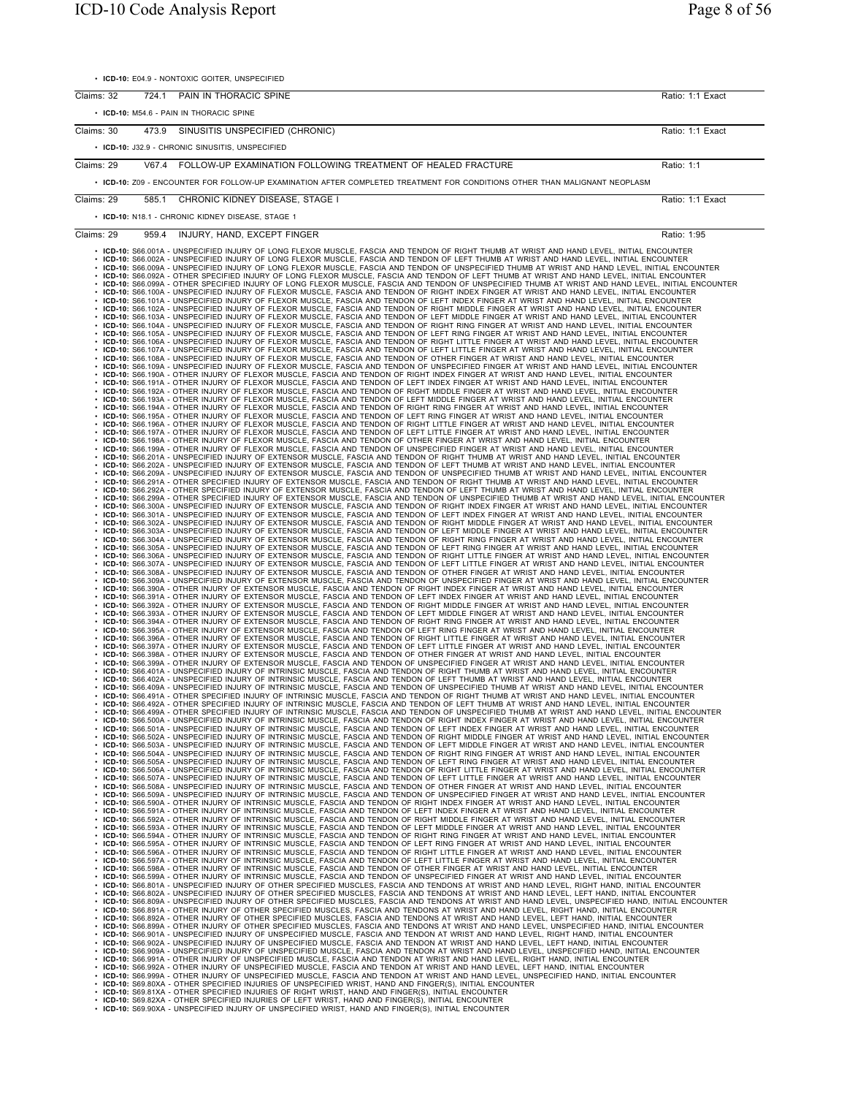• **ICD-10:** E04.9 - NONTOXIC GOITER, UNSPECIFIED

| Claims: 32 |       | 724.1 PAIN IN THORACIC SPINE                                                                                                                                                                                                                                                                                                                                                                                                                                                                                                                                                                                                                                                                                                                                                                                                                                                                                                                                                                                                                                                                                                                                                                                                                                                                                                                                                                                                                                                                                                                                                                                                                                                                                                                                                                                                                                                                                                                                                                                                                                                                                                                                                                                                                                                                                                                                                                                                                                                                                                                                                                                                                                                                                                                                                                                                                                                                                                                                                                                                                                                                                                                                                                                                                                                                                                                                                                                                                                                                                                                                                                                                                                                                                                                                                                                                                                                                                                                                                                                                                                                                                                                                                                                                                                                                                                                                                                                                                                                                                                                                                                                                                                                                                                                                                                                                                                                                                                                                                                                                                                                                                                                                                                                                                                                                                                                                                                                                                                                                                                                                                                                                                                                                                                                                                                                                                                                                                                                                                                                                                                                                                                                                                                                                                                                                                                                                                                                                                                                                                                                                                                                                                                                                                                                                                                                                                                                                                                                                                                                                                                                                                                                                                                                                                                                                                                                                                                                                                                                                                                                                                                                                                                                                                                                                                                                                                                                                                                                                                                                                                                                                                                                                                                                                                                                                                                                                                                                                                                                                                                                                                                                                                                                                                                                                                                                                                                                                                                                                                                                                                                                                                                                                                                                                                                                                                                                                                                                                                                                                                                                                                                                                                                                                                                                                                                                                                                                                                                                                                               | Ratio: 1:1 Exact                |
|------------|-------|--------------------------------------------------------------------------------------------------------------------------------------------------------------------------------------------------------------------------------------------------------------------------------------------------------------------------------------------------------------------------------------------------------------------------------------------------------------------------------------------------------------------------------------------------------------------------------------------------------------------------------------------------------------------------------------------------------------------------------------------------------------------------------------------------------------------------------------------------------------------------------------------------------------------------------------------------------------------------------------------------------------------------------------------------------------------------------------------------------------------------------------------------------------------------------------------------------------------------------------------------------------------------------------------------------------------------------------------------------------------------------------------------------------------------------------------------------------------------------------------------------------------------------------------------------------------------------------------------------------------------------------------------------------------------------------------------------------------------------------------------------------------------------------------------------------------------------------------------------------------------------------------------------------------------------------------------------------------------------------------------------------------------------------------------------------------------------------------------------------------------------------------------------------------------------------------------------------------------------------------------------------------------------------------------------------------------------------------------------------------------------------------------------------------------------------------------------------------------------------------------------------------------------------------------------------------------------------------------------------------------------------------------------------------------------------------------------------------------------------------------------------------------------------------------------------------------------------------------------------------------------------------------------------------------------------------------------------------------------------------------------------------------------------------------------------------------------------------------------------------------------------------------------------------------------------------------------------------------------------------------------------------------------------------------------------------------------------------------------------------------------------------------------------------------------------------------------------------------------------------------------------------------------------------------------------------------------------------------------------------------------------------------------------------------------------------------------------------------------------------------------------------------------------------------------------------------------------------------------------------------------------------------------------------------------------------------------------------------------------------------------------------------------------------------------------------------------------------------------------------------------------------------------------------------------------------------------------------------------------------------------------------------------------------------------------------------------------------------------------------------------------------------------------------------------------------------------------------------------------------------------------------------------------------------------------------------------------------------------------------------------------------------------------------------------------------------------------------------------------------------------------------------------------------------------------------------------------------------------------------------------------------------------------------------------------------------------------------------------------------------------------------------------------------------------------------------------------------------------------------------------------------------------------------------------------------------------------------------------------------------------------------------------------------------------------------------------------------------------------------------------------------------------------------------------------------------------------------------------------------------------------------------------------------------------------------------------------------------------------------------------------------------------------------------------------------------------------------------------------------------------------------------------------------------------------------------------------------------------------------------------------------------------------------------------------------------------------------------------------------------------------------------------------------------------------------------------------------------------------------------------------------------------------------------------------------------------------------------------------------------------------------------------------------------------------------------------------------------------------------------------------------------------------------------------------------------------------------------------------------------------------------------------------------------------------------------------------------------------------------------------------------------------------------------------------------------------------------------------------------------------------------------------------------------------------------------------------------------------------------------------------------------------------------------------------------------------------------------------------------------------------------------------------------------------------------------------------------------------------------------------------------------------------------------------------------------------------------------------------------------------------------------------------------------------------------------------------------------------------------------------------------------------------------------------------------------------------------------------------------------------------------------------------------------------------------------------------------------------------------------------------------------------------------------------------------------------------------------------------------------------------------------------------------------------------------------------------------------------------------------------------------------------------------------------------------------------------------------------------------------------------------------------------------------------------------------------------------------------------------------------------------------------------------------------------------------------------------------------------------------------------------------------------------------------------------------------------------------------------------------------------------------------------------------------------------------------------------------------------------------------------------------------------------------------------------------------------------------------------------------------------------------------------------------------------------------------------------------------------------------------------------------------------------------------------------------------------------------------------------------------------------------------------------------------------------------------------------------------------------------------------------------------------------------------------------------------------------------------------------------------------------------------------------------------------------------------------------------------------------------------------------------------------------------------------------------------------------------------------------------------------------------------------------------------------------------------------------------------------------------------------------------------------------------------------------------------------------------------------------------------------------------------------------------------------------------------------------------------------------------------------------------------------------------------------------------------------------------------------------------------------------------------------------------------------------------------------------------------------------|---------------------------------|
|            |       |                                                                                                                                                                                                                                                                                                                                                                                                                                                                                                                                                                                                                                                                                                                                                                                                                                                                                                                                                                                                                                                                                                                                                                                                                                                                                                                                                                                                                                                                                                                                                                                                                                                                                                                                                                                                                                                                                                                                                                                                                                                                                                                                                                                                                                                                                                                                                                                                                                                                                                                                                                                                                                                                                                                                                                                                                                                                                                                                                                                                                                                                                                                                                                                                                                                                                                                                                                                                                                                                                                                                                                                                                                                                                                                                                                                                                                                                                                                                                                                                                                                                                                                                                                                                                                                                                                                                                                                                                                                                                                                                                                                                                                                                                                                                                                                                                                                                                                                                                                                                                                                                                                                                                                                                                                                                                                                                                                                                                                                                                                                                                                                                                                                                                                                                                                                                                                                                                                                                                                                                                                                                                                                                                                                                                                                                                                                                                                                                                                                                                                                                                                                                                                                                                                                                                                                                                                                                                                                                                                                                                                                                                                                                                                                                                                                                                                                                                                                                                                                                                                                                                                                                                                                                                                                                                                                                                                                                                                                                                                                                                                                                                                                                                                                                                                                                                                                                                                                                                                                                                                                                                                                                                                                                                                                                                                                                                                                                                                                                                                                                                                                                                                                                                                                                                                                                                                                                                                                                                                                                                                                                                                                                                                                                                                                                                                                                                                                                                                                                                                                            |                                 |
|            |       | • ICD-10: M54.6 - PAIN IN THORACIC SPINE                                                                                                                                                                                                                                                                                                                                                                                                                                                                                                                                                                                                                                                                                                                                                                                                                                                                                                                                                                                                                                                                                                                                                                                                                                                                                                                                                                                                                                                                                                                                                                                                                                                                                                                                                                                                                                                                                                                                                                                                                                                                                                                                                                                                                                                                                                                                                                                                                                                                                                                                                                                                                                                                                                                                                                                                                                                                                                                                                                                                                                                                                                                                                                                                                                                                                                                                                                                                                                                                                                                                                                                                                                                                                                                                                                                                                                                                                                                                                                                                                                                                                                                                                                                                                                                                                                                                                                                                                                                                                                                                                                                                                                                                                                                                                                                                                                                                                                                                                                                                                                                                                                                                                                                                                                                                                                                                                                                                                                                                                                                                                                                                                                                                                                                                                                                                                                                                                                                                                                                                                                                                                                                                                                                                                                                                                                                                                                                                                                                                                                                                                                                                                                                                                                                                                                                                                                                                                                                                                                                                                                                                                                                                                                                                                                                                                                                                                                                                                                                                                                                                                                                                                                                                                                                                                                                                                                                                                                                                                                                                                                                                                                                                                                                                                                                                                                                                                                                                                                                                                                                                                                                                                                                                                                                                                                                                                                                                                                                                                                                                                                                                                                                                                                                                                                                                                                                                                                                                                                                                                                                                                                                                                                                                                                                                                                                                                                                                                                                                                   |                                 |
| Claims: 30 |       | 473.9 SINUSITIS UNSPECIFIED (CHRONIC)                                                                                                                                                                                                                                                                                                                                                                                                                                                                                                                                                                                                                                                                                                                                                                                                                                                                                                                                                                                                                                                                                                                                                                                                                                                                                                                                                                                                                                                                                                                                                                                                                                                                                                                                                                                                                                                                                                                                                                                                                                                                                                                                                                                                                                                                                                                                                                                                                                                                                                                                                                                                                                                                                                                                                                                                                                                                                                                                                                                                                                                                                                                                                                                                                                                                                                                                                                                                                                                                                                                                                                                                                                                                                                                                                                                                                                                                                                                                                                                                                                                                                                                                                                                                                                                                                                                                                                                                                                                                                                                                                                                                                                                                                                                                                                                                                                                                                                                                                                                                                                                                                                                                                                                                                                                                                                                                                                                                                                                                                                                                                                                                                                                                                                                                                                                                                                                                                                                                                                                                                                                                                                                                                                                                                                                                                                                                                                                                                                                                                                                                                                                                                                                                                                                                                                                                                                                                                                                                                                                                                                                                                                                                                                                                                                                                                                                                                                                                                                                                                                                                                                                                                                                                                                                                                                                                                                                                                                                                                                                                                                                                                                                                                                                                                                                                                                                                                                                                                                                                                                                                                                                                                                                                                                                                                                                                                                                                                                                                                                                                                                                                                                                                                                                                                                                                                                                                                                                                                                                                                                                                                                                                                                                                                                                                                                                                                                                                                                                                                      | Ratio: 1:1 Exact                |
|            |       | • ICD-10: J32.9 - CHRONIC SINUSITIS, UNSPECIFIED                                                                                                                                                                                                                                                                                                                                                                                                                                                                                                                                                                                                                                                                                                                                                                                                                                                                                                                                                                                                                                                                                                                                                                                                                                                                                                                                                                                                                                                                                                                                                                                                                                                                                                                                                                                                                                                                                                                                                                                                                                                                                                                                                                                                                                                                                                                                                                                                                                                                                                                                                                                                                                                                                                                                                                                                                                                                                                                                                                                                                                                                                                                                                                                                                                                                                                                                                                                                                                                                                                                                                                                                                                                                                                                                                                                                                                                                                                                                                                                                                                                                                                                                                                                                                                                                                                                                                                                                                                                                                                                                                                                                                                                                                                                                                                                                                                                                                                                                                                                                                                                                                                                                                                                                                                                                                                                                                                                                                                                                                                                                                                                                                                                                                                                                                                                                                                                                                                                                                                                                                                                                                                                                                                                                                                                                                                                                                                                                                                                                                                                                                                                                                                                                                                                                                                                                                                                                                                                                                                                                                                                                                                                                                                                                                                                                                                                                                                                                                                                                                                                                                                                                                                                                                                                                                                                                                                                                                                                                                                                                                                                                                                                                                                                                                                                                                                                                                                                                                                                                                                                                                                                                                                                                                                                                                                                                                                                                                                                                                                                                                                                                                                                                                                                                                                                                                                                                                                                                                                                                                                                                                                                                                                                                                                                                                                                                                                                                                                                                           |                                 |
| Claims: 29 |       | V67.4 FOLLOW-UP EXAMINATION FOLLOWING TREATMENT OF HEALED FRACTURE                                                                                                                                                                                                                                                                                                                                                                                                                                                                                                                                                                                                                                                                                                                                                                                                                                                                                                                                                                                                                                                                                                                                                                                                                                                                                                                                                                                                                                                                                                                                                                                                                                                                                                                                                                                                                                                                                                                                                                                                                                                                                                                                                                                                                                                                                                                                                                                                                                                                                                                                                                                                                                                                                                                                                                                                                                                                                                                                                                                                                                                                                                                                                                                                                                                                                                                                                                                                                                                                                                                                                                                                                                                                                                                                                                                                                                                                                                                                                                                                                                                                                                                                                                                                                                                                                                                                                                                                                                                                                                                                                                                                                                                                                                                                                                                                                                                                                                                                                                                                                                                                                                                                                                                                                                                                                                                                                                                                                                                                                                                                                                                                                                                                                                                                                                                                                                                                                                                                                                                                                                                                                                                                                                                                                                                                                                                                                                                                                                                                                                                                                                                                                                                                                                                                                                                                                                                                                                                                                                                                                                                                                                                                                                                                                                                                                                                                                                                                                                                                                                                                                                                                                                                                                                                                                                                                                                                                                                                                                                                                                                                                                                                                                                                                                                                                                                                                                                                                                                                                                                                                                                                                                                                                                                                                                                                                                                                                                                                                                                                                                                                                                                                                                                                                                                                                                                                                                                                                                                                                                                                                                                                                                                                                                                                                                                                                                                                                                                                         | Ratio: 1:1                      |
|            |       | • ICD-10: Z09 - ENCOUNTER FOR FOLLOW-UP EXAMINATION AFTER COMPLETED TREATMENT FOR CONDITIONS OTHER THAN MALIGNANT NEOPLASM                                                                                                                                                                                                                                                                                                                                                                                                                                                                                                                                                                                                                                                                                                                                                                                                                                                                                                                                                                                                                                                                                                                                                                                                                                                                                                                                                                                                                                                                                                                                                                                                                                                                                                                                                                                                                                                                                                                                                                                                                                                                                                                                                                                                                                                                                                                                                                                                                                                                                                                                                                                                                                                                                                                                                                                                                                                                                                                                                                                                                                                                                                                                                                                                                                                                                                                                                                                                                                                                                                                                                                                                                                                                                                                                                                                                                                                                                                                                                                                                                                                                                                                                                                                                                                                                                                                                                                                                                                                                                                                                                                                                                                                                                                                                                                                                                                                                                                                                                                                                                                                                                                                                                                                                                                                                                                                                                                                                                                                                                                                                                                                                                                                                                                                                                                                                                                                                                                                                                                                                                                                                                                                                                                                                                                                                                                                                                                                                                                                                                                                                                                                                                                                                                                                                                                                                                                                                                                                                                                                                                                                                                                                                                                                                                                                                                                                                                                                                                                                                                                                                                                                                                                                                                                                                                                                                                                                                                                                                                                                                                                                                                                                                                                                                                                                                                                                                                                                                                                                                                                                                                                                                                                                                                                                                                                                                                                                                                                                                                                                                                                                                                                                                                                                                                                                                                                                                                                                                                                                                                                                                                                                                                                                                                                                                                                                                                                                                 |                                 |
|            |       |                                                                                                                                                                                                                                                                                                                                                                                                                                                                                                                                                                                                                                                                                                                                                                                                                                                                                                                                                                                                                                                                                                                                                                                                                                                                                                                                                                                                                                                                                                                                                                                                                                                                                                                                                                                                                                                                                                                                                                                                                                                                                                                                                                                                                                                                                                                                                                                                                                                                                                                                                                                                                                                                                                                                                                                                                                                                                                                                                                                                                                                                                                                                                                                                                                                                                                                                                                                                                                                                                                                                                                                                                                                                                                                                                                                                                                                                                                                                                                                                                                                                                                                                                                                                                                                                                                                                                                                                                                                                                                                                                                                                                                                                                                                                                                                                                                                                                                                                                                                                                                                                                                                                                                                                                                                                                                                                                                                                                                                                                                                                                                                                                                                                                                                                                                                                                                                                                                                                                                                                                                                                                                                                                                                                                                                                                                                                                                                                                                                                                                                                                                                                                                                                                                                                                                                                                                                                                                                                                                                                                                                                                                                                                                                                                                                                                                                                                                                                                                                                                                                                                                                                                                                                                                                                                                                                                                                                                                                                                                                                                                                                                                                                                                                                                                                                                                                                                                                                                                                                                                                                                                                                                                                                                                                                                                                                                                                                                                                                                                                                                                                                                                                                                                                                                                                                                                                                                                                                                                                                                                                                                                                                                                                                                                                                                                                                                                                                                                                                                                                            |                                 |
|            |       |                                                                                                                                                                                                                                                                                                                                                                                                                                                                                                                                                                                                                                                                                                                                                                                                                                                                                                                                                                                                                                                                                                                                                                                                                                                                                                                                                                                                                                                                                                                                                                                                                                                                                                                                                                                                                                                                                                                                                                                                                                                                                                                                                                                                                                                                                                                                                                                                                                                                                                                                                                                                                                                                                                                                                                                                                                                                                                                                                                                                                                                                                                                                                                                                                                                                                                                                                                                                                                                                                                                                                                                                                                                                                                                                                                                                                                                                                                                                                                                                                                                                                                                                                                                                                                                                                                                                                                                                                                                                                                                                                                                                                                                                                                                                                                                                                                                                                                                                                                                                                                                                                                                                                                                                                                                                                                                                                                                                                                                                                                                                                                                                                                                                                                                                                                                                                                                                                                                                                                                                                                                                                                                                                                                                                                                                                                                                                                                                                                                                                                                                                                                                                                                                                                                                                                                                                                                                                                                                                                                                                                                                                                                                                                                                                                                                                                                                                                                                                                                                                                                                                                                                                                                                                                                                                                                                                                                                                                                                                                                                                                                                                                                                                                                                                                                                                                                                                                                                                                                                                                                                                                                                                                                                                                                                                                                                                                                                                                                                                                                                                                                                                                                                                                                                                                                                                                                                                                                                                                                                                                                                                                                                                                                                                                                                                                                                                                                                                                                                                                                            |                                 |
|            |       |                                                                                                                                                                                                                                                                                                                                                                                                                                                                                                                                                                                                                                                                                                                                                                                                                                                                                                                                                                                                                                                                                                                                                                                                                                                                                                                                                                                                                                                                                                                                                                                                                                                                                                                                                                                                                                                                                                                                                                                                                                                                                                                                                                                                                                                                                                                                                                                                                                                                                                                                                                                                                                                                                                                                                                                                                                                                                                                                                                                                                                                                                                                                                                                                                                                                                                                                                                                                                                                                                                                                                                                                                                                                                                                                                                                                                                                                                                                                                                                                                                                                                                                                                                                                                                                                                                                                                                                                                                                                                                                                                                                                                                                                                                                                                                                                                                                                                                                                                                                                                                                                                                                                                                                                                                                                                                                                                                                                                                                                                                                                                                                                                                                                                                                                                                                                                                                                                                                                                                                                                                                                                                                                                                                                                                                                                                                                                                                                                                                                                                                                                                                                                                                                                                                                                                                                                                                                                                                                                                                                                                                                                                                                                                                                                                                                                                                                                                                                                                                                                                                                                                                                                                                                                                                                                                                                                                                                                                                                                                                                                                                                                                                                                                                                                                                                                                                                                                                                                                                                                                                                                                                                                                                                                                                                                                                                                                                                                                                                                                                                                                                                                                                                                                                                                                                                                                                                                                                                                                                                                                                                                                                                                                                                                                                                                                                                                                                                                                                                                                                            |                                 |
| Claims: 29 |       |                                                                                                                                                                                                                                                                                                                                                                                                                                                                                                                                                                                                                                                                                                                                                                                                                                                                                                                                                                                                                                                                                                                                                                                                                                                                                                                                                                                                                                                                                                                                                                                                                                                                                                                                                                                                                                                                                                                                                                                                                                                                                                                                                                                                                                                                                                                                                                                                                                                                                                                                                                                                                                                                                                                                                                                                                                                                                                                                                                                                                                                                                                                                                                                                                                                                                                                                                                                                                                                                                                                                                                                                                                                                                                                                                                                                                                                                                                                                                                                                                                                                                                                                                                                                                                                                                                                                                                                                                                                                                                                                                                                                                                                                                                                                                                                                                                                                                                                                                                                                                                                                                                                                                                                                                                                                                                                                                                                                                                                                                                                                                                                                                                                                                                                                                                                                                                                                                                                                                                                                                                                                                                                                                                                                                                                                                                                                                                                                                                                                                                                                                                                                                                                                                                                                                                                                                                                                                                                                                                                                                                                                                                                                                                                                                                                                                                                                                                                                                                                                                                                                                                                                                                                                                                                                                                                                                                                                                                                                                                                                                                                                                                                                                                                                                                                                                                                                                                                                                                                                                                                                                                                                                                                                                                                                                                                                                                                                                                                                                                                                                                                                                                                                                                                                                                                                                                                                                                                                                                                                                                                                                                                                                                                                                                                                                                                                                                                                                                                                                                                            |                                 |
| Claims: 29 | 959.4 | 585.1 CHRONIC KIDNEY DISEASE, STAGE I<br>• ICD-10: N18.1 - CHRONIC KIDNEY DISEASE, STAGE 1<br>INJURY, HAND, EXCEPT FINGER<br>. ICD-10: S66.001A - UNSPECIFIED INJURY OF LONG FLEXOR MUSCLE, FASCIA AND TENDON OF RIGHT THUMB AT WRIST AND HAND LEVEL, INITIAL ENCOUNTER<br>· ICD-10: S66.002A - UNSPECIFIED INJURY OF LONG FLEXOR MUSCLE, FASCIA AND TENDON OF LEFT THUMB AT WRIST AND HAND LEVEL, INITIAL ENCOUNTER<br>ICD-10: S66.009A - UNSPECIFIED INJURY OF LONG FLEXOR MUSCLE, FASCIA AND TENDON OF UNSPECIFIED THUMB AT WRIST AND HAND LEVEL, INITIAL ENCOUNTER<br>· ICD-10: S66.092A - OTHER SPECIFIED INJURY OF LONG FLEXOR MUSCLE, FASCIA AND TENDON OF LEFT THUMB AT WRIST AND HAND LEVEL, INITIAL ENCOUNTER<br>· ICD-10: S66.099A - OTHER SPECIFIED INJURY OF LONG FLEXOR MUSCLE, FASCIA AND TENDON OF UNSPECIFIED THUMB AT WRIST AND HAND LEVEL, INITIAL ENCOUNTER<br>· ICD-10: S66.100A - UNSPECIFIED INJURY OF FLEXOR MUSCLE, FASCIA AND TENDON OF RIGHT INDEX FINGER AT WRIST AND HAND LEVEL, INITIAL ENCOUNTER<br>· ICD-10: S66.101A - UNSPECIFIED INJURY OF FLEXOR MUSCLE, FASCIA AND TENDON OF LEFT INDEX FINGER AT WRIST AND HAND LEVEL, INITIAL ENCOUNTER<br>• ICD-10: S66.102A - UNSPECIFIED INJURY OF FLEXOR MUSCLE, FASCIA AND TENDON OF RIGHT MIDDLE FINGER AT WRIST AND HAND LEVEL, INITIAL ENCOUNTER<br>• ICD-10: S66.103A - UNSPECIFIED INJURY OF FLEXOR MUSCLE, FASCIA AND TENDON OF<br>ICD-10: S66.104A - UNSPECIFIED INJURY OF FLEXOR MUSCLE, FASCIA AND TENDON OF RIGHT RING FINGER AT WRIST AND HAND LEVEL, INITIAL ENCOUNTER<br>ICD-10: S66.105A - UNSPECIFIED INJURY OF FLEXOR MUSCLE, FASCIA AND TENDON OF LEFT RING FINGER AT WRIST AND HAND LEVEL, INITIAL ENCOUNTER<br>ICD-10: S66.106A - UNSPECIFIED INJURY OF FLEXOR MUSCLE, FASCIA AND TENDON OF RIGHT LITTLE FINGER AT WRIST AND HAND LEVEL, INITIAL ENCOUNTER<br>ICD-10: S66.107A - UNSPECIFIED INJURY OF FLEXOR MUSCLE, FASCIA AND TENDON OF LEFT LITTLE FINGER AT WRIST AND HAND LEVEL, INITIAL ENCOUNTER<br>ICD-10: S66.108A - UNSPECIFIED INJURY OF FLEXOR MUSCLE, FASCIA AND TENDON OF OTHER FINGER AT WRIST AND HAND LEVEL, INITIAL ENCOUNTER<br>ICD-10: S66.109A - UNSPECIFIED INJURY OF FLEXOR MUSCLE, FASCIA AND TENDON OF UNSPECIFIED FINGER AT WRIST AND HAND LEVEL, INITIAL ENCOUNTER<br>ICD-10: S66.190A - OTHER INJURY OF FLEXOR MUSCLE, FASCIA AND TENDON OF RIGHT INDEX FINGER AT WRIST AND HAND LEVEL, INITIAL ENCOUNTER<br>ICD-10: S66.191A - OTHER INJURY OF FLEXOR MUSCLE, FASCIA AND TENDON OF LEFT INDEX FINGER<br>ICD-10: S66.192A - OTHER INJURY OF FLEXOR MUSCLE, FASCIA AND TENDON OF RIGHT MIDDLE FINGER AT WRIST AND HAND LEVEL, INITIAL ENCOUNTER<br>ICD-10: S66.193A - OTHER INJURY OF FLEXOR MUSCLE, FASCIA AND TENDON OF LEFT MIDDLE FINGER AT WRIST AND HAND LEVEL, INITIAL ENCOUNTER<br>ICD-10: S66.194A - OTHER INJURY OF FLEXOR MUSCLE, FASCIA AND TENDON OF RIGHT RING FINGER AT WRIST AND HAND LEVEL, INITIAL ENCOUNTER<br>ICD-10: S66.195A - OTHER INJURY OF FLEXOR MUSCLE, FASCIA AND TENDON OF LEFT RING FINGER AT WRIST AND HAND LEVEL, INITIAL ENCOUNTER<br>ICD-10: S66.196A - OTHER INJURY OF FLEXOR MUSCLE, FASCIA AND TENDON OF RIGHT LITTLE FINGER AT WRIST AND HAND LEVEL, INITIAL ENCOUNTER<br>ICD-10: S66.197A - OTHER INJURY OF FLEXOR MUSCLE, FASCIA AND TENDON OF LEFT LITTLE FINGER AT WRIST AND HAND LEVEL, INITIAL ENCOUNTER<br>ICD-10: S66.198A - OTHER INJURY OF FLEXOR MUSCLE, FASCIA AND TENDON OF OTHER FINGER AT WR<br>ICD-10: S66.199A - OTHER INJURY OF FLEXOR MUSCLE, FASCIA AND TENDON OF UNSPECIFIED FINGER AT WRIST AND HAND LEVEL, INITIAL ENCOUNTER<br>ICD-10: S66.201A - UNSPECIFIED INJURY OF EXTENSOR MUSCLE, FASCIA AND TENDON OF RIGHT THUMB AT WRIST AND HAND LEVEL, INITIAL ENCOUNTER<br>ICD-10: S66.202A - UNSPECIFIED INJURY OF EXTENSOR MUSCLE, FASCIA AND TENDON OF LEFT THUMB AT WRIST AND HAND LEVEL, INITIAL ENCOUNTER<br>ICD-10: S66.209A - UNSPECIFIED INJURY OF EXTENSOR MUSCLE, FASCIA AND TENDON OF UNSPECIFIED THUMB AT WRIST AND HAND LEVEL, INITIAL ENCOUNTER<br>ICD-10: S66.291A - OTHER SPECIFIED INJURY OF EXTENSOR MUSCLE, FASCIA AND TENDON OF RIGHT THUMB AT WRIST AND HAND LEVEL, INITIAL ENCOUNTER<br>ICD-10: S66.292A - OTHER SPECIFIED INJURY OF EXTENSOR MUSCLE, FASCIA AND TENDON OF LEFT THUMB AT WRIST AND HAND LEVEL, INITIAL ENCOUNTER<br>ICD-10: S66.299A - OTHER SPECIFIED INJURY OF EXTENSOR MUSCLE, FASCIA AND TENDON OF UNSPECIFIED THUMB AT WRIST AND HAND LEVEL, INITIAL ENCOUNTER<br>ICD-10: S66.300A - UNSPECIFIED INJURY OF EXTENSOR MUSCLE, FASCIA AND TENDON OF RIGHT INDEX FINGER AT WRIST AND HAND LEVEL, INITIAL ENCOUNTER<br>ICD-10: S66.301A - UNSPECIFIED INJURY OF EXTENSOR MUSCLE, FASCIA AND TENDON OF LEFT INDEX FINGER AT WRIST AND HAND LEVEL, INITIAL ENCOUNTER<br>ICD-10: S66.302A - UNSPECIFIED INJURY OF EXTENSOR MUSCLE, FASCIA AND TENDON OF RIGHT MIDDLE FINGER AT WRIST AND HAND LEVEL, INITIAL ENCOUNTER<br>ICD-10: S66.303A - UNSPECIFIED INJURY OF EXTENSOR MUSCLE, FASCIA AND TENDON OF LEFT MIDDLE FINGER AT WRIST AND HAND LEVEL, INITIAL ENCOUNTER<br>ICD-10: S66.304A - UNSPECIFIED INJURY OF EXTENSOR MUSCLE, FASCIA AND TENDON OF RIGHT RING FINGER AT WRIST AND HAND LEVEL, INITIAL ENCOUNTER<br>ICD-10: S66.305A - UNSPECIFIED INJURY OF EXTENSOR MUSCLE, FASCIA AND TENDON OF LEFT RING FINGER AT WRIST AND HAND LEVEL, INITIAL ENCOUNTER<br>ICD-10: S66.306A - UNSPECIFIED INJURY OF EXTENSOR MUSCLE, FASCIA AND TENDON OF RIGHT LITTLE FINGER AT WRIST AND HAND LEVEL, INITIAL ENCOUNTER<br>ICD-10: S66.307A - UNSPECIFIED INJURY OF EXTENSOR MUSCLE, FASCIA AND TENDON OF LEFT LITTLE FINGER AT WRIST AND HAND LEVEL, INITIAL ENCOUNTER<br>ICD-10: S66.308A - UNSPECIFIED INJURY OF EXTENSOR MUSCLE, FASCIA AND TENDON OF OTHER FINGER AT WRIST AND HAND LEVEL, INITIAL ENCOUNTER<br>ICD-10: S66.309A - UNSPECIFIED INJURY OF EXTENSOR MUSCLE, FASCIA AND TENDON OF UNSPECIFIED FINGER AT WRIST AND HAND LEVEL, INITIAL ENCOUNTER<br>ICD-10: S66.390A - OTHER INJURY OF EXTENSOR MUSCLE, FASCIA AND TENDON OF RIGHT INDEX FINGER AT WRIST AND HAND LEVEL, INITIAL ENCOUNTER<br>ICD-10: S66.391A - OTHER INJURY OF EXTENSOR MUSCLE, FASCIA AND TENDON OF LEFT INDEX FINGER AT WRIST AND HAND LEVEL, INITIAL ENCOUNTER<br>ICD-10: S66.392A - OTHER INJURY OF EXTENSOR MUSCLE, FASCIA AND TENDON OF RIGHT MIDDLE FINGER AT WRIST AND HAND LEVEL, INITIAL ENCOUNTER<br>ICD-10: S66.393A - OTHER INJURY OF EXTENSOR MUSCLE, FASCIA AND TENDON OF LEFT MIDDLE FINGER AT WRIST AND HAND LEVEL, INITIAL ENCOUNTER<br>ICD-10: S66.394A - OTHER INJURY OF EXTENSOR MUSCLE, FASCIA AND TENDON OF RIGHT RING FINGER AT WRIST AND HAND LEVEL, INITIAL ENCOUNTER<br>. ICD-10: S66.395A - OTHER INJURY OF EXTENSOR MUSCLE, FASCIA AND TENDON OF LEFT RING FINGER AT WRIST AND HAND LEVEL, INITIAL ENCOUNTER<br>. ICD-10: S66.396A - OTHER INJURY OF EXTENSOR MUSCLE, FASCIA AND TENDON OF RIGHT LITTLE FINGER AT WRIST AND HAND LEVEL, INITIAL ENCOUNTER<br>. ICD-10: S66.397A - OTHER INJURY OF EXTENSOR MUSCLE, FASCIA AND TENDON OF LEFT LITTLE FINGER AT WRIST AND HAND LEVEL, INITIAL ENCOUNTER<br>. ICD-10: S66.398A - OTHER INJURY OF EXTENSOR MUSCLE, FASCIA AND TENDON OF OTHER FINGER AT WRIST AND HAND LEVEL, INITIAL ENCOUNTER<br>. ICD-10: S66.399A - OTHER INJURY OF EXTENSOR MUSCLE, FASCIA AND TENDON OF UNSPECIFIED FINGER AT WRIST AND HAND LEVEL, INITIAL ENCOUNTER<br>· ICD-10: S66.401A - UNSPECIFIED INJURY OF INTRINSIC MUSCLE, FASCIA AND TENDON OF RIGHT THUMB AT WRIST AND HAND LEVEL, INITIAL ENCOUNTER<br>ICD-10: S66.402A - UNSPECIFIED INJURY OF INTRINSIC MUSCLE, FASCIA AND TENDON OF LEFT THUMB AT WRIST AND HAND LEVEL, INITIAL ENCOUNTER<br>· ICD-10: S66.409A - UNSPECIFIED INJURY OF INTRINSIC MUSCLE, FASCIA AND TENDON OF UNSPECIFIED THUMB AT WRIST AND HAND LEVEL, INITIAL ENCOUNTER<br>ICD-10: S66.491A - OTHER SPECIFIED INJURY OF INTRINSIC MUSCLE, FASCIA AND TENDON OF RIGHT THUMB AT WRIST AND HAND LEVEL, INITIAL ENCOUNTER<br>ICD-10: S66.492A - OTHER SPECIFIED INJURY OF INTRINSIC MUSCLE. FASCIA AND TENDON OF LEFT THUMB AT WRIST AND HAND LEVEL. INITIAL ENCOUNTER<br>. ICD-10: S66.499A - OTHER SPECIFIED INJURY OF INTRINSIC MUSCLE, FASCIA AND TENDON OF UNSPECIFIED THUMB AT WRIST AND HAND LEVEL, INITIAL ENCOUNTER<br>· ICD-10: S66.500A - UNSPECIFIED INJURY OF INTRINSIC MUSCLE, FASCIA AND TENDON OF RIGHT INDEX FINGER AT WRIST AND HAND LEVEL, INITIAL ENCOUNTER<br>· ICD-10: S66.501A - UNSPECIFIED INJURY OF INTRINSIC MUSCLE, FASCIA AND TENDON OF LEFT INDEX FINGER AT WRIST AND HAND LEVEL, INITIAL ENCOUNTER<br>· ICD-10: S66.502A - UNSPECIFIED INJURY OF INTRINSIC MUSCLE, FASCIA AND TENDON OF RIGHT MIDDLE FINGER AT WRIST AND HAND LEVEL, INITIAL ENCOUNTER<br>. ICD-10: S66.503A - UNSPECIFIED INJURY OF INTRINSIC MUSCLE, FASCIA AND TENDON OF LEFT MIDDLE FINGER AT WRIST AND HAND LEVEL, INITIAL ENCOUNTER<br>. ICD-10: S66.504A - UNSPECIFIED INJURY OF INTRINSIC MUSCLE, FASCIA AND TENDON OF RIGHT RING FINGER AT WRIST AND HAND LEVEL, INITIAL ENCOUNTER<br>· ICD-10: S66.505A - UNSPECIFIED INJURY OF INTRINSIC MUSCLE, FASCIA AND TENDON OF LEFT RING FINGER AT WRIST AND HAND LEVEL, INITIAL ENCOUNTER<br>· ICD-10: S66.506A - UNSPECIFIED INJURY OF INTRINSIC MUSCLE, FASCIA AND TENDON OF RIGHT LITTLE FINGER AT WRIST AND HAND LEVEL, INITIAL ENCOUNTER<br>. ICD-10: S66.507A - UNSPECIFIED INJURY OF INTRINSIC MUSCLE, FASCIA AND TENDON OF LEFT LITTLE FINGER AT WRIST AND HAND LEVEL, INITIAL ENCOUNTER<br>. ICD-10: S66.508A - UNSPECIFIED INJURY OF INTRINSIC MUSCLE, FASCIA AND TENDON OF OTHER FINGER AT WRIST AND HAND LEVEL, INITIAL ENCOUNTER<br>· ICD-10: S66.509A - UNSPECIFIED INJURY OF INTRINSIC MUSCLE, FASCIA AND TENDON OF UNSPECIFIED FINGER AT WRIST AND HAND LEVEL, INITIAL ENCOUNTER<br>· ICD-10: S66.590A - OTHER INJURY OF INTRINSIC MUSCLE, FASCIA AND TENDON OF RIGHT INDEX FINGER AT WRIST AND HAND LEVEL, INITIAL ENCOUNTER | Ratio: 1:1 Exact<br>Ratio: 1:95 |
|            |       | · ICD-10: S66.591A - OTHER INJURY OF INTRINSIC MUSCLE, FASCIA AND TENDON OF LEFT INDEX FINGER AT WRIST AND HAND LEVEL, INITIAL ENCOUNTER                                                                                                                                                                                                                                                                                                                                                                                                                                                                                                                                                                                                                                                                                                                                                                                                                                                                                                                                                                                                                                                                                                                                                                                                                                                                                                                                                                                                                                                                                                                                                                                                                                                                                                                                                                                                                                                                                                                                                                                                                                                                                                                                                                                                                                                                                                                                                                                                                                                                                                                                                                                                                                                                                                                                                                                                                                                                                                                                                                                                                                                                                                                                                                                                                                                                                                                                                                                                                                                                                                                                                                                                                                                                                                                                                                                                                                                                                                                                                                                                                                                                                                                                                                                                                                                                                                                                                                                                                                                                                                                                                                                                                                                                                                                                                                                                                                                                                                                                                                                                                                                                                                                                                                                                                                                                                                                                                                                                                                                                                                                                                                                                                                                                                                                                                                                                                                                                                                                                                                                                                                                                                                                                                                                                                                                                                                                                                                                                                                                                                                                                                                                                                                                                                                                                                                                                                                                                                                                                                                                                                                                                                                                                                                                                                                                                                                                                                                                                                                                                                                                                                                                                                                                                                                                                                                                                                                                                                                                                                                                                                                                                                                                                                                                                                                                                                                                                                                                                                                                                                                                                                                                                                                                                                                                                                                                                                                                                                                                                                                                                                                                                                                                                                                                                                                                                                                                                                                                                                                                                                                                                                                                                                                                                                                                                                                                                                                                   |                                 |
|            |       | . ICD-10: S66.592A - OTHER INJURY OF INTRINSIC MUSCLE, FASCIA AND TENDON OF RIGHT MIDDLE FINGER AT WRIST AND HAND LEVEL, INITIAL ENCOUNTER<br>. ICD-10: S66.593A - OTHER INJURY OF INTRINSIC MUSCLE, FASCIA AND TENDON OF LEFT MIDDLE FINGER AT WRIST AND HAND LEVEL, INITIAL ENCOUNTER                                                                                                                                                                                                                                                                                                                                                                                                                                                                                                                                                                                                                                                                                                                                                                                                                                                                                                                                                                                                                                                                                                                                                                                                                                                                                                                                                                                                                                                                                                                                                                                                                                                                                                                                                                                                                                                                                                                                                                                                                                                                                                                                                                                                                                                                                                                                                                                                                                                                                                                                                                                                                                                                                                                                                                                                                                                                                                                                                                                                                                                                                                                                                                                                                                                                                                                                                                                                                                                                                                                                                                                                                                                                                                                                                                                                                                                                                                                                                                                                                                                                                                                                                                                                                                                                                                                                                                                                                                                                                                                                                                                                                                                                                                                                                                                                                                                                                                                                                                                                                                                                                                                                                                                                                                                                                                                                                                                                                                                                                                                                                                                                                                                                                                                                                                                                                                                                                                                                                                                                                                                                                                                                                                                                                                                                                                                                                                                                                                                                                                                                                                                                                                                                                                                                                                                                                                                                                                                                                                                                                                                                                                                                                                                                                                                                                                                                                                                                                                                                                                                                                                                                                                                                                                                                                                                                                                                                                                                                                                                                                                                                                                                                                                                                                                                                                                                                                                                                                                                                                                                                                                                                                                                                                                                                                                                                                                                                                                                                                                                                                                                                                                                                                                                                                                                                                                                                                                                                                                                                                                                                                                                                                                                                                                    |                                 |
|            |       | . ICD-10: S66.594A - OTHER INJURY OF INTRINSIC MUSCLE, FASCIA AND TENDON OF RIGHT RING FINGER AT WRIST AND HAND LEVEL, INITIAL ENCOUNTER<br>· ICD-10: S66.595A - OTHER INJURY OF INTRINSIC MUSCLE, FASCIA AND TENDON OF LEFT RING FINGER AT WRIST AND HAND LEVEL, INITIAL ENCOUNTER                                                                                                                                                                                                                                                                                                                                                                                                                                                                                                                                                                                                                                                                                                                                                                                                                                                                                                                                                                                                                                                                                                                                                                                                                                                                                                                                                                                                                                                                                                                                                                                                                                                                                                                                                                                                                                                                                                                                                                                                                                                                                                                                                                                                                                                                                                                                                                                                                                                                                                                                                                                                                                                                                                                                                                                                                                                                                                                                                                                                                                                                                                                                                                                                                                                                                                                                                                                                                                                                                                                                                                                                                                                                                                                                                                                                                                                                                                                                                                                                                                                                                                                                                                                                                                                                                                                                                                                                                                                                                                                                                                                                                                                                                                                                                                                                                                                                                                                                                                                                                                                                                                                                                                                                                                                                                                                                                                                                                                                                                                                                                                                                                                                                                                                                                                                                                                                                                                                                                                                                                                                                                                                                                                                                                                                                                                                                                                                                                                                                                                                                                                                                                                                                                                                                                                                                                                                                                                                                                                                                                                                                                                                                                                                                                                                                                                                                                                                                                                                                                                                                                                                                                                                                                                                                                                                                                                                                                                                                                                                                                                                                                                                                                                                                                                                                                                                                                                                                                                                                                                                                                                                                                                                                                                                                                                                                                                                                                                                                                                                                                                                                                                                                                                                                                                                                                                                                                                                                                                                                                                                                                                                                                                                                                                        |                                 |
|            |       | · ICD-10: S66.596A - OTHER INJURY OF INTRINSIC MUSCLE, FASCIA AND TENDON OF RIGHT LITTLE FINGER AT WRIST AND HAND LEVEL, INITIAL ENCOUNTER<br>· ICD-10: S66.597A - OTHER INJURY OF INTRINSIC MUSCLE, FASCIA AND TENDON OF LEFT LITTLE FINGER AT WRIST AND HAND LEVEL, INITIAL ENCOUNTER                                                                                                                                                                                                                                                                                                                                                                                                                                                                                                                                                                                                                                                                                                                                                                                                                                                                                                                                                                                                                                                                                                                                                                                                                                                                                                                                                                                                                                                                                                                                                                                                                                                                                                                                                                                                                                                                                                                                                                                                                                                                                                                                                                                                                                                                                                                                                                                                                                                                                                                                                                                                                                                                                                                                                                                                                                                                                                                                                                                                                                                                                                                                                                                                                                                                                                                                                                                                                                                                                                                                                                                                                                                                                                                                                                                                                                                                                                                                                                                                                                                                                                                                                                                                                                                                                                                                                                                                                                                                                                                                                                                                                                                                                                                                                                                                                                                                                                                                                                                                                                                                                                                                                                                                                                                                                                                                                                                                                                                                                                                                                                                                                                                                                                                                                                                                                                                                                                                                                                                                                                                                                                                                                                                                                                                                                                                                                                                                                                                                                                                                                                                                                                                                                                                                                                                                                                                                                                                                                                                                                                                                                                                                                                                                                                                                                                                                                                                                                                                                                                                                                                                                                                                                                                                                                                                                                                                                                                                                                                                                                                                                                                                                                                                                                                                                                                                                                                                                                                                                                                                                                                                                                                                                                                                                                                                                                                                                                                                                                                                                                                                                                                                                                                                                                                                                                                                                                                                                                                                                                                                                                                                                                                                                                                    |                                 |
|            |       | . ICD-10: S66.598A - OTHER INJURY OF INTRINSIC MUSCLE, FASCIA AND TENDON OF OTHER FINGER AT WRIST AND HAND LEVEL, INITIAL ENCOUNTER<br>. ICD-10: S66.599A - OTHER INJURY OF INTRINSIC MUSCLE, FASCIA AND TENDON OF UNSPECIFIED FINGER AT WRIST AND HAND LEVEL, INITIAL ENCOUNTER                                                                                                                                                                                                                                                                                                                                                                                                                                                                                                                                                                                                                                                                                                                                                                                                                                                                                                                                                                                                                                                                                                                                                                                                                                                                                                                                                                                                                                                                                                                                                                                                                                                                                                                                                                                                                                                                                                                                                                                                                                                                                                                                                                                                                                                                                                                                                                                                                                                                                                                                                                                                                                                                                                                                                                                                                                                                                                                                                                                                                                                                                                                                                                                                                                                                                                                                                                                                                                                                                                                                                                                                                                                                                                                                                                                                                                                                                                                                                                                                                                                                                                                                                                                                                                                                                                                                                                                                                                                                                                                                                                                                                                                                                                                                                                                                                                                                                                                                                                                                                                                                                                                                                                                                                                                                                                                                                                                                                                                                                                                                                                                                                                                                                                                                                                                                                                                                                                                                                                                                                                                                                                                                                                                                                                                                                                                                                                                                                                                                                                                                                                                                                                                                                                                                                                                                                                                                                                                                                                                                                                                                                                                                                                                                                                                                                                                                                                                                                                                                                                                                                                                                                                                                                                                                                                                                                                                                                                                                                                                                                                                                                                                                                                                                                                                                                                                                                                                                                                                                                                                                                                                                                                                                                                                                                                                                                                                                                                                                                                                                                                                                                                                                                                                                                                                                                                                                                                                                                                                                                                                                                                                                                                                                                                           |                                 |
|            |       | . ICD-10: S66.801A - UNSPECIFIED INJURY OF OTHER SPECIFIED MUSCLES, FASCIA AND TENDONS AT WRIST AND HAND LEVEL, RIGHT HAND, INITIAL ENCOUNTER                                                                                                                                                                                                                                                                                                                                                                                                                                                                                                                                                                                                                                                                                                                                                                                                                                                                                                                                                                                                                                                                                                                                                                                                                                                                                                                                                                                                                                                                                                                                                                                                                                                                                                                                                                                                                                                                                                                                                                                                                                                                                                                                                                                                                                                                                                                                                                                                                                                                                                                                                                                                                                                                                                                                                                                                                                                                                                                                                                                                                                                                                                                                                                                                                                                                                                                                                                                                                                                                                                                                                                                                                                                                                                                                                                                                                                                                                                                                                                                                                                                                                                                                                                                                                                                                                                                                                                                                                                                                                                                                                                                                                                                                                                                                                                                                                                                                                                                                                                                                                                                                                                                                                                                                                                                                                                                                                                                                                                                                                                                                                                                                                                                                                                                                                                                                                                                                                                                                                                                                                                                                                                                                                                                                                                                                                                                                                                                                                                                                                                                                                                                                                                                                                                                                                                                                                                                                                                                                                                                                                                                                                                                                                                                                                                                                                                                                                                                                                                                                                                                                                                                                                                                                                                                                                                                                                                                                                                                                                                                                                                                                                                                                                                                                                                                                                                                                                                                                                                                                                                                                                                                                                                                                                                                                                                                                                                                                                                                                                                                                                                                                                                                                                                                                                                                                                                                                                                                                                                                                                                                                                                                                                                                                                                                                                                                                                                              |                                 |
|            |       | . ICD-10: S66.802A - UNSPECIFIED INJURY OF OTHER SPECIFIED MUSCLES, FASCIA AND TENDONS AT WRIST AND HAND LEVEL, LEFT HAND, INITIAL ENCOUNTER<br>. ICD-10: S66.809A - UNSPECIFIED INJURY OF OTHER SPECIFIED MUSCLES, FASCIA AND TENDONS AT WRIST AND HAND LEVEL, UNSPECIFIED HAND, INITIAL ENCOUNTER                                                                                                                                                                                                                                                                                                                                                                                                                                                                                                                                                                                                                                                                                                                                                                                                                                                                                                                                                                                                                                                                                                                                                                                                                                                                                                                                                                                                                                                                                                                                                                                                                                                                                                                                                                                                                                                                                                                                                                                                                                                                                                                                                                                                                                                                                                                                                                                                                                                                                                                                                                                                                                                                                                                                                                                                                                                                                                                                                                                                                                                                                                                                                                                                                                                                                                                                                                                                                                                                                                                                                                                                                                                                                                                                                                                                                                                                                                                                                                                                                                                                                                                                                                                                                                                                                                                                                                                                                                                                                                                                                                                                                                                                                                                                                                                                                                                                                                                                                                                                                                                                                                                                                                                                                                                                                                                                                                                                                                                                                                                                                                                                                                                                                                                                                                                                                                                                                                                                                                                                                                                                                                                                                                                                                                                                                                                                                                                                                                                                                                                                                                                                                                                                                                                                                                                                                                                                                                                                                                                                                                                                                                                                                                                                                                                                                                                                                                                                                                                                                                                                                                                                                                                                                                                                                                                                                                                                                                                                                                                                                                                                                                                                                                                                                                                                                                                                                                                                                                                                                                                                                                                                                                                                                                                                                                                                                                                                                                                                                                                                                                                                                                                                                                                                                                                                                                                                                                                                                                                                                                                                                                                                                                                                                        |                                 |
|            |       | . ICD-10: S66.891A - OTHER INJURY OF OTHER SPECIFIED MUSCLES, FASCIA AND TENDONS AT WRIST AND HAND LEVEL, RIGHT HAND, INITIAL ENCOUNTER<br>. ICD-10: S66.892A - OTHER INJURY OF OTHER SPECIFIED MUSCLES, FASCIA AND TENDONS AT WRIST AND HAND LEVEL, LEFT HAND, INITIAL ENCOUNTER                                                                                                                                                                                                                                                                                                                                                                                                                                                                                                                                                                                                                                                                                                                                                                                                                                                                                                                                                                                                                                                                                                                                                                                                                                                                                                                                                                                                                                                                                                                                                                                                                                                                                                                                                                                                                                                                                                                                                                                                                                                                                                                                                                                                                                                                                                                                                                                                                                                                                                                                                                                                                                                                                                                                                                                                                                                                                                                                                                                                                                                                                                                                                                                                                                                                                                                                                                                                                                                                                                                                                                                                                                                                                                                                                                                                                                                                                                                                                                                                                                                                                                                                                                                                                                                                                                                                                                                                                                                                                                                                                                                                                                                                                                                                                                                                                                                                                                                                                                                                                                                                                                                                                                                                                                                                                                                                                                                                                                                                                                                                                                                                                                                                                                                                                                                                                                                                                                                                                                                                                                                                                                                                                                                                                                                                                                                                                                                                                                                                                                                                                                                                                                                                                                                                                                                                                                                                                                                                                                                                                                                                                                                                                                                                                                                                                                                                                                                                                                                                                                                                                                                                                                                                                                                                                                                                                                                                                                                                                                                                                                                                                                                                                                                                                                                                                                                                                                                                                                                                                                                                                                                                                                                                                                                                                                                                                                                                                                                                                                                                                                                                                                                                                                                                                                                                                                                                                                                                                                                                                                                                                                                                                                                                                                          |                                 |
|            |       | . ICD-10: S66.899A - OTHER INJURY OF OTHER SPECIFIED MUSCLES, FASCIA AND TENDONS AT WRIST AND HAND LEVEL, UNSPECIFIED HAND, INITIAL ENCOUNTER<br>. ICD-10: S66.901A - UNSPECIFIED INJURY OF UNSPECIFIED MUSCLE, FASCIA AND TENDON AT WRIST AND HAND LEVEL, RIGHT HAND, INITIAL ENCOUNTER                                                                                                                                                                                                                                                                                                                                                                                                                                                                                                                                                                                                                                                                                                                                                                                                                                                                                                                                                                                                                                                                                                                                                                                                                                                                                                                                                                                                                                                                                                                                                                                                                                                                                                                                                                                                                                                                                                                                                                                                                                                                                                                                                                                                                                                                                                                                                                                                                                                                                                                                                                                                                                                                                                                                                                                                                                                                                                                                                                                                                                                                                                                                                                                                                                                                                                                                                                                                                                                                                                                                                                                                                                                                                                                                                                                                                                                                                                                                                                                                                                                                                                                                                                                                                                                                                                                                                                                                                                                                                                                                                                                                                                                                                                                                                                                                                                                                                                                                                                                                                                                                                                                                                                                                                                                                                                                                                                                                                                                                                                                                                                                                                                                                                                                                                                                                                                                                                                                                                                                                                                                                                                                                                                                                                                                                                                                                                                                                                                                                                                                                                                                                                                                                                                                                                                                                                                                                                                                                                                                                                                                                                                                                                                                                                                                                                                                                                                                                                                                                                                                                                                                                                                                                                                                                                                                                                                                                                                                                                                                                                                                                                                                                                                                                                                                                                                                                                                                                                                                                                                                                                                                                                                                                                                                                                                                                                                                                                                                                                                                                                                                                                                                                                                                                                                                                                                                                                                                                                                                                                                                                                                                                                                                                                                   |                                 |
|            |       | . ICD-10: S66.902A - UNSPECIFIED INJURY OF UNSPECIFIED MUSCLE, FASCIA AND TENDON AT WRIST AND HAND LEVEL, LEFT HAND, INITIAL ENCOUNTER                                                                                                                                                                                                                                                                                                                                                                                                                                                                                                                                                                                                                                                                                                                                                                                                                                                                                                                                                                                                                                                                                                                                                                                                                                                                                                                                                                                                                                                                                                                                                                                                                                                                                                                                                                                                                                                                                                                                                                                                                                                                                                                                                                                                                                                                                                                                                                                                                                                                                                                                                                                                                                                                                                                                                                                                                                                                                                                                                                                                                                                                                                                                                                                                                                                                                                                                                                                                                                                                                                                                                                                                                                                                                                                                                                                                                                                                                                                                                                                                                                                                                                                                                                                                                                                                                                                                                                                                                                                                                                                                                                                                                                                                                                                                                                                                                                                                                                                                                                                                                                                                                                                                                                                                                                                                                                                                                                                                                                                                                                                                                                                                                                                                                                                                                                                                                                                                                                                                                                                                                                                                                                                                                                                                                                                                                                                                                                                                                                                                                                                                                                                                                                                                                                                                                                                                                                                                                                                                                                                                                                                                                                                                                                                                                                                                                                                                                                                                                                                                                                                                                                                                                                                                                                                                                                                                                                                                                                                                                                                                                                                                                                                                                                                                                                                                                                                                                                                                                                                                                                                                                                                                                                                                                                                                                                                                                                                                                                                                                                                                                                                                                                                                                                                                                                                                                                                                                                                                                                                                                                                                                                                                                                                                                                                                                                                                                                                     |                                 |
|            |       | . ICD-10: S66.909A - UNSPECIFIED INJURY OF UNSPECIFIED MUSCLE, FASCIA AND TENDON AT WRIST AND HAND LEVEL, UNSPECIFIED HAND, INITIAL ENCOUNTER<br>· ICD-10: S66.991A - OTHER INJURY OF UNSPECIFIED MUSCLE, FASCIA AND TENDON AT WRIST AND HAND LEVEL, RIGHT HAND, INITIAL ENCOUNTER                                                                                                                                                                                                                                                                                                                                                                                                                                                                                                                                                                                                                                                                                                                                                                                                                                                                                                                                                                                                                                                                                                                                                                                                                                                                                                                                                                                                                                                                                                                                                                                                                                                                                                                                                                                                                                                                                                                                                                                                                                                                                                                                                                                                                                                                                                                                                                                                                                                                                                                                                                                                                                                                                                                                                                                                                                                                                                                                                                                                                                                                                                                                                                                                                                                                                                                                                                                                                                                                                                                                                                                                                                                                                                                                                                                                                                                                                                                                                                                                                                                                                                                                                                                                                                                                                                                                                                                                                                                                                                                                                                                                                                                                                                                                                                                                                                                                                                                                                                                                                                                                                                                                                                                                                                                                                                                                                                                                                                                                                                                                                                                                                                                                                                                                                                                                                                                                                                                                                                                                                                                                                                                                                                                                                                                                                                                                                                                                                                                                                                                                                                                                                                                                                                                                                                                                                                                                                                                                                                                                                                                                                                                                                                                                                                                                                                                                                                                                                                                                                                                                                                                                                                                                                                                                                                                                                                                                                                                                                                                                                                                                                                                                                                                                                                                                                                                                                                                                                                                                                                                                                                                                                                                                                                                                                                                                                                                                                                                                                                                                                                                                                                                                                                                                                                                                                                                                                                                                                                                                                                                                                                                                                                                                                                         |                                 |
|            |       | · ICD-10: S66.992A - OTHER INJURY OF UNSPECIFIED MUSCLE, FASCIA AND TENDON AT WRIST AND HAND LEVEL, LEFT HAND, INITIAL ENCOUNTER<br>. ICD-10: S66.999A - OTHER INJURY OF UNSPECIFIED MUSCLE, FASCIA AND TENDON AT WRIST AND HAND LEVEL, UNSPECIFIED HAND, INITIAL ENCOUNTER                                                                                                                                                                                                                                                                                                                                                                                                                                                                                                                                                                                                                                                                                                                                                                                                                                                                                                                                                                                                                                                                                                                                                                                                                                                                                                                                                                                                                                                                                                                                                                                                                                                                                                                                                                                                                                                                                                                                                                                                                                                                                                                                                                                                                                                                                                                                                                                                                                                                                                                                                                                                                                                                                                                                                                                                                                                                                                                                                                                                                                                                                                                                                                                                                                                                                                                                                                                                                                                                                                                                                                                                                                                                                                                                                                                                                                                                                                                                                                                                                                                                                                                                                                                                                                                                                                                                                                                                                                                                                                                                                                                                                                                                                                                                                                                                                                                                                                                                                                                                                                                                                                                                                                                                                                                                                                                                                                                                                                                                                                                                                                                                                                                                                                                                                                                                                                                                                                                                                                                                                                                                                                                                                                                                                                                                                                                                                                                                                                                                                                                                                                                                                                                                                                                                                                                                                                                                                                                                                                                                                                                                                                                                                                                                                                                                                                                                                                                                                                                                                                                                                                                                                                                                                                                                                                                                                                                                                                                                                                                                                                                                                                                                                                                                                                                                                                                                                                                                                                                                                                                                                                                                                                                                                                                                                                                                                                                                                                                                                                                                                                                                                                                                                                                                                                                                                                                                                                                                                                                                                                                                                                                                                                                                                                                |                                 |
|            |       | · ICD-10: S69.80XA - OTHER SPECIFIED INJURIES OF UNSPECIFIED WRIST, HAND AND FINGER(S), INITIAL ENCOUNTER<br>• ICD-10: S69.81XA - OTHER SPECIFIED INJURIES OF RIGHT WRIST, HAND AND FINGER(S), INITIAL ENCOUNTER                                                                                                                                                                                                                                                                                                                                                                                                                                                                                                                                                                                                                                                                                                                                                                                                                                                                                                                                                                                                                                                                                                                                                                                                                                                                                                                                                                                                                                                                                                                                                                                                                                                                                                                                                                                                                                                                                                                                                                                                                                                                                                                                                                                                                                                                                                                                                                                                                                                                                                                                                                                                                                                                                                                                                                                                                                                                                                                                                                                                                                                                                                                                                                                                                                                                                                                                                                                                                                                                                                                                                                                                                                                                                                                                                                                                                                                                                                                                                                                                                                                                                                                                                                                                                                                                                                                                                                                                                                                                                                                                                                                                                                                                                                                                                                                                                                                                                                                                                                                                                                                                                                                                                                                                                                                                                                                                                                                                                                                                                                                                                                                                                                                                                                                                                                                                                                                                                                                                                                                                                                                                                                                                                                                                                                                                                                                                                                                                                                                                                                                                                                                                                                                                                                                                                                                                                                                                                                                                                                                                                                                                                                                                                                                                                                                                                                                                                                                                                                                                                                                                                                                                                                                                                                                                                                                                                                                                                                                                                                                                                                                                                                                                                                                                                                                                                                                                                                                                                                                                                                                                                                                                                                                                                                                                                                                                                                                                                                                                                                                                                                                                                                                                                                                                                                                                                                                                                                                                                                                                                                                                                                                                                                                                                                                                                                           |                                 |
|            |       | • ICD-10: S69.82XA - OTHER SPECIFIED INJURIES OF LEFT WRIST, HAND AND FINGER(S), INITIAL ENCOUNTER<br>• ICD-10: S69.90XA - UNSPECIFIED INJURY OF UNSPECIFIED WRIST, HAND AND FINGER(S), INITIAL ENCOUNTER                                                                                                                                                                                                                                                                                                                                                                                                                                                                                                                                                                                                                                                                                                                                                                                                                                                                                                                                                                                                                                                                                                                                                                                                                                                                                                                                                                                                                                                                                                                                                                                                                                                                                                                                                                                                                                                                                                                                                                                                                                                                                                                                                                                                                                                                                                                                                                                                                                                                                                                                                                                                                                                                                                                                                                                                                                                                                                                                                                                                                                                                                                                                                                                                                                                                                                                                                                                                                                                                                                                                                                                                                                                                                                                                                                                                                                                                                                                                                                                                                                                                                                                                                                                                                                                                                                                                                                                                                                                                                                                                                                                                                                                                                                                                                                                                                                                                                                                                                                                                                                                                                                                                                                                                                                                                                                                                                                                                                                                                                                                                                                                                                                                                                                                                                                                                                                                                                                                                                                                                                                                                                                                                                                                                                                                                                                                                                                                                                                                                                                                                                                                                                                                                                                                                                                                                                                                                                                                                                                                                                                                                                                                                                                                                                                                                                                                                                                                                                                                                                                                                                                                                                                                                                                                                                                                                                                                                                                                                                                                                                                                                                                                                                                                                                                                                                                                                                                                                                                                                                                                                                                                                                                                                                                                                                                                                                                                                                                                                                                                                                                                                                                                                                                                                                                                                                                                                                                                                                                                                                                                                                                                                                                                                                                                                                                                  |                                 |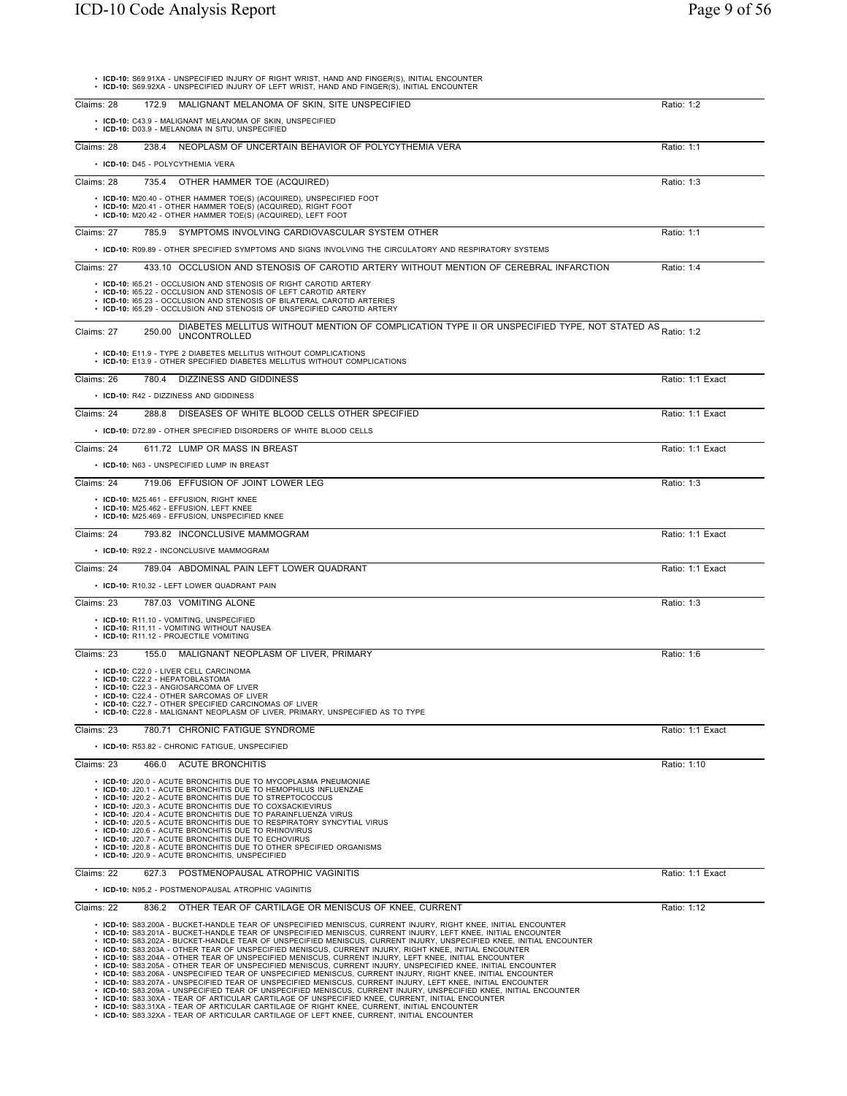|            | • ICD-10: S69.91XA - UNSPECIFIED INJURY OF RIGHT WRIST, HAND AND FINGER(S), INITIAL ENCOUNTER<br>• ICD-10: S69.92XA - UNSPECIFIED INJURY OF LEFT WRIST, HAND AND FINGER(S), INITIAL ENCOUNTER                                                                                                                                                                                                                                                                                                                                                                                                                                                                                                                                                                                                                                                                                                                                                                                                                                                                                                                                                                                                                                                                                                                                                  |                  |
|------------|------------------------------------------------------------------------------------------------------------------------------------------------------------------------------------------------------------------------------------------------------------------------------------------------------------------------------------------------------------------------------------------------------------------------------------------------------------------------------------------------------------------------------------------------------------------------------------------------------------------------------------------------------------------------------------------------------------------------------------------------------------------------------------------------------------------------------------------------------------------------------------------------------------------------------------------------------------------------------------------------------------------------------------------------------------------------------------------------------------------------------------------------------------------------------------------------------------------------------------------------------------------------------------------------------------------------------------------------|------------------|
| Claims: 28 | 172.9<br>MALIGNANT MELANOMA OF SKIN, SITE UNSPECIFIED                                                                                                                                                                                                                                                                                                                                                                                                                                                                                                                                                                                                                                                                                                                                                                                                                                                                                                                                                                                                                                                                                                                                                                                                                                                                                          | Ratio: 1:2       |
|            | • ICD-10: C43.9 - MALIGNANT MELANOMA OF SKIN, UNSPECIFIED<br>• ICD-10: D03.9 - MELANOMA IN SITU, UNSPECIFIED                                                                                                                                                                                                                                                                                                                                                                                                                                                                                                                                                                                                                                                                                                                                                                                                                                                                                                                                                                                                                                                                                                                                                                                                                                   |                  |
| Claims: 28 | 238.4 NEOPLASM OF UNCERTAIN BEHAVIOR OF POLYCYTHEMIA VERA                                                                                                                                                                                                                                                                                                                                                                                                                                                                                                                                                                                                                                                                                                                                                                                                                                                                                                                                                                                                                                                                                                                                                                                                                                                                                      | Ratio: 1:1       |
|            | • ICD-10: D45 - POLYCYTHEMIA VERA                                                                                                                                                                                                                                                                                                                                                                                                                                                                                                                                                                                                                                                                                                                                                                                                                                                                                                                                                                                                                                                                                                                                                                                                                                                                                                              |                  |
| Claims: 28 | 735.4 OTHER HAMMER TOE (ACQUIRED)                                                                                                                                                                                                                                                                                                                                                                                                                                                                                                                                                                                                                                                                                                                                                                                                                                                                                                                                                                                                                                                                                                                                                                                                                                                                                                              | Ratio: 1:3       |
|            | • ICD-10: M20.40 - OTHER HAMMER TOE(S) (ACQUIRED), UNSPECIFIED FOOT<br>• ICD-10: M20.41 - OTHER HAMMER TOE(S) (ACQUIRED), RIGHT FOOT<br>• ICD-10: M20.42 - OTHER HAMMER TOE(S) (ACQUIRED), LEFT FOOT                                                                                                                                                                                                                                                                                                                                                                                                                                                                                                                                                                                                                                                                                                                                                                                                                                                                                                                                                                                                                                                                                                                                           |                  |
| Claims: 27 | 785.9 SYMPTOMS INVOLVING CARDIOVASCULAR SYSTEM OTHER                                                                                                                                                                                                                                                                                                                                                                                                                                                                                                                                                                                                                                                                                                                                                                                                                                                                                                                                                                                                                                                                                                                                                                                                                                                                                           | Ratio: 1:1       |
|            | • ICD-10: R09.89 - OTHER SPECIFIED SYMPTOMS AND SIGNS INVOLVING THE CIRCULATORY AND RESPIRATORY SYSTEMS                                                                                                                                                                                                                                                                                                                                                                                                                                                                                                                                                                                                                                                                                                                                                                                                                                                                                                                                                                                                                                                                                                                                                                                                                                        |                  |
| Claims: 27 | 433.10 OCCLUSION AND STENOSIS OF CAROTID ARTERY WITHOUT MENTION OF CEREBRAL INFARCTION                                                                                                                                                                                                                                                                                                                                                                                                                                                                                                                                                                                                                                                                                                                                                                                                                                                                                                                                                                                                                                                                                                                                                                                                                                                         | Ratio: 1:4       |
|            | • ICD-10: 165.21 - OCCLUSION AND STENOSIS OF RIGHT CAROTID ARTERY<br>• ICD-10: 165.22 - OCCLUSION AND STENOSIS OF LEFT CAROTID ARTERY<br>• ICD-10: 165.23 - OCCLUSION AND STENOSIS OF BILATERAL CAROTID ARTERIES<br>• ICD-10: 165.29 - OCCLUSION AND STENOSIS OF UNSPECIFIED CAROTID ARTERY                                                                                                                                                                                                                                                                                                                                                                                                                                                                                                                                                                                                                                                                                                                                                                                                                                                                                                                                                                                                                                                    |                  |
| Claims: 27 | DIABETES MELLITUS WITHOUT MENTION OF COMPLICATION TYPE II OR UNSPECIFIED TYPE, NOT STATED AS Ratio: 1:2<br>250.00<br><b>UNCONTROLLED</b>                                                                                                                                                                                                                                                                                                                                                                                                                                                                                                                                                                                                                                                                                                                                                                                                                                                                                                                                                                                                                                                                                                                                                                                                       |                  |
|            | • ICD-10: E11.9 - TYPE 2 DIABETES MELLITUS WITHOUT COMPLICATIONS<br>• ICD-10: E13.9 - OTHER SPECIFIED DIABETES MELLITUS WITHOUT COMPLICATIONS                                                                                                                                                                                                                                                                                                                                                                                                                                                                                                                                                                                                                                                                                                                                                                                                                                                                                                                                                                                                                                                                                                                                                                                                  |                  |
| Claims: 26 | 780.4 DIZZINESS AND GIDDINESS                                                                                                                                                                                                                                                                                                                                                                                                                                                                                                                                                                                                                                                                                                                                                                                                                                                                                                                                                                                                                                                                                                                                                                                                                                                                                                                  | Ratio: 1:1 Exact |
|            | • ICD-10: R42 - DIZZINESS AND GIDDINESS                                                                                                                                                                                                                                                                                                                                                                                                                                                                                                                                                                                                                                                                                                                                                                                                                                                                                                                                                                                                                                                                                                                                                                                                                                                                                                        |                  |
| Claims: 24 | 288.8 DISEASES OF WHITE BLOOD CELLS OTHER SPECIFIED                                                                                                                                                                                                                                                                                                                                                                                                                                                                                                                                                                                                                                                                                                                                                                                                                                                                                                                                                                                                                                                                                                                                                                                                                                                                                            | Ratio: 1:1 Exact |
|            | • ICD-10: D72.89 - OTHER SPECIFIED DISORDERS OF WHITE BLOOD CELLS                                                                                                                                                                                                                                                                                                                                                                                                                                                                                                                                                                                                                                                                                                                                                                                                                                                                                                                                                                                                                                                                                                                                                                                                                                                                              |                  |
| Claims: 24 | 611.72 LUMP OR MASS IN BREAST                                                                                                                                                                                                                                                                                                                                                                                                                                                                                                                                                                                                                                                                                                                                                                                                                                                                                                                                                                                                                                                                                                                                                                                                                                                                                                                  | Ratio: 1:1 Exact |
|            | • ICD-10: N63 - UNSPECIFIED LUMP IN BREAST                                                                                                                                                                                                                                                                                                                                                                                                                                                                                                                                                                                                                                                                                                                                                                                                                                                                                                                                                                                                                                                                                                                                                                                                                                                                                                     |                  |
| Claims: 24 | 719.06 EFFUSION OF JOINT LOWER LEG                                                                                                                                                                                                                                                                                                                                                                                                                                                                                                                                                                                                                                                                                                                                                                                                                                                                                                                                                                                                                                                                                                                                                                                                                                                                                                             | Ratio: 1:3       |
|            | • ICD-10: M25.461 - EFFUSION, RIGHT KNEE<br>· ICD-10: M25.462 - EFFUSION, LEFT KNEE<br>• ICD-10: M25.469 - EFFUSION, UNSPECIFIED KNEE                                                                                                                                                                                                                                                                                                                                                                                                                                                                                                                                                                                                                                                                                                                                                                                                                                                                                                                                                                                                                                                                                                                                                                                                          |                  |
| Claims: 24 | 793.82 INCONCLUSIVE MAMMOGRAM                                                                                                                                                                                                                                                                                                                                                                                                                                                                                                                                                                                                                                                                                                                                                                                                                                                                                                                                                                                                                                                                                                                                                                                                                                                                                                                  | Ratio: 1:1 Exact |
|            | • ICD-10: R92.2 - INCONCLUSIVE MAMMOGRAM                                                                                                                                                                                                                                                                                                                                                                                                                                                                                                                                                                                                                                                                                                                                                                                                                                                                                                                                                                                                                                                                                                                                                                                                                                                                                                       |                  |
| Claims: 24 | 789.04 ABDOMINAL PAIN LEFT LOWER QUADRANT                                                                                                                                                                                                                                                                                                                                                                                                                                                                                                                                                                                                                                                                                                                                                                                                                                                                                                                                                                                                                                                                                                                                                                                                                                                                                                      | Ratio: 1:1 Exact |
|            | • ICD-10: R10.32 - LEFT LOWER QUADRANT PAIN                                                                                                                                                                                                                                                                                                                                                                                                                                                                                                                                                                                                                                                                                                                                                                                                                                                                                                                                                                                                                                                                                                                                                                                                                                                                                                    |                  |
| Claims: 23 | 787.03 VOMITING ALONE                                                                                                                                                                                                                                                                                                                                                                                                                                                                                                                                                                                                                                                                                                                                                                                                                                                                                                                                                                                                                                                                                                                                                                                                                                                                                                                          | Ratio: 1:3       |
|            | • ICD-10: R11.10 - VOMITING, UNSPECIFIED<br>• ICD-10: R11.11 - VOMITING WITHOUT NAUSEA<br>· ICD-10: R11.12 - PROJECTILE VOMITING                                                                                                                                                                                                                                                                                                                                                                                                                                                                                                                                                                                                                                                                                                                                                                                                                                                                                                                                                                                                                                                                                                                                                                                                               |                  |
| Claims: 23 | 155.0 MALIGNANT NEOPLASM OF LIVER, PRIMARY                                                                                                                                                                                                                                                                                                                                                                                                                                                                                                                                                                                                                                                                                                                                                                                                                                                                                                                                                                                                                                                                                                                                                                                                                                                                                                     | Ratio: 1:6       |
|            | • ICD-10: C22.0 - LIVER CELL CARCINOMA<br>• ICD-10: C22.2 - HEPATOBLASTOMA<br>• ICD-10: C22.3 - ANGIOSARCOMA OF LIVER<br>• ICD-10: C22.4 - OTHER SARCOMAS OF LIVER<br>• ICD-10: C22.7 - OTHER SPECIFIED CARCINOMAS OF LIVER<br>• ICD-10: C22.8 - MALIGNANT NEOPLASM OF LIVER, PRIMARY, UNSPECIFIED AS TO TYPE                                                                                                                                                                                                                                                                                                                                                                                                                                                                                                                                                                                                                                                                                                                                                                                                                                                                                                                                                                                                                                  |                  |
| Claims: 23 | 780.71 CHRONIC FATIGUE SYNDROME<br>• ICD-10: R53.82 - CHRONIC FATIGUE, UNSPECIFIED                                                                                                                                                                                                                                                                                                                                                                                                                                                                                                                                                                                                                                                                                                                                                                                                                                                                                                                                                                                                                                                                                                                                                                                                                                                             | Ratio: 1:1 Exact |
| Claims: 23 | 466.0<br><b>ACUTE BRONCHITIS</b>                                                                                                                                                                                                                                                                                                                                                                                                                                                                                                                                                                                                                                                                                                                                                                                                                                                                                                                                                                                                                                                                                                                                                                                                                                                                                                               | Ratio: 1:10      |
|            | • ICD-10: J20.0 - ACUTE BRONCHITIS DUE TO MYCOPLASMA PNEUMONIAE<br>• ICD-10: J20.1 - ACUTE BRONCHITIS DUE TO HEMOPHILUS INFLUENZAE<br>• ICD-10: J20.2 - ACUTE BRONCHITIS DUE TO STREPTOCOCCUS<br>• ICD-10: J20.3 - ACUTE BRONCHITIS DUE TO COXSACKIEVIRUS<br>• ICD-10: J20.4 - ACUTE BRONCHITIS DUE TO PARAINFLUENZA VIRUS<br>• ICD-10: J20.5 - ACUTE BRONCHITIS DUE TO RESPIRATORY SYNCYTIAL VIRUS<br>• ICD-10: J20.6 - ACUTE BRONCHITIS DUE TO RHINOVIRUS<br>• ICD-10: J20.7 - ACUTE BRONCHITIS DUE TO ECHOVIRUS<br>• ICD-10: J20.8 - ACUTE BRONCHITIS DUE TO OTHER SPECIFIED ORGANISMS<br>• ICD-10: J20.9 - ACUTE BRONCHITIS, UNSPECIFIED                                                                                                                                                                                                                                                                                                                                                                                                                                                                                                                                                                                                                                                                                                   |                  |
| Claims: 22 | 627.3<br>POSTMENOPAUSAL ATROPHIC VAGINITIS                                                                                                                                                                                                                                                                                                                                                                                                                                                                                                                                                                                                                                                                                                                                                                                                                                                                                                                                                                                                                                                                                                                                                                                                                                                                                                     | Ratio: 1:1 Exact |
|            | • ICD-10: N95.2 - POSTMENOPAUSAL ATROPHIC VAGINITIS                                                                                                                                                                                                                                                                                                                                                                                                                                                                                                                                                                                                                                                                                                                                                                                                                                                                                                                                                                                                                                                                                                                                                                                                                                                                                            |                  |
| Claims: 22 | 836.2 OTHER TEAR OF CARTILAGE OR MENISCUS OF KNEE, CURRENT                                                                                                                                                                                                                                                                                                                                                                                                                                                                                                                                                                                                                                                                                                                                                                                                                                                                                                                                                                                                                                                                                                                                                                                                                                                                                     | Ratio: 1:12      |
|            | . ICD-10: S83.200A - BUCKET-HANDLE TEAR OF UNSPECIFIED MENISCUS, CURRENT INJURY, RIGHT KNEE, INITIAL ENCOUNTER<br>· ICD-10: S83.201A - BUCKET-HANDLE TEAR OF UNSPECIFIED MENISCUS, CURRENT INJURY, LEFT KNEE, INITIAL ENCOUNTER<br>· ICD-10: S83.202A - BUCKET-HANDLE TEAR OF UNSPECIFIED MENISCUS, CURRENT INJURY, UNSPECIFIED KNEE, INITIAL ENCOUNTER<br>· ICD-10: S83.203A - OTHER TEAR OF UNSPECIFIED MENISCUS, CURRENT INJURY, RIGHT KNEE, INITIAL ENCOUNTER<br>· ICD-10: S83.204A - OTHER TEAR OF UNSPECIFIED MENISCUS, CURRENT INJURY, LEFT KNEE, INITIAL ENCOUNTER<br>· ICD-10: S83.205A - OTHER TEAR OF UNSPECIFIED MENISCUS, CURRENT INJURY, UNSPECIFIED KNEE, INITIAL ENCOUNTER<br>· ICD-10: S83.206A - UNSPECIFIED TEAR OF UNSPECIFIED MENISCUS, CURRENT INJURY, RIGHT KNEE, INITIAL ENCOUNTER<br>· ICD-10: S83.207A - UNSPECIFIED TEAR OF UNSPECIFIED MENISCUS, CURRENT INJURY, LEFT KNEE, INITIAL ENCOUNTER<br>· ICD-10: S83.209A - UNSPECIFIED TEAR OF UNSPECIFIED MENISCUS, CURRENT INJURY, UNSPECIFIED KNEE, INITIAL ENCOUNTER<br>· ICD-10: S83.30XA - TEAR OF ARTICULAR CARTILAGE OF UNSPECIFIED KNEE, CURRENT, INITIAL ENCOUNTER<br>· ICD-10: S83.31XA - TEAR OF ARTICULAR CARTILAGE OF RIGHT KNEE, CURRENT, INITIAL ENCOUNTER<br>• ICD-10: S83.32XA - TEAR OF ARTICULAR CARTILAGE OF LEFT KNEE, CURRENT, INITIAL ENCOUNTER |                  |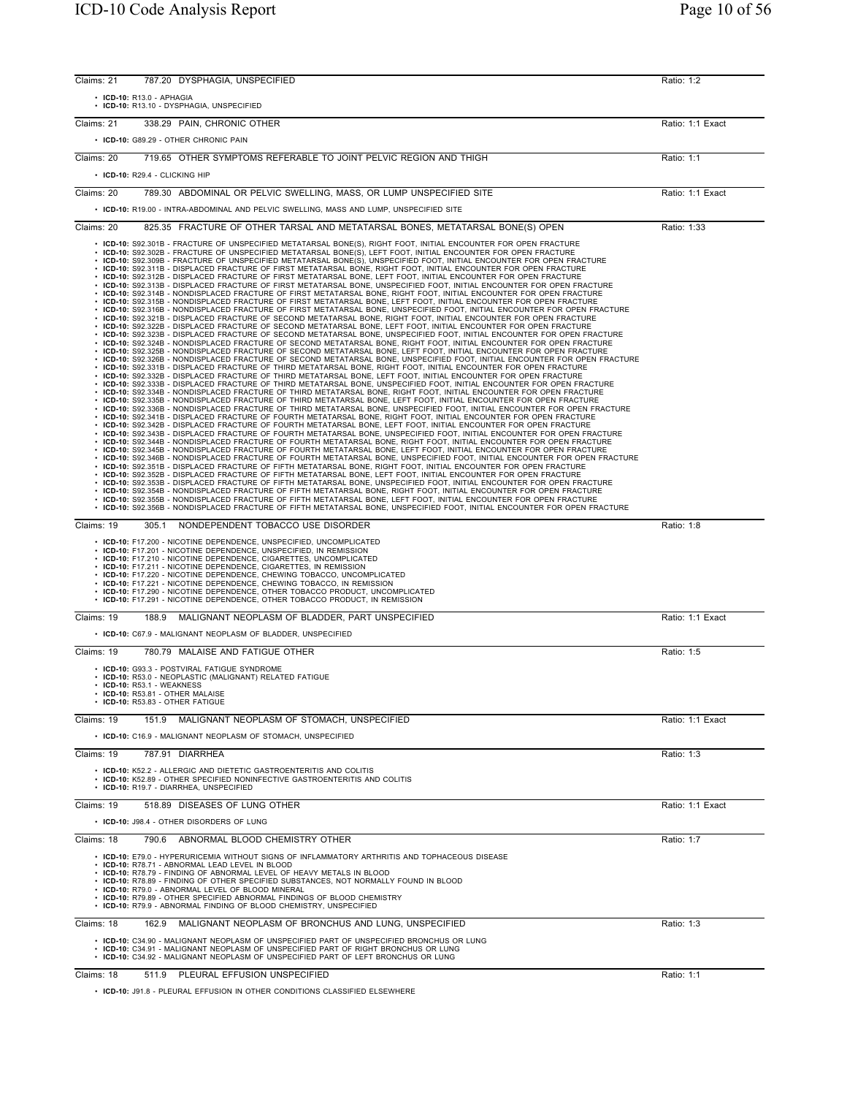| Claims: 21 | 787.20<br>DYSPHAGIA, UNSPECIFIED                                                                                                                                                                                                                                                                                                                                                                                                                                                                                                                                                                                                                                                                                                                                                                                                                                                                                                                                                                                                                                                                                                                                                                                                                                                                                                                                                                                                                                                                                                                                                                                                                                                                                                                                                                                                                                                                                                                                                                                                                                                                                                                                                                                                                                                                                                                                                                                                                                                                                                                                                                                                                                                                                                                                                                                                                                                                                                                                                                                                                                                                                                                                                                                                                                                                                                                                                                                                                                                                                                                                                                                                                                                                                                                                                                                                                                                                                                                                                                 | Ratio: 1:2       |
|------------|--------------------------------------------------------------------------------------------------------------------------------------------------------------------------------------------------------------------------------------------------------------------------------------------------------------------------------------------------------------------------------------------------------------------------------------------------------------------------------------------------------------------------------------------------------------------------------------------------------------------------------------------------------------------------------------------------------------------------------------------------------------------------------------------------------------------------------------------------------------------------------------------------------------------------------------------------------------------------------------------------------------------------------------------------------------------------------------------------------------------------------------------------------------------------------------------------------------------------------------------------------------------------------------------------------------------------------------------------------------------------------------------------------------------------------------------------------------------------------------------------------------------------------------------------------------------------------------------------------------------------------------------------------------------------------------------------------------------------------------------------------------------------------------------------------------------------------------------------------------------------------------------------------------------------------------------------------------------------------------------------------------------------------------------------------------------------------------------------------------------------------------------------------------------------------------------------------------------------------------------------------------------------------------------------------------------------------------------------------------------------------------------------------------------------------------------------------------------------------------------------------------------------------------------------------------------------------------------------------------------------------------------------------------------------------------------------------------------------------------------------------------------------------------------------------------------------------------------------------------------------------------------------------------------------------------------------------------------------------------------------------------------------------------------------------------------------------------------------------------------------------------------------------------------------------------------------------------------------------------------------------------------------------------------------------------------------------------------------------------------------------------------------------------------------------------------------------------------------------------------------------------------------------------------------------------------------------------------------------------------------------------------------------------------------------------------------------------------------------------------------------------------------------------------------------------------------------------------------------------------------------------------------------------------------------------------------------------------------------------------------|------------------|
|            | $\cdot$ ICD-10: R13.0 - APHAGIA<br>• ICD-10: R13.10 - DYSPHAGIA, UNSPECIFIED                                                                                                                                                                                                                                                                                                                                                                                                                                                                                                                                                                                                                                                                                                                                                                                                                                                                                                                                                                                                                                                                                                                                                                                                                                                                                                                                                                                                                                                                                                                                                                                                                                                                                                                                                                                                                                                                                                                                                                                                                                                                                                                                                                                                                                                                                                                                                                                                                                                                                                                                                                                                                                                                                                                                                                                                                                                                                                                                                                                                                                                                                                                                                                                                                                                                                                                                                                                                                                                                                                                                                                                                                                                                                                                                                                                                                                                                                                                     |                  |
| Claims: 21 | 338.29 PAIN, CHRONIC OTHER                                                                                                                                                                                                                                                                                                                                                                                                                                                                                                                                                                                                                                                                                                                                                                                                                                                                                                                                                                                                                                                                                                                                                                                                                                                                                                                                                                                                                                                                                                                                                                                                                                                                                                                                                                                                                                                                                                                                                                                                                                                                                                                                                                                                                                                                                                                                                                                                                                                                                                                                                                                                                                                                                                                                                                                                                                                                                                                                                                                                                                                                                                                                                                                                                                                                                                                                                                                                                                                                                                                                                                                                                                                                                                                                                                                                                                                                                                                                                                       | Ratio: 1:1 Exact |
|            | • ICD-10: G89.29 - OTHER CHRONIC PAIN                                                                                                                                                                                                                                                                                                                                                                                                                                                                                                                                                                                                                                                                                                                                                                                                                                                                                                                                                                                                                                                                                                                                                                                                                                                                                                                                                                                                                                                                                                                                                                                                                                                                                                                                                                                                                                                                                                                                                                                                                                                                                                                                                                                                                                                                                                                                                                                                                                                                                                                                                                                                                                                                                                                                                                                                                                                                                                                                                                                                                                                                                                                                                                                                                                                                                                                                                                                                                                                                                                                                                                                                                                                                                                                                                                                                                                                                                                                                                            |                  |
| Claims: 20 | 719.65 OTHER SYMPTOMS REFERABLE TO JOINT PELVIC REGION AND THIGH                                                                                                                                                                                                                                                                                                                                                                                                                                                                                                                                                                                                                                                                                                                                                                                                                                                                                                                                                                                                                                                                                                                                                                                                                                                                                                                                                                                                                                                                                                                                                                                                                                                                                                                                                                                                                                                                                                                                                                                                                                                                                                                                                                                                                                                                                                                                                                                                                                                                                                                                                                                                                                                                                                                                                                                                                                                                                                                                                                                                                                                                                                                                                                                                                                                                                                                                                                                                                                                                                                                                                                                                                                                                                                                                                                                                                                                                                                                                 | Ratio: 1:1       |
|            | • ICD-10: R29.4 - CLICKING HIP                                                                                                                                                                                                                                                                                                                                                                                                                                                                                                                                                                                                                                                                                                                                                                                                                                                                                                                                                                                                                                                                                                                                                                                                                                                                                                                                                                                                                                                                                                                                                                                                                                                                                                                                                                                                                                                                                                                                                                                                                                                                                                                                                                                                                                                                                                                                                                                                                                                                                                                                                                                                                                                                                                                                                                                                                                                                                                                                                                                                                                                                                                                                                                                                                                                                                                                                                                                                                                                                                                                                                                                                                                                                                                                                                                                                                                                                                                                                                                   |                  |
| Claims: 20 | 789.30 ABDOMINAL OR PELVIC SWELLING, MASS, OR LUMP UNSPECIFIED SITE                                                                                                                                                                                                                                                                                                                                                                                                                                                                                                                                                                                                                                                                                                                                                                                                                                                                                                                                                                                                                                                                                                                                                                                                                                                                                                                                                                                                                                                                                                                                                                                                                                                                                                                                                                                                                                                                                                                                                                                                                                                                                                                                                                                                                                                                                                                                                                                                                                                                                                                                                                                                                                                                                                                                                                                                                                                                                                                                                                                                                                                                                                                                                                                                                                                                                                                                                                                                                                                                                                                                                                                                                                                                                                                                                                                                                                                                                                                              | Ratio: 1:1 Exact |
|            | • ICD-10: R19.00 - INTRA-ABDOMINAL AND PELVIC SWELLING, MASS AND LUMP, UNSPECIFIED SITE                                                                                                                                                                                                                                                                                                                                                                                                                                                                                                                                                                                                                                                                                                                                                                                                                                                                                                                                                                                                                                                                                                                                                                                                                                                                                                                                                                                                                                                                                                                                                                                                                                                                                                                                                                                                                                                                                                                                                                                                                                                                                                                                                                                                                                                                                                                                                                                                                                                                                                                                                                                                                                                                                                                                                                                                                                                                                                                                                                                                                                                                                                                                                                                                                                                                                                                                                                                                                                                                                                                                                                                                                                                                                                                                                                                                                                                                                                          |                  |
| Claims: 20 | 825.35 FRACTURE OF OTHER TARSAL AND METATARSAL BONES, METATARSAL BONE(S) OPEN                                                                                                                                                                                                                                                                                                                                                                                                                                                                                                                                                                                                                                                                                                                                                                                                                                                                                                                                                                                                                                                                                                                                                                                                                                                                                                                                                                                                                                                                                                                                                                                                                                                                                                                                                                                                                                                                                                                                                                                                                                                                                                                                                                                                                                                                                                                                                                                                                                                                                                                                                                                                                                                                                                                                                                                                                                                                                                                                                                                                                                                                                                                                                                                                                                                                                                                                                                                                                                                                                                                                                                                                                                                                                                                                                                                                                                                                                                                    | Ratio: 1:33      |
|            | · ICD-10: S92.301B - FRACTURE OF UNSPECIFIED METATARSAL BONE(S), RIGHT FOOT, INITIAL ENCOUNTER FOR OPEN FRACTURE<br>· ICD-10: S92.302B - FRACTURE OF UNSPECIFIED METATARSAL BONE(S), LEFT FOOT, INITIAL ENCOUNTER FOR OPEN FRACTURE<br>· ICD-10: S92.309B - FRACTURE OF UNSPECIFIED METATARSAL BONE(S), UNSPECIFIED FOOT, INITIAL ENCOUNTER FOR OPEN FRACTURE<br>· ICD-10: S92.311B - DISPLACED FRACTURE OF FIRST METATARSAL BONE, RIGHT FOOT, INITIAL ENCOUNTER FOR OPEN FRACTURE<br>· ICD-10: S92.312B - DISPLACED FRACTURE OF FIRST METATARSAL BONE, LEFT FOOT, INITIAL ENCOUNTER FOR OPEN FRACTURE<br>· ICD-10: S92.313B - DISPLACED FRACTURE OF FIRST METATARSAL BONE, UNSPECIFIED FOOT, INITIAL ENCOUNTER FOR OPEN FRACTURE<br>· ICD-10: S92.314B - NONDISPLACED FRACTURE OF FIRST METATARSAL BONE, RIGHT FOOT, INITIAL ENCOUNTER FOR OPEN FRACTURE<br>· ICD-10: S92.315B - NONDISPLACED FRACTURE OF FIRST METATARSAL BONE, LEFT FOOT, INITIAL ENCOUNTER FOR OPEN FRACTURE<br>· ICD-10: S92.316B - NONDISPLACED FRACTURE OF FIRST METATARSAL BONE, UNSPECIFIED FOOT, INITIAL ENCOUNTER FOR OPEN FRACTURE<br>· ICD-10: S92.321B - DISPLACED FRACTURE OF SECOND METATARSAL BONE, RIGHT FOOT, INITIAL ENCOUNTER FOR OPEN FRACTURE<br>· ICD-10: S92.322B - DISPLACED FRACTURE OF SECOND METATARSAL BONE, LEFT FOOT, INITIAL ENCOUNTER FOR OPEN FRACTURE<br>· ICD-10: S92.323B - DISPLACED FRACTURE OF SECOND METATARSAL BONE, UNSPECIFIED FOOT, INITIAL ENCOUNTER FOR OPEN FRACTURE<br>. ICD-10: S92.324B - NONDISPLACED FRACTURE OF SECOND METATARSAL BONE. RIGHT FOOT. INITIAL ENCOUNTER FOR OPEN FRACTURE<br>· ICD-10: S92.325B - NONDISPLACED FRACTURE OF SECOND METATARSAL BONE, LEFT FOOT, INITIAL ENCOUNTER FOR OPEN FRACTURE<br>. ICD-10: S92.326B - NONDISPLACED FRACTURE OF SECOND METATARSAL BONE. UNSPECIFIED FOOT. INITIAL ENCOUNTER FOR OPEN FRACTURE<br>. ICD-10: S92.331B - DISPLACED FRACTURE OF THIRD METATARSAL BONE, RIGHT FOOT, INITIAL ENCOUNTER FOR OPEN FRACTURE<br>· ICD-10: S92.332B - DISPLACED FRACTURE OF THIRD METATARSAL BONE, LEFT FOOT, INITIAL ENCOUNTER FOR OPEN FRACTURE<br>· ICD-10: S92.333B - DISPLACED FRACTURE OF THIRD METATARSAL BONE, UNSPECIFIED FOOT, INITIAL ENCOUNTER FOR OPEN FRACTURE<br>· ICD-10: S92.334B - NONDISPLACED FRACTURE OF THIRD METATARSAL BONE, RIGHT FOOT, INITIAL ENCOUNTER FOR OPEN FRACTURE<br>· ICD-10: S92.335B - NONDISPLACED FRACTURE OF THIRD METATARSAL BONE, LEFT FOOT, INITIAL ENCOUNTER FOR OPEN FRACTURE<br>· ICD-10: S92.336B - NONDISPLACED FRACTURE OF THIRD METATARSAL BONE, UNSPECIFIED FOOT, INITIAL ENCOUNTER FOR OPEN FRACTURE<br>· ICD-10: S92.341B - DISPLACED FRACTURE OF FOURTH METATARSAL BONE, RIGHT FOOT, INITIAL ENCOUNTER FOR OPEN FRACTURE<br>· ICD-10: S92.342B - DISPLACED FRACTURE OF FOURTH METATARSAL BONE, LEFT FOOT, INITIAL ENCOUNTER FOR OPEN FRACTURE<br>· ICD-10: S92.343B - DISPLACED FRACTURE OF FOURTH METATARSAL BONE, UNSPECIFIED FOOT, INITIAL ENCOUNTER FOR OPEN FRACTURE<br>. ICD-10: S92.344B - NONDISPLACED FRACTURE OF FOURTH METATARSAL BONE, RIGHT FOOT, INITIAL ENCOUNTER FOR OPEN FRACTURE<br>· ICD-10: S92.345B - NONDISPLACED FRACTURE OF FOURTH METATARSAL BONE, LEFT FOOT, INITIAL ENCOUNTER FOR OPEN FRACTURE<br>· ICD-10: S92.346B - NONDISPLACED FRACTURE OF FOURTH METATARSAL BONE, UNSPECIFIED FOOT, INITIAL ENCOUNTER FOR OPEN FRACTURE<br>· ICD-10: S92.351B - DISPLACED FRACTURE OF FIFTH METATARSAL BONE, RIGHT FOOT, INITIAL ENCOUNTER FOR OPEN FRACTURE<br>· ICD-10: S92.352B - DISPLACED FRACTURE OF FIFTH METATARSAL BONE, LEFT FOOT, INITIAL ENCOUNTER FOR OPEN FRACTURE<br>· ICD-10: S92.353B - DISPLACED FRACTURE OF FIFTH METATARSAL BONE, UNSPECIFIED FOOT, INITIAL ENCOUNTER FOR OPEN FRACTURE<br>· ICD-10: S92.354B - NONDISPLACED FRACTURE OF FIFTH METATARSAL BONE, RIGHT FOOT, INITIAL ENCOUNTER FOR OPEN FRACTURE<br>· ICD-10: S92.355B - NONDISPLACED FRACTURE OF FIFTH METATARSAL BONE, LEFT FOOT, INITIAL ENCOUNTER FOR OPEN FRACTURE |                  |
| Claims: 19 | ICD-10: S92.356B - NONDISPLACED FRACTURE OF FIFTH METATARSAL BONE, UNSPECIFIED FOOT, INITIAL ENCOUNTER FOR OPEN FRACTURE<br>NONDEPENDENT TOBACCO USE DISORDER<br>305.1                                                                                                                                                                                                                                                                                                                                                                                                                                                                                                                                                                                                                                                                                                                                                                                                                                                                                                                                                                                                                                                                                                                                                                                                                                                                                                                                                                                                                                                                                                                                                                                                                                                                                                                                                                                                                                                                                                                                                                                                                                                                                                                                                                                                                                                                                                                                                                                                                                                                                                                                                                                                                                                                                                                                                                                                                                                                                                                                                                                                                                                                                                                                                                                                                                                                                                                                                                                                                                                                                                                                                                                                                                                                                                                                                                                                                           | Ratio: 1:8       |
|            | • ICD-10: F17.200 - NICOTINE DEPENDENCE, UNSPECIFIED, UNCOMPLICATED<br>• ICD-10: F17.201 - NICOTINE DEPENDENCE, UNSPECIFIED, IN REMISSION<br>• ICD-10: F17.210 - NICOTINE DEPENDENCE, CIGARETTES, UNCOMPLICATED<br>• ICD-10: F17.211 - NICOTINE DEPENDENCE, CIGARETTES, IN REMISSION<br>• ICD-10: F17.220 - NICOTINE DEPENDENCE, CHEWING TOBACCO, UNCOMPLICATED<br>• ICD-10: F17.221 - NICOTINE DEPENDENCE, CHEWING TOBACCO, IN REMISSION<br>• ICD-10: F17.290 - NICOTINE DEPENDENCE, OTHER TOBACCO PRODUCT, UNCOMPLICATED<br>• ICD-10: F17.291 - NICOTINE DEPENDENCE, OTHER TOBACCO PRODUCT, IN REMISSION                                                                                                                                                                                                                                                                                                                                                                                                                                                                                                                                                                                                                                                                                                                                                                                                                                                                                                                                                                                                                                                                                                                                                                                                                                                                                                                                                                                                                                                                                                                                                                                                                                                                                                                                                                                                                                                                                                                                                                                                                                                                                                                                                                                                                                                                                                                                                                                                                                                                                                                                                                                                                                                                                                                                                                                                                                                                                                                                                                                                                                                                                                                                                                                                                                                                                                                                                                                       |                  |
| Claims: 19 | MALIGNANT NEOPLASM OF BLADDER, PART UNSPECIFIED<br>188.9                                                                                                                                                                                                                                                                                                                                                                                                                                                                                                                                                                                                                                                                                                                                                                                                                                                                                                                                                                                                                                                                                                                                                                                                                                                                                                                                                                                                                                                                                                                                                                                                                                                                                                                                                                                                                                                                                                                                                                                                                                                                                                                                                                                                                                                                                                                                                                                                                                                                                                                                                                                                                                                                                                                                                                                                                                                                                                                                                                                                                                                                                                                                                                                                                                                                                                                                                                                                                                                                                                                                                                                                                                                                                                                                                                                                                                                                                                                                         | Ratio: 1:1 Exact |
|            | • ICD-10: C67.9 - MALIGNANT NEOPLASM OF BLADDER, UNSPECIFIED                                                                                                                                                                                                                                                                                                                                                                                                                                                                                                                                                                                                                                                                                                                                                                                                                                                                                                                                                                                                                                                                                                                                                                                                                                                                                                                                                                                                                                                                                                                                                                                                                                                                                                                                                                                                                                                                                                                                                                                                                                                                                                                                                                                                                                                                                                                                                                                                                                                                                                                                                                                                                                                                                                                                                                                                                                                                                                                                                                                                                                                                                                                                                                                                                                                                                                                                                                                                                                                                                                                                                                                                                                                                                                                                                                                                                                                                                                                                     |                  |
| Claims: 19 | 780.79 MALAISE AND FATIGUE OTHER                                                                                                                                                                                                                                                                                                                                                                                                                                                                                                                                                                                                                                                                                                                                                                                                                                                                                                                                                                                                                                                                                                                                                                                                                                                                                                                                                                                                                                                                                                                                                                                                                                                                                                                                                                                                                                                                                                                                                                                                                                                                                                                                                                                                                                                                                                                                                                                                                                                                                                                                                                                                                                                                                                                                                                                                                                                                                                                                                                                                                                                                                                                                                                                                                                                                                                                                                                                                                                                                                                                                                                                                                                                                                                                                                                                                                                                                                                                                                                 | Ratio: 1:5       |
|            | • ICD-10: G93.3 - POSTVIRAL FATIGUE SYNDROME<br>• ICD-10: R53.0 - NEOPLASTIC (MALIGNANT) RELATED FATIGUE<br>ICD-10: R53.1 - WEAKNESS<br>$\cdot$ ICD-10: R53.81 - OTHER MALAISE<br>$\cdot$ ICD-10: R53.83 - OTHER FATIGUE                                                                                                                                                                                                                                                                                                                                                                                                                                                                                                                                                                                                                                                                                                                                                                                                                                                                                                                                                                                                                                                                                                                                                                                                                                                                                                                                                                                                                                                                                                                                                                                                                                                                                                                                                                                                                                                                                                                                                                                                                                                                                                                                                                                                                                                                                                                                                                                                                                                                                                                                                                                                                                                                                                                                                                                                                                                                                                                                                                                                                                                                                                                                                                                                                                                                                                                                                                                                                                                                                                                                                                                                                                                                                                                                                                         |                  |
| Claims: 19 | 151.9<br>MALIGNANT NEOPLASM OF STOMACH, UNSPECIFIED                                                                                                                                                                                                                                                                                                                                                                                                                                                                                                                                                                                                                                                                                                                                                                                                                                                                                                                                                                                                                                                                                                                                                                                                                                                                                                                                                                                                                                                                                                                                                                                                                                                                                                                                                                                                                                                                                                                                                                                                                                                                                                                                                                                                                                                                                                                                                                                                                                                                                                                                                                                                                                                                                                                                                                                                                                                                                                                                                                                                                                                                                                                                                                                                                                                                                                                                                                                                                                                                                                                                                                                                                                                                                                                                                                                                                                                                                                                                              | Ratio: 1:1 Exact |
|            | • ICD-10: C16.9 - MALIGNANT NEOPLASM OF STOMACH, UNSPECIFIED                                                                                                                                                                                                                                                                                                                                                                                                                                                                                                                                                                                                                                                                                                                                                                                                                                                                                                                                                                                                                                                                                                                                                                                                                                                                                                                                                                                                                                                                                                                                                                                                                                                                                                                                                                                                                                                                                                                                                                                                                                                                                                                                                                                                                                                                                                                                                                                                                                                                                                                                                                                                                                                                                                                                                                                                                                                                                                                                                                                                                                                                                                                                                                                                                                                                                                                                                                                                                                                                                                                                                                                                                                                                                                                                                                                                                                                                                                                                     |                  |
| Claims: 19 | 787.91 DIARRHEA                                                                                                                                                                                                                                                                                                                                                                                                                                                                                                                                                                                                                                                                                                                                                                                                                                                                                                                                                                                                                                                                                                                                                                                                                                                                                                                                                                                                                                                                                                                                                                                                                                                                                                                                                                                                                                                                                                                                                                                                                                                                                                                                                                                                                                                                                                                                                                                                                                                                                                                                                                                                                                                                                                                                                                                                                                                                                                                                                                                                                                                                                                                                                                                                                                                                                                                                                                                                                                                                                                                                                                                                                                                                                                                                                                                                                                                                                                                                                                                  | Ratio: 1:3       |
|            | • ICD-10: K52.2 - ALLERGIC AND DIETETIC GASTROENTERITIS AND COLITIS<br>• ICD-10: K52.89 - OTHER SPECIFIED NONINFECTIVE GASTROENTERITIS AND COLITIS<br>• ICD-10: R19.7 - DIARRHEA, UNSPECIFIED                                                                                                                                                                                                                                                                                                                                                                                                                                                                                                                                                                                                                                                                                                                                                                                                                                                                                                                                                                                                                                                                                                                                                                                                                                                                                                                                                                                                                                                                                                                                                                                                                                                                                                                                                                                                                                                                                                                                                                                                                                                                                                                                                                                                                                                                                                                                                                                                                                                                                                                                                                                                                                                                                                                                                                                                                                                                                                                                                                                                                                                                                                                                                                                                                                                                                                                                                                                                                                                                                                                                                                                                                                                                                                                                                                                                    |                  |
| Claims: 19 | 518.89 DISEASES OF LUNG OTHER                                                                                                                                                                                                                                                                                                                                                                                                                                                                                                                                                                                                                                                                                                                                                                                                                                                                                                                                                                                                                                                                                                                                                                                                                                                                                                                                                                                                                                                                                                                                                                                                                                                                                                                                                                                                                                                                                                                                                                                                                                                                                                                                                                                                                                                                                                                                                                                                                                                                                                                                                                                                                                                                                                                                                                                                                                                                                                                                                                                                                                                                                                                                                                                                                                                                                                                                                                                                                                                                                                                                                                                                                                                                                                                                                                                                                                                                                                                                                                    | Ratio: 1:1 Exact |
|            | • ICD-10: J98.4 - OTHER DISORDERS OF LUNG                                                                                                                                                                                                                                                                                                                                                                                                                                                                                                                                                                                                                                                                                                                                                                                                                                                                                                                                                                                                                                                                                                                                                                                                                                                                                                                                                                                                                                                                                                                                                                                                                                                                                                                                                                                                                                                                                                                                                                                                                                                                                                                                                                                                                                                                                                                                                                                                                                                                                                                                                                                                                                                                                                                                                                                                                                                                                                                                                                                                                                                                                                                                                                                                                                                                                                                                                                                                                                                                                                                                                                                                                                                                                                                                                                                                                                                                                                                                                        |                  |
| Claims: 18 | 790.6 ABNORMAL BLOOD CHEMISTRY OTHER                                                                                                                                                                                                                                                                                                                                                                                                                                                                                                                                                                                                                                                                                                                                                                                                                                                                                                                                                                                                                                                                                                                                                                                                                                                                                                                                                                                                                                                                                                                                                                                                                                                                                                                                                                                                                                                                                                                                                                                                                                                                                                                                                                                                                                                                                                                                                                                                                                                                                                                                                                                                                                                                                                                                                                                                                                                                                                                                                                                                                                                                                                                                                                                                                                                                                                                                                                                                                                                                                                                                                                                                                                                                                                                                                                                                                                                                                                                                                             | Ratio: 1:7       |
|            | • ICD-10: E79.0 - HYPERURICEMIA WITHOUT SIGNS OF INFLAMMATORY ARTHRITIS AND TOPHACEOUS DISEASE<br>• ICD-10: R78.71 - ABNORMAL LEAD LEVEL IN BLOOD<br>• ICD-10: R78.79 - FINDING OF ABNORMAL LEVEL OF HEAVY METALS IN BLOOD<br>• ICD-10: R78.89 - FINDING OF OTHER SPECIFIED SUBSTANCES, NOT NORMALLY FOUND IN BLOOD<br>• ICD-10: R79.0 - ABNORMAL LEVEL OF BLOOD MINERAL<br>• ICD-10: R79.89 - OTHER SPECIFIED ABNORMAL FINDINGS OF BLOOD CHEMISTRY<br>• ICD-10: R79.9 - ABNORMAL FINDING OF BLOOD CHEMISTRY, UNSPECIFIED                                                                                                                                                                                                                                                                                                                                                                                                                                                                                                                                                                                                                                                                                                                                                                                                                                                                                                                                                                                                                                                                                                                                                                                                                                                                                                                                                                                                                                                                                                                                                                                                                                                                                                                                                                                                                                                                                                                                                                                                                                                                                                                                                                                                                                                                                                                                                                                                                                                                                                                                                                                                                                                                                                                                                                                                                                                                                                                                                                                                                                                                                                                                                                                                                                                                                                                                                                                                                                                                        |                  |
| Claims: 18 | MALIGNANT NEOPLASM OF BRONCHUS AND LUNG, UNSPECIFIED<br>162.9                                                                                                                                                                                                                                                                                                                                                                                                                                                                                                                                                                                                                                                                                                                                                                                                                                                                                                                                                                                                                                                                                                                                                                                                                                                                                                                                                                                                                                                                                                                                                                                                                                                                                                                                                                                                                                                                                                                                                                                                                                                                                                                                                                                                                                                                                                                                                                                                                                                                                                                                                                                                                                                                                                                                                                                                                                                                                                                                                                                                                                                                                                                                                                                                                                                                                                                                                                                                                                                                                                                                                                                                                                                                                                                                                                                                                                                                                                                                    | Ratio: 1:3       |
|            | • ICD-10: C34.90 - MALIGNANT NEOPLASM OF UNSPECIFIED PART OF UNSPECIFIED BRONCHUS OR LUNG<br>• ICD-10: C34.91 - MALIGNANT NEOPLASM OF UNSPECIFIED PART OF RIGHT BRONCHUS OR LUNG<br>• ICD-10: C34.92 - MALIGNANT NEOPLASM OF UNSPECIFIED PART OF LEFT BRONCHUS OR LUNG                                                                                                                                                                                                                                                                                                                                                                                                                                                                                                                                                                                                                                                                                                                                                                                                                                                                                                                                                                                                                                                                                                                                                                                                                                                                                                                                                                                                                                                                                                                                                                                                                                                                                                                                                                                                                                                                                                                                                                                                                                                                                                                                                                                                                                                                                                                                                                                                                                                                                                                                                                                                                                                                                                                                                                                                                                                                                                                                                                                                                                                                                                                                                                                                                                                                                                                                                                                                                                                                                                                                                                                                                                                                                                                           |                  |
| Claims: 18 | PLEURAL EFFUSION UNSPECIFIED<br>511.9                                                                                                                                                                                                                                                                                                                                                                                                                                                                                                                                                                                                                                                                                                                                                                                                                                                                                                                                                                                                                                                                                                                                                                                                                                                                                                                                                                                                                                                                                                                                                                                                                                                                                                                                                                                                                                                                                                                                                                                                                                                                                                                                                                                                                                                                                                                                                                                                                                                                                                                                                                                                                                                                                                                                                                                                                                                                                                                                                                                                                                                                                                                                                                                                                                                                                                                                                                                                                                                                                                                                                                                                                                                                                                                                                                                                                                                                                                                                                            | Ratio: 1:1       |

• **ICD-10:** J91.8 - PLEURAL EFFUSION IN OTHER CONDITIONS CLASSIFIED ELSEWHERE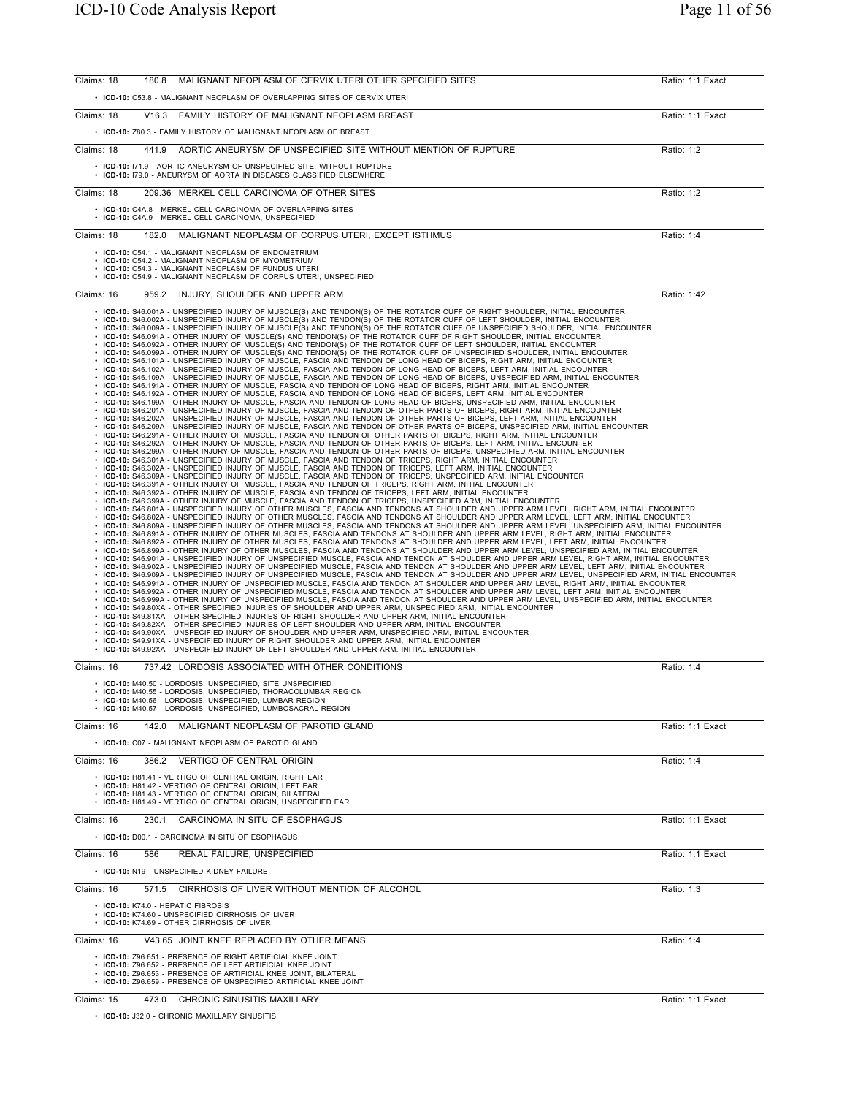| MALIGNANT NEOPLASM OF CERVIX UTERI OTHER SPECIFIED SITES<br>Claims: 18<br>180.8                                                                                                                                                                                                                                                                                                                                                                                                                                                                                                                                                                                                                                                                                                                                                                                                                                                                                                                                                                                                                                                                                                                                                                                                                                                                                                                                                                                                                                                                                                                                                                                                                                                                                                                                                                                                                                                                                                                                                                                                                                                                                                                                                                                                                                                                                                                                                                                                                                                                                                                                                                                                                                                                                                                                                                                                                                                                                                                                                                                                                                                                                                                                                                                                                                                                                                                                                                                                                                                                                                                                                                                                                                                                                                                                                                                                                                                                                                                                                                                                                                                                                                                                                                                                                                                                                                                                                                                                                                                                                                                                                                                                                                                                                                                                                                                                                                                                                                                                                                                                                                                                                                                                                                                                                                 | Ratio: 1:1 Exact |
|-----------------------------------------------------------------------------------------------------------------------------------------------------------------------------------------------------------------------------------------------------------------------------------------------------------------------------------------------------------------------------------------------------------------------------------------------------------------------------------------------------------------------------------------------------------------------------------------------------------------------------------------------------------------------------------------------------------------------------------------------------------------------------------------------------------------------------------------------------------------------------------------------------------------------------------------------------------------------------------------------------------------------------------------------------------------------------------------------------------------------------------------------------------------------------------------------------------------------------------------------------------------------------------------------------------------------------------------------------------------------------------------------------------------------------------------------------------------------------------------------------------------------------------------------------------------------------------------------------------------------------------------------------------------------------------------------------------------------------------------------------------------------------------------------------------------------------------------------------------------------------------------------------------------------------------------------------------------------------------------------------------------------------------------------------------------------------------------------------------------------------------------------------------------------------------------------------------------------------------------------------------------------------------------------------------------------------------------------------------------------------------------------------------------------------------------------------------------------------------------------------------------------------------------------------------------------------------------------------------------------------------------------------------------------------------------------------------------------------------------------------------------------------------------------------------------------------------------------------------------------------------------------------------------------------------------------------------------------------------------------------------------------------------------------------------------------------------------------------------------------------------------------------------------------------------------------------------------------------------------------------------------------------------------------------------------------------------------------------------------------------------------------------------------------------------------------------------------------------------------------------------------------------------------------------------------------------------------------------------------------------------------------------------------------------------------------------------------------------------------------------------------------------------------------------------------------------------------------------------------------------------------------------------------------------------------------------------------------------------------------------------------------------------------------------------------------------------------------------------------------------------------------------------------------------------------------------------------------------------------------------------------------------------------------------------------------------------------------------------------------------------------------------------------------------------------------------------------------------------------------------------------------------------------------------------------------------------------------------------------------------------------------------------------------------------------------------------------------------------------------------------------------------------------------------------------------------------------------------------------------------------------------------------------------------------------------------------------------------------------------------------------------------------------------------------------------------------------------------------------------------------------------------------------------------------------------------------------------------------------------------------------------------------------------------------------|------------------|
| • ICD-10: C53.8 - MALIGNANT NEOPLASM OF OVERLAPPING SITES OF CERVIX UTERI                                                                                                                                                                                                                                                                                                                                                                                                                                                                                                                                                                                                                                                                                                                                                                                                                                                                                                                                                                                                                                                                                                                                                                                                                                                                                                                                                                                                                                                                                                                                                                                                                                                                                                                                                                                                                                                                                                                                                                                                                                                                                                                                                                                                                                                                                                                                                                                                                                                                                                                                                                                                                                                                                                                                                                                                                                                                                                                                                                                                                                                                                                                                                                                                                                                                                                                                                                                                                                                                                                                                                                                                                                                                                                                                                                                                                                                                                                                                                                                                                                                                                                                                                                                                                                                                                                                                                                                                                                                                                                                                                                                                                                                                                                                                                                                                                                                                                                                                                                                                                                                                                                                                                                                                                                       |                  |
| Claims: 18<br>V16.3 FAMILY HISTORY OF MALIGNANT NEOPLASM BREAST                                                                                                                                                                                                                                                                                                                                                                                                                                                                                                                                                                                                                                                                                                                                                                                                                                                                                                                                                                                                                                                                                                                                                                                                                                                                                                                                                                                                                                                                                                                                                                                                                                                                                                                                                                                                                                                                                                                                                                                                                                                                                                                                                                                                                                                                                                                                                                                                                                                                                                                                                                                                                                                                                                                                                                                                                                                                                                                                                                                                                                                                                                                                                                                                                                                                                                                                                                                                                                                                                                                                                                                                                                                                                                                                                                                                                                                                                                                                                                                                                                                                                                                                                                                                                                                                                                                                                                                                                                                                                                                                                                                                                                                                                                                                                                                                                                                                                                                                                                                                                                                                                                                                                                                                                                                 | Ratio: 1:1 Exact |
| • ICD-10: Z80.3 - FAMILY HISTORY OF MALIGNANT NEOPLASM OF BREAST                                                                                                                                                                                                                                                                                                                                                                                                                                                                                                                                                                                                                                                                                                                                                                                                                                                                                                                                                                                                                                                                                                                                                                                                                                                                                                                                                                                                                                                                                                                                                                                                                                                                                                                                                                                                                                                                                                                                                                                                                                                                                                                                                                                                                                                                                                                                                                                                                                                                                                                                                                                                                                                                                                                                                                                                                                                                                                                                                                                                                                                                                                                                                                                                                                                                                                                                                                                                                                                                                                                                                                                                                                                                                                                                                                                                                                                                                                                                                                                                                                                                                                                                                                                                                                                                                                                                                                                                                                                                                                                                                                                                                                                                                                                                                                                                                                                                                                                                                                                                                                                                                                                                                                                                                                                |                  |
| Claims: 18<br>441.9 AORTIC ANEURYSM OF UNSPECIFIED SITE WITHOUT MENTION OF RUPTURE                                                                                                                                                                                                                                                                                                                                                                                                                                                                                                                                                                                                                                                                                                                                                                                                                                                                                                                                                                                                                                                                                                                                                                                                                                                                                                                                                                                                                                                                                                                                                                                                                                                                                                                                                                                                                                                                                                                                                                                                                                                                                                                                                                                                                                                                                                                                                                                                                                                                                                                                                                                                                                                                                                                                                                                                                                                                                                                                                                                                                                                                                                                                                                                                                                                                                                                                                                                                                                                                                                                                                                                                                                                                                                                                                                                                                                                                                                                                                                                                                                                                                                                                                                                                                                                                                                                                                                                                                                                                                                                                                                                                                                                                                                                                                                                                                                                                                                                                                                                                                                                                                                                                                                                                                              | Ratio: 1:2       |
| • ICD-10: 171.9 - AORTIC ANEURYSM OF UNSPECIFIED SITE, WITHOUT RUPTURE<br>• ICD-10: 179.0 - ANEURYSM OF AORTA IN DISEASES CLASSIFIED ELSEWHERE                                                                                                                                                                                                                                                                                                                                                                                                                                                                                                                                                                                                                                                                                                                                                                                                                                                                                                                                                                                                                                                                                                                                                                                                                                                                                                                                                                                                                                                                                                                                                                                                                                                                                                                                                                                                                                                                                                                                                                                                                                                                                                                                                                                                                                                                                                                                                                                                                                                                                                                                                                                                                                                                                                                                                                                                                                                                                                                                                                                                                                                                                                                                                                                                                                                                                                                                                                                                                                                                                                                                                                                                                                                                                                                                                                                                                                                                                                                                                                                                                                                                                                                                                                                                                                                                                                                                                                                                                                                                                                                                                                                                                                                                                                                                                                                                                                                                                                                                                                                                                                                                                                                                                                  |                  |
| 209.36 MERKEL CELL CARCINOMA OF OTHER SITES<br>Claims: 18                                                                                                                                                                                                                                                                                                                                                                                                                                                                                                                                                                                                                                                                                                                                                                                                                                                                                                                                                                                                                                                                                                                                                                                                                                                                                                                                                                                                                                                                                                                                                                                                                                                                                                                                                                                                                                                                                                                                                                                                                                                                                                                                                                                                                                                                                                                                                                                                                                                                                                                                                                                                                                                                                                                                                                                                                                                                                                                                                                                                                                                                                                                                                                                                                                                                                                                                                                                                                                                                                                                                                                                                                                                                                                                                                                                                                                                                                                                                                                                                                                                                                                                                                                                                                                                                                                                                                                                                                                                                                                                                                                                                                                                                                                                                                                                                                                                                                                                                                                                                                                                                                                                                                                                                                                                       | Ratio: 1:2       |
| • ICD-10: C4A.8 - MERKEL CELL CARCINOMA OF OVERLAPPING SITES<br>• ICD-10: C4A.9 - MERKEL CELL CARCINOMA, UNSPECIFIED                                                                                                                                                                                                                                                                                                                                                                                                                                                                                                                                                                                                                                                                                                                                                                                                                                                                                                                                                                                                                                                                                                                                                                                                                                                                                                                                                                                                                                                                                                                                                                                                                                                                                                                                                                                                                                                                                                                                                                                                                                                                                                                                                                                                                                                                                                                                                                                                                                                                                                                                                                                                                                                                                                                                                                                                                                                                                                                                                                                                                                                                                                                                                                                                                                                                                                                                                                                                                                                                                                                                                                                                                                                                                                                                                                                                                                                                                                                                                                                                                                                                                                                                                                                                                                                                                                                                                                                                                                                                                                                                                                                                                                                                                                                                                                                                                                                                                                                                                                                                                                                                                                                                                                                            |                  |
| MALIGNANT NEOPLASM OF CORPUS UTERI. EXCEPT ISTHMUS<br>Claims: 18<br>182.0                                                                                                                                                                                                                                                                                                                                                                                                                                                                                                                                                                                                                                                                                                                                                                                                                                                                                                                                                                                                                                                                                                                                                                                                                                                                                                                                                                                                                                                                                                                                                                                                                                                                                                                                                                                                                                                                                                                                                                                                                                                                                                                                                                                                                                                                                                                                                                                                                                                                                                                                                                                                                                                                                                                                                                                                                                                                                                                                                                                                                                                                                                                                                                                                                                                                                                                                                                                                                                                                                                                                                                                                                                                                                                                                                                                                                                                                                                                                                                                                                                                                                                                                                                                                                                                                                                                                                                                                                                                                                                                                                                                                                                                                                                                                                                                                                                                                                                                                                                                                                                                                                                                                                                                                                                       | Ratio: 1:4       |
| • ICD-10: C54.1 - MALIGNANT NEOPLASM OF ENDOMETRIUM<br>• ICD-10: C54.2 - MALIGNANT NEOPLASM OF MYOMETRIUM<br>• ICD-10: C54.3 - MALIGNANT NEOPLASM OF FUNDUS UTERI<br>• ICD-10: C54.9 - MALIGNANT NEOPLASM OF CORPUS UTERI, UNSPECIFIED                                                                                                                                                                                                                                                                                                                                                                                                                                                                                                                                                                                                                                                                                                                                                                                                                                                                                                                                                                                                                                                                                                                                                                                                                                                                                                                                                                                                                                                                                                                                                                                                                                                                                                                                                                                                                                                                                                                                                                                                                                                                                                                                                                                                                                                                                                                                                                                                                                                                                                                                                                                                                                                                                                                                                                                                                                                                                                                                                                                                                                                                                                                                                                                                                                                                                                                                                                                                                                                                                                                                                                                                                                                                                                                                                                                                                                                                                                                                                                                                                                                                                                                                                                                                                                                                                                                                                                                                                                                                                                                                                                                                                                                                                                                                                                                                                                                                                                                                                                                                                                                                          |                  |
| 959.2 INJURY, SHOULDER AND UPPER ARM<br>Claims: 16                                                                                                                                                                                                                                                                                                                                                                                                                                                                                                                                                                                                                                                                                                                                                                                                                                                                                                                                                                                                                                                                                                                                                                                                                                                                                                                                                                                                                                                                                                                                                                                                                                                                                                                                                                                                                                                                                                                                                                                                                                                                                                                                                                                                                                                                                                                                                                                                                                                                                                                                                                                                                                                                                                                                                                                                                                                                                                                                                                                                                                                                                                                                                                                                                                                                                                                                                                                                                                                                                                                                                                                                                                                                                                                                                                                                                                                                                                                                                                                                                                                                                                                                                                                                                                                                                                                                                                                                                                                                                                                                                                                                                                                                                                                                                                                                                                                                                                                                                                                                                                                                                                                                                                                                                                                              | Ratio: 1:42      |
| · ICD-10: S46.002A - UNSPECIFIED INJURY OF MUSCLE(S) AND TENDON(S) OF THE ROTATOR CUFF OF LEFT SHOULDER, INITIAL ENCOUNTER<br>· ICD-10: S46.009A - UNSPECIFIED INJURY OF MUSCLE(S) AND TENDON(S) OF THE ROTATOR CUFF OF UNSPECIFIED SHOULDER, INITIAL ENCOUNTER<br>$\cdot$ ICD-10: S46.091A - OTHER INJURY OF MUSCLE(S) AND TENDON(S) OF THE ROTATOR CUFF OF RIGHT SHOULDER, INITIAL ENCOUNTER<br>· ICD-10: S46.092A - OTHER INJURY OF MUSCLE(S) AND TENDON(S) OF THE ROTATOR CUFF OF LEFT SHOULDER, INITIAL ENCOUNTER<br>. ICD-10: S46.099A - OTHER INJURY OF MUSCLE(S) AND TENDON(S) OF THE ROTATOR CUFF OF UNSPECIFIED SHOULDER, INITIAL ENCOUNTER<br>· ICD-10: S46.101A - UNSPECIFIED INJURY OF MUSCLE, FASCIA AND TENDON OF LONG HEAD OF BICEPS, RIGHT ARM, INITIAL ENCOUNTER<br>· ICD-10: S46.102A - UNSPECIFIED INJURY OF MUSCLE, FASCIA AND TENDON OF LONG HEAD OF BICEPS, LEFT ARM, INITIAL ENCOUNTER<br>· ICD-10: S46.109A - UNSPECIFIED INJURY OF MUSCLE, FASCIA AND TENDON OF LONG HEAD OF BICEPS, UNSPECIFIED ARM, INITIAL ENCOUNTER<br>. ICD-10: S46.191A - OTHER INJURY OF MUSCLE, FASCIA AND TENDON OF LONG HEAD OF BICEPS, RIGHT ARM, INITIAL ENCOUNTER<br>· ICD-10: S46.192A - OTHER INJURY OF MUSCLE, FASCIA AND TENDON OF LONG HEAD OF BICEPS, LEFT ARM, INITIAL ENCOUNTER<br>. ICD-10: S46.199A - OTHER INJURY OF MUSCLE, FASCIA AND TENDON OF LONG HEAD OF BICEPS, UNSPECIFIED ARM, INITIAL ENCOUNTER<br>. ICD-10: S46.201A - UNSPECIFIED INJURY OF MUSCLE, FASCIA AND TENDON OF OTHER PARTS OF BICEPS, RIGHT ARM, INITIAL ENCOUNTER<br>· ICD-10: S46.202A - UNSPECIFIED INJURY OF MUSCLE, FASCIA AND TENDON OF OTHER PARTS OF BICEPS, LEFT ARM, INITIAL ENCOUNTER<br>. ICD-10: S46.209A - UNSPECIFIED INJURY OF MUSCLE, FASCIA AND TENDON OF OTHER PARTS OF BICEPS, UNSPECIFIED ARM, INITIAL ENCOUNTER<br>. ICD-10: S46.291A - OTHER INJURY OF MUSCLE, FASCIA AND TENDON OF OTHER PARTS OF BICEPS, RIGHT ARM, INITIAL ENCOUNTER<br>. ICD-10: S46.292A - OTHER INJURY OF MUSCLE, FASCIA AND TENDON OF OTHER PARTS OF BICEPS, LEFT ARM, INITIAL ENCOUNTER<br>ICD-10: S46.299A - OTHER INJURY OF MUSCLE, FASCIA AND TENDON OF OTHER PARTS OF BICEPS, UNSPECIFIED ARM, INITIAL ENCOUNTER<br>ICD-10: S46.301A - UNSPECIFIED INJURY OF MUSCLE, FASCIA AND TENDON OF TRICEPS, RIGHT ARM, INITIAL ENCOUNTER<br>ICD-10: S46.302A - UNSPECIFIED INJURY OF MUSCLE, FASCIA AND TENDON OF TRICEPS, LEFT ARM, INITIAL ENCOUNTER<br>· ICD-10: S46.309A - UNSPECIFIED INJURY OF MUSCLE, FASCIA AND TENDON OF TRICEPS, UNSPECIFIED ARM, INITIAL ENCOUNTER<br>· ICD-10: S46.391A - OTHER INJURY OF MUSCLE, FASCIA AND TENDON OF TRICEPS, RIGHT ARM, INITIAL ENCOUNTER<br>· ICD-10: S46.392A - OTHER INJURY OF MUSCLE, FASCIA AND TENDON OF TRICEPS, LEFT ARM, INITIAL ENCOUNTER<br>· ICD-10: S46.399A - OTHER INJURY OF MUSCLE, FASCIA AND TENDON OF TRICEPS, UNSPECIFIED ARM, INITIAL ENCOUNTER<br>· ICD-10: S46.801A - UNSPECIFIED INJURY OF OTHER MUSCLES, FASCIA AND TENDONS AT SHOULDER AND UPPER ARM LEVEL, RIGHT ARM, INITIAL ENCOUNTER<br>. ICD-10: S46.802A - UNSPECIFIED INJURY OF OTHER MUSCLES, FASCIA AND TENDONS AT SHOULDER AND UPPER ARM LEVEL, LEFT ARM, INITIAL ENCOUNTER<br>· ICD-10: S46.809A - UNSPECIFIED INJURY OF OTHER MUSCLES, FASCIA AND TENDONS AT SHOULDER AND UPPER ARM LEVEL, UNSPECIFIED ARM, INITIAL ENCOUNTER<br>. ICD-10: S46.891A - OTHER INJURY OF OTHER MUSCLES, FASCIA AND TENDONS AT SHOULDER AND UPPER ARM LEVEL, RIGHT ARM, INITIAL ENCOUNTER<br>· ICD-10: S46.892A - OTHER INJURY OF OTHER MUSCLES, FASCIA AND TENDONS AT SHOULDER AND UPPER ARM LEVEL, LEFT ARM, INITIAL ENCOUNTER<br>· ICD-10: S46.899A - OTHER INJURY OF OTHER MUSCLES, FASCIA AND TENDONS AT SHOULDER AND UPPER ARM LEVEL, UNSPECIFIED ARM, INITIAL ENCOUNTER<br>· ICD-10: S46.901A - UNSPECIFIED INJURY OF UNSPECIFIED MUSCLE, FASCIA AND TENDON AT SHOULDER AND UPPER ARM LEVEL, RIGHT ARM, INITIAL ENCOUNTER<br>· ICD-10: S46.902A - UNSPECIFIED INJURY OF UNSPECIFIED MUSCLE, FASCIA AND TENDON AT SHOULDER AND UPPER ARM LEVEL, LEFT ARM, INITIAL ENCOUNTER<br>· ICD-10: S46.909A - UNSPECIFIED INJURY OF UNSPECIFIED MUSCLE, FASCIA AND TENDON AT SHOULDER AND UPPER ARM LEVEL, UNSPECIFIED ARM, INITIAL ENCOUNTER<br>. ICD-10: S46.991A - OTHER INJURY OF UNSPECIFIED MUSCLE, FASCIA AND TENDON AT SHOULDER AND UPPER ARM LEVEL, RIGHT ARM, INITIAL ENCOUNTER<br>. ICD-10: S46.992A - OTHER INJURY OF UNSPECIFIED MUSCLE, FASCIA AND TENDON AT SHOULDER AND UPPER ARM LEVEL, LEFT ARM, INITIAL ENCOUNTER<br>· ICD-10: S46.999A - OTHER INJURY OF UNSPECIFIED MUSCLE, FASCIA AND TENDON AT SHOULDER AND UPPER ARM LEVEL, UNSPECIFIED ARM, INITIAL ENCOUNTER<br>· ICD-10: S49.80XA - OTHER SPECIFIED INJURIES OF SHOULDER AND UPPER ARM, UNSPECIFIED ARM, INITIAL ENCOUNTER<br>• ICD-10: S49.81XA - OTHER SPECIFIED INJURIES OF RIGHT SHOULDER AND UPPER ARM. INITIAL ENCOUNTER<br>. ICD-10: S49.82XA - OTHER SPECIFIED INJURIES OF LEFT SHOULDER AND UPPER ARM, INITIAL ENCOUNTER<br>· ICD-10: S49.90XA - UNSPECIFIED INJURY OF SHOULDER AND UPPER ARM, UNSPECIFIED ARM, INITIAL ENCOUNTER<br>. ICD-10: S49.91XA - UNSPECIFIED INJURY OF RIGHT SHOULDER AND UPPER ARM, INITIAL ENCOUNTER<br>. ICD-10: S49.92XA - UNSPECIFIED INJURY OF LEFT SHOULDER AND UPPER ARM, INITIAL ENCOUNTER |                  |
| Claims: 16<br>737.42 LORDOSIS ASSOCIATED WITH OTHER CONDITIONS                                                                                                                                                                                                                                                                                                                                                                                                                                                                                                                                                                                                                                                                                                                                                                                                                                                                                                                                                                                                                                                                                                                                                                                                                                                                                                                                                                                                                                                                                                                                                                                                                                                                                                                                                                                                                                                                                                                                                                                                                                                                                                                                                                                                                                                                                                                                                                                                                                                                                                                                                                                                                                                                                                                                                                                                                                                                                                                                                                                                                                                                                                                                                                                                                                                                                                                                                                                                                                                                                                                                                                                                                                                                                                                                                                                                                                                                                                                                                                                                                                                                                                                                                                                                                                                                                                                                                                                                                                                                                                                                                                                                                                                                                                                                                                                                                                                                                                                                                                                                                                                                                                                                                                                                                                                  | Ratio: 1:4       |
| • ICD-10: M40.50 - LORDOSIS, UNSPECIFIED, SITE UNSPECIFIED<br>ICD-10: M40.55 - LORDOSIS, UNSPECIFIED, THORACOLUMBAR REGION<br>• ICD-10: M40.56 - LORDOSIS, UNSPECIFIED, LUMBAR REGION<br>• ICD-10: M40.57 - LORDOSIS, UNSPECIFIED, LUMBOSACRAL REGION                                                                                                                                                                                                                                                                                                                                                                                                                                                                                                                                                                                                                                                                                                                                                                                                                                                                                                                                                                                                                                                                                                                                                                                                                                                                                                                                                                                                                                                                                                                                                                                                                                                                                                                                                                                                                                                                                                                                                                                                                                                                                                                                                                                                                                                                                                                                                                                                                                                                                                                                                                                                                                                                                                                                                                                                                                                                                                                                                                                                                                                                                                                                                                                                                                                                                                                                                                                                                                                                                                                                                                                                                                                                                                                                                                                                                                                                                                                                                                                                                                                                                                                                                                                                                                                                                                                                                                                                                                                                                                                                                                                                                                                                                                                                                                                                                                                                                                                                                                                                                                                           |                  |
| Claims: 16<br>MALIGNANT NEOPLASM OF PAROTID GLAND<br>142.0                                                                                                                                                                                                                                                                                                                                                                                                                                                                                                                                                                                                                                                                                                                                                                                                                                                                                                                                                                                                                                                                                                                                                                                                                                                                                                                                                                                                                                                                                                                                                                                                                                                                                                                                                                                                                                                                                                                                                                                                                                                                                                                                                                                                                                                                                                                                                                                                                                                                                                                                                                                                                                                                                                                                                                                                                                                                                                                                                                                                                                                                                                                                                                                                                                                                                                                                                                                                                                                                                                                                                                                                                                                                                                                                                                                                                                                                                                                                                                                                                                                                                                                                                                                                                                                                                                                                                                                                                                                                                                                                                                                                                                                                                                                                                                                                                                                                                                                                                                                                                                                                                                                                                                                                                                                      | Ratio: 1:1 Exact |
| • ICD-10: C07 - MALIGNANT NEOPLASM OF PAROTID GLAND                                                                                                                                                                                                                                                                                                                                                                                                                                                                                                                                                                                                                                                                                                                                                                                                                                                                                                                                                                                                                                                                                                                                                                                                                                                                                                                                                                                                                                                                                                                                                                                                                                                                                                                                                                                                                                                                                                                                                                                                                                                                                                                                                                                                                                                                                                                                                                                                                                                                                                                                                                                                                                                                                                                                                                                                                                                                                                                                                                                                                                                                                                                                                                                                                                                                                                                                                                                                                                                                                                                                                                                                                                                                                                                                                                                                                                                                                                                                                                                                                                                                                                                                                                                                                                                                                                                                                                                                                                                                                                                                                                                                                                                                                                                                                                                                                                                                                                                                                                                                                                                                                                                                                                                                                                                             |                  |
| Claims: 16<br>386.2 VERTIGO OF CENTRAL ORIGIN<br>• ICD-10: H81.41 - VERTIGO OF CENTRAL ORIGIN. RIGHT EAR<br>• ICD-10: H81.42 - VERTIGO OF CENTRAL ORIGIN, LEFT EAR<br>• ICD-10: H81.43 - VERTIGO OF CENTRAL ORIGIN, BILATERAL<br>• ICD-10: H81.49 - VERTIGO OF CENTRAL ORIGIN, UNSPECIFIED EAR                                                                                                                                                                                                                                                                                                                                                                                                                                                                                                                                                                                                                                                                                                                                                                                                                                                                                                                                                                                                                                                                                                                                                                                                                                                                                                                                                                                                                                                                                                                                                                                                                                                                                                                                                                                                                                                                                                                                                                                                                                                                                                                                                                                                                                                                                                                                                                                                                                                                                                                                                                                                                                                                                                                                                                                                                                                                                                                                                                                                                                                                                                                                                                                                                                                                                                                                                                                                                                                                                                                                                                                                                                                                                                                                                                                                                                                                                                                                                                                                                                                                                                                                                                                                                                                                                                                                                                                                                                                                                                                                                                                                                                                                                                                                                                                                                                                                                                                                                                                                                  | Ratio: 1:4       |
| 230.1 CARCINOMA IN SITU OF ESOPHAGUS<br>Claims: 16                                                                                                                                                                                                                                                                                                                                                                                                                                                                                                                                                                                                                                                                                                                                                                                                                                                                                                                                                                                                                                                                                                                                                                                                                                                                                                                                                                                                                                                                                                                                                                                                                                                                                                                                                                                                                                                                                                                                                                                                                                                                                                                                                                                                                                                                                                                                                                                                                                                                                                                                                                                                                                                                                                                                                                                                                                                                                                                                                                                                                                                                                                                                                                                                                                                                                                                                                                                                                                                                                                                                                                                                                                                                                                                                                                                                                                                                                                                                                                                                                                                                                                                                                                                                                                                                                                                                                                                                                                                                                                                                                                                                                                                                                                                                                                                                                                                                                                                                                                                                                                                                                                                                                                                                                                                              | Ratio: 1:1 Exact |
| • ICD-10: D00.1 - CARCINOMA IN SITU OF ESOPHAGUS                                                                                                                                                                                                                                                                                                                                                                                                                                                                                                                                                                                                                                                                                                                                                                                                                                                                                                                                                                                                                                                                                                                                                                                                                                                                                                                                                                                                                                                                                                                                                                                                                                                                                                                                                                                                                                                                                                                                                                                                                                                                                                                                                                                                                                                                                                                                                                                                                                                                                                                                                                                                                                                                                                                                                                                                                                                                                                                                                                                                                                                                                                                                                                                                                                                                                                                                                                                                                                                                                                                                                                                                                                                                                                                                                                                                                                                                                                                                                                                                                                                                                                                                                                                                                                                                                                                                                                                                                                                                                                                                                                                                                                                                                                                                                                                                                                                                                                                                                                                                                                                                                                                                                                                                                                                                |                  |
| Claims: 16<br>586<br>RENAL FAILURE, UNSPECIFIED                                                                                                                                                                                                                                                                                                                                                                                                                                                                                                                                                                                                                                                                                                                                                                                                                                                                                                                                                                                                                                                                                                                                                                                                                                                                                                                                                                                                                                                                                                                                                                                                                                                                                                                                                                                                                                                                                                                                                                                                                                                                                                                                                                                                                                                                                                                                                                                                                                                                                                                                                                                                                                                                                                                                                                                                                                                                                                                                                                                                                                                                                                                                                                                                                                                                                                                                                                                                                                                                                                                                                                                                                                                                                                                                                                                                                                                                                                                                                                                                                                                                                                                                                                                                                                                                                                                                                                                                                                                                                                                                                                                                                                                                                                                                                                                                                                                                                                                                                                                                                                                                                                                                                                                                                                                                 | Ratio: 1:1 Exact |
| • ICD-10: N19 - UNSPECIFIED KIDNEY FAILURE                                                                                                                                                                                                                                                                                                                                                                                                                                                                                                                                                                                                                                                                                                                                                                                                                                                                                                                                                                                                                                                                                                                                                                                                                                                                                                                                                                                                                                                                                                                                                                                                                                                                                                                                                                                                                                                                                                                                                                                                                                                                                                                                                                                                                                                                                                                                                                                                                                                                                                                                                                                                                                                                                                                                                                                                                                                                                                                                                                                                                                                                                                                                                                                                                                                                                                                                                                                                                                                                                                                                                                                                                                                                                                                                                                                                                                                                                                                                                                                                                                                                                                                                                                                                                                                                                                                                                                                                                                                                                                                                                                                                                                                                                                                                                                                                                                                                                                                                                                                                                                                                                                                                                                                                                                                                      |                  |
| Claims: 16<br>571.5 CIRRHOSIS OF LIVER WITHOUT MENTION OF ALCOHOL<br>• ICD-10: K74.0 - HEPATIC FIBROSIS<br>• ICD-10: K74.60 - UNSPECIFIED CIRRHOSIS OF LIVER<br>• ICD-10: K74.69 - OTHER CIRRHOSIS OF LIVER                                                                                                                                                                                                                                                                                                                                                                                                                                                                                                                                                                                                                                                                                                                                                                                                                                                                                                                                                                                                                                                                                                                                                                                                                                                                                                                                                                                                                                                                                                                                                                                                                                                                                                                                                                                                                                                                                                                                                                                                                                                                                                                                                                                                                                                                                                                                                                                                                                                                                                                                                                                                                                                                                                                                                                                                                                                                                                                                                                                                                                                                                                                                                                                                                                                                                                                                                                                                                                                                                                                                                                                                                                                                                                                                                                                                                                                                                                                                                                                                                                                                                                                                                                                                                                                                                                                                                                                                                                                                                                                                                                                                                                                                                                                                                                                                                                                                                                                                                                                                                                                                                                     | Ratio: 1:3       |
| Claims: 16<br>V43.65 JOINT KNEE REPLACED BY OTHER MEANS                                                                                                                                                                                                                                                                                                                                                                                                                                                                                                                                                                                                                                                                                                                                                                                                                                                                                                                                                                                                                                                                                                                                                                                                                                                                                                                                                                                                                                                                                                                                                                                                                                                                                                                                                                                                                                                                                                                                                                                                                                                                                                                                                                                                                                                                                                                                                                                                                                                                                                                                                                                                                                                                                                                                                                                                                                                                                                                                                                                                                                                                                                                                                                                                                                                                                                                                                                                                                                                                                                                                                                                                                                                                                                                                                                                                                                                                                                                                                                                                                                                                                                                                                                                                                                                                                                                                                                                                                                                                                                                                                                                                                                                                                                                                                                                                                                                                                                                                                                                                                                                                                                                                                                                                                                                         | Ratio: 1:4       |
| • ICD-10: Z96.651 - PRESENCE OF RIGHT ARTIFICIAL KNEE JOINT<br>• ICD-10: Z96.652 - PRESENCE OF LEFT ARTIFICIAL KNEE JOINT<br>• ICD-10: Z96.653 - PRESENCE OF ARTIFICIAL KNEE JOINT, BILATERAL<br>• ICD-10: Z96.659 - PRESENCE OF UNSPECIFIED ARTIFICIAL KNEE JOINT                                                                                                                                                                                                                                                                                                                                                                                                                                                                                                                                                                                                                                                                                                                                                                                                                                                                                                                                                                                                                                                                                                                                                                                                                                                                                                                                                                                                                                                                                                                                                                                                                                                                                                                                                                                                                                                                                                                                                                                                                                                                                                                                                                                                                                                                                                                                                                                                                                                                                                                                                                                                                                                                                                                                                                                                                                                                                                                                                                                                                                                                                                                                                                                                                                                                                                                                                                                                                                                                                                                                                                                                                                                                                                                                                                                                                                                                                                                                                                                                                                                                                                                                                                                                                                                                                                                                                                                                                                                                                                                                                                                                                                                                                                                                                                                                                                                                                                                                                                                                                                              |                  |
| CHRONIC SINUSITIS MAXILLARY<br>Claims: 15<br>473.0                                                                                                                                                                                                                                                                                                                                                                                                                                                                                                                                                                                                                                                                                                                                                                                                                                                                                                                                                                                                                                                                                                                                                                                                                                                                                                                                                                                                                                                                                                                                                                                                                                                                                                                                                                                                                                                                                                                                                                                                                                                                                                                                                                                                                                                                                                                                                                                                                                                                                                                                                                                                                                                                                                                                                                                                                                                                                                                                                                                                                                                                                                                                                                                                                                                                                                                                                                                                                                                                                                                                                                                                                                                                                                                                                                                                                                                                                                                                                                                                                                                                                                                                                                                                                                                                                                                                                                                                                                                                                                                                                                                                                                                                                                                                                                                                                                                                                                                                                                                                                                                                                                                                                                                                                                                              | Ratio: 1:1 Exact |

• **ICD-10:** J32.0 - CHRONIC MAXILLARY SINUSITIS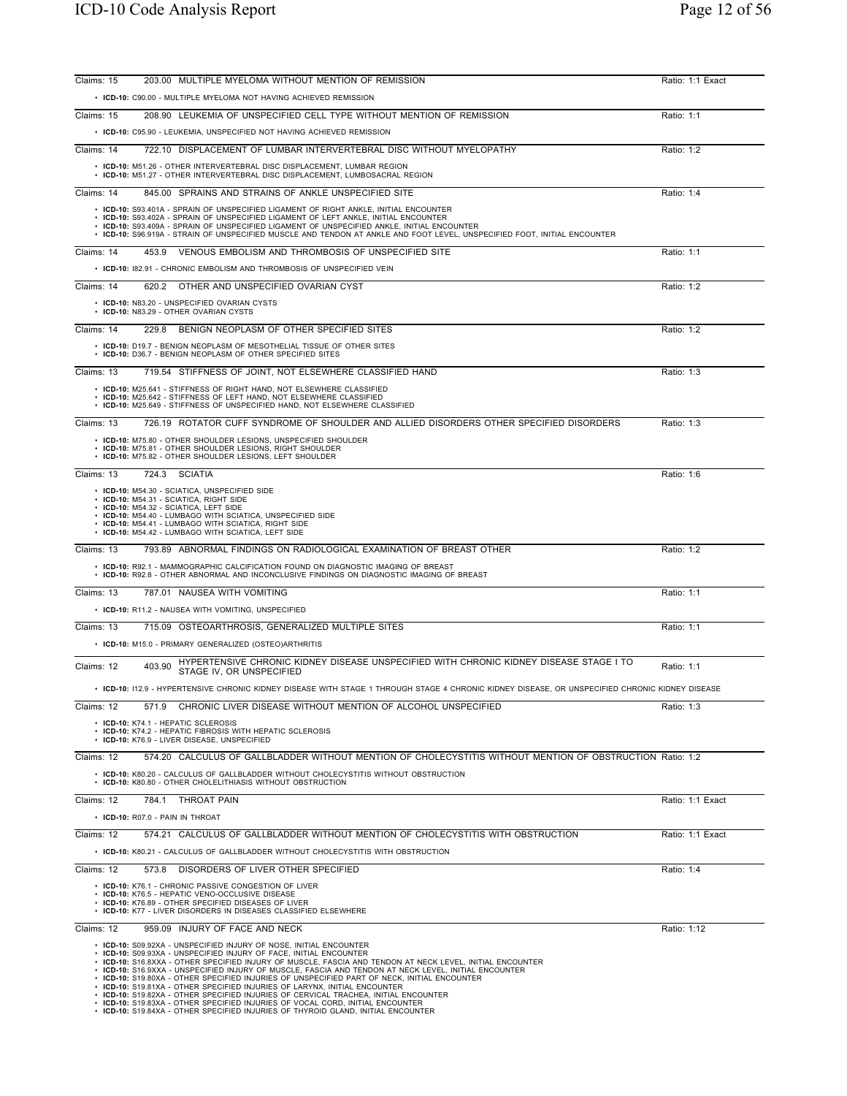| Claims: 15<br>203.00 MULTIPLE MYELOMA WITHOUT MENTION OF REMISSION                                                                                                                                                                                                                                                                                                                                                                                             | Ratio: 1:1 Exact |
|----------------------------------------------------------------------------------------------------------------------------------------------------------------------------------------------------------------------------------------------------------------------------------------------------------------------------------------------------------------------------------------------------------------------------------------------------------------|------------------|
| • ICD-10: C90.00 - MULTIPLE MYELOMA NOT HAVING ACHIEVED REMISSION                                                                                                                                                                                                                                                                                                                                                                                              |                  |
| 208.90 LEUKEMIA OF UNSPECIFIED CELL TYPE WITHOUT MENTION OF REMISSION<br>Claims: 15                                                                                                                                                                                                                                                                                                                                                                            | Ratio: 1:1       |
| • ICD-10: C95.90 - LEUKEMIA, UNSPECIFIED NOT HAVING ACHIEVED REMISSION                                                                                                                                                                                                                                                                                                                                                                                         |                  |
| 722.10 DISPLACEMENT OF LUMBAR INTERVERTEBRAL DISC WITHOUT MYELOPATHY<br>Claims: 14                                                                                                                                                                                                                                                                                                                                                                             | Ratio: 1:2       |
| • ICD-10: M51.26 - OTHER INTERVERTEBRAL DISC DISPLACEMENT, LUMBAR REGION<br>• ICD-10: M51.27 - OTHER INTERVERTEBRAL DISC DISPLACEMENT, LUMBOSACRAL REGION                                                                                                                                                                                                                                                                                                      |                  |
| 845.00 SPRAINS AND STRAINS OF ANKLE UNSPECIFIED SITE<br>Claims: 14                                                                                                                                                                                                                                                                                                                                                                                             | Ratio: 1:4       |
| • ICD-10: S93.401A - SPRAIN OF UNSPECIFIED LIGAMENT OF RIGHT ANKLE, INITIAL ENCOUNTER<br>• ICD-10: S93.402A - SPRAIN OF UNSPECIFIED LIGAMENT OF LEFT ANKLE, INITIAL ENCOUNTER<br>• ICD-10: S93.409A - SPRAIN OF UNSPECIFIED LIGAMENT OF UNSPECIFIED ANKLE, INITIAL ENCOUNTER<br>· ICD-10: S96.919A - STRAIN OF UNSPECIFIED MUSCLE AND TENDON AT ANKLE AND FOOT LEVEL, UNSPECIFIED FOOT, INITIAL ENCOUNTER                                                      |                  |
| 453.9 VENOUS EMBOLISM AND THROMBOSIS OF UNSPECIFIED SITE<br>Claims: 14                                                                                                                                                                                                                                                                                                                                                                                         | Ratio: 1:1       |
| • ICD-10: 182.91 - CHRONIC EMBOLISM AND THROMBOSIS OF UNSPECIFIED VEIN                                                                                                                                                                                                                                                                                                                                                                                         |                  |
| Claims: 14<br>620.2<br>OTHER AND UNSPECIFIED OVARIAN CYST                                                                                                                                                                                                                                                                                                                                                                                                      | Ratio: 1:2       |
| • ICD-10: N83.20 - UNSPECIFIED OVARIAN CYSTS<br>• ICD-10: N83.29 - OTHER OVARIAN CYSTS                                                                                                                                                                                                                                                                                                                                                                         |                  |
| Claims: 14<br>229.8<br>BENIGN NEOPLASM OF OTHER SPECIFIED SITES                                                                                                                                                                                                                                                                                                                                                                                                | Ratio: 1:2       |
| • ICD-10: D19.7 - BENIGN NEOPLASM OF MESOTHELIAL TISSUE OF OTHER SITES<br>• ICD-10: D36.7 - BENIGN NEOPLASM OF OTHER SPECIFIED SITES                                                                                                                                                                                                                                                                                                                           |                  |
| Claims: 13<br>719.54 STIFFNESS OF JOINT, NOT ELSEWHERE CLASSIFIED HAND                                                                                                                                                                                                                                                                                                                                                                                         | Ratio: 1:3       |
| • ICD-10: M25.641 - STIFFNESS OF RIGHT HAND, NOT ELSEWHERE CLASSIFIED<br>• ICD-10: M25.642 - STIFFNESS OF LEFT HAND. NOT ELSEWHERE CLASSIFIED<br>• ICD-10: M25.649 - STIFFNESS OF UNSPECIFIED HAND. NOT ELSEWHERE CLASSIFIED                                                                                                                                                                                                                                   |                  |
| Claims: 13<br>726.19 ROTATOR CUFF SYNDROME OF SHOULDER AND ALLIED DISORDERS OTHER SPECIFIED DISORDERS                                                                                                                                                                                                                                                                                                                                                          | Ratio: 1:3       |
| • ICD-10: M75.80 - OTHER SHOULDER LESIONS, UNSPECIFIED SHOULDER<br>• ICD-10: M75.81 - OTHER SHOULDER LESIONS, RIGHT SHOULDER<br>• ICD-10: M75.82 - OTHER SHOULDER LESIONS, LEFT SHOULDER                                                                                                                                                                                                                                                                       |                  |
| 724.3 SCIATIA<br>Claims: 13                                                                                                                                                                                                                                                                                                                                                                                                                                    | Ratio: 1:6       |
| • ICD-10: M54.30 - SCIATICA, UNSPECIFIED SIDE<br>· ICD-10: M54.31 - SCIATICA, RIGHT SIDE<br>· ICD-10: M54.32 - SCIATICA, LEFT SIDE<br>• ICD-10: M54.40 - LUMBAGO WITH SCIATICA, UNSPECIFIED SIDE<br>• ICD-10: M54.41 - LUMBAGO WITH SCIATICA, RIGHT SIDE<br>• ICD-10: M54.42 - LUMBAGO WITH SCIATICA, LEFT SIDE                                                                                                                                                |                  |
| 793.89 ABNORMAL FINDINGS ON RADIOLOGICAL EXAMINATION OF BREAST OTHER<br>Claims: 13                                                                                                                                                                                                                                                                                                                                                                             | Ratio: 1:2       |
| • ICD-10: R92.1 - MAMMOGRAPHIC CALCIFICATION FOUND ON DIAGNOSTIC IMAGING OF BREAST<br>• ICD-10: R92.8 - OTHER ABNORMAL AND INCONCLUSIVE FINDINGS ON DIAGNOSTIC IMAGING OF BREAST                                                                                                                                                                                                                                                                               |                  |
| 787.01 NAUSEA WITH VOMITING<br>Claims: 13                                                                                                                                                                                                                                                                                                                                                                                                                      | Ratio: 1:1       |
| • ICD-10: R11.2 - NAUSEA WITH VOMITING, UNSPECIFIED                                                                                                                                                                                                                                                                                                                                                                                                            |                  |
| 715.09 OSTEOARTHROSIS, GENERALIZED MULTIPLE SITES<br>Claims: 13                                                                                                                                                                                                                                                                                                                                                                                                | Ratio: 1:1       |
| • ICD-10: M15.0 - PRIMARY GENERALIZED (OSTEO)ARTHRITIS                                                                                                                                                                                                                                                                                                                                                                                                         |                  |
| HYPERTENSIVE CHRONIC KIDNEY DISEASE UNSPECIFIED WITH CHRONIC KIDNEY DISEASE STAGE I TO<br>Claims: 12<br>403.90<br>STAGE IV, OR UNSPECIFIED                                                                                                                                                                                                                                                                                                                     | Ratio: 1:1       |
| · ICD-10: 112.9 - HYPERTENSIVE CHRONIC KIDNEY DISEASE WITH STAGE 1 THROUGH STAGE 4 CHRONIC KIDNEY DISEASE, OR UNSPECIFIED CHRONIC KIDNEY DISEASE                                                                                                                                                                                                                                                                                                               |                  |
| CHRONIC LIVER DISEASE WITHOUT MENTION OF ALCOHOL UNSPECIFIED<br>Claims: 12<br>571.9                                                                                                                                                                                                                                                                                                                                                                            | Ratio: 1:3       |
| • ICD-10: K74.1 - HEPATIC SCLEROSIS<br>• ICD-10: K74.2 - HEPATIC FIBROSIS WITH HEPATIC SCLEROSIS<br>• ICD-10: K76.9 - LIVER DISEASE, UNSPECIFIED                                                                                                                                                                                                                                                                                                               |                  |
| 574.20 CALCULUS OF GALLBLADDER WITHOUT MENTION OF CHOLECYSTITIS WITHOUT MENTION OF OBSTRUCTION Ratio: 1:2<br>Claims: 12                                                                                                                                                                                                                                                                                                                                        |                  |
| • ICD-10: K80.20 - CALCULUS OF GALLBLADDER WITHOUT CHOLECYSTITIS WITHOUT OBSTRUCTION<br>• ICD-10: K80.80 - OTHER CHOLELITHIASIS WITHOUT OBSTRUCTION                                                                                                                                                                                                                                                                                                            |                  |
| 784.1 THROAT PAIN<br>Claims: 12                                                                                                                                                                                                                                                                                                                                                                                                                                | Ratio: 1:1 Exact |
| • ICD-10: R07.0 - PAIN IN THROAT                                                                                                                                                                                                                                                                                                                                                                                                                               |                  |
| Claims: 12<br>574.21 CALCULUS OF GALLBLADDER WITHOUT MENTION OF CHOLECYSTITIS WITH OBSTRUCTION<br>• ICD-10: K80.21 - CALCULUS OF GALLBLADDER WITHOUT CHOLECYSTITIS WITH OBSTRUCTION                                                                                                                                                                                                                                                                            | Ratio: 1:1 Exact |
| Claims: 12<br>573.8 DISORDERS OF LIVER OTHER SPECIFIED                                                                                                                                                                                                                                                                                                                                                                                                         | Ratio: 1:4       |
| • ICD-10: K76.1 - CHRONIC PASSIVE CONGESTION OF LIVER<br>• ICD-10: K76.5 - HEPATIC VENO-OCCLUSIVE DISEASE                                                                                                                                                                                                                                                                                                                                                      |                  |
| • ICD-10: K76.89 - OTHER SPECIFIED DISEASES OF LIVER<br>• ICD-10: K77 - LIVER DISORDERS IN DISEASES CLASSIFIED ELSEWHERE                                                                                                                                                                                                                                                                                                                                       |                  |
| Claims: 12<br>959.09 INJURY OF FACE AND NECK                                                                                                                                                                                                                                                                                                                                                                                                                   | Ratio: 1:12      |
| • ICD-10: S09.92XA - UNSPECIFIED INJURY OF NOSE, INITIAL ENCOUNTER<br>• ICD-10: S09.93XA - UNSPECIFIED INJURY OF FACE, INITIAL ENCOUNTER<br>. ICD-10: S16.8XXA - OTHER SPECIFIED INJURY OF MUSCLE, FASCIA AND TENDON AT NECK LEVEL, INITIAL ENCOUNTER<br>. ICD-10: S16.9XXA - UNSPECIFIED INJURY OF MUSCLE, FASCIA AND TENDON AT NECK LEVEL, INITIAL ENCOUNTER<br>• ICD-10: S19.80XA - OTHER SPECIFIED INJURIES OF UNSPECIFIED PART OF NECK, INITIAL ENCOUNTER |                  |
| • ICD-10: S19.81XA - OTHER SPECIFIED INJURIES OF LARYNX. INITIAL ENCOUNTER<br>• ICD-10: S19.82XA - OTHER SPECIFIED INJURIES OF CERVICAL TRACHEA, INITIAL ENCOUNTER                                                                                                                                                                                                                                                                                             |                  |

• ICD-10: S19.82XA - OTHER SPECIFIED INJURIES OF CERVICAL TRACHEA, INITIAL ENCOUNTER<br>• ICD-10: S19.83XA - OTHER SPECIFIED INJURIES OF VOCAL CORD, INITIAL ENCOUNTER<br>• ICD-10: S19.84XA - OTHER SPECIFIED INJURIES OF THYROID G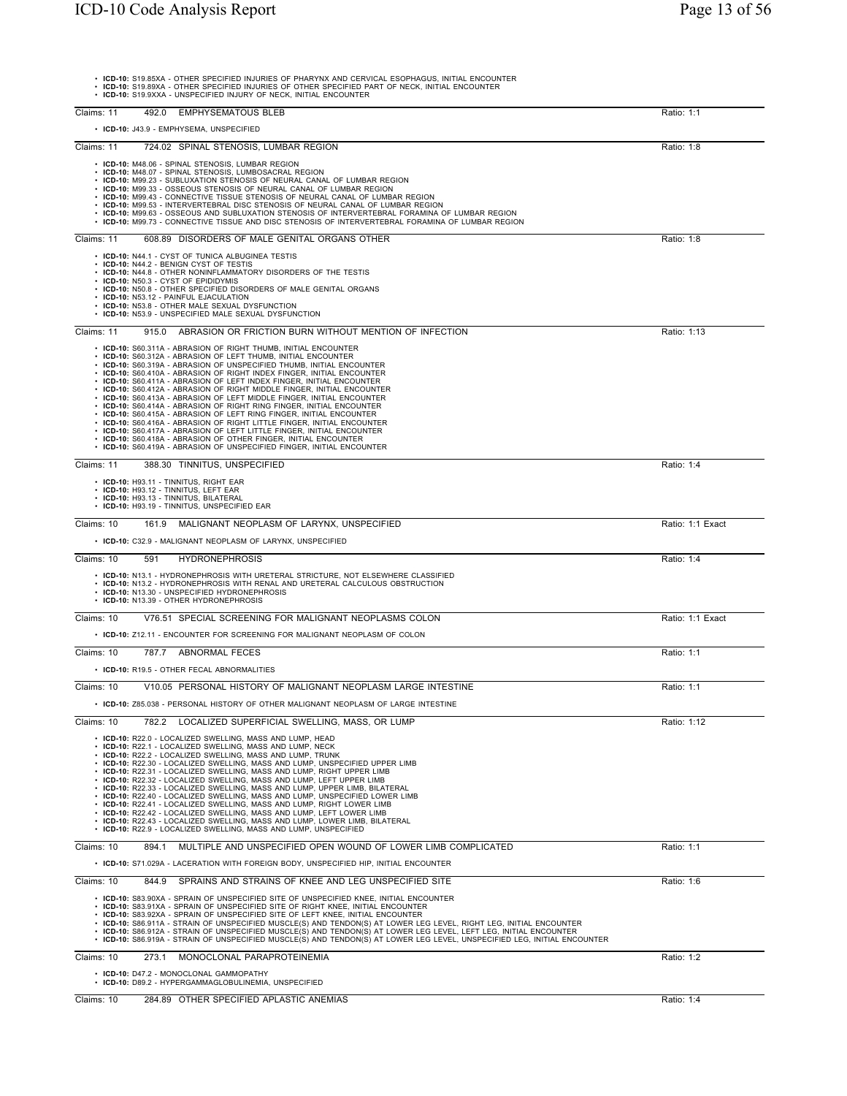• **ICD-10:** S19.85XA - OTHER SPECIFIED INJURIES OF PHARYNX AND CERVICAL ESOPHAGUS, INITIAL ENCOUNTER • **ICD-10:** S19.89XA - OTHER SPECIFIED INJURIES OF OTHER SPECIFIED PART OF NECK, INITIAL ENCOUNTER • **ICD-10:** S19.9XXA - UNSPECIFIED INJURY OF NECK, INITIAL ENCOUNTER Claims: 11 492.0 EMPHYSEMATOUS BLEB Ratio: 1:1 • **ICD-10:** J43.9 - EMPHYSEMA, UNSPECIFIED Claims: 11 724.02 SPINAL STENOSIS, LUMBAR REGION Ratio: 1:8 • **ICD-10:** M48.06 - SPINAL STENOSIS, LUMBAR REGION • **ICD-10:** M48.07 - SPINAL STENOSIS, LUMBOSACRAL REGION • **ICD-10:** M99.23 - SUBLUXATION STENOSIS OF NEURAL CANAL OF LUMBAR REGION • **ICD-10:** M99.33 - OSSEOUS STENOSIS OF NEURAL CANAL OF LUMBAR REGION • ICD-10: M99.43 - CONNECTIVE TISSUE STENOSIS OF NEURAL CANAL OF LUMBAR REGION<br>• ICD-10: M99.53 - INTERVERTEBRAL DISC STENOSIS OF NEURAL CANAL OF LUMBAR REGION<br>• ICD-10: M99.63 - OSSEOUS AND SUBLUXATION STENOSIS OF INTERVE Claims: 11 608.89 DISORDERS OF MALE GENITAL ORGANS OTHER **Ratio: 1:8** Ratio: 1:8 • ICD-10: N44.1 - CYST OF TUNICA ALBUGINEA TESTIS<br>• ICD-10: N44.2 - BENIGN CYST OF TESTIS<br>• ICD-10: N44.8 - OTHER NONINFLAMMATORY DISORDERS OF THE TESTIS<br>• ICD-10: N50.8 - CYST OF EPIDIDYMIS<br>• ICD-10: N50.8 - OTHER SPECIFI Claims: 11 915.0 ABRASION OR FRICTION BURN WITHOUT MENTION OF INFECTION Ratio: 1:13 • ICD-10: S60.311A - ABRASION OF RIGHT THUMB, INITIAL ENCOUNTER<br>• ICD-10: S60.312A - ABRASION OF LEFT THUMB, INITIAL ENCOUNTER<br>• ICD-10: S60.319A - ABRASION OF UNSPECIFIED THUMB, INITIAL ENCOUNTER<br>• ICD-10: S60.410A - ABRA Claims: 11 388.30 TINNITUS, UNSPECIFIED Ratio: 1:4 • **ICD-10**: H93.11 - TINNITUS, RIGHT EAR<br>• **ICD-10**: H93.12 - TINNITUS, LEFT EAR<br>• **ICD-10:** H93.13 - TINNITUS, BILATERAL<br>• **ICD-10:** H93.19 - TINNITUS, UNSPECIFIED EAR Claims: 10 161.9 MALIGNANT NEOPLASM OF LARYNX, UNSPECIFIED Ratio: 1:1 Exact • **ICD-10:** C32.9 - MALIGNANT NEOPLASM OF LARYNX, UNSPECIFIED Claims: 10 591 HYDRONEPHROSIS Ratio: 1:4 • **ICD-10:** N13.1 - HYDRONEPHROSIS WITH URETERAL STRICTURE, NOT ELSEWHERE CLASSIFIED • **ICD-10:** N13.2 - HYDRONEPHROSIS WITH RENAL AND URETERAL CALCULOUS OBSTRUCTION<br>• **ICD-10:** N13.30 - UNSPECIFIED HYDRONEPHROSIS<br>• **ICD-10:** N13.39 - OTHER HYDRONEPHROSIS Claims: 10 V76.51 SPECIAL SCREENING FOR MALIGNANT NEOPLASMS COLON Ratio: 1:1 Exact • **ICD-10:** Z12.11 - ENCOUNTER FOR SCREENING FOR MALIGNANT NEOPLASM OF COLON Claims: 10 787.7 ABNORMAL FECES RATIO: 1:1 • **ICD-10:** R19.5 - OTHER FECAL ABNORMALITIES Claims: 10 V10.05 PERSONAL HISTORY OF MALIGNANT NEOPLASM LARGE INTESTINE **Ratio: 1:1** Ratio: 1:1 • **ICD-10:** Z85.038 - PERSONAL HISTORY OF OTHER MALIGNANT NEOPLASM OF LARGE INTESTINE Claims: 10 782.2 LOCALIZED SUPERFICIAL SWELLING, MASS, OR LUMP RATIO: 1:12 • ICD-10: R22.0 - LOCALIZED SWELLING, MASS AND LUMP, HEAD<br>• ICD-10: R22.1 - LOCALIZED SWELLING, MASS AND LUMP, NECK<br>• ICD-10: R22.2 - LOCALIZED SWELLING, MASS AND LUMP, TRUNK<br>• ICD-10: R22.31 - LOCALIZED SWELLING, MASS AND Claims: 10 894.1 MULTIPLE AND UNSPECIFIED OPEN WOUND OF LOWER LIMB COMPLICATED Ratio: 1:1 • **ICD-10:** S71.029A - LACERATION WITH FOREIGN BODY, UNSPECIFIED HIP, INITIAL ENCOUNTER Claims: 10 844.9 SPRAINS AND STRAINS OF KNEE AND LEG UNSPECIFIED SITE Ratio: 1:6 • ICD-10: S83.90XA - SPRAIN OF UNSPECIFIED SITE OF UNSPECIFIED KNEE, INITIAL ENCOUNTER<br>• ICD-10: S83.91XA - SPRAIN OF UNSPECIFIED SITE OF RIGHT KNEE, INITIAL ENCOUNTER<br>• ICD-10: S83.91XA - SPRAIN OF UNSPECIFIED SITE OF LEF Claims: 10 273.1 MONOCLONAL PARAPROTEINEMIA Ratio: 1:2 • **ICD-10:** D47.2 - MONOCLONAL GAMMOPATHY • **ICD-10:** D89.2 - HYPERGAMMAGLOBULINEMIA, UNSPECIFIED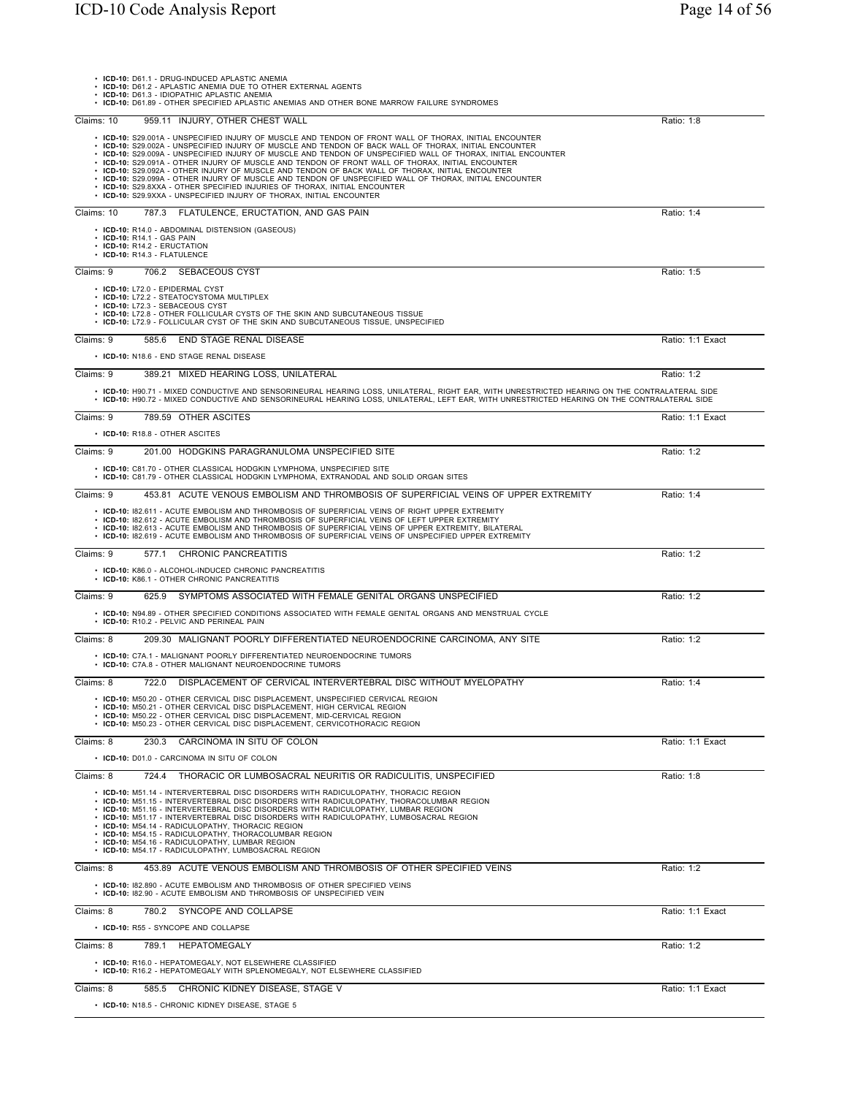| • ICD-10: D61.1 - DRUG-INDUCED APLASTIC ANEMIA<br>• ICD-10: D61.2 - APLASTIC ANEMIA DUE TO OTHER EXTERNAL AGENTS<br>• ICD-10: D61.3 - IDIOPATHIC APLASTIC ANEMIA<br>. ICD-10: D61.89 - OTHER SPECIFIED APLASTIC ANEMIAS AND OTHER BONE MARROW FAILURE SYNDROMES                                                                                                                                                                                                                                                                                                                                                                                                                                                                                                                                              |                  |
|--------------------------------------------------------------------------------------------------------------------------------------------------------------------------------------------------------------------------------------------------------------------------------------------------------------------------------------------------------------------------------------------------------------------------------------------------------------------------------------------------------------------------------------------------------------------------------------------------------------------------------------------------------------------------------------------------------------------------------------------------------------------------------------------------------------|------------------|
| 959.11 INJURY, OTHER CHEST WALL<br>Claims: 10                                                                                                                                                                                                                                                                                                                                                                                                                                                                                                                                                                                                                                                                                                                                                                | Ratio: 1:8       |
| . ICD-10: S29.001A - UNSPECIFIED INJURY OF MUSCLE AND TENDON OF FRONT WALL OF THORAX, INITIAL ENCOUNTER<br>. ICD-10: S29.002A - UNSPECIFIED INJURY OF MUSCLE AND TENDON OF BACK WALL OF THORAX. INITIAL ENCOUNTER<br>. ICD-10: S29.009A - UNSPECIFIED INJURY OF MUSCLE AND TENDON OF UNSPECIFIED WALL OF THORAX, INITIAL ENCOUNTER<br>. ICD-10: S29.091A - OTHER INJURY OF MUSCLE AND TENDON OF FRONT WALL OF THORAX, INITIAL ENCOUNTER<br>. ICD-10: S29.092A - OTHER INJURY OF MUSCLE AND TENDON OF BACK WALL OF THORAX, INITIAL ENCOUNTER<br>. ICD-10: S29.099A - OTHER INJURY OF MUSCLE AND TENDON OF UNSPECIFIED WALL OF THORAX, INITIAL ENCOUNTER<br>• ICD-10: S29.8XXA - OTHER SPECIFIED INJURIES OF THORAX, INITIAL ENCOUNTER<br>• ICD-10: S29.9XXA - UNSPECIFIED INJURY OF THORAX, INITIAL ENCOUNTER |                  |
| Claims: 10<br>787.3 FLATULENCE, ERUCTATION, AND GAS PAIN                                                                                                                                                                                                                                                                                                                                                                                                                                                                                                                                                                                                                                                                                                                                                     | Ratio: 1:4       |
| • ICD-10: R14.0 - ABDOMINAL DISTENSION (GASEOUS)<br>• ICD-10: R14.1 - GAS PAIN<br>• ICD-10: R14.2 - ERUCTATION<br>· ICD-10: R14.3 - FLATULENCE                                                                                                                                                                                                                                                                                                                                                                                                                                                                                                                                                                                                                                                               |                  |
| Claims: 9<br>706.2 SEBACEOUS CYST                                                                                                                                                                                                                                                                                                                                                                                                                                                                                                                                                                                                                                                                                                                                                                            | Ratio: 1:5       |
| • ICD-10: L72.0 - EPIDERMAL CYST<br>• ICD-10: L72.2 - STEATOCYSTOMA MULTIPLEX<br>• ICD-10: L72.3 - SEBACEOUS CYST<br>• ICD-10: L72.8 - OTHER FOLLICULAR CYSTS OF THE SKIN AND SUBCUTANEOUS TISSUE<br>• ICD-10: L72.9 - FOLLICULAR CYST OF THE SKIN AND SUBCUTANEOUS TISSUE, UNSPECIFIED                                                                                                                                                                                                                                                                                                                                                                                                                                                                                                                      |                  |
| Claims: 9<br>585.6<br>END STAGE RENAL DISEASE                                                                                                                                                                                                                                                                                                                                                                                                                                                                                                                                                                                                                                                                                                                                                                | Ratio: 1:1 Exact |
| • ICD-10: N18.6 - END STAGE RENAL DISEASE                                                                                                                                                                                                                                                                                                                                                                                                                                                                                                                                                                                                                                                                                                                                                                    |                  |
| Claims: 9<br>389.21 MIXED HEARING LOSS, UNILATERAL                                                                                                                                                                                                                                                                                                                                                                                                                                                                                                                                                                                                                                                                                                                                                           | Ratio: 1:2       |
| . ICD-10: H90.71 - MIXED CONDUCTIVE AND SENSORINEURAL HEARING LOSS, UNILATERAL, RIGHT EAR, WITH UNRESTRICTED HEARING ON THE CONTRALATERAL SIDE<br>. ICD-10: H90.72 - MIXED CONDUCTIVE AND SENSORINEURAL HEARING LOSS, UNILATERAL, LEFT EAR, WITH UNRESTRICTED HEARING ON THE CONTRALATERAL SIDE                                                                                                                                                                                                                                                                                                                                                                                                                                                                                                              |                  |
| 789.59 OTHER ASCITES<br>Claims: 9                                                                                                                                                                                                                                                                                                                                                                                                                                                                                                                                                                                                                                                                                                                                                                            | Ratio: 1:1 Exact |
| • ICD-10: R18.8 - OTHER ASCITES                                                                                                                                                                                                                                                                                                                                                                                                                                                                                                                                                                                                                                                                                                                                                                              |                  |
| 201.00 HODGKINS PARAGRANULOMA UNSPECIFIED SITE<br>Claims: 9                                                                                                                                                                                                                                                                                                                                                                                                                                                                                                                                                                                                                                                                                                                                                  | Ratio: 1:2       |
| • ICD-10: C81.70 - OTHER CLASSICAL HODGKIN LYMPHOMA, UNSPECIFIED SITE<br>· ICD-10: C81.79 - OTHER CLASSICAL HODGKIN LYMPHOMA, EXTRANODAL AND SOLID ORGAN SITES                                                                                                                                                                                                                                                                                                                                                                                                                                                                                                                                                                                                                                               |                  |
| Claims: 9<br>453.81 ACUTE VENOUS EMBOLISM AND THROMBOSIS OF SUPERFICIAL VEINS OF UPPER EXTREMITY                                                                                                                                                                                                                                                                                                                                                                                                                                                                                                                                                                                                                                                                                                             | Ratio: 1:4       |
| . ICD-10: 182.611 - ACUTE EMBOLISM AND THROMBOSIS OF SUPERFICIAL VEINS OF RIGHT UPPER EXTREMITY<br>. ICD-10: 182.612 - ACUTE EMBOLISM AND THROMBOSIS OF SUPERFICIAL VEINS OF LEFT UPPER EXTREMITY<br>. ICD-10: 182.613 - ACUTE EMBOLISM AND THROMBOSIS OF SUPERFICIAL VEINS OF UPPER EXTREMITY, BILATERAL<br>• ICD-10: 182.619 - ACUTE EMBOLISM AND THROMBOSIS OF SUPERFICIAL VEINS OF UNSPECIFIED UPPER EXTREMITY                                                                                                                                                                                                                                                                                                                                                                                           |                  |
| <b>CHRONIC PANCREATITIS</b><br>Claims: 9<br>577.1                                                                                                                                                                                                                                                                                                                                                                                                                                                                                                                                                                                                                                                                                                                                                            | Ratio: 1:2       |
| • ICD-10: K86.0 - ALCOHOL-INDUCED CHRONIC PANCREATITIS<br>• ICD-10: K86.1 - OTHER CHRONIC PANCREATITIS                                                                                                                                                                                                                                                                                                                                                                                                                                                                                                                                                                                                                                                                                                       |                  |
| Claims: 9<br>SYMPTOMS ASSOCIATED WITH FEMALE GENITAL ORGANS UNSPECIFIED<br>625.9                                                                                                                                                                                                                                                                                                                                                                                                                                                                                                                                                                                                                                                                                                                             | Ratio: 1:2       |
| · ICD-10: N94.89 - OTHER SPECIFIED CONDITIONS ASSOCIATED WITH FEMALE GENITAL ORGANS AND MENSTRUAL CYCLE<br>• ICD-10: R10.2 - PELVIC AND PERINEAL PAIN                                                                                                                                                                                                                                                                                                                                                                                                                                                                                                                                                                                                                                                        |                  |
| Claims: 8<br>209.30 MALIGNANT POORLY DIFFERENTIATED NEUROENDOCRINE CARCINOMA. ANY SITE                                                                                                                                                                                                                                                                                                                                                                                                                                                                                                                                                                                                                                                                                                                       | Ratio: 1:2       |
| • ICD-10: C7A.1 - MALIGNANT POORLY DIFFERENTIATED NEUROENDOCRINE TUMORS<br>• ICD-10: C7A.8 - OTHER MALIGNANT NEUROENDOCRINE TUMORS                                                                                                                                                                                                                                                                                                                                                                                                                                                                                                                                                                                                                                                                           |                  |
| DISPLACEMENT OF CERVICAL INTERVERTEBRAL DISC WITHOUT MYELOPATHY<br>722.0<br>Claims: 8                                                                                                                                                                                                                                                                                                                                                                                                                                                                                                                                                                                                                                                                                                                        | Ratio: 1:4       |
| • ICD-10: M50.20 - OTHER CERVICAL DISC DISPLACEMENT, UNSPECIFIED CERVICAL REGION<br>• ICD-10: M50.21 - OTHER CERVICAL DISC DISPLACEMENT, HIGH CERVICAL REGION<br>• ICD-10: M50.22 - OTHER CERVICAL DISC DISPLACEMENT, MID-CERVICAL REGION<br>• ICD-10: M50.23 - OTHER CERVICAL DISC DISPLACEMENT, CERVICOTHORACIC REGION                                                                                                                                                                                                                                                                                                                                                                                                                                                                                     |                  |
| 230.3 CARCINOMA IN SITU OF COLON<br>Claims: 8                                                                                                                                                                                                                                                                                                                                                                                                                                                                                                                                                                                                                                                                                                                                                                | Ratio: 1:1 Exact |
| • ICD-10: D01.0 - CARCINOMA IN SITU OF COLON                                                                                                                                                                                                                                                                                                                                                                                                                                                                                                                                                                                                                                                                                                                                                                 |                  |
| Claims: 8<br>724.4 THORACIC OR LUMBOSACRAL NEURITIS OR RADICULITIS, UNSPECIFIED                                                                                                                                                                                                                                                                                                                                                                                                                                                                                                                                                                                                                                                                                                                              | Ratio: 1:8       |
| • ICD-10: M51.14 - INTERVERTEBRAL DISC DISORDERS WITH RADICULOPATHY, THORACIC REGION<br>• ICD-10: M51.15 - INTERVERTEBRAL DISC DISORDERS WITH RADICULOPATHY, THORACOLUMBAR REGION<br>• ICD-10: M51.16 - INTERVERTEBRAL DISC DISORDERS WITH RADICULOPATHY, LUMBAR REGION<br>• ICD-10: M51.17 - INTERVERTEBRAL DISC DISORDERS WITH RADICULOPATHY, LUMBOSACRAL REGION<br>• ICD-10: M54.14 - RADICULOPATHY, THORACIC REGION<br>• ICD-10: M54.15 - RADICULOPATHY, THORACOLUMBAR REGION<br>• ICD-10: M54.16 - RADICULOPATHY, LUMBAR REGION<br>• ICD-10: M54.17 - RADICULOPATHY, LUMBOSACRAL REGION                                                                                                                                                                                                                 |                  |
| Claims: 8<br>453.89 ACUTE VENOUS EMBOLISM AND THROMBOSIS OF OTHER SPECIFIED VEINS                                                                                                                                                                                                                                                                                                                                                                                                                                                                                                                                                                                                                                                                                                                            | Ratio: 1:2       |
| • ICD-10: 182.890 - ACUTE EMBOLISM AND THROMBOSIS OF OTHER SPECIFIED VEINS<br>• ICD-10: 182.90 - ACUTE EMBOLISM AND THROMBOSIS OF UNSPECIFIED VEIN                                                                                                                                                                                                                                                                                                                                                                                                                                                                                                                                                                                                                                                           |                  |
| SYNCOPE AND COLLAPSE<br>780.2<br>Claims: 8                                                                                                                                                                                                                                                                                                                                                                                                                                                                                                                                                                                                                                                                                                                                                                   | Ratio: 1:1 Exact |
| • ICD-10: R55 - SYNCOPE AND COLLAPSE                                                                                                                                                                                                                                                                                                                                                                                                                                                                                                                                                                                                                                                                                                                                                                         |                  |
| Claims: 8<br>789.1 HEPATOMEGALY                                                                                                                                                                                                                                                                                                                                                                                                                                                                                                                                                                                                                                                                                                                                                                              | Ratio: 1:2       |
| • ICD-10: R16.0 - HEPATOMEGALY, NOT ELSEWHERE CLASSIFIED<br>• ICD-10: R16.2 - HEPATOMEGALY WITH SPLENOMEGALY, NOT ELSEWHERE CLASSIFIED                                                                                                                                                                                                                                                                                                                                                                                                                                                                                                                                                                                                                                                                       |                  |
| 585.5 CHRONIC KIDNEY DISEASE, STAGE V<br>Claims: 8                                                                                                                                                                                                                                                                                                                                                                                                                                                                                                                                                                                                                                                                                                                                                           | Ratio: 1:1 Exact |
| • ICD-10: N18.5 - CHRONIC KIDNEY DISEASE, STAGE 5                                                                                                                                                                                                                                                                                                                                                                                                                                                                                                                                                                                                                                                                                                                                                            |                  |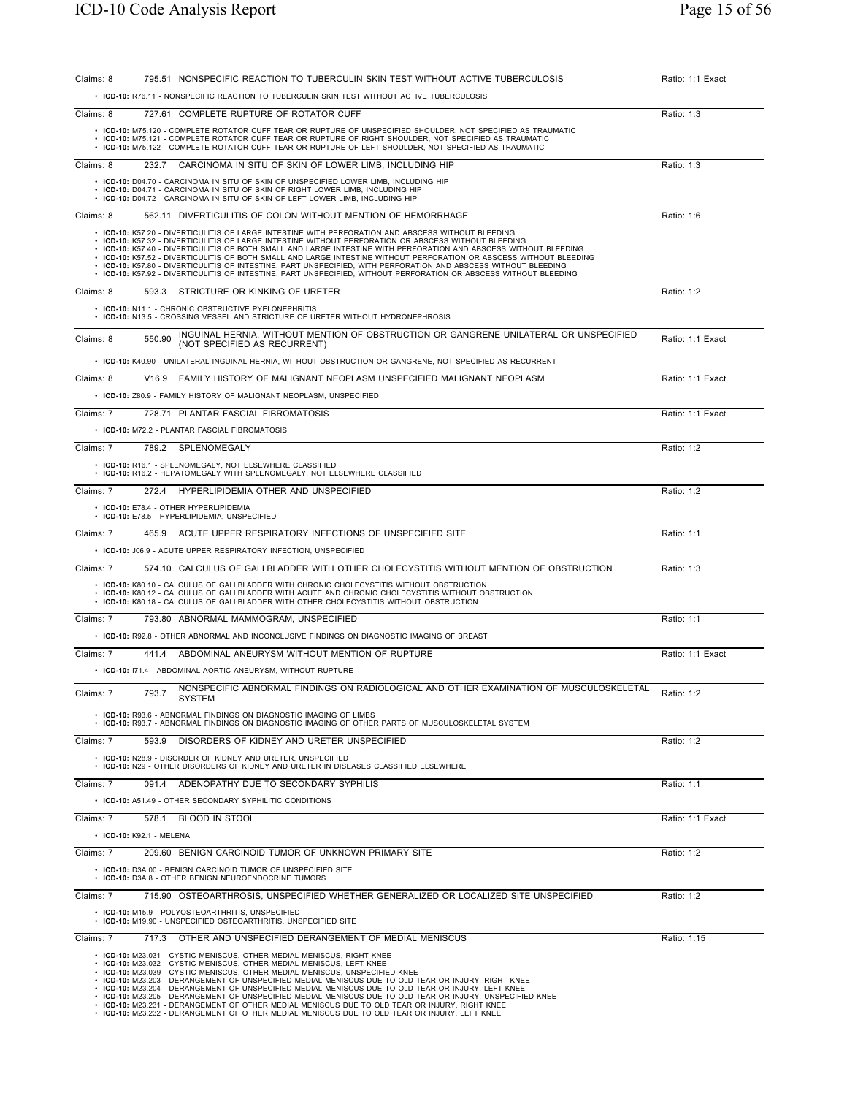| Claims: 8 | 795.51 NONSPECIFIC REACTION TO TUBERCULIN SKIN TEST WITHOUT ACTIVE TUBERCULOSIS                                                                                                                                                                                                                                                                                                                                                                                                                                                                                                                                                                                                                                                                                                                                               | Ratio: 1:1 Exact |
|-----------|-------------------------------------------------------------------------------------------------------------------------------------------------------------------------------------------------------------------------------------------------------------------------------------------------------------------------------------------------------------------------------------------------------------------------------------------------------------------------------------------------------------------------------------------------------------------------------------------------------------------------------------------------------------------------------------------------------------------------------------------------------------------------------------------------------------------------------|------------------|
|           | • ICD-10: R76.11 - NONSPECIFIC REACTION TO TUBERCULIN SKIN TEST WITHOUT ACTIVE TUBERCULOSIS                                                                                                                                                                                                                                                                                                                                                                                                                                                                                                                                                                                                                                                                                                                                   |                  |
| Claims: 8 | 727.61 COMPLETE RUPTURE OF ROTATOR CUFF                                                                                                                                                                                                                                                                                                                                                                                                                                                                                                                                                                                                                                                                                                                                                                                       | Ratio: 1:3       |
|           | . ICD-10: M75.120 - COMPLETE ROTATOR CUFF TEAR OR RUPTURE OF UNSPECIFIED SHOULDER, NOT SPECIFIED AS TRAUMATIC<br>· ICD-10: M75.121 - COMPLETE ROTATOR CUFF TEAR OR RUPTURE OF RIGHT SHOULDER, NOT SPECIFIED AS TRAUMATIC<br>· ICD-10: M75.122 - COMPLETE ROTATOR CUFF TEAR OR RUPTURE OF LEFT SHOULDER, NOT SPECIFIED AS TRAUMATIC                                                                                                                                                                                                                                                                                                                                                                                                                                                                                            |                  |
| Claims: 8 | CARCINOMA IN SITU OF SKIN OF LOWER LIMB, INCLUDING HIP<br>232.7                                                                                                                                                                                                                                                                                                                                                                                                                                                                                                                                                                                                                                                                                                                                                               | Ratio: 1:3       |
|           | • ICD-10: D04.70 - CARCINOMA IN SITU OF SKIN OF UNSPECIFIED LOWER LIMB, INCLUDING HIP<br>• ICD-10: D04.71 - CARCINOMA IN SITU OF SKIN OF RIGHT LOWER LIMB, INCLUDING HIP<br>• ICD-10: D04.72 - CARCINOMA IN SITU OF SKIN OF LEFT LOWER LIMB, INCLUDING HIP                                                                                                                                                                                                                                                                                                                                                                                                                                                                                                                                                                    |                  |
| Claims: 8 | 562.11 DIVERTICULITIS OF COLON WITHOUT MENTION OF HEMORRHAGE                                                                                                                                                                                                                                                                                                                                                                                                                                                                                                                                                                                                                                                                                                                                                                  | Ratio: 1:6       |
|           | • ICD-10: K57.20 - DIVERTICULITIS OF LARGE INTESTINE WITH PERFORATION AND ABSCESS WITHOUT BLEEDING<br>· ICD-10: K57.32 - DIVERTICULITIS OF LARGE INTESTINE WITHOUT PERFORATION OR ABSCESS WITHOUT BLEEDING<br>. ICD-10: K57.40 - DIVERTICULITIS OF BOTH SMALL AND LARGE INTESTINE WITH PERFORATION AND ABSCESS WITHOUT BLEEDING<br>. ICD-10: K57.52 - DIVERTICULITIS OF BOTH SMALL AND LARGE INTESTINE WITHOUT PERFORATION OR ABSCESS WITHOUT BLEEDING<br>· ICD-10: K57.80 - DIVERTICULITIS OF INTESTINE, PART UNSPECIFIED, WITH PERFORATION AND ABSCESS WITHOUT BLEEDING<br>. ICD-10: K57.92 - DIVERTICULITIS OF INTESTINE, PART UNSPECIFIED, WITHOUT PERFORATION OR ABSCESS WITHOUT BLEEDING                                                                                                                                |                  |
| Claims: 8 | STRICTURE OR KINKING OF URETER<br>593.3                                                                                                                                                                                                                                                                                                                                                                                                                                                                                                                                                                                                                                                                                                                                                                                       | Ratio: 1:2       |
|           | • ICD-10: N11.1 - CHRONIC OBSTRUCTIVE PYELONEPHRITIS<br>• ICD-10: N13.5 - CROSSING VESSEL AND STRICTURE OF URETER WITHOUT HYDRONEPHROSIS                                                                                                                                                                                                                                                                                                                                                                                                                                                                                                                                                                                                                                                                                      |                  |
| Claims: 8 | INGUINAL HERNIA, WITHOUT MENTION OF OBSTRUCTION OR GANGRENE UNILATERAL OR UNSPECIFIED<br>550.90<br>(NOT SPECIFIED AS RECURRENT)                                                                                                                                                                                                                                                                                                                                                                                                                                                                                                                                                                                                                                                                                               | Ratio: 1:1 Exact |
|           | · ICD-10: K40.90 - UNILATERAL INGUINAL HERNIA, WITHOUT OBSTRUCTION OR GANGRENE, NOT SPECIFIED AS RECURRENT                                                                                                                                                                                                                                                                                                                                                                                                                                                                                                                                                                                                                                                                                                                    |                  |
| Claims: 8 | V16.9 FAMILY HISTORY OF MALIGNANT NEOPLASM UNSPECIFIED MALIGNANT NEOPLASM                                                                                                                                                                                                                                                                                                                                                                                                                                                                                                                                                                                                                                                                                                                                                     | Ratio: 1:1 Exact |
|           | • ICD-10: Z80.9 - FAMILY HISTORY OF MALIGNANT NEOPLASM, UNSPECIFIED                                                                                                                                                                                                                                                                                                                                                                                                                                                                                                                                                                                                                                                                                                                                                           |                  |
| Claims: 7 | 728.71 PLANTAR FASCIAL FIBROMATOSIS<br>• ICD-10: M72.2 - PLANTAR FASCIAL FIBROMATOSIS                                                                                                                                                                                                                                                                                                                                                                                                                                                                                                                                                                                                                                                                                                                                         | Ratio: 1:1 Exact |
| Claims: 7 | 789.2 SPLENOMEGALY                                                                                                                                                                                                                                                                                                                                                                                                                                                                                                                                                                                                                                                                                                                                                                                                            | Ratio: 1:2       |
|           | • ICD-10: R16.1 - SPLENOMEGALY, NOT ELSEWHERE CLASSIFIED<br>• ICD-10: R16.2 - HEPATOMEGALY WITH SPLENOMEGALY, NOT ELSEWHERE CLASSIFIED                                                                                                                                                                                                                                                                                                                                                                                                                                                                                                                                                                                                                                                                                        |                  |
| Claims: 7 | 272.4<br>HYPERLIPIDEMIA OTHER AND UNSPECIFIED                                                                                                                                                                                                                                                                                                                                                                                                                                                                                                                                                                                                                                                                                                                                                                                 | Ratio: 1:2       |
|           | • ICD-10: E78.4 - OTHER HYPERLIPIDEMIA<br>• ICD-10: E78.5 - HYPERLIPIDEMIA, UNSPECIFIED                                                                                                                                                                                                                                                                                                                                                                                                                                                                                                                                                                                                                                                                                                                                       |                  |
| Claims: 7 | 465.9 ACUTE UPPER RESPIRATORY INFECTIONS OF UNSPECIFIED SITE                                                                                                                                                                                                                                                                                                                                                                                                                                                                                                                                                                                                                                                                                                                                                                  | Ratio: 1:1       |
|           | • ICD-10: J06.9 - ACUTE UPPER RESPIRATORY INFECTION, UNSPECIFIED                                                                                                                                                                                                                                                                                                                                                                                                                                                                                                                                                                                                                                                                                                                                                              |                  |
| Claims: 7 | 574.10 CALCULUS OF GALLBLADDER WITH OTHER CHOLECYSTITIS WITHOUT MENTION OF OBSTRUCTION                                                                                                                                                                                                                                                                                                                                                                                                                                                                                                                                                                                                                                                                                                                                        | Ratio: 1:3       |
|           | • ICD-10: K80.10 - CALCULUS OF GALLBLADDER WITH CHRONIC CHOLECYSTITIS WITHOUT OBSTRUCTION<br>. ICD-10: K80.12 - CALCULUS OF GALLBLADDER WITH ACUTE AND CHRONIC CHOLECYSTITIS WITHOUT OBSTRUCTION<br>• ICD-10: K80.18 - CALCULUS OF GALLBLADDER WITH OTHER CHOLECYSTITIS WITHOUT OBSTRUCTION                                                                                                                                                                                                                                                                                                                                                                                                                                                                                                                                   |                  |
| Claims: 7 | 793.80 ABNORMAL MAMMOGRAM, UNSPECIFIED                                                                                                                                                                                                                                                                                                                                                                                                                                                                                                                                                                                                                                                                                                                                                                                        | Ratio: 1:1       |
|           | • ICD-10: R92.8 - OTHER ABNORMAL AND INCONCLUSIVE FINDINGS ON DIAGNOSTIC IMAGING OF BREAST                                                                                                                                                                                                                                                                                                                                                                                                                                                                                                                                                                                                                                                                                                                                    |                  |
| Claims: 7 | ABDOMINAL ANEURYSM WITHOUT MENTION OF RUPTURE<br>441.4                                                                                                                                                                                                                                                                                                                                                                                                                                                                                                                                                                                                                                                                                                                                                                        | Ratio: 1:1 Exact |
|           | • ICD-10: 171.4 - ABDOMINAL AORTIC ANEURYSM, WITHOUT RUPTURE                                                                                                                                                                                                                                                                                                                                                                                                                                                                                                                                                                                                                                                                                                                                                                  |                  |
| Claims: 7 | NONSPECIFIC ABNORMAL FINDINGS ON RADIOLOGICAL AND OTHER EXAMINATION OF MUSCULOSKELETAL<br>793.7<br>SYSTEM                                                                                                                                                                                                                                                                                                                                                                                                                                                                                                                                                                                                                                                                                                                     | Ratio: 1:2       |
|           | • ICD-10: R93.6 - ABNORMAL FINDINGS ON DIAGNOSTIC IMAGING OF LIMBS<br>• ICD-10: R93.7 - ABNORMAL FINDINGS ON DIAGNOSTIC IMAGING OF OTHER PARTS OF MUSCULOSKELETAL SYSTEM                                                                                                                                                                                                                                                                                                                                                                                                                                                                                                                                                                                                                                                      |                  |
| Claims: 7 | 593.9 DISORDERS OF KIDNEY AND URETER UNSPECIFIED                                                                                                                                                                                                                                                                                                                                                                                                                                                                                                                                                                                                                                                                                                                                                                              | Ratio: 1:2       |
|           | • ICD-10: N28.9 - DISORDER OF KIDNEY AND URETER, UNSPECIFIED<br>• ICD-10: N29 - OTHER DISORDERS OF KIDNEY AND URETER IN DISEASES CLASSIFIED ELSEWHERE                                                                                                                                                                                                                                                                                                                                                                                                                                                                                                                                                                                                                                                                         |                  |
| Claims: 7 | 091.4<br>ADENOPATHY DUE TO SECONDARY SYPHILIS                                                                                                                                                                                                                                                                                                                                                                                                                                                                                                                                                                                                                                                                                                                                                                                 | Ratio: 1:1       |
|           | • ICD-10: A51.49 - OTHER SECONDARY SYPHILITIC CONDITIONS                                                                                                                                                                                                                                                                                                                                                                                                                                                                                                                                                                                                                                                                                                                                                                      |                  |
| Claims: 7 | 578.1 BLOOD IN STOOL                                                                                                                                                                                                                                                                                                                                                                                                                                                                                                                                                                                                                                                                                                                                                                                                          | Ratio: 1:1 Exact |
|           | • ICD-10: K92.1 - MELENA                                                                                                                                                                                                                                                                                                                                                                                                                                                                                                                                                                                                                                                                                                                                                                                                      |                  |
| Claims: 7 | 209.60 BENIGN CARCINOID TUMOR OF UNKNOWN PRIMARY SITE<br>• ICD-10: D3A.00 - BENIGN CARCINOID TUMOR OF UNSPECIFIED SITE                                                                                                                                                                                                                                                                                                                                                                                                                                                                                                                                                                                                                                                                                                        | Ratio: 1:2       |
| Claims: 7 | • ICD-10: D3A.8 - OTHER BENIGN NEUROENDOCRINE TUMORS<br>715.90 OSTEOARTHROSIS, UNSPECIFIED WHETHER GENERALIZED OR LOCALIZED SITE UNSPECIFIED                                                                                                                                                                                                                                                                                                                                                                                                                                                                                                                                                                                                                                                                                  | Ratio: 1:2       |
|           | • ICD-10: M15.9 - POLYOSTEOARTHRITIS, UNSPECIFIED                                                                                                                                                                                                                                                                                                                                                                                                                                                                                                                                                                                                                                                                                                                                                                             |                  |
|           | • ICD-10: M19.90 - UNSPECIFIED OSTEOARTHRITIS, UNSPECIFIED SITE                                                                                                                                                                                                                                                                                                                                                                                                                                                                                                                                                                                                                                                                                                                                                               |                  |
| Claims: 7 | 717.3 OTHER AND UNSPECIFIED DERANGEMENT OF MEDIAL MENISCUS<br>• ICD-10: M23.031 - CYSTIC MENISCUS, OTHER MEDIAL MENISCUS, RIGHT KNEE<br>• ICD-10: M23.032 - CYSTIC MENISCUS, OTHER MEDIAL MENISCUS, LEFT KNEE<br>• ICD-10: M23.039 - CYSTIC MENISCUS, OTHER MEDIAL MENISCUS, UNSPECIFIED KNEE<br>. ICD-10: M23.203 - DERANGEMENT OF UNSPECIFIED MEDIAL MENISCUS DUE TO OLD TEAR OR INJURY, RIGHT KNEE<br>. ICD-10: M23.204 - DERANGEMENT OF UNSPECIFIED MEDIAL MENISCUS DUE TO OLD TEAR OR INJURY, LEFT KNEE<br>. ICD-10: M23.205 - DERANGEMENT OF UNSPECIFIED MEDIAL MENISCUS DUE TO OLD TEAR OR INJURY, UNSPECIFIED KNEE<br>. ICD-10: M23.231 - DERANGEMENT OF OTHER MEDIAL MENISCUS DUE TO OLD TEAR OR INJURY, RIGHT KNEE<br>. ICD-10: M23.232 - DERANGEMENT OF OTHER MEDIAL MENISCUS DUE TO OLD TEAR OR INJURY, LEFT KNEE | Ratio: 1:15      |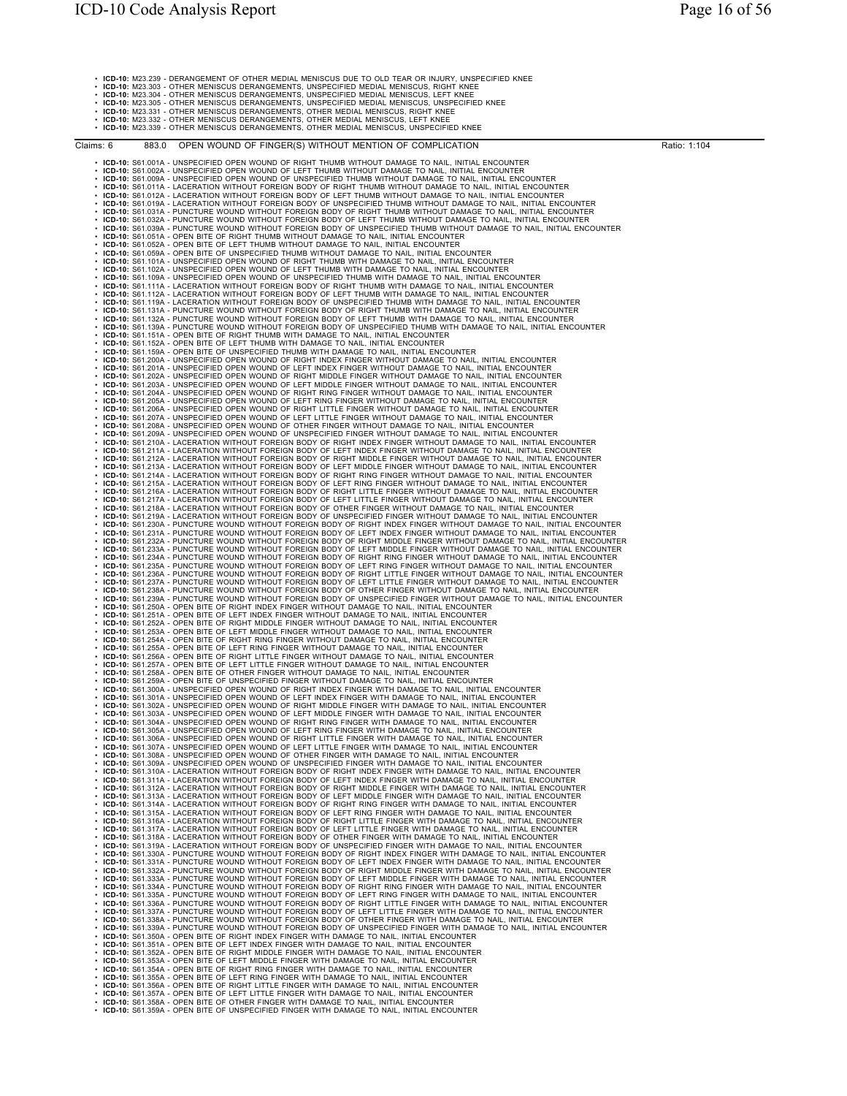• **ICD-10:** M23.239 - DERANGEMENT OF OTHER MEDIAL MENISCUS DUE TO OLD TEAR OR INJURY, UNSPECIFIED KNEE

• ICD-10: M23.303 - OTHER MENISCUS DERANGEMENTS, UNSPECIFIED MEDIAL MENISCUS, RIGHT KNEE<br>• ICD-10: M23.304 - OTHER MENISCUS DERANGEMENTS, UNSPECIFIED MEDIAL MENISCUS, LIEFT KNEE<br>• ICD-10: M23.305 - OTHER MENISCUS DERANGEME

• **ICD-10:** M23.339 - OTHER MENISCUS DERANGEMENTS, OTHER MEDIAL MENISCUS, UNSPECIFIED KNEE

Claims: 6 883.0 OPEN WOUND OF FINGER(S) WITHOUT MENTION OF COMPLICATION Ratio: 1:104

**ERROR SERVA: MORFENTER DEN MANALD IN DET HUMAR INTERNATIONALE TOMAGE PROFESSIONALE PROPERTIES (ESPACING PROFESSIONALE PROPERTIES) (ESPACING PROFESSIONALE PROPERTIES) (ESPACING PROFESSIONALE PROFESSIONALE PROPERTIES) (ESP** - IGD-10: 881 3944 - UNBEGRIED OPEN WOUND OF EIGHT RING FROER WITH DAMAGE TO NAIL, INITIAL ENCOUNTER<br>
• IGD-10: 881 3364 - UNBEGRIED OPEN WOUND OF LEFT IRING FROER WITH DAMAGE TO NAIL, INITIAL ENCOUNTER<br>
• IGD-10: 881 336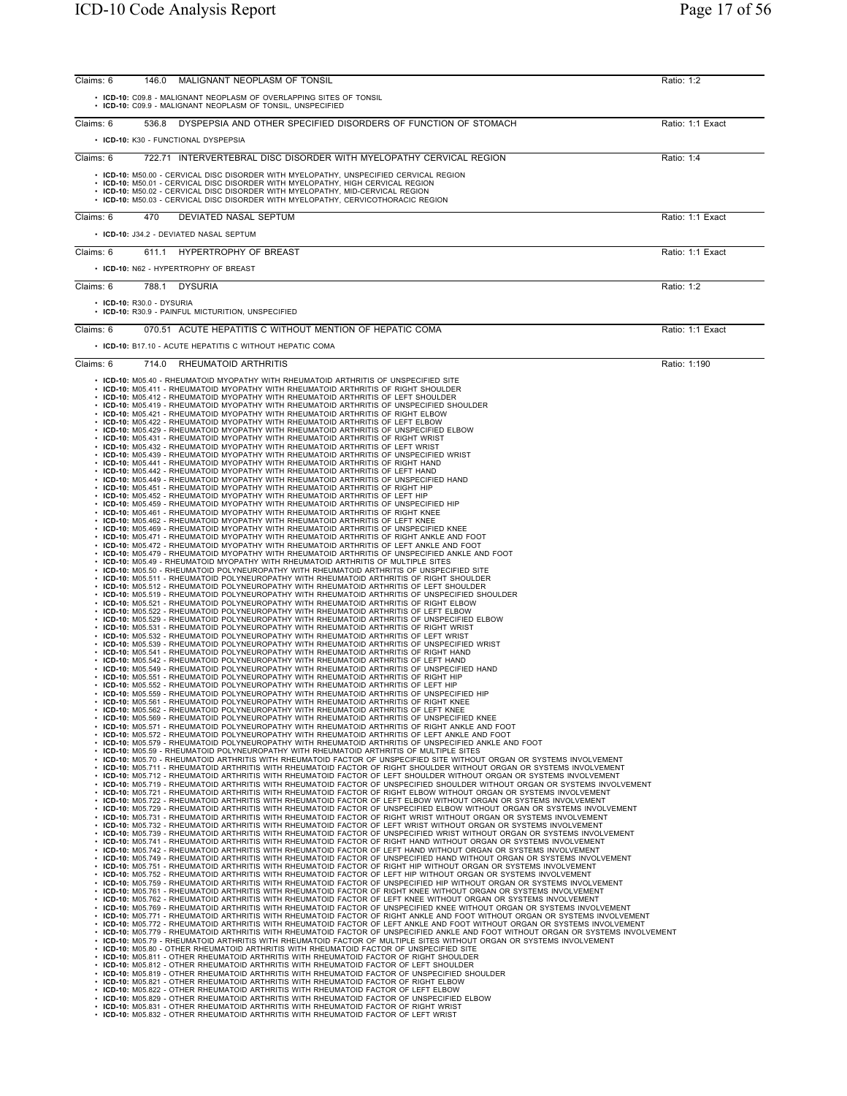| Claims: 6 | 146.0                     | MALIGNANT NEOPLASM OF TONSIL                                                                                                                                                                                                                                                                                                                                       | Ratio: 1:2       |
|-----------|---------------------------|--------------------------------------------------------------------------------------------------------------------------------------------------------------------------------------------------------------------------------------------------------------------------------------------------------------------------------------------------------------------|------------------|
|           |                           | • ICD-10: C09.8 - MALIGNANT NEOPLASM OF OVERLAPPING SITES OF TONSIL<br>• ICD-10: C09.9 - MALIGNANT NEOPLASM OF TONSIL, UNSPECIFIED                                                                                                                                                                                                                                 |                  |
| Claims: 6 | 536.8                     | DYSPEPSIA AND OTHER SPECIFIED DISORDERS OF FUNCTION OF STOMACH                                                                                                                                                                                                                                                                                                     | Ratio: 1:1 Exact |
|           |                           | • ICD-10: K30 - FUNCTIONAL DYSPEPSIA                                                                                                                                                                                                                                                                                                                               |                  |
| Claims: 6 |                           | 722.71 INTERVERTEBRAL DISC DISORDER WITH MYELOPATHY CERVICAL REGION                                                                                                                                                                                                                                                                                                | Ratio: 1:4       |
|           |                           | • ICD-10: M50.00 - CERVICAL DISC DISORDER WITH MYELOPATHY, UNSPECIFIED CERVICAL REGION<br>• ICD-10: M50.01 - CERVICAL DISC DISORDER WITH MYELOPATHY, HIGH CERVICAL REGION<br>• ICD-10: M50.02 - CERVICAL DISC DISORDER WITH MYELOPATHY, MID-CERVICAL REGION<br>• ICD-10: M50.03 - CERVICAL DISC DISORDER WITH MYELOPATHY, CERVICOTHORACIC REGION                   |                  |
| Claims: 6 | 470                       | DEVIATED NASAL SEPTUM<br>• ICD-10: J34.2 - DEVIATED NASAL SEPTUM                                                                                                                                                                                                                                                                                                   | Ratio: 1:1 Exact |
| Claims: 6 |                           | 611.1 HYPERTROPHY OF BREAST                                                                                                                                                                                                                                                                                                                                        | Ratio: 1:1 Exact |
|           |                           | • ICD-10: N62 - HYPERTROPHY OF BREAST                                                                                                                                                                                                                                                                                                                              |                  |
| Claims: 6 | 788.1                     | <b>DYSURIA</b>                                                                                                                                                                                                                                                                                                                                                     | Ratio: 1:2       |
|           | • ICD-10: R30.0 - DYSURIA | • ICD-10: R30.9 - PAINFUL MICTURITION, UNSPECIFIED                                                                                                                                                                                                                                                                                                                 |                  |
| Claims: 6 |                           | 070.51 ACUTE HEPATITIS C WITHOUT MENTION OF HEPATIC COMA                                                                                                                                                                                                                                                                                                           | Ratio: 1:1 Exact |
|           |                           | • ICD-10: B17.10 - ACUTE HEPATITIS C WITHOUT HEPATIC COMA                                                                                                                                                                                                                                                                                                          |                  |
| Claims: 6 |                           | 714.0 RHEUMATOID ARTHRITIS                                                                                                                                                                                                                                                                                                                                         | Ratio: 1:190     |
|           |                           | • ICD-10: M05.40 - RHEUMATOID MYOPATHY WITH RHEUMATOID ARTHRITIS OF UNSPECIFIED SITE<br>• ICD-10: M05.411 - RHEUMATOID MYOPATHY WITH RHEUMATOID ARTHRITIS OF RIGHT SHOULDER                                                                                                                                                                                        |                  |
|           |                           | • ICD-10: M05.412 - RHEUMATOID MYOPATHY WITH RHEUMATOID ARTHRITIS OF LEFT SHOULDER<br>. ICD-10: M05.419 - RHEUMATOID MYOPATHY WITH RHEUMATOID ARTHRITIS OF UNSPECIFIED SHOULDER                                                                                                                                                                                    |                  |
|           |                           | . ICD-10: M05.421 - RHEUMATOID MYOPATHY WITH RHEUMATOID ARTHRITIS OF RIGHT ELBOW<br>• ICD-10: M05.422 - RHEUMATOID MYOPATHY WITH RHEUMATOID ARTHRITIS OF LEFT ELBOW                                                                                                                                                                                                |                  |
|           |                           | • ICD-10: M05.429 - RHEUMATOID MYOPATHY WITH RHEUMATOID ARTHRITIS OF UNSPECIFIED ELBOW<br>• ICD-10: M05.431 - RHEUMATOID MYOPATHY WITH RHEUMATOID ARTHRITIS OF RIGHT WRIST                                                                                                                                                                                         |                  |
|           |                           | • ICD-10: M05.432 - RHEUMATOID MYOPATHY WITH RHEUMATOID ARTHRITIS OF LEFT WRIST<br>• ICD-10: M05.439 - RHEUMATOID MYOPATHY WITH RHEUMATOID ARTHRITIS OF UNSPECIFIED WRIST                                                                                                                                                                                          |                  |
|           |                           | • ICD-10: M05.441 - RHEUMATOID MYOPATHY WITH RHEUMATOID ARTHRITIS OF RIGHT HAND<br>. ICD-10: M05.442 - RHEUMATOID MYOPATHY WITH RHEUMATOID ARTHRITIS OF LEFT HAND                                                                                                                                                                                                  |                  |
|           |                           | • ICD-10: M05.449 - RHEUMATOID MYOPATHY WITH RHEUMATOID ARTHRITIS OF UNSPECIFIED HAND<br>• ICD-10: M05.451 - RHEUMATOID MYOPATHY WITH RHEUMATOID ARTHRITIS OF RIGHT HIP<br>• ICD-10: M05.452 - RHEUMATOID MYOPATHY WITH RHEUMATOID ARTHRITIS OF LEFT HIP                                                                                                           |                  |
|           |                           | • ICD-10: M05.459 - RHEUMATOID MYOPATHY WITH RHEUMATOID ARTHRITIS OF UNSPECIFIED HIP<br>• ICD-10: M05.461 - RHEUMATOID MYOPATHY WITH RHEUMATOID ARTHRITIS OF RIGHT KNEE                                                                                                                                                                                            |                  |
|           |                           | • ICD-10: M05.462 - RHEUMATOID MYOPATHY WITH RHEUMATOID ARTHRITIS OF LEFT KNEE<br>· ICD-10: M05.469 - RHEUMATOID MYOPATHY WITH RHEUMATOID ARTHRITIS OF UNSPECIFIED KNEE                                                                                                                                                                                            |                  |
|           |                           | . ICD-10: M05.471 - RHEUMATOID MYOPATHY WITH RHEUMATOID ARTHRITIS OF RIGHT ANKLE AND FOOT<br>. ICD-10: M05.472 - RHEUMATOID MYOPATHY WITH RHEUMATOID ARTHRITIS OF LEFT ANKLE AND FOOT                                                                                                                                                                              |                  |
|           |                           | . ICD-10: M05.479 - RHEUMATOID MYOPATHY WITH RHEUMATOID ARTHRITIS OF UNSPECIFIED ANKLE AND FOOT<br>• ICD-10: M05.49 - RHEUMATOID MYOPATHY WITH RHEUMATOID ARTHRITIS OF MULTIPLE SITES                                                                                                                                                                              |                  |
|           |                           | . ICD-10: M05.50 - RHEUMATOID POLYNEUROPATHY WITH RHEUMATOID ARTHRITIS OF UNSPECIFIED SITE<br>. ICD-10: M05.511 - RHEUMATOID POLYNEUROPATHY WITH RHEUMATOID ARTHRITIS OF RIGHT SHOULDER                                                                                                                                                                            |                  |
|           |                           | . ICD-10: M05.512 - RHEUMATOID POLYNEUROPATHY WITH RHEUMATOID ARTHRITIS OF LEFT SHOULDER<br>. ICD-10: M05.519 - RHEUMATOID POLYNEUROPATHY WITH RHEUMATOID ARTHRITIS OF UNSPECIFIED SHOULDER<br>. ICD-10: M05.521 - RHEUMATOID POLYNEUROPATHY WITH RHEUMATOID ARTHRITIS OF RIGHT ELBOW                                                                              |                  |
|           |                           | . ICD-10: M05.522 - RHEUMATOID POLYNEUROPATHY WITH RHEUMATOID ARTHRITIS OF LEFT ELBOW<br>. ICD-10: M05.529 - RHEUMATOID POLYNEUROPATHY WITH RHEUMATOID ARTHRITIS OF UNSPECIFIED ELBOW                                                                                                                                                                              |                  |
|           |                           | • ICD-10: M05.531 - RHEUMATOID POLYNEUROPATHY WITH RHEUMATOID ARTHRITIS OF RIGHT WRIST<br>• ICD-10: M05.532 - RHEUMATOID POLYNEUROPATHY WITH RHEUMATOID ARTHRITIS OF LEFT WRIST                                                                                                                                                                                    |                  |
|           |                           | . ICD-10: M05.539 - RHEUMATOID POLYNEUROPATHY WITH RHEUMATOID ARTHRITIS OF UNSPECIFIED WRIST<br>. ICD-10: M05.541 - RHEUMATOID POLYNEUROPATHY WITH RHEUMATOID ARTHRITIS OF RIGHT HAND                                                                                                                                                                              |                  |
|           |                           | • ICD-10: M05.542 - RHEUMATOID POLYNEUROPATHY WITH RHEUMATOID ARTHRITIS OF LEFT HAND<br>. ICD-10: M05.549 - RHEUMATOID POLYNEUROPATHY WITH RHEUMATOID ARTHRITIS OF UNSPECIFIED HAND                                                                                                                                                                                |                  |
|           |                           | • ICD-10: M05.551 - RHEUMATOID POLYNEUROPATHY WITH RHEUMATOID ARTHRITIS OF RIGHT HIP<br>. ICD-10: M05.552 - RHEUMATOID POLYNEUROPATHY WITH RHEUMATOID ARTHRITIS OF LEFT HIP                                                                                                                                                                                        |                  |
|           |                           | • ICD-10: M05.559 - RHEUMATOID POLYNEUROPATHY WITH RHEUMATOID ARTHRITIS OF UNSPECIFIED HIP<br>• ICD-10: M05.561 - RHEUMATOID POLYNEUROPATHY WITH RHEUMATOID ARTHRITIS OF RIGHT KNEE                                                                                                                                                                                |                  |
|           |                           | • ICD-10: M05.562 - RHEUMATOID POLYNEUROPATHY WITH RHEUMATOID ARTHRITIS OF LEFT KNEE<br>• ICD-10: M05.569 - RHEUMATOID POLYNEUROPATHY WITH RHEUMATOID ARTHRITIS OF UNSPECIFIED KNEE                                                                                                                                                                                |                  |
|           |                           | . ICD-10: M05.571 - RHEUMATOID POLYNEUROPATHY WITH RHEUMATOID ARTHRITIS OF RIGHT ANKLE AND FOOT<br>• ICD-10: M05.572 - RHEUMATOID POLYNEUROPATHY WITH RHEUMATOID ARTHRITIS OF LEFT ANKLE AND FOOT<br>. ICD-10: M05.579 - RHEUMATOID POLYNEUROPATHY WITH RHEUMATOID ARTHRITIS OF UNSPECIFIED ANKLE AND FOOT                                                         |                  |
|           |                           | • ICD-10: M05.59 - RHEUMATOID POLYNEUROPATHY WITH RHEUMATOID ARTHRITIS OF MULTIPLE SITES<br>. ICD-10: M05.70 - RHEUMATOID ARTHRITIS WITH RHEUMATOID FACTOR OF UNSPECIFIED SITE WITHOUT ORGAN OR SYSTEMS INVOLVEMENT                                                                                                                                                |                  |
|           |                           | . ICD-10: M05.711 - RHEUMATOID ARTHRITIS WITH RHEUMATOID FACTOR OF RIGHT SHOULDER WITHOUT ORGAN OR SYSTEMS INVOLVEMENT<br>. ICD-10: M05.712 - RHEUMATOID ARTHRITIS WITH RHEUMATOID FACTOR OF LEFT SHOULDER WITHOUT ORGAN OR SYSTEMS INVOLVEMENT                                                                                                                    |                  |
|           |                           | · ICD-10: M05.719 - RHEUMATOID ARTHRITIS WITH RHEUMATOID FACTOR OF UNSPECIFIED SHOULDER WITHOUT ORGAN OR SYSTEMS INVOLVEMENT<br>. ICD-10: M05.721 - RHEUMATOID ARTHRITIS WITH RHEUMATOID FACTOR OF RIGHT ELBOW WITHOUT ORGAN OR SYSTEMS INVOLVEMENT                                                                                                                |                  |
|           |                           | . ICD-10: M05.722 - RHEUMATOID ARTHRITIS WITH RHEUMATOID FACTOR OF LEFT ELBOW WITHOUT ORGAN OR SYSTEMS INVOLVEMENT<br>· ICD-10: M05.729 - RHEUMATOID ARTHRITIS WITH RHEUMATOID FACTOR OF UNSPECIFIED ELBOW WITHOUT ORGAN OR SYSTEMS INVOLVEMENT                                                                                                                    |                  |
|           |                           | . ICD-10: M05.731 - RHEUMATOID ARTHRITIS WITH RHEUMATOID FACTOR OF RIGHT WRIST WITHOUT ORGAN OR SYSTEMS INVOLVEMENT<br>. ICD-10: M05.732 - RHEUMATOID ARTHRITIS WITH RHEUMATOID FACTOR OF LEFT WRIST WITHOUT ORGAN OR SYSTEMS INVOLVEMENT                                                                                                                          |                  |
|           |                           | · ICD-10: M05.739 - RHEUMATOID ARTHRITIS WITH RHEUMATOID FACTOR OF UNSPECIFIED WRIST WITHOUT ORGAN OR SYSTEMS INVOLVEMENT<br>. ICD-10: M05.741 - RHEUMATOID ARTHRITIS WITH RHEUMATOID FACTOR OF RIGHT HAND WITHOUT ORGAN OR SYSTEMS INVOLVEMENT                                                                                                                    |                  |
|           |                           | . ICD-10: M05.742 - RHEUMATOID ARTHRITIS WITH RHEUMATOID FACTOR OF LEFT HAND WITHOUT ORGAN OR SYSTEMS INVOLVEMENT<br>. ICD-10: M05.749 - RHEUMATOID ARTHRITIS WITH RHEUMATOID FACTOR OF UNSPECIFIED HAND WITHOUT ORGAN OR SYSTEMS INVOLVEMENT<br>. ICD-10: M05.751 - RHEUMATOID ARTHRITIS WITH RHEUMATOID FACTOR OF RIGHT HIP WITHOUT ORGAN OR SYSTEMS INVOLVEMENT |                  |
|           |                           | . ICD-10: M05.752 - RHEUMATOID ARTHRITIS WITH RHEUMATOID FACTOR OF LEFT HIP WITHOUT ORGAN OR SYSTEMS INVOLVEMENT<br>. ICD-10: M05.759 - RHEUMATOID ARTHRITIS WITH RHEUMATOID FACTOR OF UNSPECIFIED HIP WITHOUT ORGAN OR SYSTEMS INVOLVEMENT                                                                                                                        |                  |
|           |                           | . ICD-10: M05.761 - RHEUMATOID ARTHRITIS WITH RHEUMATOID FACTOR OF RIGHT KNEE WITHOUT ORGAN OR SYSTEMS INVOLVEMENT<br>. ICD-10: M05.762 - RHEUMATOID ARTHRITIS WITH RHEUMATOID FACTOR OF LEFT KNEE WITHOUT ORGAN OR SYSTEMS INVOLVEMENT                                                                                                                            |                  |
|           |                           | · ICD-10: M05.769 - RHEUMATOID ARTHRITIS WITH RHEUMATOID FACTOR OF UNSPECIFIED KNEE WITHOUT ORGAN OR SYSTEMS INVOLVEMENT<br>. ICD-10: M05.771 - RHEUMATOID ARTHRITIS WITH RHEUMATOID FACTOR OF RIGHT ANKLE AND FOOT WITHOUT ORGAN OR SYSTEMS INVOLVEMENT                                                                                                           |                  |
|           |                           | . ICD-10: M05.772 - RHEUMATOID ARTHRITIS WITH RHEUMATOID FACTOR OF LEFT ANKLE AND FOOT WITHOUT ORGAN OR SYSTEMS INVOLVEMENT<br>. ICD-10: M05.779 - RHEUMATOID ARTHRITIS WITH RHEUMATOID FACTOR OF UNSPECIFIED ANKLE AND FOOT WITHOUT ORGAN OR SYSTEMS INVOLVEMENT                                                                                                  |                  |
|           |                           | . ICD-10: M05.79 - RHEUMATOID ARTHRITIS WITH RHEUMATOID FACTOR OF MULTIPLE SITES WITHOUT ORGAN OR SYSTEMS INVOLVEMENT<br>• ICD-10: M05.80 - OTHER RHEUMATOID ARTHRITIS WITH RHEUMATOID FACTOR OF UNSPECIFIED SITE                                                                                                                                                  |                  |
|           |                           | . ICD-10: M05.811 - OTHER RHEUMATOID ARTHRITIS WITH RHEUMATOID FACTOR OF RIGHT SHOULDER<br>• ICD-10: M05.812 - OTHER RHEUMATOID ARTHRITIS WITH RHEUMATOID FACTOR OF LEFT SHOULDER                                                                                                                                                                                  |                  |
|           |                           | • ICD-10: M05.819 - OTHER RHEUMATOID ARTHRITIS WITH RHEUMATOID FACTOR OF UNSPECIFIED SHOULDER<br>• ICD-10: M05.821 - OTHER RHEUMATOID ARTHRITIS WITH RHEUMATOID FACTOR OF RIGHT ELBOW                                                                                                                                                                              |                  |
|           |                           | . ICD-10: M05.822 - OTHER RHEUMATOID ARTHRITIS WITH RHEUMATOID FACTOR OF LEFT ELBOW<br>• ICD-10: M05.829 - OTHER RHEUMATOID ARTHRITIS WITH RHEUMATOID FACTOR OF UNSPECIFIED ELBOW                                                                                                                                                                                  |                  |
|           |                           | • ICD-10: M05.831 - OTHER RHEUMATOID ARTHRITIS WITH RHEUMATOID FACTOR OF RIGHT WRIST<br>• ICD-10: M05.832 - OTHER RHEUMATOID ARTHRITIS WITH RHEUMATOID FACTOR OF LEFT WRIST                                                                                                                                                                                        |                  |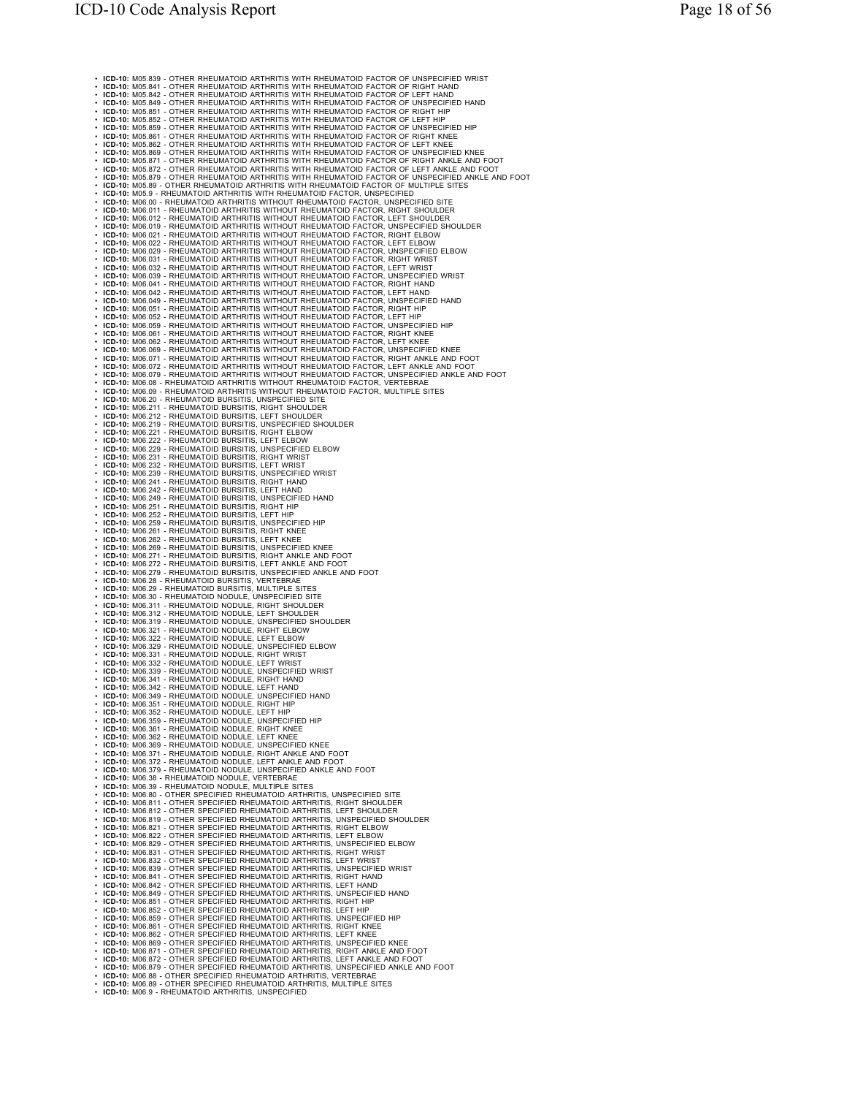• **ICD-10:** M05.839 - OTHER RHEUMATOID ARTHRITIS WITH RHEUMATOID FACTOR OF UNSPECIFIED WRIST • ICD-10: M05.841 - OTHER RHEUMATOID ARTHRITIS WITH RHEUMATOID FACTOR OF RIGHT HAND<br>• ICD-10: M05.842 - OTHER RHEUMATOID ARTHRITIS WITH RHEUMATOID FACTOR OF LEFT HAND<br>• ICD-10: M05.849 - OTHER RHEUMATOID ARTHRITIS WITH RH • ICD-10: M05.851 - OTHER RHEUMATOID ARTHRITIS WITH RHEUMATOID FACTOR OF RIGHT HIP<br>• ICD-10: M05.852 - OTHER RHEUMATOID ARTHRITIS WITH RHEUMATOID FACTOR OF LEFT HIP<br>• ICD-10: M05.859 - OTHER RHEUMATOID ARTHRITIS WITH RHEU • ICD-10: M05.89 - OTHER RHEUMATOID ARTHRITIS WITH RHEUMATOID FACTOR, UNSPECIFIED<br>• ICD-10: M05.9 - RHEUMATOID ARTHRITIS WITH RHEUMATOID FACTOR, UNSPECIFIED SITE<br>• ICD-10: M06.01 - RHEUMATOID ARTHRITIS WITH RHEUMATOID FACT • ICD-10: M06.052 - RHEUMATOID ARTHRITIS WITHOUT RHEUMATOID FACTOR, LEFT HIP<br>• ICD-10: M06.059 - RHEUMATOID ARTHRITIS WITHOUT RHEUMATOID FACTOR, UNSPECIFIED HIP<br>• ICD-10: M06.061 - RHEUMATOID ARTHRITIS WITHOUT RHEUMATOID F • ICD-10: M06.079 - RHEUMATOID ARTHRITIS WITHOUT RHEUMATOID FACTOR, UNSPECIFIED ANKLE AND FOOT<br>• ICD-10: M06.08 - RHEUMATOID ARTHRITIS WITHOUT RHEUMATOID FACTOR, VERTEBRAE<br>• ICD-10: M06.09 - RHEUMATOID ARTHRITIS WITHOUT R • ICD-10: M06.20 - RHEUMATOID BURSITIS, UNSPECIFIED SITE<br>• ICD-10: M06.211 - RHEUMATOID BURSITIS, RIGHT SHOULDER<br>• ICD-10: M06.212 - RHEUMATOID BURSITIS, L'EFT SHOULDER<br>• ICD-10: M06.221 - RHEUMATOID BURSITIS, INSPECIFIED • **ICD-10:** M06.239 - RHEUMATOID BURSITIS, UNSPECIFIED WRIST • **ICD-10:** M06.241 - RHEUMATOID BURSITIS, RIGHT HAND • **ICD-10:** M06.242 - RHEUMATOID BURSITIS, LEFT HAND • ICD-10: M06.249 - RHEUMATOID BURSITIS, UNSPECIFIED HAND<br>• ICD-10: M06.251 - RHEUMATOID BURSITIS, RIGHT HIP<br>• ICD-10: M06.251 - RHEUMATOID BURSITIS, RIGHT HIP<br>• ICD-10: M06.251 - RHEUMATOID BURSITIS, UNSPECIFIED HIP<br>• ICD • ICD-10: M06.311 - RHEUMATOID NODULE, RIGHT SHOULDER<br>• ICD-10: M06.312 - RHEUMATOID NODULE, LEFT SHOULDER<br>• ICD-10: M06.319 - RHEUMATOID NODULE, UNSPECIFIED SHOULDER<br>• ICD-10: M06.321 - RHEUMATOID NODULE, RIGHT ELBOW • ICD-10: M06.322 - RHEUMATOID NODULE, LEFT ELBOW<br>• ICD-10: M06.329 - RHEUMATOID NODULE, UNSPECIFIED ELBOW<br>• ICD-10: M06.331 - RHEUMATOID NODULE, RIGHT WRIST<br>• ICD-10: M06.332 - RHEUMATOID NODULE, LEFT WRIST • ICD-10: M06.339 - RHEUMATOID NODULE, UNSPECIFIED WRIST<br>• ICD-10: M06.341 - RHEUMATOID NODULE, RIGHT HAND<br>• ICD-10: M06.342 - RHEUMATOID NODULE, RIEFT HAND<br>• ICD-10: M06.349 - RHEUMATOID NODULE, UNSPECIFIED HAND • ICD-10: M06.351 - RHEUMATOID NODULE, RIGHT HIP<br>• ICD-10: M06.352 - RHEUMATOID NODULE, LEFT HIP<br>• ICD-10: M06.359 - RHEUMATOID NODULE, UNSPECIFIED HIP<br>• ICD-10: M06.361 - RHEUMATOID NODULE, RIGHT KNEE • **ICD-10:** M06.362 - RHEUMATOID NODULE, LEFT KNEE • **ICD-10:** M06.369 - RHEUMATOID NODULE, UNSPECIFIED KNEE • **ICD-10:** M06.371 - RHEUMATOID NODULE, RIGHT ANKLE AND FOOT • **ICD-10:** M06.372 - RHEUMATOID NODULE, LEFT ANKLE AND FOOT • **ICD-10:** M06.379 - RHEUMATOID NODULE, UNSPECIFIED ANKLE AND FOOT • **ICD-10:** M06.38 - RHEUMATOID NODULE, VERTEBRAE • ICD-10: M06.39 - RHEUMATOID NODULE, MULTIPLE SITES<br>• ICD-10: M06.80 - OTHER SPECIFIED RHEUMATOID ARTHRITIS, UNSPECIFIED SITE<br>• ICD-10: M06.81 - OTHER SPECIFIED RHEUMATOID ARTHRITIS, ILRY TENDULDER<br>• ICD-10: M06.81 - OTH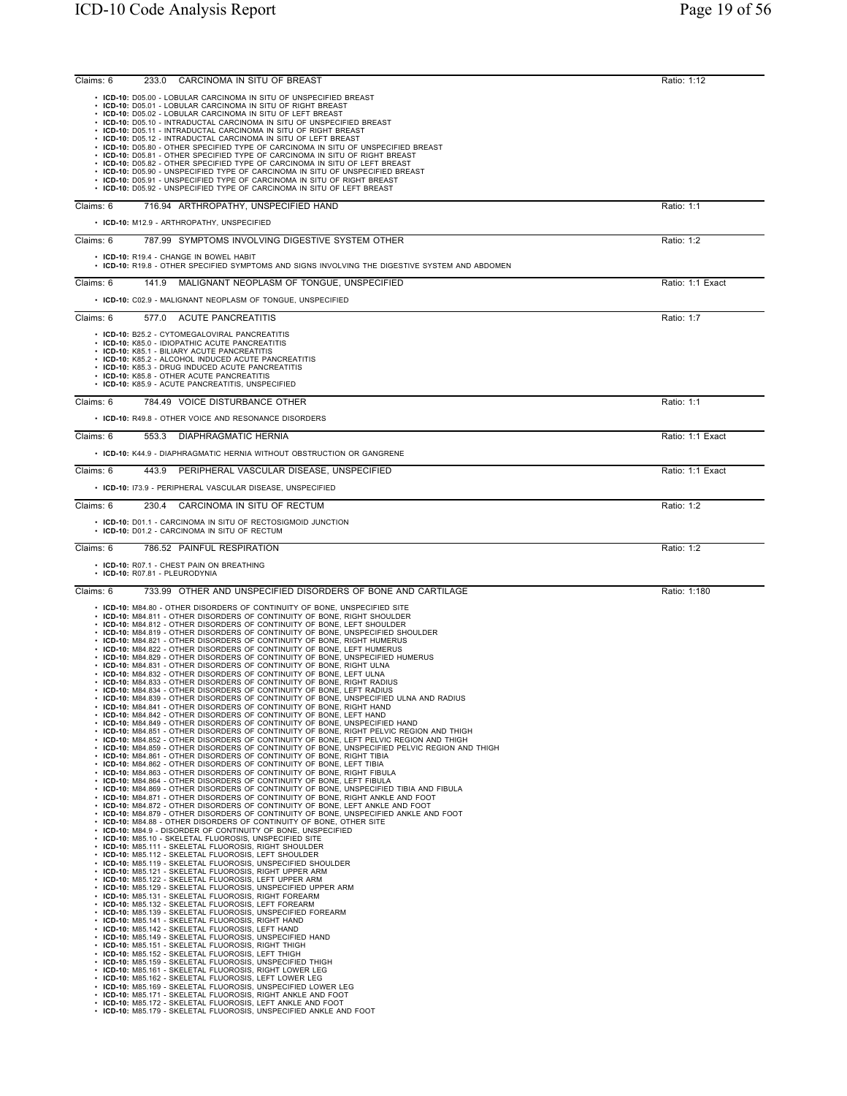| Ratio: 1:12      |
|------------------|
|                  |
|                  |
| Ratio: 1:1       |
|                  |
| Ratio: 1:2       |
|                  |
| Ratio: 1:1 Exact |
|                  |
| Ratio: 1:7       |
|                  |
| Ratio: 1:1       |
|                  |
| Ratio: 1:1 Exact |
|                  |
| Ratio: 1:1 Exact |
|                  |
| Ratio: 1:2       |
|                  |
| Ratio: 1:2       |
|                  |
| Ratio: 1:180     |
|                  |
|                  |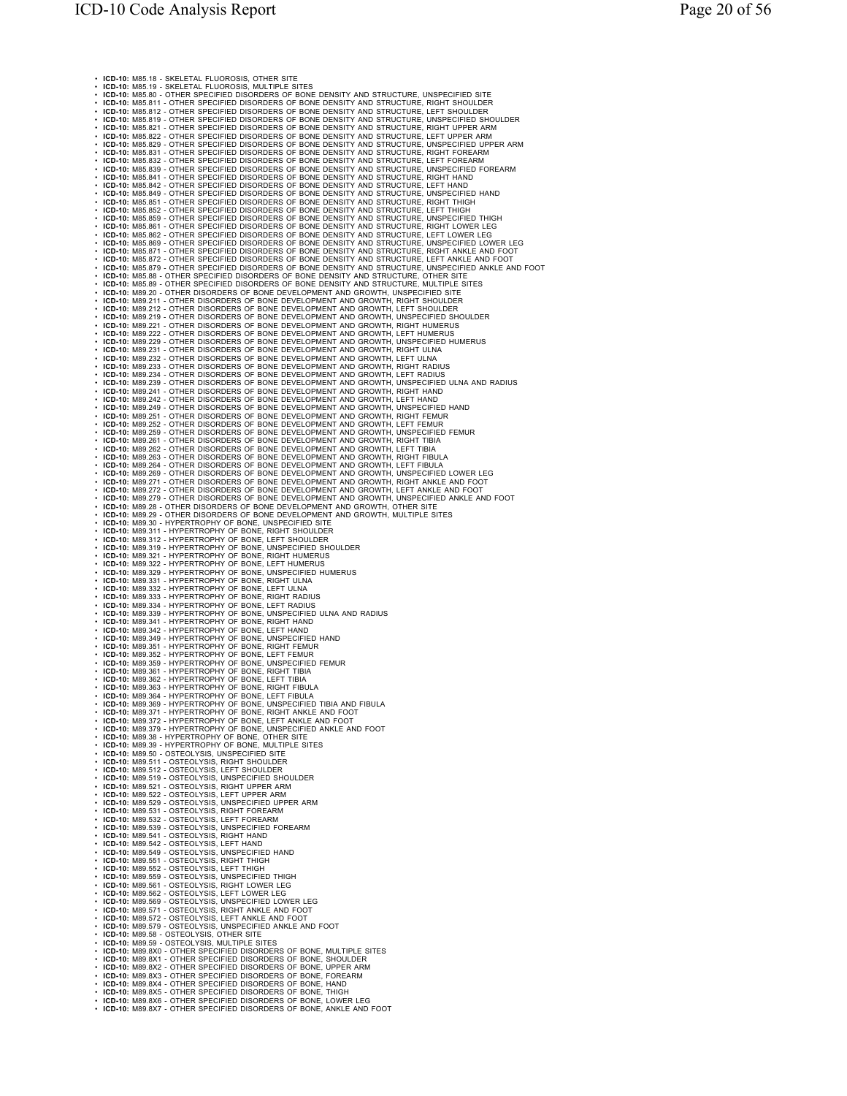• **ICD-10:** M85.18 - SKELETAL FLUOROSIS, OTHER SITE **1CD-10:** M85.19 - SNELETAL FLUOROSIS, MULTIPLE SITES<br>**ICD-10:** M85.80 - OTHER SPECIFIED DISORDERS OF BONE DENSITY AND STRUCTURE, UNSPECIFIED SITE<br>**ICD-10:** M85.81 - OTHER SPECIFIED DISORDERS OF BONE DENSITY AND STRUCTURE, • IGO-10. Miss 80 - OTHER SPECIFIED DISORDERS OF BONET TAND STRUCTURE. ILLET TRIAL IN CASE IN THE RESULTING THE CONTRACT IN THE RESULTING IN THE RESULTING TO THE RESULTING TO THE RESULTING TO THE RESULTING TO THE RESULTIN • ICD-10: M89.311 - HYPERTROPHY OF BONE, RIGHT SHOULDER<br>• ICD-10: M89.312 - HYPERTROPHY OF BONE, LEFT SHOULDER<br>• ICD-10: M89.319 - HYPERTROPHY OF BONE, UNSPECIFIED SHOULDER<br>• ICD-10: M89.322 - HYPERTROPHY OF BONE, LEFT HUM • **ICD-10:** M89.329 - HYPERTROPHY OF BONE, UNSPECIFIED HUMERUS • **ICD-10:** M89.331 - HYPERTROPHY OF BONE, RIGHT ULNA • **ICD-10:** M89.332 - HYPERTROPHY OF BONE, LEFT ULNA • **ICD-10:** M89.333 - HYPERTROPHY OF BONE, RIGHT RADIUS • **ICD-10:** M89.334 - HYPERTROPHY OF BONE, LEFT RADIUS • **ICD-10:** M89.339 - HYPERTROPHY OF BONE, UNSPECIFIED ULNA AND RADIUS • **ICD-10:** M89.341 - HYPERTROPHY OF BONE, RIGHT HAND • ICD-10: M89.342 - HYPERTROPHY OF BONE, LEFT HAND<br>• ICD-10: M89.349 - HYPERTROPHY OF BONE, UNSPECIFIED HAND<br>• ICD-10: M89.351 - HYPERTROPHY OF BONE, RIGHT FEMUR<br>• ICD-10: M89.359 - HYPERTROPHY OF BONE, LNSPECIFIED FEMUR<br>• • ICD-10: M89.361 - HYPERTROPHY OF BONE, RIGHT TIBIA<br>• ICD-10: M89.362 - HYPERTROPHY OF BONE, ILEFT TIBIA<br>• ICD-10: M89.363 - HYPERTROPHY OF BONE, ILEFT TIBILA<br>• ICD-10: M89.364 - HYPERTROPHY OF BONE, ILET FIBILLA<br>• ICD-10 • **ICD-10:** M89.511 - OSTEOLYSIS, RIGHT SHOULDER<br>• **ICD-10:** M89.512 - OSTEOLYSIS, LEFT SHOULDER<br>• **ICD-10:** M89.519 - OSTEOLYSIS, UNSPECIFIED SHOULDER<br>• **ICD-10:** M89.521 - OSTEOLYSIS, RIGHT UPPER ARM • **ICD-10:** M89.522 - OSTEOLYSIS, LEFT UPPER ARM<br>• **ICD-10:** M89.529 - OSTEOLYSIS, UNSPECIFIED UPPER ARM<br>• **ICD-10:** M89.531 - OSTEOLYSIS, RIGHT FOREARM<br>• **ICD-10:** M89.532 - OSTEOLYSIS, LEFT FOREARM • **ICD-10:** M89.539 - OSTEOLYSIS, UNSPECIFIED FOREARM • **ICD-10:** M89.541 - OSTEOLYSIS, RIGHT HAND • **ICD-10:** M89.542 - OSTEOLYSIS, LEFT HAND • ICD-10: M89.549 - OSTEOLYSIS, UNSPECIFIED HAND<br>• ICD-10: M89.551 - OSTEOLYSIS, RIGHT THIGH<br>• ICD-10: M89.552 - OSTEOLYSIS, REFT THIGH<br>• ICD-10: M89.552 - OSTEOLYSIS, LEFT THIGH<br>• ICD-10: M89.562 - OSTEOLYSIS, RIGHT LOWER • ICD-10: M89.579 - OSTEOLYSIS, UNSPECIFIED ANKLE AND FOOT<br>• ICD-10: M89.58 - OSTEOLYSIS, OTHER SITE<br>• ICD-10: M89.59 - OSTEOLYSIS, MULTIPLE SITES<br>• ICD-10: M89.8X - OTHER SPECIFIED DISORDERS OF BONE, MULTIPLE SITES<br>• ICD-• **ICD-10:** M89.8X5 - OTHER SPECIFIED DISORDERS OF BONE, THIGH • **ICD-10:** M89.8X6 - OTHER SPECIFIED DISORDERS OF BONE, LOWER LEG • **ICD-10:** M89.8X7 - OTHER SPECIFIED DISORDERS OF BONE, ANKLE AND FOOT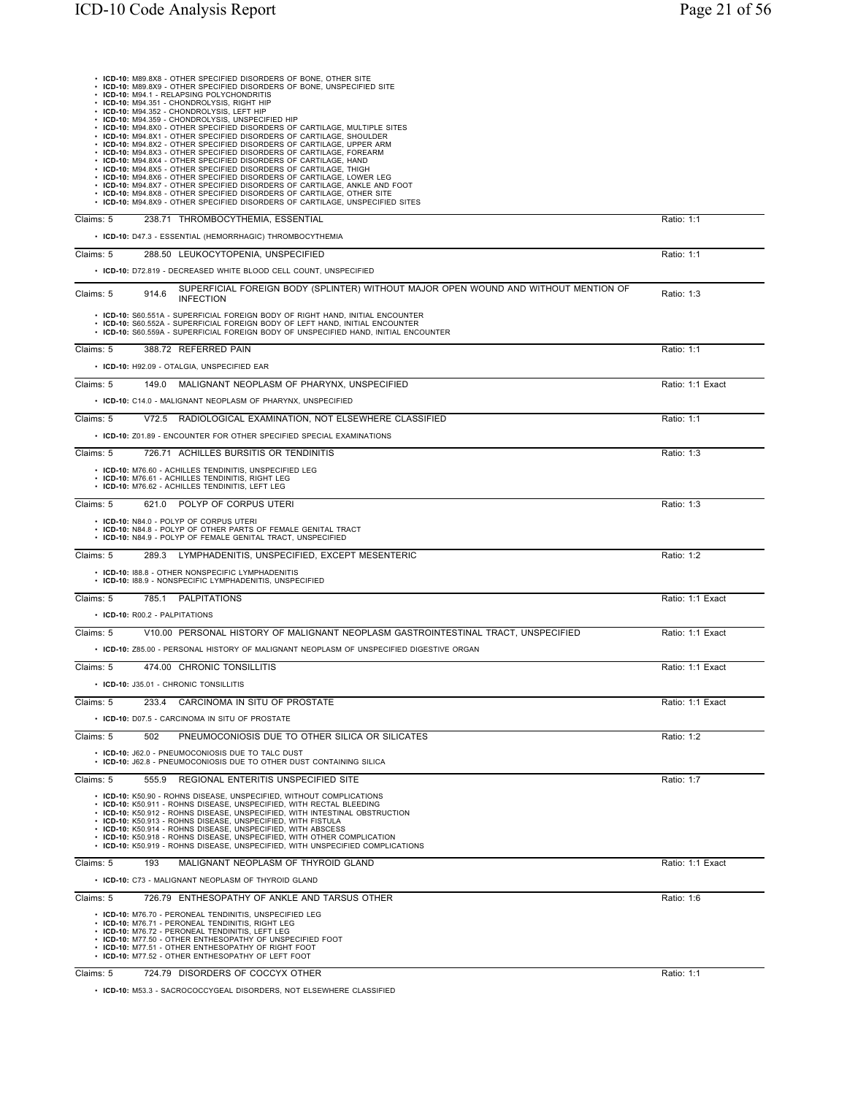| • ICD-10: M89.8X8 - OTHER SPECIFIED DISORDERS OF BONE, OTHER SITE<br>• ICD-10: M89.8X9 - OTHER SPECIFIED DISORDERS OF BONE, UNSPECIFIED SITE<br>• ICD-10: M94.1 - RELAPSING POLYCHONDRITIS<br>• ICD-10: M94.351 - CHONDROLYSIS, RIGHT HIP<br>· ICD-10: M94.352 - CHONDROLYSIS, LEFT HIP<br>· ICD-10: M94.359 - CHONDROLYSIS, UNSPECIFIED HIP<br>• ICD-10: M94.8X0 - OTHER SPECIFIED DISORDERS OF CARTILAGE, MULTIPLE SITES<br>· ICD-10: M94.8X1 - OTHER SPECIFIED DISORDERS OF CARTILAGE, SHOULDER<br>• ICD-10: M94.8X2 - OTHER SPECIFIED DISORDERS OF CARTILAGE, UPPER ARM<br>• ICD-10: M94.8X3 - OTHER SPECIFIED DISORDERS OF CARTILAGE, FOREARM<br>• ICD-10: M94.8X4 - OTHER SPECIFIED DISORDERS OF CARTILAGE, HAND<br>• ICD-10: M94.8X5 - OTHER SPECIFIED DISORDERS OF CARTILAGE, THIGH<br>· ICD-10: M94.8X6 - OTHER SPECIFIED DISORDERS OF CARTILAGE, LOWER LEG<br>• ICD-10: M94.8X7 - OTHER SPECIFIED DISORDERS OF CARTILAGE, ANKLE AND FOOT<br>• ICD-10: M94.8X8 - OTHER SPECIFIED DISORDERS OF CARTILAGE, OTHER SITE<br>• ICD-10: M94.8X9 - OTHER SPECIFIED DISORDERS OF CARTILAGE, UNSPECIFIED SITES |                  |
|---------------------------------------------------------------------------------------------------------------------------------------------------------------------------------------------------------------------------------------------------------------------------------------------------------------------------------------------------------------------------------------------------------------------------------------------------------------------------------------------------------------------------------------------------------------------------------------------------------------------------------------------------------------------------------------------------------------------------------------------------------------------------------------------------------------------------------------------------------------------------------------------------------------------------------------------------------------------------------------------------------------------------------------------------------------------------------------------------------------|------------------|
| Claims: 5<br>238.71 THROMBOCYTHEMIA, ESSENTIAL                                                                                                                                                                                                                                                                                                                                                                                                                                                                                                                                                                                                                                                                                                                                                                                                                                                                                                                                                                                                                                                                | Ratio: 1:1       |
| • ICD-10: D47.3 - ESSENTIAL (HEMORRHAGIC) THROMBOCYTHEMIA                                                                                                                                                                                                                                                                                                                                                                                                                                                                                                                                                                                                                                                                                                                                                                                                                                                                                                                                                                                                                                                     |                  |
| Claims: 5<br>288.50 LEUKOCYTOPENIA, UNSPECIFIED                                                                                                                                                                                                                                                                                                                                                                                                                                                                                                                                                                                                                                                                                                                                                                                                                                                                                                                                                                                                                                                               | Ratio: 1:1       |
| • ICD-10: D72.819 - DECREASED WHITE BLOOD CELL COUNT, UNSPECIFIED                                                                                                                                                                                                                                                                                                                                                                                                                                                                                                                                                                                                                                                                                                                                                                                                                                                                                                                                                                                                                                             |                  |
| SUPERFICIAL FOREIGN BODY (SPLINTER) WITHOUT MAJOR OPEN WOUND AND WITHOUT MENTION OF<br>Claims: 5<br>914.6<br><b>INFECTION</b>                                                                                                                                                                                                                                                                                                                                                                                                                                                                                                                                                                                                                                                                                                                                                                                                                                                                                                                                                                                 | Ratio: 1:3       |
| • ICD-10: S60.551A - SUPERFICIAL FOREIGN BODY OF RIGHT HAND, INITIAL ENCOUNTER<br>• ICD-10: S60.552A - SUPERFICIAL FOREIGN BODY OF LEFT HAND, INITIAL ENCOUNTER<br>• ICD-10: S60.559A - SUPERFICIAL FOREIGN BODY OF UNSPECIFIED HAND, INITIAL ENCOUNTER                                                                                                                                                                                                                                                                                                                                                                                                                                                                                                                                                                                                                                                                                                                                                                                                                                                       |                  |
| 388.72 REFERRED PAIN<br>Claims: 5                                                                                                                                                                                                                                                                                                                                                                                                                                                                                                                                                                                                                                                                                                                                                                                                                                                                                                                                                                                                                                                                             | Ratio: 1:1       |
| • ICD-10: H92.09 - OTALGIA, UNSPECIFIED EAR                                                                                                                                                                                                                                                                                                                                                                                                                                                                                                                                                                                                                                                                                                                                                                                                                                                                                                                                                                                                                                                                   |                  |
| MALIGNANT NEOPLASM OF PHARYNX, UNSPECIFIED<br>Claims: 5<br>149.0                                                                                                                                                                                                                                                                                                                                                                                                                                                                                                                                                                                                                                                                                                                                                                                                                                                                                                                                                                                                                                              | Ratio: 1:1 Exact |
| • ICD-10: C14.0 - MALIGNANT NEOPLASM OF PHARYNX, UNSPECIFIED                                                                                                                                                                                                                                                                                                                                                                                                                                                                                                                                                                                                                                                                                                                                                                                                                                                                                                                                                                                                                                                  |                  |
| Claims: 5<br>V72.5 RADIOLOGICAL EXAMINATION. NOT ELSEWHERE CLASSIFIED                                                                                                                                                                                                                                                                                                                                                                                                                                                                                                                                                                                                                                                                                                                                                                                                                                                                                                                                                                                                                                         | Ratio: 1:1       |
| • ICD-10: Z01.89 - ENCOUNTER FOR OTHER SPECIFIED SPECIAL EXAMINATIONS                                                                                                                                                                                                                                                                                                                                                                                                                                                                                                                                                                                                                                                                                                                                                                                                                                                                                                                                                                                                                                         |                  |
| Claims: 5<br>726.71 ACHILLES BURSITIS OR TENDINITIS                                                                                                                                                                                                                                                                                                                                                                                                                                                                                                                                                                                                                                                                                                                                                                                                                                                                                                                                                                                                                                                           | Ratio: 1:3       |
| • ICD-10: M76.60 - ACHILLES TENDINITIS, UNSPECIFIED LEG<br>• ICD-10: M76.61 - ACHILLES TENDINITIS, RIGHT LEG<br>• ICD-10: M76.62 - ACHILLES TENDINITIS, LEFT LEG                                                                                                                                                                                                                                                                                                                                                                                                                                                                                                                                                                                                                                                                                                                                                                                                                                                                                                                                              |                  |
| Claims: 5<br>621.0 POLYP OF CORPUS UTERI                                                                                                                                                                                                                                                                                                                                                                                                                                                                                                                                                                                                                                                                                                                                                                                                                                                                                                                                                                                                                                                                      | Ratio: 1:3       |
| • ICD-10: N84.0 - POLYP OF CORPUS UTERI<br>• ICD-10: N84.8 - POLYP OF OTHER PARTS OF FEMALE GENITAL TRACT<br>• ICD-10: N84.9 - POLYP OF FEMALE GENITAL TRACT, UNSPECIFIED                                                                                                                                                                                                                                                                                                                                                                                                                                                                                                                                                                                                                                                                                                                                                                                                                                                                                                                                     |                  |
| 289.3 LYMPHADENITIS, UNSPECIFIED, EXCEPT MESENTERIC<br>Claims: 5                                                                                                                                                                                                                                                                                                                                                                                                                                                                                                                                                                                                                                                                                                                                                                                                                                                                                                                                                                                                                                              | Ratio: 1:2       |
| • ICD-10: 188.8 - OTHER NONSPECIFIC LYMPHADENITIS<br>• ICD-10: 188.9 - NONSPECIFIC LYMPHADENITIS, UNSPECIFIED                                                                                                                                                                                                                                                                                                                                                                                                                                                                                                                                                                                                                                                                                                                                                                                                                                                                                                                                                                                                 |                  |
| 785.1 PALPITATIONS<br>Claims: 5                                                                                                                                                                                                                                                                                                                                                                                                                                                                                                                                                                                                                                                                                                                                                                                                                                                                                                                                                                                                                                                                               | Ratio: 1:1 Exact |
| • ICD-10: R00.2 - PALPITATIONS                                                                                                                                                                                                                                                                                                                                                                                                                                                                                                                                                                                                                                                                                                                                                                                                                                                                                                                                                                                                                                                                                |                  |
| V10.00 PERSONAL HISTORY OF MALIGNANT NEOPLASM GASTROINTESTINAL TRACT, UNSPECIFIED<br>Claims: 5                                                                                                                                                                                                                                                                                                                                                                                                                                                                                                                                                                                                                                                                                                                                                                                                                                                                                                                                                                                                                | Ratio: 1:1 Exact |
| • ICD-10: Z85.00 - PERSONAL HISTORY OF MALIGNANT NEOPLASM OF UNSPECIFIED DIGESTIVE ORGAN                                                                                                                                                                                                                                                                                                                                                                                                                                                                                                                                                                                                                                                                                                                                                                                                                                                                                                                                                                                                                      |                  |
| Claims: 5<br>474.00 CHRONIC TONSILLITIS                                                                                                                                                                                                                                                                                                                                                                                                                                                                                                                                                                                                                                                                                                                                                                                                                                                                                                                                                                                                                                                                       | Ratio: 1:1 Exact |
| • ICD-10: J35.01 - CHRONIC TONSILLITIS                                                                                                                                                                                                                                                                                                                                                                                                                                                                                                                                                                                                                                                                                                                                                                                                                                                                                                                                                                                                                                                                        |                  |
| CARCINOMA IN SITU OF PROSTATE<br>Claims: 5<br>233.4                                                                                                                                                                                                                                                                                                                                                                                                                                                                                                                                                                                                                                                                                                                                                                                                                                                                                                                                                                                                                                                           | Ratio: 1:1 Exact |
| • ICD-10: D07.5 - CARCINOMA IN SITU OF PROSTATE                                                                                                                                                                                                                                                                                                                                                                                                                                                                                                                                                                                                                                                                                                                                                                                                                                                                                                                                                                                                                                                               |                  |
| Claims: 5<br>PNEUMOCONIOSIS DUE TO OTHER SILICA OR SILICATES<br>502                                                                                                                                                                                                                                                                                                                                                                                                                                                                                                                                                                                                                                                                                                                                                                                                                                                                                                                                                                                                                                           | Ratio: 1:2       |
| • ICD-10: J62.0 - PNEUMOCONIOSIS DUE TO TALC DUST<br>• ICD-10: J62.8 - PNEUMOCONIOSIS DUE TO OTHER DUST CONTAINING SILICA                                                                                                                                                                                                                                                                                                                                                                                                                                                                                                                                                                                                                                                                                                                                                                                                                                                                                                                                                                                     |                  |
| REGIONAL ENTERITIS UNSPECIFIED SITE<br>Claims: 5<br>555.9                                                                                                                                                                                                                                                                                                                                                                                                                                                                                                                                                                                                                                                                                                                                                                                                                                                                                                                                                                                                                                                     | Ratio: 1:7       |
| • ICD-10: K50.90 - ROHNS DISEASE, UNSPECIFIED, WITHOUT COMPLICATIONS<br>• ICD-10: K50.911 - ROHNS DISEASE, UNSPECIFIED, WITH RECTAL BLEEDING<br>• ICD-10: K50.912 - ROHNS DISEASE, UNSPECIFIED, WITH INTESTINAL OBSTRUCTION<br>• ICD-10: K50.913 - ROHNS DISEASE, UNSPECIFIED, WITH FISTULA<br>• ICD-10: K50.914 - ROHNS DISEASE, UNSPECIFIED, WITH ABSCESS<br>• ICD-10: K50.918 - ROHNS DISEASE, UNSPECIFIED, WITH OTHER COMPLICATION<br>• ICD-10: K50.919 - ROHNS DISEASE, UNSPECIFIED, WITH UNSPECIFIED COMPLICATIONS                                                                                                                                                                                                                                                                                                                                                                                                                                                                                                                                                                                      |                  |
| 193<br>MALIGNANT NEOPLASM OF THYROID GLAND<br>Claims: 5                                                                                                                                                                                                                                                                                                                                                                                                                                                                                                                                                                                                                                                                                                                                                                                                                                                                                                                                                                                                                                                       | Ratio: 1:1 Exact |
| • ICD-10: C73 - MALIGNANT NEOPLASM OF THYROID GLAND                                                                                                                                                                                                                                                                                                                                                                                                                                                                                                                                                                                                                                                                                                                                                                                                                                                                                                                                                                                                                                                           |                  |
| 726.79 ENTHESOPATHY OF ANKLE AND TARSUS OTHER<br>Claims: 5                                                                                                                                                                                                                                                                                                                                                                                                                                                                                                                                                                                                                                                                                                                                                                                                                                                                                                                                                                                                                                                    | Ratio: 1:6       |
| • ICD-10: M76.70 - PERONEAL TENDINITIS, UNSPECIFIED LEG<br>• ICD-10: M76.71 - PERONEAL TENDINITIS, RIGHT LEG<br>• ICD-10: M76.72 - PERONEAL TENDINITIS, LEFT LEG<br>• ICD-10: M77.50 - OTHER ENTHESOPATHY OF UNSPECIFIED FOOT<br>• ICD-10: M77.51 - OTHER ENTHESOPATHY OF RIGHT FOOT<br>• ICD-10: M77.52 - OTHER ENTHESOPATHY OF LEFT FOOT                                                                                                                                                                                                                                                                                                                                                                                                                                                                                                                                                                                                                                                                                                                                                                    |                  |
| 724.79 DISORDERS OF COCCYX OTHER<br>Claims: 5                                                                                                                                                                                                                                                                                                                                                                                                                                                                                                                                                                                                                                                                                                                                                                                                                                                                                                                                                                                                                                                                 | Ratio: 1:1       |

• **ICD-10:** M53.3 - SACROCOCCYGEAL DISORDERS, NOT ELSEWHERE CLASSIFIED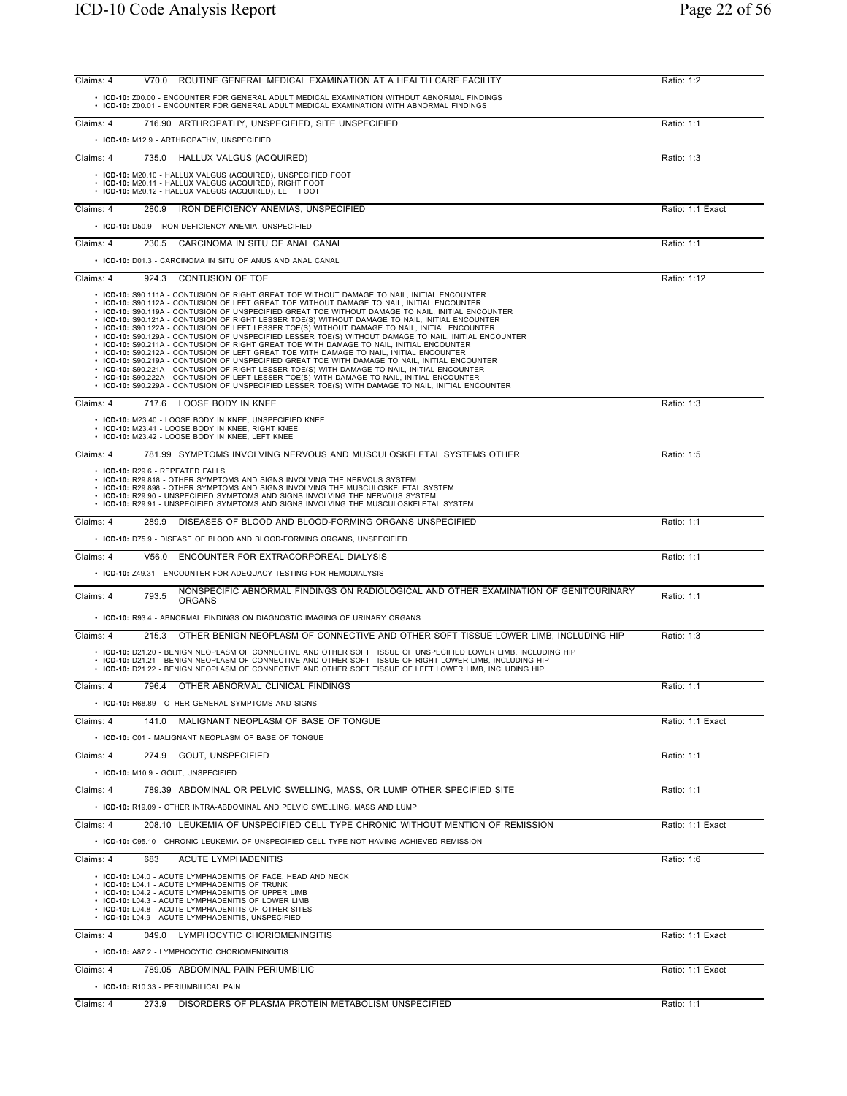| Claims: 4 | ROUTINE GENERAL MEDICAL EXAMINATION AT A HEALTH CARE FACILITY<br>V70.0                                                                                                                                                                                                                                                                                                                            | Ratio: 1:2       |
|-----------|---------------------------------------------------------------------------------------------------------------------------------------------------------------------------------------------------------------------------------------------------------------------------------------------------------------------------------------------------------------------------------------------------|------------------|
|           | • ICD-10: Z00.00 - ENCOUNTER FOR GENERAL ADULT MEDICAL EXAMINATION WITHOUT ABNORMAL FINDINGS                                                                                                                                                                                                                                                                                                      |                  |
|           | • ICD-10: Z00.01 - ENCOUNTER FOR GENERAL ADULT MEDICAL EXAMINATION WITH ABNORMAL FINDINGS                                                                                                                                                                                                                                                                                                         |                  |
| Claims: 4 | 716.90 ARTHROPATHY, UNSPECIFIED, SITE UNSPECIFIED                                                                                                                                                                                                                                                                                                                                                 | Ratio: 1:1       |
|           | • ICD-10: M12.9 - ARTHROPATHY, UNSPECIFIED                                                                                                                                                                                                                                                                                                                                                        |                  |
| Claims: 4 | HALLUX VALGUS (ACQUIRED)<br>735.0                                                                                                                                                                                                                                                                                                                                                                 | Ratio: 1:3       |
|           | • ICD-10: M20.10 - HALLUX VALGUS (ACQUIRED), UNSPECIFIED FOOT                                                                                                                                                                                                                                                                                                                                     |                  |
|           | • ICD-10: M20.11 - HALLUX VALGUS (ACQUIRED), RIGHT FOOT<br>ICD-10: M20.12 - HALLUX VALGUS (ACQUIRED), LEFT FOOT                                                                                                                                                                                                                                                                                   |                  |
| Claims: 4 | IRON DEFICIENCY ANEMIAS, UNSPECIFIED<br>280.9                                                                                                                                                                                                                                                                                                                                                     | Ratio: 1:1 Exact |
|           | • ICD-10: D50.9 - IRON DEFICIENCY ANEMIA, UNSPECIFIED                                                                                                                                                                                                                                                                                                                                             |                  |
| Claims: 4 | CARCINOMA IN SITU OF ANAL CANAL<br>230.5                                                                                                                                                                                                                                                                                                                                                          | Ratio: 1:1       |
|           |                                                                                                                                                                                                                                                                                                                                                                                                   |                  |
|           | • ICD-10: D01.3 - CARCINOMA IN SITU OF ANUS AND ANAL CANAL                                                                                                                                                                                                                                                                                                                                        |                  |
| Claims: 4 | 924.3<br>CONTUSION OF TOE                                                                                                                                                                                                                                                                                                                                                                         | Ratio: 1:12      |
|           | • ICD-10: S90.111A - CONTUSION OF RIGHT GREAT TOE WITHOUT DAMAGE TO NAIL, INITIAL ENCOUNTER<br>• ICD-10: S90.112A - CONTUSION OF LEFT GREAT TOE WITHOUT DAMAGE TO NAIL, INITIAL ENCOUNTER<br>. ICD-10: S90.119A - CONTUSION OF UNSPECIFIED GREAT TOE WITHOUT DAMAGE TO NAIL, INITIAL ENCOUNTER<br>. ICD-10: S90.121A - CONTUSION OF RIGHT LESSER TOE(S) WITHOUT DAMAGE TO NAIL, INITIAL ENCOUNTER |                  |
|           | . ICD-10: S90.122A - CONTUSION OF LEFT LESSER TOE(S) WITHOUT DAMAGE TO NAIL, INITIAL ENCOUNTER<br>· ICD-10: S90.129A - CONTUSION OF UNSPECIFIED LESSER TOE(S) WITHOUT DAMAGE TO NAIL, INITIAL ENCOUNTER                                                                                                                                                                                           |                  |
|           | • ICD-10: S90.211A - CONTUSION OF RIGHT GREAT TOE WITH DAMAGE TO NAIL, INITIAL ENCOUNTER<br>. ICD-10: S90.212A - CONTUSION OF LEFT GREAT TOE WITH DAMAGE TO NAIL, INITIAL ENCOUNTER                                                                                                                                                                                                               |                  |
|           | . ICD-10: S90.219A - CONTUSION OF UNSPECIFIED GREAT TOE WITH DAMAGE TO NAIL, INITIAL ENCOUNTER<br>• ICD-10: S90.221A - CONTUSION OF RIGHT LESSER TOE(S) WITH DAMAGE TO NAIL, INITIAL ENCOUNTER                                                                                                                                                                                                    |                  |
|           | • ICD-10: S90.222A - CONTUSION OF LEFT LESSER TOE(S) WITH DAMAGE TO NAIL, INITIAL ENCOUNTER<br>• ICD-10: S90.229A - CONTUSION OF UNSPECIFIED LESSER TOE(S) WITH DAMAGE TO NAIL, INITIAL ENCOUNTER                                                                                                                                                                                                 |                  |
| Claims: 4 | 717.6 LOOSE BODY IN KNEE                                                                                                                                                                                                                                                                                                                                                                          | Ratio: 1:3       |
|           | • ICD-10: M23.40 - LOOSE BODY IN KNEE, UNSPECIFIED KNEE                                                                                                                                                                                                                                                                                                                                           |                  |
|           | · ICD-10: M23.41 - LOOSE BODY IN KNEE, RIGHT KNEE<br>• ICD-10: M23.42 - LOOSE BODY IN KNEE, LEFT KNEE                                                                                                                                                                                                                                                                                             |                  |
| Claims: 4 | 781.99 SYMPTOMS INVOLVING NERVOUS AND MUSCULOSKELETAL SYSTEMS OTHER                                                                                                                                                                                                                                                                                                                               | Ratio: 1:5       |
|           | • ICD-10: R29.6 - REPEATED FALLS<br>• ICD-10: R29.818 - OTHER SYMPTOMS AND SIGNS INVOLVING THE NERVOUS SYSTEM                                                                                                                                                                                                                                                                                     |                  |
|           | • ICD-10: R29.898 - OTHER SYMPTOMS AND SIGNS INVOLVING THE MUSCULOSKELETAL SYSTEM                                                                                                                                                                                                                                                                                                                 |                  |
|           | • ICD-10: R29.90 - UNSPECIFIED SYMPTOMS AND SIGNS INVOLVING THE NERVOUS SYSTEM<br>• ICD-10: R29.91 - UNSPECIFIED SYMPTOMS AND SIGNS INVOLVING THE MUSCULOSKELETAL SYSTEM                                                                                                                                                                                                                          |                  |
| Claims: 4 | DISEASES OF BLOOD AND BLOOD-FORMING ORGANS UNSPECIFIED<br>289.9                                                                                                                                                                                                                                                                                                                                   | Ratio: 1:1       |
|           | • ICD-10: D75.9 - DISEASE OF BLOOD AND BLOOD-FORMING ORGANS, UNSPECIFIED                                                                                                                                                                                                                                                                                                                          |                  |
| Claims: 4 | ENCOUNTER FOR EXTRACORPOREAL DIALYSIS<br>V56.0                                                                                                                                                                                                                                                                                                                                                    | Ratio: 1:1       |
|           | • ICD-10: Z49.31 - ENCOUNTER FOR ADEQUACY TESTING FOR HEMODIALYSIS                                                                                                                                                                                                                                                                                                                                |                  |
|           | NONSPECIFIC ABNORMAL FINDINGS ON RADIOLOGICAL AND OTHER EXAMINATION OF GENITOURINARY                                                                                                                                                                                                                                                                                                              |                  |
| Claims: 4 | 793.5<br>ORGANS                                                                                                                                                                                                                                                                                                                                                                                   | Ratio: 1:1       |
|           | • ICD-10: R93.4 - ABNORMAL FINDINGS ON DIAGNOSTIC IMAGING OF URINARY ORGANS                                                                                                                                                                                                                                                                                                                       |                  |
| Claims: 4 | OTHER BENIGN NEOPLASM OF CONNECTIVE AND OTHER SOFT TISSUE LOWER LIMB, INCLUDING HIP<br>215.3                                                                                                                                                                                                                                                                                                      | Ratio: 1:3       |
|           | . ICD-10: D21.20 - BENIGN NEOPLASM OF CONNECTIVE AND OTHER SOFT TISSUE OF UNSPECIFIED LOWER LIMB, INCLUDING HIP<br>. ICD-10: D21.21 - BENIGN NEOPLASM OF CONNECTIVE AND OTHER SOFT TISSUE OF RIGHT LOWER LIMB, INCLUDING HIP<br>. ICD-10: D21.22 - BENIGN NEOPLASM OF CONNECTIVE AND OTHER SOFT TISSUE OF LEFT LOWER LIMB. INCLUDING HIP                                                          |                  |
| Claims: 4 | OTHER ABNORMAL CLINICAL FINDINGS<br>796.4                                                                                                                                                                                                                                                                                                                                                         | Ratio: 1:1       |
|           | • ICD-10: R68.89 - OTHER GENERAL SYMPTOMS AND SIGNS                                                                                                                                                                                                                                                                                                                                               |                  |
|           |                                                                                                                                                                                                                                                                                                                                                                                                   |                  |
| Claims: 4 | 141.0 MALIGNANT NEOPLASM OF BASE OF TONGUE                                                                                                                                                                                                                                                                                                                                                        | Ratio: 1:1 Exact |
|           | • ICD-10: C01 - MALIGNANT NEOPLASM OF BASE OF TONGUE                                                                                                                                                                                                                                                                                                                                              |                  |
| Claims: 4 | 274.9 GOUT, UNSPECIFIED                                                                                                                                                                                                                                                                                                                                                                           | Ratio: 1:1       |
|           | • ICD-10: M10.9 - GOUT, UNSPECIFIED                                                                                                                                                                                                                                                                                                                                                               |                  |
| Claims: 4 | 789.39 ABDOMINAL OR PELVIC SWELLING, MASS, OR LUMP OTHER SPECIFIED SITE                                                                                                                                                                                                                                                                                                                           | Ratio: 1:1       |
|           | • ICD-10: R19.09 - OTHER INTRA-ABDOMINAL AND PELVIC SWELLING, MASS AND LUMP                                                                                                                                                                                                                                                                                                                       |                  |
| Claims: 4 | 208.10 LEUKEMIA OF UNSPECIFIED CELL TYPE CHRONIC WITHOUT MENTION OF REMISSION                                                                                                                                                                                                                                                                                                                     | Ratio: 1:1 Exact |
|           | • ICD-10: C95.10 - CHRONIC LEUKEMIA OF UNSPECIFIED CELL TYPE NOT HAVING ACHIEVED REMISSION                                                                                                                                                                                                                                                                                                        |                  |
| Claims: 4 | 683<br>ACUTE LYMPHADENITIS                                                                                                                                                                                                                                                                                                                                                                        | Ratio: 1:6       |
|           | • ICD-10: L04.0 - ACUTE LYMPHADENITIS OF FACE, HEAD AND NECK                                                                                                                                                                                                                                                                                                                                      |                  |
|           | • ICD-10: L04.1 - ACUTE LYMPHADENITIS OF TRUNK<br>• ICD-10: L04.2 - ACUTE LYMPHADENITIS OF UPPER LIMB                                                                                                                                                                                                                                                                                             |                  |
|           | • ICD-10: L04.3 - ACUTE LYMPHADENITIS OF LOWER LIMB<br>• ICD-10: L04.8 - ACUTE LYMPHADENITIS OF OTHER SITES                                                                                                                                                                                                                                                                                       |                  |
|           | • ICD-10: L04.9 - ACUTE LYMPHADENITIS, UNSPECIFIED                                                                                                                                                                                                                                                                                                                                                |                  |
| Claims: 4 | 049.0 LYMPHOCYTIC CHORIOMENINGITIS                                                                                                                                                                                                                                                                                                                                                                | Ratio: 1:1 Exact |
|           | • ICD-10: A87.2 - LYMPHOCYTIC CHORIOMENINGITIS                                                                                                                                                                                                                                                                                                                                                    |                  |
| Claims: 4 | 789.05 ABDOMINAL PAIN PERIUMBILIC                                                                                                                                                                                                                                                                                                                                                                 | Ratio: 1:1 Exact |
|           | • ICD-10: R10.33 - PERIUMBILICAL PAIN                                                                                                                                                                                                                                                                                                                                                             |                  |
| Claims: 4 | DISORDERS OF PLASMA PROTEIN METABOLISM UNSPECIFIED<br>273.9                                                                                                                                                                                                                                                                                                                                       | Ratio: 1:1       |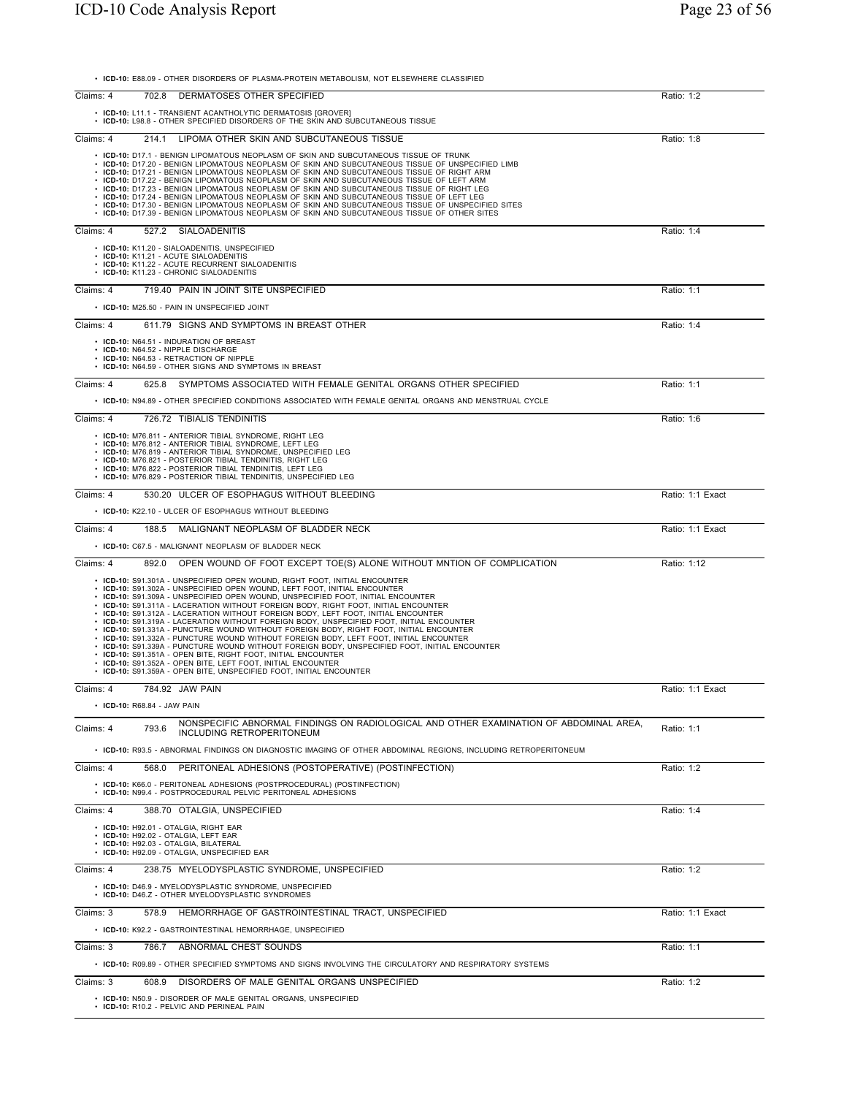• **ICD-10:** E88.09 - OTHER DISORDERS OF PLASMA-PROTEIN METABOLISM, NOT ELSEWHERE CLASSIFIED

| Claims: 4                   | DERMATOSES OTHER SPECIFIED<br>702.8                                                                                                                                                                                                                                                                                                                                                                                                                                                                                                                                                                                                                                                                                                                                                                                                                                                                                                                                                                                 | Ratio: 1:2       |
|-----------------------------|---------------------------------------------------------------------------------------------------------------------------------------------------------------------------------------------------------------------------------------------------------------------------------------------------------------------------------------------------------------------------------------------------------------------------------------------------------------------------------------------------------------------------------------------------------------------------------------------------------------------------------------------------------------------------------------------------------------------------------------------------------------------------------------------------------------------------------------------------------------------------------------------------------------------------------------------------------------------------------------------------------------------|------------------|
|                             | • ICD-10: L11.1 - TRANSIENT ACANTHOLYTIC DERMATOSIS [GROVER]<br>• ICD-10: L98.8 - OTHER SPECIFIED DISORDERS OF THE SKIN AND SUBCUTANEOUS TISSUE                                                                                                                                                                                                                                                                                                                                                                                                                                                                                                                                                                                                                                                                                                                                                                                                                                                                     |                  |
| Claims: 4                   | 214.1 LIPOMA OTHER SKIN AND SUBCUTANEOUS TISSUE                                                                                                                                                                                                                                                                                                                                                                                                                                                                                                                                                                                                                                                                                                                                                                                                                                                                                                                                                                     | Ratio: 1:8       |
|                             | • ICD-10: D17.1 - BENIGN LIPOMATOUS NEOPLASM OF SKIN AND SUBCUTANEOUS TISSUE OF TRUNK<br>• ICD-10: D17.20 - BENIGN LIPOMATOUS NEOPLASM OF SKIN AND SUBCUTANEOUS TISSUE OF UNSPECIFIED LIMB<br>• ICD-10: D17.21 - BENIGN LIPOMATOUS NEOPLASM OF SKIN AND SUBCUTANEOUS TISSUE OF RIGHT ARM<br>• ICD-10: D17.22 - BENIGN LIPOMATOUS NEOPLASM OF SKIN AND SUBCUTANEOUS TISSUE OF LEFT ARM<br>• ICD-10: D17.23 - BENIGN LIPOMATOUS NEOPLASM OF SKIN AND SUBCUTANEOUS TISSUE OF RIGHT LEG<br>• ICD-10: D17.24 - BENIGN LIPOMATOUS NEOPLASM OF SKIN AND SUBCUTANEOUS TISSUE OF LEFT LEG<br>• ICD-10: D17.30 - BENIGN LIPOMATOUS NEOPLASM OF SKIN AND SUBCUTANEOUS TISSUE OF UNSPECIFIED SITES<br>• ICD-10: D17.39 - BENIGN LIPOMATOUS NEOPLASM OF SKIN AND SUBCUTANEOUS TISSUE OF OTHER SITES                                                                                                                                                                                                                              |                  |
| Claims: 4                   | 527.2 SIALOADENITIS                                                                                                                                                                                                                                                                                                                                                                                                                                                                                                                                                                                                                                                                                                                                                                                                                                                                                                                                                                                                 | Ratio: 1:4       |
|                             | • ICD-10: K11.20 - SIALOADENITIS, UNSPECIFIED<br>• ICD-10: K11.21 - ACUTE SIALOADENITIS<br>• ICD-10: K11.22 - ACUTE RECURRENT SIALOADENITIS<br>• ICD-10: K11.23 - CHRONIC SIALOADENITIS                                                                                                                                                                                                                                                                                                                                                                                                                                                                                                                                                                                                                                                                                                                                                                                                                             |                  |
| Claims: 4                   | 719.40 PAIN IN JOINT SITE UNSPECIFIED                                                                                                                                                                                                                                                                                                                                                                                                                                                                                                                                                                                                                                                                                                                                                                                                                                                                                                                                                                               | Ratio: 1:1       |
|                             | • ICD-10: M25.50 - PAIN IN UNSPECIFIED JOINT                                                                                                                                                                                                                                                                                                                                                                                                                                                                                                                                                                                                                                                                                                                                                                                                                                                                                                                                                                        |                  |
| Claims: 4                   | 611.79 SIGNS AND SYMPTOMS IN BREAST OTHER                                                                                                                                                                                                                                                                                                                                                                                                                                                                                                                                                                                                                                                                                                                                                                                                                                                                                                                                                                           | Ratio: 1:4       |
|                             | • ICD-10: N64.51 - INDURATION OF BREAST<br>• ICD-10: N64.52 - NIPPLE DISCHARGE<br>• ICD-10: N64.53 - RETRACTION OF NIPPLE<br>• ICD-10: N64.59 - OTHER SIGNS AND SYMPTOMS IN BREAST                                                                                                                                                                                                                                                                                                                                                                                                                                                                                                                                                                                                                                                                                                                                                                                                                                  |                  |
| Claims: 4                   | SYMPTOMS ASSOCIATED WITH FEMALE GENITAL ORGANS OTHER SPECIFIED<br>625.8                                                                                                                                                                                                                                                                                                                                                                                                                                                                                                                                                                                                                                                                                                                                                                                                                                                                                                                                             | Ratio: 1:1       |
|                             | • ICD-10: N94.89 - OTHER SPECIFIED CONDITIONS ASSOCIATED WITH FEMALE GENITAL ORGANS AND MENSTRUAL CYCLE                                                                                                                                                                                                                                                                                                                                                                                                                                                                                                                                                                                                                                                                                                                                                                                                                                                                                                             |                  |
| Claims: 4                   | 726.72 TIBIALIS TENDINITIS<br>• ICD-10: M76.811 - ANTERIOR TIBIAL SYNDROME, RIGHT LEG<br>• ICD-10: M76.812 - ANTERIOR TIBIAL SYNDROME, LEFT LEG<br>• ICD-10: M76.819 - ANTERIOR TIBIAL SYNDROME, UNSPECIFIED LEG<br>• ICD-10: M76.821 - POSTERIOR TIBIAL TENDINITIS, RIGHT LEG                                                                                                                                                                                                                                                                                                                                                                                                                                                                                                                                                                                                                                                                                                                                      | Ratio: 1:6       |
|                             | • ICD-10: M76.822 - POSTERIOR TIBIAL TENDINITIS, LEFT LEG<br>• ICD-10: M76.829 - POSTERIOR TIBIAL TENDINITIS, UNSPECIFIED LEG                                                                                                                                                                                                                                                                                                                                                                                                                                                                                                                                                                                                                                                                                                                                                                                                                                                                                       |                  |
| Claims: 4                   | 530.20 ULCER OF ESOPHAGUS WITHOUT BLEEDING                                                                                                                                                                                                                                                                                                                                                                                                                                                                                                                                                                                                                                                                                                                                                                                                                                                                                                                                                                          | Ratio: 1:1 Exact |
|                             | • ICD-10: K22.10 - ULCER OF ESOPHAGUS WITHOUT BLEEDING                                                                                                                                                                                                                                                                                                                                                                                                                                                                                                                                                                                                                                                                                                                                                                                                                                                                                                                                                              |                  |
| Claims: 4                   | 188.5 MALIGNANT NEOPLASM OF BLADDER NECK                                                                                                                                                                                                                                                                                                                                                                                                                                                                                                                                                                                                                                                                                                                                                                                                                                                                                                                                                                            | Ratio: 1:1 Exact |
|                             | • ICD-10: C67.5 - MALIGNANT NEOPLASM OF BLADDER NECK                                                                                                                                                                                                                                                                                                                                                                                                                                                                                                                                                                                                                                                                                                                                                                                                                                                                                                                                                                |                  |
| Claims: 4<br>892.0          | OPEN WOUND OF FOOT EXCEPT TOE(S) ALONE WITHOUT MNTION OF COMPLICATION                                                                                                                                                                                                                                                                                                                                                                                                                                                                                                                                                                                                                                                                                                                                                                                                                                                                                                                                               | Ratio: 1:12      |
|                             | • ICD-10: S91.301A - UNSPECIFIED OPEN WOUND, RIGHT FOOT, INITIAL ENCOUNTER<br>• ICD-10: S91.302A - UNSPECIFIED OPEN WOUND, LEFT FOOT, INITIAL ENCOUNTER<br>• ICD-10: S91.309A - UNSPECIFIED OPEN WOUND, UNSPECIFIED FOOT, INITIAL ENCOUNTER<br>• ICD-10: S91.311A - LACERATION WITHOUT FOREIGN BODY, RIGHT FOOT, INITIAL ENCOUNTER<br>• ICD-10: S91.312A - LACERATION WITHOUT FOREIGN BODY, LEFT FOOT, INITIAL ENCOUNTER<br>• ICD-10: S91.319A - LACERATION WITHOUT FOREIGN BODY, UNSPECIFIED FOOT, INITIAL ENCOUNTER<br>• ICD-10: S91.331A - PUNCTURE WOUND WITHOUT FOREIGN BODY, RIGHT FOOT, INITIAL ENCOUNTER<br>· ICD-10: S91.332A - PUNCTURE WOUND WITHOUT FOREIGN BODY, LEFT FOOT, INITIAL ENCOUNTER<br>· ICD-10: S91.339A - PUNCTURE WOUND WITHOUT FOREIGN BODY, UNSPECIFIED FOOT, INITIAL ENCOUNTER<br>• ICD-10: S91.351A - OPEN BITE, RIGHT FOOT, INITIAL ENCOUNTER<br>• ICD-10: S91.352A - OPEN BITE, LEFT FOOT, INITIAL ENCOUNTER<br>• ICD-10: S91.359A - OPEN BITE, UNSPECIFIED FOOT, INITIAL ENCOUNTER |                  |
| Claims: 4                   | 784.92 JAW PAIN                                                                                                                                                                                                                                                                                                                                                                                                                                                                                                                                                                                                                                                                                                                                                                                                                                                                                                                                                                                                     | Ratio: 1:1 Exact |
| • ICD-10: R68.84 - JAW PAIN |                                                                                                                                                                                                                                                                                                                                                                                                                                                                                                                                                                                                                                                                                                                                                                                                                                                                                                                                                                                                                     |                  |
| 793.6<br>Claims: 4          | NONSPECIFIC ABNORMAL FINDINGS ON RADIOLOGICAL AND OTHER EXAMINATION OF ABDOMINAL AREA.<br>INCLUDING RETROPERITONEUM                                                                                                                                                                                                                                                                                                                                                                                                                                                                                                                                                                                                                                                                                                                                                                                                                                                                                                 | Ratio: 1:1       |
|                             | • ICD-10: R93.5 - ABNORMAL FINDINGS ON DIAGNOSTIC IMAGING OF OTHER ABDOMINAL REGIONS, INCLUDING RETROPERITONEUM                                                                                                                                                                                                                                                                                                                                                                                                                                                                                                                                                                                                                                                                                                                                                                                                                                                                                                     |                  |
| Claims: 4<br>568.0          | PERITONEAL ADHESIONS (POSTOPERATIVE) (POSTINFECTION)<br>• ICD-10: K66.0 - PERITONEAL ADHESIONS (POSTPROCEDURAL) (POSTINFECTION)<br>• ICD-10: N99.4 - POSTPROCEDURAL PELVIC PERITONEAL ADHESIONS                                                                                                                                                                                                                                                                                                                                                                                                                                                                                                                                                                                                                                                                                                                                                                                                                     | Ratio: 1:2       |
| Claims: 4                   | 388.70 OTALGIA, UNSPECIFIED                                                                                                                                                                                                                                                                                                                                                                                                                                                                                                                                                                                                                                                                                                                                                                                                                                                                                                                                                                                         | Ratio: 1:4       |
|                             | • ICD-10: H92.01 - OTALGIA. RIGHT EAR<br>• ICD-10: H92.02 - OTALGIA, LEFT EAR<br>• ICD-10: H92.03 - OTALGIA, BILATERAL<br>• ICD-10: H92.09 - OTALGIA, UNSPECIFIED EAR                                                                                                                                                                                                                                                                                                                                                                                                                                                                                                                                                                                                                                                                                                                                                                                                                                               |                  |
| Claims: 4                   | 238.75 MYELODYSPLASTIC SYNDROME, UNSPECIFIED                                                                                                                                                                                                                                                                                                                                                                                                                                                                                                                                                                                                                                                                                                                                                                                                                                                                                                                                                                        | Ratio: 1:2       |
|                             | • ICD-10: D46.9 - MYELODYSPLASTIC SYNDROME, UNSPECIFIED<br>• ICD-10: D46.Z - OTHER MYELODYSPLASTIC SYNDROMES                                                                                                                                                                                                                                                                                                                                                                                                                                                                                                                                                                                                                                                                                                                                                                                                                                                                                                        |                  |
| Claims: 3                   | HEMORRHAGE OF GASTROINTESTINAL TRACT, UNSPECIFIED<br>578.9                                                                                                                                                                                                                                                                                                                                                                                                                                                                                                                                                                                                                                                                                                                                                                                                                                                                                                                                                          | Ratio: 1:1 Exact |
|                             | • ICD-10: K92.2 - GASTROINTESTINAL HEMORRHAGE, UNSPECIFIED                                                                                                                                                                                                                                                                                                                                                                                                                                                                                                                                                                                                                                                                                                                                                                                                                                                                                                                                                          |                  |
| Claims: 3                   | 786.7 ABNORMAL CHEST SOUNDS                                                                                                                                                                                                                                                                                                                                                                                                                                                                                                                                                                                                                                                                                                                                                                                                                                                                                                                                                                                         | Ratio: 1:1       |
|                             | • ICD-10: R09.89 - OTHER SPECIFIED SYMPTOMS AND SIGNS INVOLVING THE CIRCULATORY AND RESPIRATORY SYSTEMS                                                                                                                                                                                                                                                                                                                                                                                                                                                                                                                                                                                                                                                                                                                                                                                                                                                                                                             |                  |
| Claims: 3                   | 608.9 DISORDERS OF MALE GENITAL ORGANS UNSPECIFIED                                                                                                                                                                                                                                                                                                                                                                                                                                                                                                                                                                                                                                                                                                                                                                                                                                                                                                                                                                  | Ratio: 1:2       |
|                             | • ICD-10: N50.9 - DISORDER OF MALE GENITAL ORGANS, UNSPECIFIED<br>• ICD-10: R10.2 - PELVIC AND PERINEAL PAIN                                                                                                                                                                                                                                                                                                                                                                                                                                                                                                                                                                                                                                                                                                                                                                                                                                                                                                        |                  |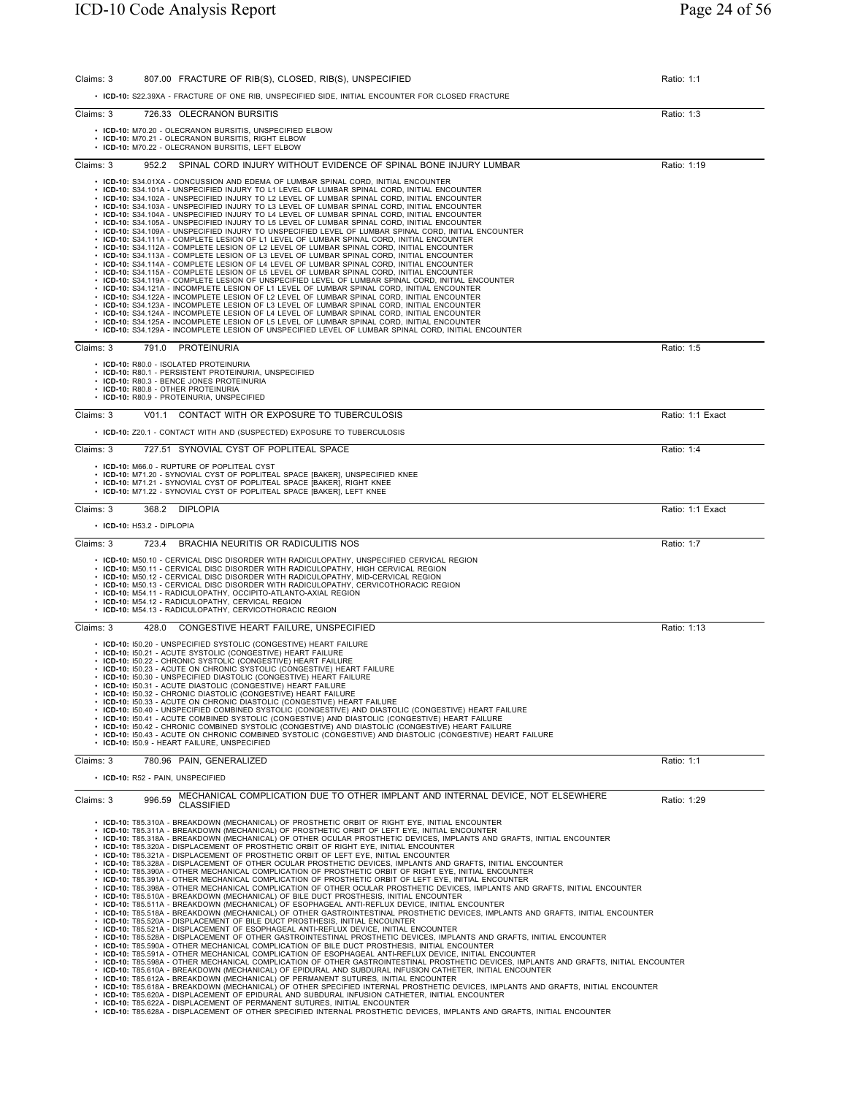| Claims: 3                      | 807.00 FRACTURE OF RIB(S), CLOSED, RIB(S), UNSPECIFIED                                                                                                                                                                                                                                                                                                                                                                                                                                                                                                                                                                                                                                                                                                                                                                                                                                                                                                                                                                                                                                                                                                                                                                                                                                                                                                                                                                                                                                                                                                                                                                                                                                                                                                                                                                                                                                                                                                                                                                                                                                                                                                                         | Ratio: 1:1       |
|--------------------------------|--------------------------------------------------------------------------------------------------------------------------------------------------------------------------------------------------------------------------------------------------------------------------------------------------------------------------------------------------------------------------------------------------------------------------------------------------------------------------------------------------------------------------------------------------------------------------------------------------------------------------------------------------------------------------------------------------------------------------------------------------------------------------------------------------------------------------------------------------------------------------------------------------------------------------------------------------------------------------------------------------------------------------------------------------------------------------------------------------------------------------------------------------------------------------------------------------------------------------------------------------------------------------------------------------------------------------------------------------------------------------------------------------------------------------------------------------------------------------------------------------------------------------------------------------------------------------------------------------------------------------------------------------------------------------------------------------------------------------------------------------------------------------------------------------------------------------------------------------------------------------------------------------------------------------------------------------------------------------------------------------------------------------------------------------------------------------------------------------------------------------------------------------------------------------------|------------------|
|                                | • ICD-10: S22.39XA - FRACTURE OF ONE RIB, UNSPECIFIED SIDE, INITIAL ENCOUNTER FOR CLOSED FRACTURE                                                                                                                                                                                                                                                                                                                                                                                                                                                                                                                                                                                                                                                                                                                                                                                                                                                                                                                                                                                                                                                                                                                                                                                                                                                                                                                                                                                                                                                                                                                                                                                                                                                                                                                                                                                                                                                                                                                                                                                                                                                                              |                  |
| Claims: 3                      | 726.33 OLECRANON BURSITIS                                                                                                                                                                                                                                                                                                                                                                                                                                                                                                                                                                                                                                                                                                                                                                                                                                                                                                                                                                                                                                                                                                                                                                                                                                                                                                                                                                                                                                                                                                                                                                                                                                                                                                                                                                                                                                                                                                                                                                                                                                                                                                                                                      | Ratio: 1:3       |
|                                | • ICD-10: M70.20 - OLECRANON BURSITIS, UNSPECIFIED ELBOW<br>• ICD-10: M70.21 - OLECRANON BURSITIS, RIGHT ELBOW<br>• ICD-10: M70.22 - OLECRANON BURSITIS, LEFT ELBOW                                                                                                                                                                                                                                                                                                                                                                                                                                                                                                                                                                                                                                                                                                                                                                                                                                                                                                                                                                                                                                                                                                                                                                                                                                                                                                                                                                                                                                                                                                                                                                                                                                                                                                                                                                                                                                                                                                                                                                                                            |                  |
| Claims: 3                      | 952.2<br>SPINAL CORD INJURY WITHOUT EVIDENCE OF SPINAL BONE INJURY LUMBAR                                                                                                                                                                                                                                                                                                                                                                                                                                                                                                                                                                                                                                                                                                                                                                                                                                                                                                                                                                                                                                                                                                                                                                                                                                                                                                                                                                                                                                                                                                                                                                                                                                                                                                                                                                                                                                                                                                                                                                                                                                                                                                      | Ratio: 1:19      |
|                                | • ICD-10: S34.01XA - CONCUSSION AND EDEMA OF LUMBAR SPINAL CORD, INITIAL ENCOUNTER<br>• ICD-10: S34.101A - UNSPECIFIED INJURY TO L1 LEVEL OF LUMBAR SPINAL CORD, INITIAL ENCOUNTER<br>· ICD-10: S34.102A - UNSPECIFIED INJURY TO L2 LEVEL OF LUMBAR SPINAL CORD, INITIAL ENCOUNTER<br>. ICD-10: S34.103A - UNSPECIFIED INJURY TO L3 LEVEL OF LUMBAR SPINAL CORD, INITIAL ENCOUNTER<br>· ICD-10: S34.104A - UNSPECIFIED INJURY TO L4 LEVEL OF LUMBAR SPINAL CORD, INITIAL ENCOUNTER<br>. ICD-10: S34.105A - UNSPECIFIED INJURY TO L5 LEVEL OF LUMBAR SPINAL CORD, INITIAL ENCOUNTER<br>. ICD-10: S34.109A - UNSPECIFIED INJURY TO UNSPECIFIED LEVEL OF LUMBAR SPINAL CORD, INITIAL ENCOUNTER<br>. ICD-10: S34.111A - COMPLETE LESION OF L1 LEVEL OF LUMBAR SPINAL CORD, INITIAL ENCOUNTER<br>· ICD-10: S34.112A - COMPLETE LESION OF L2 LEVEL OF LUMBAR SPINAL CORD, INITIAL ENCOUNTER<br>· ICD-10: S34.113A - COMPLETE LESION OF L3 LEVEL OF LUMBAR SPINAL CORD, INITIAL ENCOUNTER<br>• ICD-10: S34.114A - COMPLETE LESION OF L4 LEVEL OF LUMBAR SPINAL CORD, INITIAL ENCOUNTER<br>. ICD-10: S34.115A - COMPLETE LESION OF L5 LEVEL OF LUMBAR SPINAL CORD, INITIAL ENCOUNTER<br>• ICD-10: S34.119A - COMPLETE LESION OF UNSPECIFIED LEVEL OF LUMBAR SPINAL CORD, INITIAL ENCOUNTER<br>. ICD-10: S34.121A - INCOMPLETE LESION OF L1 LEVEL OF LUMBAR SPINAL CORD, INITIAL ENCOUNTER<br>· ICD-10: S34.122A - INCOMPLETE LESION OF L2 LEVEL OF LUMBAR SPINAL CORD, INITIAL ENCOUNTER<br>· ICD-10: S34.123A - INCOMPLETE LESION OF L3 LEVEL OF LUMBAR SPINAL CORD, INITIAL ENCOUNTER<br>. ICD-10: S34.124A - INCOMPLETE LESION OF L4 LEVEL OF LUMBAR SPINAL CORD, INITIAL ENCOUNTER<br>• ICD-10: S34.125A - INCOMPLETE LESION OF L5 LEVEL OF LUMBAR SPINAL CORD, INITIAL ENCOUNTER<br>• ICD-10: S34.129A - INCOMPLETE LESION OF UNSPECIFIED LEVEL OF LUMBAR SPINAL CORD. INITIAL ENCOUNTER                                                                                                                                                                                                                                                                                          |                  |
| Claims: 3                      | 791.0 PROTEINURIA                                                                                                                                                                                                                                                                                                                                                                                                                                                                                                                                                                                                                                                                                                                                                                                                                                                                                                                                                                                                                                                                                                                                                                                                                                                                                                                                                                                                                                                                                                                                                                                                                                                                                                                                                                                                                                                                                                                                                                                                                                                                                                                                                              | Ratio: 1:5       |
|                                | • ICD-10: R80.0 - ISOLATED PROTEINURIA<br>• ICD-10: R80.1 - PERSISTENT PROTEINURIA, UNSPECIFIED<br>• ICD-10: R80.3 - BENCE JONES PROTEINURIA<br>• ICD-10: R80.8 - OTHER PROTEINURIA<br>· ICD-10: R80.9 - PROTEINURIA, UNSPECIFIED                                                                                                                                                                                                                                                                                                                                                                                                                                                                                                                                                                                                                                                                                                                                                                                                                                                                                                                                                                                                                                                                                                                                                                                                                                                                                                                                                                                                                                                                                                                                                                                                                                                                                                                                                                                                                                                                                                                                              |                  |
| Claims: 3                      | V01.1 CONTACT WITH OR EXPOSURE TO TUBERCULOSIS                                                                                                                                                                                                                                                                                                                                                                                                                                                                                                                                                                                                                                                                                                                                                                                                                                                                                                                                                                                                                                                                                                                                                                                                                                                                                                                                                                                                                                                                                                                                                                                                                                                                                                                                                                                                                                                                                                                                                                                                                                                                                                                                 | Ratio: 1:1 Exact |
|                                | • ICD-10: Z20.1 - CONTACT WITH AND (SUSPECTED) EXPOSURE TO TUBERCULOSIS                                                                                                                                                                                                                                                                                                                                                                                                                                                                                                                                                                                                                                                                                                                                                                                                                                                                                                                                                                                                                                                                                                                                                                                                                                                                                                                                                                                                                                                                                                                                                                                                                                                                                                                                                                                                                                                                                                                                                                                                                                                                                                        |                  |
| $\overline{\text{Clains}}$ : 3 | 727.51 SYNOVIAL CYST OF POPLITEAL SPACE                                                                                                                                                                                                                                                                                                                                                                                                                                                                                                                                                                                                                                                                                                                                                                                                                                                                                                                                                                                                                                                                                                                                                                                                                                                                                                                                                                                                                                                                                                                                                                                                                                                                                                                                                                                                                                                                                                                                                                                                                                                                                                                                        | Ratio: 1:4       |
|                                | • ICD-10: M66.0 - RUPTURE OF POPLITEAL CYST<br>• ICD-10: M71.20 - SYNOVIAL CYST OF POPLITEAL SPACE [BAKER], UNSPECIFIED KNEE<br>• ICD-10: M71.21 - SYNOVIAL CYST OF POPLITEAL SPACE [BAKER], RIGHT KNEE<br>• ICD-10: M71.22 - SYNOVIAL CYST OF POPLITEAL SPACE [BAKER], LEFT KNEE                                                                                                                                                                                                                                                                                                                                                                                                                                                                                                                                                                                                                                                                                                                                                                                                                                                                                                                                                                                                                                                                                                                                                                                                                                                                                                                                                                                                                                                                                                                                                                                                                                                                                                                                                                                                                                                                                              |                  |
| Claims: 3                      | 368.2<br><b>DIPLOPIA</b>                                                                                                                                                                                                                                                                                                                                                                                                                                                                                                                                                                                                                                                                                                                                                                                                                                                                                                                                                                                                                                                                                                                                                                                                                                                                                                                                                                                                                                                                                                                                                                                                                                                                                                                                                                                                                                                                                                                                                                                                                                                                                                                                                       | Ratio: 1:1 Exact |
|                                | • ICD-10: H53.2 - DIPLOPIA                                                                                                                                                                                                                                                                                                                                                                                                                                                                                                                                                                                                                                                                                                                                                                                                                                                                                                                                                                                                                                                                                                                                                                                                                                                                                                                                                                                                                                                                                                                                                                                                                                                                                                                                                                                                                                                                                                                                                                                                                                                                                                                                                     |                  |
| Claims: 3                      | 723.4<br>BRACHIA NEURITIS OR RADICULITIS NOS<br>• ICD-10: M50.10 - CERVICAL DISC DISORDER WITH RADICULOPATHY, UNSPECIFIED CERVICAL REGION<br>• ICD-10: M50.11 - CERVICAL DISC DISORDER WITH RADICULOPATHY, HIGH CERVICAL REGION<br>• ICD-10: M50.12 - CERVICAL DISC DISORDER WITH RADICULOPATHY, MID-CERVICAL REGION<br>• ICD-10: M50.13 - CERVICAL DISC DISORDER WITH RADICULOPATHY, CERVICOTHORACIC REGION<br>• ICD-10: M54.11 - RADICULOPATHY, OCCIPITO-ATLANTO-AXIAL REGION<br>• ICD-10: M54.12 - RADICULOPATHY, CERVICAL REGION<br>• ICD-10: M54.13 - RADICULOPATHY, CERVICOTHORACIC REGION                                                                                                                                                                                                                                                                                                                                                                                                                                                                                                                                                                                                                                                                                                                                                                                                                                                                                                                                                                                                                                                                                                                                                                                                                                                                                                                                                                                                                                                                                                                                                                               | Ratio: 1:7       |
| Claims: 3                      | CONGESTIVE HEART FAILURE, UNSPECIFIED<br>428.0                                                                                                                                                                                                                                                                                                                                                                                                                                                                                                                                                                                                                                                                                                                                                                                                                                                                                                                                                                                                                                                                                                                                                                                                                                                                                                                                                                                                                                                                                                                                                                                                                                                                                                                                                                                                                                                                                                                                                                                                                                                                                                                                 | Ratio: 1:13      |
|                                | • ICD-10: I50.20 - UNSPECIFIED SYSTOLIC (CONGESTIVE) HEART FAILURE<br>• ICD-10: 150.21 - ACUTE SYSTOLIC (CONGESTIVE) HEART FAILURE<br>• ICD-10: 150.22 - CHRONIC SYSTOLIC (CONGESTIVE) HEART FAILURE<br>• ICD-10: 150.23 - ACUTE ON CHRONIC SYSTOLIC (CONGESTIVE) HEART FAILURE<br>ICD-10: I50.30 - UNSPECIFIED DIASTOLIC (CONGESTIVE) HEART FAILURE<br>• ICD-10: 150.31 - ACUTE DIASTOLIC (CONGESTIVE) HEART FAILURE<br>• ICD-10: 150.32 - CHRONIC DIASTOLIC (CONGESTIVE) HEART FAILURE<br>• ICD-10: 150.33 - ACUTE ON CHRONIC DIASTOLIC (CONGESTIVE) HEART FAILURE<br>• ICD-10: I50.40 - UNSPECIFIED COMBINED SYSTOLIC (CONGESTIVE) AND DIASTOLIC (CONGESTIVE) HEART FAILURE<br>• ICD-10: I50.41 - ACUTE COMBINED SYSTOLIC (CONGESTIVE) AND DIASTOLIC (CONGESTIVE) HEART FAILURE<br>• ICD-10: I50.42 - CHRONIC COMBINED SYSTOLIC (CONGESTIVE) AND DIASTOLIC (CONGESTIVE) HEART FAILURE<br>. ICD-10: I50.43 - ACUTE ON CHRONIC COMBINED SYSTOLIC (CONGESTIVE) AND DIASTOLIC (CONGESTIVE) HEART FAILURE<br>· ICD-10: I50.9 - HEART FAILURE, UNSPECIFIED                                                                                                                                                                                                                                                                                                                                                                                                                                                                                                                                                                                                                                                                                                                                                                                                                                                                                                                                                                                                                                                                                                                        |                  |
| Claims: 3                      | 780.96 PAIN, GENERALIZED                                                                                                                                                                                                                                                                                                                                                                                                                                                                                                                                                                                                                                                                                                                                                                                                                                                                                                                                                                                                                                                                                                                                                                                                                                                                                                                                                                                                                                                                                                                                                                                                                                                                                                                                                                                                                                                                                                                                                                                                                                                                                                                                                       | Ratio: 1:1       |
|                                | • ICD-10: R52 - PAIN, UNSPECIFIED                                                                                                                                                                                                                                                                                                                                                                                                                                                                                                                                                                                                                                                                                                                                                                                                                                                                                                                                                                                                                                                                                                                                                                                                                                                                                                                                                                                                                                                                                                                                                                                                                                                                                                                                                                                                                                                                                                                                                                                                                                                                                                                                              |                  |
| Claims: 3                      | MECHANICAL COMPLICATION DUE TO OTHER IMPLANT AND INTERNAL DEVICE, NOT ELSEWHERE<br>996.59<br><b>CLASSIFIED</b>                                                                                                                                                                                                                                                                                                                                                                                                                                                                                                                                                                                                                                                                                                                                                                                                                                                                                                                                                                                                                                                                                                                                                                                                                                                                                                                                                                                                                                                                                                                                                                                                                                                                                                                                                                                                                                                                                                                                                                                                                                                                 | Ratio: 1:29      |
|                                | • ICD-10: T85.310A - BREAKDOWN (MECHANICAL) OF PROSTHETIC ORBIT OF RIGHT EYE, INITIAL ENCOUNTER<br>. ICD-10: T85.311A - BREAKDOWN (MECHANICAL) OF PROSTHETIC ORBIT OF LEFT EYE, INITIAL ENCOUNTER<br>· ICD-10: T85.318A - BREAKDOWN (MECHANICAL) OF OTHER OCULAR PROSTHETIC DEVICES, IMPLANTS AND GRAFTS, INITIAL ENCOUNTER<br>• ICD-10: T85.320A - DISPLACEMENT OF PROSTHETIC ORBIT OF RIGHT EYE, INITIAL ENCOUNTER<br>• ICD-10: T85.321A - DISPLACEMENT OF PROSTHETIC ORBIT OF LEFT EYE, INITIAL ENCOUNTER<br>. ICD-10: T85.328A - DISPLACEMENT OF OTHER OCULAR PROSTHETIC DEVICES, IMPLANTS AND GRAFTS, INITIAL ENCOUNTER<br>. ICD-10: T85.390A - OTHER MECHANICAL COMPLICATION OF PROSTHETIC ORBIT OF RIGHT EYE, INITIAL ENCOUNTER<br>• ICD-10: T85.391A - OTHER MECHANICAL COMPLICATION OF PROSTHETIC ORBIT OF LEFT EYE, INITIAL ENCOUNTER<br>. ICD-10: T85.398A - OTHER MECHANICAL COMPLICATION OF OTHER OCULAR PROSTHETIC DEVICES, IMPLANTS AND GRAFTS, INITIAL ENCOUNTER<br>• ICD-10: T85.510A - BREAKDOWN (MECHANICAL) OF BILE DUCT PROSTHESIS, INITIAL ENCOUNTER<br>• ICD-10: T85.511A - BREAKDOWN (MECHANICAL) OF ESOPHAGEAL ANTI-REFLUX DEVICE, INITIAL ENCOUNTER<br>• ICD-10: T85.518A - BREAKDOWN (MECHANICAL) OF OTHER GASTROINTESTINAL PROSTHETIC DEVICES, IMPLANTS AND GRAFTS, INITIAL ENCOUNTER<br>• ICD-10: T85.520A - DISPLACEMENT OF BILE DUCT PROSTHESIS, INITIAL ENCOUNTER<br>• ICD-10: T85.521A - DISPLACEMENT OF ESOPHAGEAL ANTI-REFLUX DEVICE, INITIAL ENCOUNTER<br>. ICD-10: T85.528A - DISPLACEMENT OF OTHER GASTROINTESTINAL PROSTHETIC DEVICES, IMPLANTS AND GRAFTS, INITIAL ENCOUNTER<br>• ICD-10: T85.590A - OTHER MECHANICAL COMPLICATION OF BILE DUCT PROSTHESIS, INITIAL ENCOUNTER<br>. ICD-10: T85.591A - OTHER MECHANICAL COMPLICATION OF ESOPHAGEAL ANTI-REFLUX DEVICE, INITIAL ENCOUNTER<br>. ICD-10: T85.598A - OTHER MECHANICAL COMPLICATION OF OTHER GASTROINTESTINAL PROSTHETIC DEVICES, IMPLANTS AND GRAFTS, INITIAL ENCOUNTER<br>· ICD-10: T85.610A - BREAKDOWN (MECHANICAL) OF EPIDURAL AND SUBDURAL INFUSION CATHETER, INITIAL ENCOUNTER<br>• ICD-10: T85.612A - BREAKDOWN (MECHANICAL) OF PERMANENT SUTURES, INITIAL ENCOUNTER |                  |

- ICD-10: T85.612A BREAKDOWN (MECHANICAL) OF PERMANENT SUTURES, INTIAL ENCOUNTER<br>• ICD-10: T85.618A BREAKDOWN (MECHANICAL) OF OTHER SPECIFIED INTERNAL PROSTHETIC DEVICES, IMPLANTS AND GRAFTS, INITIAL ENCOUNTER<br>• ICD-10
-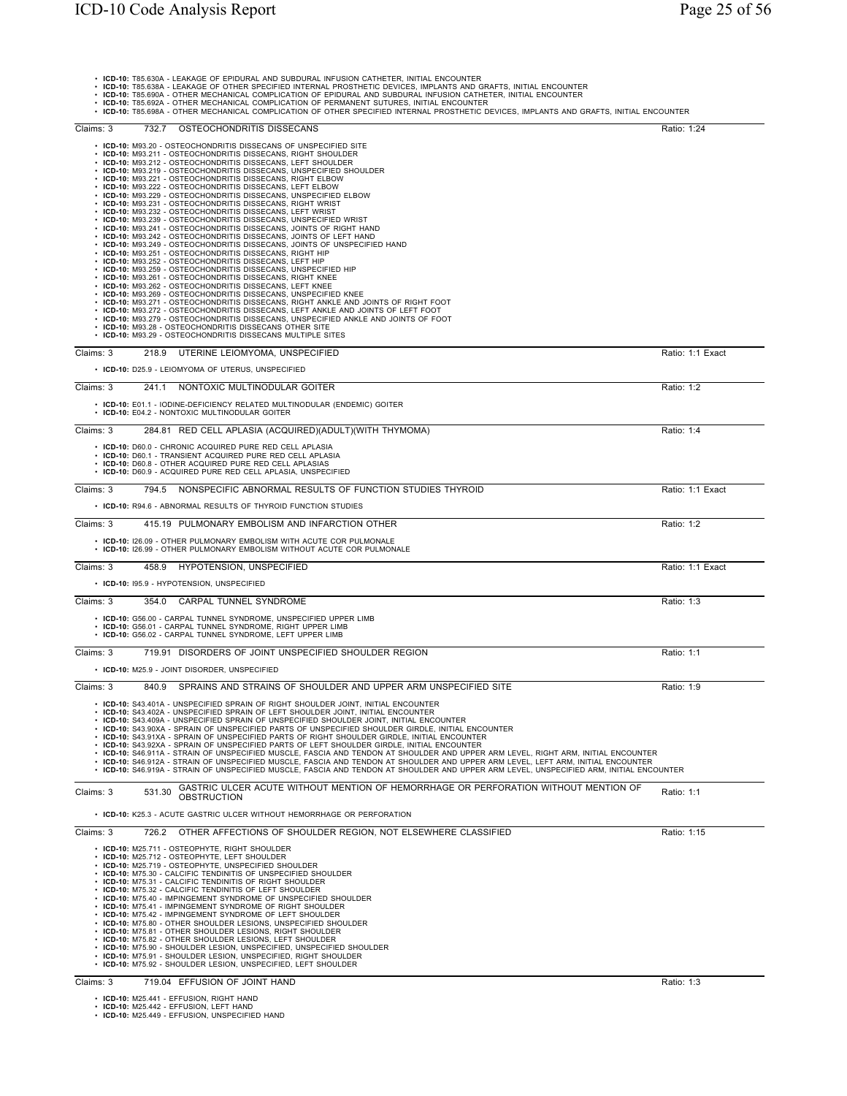• ICD-10: T85.630A - LEAKAGE OF EPIDURAL AND SUBDURAL INFUSION CATHETER, INITIAL ENCOUNTER<br>• ICD-10: T85.638A - LEAKAGE OF OTHER SPECIFIED INTERNAL PROSTHETIC DEVICES, IMPLANTS AND GRAFTS, INITIAL ENCOUNTER<br>• ICD-10: T85.6

| <b>IOD-10.</b> T00.00ZA - OTHER MEGHANICAL COMELIGATION OF FERMANENT OUTURES, INTIAL LINGOUNTER<br>. ICD-10: T85.698A - OTHER MECHANICAL COMPLICATION OF OTHER SPECIFIED INTERNAL PROSTHETIC DEVICES, IMPLANTS AND GRAFTS, INITIAL ENCOUNTER                                                                                                                                                                                                                                                                                                                                                                                                                                                                                                                                                                                                                                                                                                                                                    |                  |
|-------------------------------------------------------------------------------------------------------------------------------------------------------------------------------------------------------------------------------------------------------------------------------------------------------------------------------------------------------------------------------------------------------------------------------------------------------------------------------------------------------------------------------------------------------------------------------------------------------------------------------------------------------------------------------------------------------------------------------------------------------------------------------------------------------------------------------------------------------------------------------------------------------------------------------------------------------------------------------------------------|------------------|
| Claims: 3<br>732.7 OSTEOCHONDRITIS DISSECANS                                                                                                                                                                                                                                                                                                                                                                                                                                                                                                                                                                                                                                                                                                                                                                                                                                                                                                                                                    | Ratio: 1:24      |
| • ICD-10: M93.20 - OSTEOCHONDRITIS DISSECANS OF UNSPECIFIED SITE<br>• ICD-10: M93.211 - OSTEOCHONDRITIS DISSECANS, RIGHT SHOULDER<br>• ICD-10: M93.212 - OSTEOCHONDRITIS DISSECANS, LEFT SHOULDER<br>• ICD-10: M93.219 - OSTEOCHONDRITIS DISSECANS, UNSPECIFIED SHOULDER<br>• ICD-10: M93.221 - OSTEOCHONDRITIS DISSECANS, RIGHT ELBOW<br>• ICD-10: M93.222 - OSTEOCHONDRITIS DISSECANS, LEFT ELBOW<br>· ICD-10: M93.229 - OSTEOCHONDRITIS DISSECANS, UNSPECIFIED ELBOW<br>• ICD-10: M93.231 - OSTEOCHONDRITIS DISSECANS. RIGHT WRIST<br>• ICD-10: M93.232 - OSTEOCHONDRITIS DISSECANS, LEFT WRIST<br>• ICD-10: M93.239 - OSTEOCHONDRITIS DISSECANS, UNSPECIFIED WRIST<br>• ICD-10: M93.241 - OSTEOCHONDRITIS DISSECANS, JOINTS OF RIGHT HAND                                                                                                                                                                                                                                                   |                  |
| • ICD-10: M93.242 - OSTEOCHONDRITIS DISSECANS, JOINTS OF LEFT HAND<br>• ICD-10: M93.249 - OSTEOCHONDRITIS DISSECANS, JOINTS OF UNSPECIFIED HAND<br>• ICD-10: M93.251 - OSTEOCHONDRITIS DISSECANS, RIGHT HIP<br>• ICD-10: M93.252 - OSTEOCHONDRITIS DISSECANS, LEFT HIP<br>• ICD-10: M93.259 - OSTEOCHONDRITIS DISSECANS, UNSPECIFIED HIP<br>• ICD-10: M93.261 - OSTEOCHONDRITIS DISSECANS, RIGHT KNEE<br>• ICD-10: M93.262 - OSTEOCHONDRITIS DISSECANS, LEFT KNEE<br>• ICD-10: M93.269 - OSTEOCHONDRITIS DISSECANS, UNSPECIFIED KNEE<br>• ICD-10: M93.271 - OSTEOCHONDRITIS DISSECANS, RIGHT ANKLE AND JOINTS OF RIGHT FOOT<br>• ICD-10: M93.272 - OSTEOCHONDRITIS DISSECANS, LEFT ANKLE AND JOINTS OF LEFT FOOT<br>• ICD-10: M93.279 - OSTEOCHONDRITIS DISSECANS, UNSPECIFIED ANKLE AND JOINTS OF FOOT<br>• ICD-10: M93.28 - OSTEOCHONDRITIS DISSECANS OTHER SITE<br>• ICD-10: M93.29 - OSTEOCHONDRITIS DISSECANS MULTIPLE SITES                                                               |                  |
| Claims: 3<br>218.9 UTERINE LEIOMYOMA, UNSPECIFIED<br>• ICD-10: D25.9 - LEIOMYOMA OF UTERUS, UNSPECIFIED                                                                                                                                                                                                                                                                                                                                                                                                                                                                                                                                                                                                                                                                                                                                                                                                                                                                                         | Ratio: 1:1 Exact |
| Claims: 3<br>241.1 NONTOXIC MULTINODULAR GOITER<br>• ICD-10: E01.1 - IODINE-DEFICIENCY RELATED MULTINODULAR (ENDEMIC) GOITER<br>• ICD-10: E04.2 - NONTOXIC MULTINODULAR GOITER                                                                                                                                                                                                                                                                                                                                                                                                                                                                                                                                                                                                                                                                                                                                                                                                                  | Ratio: 1:2       |
| Claims: 3<br>284.81 RED CELL APLASIA (ACQUIRED)(ADULT)(WITH THYMOMA)                                                                                                                                                                                                                                                                                                                                                                                                                                                                                                                                                                                                                                                                                                                                                                                                                                                                                                                            | Ratio: 1:4       |
| • ICD-10: D60.0 - CHRONIC ACQUIRED PURE RED CELL APLASIA<br>• ICD-10: D60.1 - TRANSIENT ACQUIRED PURE RED CELL APLASIA<br>• ICD-10: D60.8 - OTHER ACQUIRED PURE RED CELL APLASIAS<br>• ICD-10: D60.9 - ACQUIRED PURE RED CELL APLASIA, UNSPECIFIED                                                                                                                                                                                                                                                                                                                                                                                                                                                                                                                                                                                                                                                                                                                                              |                  |
| Claims: 3<br>794.5 NONSPECIFIC ABNORMAL RESULTS OF FUNCTION STUDIES THYROID<br>• ICD-10: R94.6 - ABNORMAL RESULTS OF THYROID FUNCTION STUDIES                                                                                                                                                                                                                                                                                                                                                                                                                                                                                                                                                                                                                                                                                                                                                                                                                                                   | Ratio: 1:1 Exact |
| Claims: 3<br>415.19 PULMONARY EMBOLISM AND INFARCTION OTHER                                                                                                                                                                                                                                                                                                                                                                                                                                                                                                                                                                                                                                                                                                                                                                                                                                                                                                                                     | Ratio: 1:2       |
| • ICD-10: I26.09 - OTHER PULMONARY EMBOLISM WITH ACUTE COR PULMONALE<br>• ICD-10: I26.99 - OTHER PULMONARY EMBOLISM WITHOUT ACUTE COR PULMONALE                                                                                                                                                                                                                                                                                                                                                                                                                                                                                                                                                                                                                                                                                                                                                                                                                                                 |                  |
| Claims: 3<br>458.9 HYPOTENSION, UNSPECIFIED                                                                                                                                                                                                                                                                                                                                                                                                                                                                                                                                                                                                                                                                                                                                                                                                                                                                                                                                                     | Ratio: 1:1 Exact |
| • ICD-10: 195.9 - HYPOTENSION, UNSPECIFIED                                                                                                                                                                                                                                                                                                                                                                                                                                                                                                                                                                                                                                                                                                                                                                                                                                                                                                                                                      |                  |
| Claims: 3<br>354.0 CARPAL TUNNEL SYNDROME                                                                                                                                                                                                                                                                                                                                                                                                                                                                                                                                                                                                                                                                                                                                                                                                                                                                                                                                                       | Ratio: 1:3       |
| • ICD-10: G56.00 - CARPAL TUNNEL SYNDROME, UNSPECIFIED UPPER LIMB<br>• ICD-10: G56.01 - CARPAL TUNNEL SYNDROME, RIGHT UPPER LIMB<br>. ICD-10: G56.02 - CARPAL TUNNEL SYNDROME, LEFT UPPER LIMB                                                                                                                                                                                                                                                                                                                                                                                                                                                                                                                                                                                                                                                                                                                                                                                                  |                  |
| 719.91 DISORDERS OF JOINT UNSPECIFIED SHOULDER REGION<br>Claims: 3                                                                                                                                                                                                                                                                                                                                                                                                                                                                                                                                                                                                                                                                                                                                                                                                                                                                                                                              | Ratio: 1:1       |
| • ICD-10: M25.9 - JOINT DISORDER, UNSPECIFIED                                                                                                                                                                                                                                                                                                                                                                                                                                                                                                                                                                                                                                                                                                                                                                                                                                                                                                                                                   |                  |
| Claims: 3<br>SPRAINS AND STRAINS OF SHOULDER AND UPPER ARM UNSPECIFIED SITE<br>840.9                                                                                                                                                                                                                                                                                                                                                                                                                                                                                                                                                                                                                                                                                                                                                                                                                                                                                                            | Ratio: 1:9       |
| • ICD-10: S43.401A - UNSPECIFIED SPRAIN OF RIGHT SHOULDER JOINT, INITIAL ENCOUNTER<br>• ICD-10: S43.402A - UNSPECIFIED SPRAIN OF LEFT SHOULDER JOINT, INITIAL ENCOUNTER<br>• ICD-10: S43.409A - UNSPECIFIED SPRAIN OF UNSPECIFIED SHOULDER JOINT, INITIAL ENCOUNTER<br>• ICD-10: S43.90XA - SPRAIN OF UNSPECIFIED PARTS OF UNSPECIFIED SHOULDER GIRDLE, INITIAL ENCOUNTER<br>• ICD-10: S43.91XA - SPRAIN OF UNSPECIFIED PARTS OF RIGHT SHOULDER GIRDLE, INITIAL ENCOUNTER<br>• ICD-10: S43.92XA - SPRAIN OF UNSPECIFIED PARTS OF LEFT SHOULDER GIRDLE, INITIAL ENCOUNTER<br>. ICD-10: S46.911A - STRAIN OF UNSPECIFIED MUSCLE, FASCIA AND TENDON AT SHOULDER AND UPPER ARM LEVEL, RIGHT ARM, INITIAL ENCOUNTER<br>. ICD-10: S46.912A - STRAIN OF UNSPECIFIED MUSCLE, FASCIA AND TENDON AT SHOULDER AND UPPER ARM LEVEL, LEFT ARM, INITIAL ENCOUNTER<br>. ICD-10: S46.919A - STRAIN OF UNSPECIFIED MUSCLE, FASCIA AND TENDON AT SHOULDER AND UPPER ARM LEVEL, UNSPECIFIED ARM, INITIAL ENCOUNTER |                  |
| GASTRIC ULCER ACUTE WITHOUT MENTION OF HEMORRHAGE OR PERFORATION WITHOUT MENTION OF<br>531.30<br>Claims: 3<br><b>OBSTRUCTION</b>                                                                                                                                                                                                                                                                                                                                                                                                                                                                                                                                                                                                                                                                                                                                                                                                                                                                | Ratio: 1:1       |
| • ICD-10: K25.3 - ACUTE GASTRIC ULCER WITHOUT HEMORRHAGE OR PERFORATION                                                                                                                                                                                                                                                                                                                                                                                                                                                                                                                                                                                                                                                                                                                                                                                                                                                                                                                         |                  |
| Claims: 3<br>OTHER AFFECTIONS OF SHOULDER REGION, NOT ELSEWHERE CLASSIFIED<br>726.2                                                                                                                                                                                                                                                                                                                                                                                                                                                                                                                                                                                                                                                                                                                                                                                                                                                                                                             | Ratio: 1:15      |
| • ICD-10: M25.711 - OSTEOPHYTE, RIGHT SHOULDER<br>• ICD-10: M25.712 - OSTEOPHYTE, LEFT SHOULDER<br>• ICD-10: M25.719 - OSTEOPHYTE, UNSPECIFIED SHOULDER<br>• ICD-10: M75.30 - CALCIFIC TENDINITIS OF UNSPECIFIED SHOULDER<br>• ICD-10: M75.31 - CALCIFIC TENDINITIS OF RIGHT SHOULDER<br>• ICD-10: M75.32 - CALCIFIC TENDINITIS OF LEFT SHOULDER<br>• ICD-10: M75.40 - IMPINGEMENT SYNDROME OF UNSPECIFIED SHOULDER<br>• ICD-10: M75.41 - IMPINGEMENT SYNDROME OF RIGHT SHOULDER<br>• ICD-10: M75.42 - IMPINGEMENT SYNDROME OF LEFT SHOULDER<br>• ICD-10: M75.80 - OTHER SHOULDER LESIONS, UNSPECIFIED SHOULDER<br>• ICD-10: M75.81 - OTHER SHOULDER LESIONS, RIGHT SHOULDER<br>• ICD-10: M75.82 - OTHER SHOULDER LESIONS, LEFT SHOULDER<br>• ICD-10: M75.90 - SHOULDER LESION, UNSPECIFIED, UNSPECIFIED SHOULDER<br>• ICD-10: M75.91 - SHOULDER LESION, UNSPECIFIED, RIGHT SHOULDER<br>• ICD-10: M75.92 - SHOULDER LESION, UNSPECIFIED, LEFT SHOULDER                                          |                  |
| Claims: 3<br>719.04 EFFUSION OF JOINT HAND                                                                                                                                                                                                                                                                                                                                                                                                                                                                                                                                                                                                                                                                                                                                                                                                                                                                                                                                                      | Ratio: 1:3       |
|                                                                                                                                                                                                                                                                                                                                                                                                                                                                                                                                                                                                                                                                                                                                                                                                                                                                                                                                                                                                 |                  |

• **ICD-10:** M25.441 - EFFUSION, RIGHT HAND • **ICD-10:** M25.442 - EFFUSION, LEFT HAND • **ICD-10:** M25.449 - EFFUSION, UNSPECIFIED HAND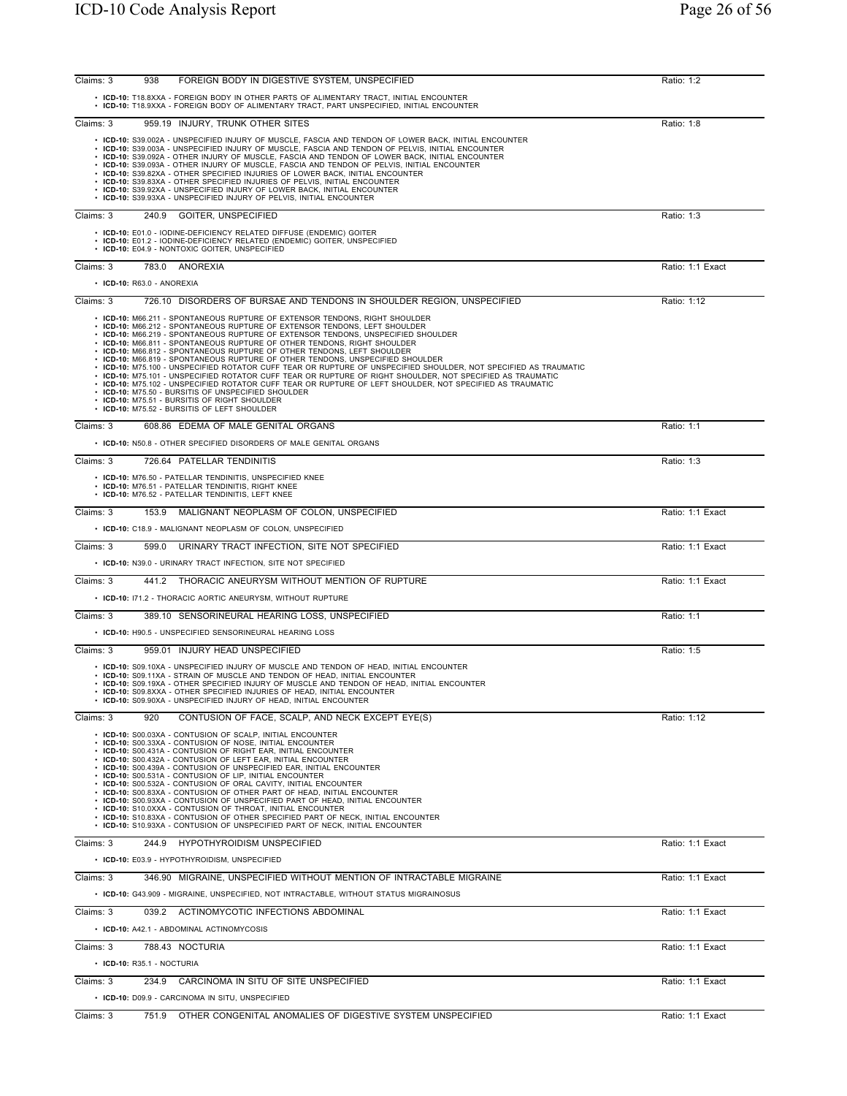| Claims: 3 | 938                              | FOREIGN BODY IN DIGESTIVE SYSTEM, UNSPECIFIED                                                                                                                                                                                                                                                                                                                                                                                                                                                                                                                                                                                                                                                                                                                                                                                                                                                                                                                                                   | Ratio: 1:2       |
|-----------|----------------------------------|-------------------------------------------------------------------------------------------------------------------------------------------------------------------------------------------------------------------------------------------------------------------------------------------------------------------------------------------------------------------------------------------------------------------------------------------------------------------------------------------------------------------------------------------------------------------------------------------------------------------------------------------------------------------------------------------------------------------------------------------------------------------------------------------------------------------------------------------------------------------------------------------------------------------------------------------------------------------------------------------------|------------------|
|           |                                  | . ICD-10: T18.8XXA - FOREIGN BODY IN OTHER PARTS OF ALIMENTARY TRACT, INITIAL ENCOUNTER<br>· ICD-10: T18.9XXA - FOREIGN BODY OF ALIMENTARY TRACT, PART UNSPECIFIED, INITIAL ENCOUNTER                                                                                                                                                                                                                                                                                                                                                                                                                                                                                                                                                                                                                                                                                                                                                                                                           |                  |
| Claims: 3 |                                  | 959.19 INJURY, TRUNK OTHER SITES                                                                                                                                                                                                                                                                                                                                                                                                                                                                                                                                                                                                                                                                                                                                                                                                                                                                                                                                                                | Ratio: 1:8       |
|           |                                  | • ICD-10: S39.002A - UNSPECIFIED INJURY OF MUSCLE, FASCIA AND TENDON OF LOWER BACK, INITIAL ENCOUNTER<br>· ICD-10: S39.003A - UNSPECIFIED INJURY OF MUSCLE, FASCIA AND TENDON OF PELVIS, INITIAL ENCOUNTER<br>. ICD-10: S39.092A - OTHER INJURY OF MUSCLE, FASCIA AND TENDON OF LOWER BACK, INITIAL ENCOUNTER<br>. ICD-10: S39.093A - OTHER INJURY OF MUSCLE, FASCIA AND TENDON OF PELVIS, INITIAL ENCOUNTER<br>• ICD-10: S39.82XA - OTHER SPECIFIED INJURIES OF LOWER BACK, INITIAL ENCOUNTER<br>• ICD-10: S39.83XA - OTHER SPECIFIED INJURIES OF PELVIS, INITIAL ENCOUNTER<br>• ICD-10: S39.92XA - UNSPECIFIED INJURY OF LOWER BACK, INITIAL ENCOUNTER<br>• ICD-10: S39.93XA - UNSPECIFIED INJURY OF PELVIS, INITIAL ENCOUNTER                                                                                                                                                                                                                                                                |                  |
| Claims: 3 |                                  | 240.9 GOITER, UNSPECIFIED                                                                                                                                                                                                                                                                                                                                                                                                                                                                                                                                                                                                                                                                                                                                                                                                                                                                                                                                                                       | Ratio: 1:3       |
|           |                                  | • ICD-10: E01.0 - IODINE-DEFICIENCY RELATED DIFFUSE (ENDEMIC) GOITER<br>• ICD-10: E01.2 - IODINE-DEFICIENCY RELATED (ENDEMIC) GOITER, UNSPECIFIED<br>• ICD-10: E04.9 - NONTOXIC GOITER, UNSPECIFIED                                                                                                                                                                                                                                                                                                                                                                                                                                                                                                                                                                                                                                                                                                                                                                                             |                  |
| Claims: 3 |                                  | 783.0 ANOREXIA                                                                                                                                                                                                                                                                                                                                                                                                                                                                                                                                                                                                                                                                                                                                                                                                                                                                                                                                                                                  | Ratio: 1:1 Exact |
|           | • ICD-10: R63.0 - ANOREXIA       |                                                                                                                                                                                                                                                                                                                                                                                                                                                                                                                                                                                                                                                                                                                                                                                                                                                                                                                                                                                                 |                  |
| Claims: 3 |                                  | 726.10 DISORDERS OF BURSAE AND TENDONS IN SHOULDER REGION, UNSPECIFIED                                                                                                                                                                                                                                                                                                                                                                                                                                                                                                                                                                                                                                                                                                                                                                                                                                                                                                                          | Ratio: 1:12      |
|           |                                  | • ICD-10: M66.211 - SPONTANEOUS RUPTURE OF EXTENSOR TENDONS, RIGHT SHOULDER<br>• ICD-10: M66.212 - SPONTANEOUS RUPTURE OF EXTENSOR TENDONS, LEFT SHOULDER<br>• ICD-10: M66.219 - SPONTANEOUS RUPTURE OF EXTENSOR TENDONS, UNSPECIFIED SHOULDER<br>• ICD-10: M66.811 - SPONTANEOUS RUPTURE OF OTHER TENDONS, RIGHT SHOULDER<br>• ICD-10: M66.812 - SPONTANEOUS RUPTURE OF OTHER TENDONS, LEFT SHOULDER<br>• ICD-10: M66.819 - SPONTANEOUS RUPTURE OF OTHER TENDONS, UNSPECIFIED SHOULDER<br>· ICD-10: M75.100 - UNSPECIFIED ROTATOR CUFF TEAR OR RUPTURE OF UNSPECIFIED SHOULDER, NOT SPECIFIED AS TRAUMATIC<br>· ICD-10: M75.101 - UNSPECIFIED ROTATOR CUFF TEAR OR RUPTURE OF RIGHT SHOULDER, NOT SPECIFIED AS TRAUMATIC<br>• ICD-10: M75.101 - UNSPECIFIED ROTATOR CUFF TEAR OR RUPTURE OF RIGHT SHOULDER, NOT SPECIFIED AS TRAUMATIC<br>• ICD-10: M75.50 - BURSITIS OF UNSPECIFIED SHOULDER<br>• ICD-10: M75.51 - BURSITIS OF RIGHT SHOULDER<br>• ICD-10: M75.52 - BURSITIS OF LEFT SHOULDER |                  |
| Claims: 3 |                                  | 608.86 EDEMA OF MALE GENITAL ORGANS                                                                                                                                                                                                                                                                                                                                                                                                                                                                                                                                                                                                                                                                                                                                                                                                                                                                                                                                                             | Ratio: 1:1       |
|           |                                  | • ICD-10: N50.8 - OTHER SPECIFIED DISORDERS OF MALE GENITAL ORGANS                                                                                                                                                                                                                                                                                                                                                                                                                                                                                                                                                                                                                                                                                                                                                                                                                                                                                                                              |                  |
| Claims: 3 |                                  | 726.64 PATELLAR TENDINITIS<br>• ICD-10: M76.50 - PATELLAR TENDINITIS, UNSPECIFIED KNEE<br>• ICD-10: M76.51 - PATELLAR TENDINITIS, RIGHT KNEE                                                                                                                                                                                                                                                                                                                                                                                                                                                                                                                                                                                                                                                                                                                                                                                                                                                    | Ratio: 1:3       |
|           |                                  | • ICD-10: M76.52 - PATELLAR TENDINITIS, LEFT KNEE                                                                                                                                                                                                                                                                                                                                                                                                                                                                                                                                                                                                                                                                                                                                                                                                                                                                                                                                               |                  |
| Claims: 3 |                                  | 153.9 MALIGNANT NEOPLASM OF COLON, UNSPECIFIED<br>• ICD-10: C18.9 - MALIGNANT NEOPLASM OF COLON, UNSPECIFIED                                                                                                                                                                                                                                                                                                                                                                                                                                                                                                                                                                                                                                                                                                                                                                                                                                                                                    | Ratio: 1:1 Exact |
| Claims: 3 |                                  | 599.0 URINARY TRACT INFECTION, SITE NOT SPECIFIED                                                                                                                                                                                                                                                                                                                                                                                                                                                                                                                                                                                                                                                                                                                                                                                                                                                                                                                                               | Ratio: 1:1 Exact |
|           |                                  | • ICD-10: N39.0 - URINARY TRACT INFECTION, SITE NOT SPECIFIED                                                                                                                                                                                                                                                                                                                                                                                                                                                                                                                                                                                                                                                                                                                                                                                                                                                                                                                                   |                  |
| Claims: 3 |                                  | 441.2 THORACIC ANEURYSM WITHOUT MENTION OF RUPTURE                                                                                                                                                                                                                                                                                                                                                                                                                                                                                                                                                                                                                                                                                                                                                                                                                                                                                                                                              | Ratio: 1:1 Exact |
|           |                                  | • ICD-10: 171.2 - THORACIC AORTIC ANEURYSM, WITHOUT RUPTURE                                                                                                                                                                                                                                                                                                                                                                                                                                                                                                                                                                                                                                                                                                                                                                                                                                                                                                                                     |                  |
| Claims: 3 |                                  | 389.10 SENSORINEURAL HEARING LOSS, UNSPECIFIED<br>• ICD-10: H90.5 - UNSPECIFIED SENSORINEURAL HEARING LOSS                                                                                                                                                                                                                                                                                                                                                                                                                                                                                                                                                                                                                                                                                                                                                                                                                                                                                      | Ratio: 1:1       |
| Claims: 3 |                                  | 959.01 INJURY HEAD UNSPECIFIED                                                                                                                                                                                                                                                                                                                                                                                                                                                                                                                                                                                                                                                                                                                                                                                                                                                                                                                                                                  | Ratio: 1:5       |
|           |                                  | . ICD-10: S09.10XA - UNSPECIFIED INJURY OF MUSCLE AND TENDON OF HEAD, INITIAL ENCOUNTER<br>. ICD-10: S09.11XA - STRAIN OF MUSCLE AND TENDON OF HEAD, INITIAL ENCOUNTER<br>• ICD-10: S09.19XA - OTHER SPECIFIED INJURY OF MUSCLE AND TENDON OF HEAD. INITIAL ENCOUNTER<br>• ICD-10: S09.8XXA - OTHER SPECIFIED INJURIES OF HEAD, INITIAL ENCOUNTER<br>• ICD-10: S09.90XA - UNSPECIFIED INJURY OF HEAD, INITIAL ENCOUNTER                                                                                                                                                                                                                                                                                                                                                                                                                                                                                                                                                                         |                  |
| Claims: 3 | 920                              | CONTUSION OF FACE, SCALP, AND NECK EXCEPT EYE(S)                                                                                                                                                                                                                                                                                                                                                                                                                                                                                                                                                                                                                                                                                                                                                                                                                                                                                                                                                | Ratio: 1:12      |
|           |                                  | • ICD-10: S00.03XA - CONTUSION OF SCALP, INITIAL ENCOUNTER<br>• ICD-10: S00.33XA - CONTUSION OF NOSE, INITIAL ENCOUNTER<br>• ICD-10: S00.431A - CONTUSION OF RIGHT EAR. INITIAL ENCOUNTER<br>• ICD-10: S00.432A - CONTUSION OF LEFT EAR, INITIAL ENCOUNTER<br>• ICD-10: S00.439A - CONTUSION OF UNSPECIFIED EAR, INITIAL ENCOUNTER<br>• ICD-10: S00.531A - CONTUSION OF LIP, INITIAL ENCOUNTER<br>• ICD-10: S00.532A - CONTUSION OF ORAL CAVITY, INITIAL ENCOUNTER<br>• ICD-10: S00.83XA - CONTUSION OF OTHER PART OF HEAD, INITIAL ENCOUNTER<br>• ICD-10: S00.93XA - CONTUSION OF UNSPECIFIED PART OF HEAD, INITIAL ENCOUNTER<br>• ICD-10: S10.0XXA - CONTUSION OF THROAT, INITIAL ENCOUNTER<br>• ICD-10: S10.83XA - CONTUSION OF OTHER SPECIFIED PART OF NECK, INITIAL ENCOUNTER<br>• ICD-10: S10.93XA - CONTUSION OF UNSPECIFIED PART OF NECK, INITIAL ENCOUNTER                                                                                                                             |                  |
| Claims: 3 |                                  | 244.9 HYPOTHYROIDISM UNSPECIFIED                                                                                                                                                                                                                                                                                                                                                                                                                                                                                                                                                                                                                                                                                                                                                                                                                                                                                                                                                                | Ratio: 1:1 Exact |
|           |                                  | • ICD-10: E03.9 - HYPOTHYROIDISM, UNSPECIFIED                                                                                                                                                                                                                                                                                                                                                                                                                                                                                                                                                                                                                                                                                                                                                                                                                                                                                                                                                   |                  |
| Claims: 3 |                                  | 346.90 MIGRAINE, UNSPECIFIED WITHOUT MENTION OF INTRACTABLE MIGRAINE<br>• ICD-10: G43.909 - MIGRAINE, UNSPECIFIED, NOT INTRACTABLE, WITHOUT STATUS MIGRAINOSUS                                                                                                                                                                                                                                                                                                                                                                                                                                                                                                                                                                                                                                                                                                                                                                                                                                  | Ratio: 1:1 Exact |
| Claims: 3 |                                  | 039.2 ACTINOMYCOTIC INFECTIONS ABDOMINAL                                                                                                                                                                                                                                                                                                                                                                                                                                                                                                                                                                                                                                                                                                                                                                                                                                                                                                                                                        | Ratio: 1:1 Exact |
|           |                                  | • ICD-10: A42.1 - ABDOMINAL ACTINOMYCOSIS                                                                                                                                                                                                                                                                                                                                                                                                                                                                                                                                                                                                                                                                                                                                                                                                                                                                                                                                                       |                  |
| Claims: 3 |                                  | 788.43 NOCTURIA                                                                                                                                                                                                                                                                                                                                                                                                                                                                                                                                                                                                                                                                                                                                                                                                                                                                                                                                                                                 | Ratio: 1:1 Exact |
|           | $\cdot$ ICD-10: R35.1 - NOCTURIA |                                                                                                                                                                                                                                                                                                                                                                                                                                                                                                                                                                                                                                                                                                                                                                                                                                                                                                                                                                                                 |                  |
| Claims: 3 |                                  | 234.9 CARCINOMA IN SITU OF SITE UNSPECIFIED<br>• ICD-10: D09.9 - CARCINOMA IN SITU, UNSPECIFIED                                                                                                                                                                                                                                                                                                                                                                                                                                                                                                                                                                                                                                                                                                                                                                                                                                                                                                 | Ratio: 1:1 Exact |
| Claims: 3 |                                  | 751.9 OTHER CONGENITAL ANOMALIES OF DIGESTIVE SYSTEM UNSPECIFIED                                                                                                                                                                                                                                                                                                                                                                                                                                                                                                                                                                                                                                                                                                                                                                                                                                                                                                                                | Ratio: 1:1 Exact |
|           |                                  |                                                                                                                                                                                                                                                                                                                                                                                                                                                                                                                                                                                                                                                                                                                                                                                                                                                                                                                                                                                                 |                  |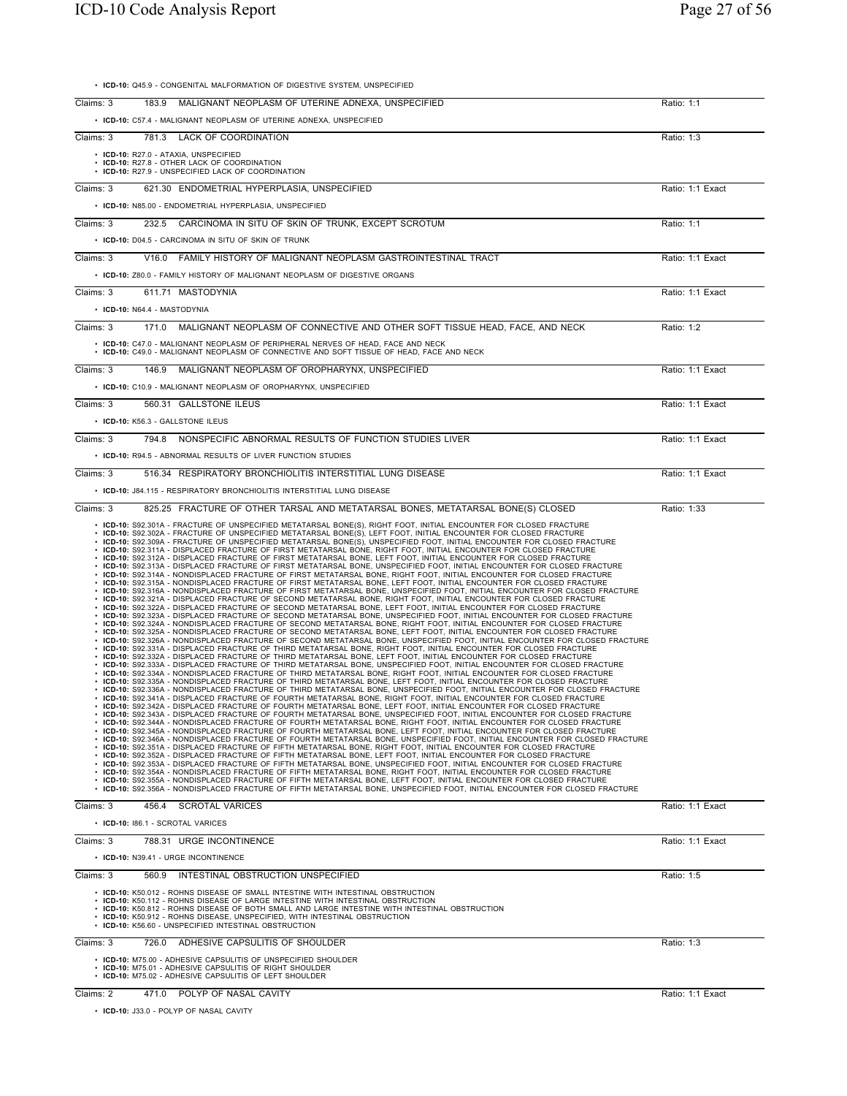| • ICD-10: Q45.9 - CONGENITAL MALFORMATION OF DIGESTIVE SYSTEM, UNSPECIFIED                                                                                                                                                                                                                                                                                                                                                                                                                                                                                                                                                                                                                                                                                                                                                                                                                                                                                                                                                                                                                                                                                                                                                                                                                                                                                                                                                                                                                                                                                                                                                                                                                                                                                                                                                                                                                                                                                                                                                                                                                                                                                                                                                                                                                                                                                                                                                                                                                                                                                                                                                                                                                                                                                                                                                                                                                                                                                                                                                                                                                                                                                                                                                                                                                                                                                                                                                                                                                                                                                                                                                                                                                                                                                                                                                                                                                                                                                                                                                                                             |                  |
|------------------------------------------------------------------------------------------------------------------------------------------------------------------------------------------------------------------------------------------------------------------------------------------------------------------------------------------------------------------------------------------------------------------------------------------------------------------------------------------------------------------------------------------------------------------------------------------------------------------------------------------------------------------------------------------------------------------------------------------------------------------------------------------------------------------------------------------------------------------------------------------------------------------------------------------------------------------------------------------------------------------------------------------------------------------------------------------------------------------------------------------------------------------------------------------------------------------------------------------------------------------------------------------------------------------------------------------------------------------------------------------------------------------------------------------------------------------------------------------------------------------------------------------------------------------------------------------------------------------------------------------------------------------------------------------------------------------------------------------------------------------------------------------------------------------------------------------------------------------------------------------------------------------------------------------------------------------------------------------------------------------------------------------------------------------------------------------------------------------------------------------------------------------------------------------------------------------------------------------------------------------------------------------------------------------------------------------------------------------------------------------------------------------------------------------------------------------------------------------------------------------------------------------------------------------------------------------------------------------------------------------------------------------------------------------------------------------------------------------------------------------------------------------------------------------------------------------------------------------------------------------------------------------------------------------------------------------------------------------------------------------------------------------------------------------------------------------------------------------------------------------------------------------------------------------------------------------------------------------------------------------------------------------------------------------------------------------------------------------------------------------------------------------------------------------------------------------------------------------------------------------------------------------------------------------------------------------------------------------------------------------------------------------------------------------------------------------------------------------------------------------------------------------------------------------------------------------------------------------------------------------------------------------------------------------------------------------------------------------------------------------------------------------------------------------------|------------------|
| Claims: 3<br>183.9 MALIGNANT NEOPLASM OF UTERINE ADNEXA, UNSPECIFIED                                                                                                                                                                                                                                                                                                                                                                                                                                                                                                                                                                                                                                                                                                                                                                                                                                                                                                                                                                                                                                                                                                                                                                                                                                                                                                                                                                                                                                                                                                                                                                                                                                                                                                                                                                                                                                                                                                                                                                                                                                                                                                                                                                                                                                                                                                                                                                                                                                                                                                                                                                                                                                                                                                                                                                                                                                                                                                                                                                                                                                                                                                                                                                                                                                                                                                                                                                                                                                                                                                                                                                                                                                                                                                                                                                                                                                                                                                                                                                                                   | Ratio: 1:1       |
| • ICD-10: C57.4 - MALIGNANT NEOPLASM OF UTERINE ADNEXA, UNSPECIFIED                                                                                                                                                                                                                                                                                                                                                                                                                                                                                                                                                                                                                                                                                                                                                                                                                                                                                                                                                                                                                                                                                                                                                                                                                                                                                                                                                                                                                                                                                                                                                                                                                                                                                                                                                                                                                                                                                                                                                                                                                                                                                                                                                                                                                                                                                                                                                                                                                                                                                                                                                                                                                                                                                                                                                                                                                                                                                                                                                                                                                                                                                                                                                                                                                                                                                                                                                                                                                                                                                                                                                                                                                                                                                                                                                                                                                                                                                                                                                                                                    |                  |
| 781.3 LACK OF COORDINATION<br>Claims: 3                                                                                                                                                                                                                                                                                                                                                                                                                                                                                                                                                                                                                                                                                                                                                                                                                                                                                                                                                                                                                                                                                                                                                                                                                                                                                                                                                                                                                                                                                                                                                                                                                                                                                                                                                                                                                                                                                                                                                                                                                                                                                                                                                                                                                                                                                                                                                                                                                                                                                                                                                                                                                                                                                                                                                                                                                                                                                                                                                                                                                                                                                                                                                                                                                                                                                                                                                                                                                                                                                                                                                                                                                                                                                                                                                                                                                                                                                                                                                                                                                                | Ratio: 1:3       |
| • ICD-10: R27.0 - ATAXIA, UNSPECIFIED<br>• ICD-10: R27.8 - OTHER LACK OF COORDINATION<br>• ICD-10: R27.9 - UNSPECIFIED LACK OF COORDINATION                                                                                                                                                                                                                                                                                                                                                                                                                                                                                                                                                                                                                                                                                                                                                                                                                                                                                                                                                                                                                                                                                                                                                                                                                                                                                                                                                                                                                                                                                                                                                                                                                                                                                                                                                                                                                                                                                                                                                                                                                                                                                                                                                                                                                                                                                                                                                                                                                                                                                                                                                                                                                                                                                                                                                                                                                                                                                                                                                                                                                                                                                                                                                                                                                                                                                                                                                                                                                                                                                                                                                                                                                                                                                                                                                                                                                                                                                                                            |                  |
| 621.30 ENDOMETRIAL HYPERPLASIA, UNSPECIFIED<br>Claims: 3                                                                                                                                                                                                                                                                                                                                                                                                                                                                                                                                                                                                                                                                                                                                                                                                                                                                                                                                                                                                                                                                                                                                                                                                                                                                                                                                                                                                                                                                                                                                                                                                                                                                                                                                                                                                                                                                                                                                                                                                                                                                                                                                                                                                                                                                                                                                                                                                                                                                                                                                                                                                                                                                                                                                                                                                                                                                                                                                                                                                                                                                                                                                                                                                                                                                                                                                                                                                                                                                                                                                                                                                                                                                                                                                                                                                                                                                                                                                                                                                               | Ratio: 1:1 Exact |
| • ICD-10: N85.00 - ENDOMETRIAL HYPERPLASIA, UNSPECIFIED                                                                                                                                                                                                                                                                                                                                                                                                                                                                                                                                                                                                                                                                                                                                                                                                                                                                                                                                                                                                                                                                                                                                                                                                                                                                                                                                                                                                                                                                                                                                                                                                                                                                                                                                                                                                                                                                                                                                                                                                                                                                                                                                                                                                                                                                                                                                                                                                                                                                                                                                                                                                                                                                                                                                                                                                                                                                                                                                                                                                                                                                                                                                                                                                                                                                                                                                                                                                                                                                                                                                                                                                                                                                                                                                                                                                                                                                                                                                                                                                                |                  |
| 232.5 CARCINOMA IN SITU OF SKIN OF TRUNK. EXCEPT SCROTUM<br>Claims: 3                                                                                                                                                                                                                                                                                                                                                                                                                                                                                                                                                                                                                                                                                                                                                                                                                                                                                                                                                                                                                                                                                                                                                                                                                                                                                                                                                                                                                                                                                                                                                                                                                                                                                                                                                                                                                                                                                                                                                                                                                                                                                                                                                                                                                                                                                                                                                                                                                                                                                                                                                                                                                                                                                                                                                                                                                                                                                                                                                                                                                                                                                                                                                                                                                                                                                                                                                                                                                                                                                                                                                                                                                                                                                                                                                                                                                                                                                                                                                                                                  | Ratio: 1:1       |
| • ICD-10: D04.5 - CARCINOMA IN SITU OF SKIN OF TRUNK                                                                                                                                                                                                                                                                                                                                                                                                                                                                                                                                                                                                                                                                                                                                                                                                                                                                                                                                                                                                                                                                                                                                                                                                                                                                                                                                                                                                                                                                                                                                                                                                                                                                                                                                                                                                                                                                                                                                                                                                                                                                                                                                                                                                                                                                                                                                                                                                                                                                                                                                                                                                                                                                                                                                                                                                                                                                                                                                                                                                                                                                                                                                                                                                                                                                                                                                                                                                                                                                                                                                                                                                                                                                                                                                                                                                                                                                                                                                                                                                                   |                  |
| V16.0 FAMILY HISTORY OF MALIGNANT NEOPLASM GASTROINTESTINAL TRACT<br>Claims: 3                                                                                                                                                                                                                                                                                                                                                                                                                                                                                                                                                                                                                                                                                                                                                                                                                                                                                                                                                                                                                                                                                                                                                                                                                                                                                                                                                                                                                                                                                                                                                                                                                                                                                                                                                                                                                                                                                                                                                                                                                                                                                                                                                                                                                                                                                                                                                                                                                                                                                                                                                                                                                                                                                                                                                                                                                                                                                                                                                                                                                                                                                                                                                                                                                                                                                                                                                                                                                                                                                                                                                                                                                                                                                                                                                                                                                                                                                                                                                                                         | Ratio: 1:1 Exact |
| • ICD-10: Z80.0 - FAMILY HISTORY OF MALIGNANT NEOPLASM OF DIGESTIVE ORGANS                                                                                                                                                                                                                                                                                                                                                                                                                                                                                                                                                                                                                                                                                                                                                                                                                                                                                                                                                                                                                                                                                                                                                                                                                                                                                                                                                                                                                                                                                                                                                                                                                                                                                                                                                                                                                                                                                                                                                                                                                                                                                                                                                                                                                                                                                                                                                                                                                                                                                                                                                                                                                                                                                                                                                                                                                                                                                                                                                                                                                                                                                                                                                                                                                                                                                                                                                                                                                                                                                                                                                                                                                                                                                                                                                                                                                                                                                                                                                                                             |                  |
| Claims: 3<br>611.71 MASTODYNIA                                                                                                                                                                                                                                                                                                                                                                                                                                                                                                                                                                                                                                                                                                                                                                                                                                                                                                                                                                                                                                                                                                                                                                                                                                                                                                                                                                                                                                                                                                                                                                                                                                                                                                                                                                                                                                                                                                                                                                                                                                                                                                                                                                                                                                                                                                                                                                                                                                                                                                                                                                                                                                                                                                                                                                                                                                                                                                                                                                                                                                                                                                                                                                                                                                                                                                                                                                                                                                                                                                                                                                                                                                                                                                                                                                                                                                                                                                                                                                                                                                         | Ratio: 1:1 Exact |
| • ICD-10: N64.4 - MASTODYNIA                                                                                                                                                                                                                                                                                                                                                                                                                                                                                                                                                                                                                                                                                                                                                                                                                                                                                                                                                                                                                                                                                                                                                                                                                                                                                                                                                                                                                                                                                                                                                                                                                                                                                                                                                                                                                                                                                                                                                                                                                                                                                                                                                                                                                                                                                                                                                                                                                                                                                                                                                                                                                                                                                                                                                                                                                                                                                                                                                                                                                                                                                                                                                                                                                                                                                                                                                                                                                                                                                                                                                                                                                                                                                                                                                                                                                                                                                                                                                                                                                                           |                  |
| Claims: 3<br>171.0 MALIGNANT NEOPLASM OF CONNECTIVE AND OTHER SOFT TISSUE HEAD, FACE, AND NECK                                                                                                                                                                                                                                                                                                                                                                                                                                                                                                                                                                                                                                                                                                                                                                                                                                                                                                                                                                                                                                                                                                                                                                                                                                                                                                                                                                                                                                                                                                                                                                                                                                                                                                                                                                                                                                                                                                                                                                                                                                                                                                                                                                                                                                                                                                                                                                                                                                                                                                                                                                                                                                                                                                                                                                                                                                                                                                                                                                                                                                                                                                                                                                                                                                                                                                                                                                                                                                                                                                                                                                                                                                                                                                                                                                                                                                                                                                                                                                         | Ratio: 1:2       |
| • ICD-10: C47.0 - MALIGNANT NEOPLASM OF PERIPHERAL NERVES OF HEAD, FACE AND NECK<br>• ICD-10: C49.0 - MALIGNANT NEOPLASM OF CONNECTIVE AND SOFT TISSUE OF HEAD, FACE AND NECK                                                                                                                                                                                                                                                                                                                                                                                                                                                                                                                                                                                                                                                                                                                                                                                                                                                                                                                                                                                                                                                                                                                                                                                                                                                                                                                                                                                                                                                                                                                                                                                                                                                                                                                                                                                                                                                                                                                                                                                                                                                                                                                                                                                                                                                                                                                                                                                                                                                                                                                                                                                                                                                                                                                                                                                                                                                                                                                                                                                                                                                                                                                                                                                                                                                                                                                                                                                                                                                                                                                                                                                                                                                                                                                                                                                                                                                                                          |                  |
| 146.9 MALIGNANT NEOPLASM OF OROPHARYNX, UNSPECIFIED<br>Claims: 3                                                                                                                                                                                                                                                                                                                                                                                                                                                                                                                                                                                                                                                                                                                                                                                                                                                                                                                                                                                                                                                                                                                                                                                                                                                                                                                                                                                                                                                                                                                                                                                                                                                                                                                                                                                                                                                                                                                                                                                                                                                                                                                                                                                                                                                                                                                                                                                                                                                                                                                                                                                                                                                                                                                                                                                                                                                                                                                                                                                                                                                                                                                                                                                                                                                                                                                                                                                                                                                                                                                                                                                                                                                                                                                                                                                                                                                                                                                                                                                                       | Ratio: 1:1 Exact |
| • ICD-10: C10.9 - MALIGNANT NEOPLASM OF OROPHARYNX, UNSPECIFIED                                                                                                                                                                                                                                                                                                                                                                                                                                                                                                                                                                                                                                                                                                                                                                                                                                                                                                                                                                                                                                                                                                                                                                                                                                                                                                                                                                                                                                                                                                                                                                                                                                                                                                                                                                                                                                                                                                                                                                                                                                                                                                                                                                                                                                                                                                                                                                                                                                                                                                                                                                                                                                                                                                                                                                                                                                                                                                                                                                                                                                                                                                                                                                                                                                                                                                                                                                                                                                                                                                                                                                                                                                                                                                                                                                                                                                                                                                                                                                                                        |                  |
| Claims: 3<br>560.31 GALLSTONE ILEUS                                                                                                                                                                                                                                                                                                                                                                                                                                                                                                                                                                                                                                                                                                                                                                                                                                                                                                                                                                                                                                                                                                                                                                                                                                                                                                                                                                                                                                                                                                                                                                                                                                                                                                                                                                                                                                                                                                                                                                                                                                                                                                                                                                                                                                                                                                                                                                                                                                                                                                                                                                                                                                                                                                                                                                                                                                                                                                                                                                                                                                                                                                                                                                                                                                                                                                                                                                                                                                                                                                                                                                                                                                                                                                                                                                                                                                                                                                                                                                                                                                    | Ratio: 1:1 Exact |
| • ICD-10: K56.3 - GALLSTONE ILEUS                                                                                                                                                                                                                                                                                                                                                                                                                                                                                                                                                                                                                                                                                                                                                                                                                                                                                                                                                                                                                                                                                                                                                                                                                                                                                                                                                                                                                                                                                                                                                                                                                                                                                                                                                                                                                                                                                                                                                                                                                                                                                                                                                                                                                                                                                                                                                                                                                                                                                                                                                                                                                                                                                                                                                                                                                                                                                                                                                                                                                                                                                                                                                                                                                                                                                                                                                                                                                                                                                                                                                                                                                                                                                                                                                                                                                                                                                                                                                                                                                                      |                  |
| 794.8 NONSPECIFIC ABNORMAL RESULTS OF FUNCTION STUDIES LIVER<br>Claims: 3                                                                                                                                                                                                                                                                                                                                                                                                                                                                                                                                                                                                                                                                                                                                                                                                                                                                                                                                                                                                                                                                                                                                                                                                                                                                                                                                                                                                                                                                                                                                                                                                                                                                                                                                                                                                                                                                                                                                                                                                                                                                                                                                                                                                                                                                                                                                                                                                                                                                                                                                                                                                                                                                                                                                                                                                                                                                                                                                                                                                                                                                                                                                                                                                                                                                                                                                                                                                                                                                                                                                                                                                                                                                                                                                                                                                                                                                                                                                                                                              | Ratio: 1:1 Exact |
| • ICD-10: R94.5 - ABNORMAL RESULTS OF LIVER FUNCTION STUDIES                                                                                                                                                                                                                                                                                                                                                                                                                                                                                                                                                                                                                                                                                                                                                                                                                                                                                                                                                                                                                                                                                                                                                                                                                                                                                                                                                                                                                                                                                                                                                                                                                                                                                                                                                                                                                                                                                                                                                                                                                                                                                                                                                                                                                                                                                                                                                                                                                                                                                                                                                                                                                                                                                                                                                                                                                                                                                                                                                                                                                                                                                                                                                                                                                                                                                                                                                                                                                                                                                                                                                                                                                                                                                                                                                                                                                                                                                                                                                                                                           |                  |
| 516.34 RESPIRATORY BRONCHIOLITIS INTERSTITIAL LUNG DISEASE<br>Claims: 3                                                                                                                                                                                                                                                                                                                                                                                                                                                                                                                                                                                                                                                                                                                                                                                                                                                                                                                                                                                                                                                                                                                                                                                                                                                                                                                                                                                                                                                                                                                                                                                                                                                                                                                                                                                                                                                                                                                                                                                                                                                                                                                                                                                                                                                                                                                                                                                                                                                                                                                                                                                                                                                                                                                                                                                                                                                                                                                                                                                                                                                                                                                                                                                                                                                                                                                                                                                                                                                                                                                                                                                                                                                                                                                                                                                                                                                                                                                                                                                                | Ratio: 1:1 Exact |
| • ICD-10: J84.115 - RESPIRATORY BRONCHIOLITIS INTERSTITIAL LUNG DISEASE<br>Claims: 3<br>825.25 FRACTURE OF OTHER TARSAL AND METATARSAL BONES, METATARSAL BONE(S) CLOSED                                                                                                                                                                                                                                                                                                                                                                                                                                                                                                                                                                                                                                                                                                                                                                                                                                                                                                                                                                                                                                                                                                                                                                                                                                                                                                                                                                                                                                                                                                                                                                                                                                                                                                                                                                                                                                                                                                                                                                                                                                                                                                                                                                                                                                                                                                                                                                                                                                                                                                                                                                                                                                                                                                                                                                                                                                                                                                                                                                                                                                                                                                                                                                                                                                                                                                                                                                                                                                                                                                                                                                                                                                                                                                                                                                                                                                                                                                | Ratio: 1:33      |
| • ICD-10: S92.302A - FRACTURE OF UNSPECIFIED METATARSAL BONE(S), LEFT FOOT, INITIAL ENCOUNTER FOR CLOSED FRACTURE<br>· ICD-10: S92.309A - FRACTURE OF UNSPECIFIED METATARSAL BONE(S), UNSPECIFIED FOOT, INITIAL ENCOUNTER FOR CLOSED FRACTURE<br>. ICD-10: S92.311A - DISPLACED FRACTURE OF FIRST METATARSAL BONE, RIGHT FOOT, INITIAL ENCOUNTER FOR CLOSED FRACTURE<br>. ICD-10: S92.312A - DISPLACED FRACTURE OF FIRST METATARSAL BONE, LEFT FOOT, INITIAL ENCOUNTER FOR CLOSED FRACTURE<br>· ICD-10: S92.313A - DISPLACED FRACTURE OF FIRST METATARSAL BONE, UNSPECIFIED FOOT, INITIAL ENCOUNTER FOR CLOSED FRACTURE<br>· ICD-10: S92.314A - NONDISPLACED FRACTURE OF FIRST METATARSAL BONE, RIGHT FOOT, INITIAL ENCOUNTER FOR CLOSED FRACTURE<br>· ICD-10: S92.315A - NONDISPLACED FRACTURE OF FIRST METATARSAL BONE, LEFT FOOT, INITIAL ENCOUNTER FOR CLOSED FRACTURE<br>· ICD-10: S92.316A - NONDISPLACED FRACTURE OF FIRST METATARSAL BONE, UNSPECIFIED FOOT, INITIAL ENCOUNTER FOR CLOSED FRACTURE<br>· ICD-10: S92.321A - DISPLACED FRACTURE OF SECOND METATARSAL BONE, RIGHT FOOT, INITIAL ENCOUNTER FOR CLOSED FRACTURE<br>· ICD-10: S92.322A - DISPLACED FRACTURE OF SECOND METATARSAL BONE, LEFT FOOT, INITIAL ENCOUNTER FOR CLOSED FRACTURE<br>· ICD-10: S92.323A - DISPLACED FRACTURE OF SECOND METATARSAL BONE, UNSPECIFIED FOOT, INITIAL ENCOUNTER FOR CLOSED FRACTURE<br>· ICD-10: S92.324A - NONDISPLACED FRACTURE OF SECOND METATARSAL BONE, RIGHT FOOT, INITIAL ENCOUNTER FOR CLOSED FRACTURE<br>· ICD-10: S92.325A - NONDISPLACED FRACTURE OF SECOND METATARSAL BONE, LEFT FOOT, INITIAL ENCOUNTER FOR CLOSED FRACTURE<br>· ICD-10: S92.326A - NONDISPLACED FRACTURE OF SECOND METATARSAL BONE, UNSPECIFIED FOOT, INITIAL ENCOUNTER FOR CLOSED FRACTURE<br>· ICD-10: S92.331A - DISPLACED FRACTURE OF THIRD METATARSAL BONE, RIGHT FOOT, INITIAL ENCOUNTER FOR CLOSED FRACTURE<br>· ICD-10: S92.332A - DISPLACED FRACTURE OF THIRD METATARSAL BONE, LEFT FOOT, INITIAL ENCOUNTER FOR CLOSED FRACTURE<br>· ICD-10: S92.333A - DISPLACED FRACTURE OF THIRD METATARSAL BONE, UNSPECIFIED FOOT, INITIAL ENCOUNTER FOR CLOSED FRACTURE<br>· ICD-10: S92.334A - NONDISPLACED FRACTURE OF THIRD METATARSAL BONE, RIGHT FOOT, INITIAL ENCOUNTER FOR CLOSED FRACTURE<br>· ICD-10: S92.335A - NONDISPLACED FRACTURE OF THIRD METATARSAL BONE, LEFT FOOT, INITIAL ENCOUNTER FOR CLOSED FRACTURE<br>· ICD-10: S92.336A - NONDISPLACED FRACTURE OF THIRD METATARSAL BONE, UNSPECIFIED FOOT, INITIAL ENCOUNTER FOR CLOSED FRACTURE<br>· ICD-10: S92.341A - DISPLACED FRACTURE OF FOURTH METATARSAL BONE, RIGHT FOOT, INITIAL ENCOUNTER FOR CLOSED FRACTURE<br>· ICD-10: S92.342A - DISPLACED FRACTURE OF FOURTH METATARSAL BONE, LEFT FOOT, INITIAL ENCOUNTER FOR CLOSED FRACTURE<br>· ICD-10: S92.343A - DISPLACED FRACTURE OF FOURTH METATARSAL BONE, UNSPECIFIED FOOT, INITIAL ENCOUNTER FOR CLOSED FRACTURE<br>ICD-10: S92.344A - NONDISPLACED FRACTURE OF FOURTH METATARSAL BONE, RIGHT FOOT, INITIAL ENCOUNTER FOR CLOSED FRACTURE<br>· ICD-10: S92.345A - NONDISPLACED FRACTURE OF FOURTH METATARSAL BONE, LEFT FOOT, INITIAL ENCOUNTER FOR CLOSED FRACTURE<br>· ICD-10: S92.346A - NONDISPLACED FRACTURE OF FOURTH METATARSAL BONE, UNSPECIFIED FOOT, INITIAL ENCOUNTER FOR CLOSED FRACTURE<br>ICD-10: S92.351A - DISPLACED FRACTURE OF FIFTH METATARSAL BONE, RIGHT FOOT, INITIAL ENCOUNTER FOR CLOSED FRACTURE<br>. ICD-10: S92.352A - DISPLACED FRACTURE OF FIFTH METATARSAL BONE, LEFT FOOT, INITIAL ENCOUNTER FOR CLOSED FRACTURE<br>. ICD-10: S92.353A - DISPLACED FRACTURE OF FIFTH METATARSAL BONE, UNSPECIFIED FOOT, INITIAL ENCOUNTER FOR CLOSED FRACTURE<br>· ICD-10: S92.354A - NONDISPLACED FRACTURE OF FIFTH METATARSAL BONE, RIGHT FOOT, INITIAL ENCOUNTER FOR CLOSED FRACTURE<br>. ICD-10: S92.355A - NONDISPLACED FRACTURE OF FIFTH METATARSAL BONE, LEFT FOOT, INITIAL ENCOUNTER FOR CLOSED FRACTURE<br>• ICD-10: S92.356A - NONDISPLACED FRACTURE OF FIFTH METATARSAL BONE, UNSPECIFIED FOOT, INITIAL ENCOUNTER FOR CLOSED FRACTURE |                  |
| Claims: 3<br>456.4 SCROTAL VARICES                                                                                                                                                                                                                                                                                                                                                                                                                                                                                                                                                                                                                                                                                                                                                                                                                                                                                                                                                                                                                                                                                                                                                                                                                                                                                                                                                                                                                                                                                                                                                                                                                                                                                                                                                                                                                                                                                                                                                                                                                                                                                                                                                                                                                                                                                                                                                                                                                                                                                                                                                                                                                                                                                                                                                                                                                                                                                                                                                                                                                                                                                                                                                                                                                                                                                                                                                                                                                                                                                                                                                                                                                                                                                                                                                                                                                                                                                                                                                                                                                                     | Ratio: 1:1 Exact |
| · ICD-10: 186.1 - SCROTAL VARICES                                                                                                                                                                                                                                                                                                                                                                                                                                                                                                                                                                                                                                                                                                                                                                                                                                                                                                                                                                                                                                                                                                                                                                                                                                                                                                                                                                                                                                                                                                                                                                                                                                                                                                                                                                                                                                                                                                                                                                                                                                                                                                                                                                                                                                                                                                                                                                                                                                                                                                                                                                                                                                                                                                                                                                                                                                                                                                                                                                                                                                                                                                                                                                                                                                                                                                                                                                                                                                                                                                                                                                                                                                                                                                                                                                                                                                                                                                                                                                                                                                      |                  |
| 788.31 URGE INCONTINENCE<br>Claims: 3                                                                                                                                                                                                                                                                                                                                                                                                                                                                                                                                                                                                                                                                                                                                                                                                                                                                                                                                                                                                                                                                                                                                                                                                                                                                                                                                                                                                                                                                                                                                                                                                                                                                                                                                                                                                                                                                                                                                                                                                                                                                                                                                                                                                                                                                                                                                                                                                                                                                                                                                                                                                                                                                                                                                                                                                                                                                                                                                                                                                                                                                                                                                                                                                                                                                                                                                                                                                                                                                                                                                                                                                                                                                                                                                                                                                                                                                                                                                                                                                                                  | Ratio: 1:1 Exact |
| • ICD-10: N39.41 - URGE INCONTINENCE                                                                                                                                                                                                                                                                                                                                                                                                                                                                                                                                                                                                                                                                                                                                                                                                                                                                                                                                                                                                                                                                                                                                                                                                                                                                                                                                                                                                                                                                                                                                                                                                                                                                                                                                                                                                                                                                                                                                                                                                                                                                                                                                                                                                                                                                                                                                                                                                                                                                                                                                                                                                                                                                                                                                                                                                                                                                                                                                                                                                                                                                                                                                                                                                                                                                                                                                                                                                                                                                                                                                                                                                                                                                                                                                                                                                                                                                                                                                                                                                                                   |                  |
| Claims: 3<br>INTESTINAL OBSTRUCTION UNSPECIFIED<br>560.9<br>• ICD-10: K50.012 - ROHNS DISEASE OF SMALL INTESTINE WITH INTESTINAL OBSTRUCTION<br>• ICD-10: K50.112 - ROHNS DISEASE OF LARGE INTESTINE WITH INTESTINAL OBSTRUCTION<br>. ICD-10: K50.812 - ROHNS DISEASE OF BOTH SMALL AND LARGE INTESTINE WITH INTESTINAL OBSTRUCTION<br>• ICD-10: K50.912 - ROHNS DISEASE, UNSPECIFIED, WITH INTESTINAL OBSTRUCTION<br>• ICD-10: K56.60 - UNSPECIFIED INTESTINAL OBSTRUCTION                                                                                                                                                                                                                                                                                                                                                                                                                                                                                                                                                                                                                                                                                                                                                                                                                                                                                                                                                                                                                                                                                                                                                                                                                                                                                                                                                                                                                                                                                                                                                                                                                                                                                                                                                                                                                                                                                                                                                                                                                                                                                                                                                                                                                                                                                                                                                                                                                                                                                                                                                                                                                                                                                                                                                                                                                                                                                                                                                                                                                                                                                                                                                                                                                                                                                                                                                                                                                                                                                                                                                                                            | Ratio: 1:5       |
| Claims: 3<br>ADHESIVE CAPSULITIS OF SHOULDER<br>726.0                                                                                                                                                                                                                                                                                                                                                                                                                                                                                                                                                                                                                                                                                                                                                                                                                                                                                                                                                                                                                                                                                                                                                                                                                                                                                                                                                                                                                                                                                                                                                                                                                                                                                                                                                                                                                                                                                                                                                                                                                                                                                                                                                                                                                                                                                                                                                                                                                                                                                                                                                                                                                                                                                                                                                                                                                                                                                                                                                                                                                                                                                                                                                                                                                                                                                                                                                                                                                                                                                                                                                                                                                                                                                                                                                                                                                                                                                                                                                                                                                  |                  |
|                                                                                                                                                                                                                                                                                                                                                                                                                                                                                                                                                                                                                                                                                                                                                                                                                                                                                                                                                                                                                                                                                                                                                                                                                                                                                                                                                                                                                                                                                                                                                                                                                                                                                                                                                                                                                                                                                                                                                                                                                                                                                                                                                                                                                                                                                                                                                                                                                                                                                                                                                                                                                                                                                                                                                                                                                                                                                                                                                                                                                                                                                                                                                                                                                                                                                                                                                                                                                                                                                                                                                                                                                                                                                                                                                                                                                                                                                                                                                                                                                                                                        | Ratio: 1:3       |
| • ICD-10: M75.00 - ADHESIVE CAPSULITIS OF UNSPECIFIED SHOULDER<br>• ICD-10: M75.01 - ADHESIVE CAPSULITIS OF RIGHT SHOULDER<br>• ICD-10: M75.02 - ADHESIVE CAPSULITIS OF LEFT SHOULDER                                                                                                                                                                                                                                                                                                                                                                                                                                                                                                                                                                                                                                                                                                                                                                                                                                                                                                                                                                                                                                                                                                                                                                                                                                                                                                                                                                                                                                                                                                                                                                                                                                                                                                                                                                                                                                                                                                                                                                                                                                                                                                                                                                                                                                                                                                                                                                                                                                                                                                                                                                                                                                                                                                                                                                                                                                                                                                                                                                                                                                                                                                                                                                                                                                                                                                                                                                                                                                                                                                                                                                                                                                                                                                                                                                                                                                                                                  |                  |

• **ICD-10:** J33.0 - POLYP OF NASAL CAVITY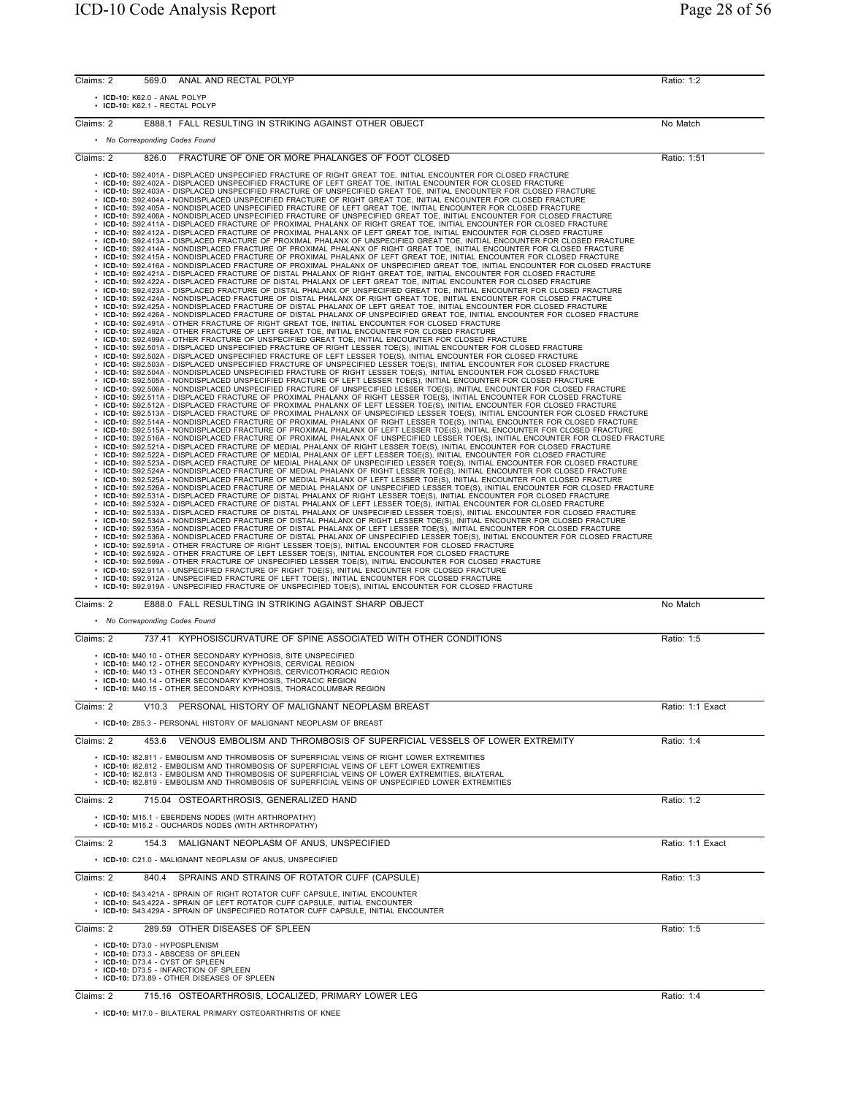| Claims: 2 | 569.0                        | ANAL AND RECTAL POLYP                                                                                                                                                                                                                                                                                                                                                                                                                                                                                                                                                                                                                                                                                                                                                                                                                                                                                                                                                                                                                                                                                                                                                                                                                                                                                                                                                                                                                                                                                                                                                                                                                                                                                                                                                                                                                                                                                                                                                                                                                                                                                                                                                                                                                                                                                                                                                                                                                                                                                                                                                                                                                                                                                                                                                                                                                                                                                                                                                                                                                                                                                                                                                                                                                                                                                                                                                                                                                                                                                                                                                                                                                                                                                                                                                                                                                                                                                                                                                                                                                                                                                                                                                                                                                                                                                                                                                                                                                                                                                                                                                                                                                                                                                                                                                                                                                                                                                                                                                                                                                                                                                                                                                                                                                                                                                                                                                                                                                                                                                                                                                                                                                                                                                                                                                                                                                                                                                                                                                                                                                                                                                                                                                                                                                                                                                                                      | Ratio: 1:2       |
|-----------|------------------------------|--------------------------------------------------------------------------------------------------------------------------------------------------------------------------------------------------------------------------------------------------------------------------------------------------------------------------------------------------------------------------------------------------------------------------------------------------------------------------------------------------------------------------------------------------------------------------------------------------------------------------------------------------------------------------------------------------------------------------------------------------------------------------------------------------------------------------------------------------------------------------------------------------------------------------------------------------------------------------------------------------------------------------------------------------------------------------------------------------------------------------------------------------------------------------------------------------------------------------------------------------------------------------------------------------------------------------------------------------------------------------------------------------------------------------------------------------------------------------------------------------------------------------------------------------------------------------------------------------------------------------------------------------------------------------------------------------------------------------------------------------------------------------------------------------------------------------------------------------------------------------------------------------------------------------------------------------------------------------------------------------------------------------------------------------------------------------------------------------------------------------------------------------------------------------------------------------------------------------------------------------------------------------------------------------------------------------------------------------------------------------------------------------------------------------------------------------------------------------------------------------------------------------------------------------------------------------------------------------------------------------------------------------------------------------------------------------------------------------------------------------------------------------------------------------------------------------------------------------------------------------------------------------------------------------------------------------------------------------------------------------------------------------------------------------------------------------------------------------------------------------------------------------------------------------------------------------------------------------------------------------------------------------------------------------------------------------------------------------------------------------------------------------------------------------------------------------------------------------------------------------------------------------------------------------------------------------------------------------------------------------------------------------------------------------------------------------------------------------------------------------------------------------------------------------------------------------------------------------------------------------------------------------------------------------------------------------------------------------------------------------------------------------------------------------------------------------------------------------------------------------------------------------------------------------------------------------------------------------------------------------------------------------------------------------------------------------------------------------------------------------------------------------------------------------------------------------------------------------------------------------------------------------------------------------------------------------------------------------------------------------------------------------------------------------------------------------------------------------------------------------------------------------------------------------------------------------------------------------------------------------------------------------------------------------------------------------------------------------------------------------------------------------------------------------------------------------------------------------------------------------------------------------------------------------------------------------------------------------------------------------------------------------------------------------------------------------------------------------------------------------------------------------------------------------------------------------------------------------------------------------------------------------------------------------------------------------------------------------------------------------------------------------------------------------------------------------------------------------------------------------------------------------------------------------------------------------------------------------------------------------------------------------------------------------------------------------------------------------------------------------------------------------------------------------------------------------------------------------------------------------------------------------------------------------------------------------------------------------------------------------------------------------------------------------------------------------------------------|------------------|
|           | · ICD-10: K62.0 - ANAL POLYP | · ICD-10: K62.1 - RECTAL POLYP                                                                                                                                                                                                                                                                                                                                                                                                                                                                                                                                                                                                                                                                                                                                                                                                                                                                                                                                                                                                                                                                                                                                                                                                                                                                                                                                                                                                                                                                                                                                                                                                                                                                                                                                                                                                                                                                                                                                                                                                                                                                                                                                                                                                                                                                                                                                                                                                                                                                                                                                                                                                                                                                                                                                                                                                                                                                                                                                                                                                                                                                                                                                                                                                                                                                                                                                                                                                                                                                                                                                                                                                                                                                                                                                                                                                                                                                                                                                                                                                                                                                                                                                                                                                                                                                                                                                                                                                                                                                                                                                                                                                                                                                                                                                                                                                                                                                                                                                                                                                                                                                                                                                                                                                                                                                                                                                                                                                                                                                                                                                                                                                                                                                                                                                                                                                                                                                                                                                                                                                                                                                                                                                                                                                                                                                                                             |                  |
| Claims: 2 |                              | E888.1 FALL RESULTING IN STRIKING AGAINST OTHER OBJECT                                                                                                                                                                                                                                                                                                                                                                                                                                                                                                                                                                                                                                                                                                                                                                                                                                                                                                                                                                                                                                                                                                                                                                                                                                                                                                                                                                                                                                                                                                                                                                                                                                                                                                                                                                                                                                                                                                                                                                                                                                                                                                                                                                                                                                                                                                                                                                                                                                                                                                                                                                                                                                                                                                                                                                                                                                                                                                                                                                                                                                                                                                                                                                                                                                                                                                                                                                                                                                                                                                                                                                                                                                                                                                                                                                                                                                                                                                                                                                                                                                                                                                                                                                                                                                                                                                                                                                                                                                                                                                                                                                                                                                                                                                                                                                                                                                                                                                                                                                                                                                                                                                                                                                                                                                                                                                                                                                                                                                                                                                                                                                                                                                                                                                                                                                                                                                                                                                                                                                                                                                                                                                                                                                                                                                                                                     | No Match         |
|           |                              | • No Corresponding Codes Found                                                                                                                                                                                                                                                                                                                                                                                                                                                                                                                                                                                                                                                                                                                                                                                                                                                                                                                                                                                                                                                                                                                                                                                                                                                                                                                                                                                                                                                                                                                                                                                                                                                                                                                                                                                                                                                                                                                                                                                                                                                                                                                                                                                                                                                                                                                                                                                                                                                                                                                                                                                                                                                                                                                                                                                                                                                                                                                                                                                                                                                                                                                                                                                                                                                                                                                                                                                                                                                                                                                                                                                                                                                                                                                                                                                                                                                                                                                                                                                                                                                                                                                                                                                                                                                                                                                                                                                                                                                                                                                                                                                                                                                                                                                                                                                                                                                                                                                                                                                                                                                                                                                                                                                                                                                                                                                                                                                                                                                                                                                                                                                                                                                                                                                                                                                                                                                                                                                                                                                                                                                                                                                                                                                                                                                                                                             |                  |
| Claims: 2 | 826.0                        | FRACTURE OF ONE OR MORE PHALANGES OF FOOT CLOSED                                                                                                                                                                                                                                                                                                                                                                                                                                                                                                                                                                                                                                                                                                                                                                                                                                                                                                                                                                                                                                                                                                                                                                                                                                                                                                                                                                                                                                                                                                                                                                                                                                                                                                                                                                                                                                                                                                                                                                                                                                                                                                                                                                                                                                                                                                                                                                                                                                                                                                                                                                                                                                                                                                                                                                                                                                                                                                                                                                                                                                                                                                                                                                                                                                                                                                                                                                                                                                                                                                                                                                                                                                                                                                                                                                                                                                                                                                                                                                                                                                                                                                                                                                                                                                                                                                                                                                                                                                                                                                                                                                                                                                                                                                                                                                                                                                                                                                                                                                                                                                                                                                                                                                                                                                                                                                                                                                                                                                                                                                                                                                                                                                                                                                                                                                                                                                                                                                                                                                                                                                                                                                                                                                                                                                                                                           | Ratio: 1:51      |
|           |                              | . ICD-10: S92.401A - DISPLACED UNSPECIFIED FRACTURE OF RIGHT GREAT TOE, INITIAL ENCOUNTER FOR CLOSED FRACTURE<br>· ICD-10: S92.402A - DISPLACED UNSPECIFIED FRACTURE OF LEFT GREAT TOE, INITIAL ENCOUNTER FOR CLOSED FRACTURE<br>· ICD-10: S92.403A - DISPLACED UNSPECIFIED FRACTURE OF UNSPECIFIED GREAT TOE, INITIAL ENCOUNTER FOR CLOSED FRACTURE<br>· ICD-10: S92.404A - NONDISPLACED UNSPECIFIED FRACTURE OF RIGHT GREAT TOE, INITIAL ENCOUNTER FOR CLOSED FRACTURE<br>· ICD-10: S92.405A - NONDISPLACED UNSPECIFIED FRACTURE OF LEFT GREAT TOE, INITIAL ENCOUNTER FOR CLOSED FRACTURE<br>· ICD-10: S92.406A - NONDISPLACED UNSPECIFIED FRACTURE OF UNSPECIFIED GREAT TOE, INITIAL ENCOUNTER FOR CLOSED FRACTURE<br>· ICD-10: S92.411A - DISPLACED FRACTURE OF PROXIMAL PHALANX OF RIGHT GREAT TOE, INITIAL ENCOUNTER FOR CLOSED FRACTURE<br>· ICD-10: S92.412A - DISPLACED FRACTURE OF PROXIMAL PHALANX OF LEFT GREAT TOE, INITIAL ENCOUNTER FOR CLOSED FRACTURE<br>· ICD-10: S92.413A - DISPLACED FRACTURE OF PROXIMAL PHALANX OF UNSPECIFIED GREAT TOE, INITIAL ENCOUNTER FOR CLOSED FRACTURE<br>· ICD-10: S92.414A - NONDISPLACED FRACTURE OF PROXIMAL PHALANX OF RIGHT GREAT TOE, INITIAL ENCOUNTER FOR CLOSED FRACTURE<br>· ICD-10: S92.415A - NONDISPLACED FRACTURE OF PROXIMAL PHALANX OF LEFT GREAT TOE, INITIAL ENCOUNTER FOR CLOSED FRACTURE<br>· ICD-10: S92.416A - NONDISPLACED FRACTURE OF PROXIMAL PHALANX OF UNSPECIFIED GREAT TOE, INITIAL ENCOUNTER FOR CLOSED FRACTURE<br>· ICD-10: S92.421A - DISPLACED FRACTURE OF DISTAL PHALANX OF RIGHT GREAT TOE, INITIAL ENCOUNTER FOR CLOSED FRACTURE<br>· ICD-10: S92.422A - DISPLACED FRACTURE OF DISTAL PHALANX OF LEFT GREAT TOE, INITIAL ENCOUNTER FOR CLOSED FRACTURE<br>· ICD-10: S92.423A - DISPLACED FRACTURE OF DISTAL PHALANX OF UNSPECIFIED GREAT TOE, INITIAL ENCOUNTER FOR CLOSED FRACTURE<br>· ICD-10: S92.424A - NONDISPLACED FRACTURE OF DISTAL PHALANX OF RIGHT GREAT TOE, INITIAL ENCOUNTER FOR CLOSED FRACTURE<br>· ICD-10: S92.425A - NONDISPLACED FRACTURE OF DISTAL PHALANX OF LEFT GREAT TOE, INITIAL ENCOUNTER FOR CLOSED FRACTURE<br>· ICD-10: S92.426A - NONDISPLACED FRACTURE OF DISTAL PHALANX OF UNSPECIFIED GREAT TOE, INITIAL ENCOUNTER FOR CLOSED FRACTURE<br>· ICD-10: S92.491A - OTHER FRACTURE OF RIGHT GREAT TOE, INITIAL ENCOUNTER FOR CLOSED FRACTURE<br>· ICD-10: S92.492A - OTHER FRACTURE OF LEFT GREAT TOE, INITIAL ENCOUNTER FOR CLOSED FRACTURE<br>· ICD-10: S92.499A - OTHER FRACTURE OF UNSPECIFIED GREAT TOE, INITIAL ENCOUNTER FOR CLOSED FRACTURE<br>· ICD-10: S92.501A - DISPLACED UNSPECIFIED FRACTURE OF RIGHT LESSER TOE(S), INITIAL ENCOUNTER FOR CLOSED FRACTURE<br>· ICD-10: S92.502A - DISPLACED UNSPECIFIED FRACTURE OF LEFT LESSER TOE(S), INITIAL ENCOUNTER FOR CLOSED FRACTURE<br>· ICD-10: S92.503A - DISPLACED UNSPECIFIED FRACTURE OF UNSPECIFIED LESSER TOE(S), INITIAL ENCOUNTER FOR CLOSED FRACTURE<br>· ICD-10: S92.504A - NONDISPLACED UNSPECIFIED FRACTURE OF RIGHT LESSER TOE(S), INITIAL ENCOUNTER FOR CLOSED FRACTURE<br>· ICD-10: S92.505A - NONDISPLACED UNSPECIFIED FRACTURE OF LEFT LESSER TOE(S), INITIAL ENCOUNTER FOR CLOSED FRACTURE<br>· ICD-10: S92.506A - NONDISPLACED UNSPECIFIED FRACTURE OF UNSPECIFIED LESSER TOE(S), INITIAL ENCOUNTER FOR CLOSED FRACTURE<br>· ICD-10: S92.511A - DISPLACED FRACTURE OF PROXIMAL PHALANX OF RIGHT LESSER TOE(S), INITIAL ENCOUNTER FOR CLOSED FRACTURE<br>· ICD-10: S92.512A - DISPLACED FRACTURE OF PROXIMAL PHALANX OF LEFT LESSER TOE(S), INITIAL ENCOUNTER FOR CLOSED FRACTURE<br>· ICD-10: S92.513A - DISPLACED FRACTURE OF PROXIMAL PHALANX OF UNSPECIFIED LESSER TOE(S), INITIAL ENCOUNTER FOR CLOSED FRACTURE<br>· ICD-10: S92.514A - NONDISPLACED FRACTURE OF PROXIMAL PHALANX OF RIGHT LESSER TOE(S), INITIAL ENCOUNTER FOR CLOSED FRACTURE<br>· ICD-10: S92.515A - NONDISPLACED FRACTURE OF PROXIMAL PHALANX OF LEFT LESSER TOE(S), INITIAL ENCOUNTER FOR CLOSED FRACTURE<br>· ICD-10: S92.516A - NONDISPLACED FRACTURE OF PROXIMAL PHALANX OF UNSPECIFIED LESSER TOE(S), INITIAL ENCOUNTER FOR CLOSED FRACTURE<br>· ICD-10: S92.521A - DISPLACED FRACTURE OF MEDIAL PHALANX OF RIGHT LESSER TOE(S), INITIAL ENCOUNTER FOR CLOSED FRACTURE<br>· ICD-10: S92.522A - DISPLACED FRACTURE OF MEDIAL PHALANX OF LEFT LESSER TOE(S), INITIAL ENCOUNTER FOR CLOSED FRACTURE<br>· ICD-10: S92.523A - DISPLACED FRACTURE OF MEDIAL PHALANX OF UNSPECIFIED LESSER TOE(S), INITIAL ENCOUNTER FOR CLOSED FRACTURE<br>· ICD-10: S92.524A - NONDISPLACED FRACTURE OF MEDIAL PHALANX OF RIGHT LESSER TOE(S), INITIAL ENCOUNTER FOR CLOSED FRACTURE<br>$\cdot$ ICD-10: S92.525A - NONDISPLACED FRACTURE OF MEDIAL PHALANX OF LEFT LESSER TOE(S), INITIAL ENCOUNTER FOR CLOSED FRACTURE<br>· ICD-10: S92.526A - NONDISPLACED FRACTURE OF MEDIAL PHALANX OF UNSPECIFIED LESSER TOE(S), INITIAL ENCOUNTER FOR CLOSED FRACTURE<br>· ICD-10: S92.531A - DISPLACED FRACTURE OF DISTAL PHALANX OF RIGHT LESSER TOE(S), INITIAL ENCOUNTER FOR CLOSED FRACTURE<br>· ICD-10: S92.532A - DISPLACED FRACTURE OF DISTAL PHALANX OF LEFT LESSER TOE(S), INITIAL ENCOUNTER FOR CLOSED FRACTURE<br>· ICD-10: S92.533A - DISPLACED FRACTURE OF DISTAL PHALANX OF UNSPECIFIED LESSER TOE(S), INITIAL ENCOUNTER FOR CLOSED FRACTURE<br>· ICD-10: S92.534A - NONDISPLACED FRACTURE OF DISTAL PHALANX OF RIGHT LESSER TOE(S), INITIAL ENCOUNTER FOR CLOSED FRACTURE<br>· ICD-10: S92.535A - NONDISPLACED FRACTURE OF DISTAL PHALANX OF LEFT LESSER TOE(S), INITIAL ENCOUNTER FOR CLOSED FRACTURE<br>∙ ICD-10: S92.536A - NONDISPLACED FRACTURE OF DISTAL PHALANX OF UNSPECIFIED LESSER TOE(S), INITIAL ENCOUNTER FOR CLOSED FRACTURE<br>· ICD-10: S92.591A - OTHER FRACTURE OF RIGHT LESSER TOE(S), INITIAL ENCOUNTER FOR CLOSED FRACTURE<br>· ICD-10: S92.592A - OTHER FRACTURE OF LEFT LESSER TOE(S), INITIAL ENCOUNTER FOR CLOSED FRACTURE<br>· ICD-10: S92.599A - OTHER FRACTURE OF UNSPECIFIED LESSER TOE(S), INITIAL ENCOUNTER FOR CLOSED FRACTURE<br>· ICD-10: S92.911A - UNSPECIFIED FRACTURE OF RIGHT TOE(S), INITIAL ENCOUNTER FOR CLOSED FRACTURE<br>· ICD-10: S92.912A - UNSPECIFIED FRACTURE OF LEFT TOE(S), INITIAL ENCOUNTER FOR CLOSED FRACTURE<br>· ICD-10: S92.919A - UNSPECIFIED FRACTURE OF UNSPECIFIED TOE(S), INITIAL ENCOUNTER FOR CLOSED FRACTURE |                  |
| Claims: 2 |                              | E888.0 FALL RESULTING IN STRIKING AGAINST SHARP OBJECT                                                                                                                                                                                                                                                                                                                                                                                                                                                                                                                                                                                                                                                                                                                                                                                                                                                                                                                                                                                                                                                                                                                                                                                                                                                                                                                                                                                                                                                                                                                                                                                                                                                                                                                                                                                                                                                                                                                                                                                                                                                                                                                                                                                                                                                                                                                                                                                                                                                                                                                                                                                                                                                                                                                                                                                                                                                                                                                                                                                                                                                                                                                                                                                                                                                                                                                                                                                                                                                                                                                                                                                                                                                                                                                                                                                                                                                                                                                                                                                                                                                                                                                                                                                                                                                                                                                                                                                                                                                                                                                                                                                                                                                                                                                                                                                                                                                                                                                                                                                                                                                                                                                                                                                                                                                                                                                                                                                                                                                                                                                                                                                                                                                                                                                                                                                                                                                                                                                                                                                                                                                                                                                                                                                                                                                                                     | No Match         |
|           |                              | • No Corresponding Codes Found                                                                                                                                                                                                                                                                                                                                                                                                                                                                                                                                                                                                                                                                                                                                                                                                                                                                                                                                                                                                                                                                                                                                                                                                                                                                                                                                                                                                                                                                                                                                                                                                                                                                                                                                                                                                                                                                                                                                                                                                                                                                                                                                                                                                                                                                                                                                                                                                                                                                                                                                                                                                                                                                                                                                                                                                                                                                                                                                                                                                                                                                                                                                                                                                                                                                                                                                                                                                                                                                                                                                                                                                                                                                                                                                                                                                                                                                                                                                                                                                                                                                                                                                                                                                                                                                                                                                                                                                                                                                                                                                                                                                                                                                                                                                                                                                                                                                                                                                                                                                                                                                                                                                                                                                                                                                                                                                                                                                                                                                                                                                                                                                                                                                                                                                                                                                                                                                                                                                                                                                                                                                                                                                                                                                                                                                                                             |                  |
| Claims: 2 |                              | 737.41 KYPHOSISCURVATURE OF SPINE ASSOCIATED WITH OTHER CONDITIONS<br>• ICD-10: M40.10 - OTHER SECONDARY KYPHOSIS, SITE UNSPECIFIED<br>· ICD-10: M40.12 - OTHER SECONDARY KYPHOSIS, CERVICAL REGION<br>· ICD-10: M40.13 - OTHER SECONDARY KYPHOSIS, CERVICOTHORACIC REGION<br>• ICD-10: M40.14 - OTHER SECONDARY KYPHOSIS, THORACIC REGION<br>ICD-10: M40.15 - OTHER SECONDARY KYPHOSIS, THORACOLUMBAR REGION                                                                                                                                                                                                                                                                                                                                                                                                                                                                                                                                                                                                                                                                                                                                                                                                                                                                                                                                                                                                                                                                                                                                                                                                                                                                                                                                                                                                                                                                                                                                                                                                                                                                                                                                                                                                                                                                                                                                                                                                                                                                                                                                                                                                                                                                                                                                                                                                                                                                                                                                                                                                                                                                                                                                                                                                                                                                                                                                                                                                                                                                                                                                                                                                                                                                                                                                                                                                                                                                                                                                                                                                                                                                                                                                                                                                                                                                                                                                                                                                                                                                                                                                                                                                                                                                                                                                                                                                                                                                                                                                                                                                                                                                                                                                                                                                                                                                                                                                                                                                                                                                                                                                                                                                                                                                                                                                                                                                                                                                                                                                                                                                                                                                                                                                                                                                                                                                                                                              | Ratio: 1:5       |
| Claims: 2 |                              | V10.3 PERSONAL HISTORY OF MALIGNANT NEOPLASM BREAST                                                                                                                                                                                                                                                                                                                                                                                                                                                                                                                                                                                                                                                                                                                                                                                                                                                                                                                                                                                                                                                                                                                                                                                                                                                                                                                                                                                                                                                                                                                                                                                                                                                                                                                                                                                                                                                                                                                                                                                                                                                                                                                                                                                                                                                                                                                                                                                                                                                                                                                                                                                                                                                                                                                                                                                                                                                                                                                                                                                                                                                                                                                                                                                                                                                                                                                                                                                                                                                                                                                                                                                                                                                                                                                                                                                                                                                                                                                                                                                                                                                                                                                                                                                                                                                                                                                                                                                                                                                                                                                                                                                                                                                                                                                                                                                                                                                                                                                                                                                                                                                                                                                                                                                                                                                                                                                                                                                                                                                                                                                                                                                                                                                                                                                                                                                                                                                                                                                                                                                                                                                                                                                                                                                                                                                                                        | Ratio: 1:1 Exact |
|           |                              | • ICD-10: Z85.3 - PERSONAL HISTORY OF MALIGNANT NEOPLASM OF BREAST                                                                                                                                                                                                                                                                                                                                                                                                                                                                                                                                                                                                                                                                                                                                                                                                                                                                                                                                                                                                                                                                                                                                                                                                                                                                                                                                                                                                                                                                                                                                                                                                                                                                                                                                                                                                                                                                                                                                                                                                                                                                                                                                                                                                                                                                                                                                                                                                                                                                                                                                                                                                                                                                                                                                                                                                                                                                                                                                                                                                                                                                                                                                                                                                                                                                                                                                                                                                                                                                                                                                                                                                                                                                                                                                                                                                                                                                                                                                                                                                                                                                                                                                                                                                                                                                                                                                                                                                                                                                                                                                                                                                                                                                                                                                                                                                                                                                                                                                                                                                                                                                                                                                                                                                                                                                                                                                                                                                                                                                                                                                                                                                                                                                                                                                                                                                                                                                                                                                                                                                                                                                                                                                                                                                                                                                         |                  |
| Claims: 2 | 453.6                        | VENOUS EMBOLISM AND THROMBOSIS OF SUPERFICIAL VESSELS OF LOWER EXTREMITY<br>• ICD-10: 182.811 - EMBOLISM AND THROMBOSIS OF SUPERFICIAL VEINS OF RIGHT LOWER EXTREMITIES<br>• ICD-10: 182.812 - EMBOLISM AND THROMBOSIS OF SUPERFICIAL VEINS OF LEFT LOWER EXTREMITIES<br>• ICD-10: 182.813 - EMBOLISM AND THROMBOSIS OF SUPERFICIAL VEINS OF LOWER EXTREMITIES, BILATERAL<br>• ICD-10: 182.819 - EMBOLISM AND THROMBOSIS OF SUPERFICIAL VEINS OF UNSPECIFIED LOWER EXTREMITIES                                                                                                                                                                                                                                                                                                                                                                                                                                                                                                                                                                                                                                                                                                                                                                                                                                                                                                                                                                                                                                                                                                                                                                                                                                                                                                                                                                                                                                                                                                                                                                                                                                                                                                                                                                                                                                                                                                                                                                                                                                                                                                                                                                                                                                                                                                                                                                                                                                                                                                                                                                                                                                                                                                                                                                                                                                                                                                                                                                                                                                                                                                                                                                                                                                                                                                                                                                                                                                                                                                                                                                                                                                                                                                                                                                                                                                                                                                                                                                                                                                                                                                                                                                                                                                                                                                                                                                                                                                                                                                                                                                                                                                                                                                                                                                                                                                                                                                                                                                                                                                                                                                                                                                                                                                                                                                                                                                                                                                                                                                                                                                                                                                                                                                                                                                                                                                                             | Ratio: 1:4       |
| Claims: 2 |                              | 715.04 OSTEOARTHROSIS, GENERALIZED HAND                                                                                                                                                                                                                                                                                                                                                                                                                                                                                                                                                                                                                                                                                                                                                                                                                                                                                                                                                                                                                                                                                                                                                                                                                                                                                                                                                                                                                                                                                                                                                                                                                                                                                                                                                                                                                                                                                                                                                                                                                                                                                                                                                                                                                                                                                                                                                                                                                                                                                                                                                                                                                                                                                                                                                                                                                                                                                                                                                                                                                                                                                                                                                                                                                                                                                                                                                                                                                                                                                                                                                                                                                                                                                                                                                                                                                                                                                                                                                                                                                                                                                                                                                                                                                                                                                                                                                                                                                                                                                                                                                                                                                                                                                                                                                                                                                                                                                                                                                                                                                                                                                                                                                                                                                                                                                                                                                                                                                                                                                                                                                                                                                                                                                                                                                                                                                                                                                                                                                                                                                                                                                                                                                                                                                                                                                                    | Ratio: 1:2       |
|           |                              | • ICD-10: M15.1 - EBERDENS NODES (WITH ARTHROPATHY)<br>• ICD-10: M15.2 - OUCHARDS NODES (WITH ARTHROPATHY)                                                                                                                                                                                                                                                                                                                                                                                                                                                                                                                                                                                                                                                                                                                                                                                                                                                                                                                                                                                                                                                                                                                                                                                                                                                                                                                                                                                                                                                                                                                                                                                                                                                                                                                                                                                                                                                                                                                                                                                                                                                                                                                                                                                                                                                                                                                                                                                                                                                                                                                                                                                                                                                                                                                                                                                                                                                                                                                                                                                                                                                                                                                                                                                                                                                                                                                                                                                                                                                                                                                                                                                                                                                                                                                                                                                                                                                                                                                                                                                                                                                                                                                                                                                                                                                                                                                                                                                                                                                                                                                                                                                                                                                                                                                                                                                                                                                                                                                                                                                                                                                                                                                                                                                                                                                                                                                                                                                                                                                                                                                                                                                                                                                                                                                                                                                                                                                                                                                                                                                                                                                                                                                                                                                                                                 |                  |
| Claims: 2 | 154.3                        | MALIGNANT NEOPLASM OF ANUS. UNSPECIFIED                                                                                                                                                                                                                                                                                                                                                                                                                                                                                                                                                                                                                                                                                                                                                                                                                                                                                                                                                                                                                                                                                                                                                                                                                                                                                                                                                                                                                                                                                                                                                                                                                                                                                                                                                                                                                                                                                                                                                                                                                                                                                                                                                                                                                                                                                                                                                                                                                                                                                                                                                                                                                                                                                                                                                                                                                                                                                                                                                                                                                                                                                                                                                                                                                                                                                                                                                                                                                                                                                                                                                                                                                                                                                                                                                                                                                                                                                                                                                                                                                                                                                                                                                                                                                                                                                                                                                                                                                                                                                                                                                                                                                                                                                                                                                                                                                                                                                                                                                                                                                                                                                                                                                                                                                                                                                                                                                                                                                                                                                                                                                                                                                                                                                                                                                                                                                                                                                                                                                                                                                                                                                                                                                                                                                                                                                                    | Ratio: 1:1 Exact |
|           |                              | • ICD-10: C21.0 - MALIGNANT NEOPLASM OF ANUS, UNSPECIFIED                                                                                                                                                                                                                                                                                                                                                                                                                                                                                                                                                                                                                                                                                                                                                                                                                                                                                                                                                                                                                                                                                                                                                                                                                                                                                                                                                                                                                                                                                                                                                                                                                                                                                                                                                                                                                                                                                                                                                                                                                                                                                                                                                                                                                                                                                                                                                                                                                                                                                                                                                                                                                                                                                                                                                                                                                                                                                                                                                                                                                                                                                                                                                                                                                                                                                                                                                                                                                                                                                                                                                                                                                                                                                                                                                                                                                                                                                                                                                                                                                                                                                                                                                                                                                                                                                                                                                                                                                                                                                                                                                                                                                                                                                                                                                                                                                                                                                                                                                                                                                                                                                                                                                                                                                                                                                                                                                                                                                                                                                                                                                                                                                                                                                                                                                                                                                                                                                                                                                                                                                                                                                                                                                                                                                                                                                  |                  |
| Claims: 2 | 840.4                        | SPRAINS AND STRAINS OF ROTATOR CUFF (CAPSULE)<br>• ICD-10: S43.421A - SPRAIN OF RIGHT ROTATOR CUFF CAPSULE, INITIAL ENCOUNTER<br>• ICD-10: S43.422A - SPRAIN OF LEFT ROTATOR CUFF CAPSULE, INITIAL ENCOUNTER<br>• ICD-10: S43.429A - SPRAIN OF UNSPECIFIED ROTATOR CUFF CAPSULE, INITIAL ENCOUNTER                                                                                                                                                                                                                                                                                                                                                                                                                                                                                                                                                                                                                                                                                                                                                                                                                                                                                                                                                                                                                                                                                                                                                                                                                                                                                                                                                                                                                                                                                                                                                                                                                                                                                                                                                                                                                                                                                                                                                                                                                                                                                                                                                                                                                                                                                                                                                                                                                                                                                                                                                                                                                                                                                                                                                                                                                                                                                                                                                                                                                                                                                                                                                                                                                                                                                                                                                                                                                                                                                                                                                                                                                                                                                                                                                                                                                                                                                                                                                                                                                                                                                                                                                                                                                                                                                                                                                                                                                                                                                                                                                                                                                                                                                                                                                                                                                                                                                                                                                                                                                                                                                                                                                                                                                                                                                                                                                                                                                                                                                                                                                                                                                                                                                                                                                                                                                                                                                                                                                                                                                                         | Ratio: 1:3       |
| Claims: 2 |                              | 289.59 OTHER DISEASES OF SPLEEN                                                                                                                                                                                                                                                                                                                                                                                                                                                                                                                                                                                                                                                                                                                                                                                                                                                                                                                                                                                                                                                                                                                                                                                                                                                                                                                                                                                                                                                                                                                                                                                                                                                                                                                                                                                                                                                                                                                                                                                                                                                                                                                                                                                                                                                                                                                                                                                                                                                                                                                                                                                                                                                                                                                                                                                                                                                                                                                                                                                                                                                                                                                                                                                                                                                                                                                                                                                                                                                                                                                                                                                                                                                                                                                                                                                                                                                                                                                                                                                                                                                                                                                                                                                                                                                                                                                                                                                                                                                                                                                                                                                                                                                                                                                                                                                                                                                                                                                                                                                                                                                                                                                                                                                                                                                                                                                                                                                                                                                                                                                                                                                                                                                                                                                                                                                                                                                                                                                                                                                                                                                                                                                                                                                                                                                                                                            | Ratio: 1:5       |
|           |                              | • ICD-10: D73.0 - HYPOSPLENISM<br>• ICD-10: D73.3 - ABSCESS OF SPLEEN<br>· ICD-10: D73.4 - CYST OF SPLEEN<br>• ICD-10: D73.5 - INFARCTION OF SPLEEN<br>• ICD-10: D73.89 - OTHER DISEASES OF SPLEEN                                                                                                                                                                                                                                                                                                                                                                                                                                                                                                                                                                                                                                                                                                                                                                                                                                                                                                                                                                                                                                                                                                                                                                                                                                                                                                                                                                                                                                                                                                                                                                                                                                                                                                                                                                                                                                                                                                                                                                                                                                                                                                                                                                                                                                                                                                                                                                                                                                                                                                                                                                                                                                                                                                                                                                                                                                                                                                                                                                                                                                                                                                                                                                                                                                                                                                                                                                                                                                                                                                                                                                                                                                                                                                                                                                                                                                                                                                                                                                                                                                                                                                                                                                                                                                                                                                                                                                                                                                                                                                                                                                                                                                                                                                                                                                                                                                                                                                                                                                                                                                                                                                                                                                                                                                                                                                                                                                                                                                                                                                                                                                                                                                                                                                                                                                                                                                                                                                                                                                                                                                                                                                                                         |                  |
| Claims: 2 |                              | 715.16 OSTEOARTHROSIS, LOCALIZED, PRIMARY LOWER LEG                                                                                                                                                                                                                                                                                                                                                                                                                                                                                                                                                                                                                                                                                                                                                                                                                                                                                                                                                                                                                                                                                                                                                                                                                                                                                                                                                                                                                                                                                                                                                                                                                                                                                                                                                                                                                                                                                                                                                                                                                                                                                                                                                                                                                                                                                                                                                                                                                                                                                                                                                                                                                                                                                                                                                                                                                                                                                                                                                                                                                                                                                                                                                                                                                                                                                                                                                                                                                                                                                                                                                                                                                                                                                                                                                                                                                                                                                                                                                                                                                                                                                                                                                                                                                                                                                                                                                                                                                                                                                                                                                                                                                                                                                                                                                                                                                                                                                                                                                                                                                                                                                                                                                                                                                                                                                                                                                                                                                                                                                                                                                                                                                                                                                                                                                                                                                                                                                                                                                                                                                                                                                                                                                                                                                                                                                        | Ratio: 1:4       |

• **ICD-10:** M17.0 - BILATERAL PRIMARY OSTEOARTHRITIS OF KNEE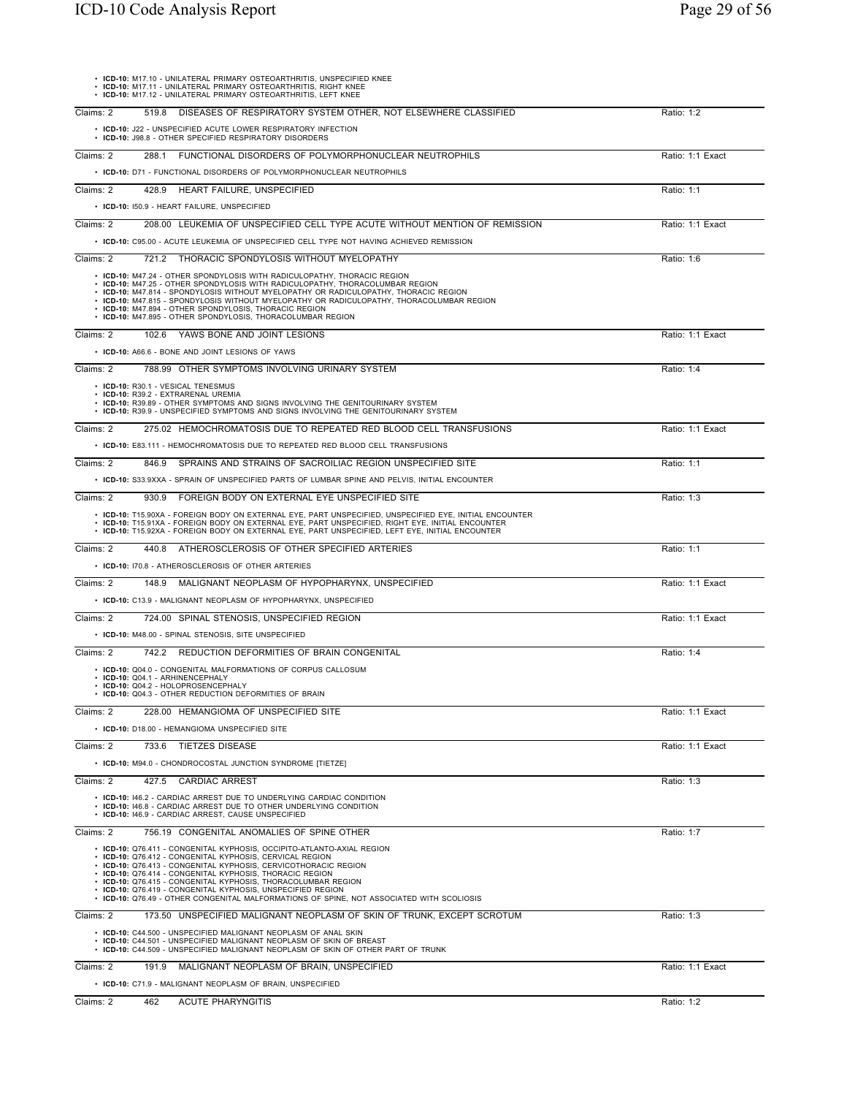| • ICD-10: M17.10 - UNILATERAL PRIMARY OSTEOARTHRITIS, UNSPECIFIED KNEE<br>• ICD-10: M17.11 - UNILATERAL PRIMARY OSTEOARTHRITIS, RIGHT KNEE<br>• ICD-10: M17.12 - UNILATERAL PRIMARY OSTEOARTHRITIS, LEFT KNEE                                                                                                                                                                                                                                                                                  |                  |
|------------------------------------------------------------------------------------------------------------------------------------------------------------------------------------------------------------------------------------------------------------------------------------------------------------------------------------------------------------------------------------------------------------------------------------------------------------------------------------------------|------------------|
| 519.8 DISEASES OF RESPIRATORY SYSTEM OTHER, NOT ELSEWHERE CLASSIFIED<br>Claims: 2                                                                                                                                                                                                                                                                                                                                                                                                              | Ratio: 1:2       |
| • ICD-10: J22 - UNSPECIFIED ACUTE LOWER RESPIRATORY INFECTION<br>• ICD-10: J98.8 - OTHER SPECIFIED RESPIRATORY DISORDERS                                                                                                                                                                                                                                                                                                                                                                       |                  |
| 288.1 FUNCTIONAL DISORDERS OF POLYMORPHONUCLEAR NEUTROPHILS<br>Claims: 2<br>• ICD-10: D71 - FUNCTIONAL DISORDERS OF POLYMORPHONUCLEAR NEUTROPHILS                                                                                                                                                                                                                                                                                                                                              | Ratio: 1:1 Exact |
| Claims: 2<br>428.9 HEART FAILURE, UNSPECIFIED                                                                                                                                                                                                                                                                                                                                                                                                                                                  | Ratio: 1:1       |
| • ICD-10: 150.9 - HEART FAILURE, UNSPECIFIED                                                                                                                                                                                                                                                                                                                                                                                                                                                   |                  |
| 208.00 LEUKEMIA OF UNSPECIFIED CELL TYPE ACUTE WITHOUT MENTION OF REMISSION<br>Claims: 2                                                                                                                                                                                                                                                                                                                                                                                                       | Ratio: 1:1 Exact |
| • ICD-10: C95.00 - ACUTE LEUKEMIA OF UNSPECIFIED CELL TYPE NOT HAVING ACHIEVED REMISSION                                                                                                                                                                                                                                                                                                                                                                                                       |                  |
| Claims: 2<br>721.2 THORACIC SPONDYLOSIS WITHOUT MYELOPATHY                                                                                                                                                                                                                                                                                                                                                                                                                                     | Ratio: 1:6       |
| • ICD-10: M47.24 - OTHER SPONDYLOSIS WITH RADICULOPATHY, THORACIC REGION<br>· ICD-10: M47.25 - OTHER SPONDYLOSIS WITH RADICULOPATHY, THORACOLUMBAR REGION<br>• ICD-10: M47.814 - SPONDYLOSIS WITHOUT MYELOPATHY OR RADICULOPATHY, THORACIC REGION<br>. ICD-10: M47.815 - SPONDYLOSIS WITHOUT MYELOPATHY OR RADICULOPATHY, THORACOLUMBAR REGION<br>• ICD-10: M47.894 - OTHER SPONDYLOSIS, THORACIC REGION<br>• ICD-10: M47.895 - OTHER SPONDYLOSIS, THORACOLUMBAR REGION                        |                  |
| Claims: 2<br>102.6 YAWS BONE AND JOINT LESIONS                                                                                                                                                                                                                                                                                                                                                                                                                                                 | Ratio: 1:1 Exact |
| • ICD-10: A66.6 - BONE AND JOINT LESIONS OF YAWS                                                                                                                                                                                                                                                                                                                                                                                                                                               |                  |
| 788.99 OTHER SYMPTOMS INVOLVING URINARY SYSTEM<br>Claims: 2                                                                                                                                                                                                                                                                                                                                                                                                                                    | Ratio: 1:4       |
| • ICD-10: R30.1 - VESICAL TENESMUS<br>· ICD-10: R39.2 - EXTRARENAL UREMIA<br>• ICD-10: R39.89 - OTHER SYMPTOMS AND SIGNS INVOLVING THE GENITOURINARY SYSTEM<br>• ICD-10: R39.9 - UNSPECIFIED SYMPTOMS AND SIGNS INVOLVING THE GENITOURINARY SYSTEM                                                                                                                                                                                                                                             |                  |
| 275.02 HEMOCHROMATOSIS DUE TO REPEATED RED BLOOD CELL TRANSFUSIONS<br>Claims: 2                                                                                                                                                                                                                                                                                                                                                                                                                | Ratio: 1:1 Exact |
| • ICD-10: E83.111 - HEMOCHROMATOSIS DUE TO REPEATED RED BLOOD CELL TRANSFUSIONS                                                                                                                                                                                                                                                                                                                                                                                                                |                  |
| Claims: 2<br>846.9 SPRAINS AND STRAINS OF SACROILIAC REGION UNSPECIFIED SITE                                                                                                                                                                                                                                                                                                                                                                                                                   | Ratio: 1:1       |
| • ICD-10: S33.9XXA - SPRAIN OF UNSPECIFIED PARTS OF LUMBAR SPINE AND PELVIS, INITIAL ENCOUNTER                                                                                                                                                                                                                                                                                                                                                                                                 |                  |
| Claims: 2<br>930.9 FOREIGN BODY ON EXTERNAL EYE UNSPECIFIED SITE                                                                                                                                                                                                                                                                                                                                                                                                                               | Ratio: 1:3       |
| · ICD-10: T15.90XA - FOREIGN BODY ON EXTERNAL EYE, PART UNSPECIFIED, UNSPECIFIED EYE, INITIAL ENCOUNTER<br>. ICD-10: T15.91XA - FOREIGN BODY ON EXTERNAL EYE, PART UNSPECIFIED, RIGHT EYE, INITIAL ENCOUNTER<br>. ICD-10: T15.92XA - FOREIGN BODY ON EXTERNAL EYE, PART UNSPECIFIED, LEFT EYE, INITIAL ENCOUNTER                                                                                                                                                                               |                  |
| 440.8 ATHEROSCLEROSIS OF OTHER SPECIFIED ARTERIES<br>Claims: 2                                                                                                                                                                                                                                                                                                                                                                                                                                 | Ratio: 1:1       |
| • ICD-10: 170.8 - ATHEROSCLEROSIS OF OTHER ARTERIES                                                                                                                                                                                                                                                                                                                                                                                                                                            |                  |
| Claims: 2<br>148.9 MALIGNANT NEOPLASM OF HYPOPHARYNX, UNSPECIFIED                                                                                                                                                                                                                                                                                                                                                                                                                              | Ratio: 1:1 Exact |
| • ICD-10: C13.9 - MALIGNANT NEOPLASM OF HYPOPHARYNX, UNSPECIFIED                                                                                                                                                                                                                                                                                                                                                                                                                               |                  |
| Claims: 2<br>724.00 SPINAL STENOSIS, UNSPECIFIED REGION                                                                                                                                                                                                                                                                                                                                                                                                                                        | Ratio: 1:1 Exact |
| • ICD-10: M48.00 - SPINAL STENOSIS, SITE UNSPECIFIED                                                                                                                                                                                                                                                                                                                                                                                                                                           |                  |
| Claims: 2<br>742.2 REDUCTION DEFORMITIES OF BRAIN CONGENITAL                                                                                                                                                                                                                                                                                                                                                                                                                                   | Ratio: 1:4       |
| • ICD-10: Q04.0 - CONGENITAL MALFORMATIONS OF CORPUS CALLOSUM<br>• ICD-10: Q04.1 - ARHINENCEPHALY<br>• ICD-10: Q04.2 - HOLOPROSENCEPHALY<br>• ICD-10: Q04.3 - OTHER REDUCTION DEFORMITIES OF BRAIN                                                                                                                                                                                                                                                                                             |                  |
| Claims: 2<br>228.00 HEMANGIOMA OF UNSPECIFIED SITE                                                                                                                                                                                                                                                                                                                                                                                                                                             | Ratio: 1:1 Exact |
| • ICD-10: D18.00 - HEMANGIOMA UNSPECIFIED SITE                                                                                                                                                                                                                                                                                                                                                                                                                                                 |                  |
| Claims: 2<br>733.6 TIETZES DISEASE                                                                                                                                                                                                                                                                                                                                                                                                                                                             | Ratio: 1:1 Exact |
| • ICD-10: M94.0 - CHONDROCOSTAL JUNCTION SYNDROME [TIETZE]                                                                                                                                                                                                                                                                                                                                                                                                                                     |                  |
| <b>CARDIAC ARREST</b><br>Claims: 2<br>427.5                                                                                                                                                                                                                                                                                                                                                                                                                                                    | Ratio: 1:3       |
| • ICD-10: 146.2 - CARDIAC ARREST DUE TO UNDERLYING CARDIAC CONDITION<br>• ICD-10: 146.8 - CARDIAC ARREST DUE TO OTHER UNDERLYING CONDITION<br>• ICD-10: 146.9 - CARDIAC ARREST. CAUSE UNSPECIFIED                                                                                                                                                                                                                                                                                              |                  |
| Claims: 2<br>756.19 CONGENITAL ANOMALIES OF SPINE OTHER                                                                                                                                                                                                                                                                                                                                                                                                                                        | Ratio: 1:7       |
| • ICD-10: Q76.411 - CONGENITAL KYPHOSIS, OCCIPITO-ATLANTO-AXIAL REGION<br>· ICD-10: Q76.412 - CONGENITAL KYPHOSIS, CERVICAL REGION<br>• ICD-10: Q76.413 - CONGENITAL KYPHOSIS, CERVICOTHORACIC REGION<br>• ICD-10: Q76.414 - CONGENITAL KYPHOSIS, THORACIC REGION<br>• ICD-10: Q76.415 - CONGENITAL KYPHOSIS, THORACOLUMBAR REGION<br>• ICD-10: Q76.419 - CONGENITAL KYPHOSIS, UNSPECIFIED REGION<br>• ICD-10: Q76.49 - OTHER CONGENITAL MALFORMATIONS OF SPINE, NOT ASSOCIATED WITH SCOLIOSIS |                  |
| Claims: 2<br>173.50 UNSPECIFIED MALIGNANT NEOPLASM OF SKIN OF TRUNK, EXCEPT SCROTUM                                                                                                                                                                                                                                                                                                                                                                                                            | Ratio: 1:3       |
| • ICD-10: C44.500 - UNSPECIFIED MALIGNANT NEOPLASM OF ANAL SKIN<br>• ICD-10: C44.501 - UNSPECIFIED MALIGNANT NEOPLASM OF SKIN OF BREAST<br>• ICD-10: C44.509 - UNSPECIFIED MALIGNANT NEOPLASM OF SKIN OF OTHER PART OF TRUNK                                                                                                                                                                                                                                                                   |                  |
| Claims: 2<br>191.9 MALIGNANT NEOPLASM OF BRAIN, UNSPECIFIED                                                                                                                                                                                                                                                                                                                                                                                                                                    | Ratio: 1:1 Exact |
| • ICD-10: C71.9 - MALIGNANT NEOPLASM OF BRAIN, UNSPECIFIED                                                                                                                                                                                                                                                                                                                                                                                                                                     |                  |
| Claims: 2<br>462<br><b>ACUTE PHARYNGITIS</b>                                                                                                                                                                                                                                                                                                                                                                                                                                                   | Ratio: 1:2       |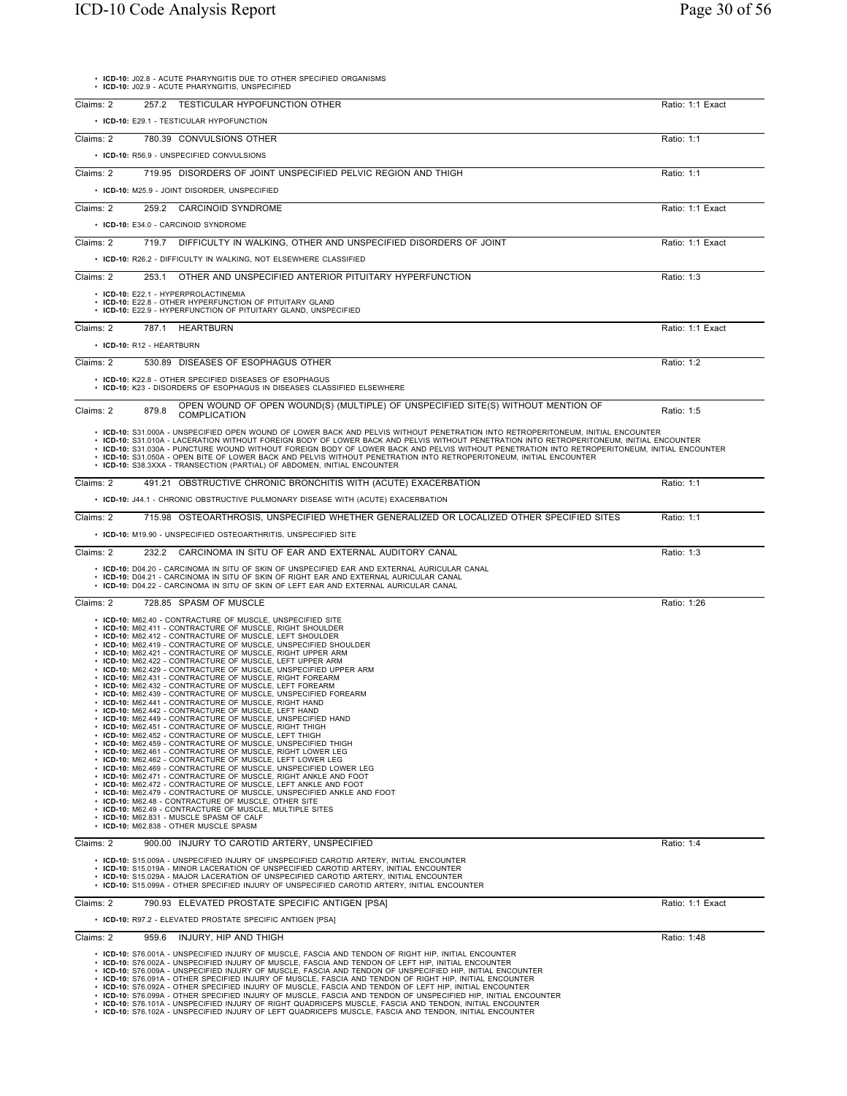• **ICD-10:** J02.8 - ACUTE PHARYNGITIS DUE TO OTHER SPECIFIED ORGANISMS • **ICD-10:** J02.9 - ACUTE PHARYNGITIS, UNSPECIFIED

| Claims: 2 | 257.2 TESTICULAR HYPOFUNCTION OTHER                                                                                                                                                                                                                                                                                                                                                                                                                                                                                                                                                                                                                                                                                                                                                                                                                                                                                                                                                                                                                                                                                                                                                                                                                                                                                                                                                                                                                                                                                                                                                                                                      | Ratio: 1:1 Exact |
|-----------|------------------------------------------------------------------------------------------------------------------------------------------------------------------------------------------------------------------------------------------------------------------------------------------------------------------------------------------------------------------------------------------------------------------------------------------------------------------------------------------------------------------------------------------------------------------------------------------------------------------------------------------------------------------------------------------------------------------------------------------------------------------------------------------------------------------------------------------------------------------------------------------------------------------------------------------------------------------------------------------------------------------------------------------------------------------------------------------------------------------------------------------------------------------------------------------------------------------------------------------------------------------------------------------------------------------------------------------------------------------------------------------------------------------------------------------------------------------------------------------------------------------------------------------------------------------------------------------------------------------------------------------|------------------|
|           | • ICD-10: E29.1 - TESTICULAR HYPOFUNCTION                                                                                                                                                                                                                                                                                                                                                                                                                                                                                                                                                                                                                                                                                                                                                                                                                                                                                                                                                                                                                                                                                                                                                                                                                                                                                                                                                                                                                                                                                                                                                                                                |                  |
| Claims: 2 | 780.39 CONVULSIONS OTHER                                                                                                                                                                                                                                                                                                                                                                                                                                                                                                                                                                                                                                                                                                                                                                                                                                                                                                                                                                                                                                                                                                                                                                                                                                                                                                                                                                                                                                                                                                                                                                                                                 | Ratio: 1:1       |
|           | • ICD-10: R56.9 - UNSPECIFIED CONVULSIONS                                                                                                                                                                                                                                                                                                                                                                                                                                                                                                                                                                                                                                                                                                                                                                                                                                                                                                                                                                                                                                                                                                                                                                                                                                                                                                                                                                                                                                                                                                                                                                                                |                  |
| Claims: 2 | 719.95 DISORDERS OF JOINT UNSPECIFIED PELVIC REGION AND THIGH                                                                                                                                                                                                                                                                                                                                                                                                                                                                                                                                                                                                                                                                                                                                                                                                                                                                                                                                                                                                                                                                                                                                                                                                                                                                                                                                                                                                                                                                                                                                                                            | Ratio: 1:1       |
|           | • ICD-10: M25.9 - JOINT DISORDER, UNSPECIFIED                                                                                                                                                                                                                                                                                                                                                                                                                                                                                                                                                                                                                                                                                                                                                                                                                                                                                                                                                                                                                                                                                                                                                                                                                                                                                                                                                                                                                                                                                                                                                                                            |                  |
| Claims: 2 | 259.2 CARCINOID SYNDROME                                                                                                                                                                                                                                                                                                                                                                                                                                                                                                                                                                                                                                                                                                                                                                                                                                                                                                                                                                                                                                                                                                                                                                                                                                                                                                                                                                                                                                                                                                                                                                                                                 | Ratio: 1:1 Exact |
|           | • ICD-10: E34.0 - CARCINOID SYNDROME                                                                                                                                                                                                                                                                                                                                                                                                                                                                                                                                                                                                                                                                                                                                                                                                                                                                                                                                                                                                                                                                                                                                                                                                                                                                                                                                                                                                                                                                                                                                                                                                     |                  |
| Claims: 2 | DIFFICULTY IN WALKING, OTHER AND UNSPECIFIED DISORDERS OF JOINT<br>719.7                                                                                                                                                                                                                                                                                                                                                                                                                                                                                                                                                                                                                                                                                                                                                                                                                                                                                                                                                                                                                                                                                                                                                                                                                                                                                                                                                                                                                                                                                                                                                                 | Ratio: 1:1 Exact |
|           |                                                                                                                                                                                                                                                                                                                                                                                                                                                                                                                                                                                                                                                                                                                                                                                                                                                                                                                                                                                                                                                                                                                                                                                                                                                                                                                                                                                                                                                                                                                                                                                                                                          |                  |
|           | • ICD-10: R26.2 - DIFFICULTY IN WALKING, NOT ELSEWHERE CLASSIFIED                                                                                                                                                                                                                                                                                                                                                                                                                                                                                                                                                                                                                                                                                                                                                                                                                                                                                                                                                                                                                                                                                                                                                                                                                                                                                                                                                                                                                                                                                                                                                                        |                  |
| Claims: 2 | 253.1 OTHER AND UNSPECIFIED ANTERIOR PITUITARY HYPERFUNCTION                                                                                                                                                                                                                                                                                                                                                                                                                                                                                                                                                                                                                                                                                                                                                                                                                                                                                                                                                                                                                                                                                                                                                                                                                                                                                                                                                                                                                                                                                                                                                                             | Ratio: 1:3       |
|           | • ICD-10: E22.1 - HYPERPROLACTINEMIA<br>• ICD-10: E22.8 - OTHER HYPERFUNCTION OF PITUITARY GLAND                                                                                                                                                                                                                                                                                                                                                                                                                                                                                                                                                                                                                                                                                                                                                                                                                                                                                                                                                                                                                                                                                                                                                                                                                                                                                                                                                                                                                                                                                                                                         |                  |
|           | • ICD-10: E22.9 - HYPERFUNCTION OF PITUITARY GLAND, UNSPECIFIED                                                                                                                                                                                                                                                                                                                                                                                                                                                                                                                                                                                                                                                                                                                                                                                                                                                                                                                                                                                                                                                                                                                                                                                                                                                                                                                                                                                                                                                                                                                                                                          |                  |
| Claims: 2 | 787.1<br><b>HEARTBURN</b>                                                                                                                                                                                                                                                                                                                                                                                                                                                                                                                                                                                                                                                                                                                                                                                                                                                                                                                                                                                                                                                                                                                                                                                                                                                                                                                                                                                                                                                                                                                                                                                                                | Ratio: 1:1 Exact |
|           | • ICD-10: R12 - HEARTBURN                                                                                                                                                                                                                                                                                                                                                                                                                                                                                                                                                                                                                                                                                                                                                                                                                                                                                                                                                                                                                                                                                                                                                                                                                                                                                                                                                                                                                                                                                                                                                                                                                |                  |
| Claims: 2 | 530.89 DISEASES OF ESOPHAGUS OTHER                                                                                                                                                                                                                                                                                                                                                                                                                                                                                                                                                                                                                                                                                                                                                                                                                                                                                                                                                                                                                                                                                                                                                                                                                                                                                                                                                                                                                                                                                                                                                                                                       | Ratio: 1:2       |
|           | • ICD-10: K22.8 - OTHER SPECIFIED DISEASES OF ESOPHAGUS<br>• ICD-10: K23 - DISORDERS OF ESOPHAGUS IN DISEASES CLASSIFIED ELSEWHERE                                                                                                                                                                                                                                                                                                                                                                                                                                                                                                                                                                                                                                                                                                                                                                                                                                                                                                                                                                                                                                                                                                                                                                                                                                                                                                                                                                                                                                                                                                       |                  |
|           |                                                                                                                                                                                                                                                                                                                                                                                                                                                                                                                                                                                                                                                                                                                                                                                                                                                                                                                                                                                                                                                                                                                                                                                                                                                                                                                                                                                                                                                                                                                                                                                                                                          |                  |
| Claims: 2 | OPEN WOUND OF OPEN WOUND(S) (MULTIPLE) OF UNSPECIFIED SITE(S) WITHOUT MENTION OF<br>879.8<br><b>COMPLICATION</b>                                                                                                                                                                                                                                                                                                                                                                                                                                                                                                                                                                                                                                                                                                                                                                                                                                                                                                                                                                                                                                                                                                                                                                                                                                                                                                                                                                                                                                                                                                                         | Ratio: 1:5       |
|           | . ICD-10: S31.000A - UNSPECIFIED OPEN WOUND OF LOWER BACK AND PELVIS WITHOUT PENETRATION INTO RETROPERITONEUM, INITIAL ENCOUNTER<br>. ICD-10: S31.010A - LACERATION WITHOUT FOREIGN BODY OF LOWER BACK AND PELVIS WITHOUT PENETRATION INTO RETROPERITONEUM, INITIAL ENCOUNTER<br>· ICD-10: S31.030A - PUNCTURE WOUND WITHOUT FOREIGN BODY OF LOWER BACK AND PELVIS WITHOUT PENETRATION INTO RETROPERITONEUM, INITIAL ENCOUNTER<br>· ICD-10: S31.050A - OPEN BITE OF LOWER BACK AND PELVIS WITHOUT PENETRATION INTO RETROPERITONEUM, INITIAL ENCOUNTER<br>• ICD-10: S38.3XXA - TRANSECTION (PARTIAL) OF ABDOMEN, INITIAL ENCOUNTER                                                                                                                                                                                                                                                                                                                                                                                                                                                                                                                                                                                                                                                                                                                                                                                                                                                                                                                                                                                                        |                  |
| Claims: 2 | 491.21 OBSTRUCTIVE CHRONIC BRONCHITIS WITH (ACUTE) EXACERBATION                                                                                                                                                                                                                                                                                                                                                                                                                                                                                                                                                                                                                                                                                                                                                                                                                                                                                                                                                                                                                                                                                                                                                                                                                                                                                                                                                                                                                                                                                                                                                                          | Ratio: 1:1       |
|           | • ICD-10: J44.1 - CHRONIC OBSTRUCTIVE PULMONARY DISEASE WITH (ACUTE) EXACERBATION                                                                                                                                                                                                                                                                                                                                                                                                                                                                                                                                                                                                                                                                                                                                                                                                                                                                                                                                                                                                                                                                                                                                                                                                                                                                                                                                                                                                                                                                                                                                                        |                  |
| Claims: 2 | 715.98 OSTEOARTHROSIS, UNSPECIFIED WHETHER GENERALIZED OR LOCALIZED OTHER SPECIFIED SITES                                                                                                                                                                                                                                                                                                                                                                                                                                                                                                                                                                                                                                                                                                                                                                                                                                                                                                                                                                                                                                                                                                                                                                                                                                                                                                                                                                                                                                                                                                                                                | Ratio: 1:1       |
|           | • ICD-10: M19.90 - UNSPECIFIED OSTEOARTHRITIS, UNSPECIFIED SITE                                                                                                                                                                                                                                                                                                                                                                                                                                                                                                                                                                                                                                                                                                                                                                                                                                                                                                                                                                                                                                                                                                                                                                                                                                                                                                                                                                                                                                                                                                                                                                          |                  |
| Claims: 2 | 232.2<br>CARCINOMA IN SITU OF EAR AND EXTERNAL AUDITORY CANAL                                                                                                                                                                                                                                                                                                                                                                                                                                                                                                                                                                                                                                                                                                                                                                                                                                                                                                                                                                                                                                                                                                                                                                                                                                                                                                                                                                                                                                                                                                                                                                            | Ratio: 1:3       |
|           | • ICD-10: D04.20 - CARCINOMA IN SITU OF SKIN OF UNSPECIFIED EAR AND EXTERNAL AURICULAR CANAL<br>• ICD-10: D04.21 - CARCINOMA IN SITU OF SKIN OF RIGHT EAR AND EXTERNAL AURICULAR CANAL<br>• ICD-10: D04.22 - CARCINOMA IN SITU OF SKIN OF LEFT EAR AND EXTERNAL AURICULAR CANAL                                                                                                                                                                                                                                                                                                                                                                                                                                                                                                                                                                                                                                                                                                                                                                                                                                                                                                                                                                                                                                                                                                                                                                                                                                                                                                                                                          |                  |
| Claims: 2 | 728.85 SPASM OF MUSCLE                                                                                                                                                                                                                                                                                                                                                                                                                                                                                                                                                                                                                                                                                                                                                                                                                                                                                                                                                                                                                                                                                                                                                                                                                                                                                                                                                                                                                                                                                                                                                                                                                   | Ratio: 1:26      |
|           | • ICD-10: M62.40 - CONTRACTURE OF MUSCLE, UNSPECIFIED SITE<br>• ICD-10: M62.411 - CONTRACTURE OF MUSCLE, RIGHT SHOULDER<br>• ICD-10: M62.412 - CONTRACTURE OF MUSCLE, LEFT SHOULDER<br>• ICD-10: M62.419 - CONTRACTURE OF MUSCLE, UNSPECIFIED SHOULDER<br>• ICD-10: M62.421 - CONTRACTURE OF MUSCLE, RIGHT UPPER ARM<br>• ICD-10: M62.422 - CONTRACTURE OF MUSCLE, LEFT UPPER ARM<br>• ICD-10: M62.429 - CONTRACTURE OF MUSCLE, UNSPECIFIED UPPER ARM<br>• ICD-10: M62.431 - CONTRACTURE OF MUSCLE, RIGHT FOREARM<br>• ICD-10: M62.432 - CONTRACTURE OF MUSCLE, LEFT FOREARM<br>• ICD-10: M62.439 - CONTRACTURE OF MUSCLE, UNSPECIFIED FOREARM<br>• ICD-10: M62.441 - CONTRACTURE OF MUSCLE, RIGHT HAND<br>• ICD-10: M62.442 - CONTRACTURE OF MUSCLE, LEFT HAND<br>• ICD-10: M62.449 - CONTRACTURE OF MUSCLE, UNSPECIFIED HAND<br>• ICD-10: M62.451 - CONTRACTURE OF MUSCLE, RIGHT THIGH<br>• ICD-10: M62.452 - CONTRACTURE OF MUSCLE, LEFT THIGH<br>• ICD-10: M62.459 - CONTRACTURE OF MUSCLE, UNSPECIFIED THIGH<br>• ICD-10: M62.461 - CONTRACTURE OF MUSCLE, RIGHT LOWER LEG<br>• ICD-10: M62.462 - CONTRACTURE OF MUSCLE, LEFT LOWER LEG<br>• ICD-10: M62.469 - CONTRACTURE OF MUSCLE, UNSPECIFIED LOWER LEG<br>• ICD-10: M62.471 - CONTRACTURE OF MUSCLE, RIGHT ANKLE AND FOOT<br>• ICD-10: M62.472 - CONTRACTURE OF MUSCLE, LEFT ANKLE AND FOOT<br>• ICD-10: M62.479 - CONTRACTURE OF MUSCLE, UNSPECIFIED ANKLE AND FOOT<br>• ICD-10: M62.48 - CONTRACTURE OF MUSCLE, OTHER SITE<br>• ICD-10: M62.49 - CONTRACTURE OF MUSCLE, MULTIPLE SITES<br>• ICD-10: M62.831 - MUSCLE SPASM OF CALF<br>• ICD-10: M62.838 - OTHER MUSCLE SPASM |                  |
| Claims: 2 | 900.00 INJURY TO CAROTID ARTERY, UNSPECIFIED                                                                                                                                                                                                                                                                                                                                                                                                                                                                                                                                                                                                                                                                                                                                                                                                                                                                                                                                                                                                                                                                                                                                                                                                                                                                                                                                                                                                                                                                                                                                                                                             | Ratio: 1:4       |
|           | • ICD-10: S15.009A - UNSPECIFIED INJURY OF UNSPECIFIED CAROTID ARTERY, INITIAL ENCOUNTER<br>• ICD-10: S15.019A - MINOR LACERATION OF UNSPECIFIED CAROTID ARTERY, INITIAL ENCOUNTER<br>• ICD-10: S15.029A - MAJOR LACERATION OF UNSPECIFIED CAROTID ARTERY, INITIAL ENCOUNTER<br>. ICD-10: S15.099A - OTHER SPECIFIED INJURY OF UNSPECIFIED CAROTID ARTERY, INITIAL ENCOUNTER                                                                                                                                                                                                                                                                                                                                                                                                                                                                                                                                                                                                                                                                                                                                                                                                                                                                                                                                                                                                                                                                                                                                                                                                                                                             |                  |
| Claims: 2 | 790.93 ELEVATED PROSTATE SPECIFIC ANTIGEN [PSA]                                                                                                                                                                                                                                                                                                                                                                                                                                                                                                                                                                                                                                                                                                                                                                                                                                                                                                                                                                                                                                                                                                                                                                                                                                                                                                                                                                                                                                                                                                                                                                                          | Ratio: 1:1 Exact |
|           | • ICD-10: R97.2 - ELEVATED PROSTATE SPECIFIC ANTIGEN [PSA]                                                                                                                                                                                                                                                                                                                                                                                                                                                                                                                                                                                                                                                                                                                                                                                                                                                                                                                                                                                                                                                                                                                                                                                                                                                                                                                                                                                                                                                                                                                                                                               |                  |
| Claims: 2 | INJURY, HIP AND THIGH<br>959.6                                                                                                                                                                                                                                                                                                                                                                                                                                                                                                                                                                                                                                                                                                                                                                                                                                                                                                                                                                                                                                                                                                                                                                                                                                                                                                                                                                                                                                                                                                                                                                                                           | Ratio: 1:48      |
|           | • ICD-10: S76.001A - UNSPECIFIED INJURY OF MUSCLE, FASCIA AND TENDON OF RIGHT HIP, INITIAL ENCOUNTER<br>. ICD-10: S76.002A - UNSPECIFIED INJURY OF MUSCLE, FASCIA AND TENDON OF LEFT HIP, INITIAL ENCOUNTER<br>· ICD-10: S76.009A - UNSPECIFIED INJURY OF MUSCLE, FASCIA AND TENDON OF UNSPECIFIED HIP, INITIAL ENCOUNTER<br>· ICD-10: S76.091A - OTHER SPECIFIED INJURY OF MUSCLE, FASCIA AND TENDON OF RIGHT HIP, INITIAL ENCOUNTER<br>· ICD-10: S76.092A - OTHER SPECIFIED INJURY OF MUSCLE, FASCIA AND TENDON OF LEFT HIP, INITIAL ENCOUNTER<br>· ICD-10: S76.099A - OTHER SPECIFIED INJURY OF MUSCLE, FASCIA AND TENDON OF UNSPECIFIED HIP, INITIAL ENCOUNTER<br>· ICD-10: S76.101A - UNSPECIFIED INJURY OF RIGHT QUADRICEPS MUSCLE, FASCIA AND TENDON, INITIAL ENCOUNTER<br>. ICD-10: S76.102A - UNSPECIFIED INJURY OF LEFT QUADRICEPS MUSCLE, FASCIA AND TENDON, INITIAL ENCOUNTER                                                                                                                                                                                                                                                                                                                                                                                                                                                                                                                                                                                                                                                                                                                                                |                  |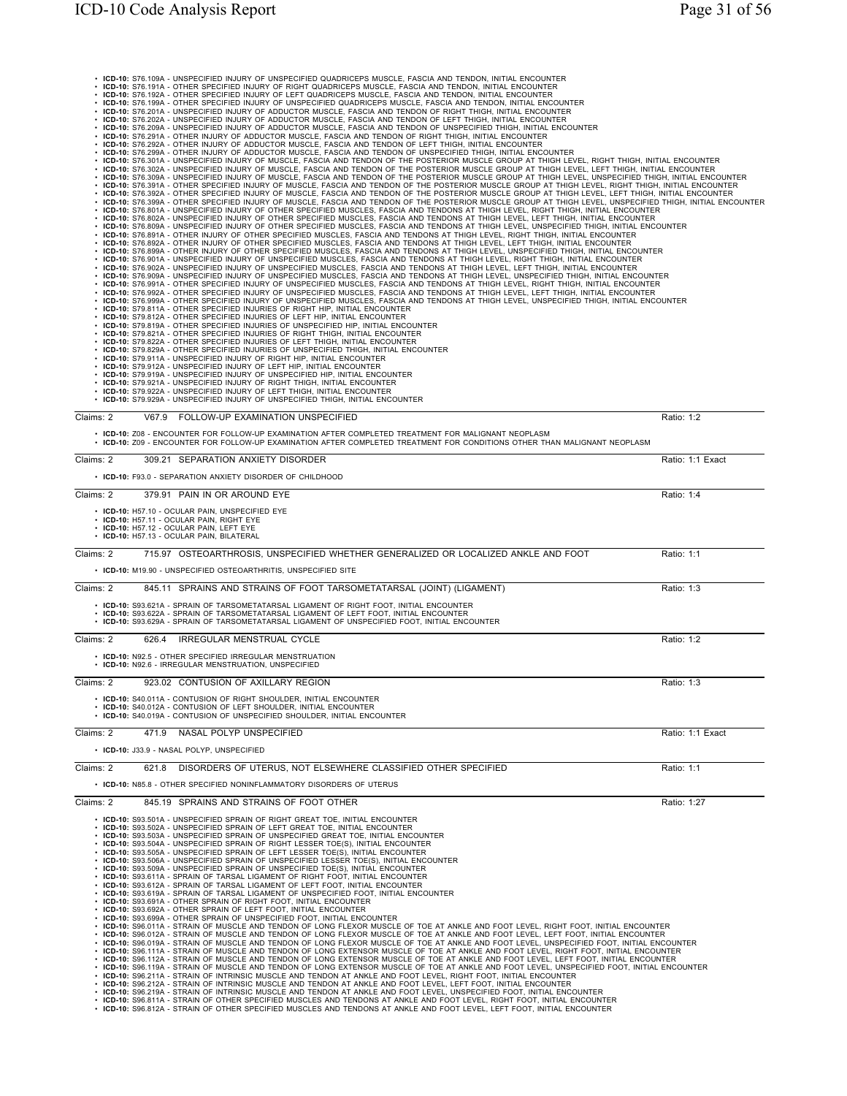| • ICD-10: S76.109A - UNSPECIFIED INJURY OF UNSPECIFIED QUADRICEPS MUSCLE, FASCIA AND TENDON, INITIAL ENCOUNTER<br>ICD-10: S76.191A - OTHER SPECIFIED INJURY OF RIGHT QUADRICEPS MUSCLE, FASCIA AND TENDON, INITIAL ENCOUNTER                                                                      |                  |
|---------------------------------------------------------------------------------------------------------------------------------------------------------------------------------------------------------------------------------------------------------------------------------------------------|------------------|
| ICD-10: S76.192A - OTHER SPECIFIED INJURY OF LEFT QUADRICEPS MUSCLE, FASCIA AND TENDON, INITIAL ENCOUNTER<br>ICD-10: S76.199A - OTHER SPECIFIED INJURY OF UNSPECIFIED QUADRICEPS MUSCLE, FASCIA AND TENDON, INITIAL ENCOUNTER                                                                     |                  |
| ICD-10: S76.201A - UNSPECIFIED INJURY OF ADDUCTOR MUSCLE, FASCIA AND TENDON OF RIGHT THIGH, INITIAL ENCOUNTER                                                                                                                                                                                     |                  |
| ICD-10: S76.202A - UNSPECIFIED INJURY OF ADDUCTOR MUSCLE, FASCIA AND TENDON OF LEFT THIGH, INITIAL ENCOUNTER<br>ICD-10: S76.209A - UNSPECIFIED INJURY OF ADDUCTOR MUSCLE, FASCIA AND TENDON OF UNSPECIFIED THIGH, INITIAL ENCOUNTER                                                               |                  |
| ICD-10: S76.291A - OTHER INJURY OF ADDUCTOR MUSCLE, FASCIA AND TENDON OF RIGHT THIGH, INITIAL ENCOUNTER<br>ICD-10: S76.292A - OTHER INJURY OF ADDUCTOR MUSCLE, FASCIA AND TENDON OF LEFT THIGH, INITIAL ENCOUNTER                                                                                 |                  |
| ICD-10: S76.299A - OTHER INJURY OF ADDUCTOR MUSCLE, FASCIA AND TENDON OF UNSPECIFIED THIGH, INITIAL ENCOUNTER                                                                                                                                                                                     |                  |
| ICD-10: S76.301A - UNSPECIFIED INJURY OF MUSCLE, FASCIA AND TENDON OF THE POSTERIOR MUSCLE GROUP AT THIGH LEVEL, RIGHT THIGH, INITIAL ENCOUNTER<br>ICD-10: S76.302A - UNSPECIFIED INJURY OF MUSCLE, FASCIA AND TENDON OF THE POSTERIOR MUSCLE GROUP AT THIGH LEVEL, LEFT THIGH, INITIAL ENCOUNTER |                  |
| ICD-10: S76.309A - UNSPECIFIED INJURY OF MUSCLE, FASCIA AND TENDON OF THE POSTERIOR MUSCLE GROUP AT THIGH LEVEL, UNSPECIFIED THIGH, INITIAL ENCOUNTER                                                                                                                                             |                  |
| + ICD-10: S76.391A - OTHER SPECIFIED INJURY OF MUSCLE, FASCIA AND TENDON OF THE POSTERIOR MUSCLE GROUP AT THIGH LEVEL, RIGHT THIGH, INITIAL ENCOUNTER<br>• ICD-10: S76.392A - OTHER SPECIFIED INJURY OF MUSCLE, FASCIA AND TENDO                                                                  |                  |
| . ICD-10: S76.801A - UNSPECIFIED INJURY OF OTHER SPECIFIED MUSCLES, FASCIA AND TENDONS AT THIGH LEVEL, RIGHT THIGH, INITIAL ENCOUNTER                                                                                                                                                             |                  |
| · ICD-10: S76.802A - UNSPECIFIED INJURY OF OTHER SPECIFIED MUSCLES, FASCIA AND TENDONS AT THIGH LEVEL, LEFT THIGH, INITIAL ENCOUNTER<br>· ICD-10: S76.809A - UNSPECIFIED INJURY OF OTHER SPECIFIED MUSCLES, FASCIA AND TENDONS AT THIGH LEVEL, UNSPECIFIED THIGH, INITIAL ENCOUNTER               |                  |
| · ICD-10: S76.891A - OTHER INJURY OF OTHER SPECIFIED MUSCLES, FASCIA AND TENDONS AT THIGH LEVEL, RIGHT THIGH, INITIAL ENCOUNTER<br>. ICD-10: S76.892A - OTHER INJURY OF OTHER SPECIFIED MUSCLES, FASCIA AND TENDONS AT THIGH LEVEL, LEFT THIGH, INITIAL ENCOUNTER                                 |                  |
| . ICD-10: S76.899A - OTHER INJURY OF OTHER SPECIFIED MUSCLES, FASCIA AND TENDONS AT THIGH LEVEL, UNSPECIFIED THIGH, INITIAL ENCOUNTER<br>· ICD-10: S76.901A - UNSPECIFIED INJURY OF UNSPECIFIED MUSCLES, FASCIA AND TENDONS AT THIGH LEVEL, RIGHT THIGH, INITIAL ENCOUNTER                        |                  |
| · ICD-10: S76.902A - UNSPECIFIED INJURY OF UNSPECIFIED MUSCLES, FASCIA AND TENDONS AT THIGH LEVEL, LEFT THIGH, INITIAL ENCOUNTER                                                                                                                                                                  |                  |
| · ICD-10: S76.909A - UNSPECIFIED INJURY OF UNSPECIFIED MUSCLES, FASCIA AND TENDONS AT THIGH LEVEL, UNSPECIFIED THIGH, INITIAL ENCOUNTER<br>· ICD-10: S76.991A - OTHER SPECIFIED INJURY OF UNSPECIFIED MUSCLES, FASCIA AND TENDONS AT THIGH LEVEL, RIGHT THIGH, INITIAL ENCOUNTER                  |                  |
| · ICD-10: S76.992A - OTHER SPECIFIED INJURY OF UNSPECIFIED MUSCLES, FASCIA AND TENDONS AT THIGH LEVEL, LEFT THIGH, INITIAL ENCOUNTER<br>. ICD-10: S76.999A - OTHER SPECIFIED INJURY OF UNSPECIFIED MUSCLES, FASCIA AND TENDONS AT THIGH LEVEL, UNSPECIFIED THIGH, INITIAL ENCOUNTER               |                  |
| • ICD-10: S79.811A - OTHER SPECIFIED INJURIES OF RIGHT HIP, INITIAL ENCOUNTER<br>• ICD-10: S79.812A - OTHER SPECIFIED INJURIES OF LEFT HIP, INITIAL ENCOUNTER                                                                                                                                     |                  |
| • ICD-10: S79.819A - OTHER SPECIFIED INJURIES OF UNSPECIFIED HIP, INITIAL ENCOUNTER                                                                                                                                                                                                               |                  |
| ICD-10: S79.821A - OTHER SPECIFIED INJURIES OF RIGHT THIGH, INITIAL ENCOUNTER<br>ICD-10: S79.822A - OTHER SPECIFIED INJURIES OF LEFT THIGH, INITIAL ENCOUNTER                                                                                                                                     |                  |
| ICD-10: S79.829A - OTHER SPECIFIED INJURIES OF UNSPECIFIED THIGH, INITIAL ENCOUNTER<br>ICD-10: S79.911A - UNSPECIFIED INJURY OF RIGHT HIP, INITIAL ENCOUNTER                                                                                                                                      |                  |
| ICD-10: S79.912A - UNSPECIFIED INJURY OF LEFT HIP, INITIAL ENCOUNTER                                                                                                                                                                                                                              |                  |
| ICD-10: S79.919A - UNSPECIFIED INJURY OF UNSPECIFIED HIP, INITIAL ENCOUNTER ICD-10: S79.921A - UNSPECIFIED INJURY OF RIGHT THIGH, INITIAL ENCOUNTER                                                                                                                                               |                  |
| • ICD-10: S79.922A - UNSPECIFIED INJURY OF LEFT THIGH, INITIAL ENCOUNTER<br>• ICD-10: S79.929A - UNSPECIFIED INJURY OF UNSPECIFIED THIGH, INITIAL ENCOUNTER                                                                                                                                       |                  |
| V67.9 FOLLOW-UP EXAMINATION UNSPECIFIED<br>Claims: 2                                                                                                                                                                                                                                              | Ratio: 1:2       |
| • ICD-10: Z08 - ENCOUNTER FOR FOLLOW-UP EXAMINATION AFTER COMPLETED TREATMENT FOR MALIGNANT NEOPLASM                                                                                                                                                                                              |                  |
| . ICD-10: Z09 - ENCOUNTER FOR FOLLOW-UP EXAMINATION AFTER COMPLETED TREATMENT FOR CONDITIONS OTHER THAN MALIGNANT NEOPLASM                                                                                                                                                                        |                  |
| Claims: 2<br>309.21 SEPARATION ANXIETY DISORDER                                                                                                                                                                                                                                                   | Ratio: 1:1 Exact |
| • ICD-10: F93.0 - SEPARATION ANXIETY DISORDER OF CHILDHOOD                                                                                                                                                                                                                                        |                  |
| 379.91 PAIN IN OR AROUND EYE<br>Claims: 2                                                                                                                                                                                                                                                         | Ratio: 1:4       |
|                                                                                                                                                                                                                                                                                                   |                  |
| • ICD-10: H57.10 - OCULAR PAIN, UNSPECIFIED EYE<br>• ICD-10: H57.11 - OCULAR PAIN, RIGHT EYE                                                                                                                                                                                                      |                  |
| • ICD-10: H57.12 - OCULAR PAIN, LEFT EYE<br>• ICD-10: H57.13 - OCULAR PAIN, BILATERAL                                                                                                                                                                                                             |                  |
|                                                                                                                                                                                                                                                                                                   |                  |
| 715.97 OSTEOARTHROSIS, UNSPECIFIED WHETHER GENERALIZED OR LOCALIZED ANKLE AND FOOT<br>Claims: 2                                                                                                                                                                                                   | Ratio: 1:1       |
| • ICD-10: M19.90 - UNSPECIFIED OSTEOARTHRITIS, UNSPECIFIED SITE                                                                                                                                                                                                                                   |                  |
| 845.11 SPRAINS AND STRAINS OF FOOT TARSOMETATARSAL (JOINT) (LIGAMENT)<br>Claims: 2                                                                                                                                                                                                                | Ratio: 1:3       |
| • ICD-10: S93.621A - SPRAIN OF TARSOMETATARSAL LIGAMENT OF RIGHT FOOT, INITIAL ENCOUNTER                                                                                                                                                                                                          |                  |
| • ICD-10: S93.622A - SPRAIN OF TARSOMETATARSAL LIGAMENT OF LEFT FOOT. INITIAL ENCOUNTER<br>• ICD-10: S93.629A - SPRAIN OF TARSOMETATARSAL LIGAMENT OF UNSPECIFIED FOOT, INITIAL ENCOUNTER                                                                                                         |                  |
| <b>IRREGULAR MENSTRUAL CYCLE</b><br>Claims: 2<br>626.4                                                                                                                                                                                                                                            | Ratio: 1:2       |
|                                                                                                                                                                                                                                                                                                   |                  |
| • ICD-10: N92.5 - OTHER SPECIFIED IRREGULAR MENSTRUATION<br>• ICD-10: N92.6 - IRREGULAR MENSTRUATION, UNSPECIFIED                                                                                                                                                                                 |                  |
| 923.02 CONTUSION OF AXILLARY REGION<br>Claims: 2                                                                                                                                                                                                                                                  | Ratio: 1:3       |
|                                                                                                                                                                                                                                                                                                   |                  |
| • ICD-10: S40.011A - CONTUSION OF RIGHT SHOULDER, INITIAL ENCOUNTER<br>• ICD-10: S40.012A - CONTUSION OF LEFT SHOULDER, INITIAL ENCOUNTER                                                                                                                                                         |                  |
| ICD-10: S40.019A - CONTUSION OF UNSPECIFIED SHOULDER, INITIAL ENCOUNTER                                                                                                                                                                                                                           |                  |
| NASAL POLYP UNSPECIFIED<br>Claims: 2<br>471.9                                                                                                                                                                                                                                                     | Ratio: 1:1 Exact |
| • ICD-10: J33.9 - NASAL POLYP, UNSPECIFIED                                                                                                                                                                                                                                                        |                  |
| 621.8<br>DISORDERS OF UTERUS, NOT ELSEWHERE CLASSIFIED OTHER SPECIFIED<br>Claims: 2                                                                                                                                                                                                               | Ratio: 1:1       |
| • ICD-10: N85.8 - OTHER SPECIFIED NONINFLAMMATORY DISORDERS OF UTERUS                                                                                                                                                                                                                             |                  |
| 845.19 SPRAINS AND STRAINS OF FOOT OTHER                                                                                                                                                                                                                                                          |                  |
| Claims: 2                                                                                                                                                                                                                                                                                         | Ratio: 1:27      |
| • ICD-10: S93.501A - UNSPECIFIED SPRAIN OF RIGHT GREAT TOE, INITIAL ENCOUNTER<br>• ICD-10: S93.502A - UNSPECIFIED SPRAIN OF LEFT GREAT TOE, INITIAL ENCOUNTER                                                                                                                                     |                  |
| • ICD-10: S93.503A - UNSPECIFIED SPRAIN OF UNSPECIFIED GREAT TOE, INITIAL ENCOUNTER<br>• ICD-10: S93.504A - UNSPECIFIED SPRAIN OF RIGHT LESSER TOE(S), INITIAL ENCOUNTER                                                                                                                          |                  |
| • ICD-10: S93.505A - UNSPECIFIED SPRAIN OF LEFT LESSER TOE(S), INITIAL ENCOUNTER<br>• ICD-10: S93.506A - UNSPECIFIED SPRAIN OF UNSPECIFIED LESSER TOE(S), INITIAL ENCOUNTER                                                                                                                       |                  |
| • ICD-10: S93.509A - UNSPECIFIED SPRAIN OF UNSPECIFIED TOE(S), INITIAL ENCOUNTER                                                                                                                                                                                                                  |                  |
| • ICD-10: S93.611A - SPRAIN OF TARSAL LIGAMENT OF RIGHT FOOT, INITIAL ENCOUNTER<br>• ICD-10: S93.612A - SPRAIN OF TARSAL LIGAMENT OF LEFT FOOT, INITIAL ENCOUNTER                                                                                                                                 |                  |
| • ICD-10: S93.619A - SPRAIN OF TARSAL LIGAMENT OF UNSPECIFIED FOOT, INITIAL ENCOUNTER<br>• ICD-10: S93.691A - OTHER SPRAIN OF RIGHT FOOT, INITIAL ENCOUNTER                                                                                                                                       |                  |
| • ICD-10: S93.692A - OTHER SPRAIN OF LEFT FOOT, INITIAL ENCOUNTER                                                                                                                                                                                                                                 |                  |
| • ICD-10: S93.699A - OTHER SPRAIN OF UNSPECIFIED FOOT, INITIAL ENCOUNTER<br>. ICD-10: S96.011A - STRAIN OF MUSCLE AND TENDON OF LONG FLEXOR MUSCLE OF TOE AT ANKLE AND FOOT LEVEL, RIGHT FOOT, INITIAL ENCOUNTER                                                                                  |                  |
| · ICD-10: S96.012A - STRAIN OF MUSCLE AND TENDON OF LONG FLEXOR MUSCLE OF TOE AT ANKLE AND FOOT LEVEL, LEFT FOOT, INITIAL ENCOUNTER<br>· ICD-10: S96.019A - STRAIN OF MUSCLE AND TENDON OF LONG FLEXOR MUSCLE OF TOE AT ANKLE AND FOOT LEVEL, UNSPECIFIED FOOT, INITIAL ENCOUNTER                 |                  |
| · ICD-10: S96.111A - STRAIN OF MUSCLE AND TENDON OF LONG EXTENSOR MUSCLE OF TOE AT ANKLE AND FOOT LEVEL, RIGHT FOOT, INITIAL ENCOUNTER<br>. ICD-10: S96.112A - STRAIN OF MUSCLE AND TENDON OF LONG EXTENSOR MUSCLE OF TOE AT ANKLE AND FOOT LEVEL, LEFT FOOT, INITIAL ENCOUNTER                   |                  |
| · ICD-10: S96.119A - STRAIN OF MUSCLE AND TENDON OF LONG EXTENSOR MUSCLE OF TOE AT ANKLE AND FOOT LEVEL, UNSPECIFIED FOOT, INITIAL ENCOUNTER<br>· ICD-10: S96.211A - STRAIN OF INTRINSIC MUSCLE AND TENDON AT ANKLE AND FOOT LEVEL, RIGHT FOOT, INITIAL ENCOUNTER                                 |                  |
| · ICD-10: S96.212A - STRAIN OF INTRINSIC MUSCLE AND TENDON AT ANKLE AND FOOT LEVEL, LEFT FOOT, INITIAL ENCOUNTER                                                                                                                                                                                  |                  |
| . ICD-10: S96.219A - STRAIN OF INTRINSIC MUSCLE AND TENDON AT ANKLE AND FOOT LEVEL, UNSPECIFIED FOOT, INITIAL ENCOUNTER<br>. ICD-10: S96.811A - STRAIN OF OTHER SPECIFIED MUSCLES AND TENDONS AT ANKLE AND FOOT LEVEL, RIGHT FOOT, INITIAL ENCOUNTER                                              |                  |
| . ICD-10: S96.812A - STRAIN OF OTHER SPECIFIED MUSCLES AND TENDONS AT ANKLE AND FOOT LEVEL, LEFT FOOT, INITIAL ENCOUNTER                                                                                                                                                                          |                  |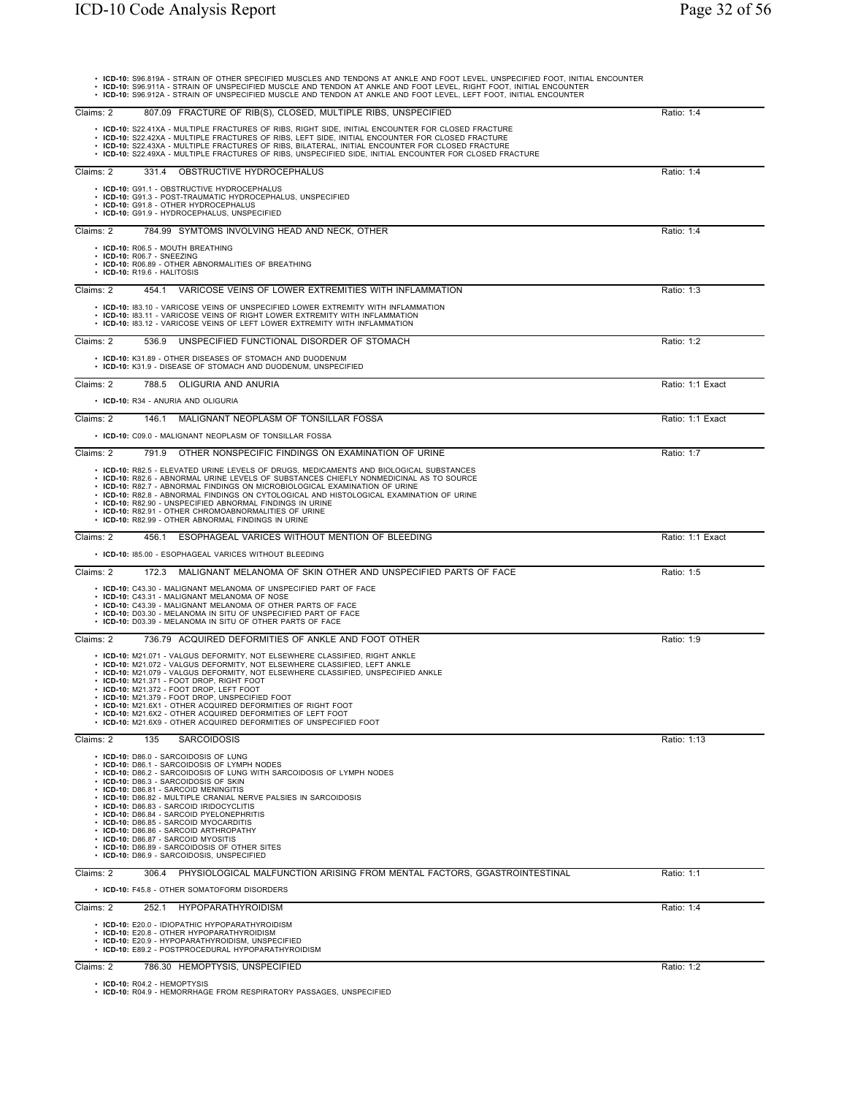| . ICD-10: S96.819A - STRAIN OF OTHER SPECIFIED MUSCLES AND TENDONS AT ANKLE AND FOOT LEVEL, UNSPECIFIED FOOT, INITIAL ENCOUNTER<br>· ICD-10: S96.911A - STRAIN OF UNSPECIFIED MUSCLE AND TENDON AT ANKLE AND FOOT LEVEL, RIGHT FOOT, INITIAL ENCOUNTER<br>. ICD-10: S96.912A - STRAIN OF UNSPECIFIED MUSCLE AND TENDON AT ANKLE AND FOOT LEVEL, LEFT FOOT, INITIAL ENCOUNTER                                                                                                                                                                                                                                                            |                  |
|-----------------------------------------------------------------------------------------------------------------------------------------------------------------------------------------------------------------------------------------------------------------------------------------------------------------------------------------------------------------------------------------------------------------------------------------------------------------------------------------------------------------------------------------------------------------------------------------------------------------------------------------|------------------|
| 807.09 FRACTURE OF RIB(S), CLOSED, MULTIPLE RIBS, UNSPECIFIED<br>Claims: 2                                                                                                                                                                                                                                                                                                                                                                                                                                                                                                                                                              | Ratio: 1:4       |
| • ICD-10: S22.41XA - MULTIPLE FRACTURES OF RIBS, RIGHT SIDE, INITIAL ENCOUNTER FOR CLOSED FRACTURE<br>· ICD-10: S22.42XA - MULTIPLE FRACTURES OF RIBS, LEFT SIDE, INITIAL ENCOUNTER FOR CLOSED FRACTURE<br>• ICD-10: S22.43XA - MULTIPLE FRACTURES OF RIBS, BILATERAL, INITIAL ENCOUNTER FOR CLOSED FRACTURE<br>. ICD-10: S22.49XA - MULTIPLE FRACTURES OF RIBS, UNSPECIFIED SIDE, INITIAL ENCOUNTER FOR CLOSED FRACTURE                                                                                                                                                                                                                |                  |
| Claims: 2<br>331.4 OBSTRUCTIVE HYDROCEPHALUS                                                                                                                                                                                                                                                                                                                                                                                                                                                                                                                                                                                            | Ratio: 1:4       |
| • ICD-10: G91.1 - OBSTRUCTIVE HYDROCEPHALUS<br>• ICD-10: G91.3 - POST-TRAUMATIC HYDROCEPHALUS, UNSPECIFIED<br>• ICD-10: G91.8 - OTHER HYDROCEPHALUS<br>• ICD-10: G91.9 - HYDROCEPHALUS, UNSPECIFIED                                                                                                                                                                                                                                                                                                                                                                                                                                     |                  |
| Claims: 2<br>784.99 SYMTOMS INVOLVING HEAD AND NECK, OTHER                                                                                                                                                                                                                                                                                                                                                                                                                                                                                                                                                                              | Ratio: 1:4       |
| • ICD-10: R06.5 - MOUTH BREATHING<br>• ICD-10: R06.7 - SNEEZING<br>• ICD-10: R06.89 - OTHER ABNORMALITIES OF BREATHING<br>• ICD-10: R19.6 - HALITOSIS                                                                                                                                                                                                                                                                                                                                                                                                                                                                                   |                  |
| VARICOSE VEINS OF LOWER EXTREMITIES WITH INFLAMMATION<br>Claims: 2<br>454.1                                                                                                                                                                                                                                                                                                                                                                                                                                                                                                                                                             | Ratio: 1:3       |
| • ICD-10: 183.10 - VARICOSE VEINS OF UNSPECIFIED LOWER EXTREMITY WITH INFLAMMATION<br>• ICD-10: 183.11 - VARICOSE VEINS OF RIGHT LOWER EXTREMITY WITH INFLAMMATION<br>• ICD-10: 183.12 - VARICOSE VEINS OF LEFT LOWER EXTREMITY WITH INFLAMMATION                                                                                                                                                                                                                                                                                                                                                                                       |                  |
| Claims: 2<br>UNSPECIFIED FUNCTIONAL DISORDER OF STOMACH<br>536.9                                                                                                                                                                                                                                                                                                                                                                                                                                                                                                                                                                        | Ratio: 1:2       |
| • ICD-10: K31.89 - OTHER DISEASES OF STOMACH AND DUODENUM<br>• ICD-10: K31.9 - DISEASE OF STOMACH AND DUODENUM, UNSPECIFIED                                                                                                                                                                                                                                                                                                                                                                                                                                                                                                             |                  |
| OLIGURIA AND ANURIA<br>Claims: 2<br>788.5                                                                                                                                                                                                                                                                                                                                                                                                                                                                                                                                                                                               | Ratio: 1:1 Exact |
| · ICD-10: R34 - ANURIA AND OLIGURIA                                                                                                                                                                                                                                                                                                                                                                                                                                                                                                                                                                                                     |                  |
| MALIGNANT NEOPLASM OF TONSILLAR FOSSA<br>Claims: 2<br>146.1                                                                                                                                                                                                                                                                                                                                                                                                                                                                                                                                                                             | Ratio: 1:1 Exact |
| • ICD-10: C09.0 - MALIGNANT NEOPLASM OF TONSILLAR FOSSA                                                                                                                                                                                                                                                                                                                                                                                                                                                                                                                                                                                 |                  |
| Claims: 2<br>791.9 OTHER NONSPECIFIC FINDINGS ON EXAMINATION OF URINE                                                                                                                                                                                                                                                                                                                                                                                                                                                                                                                                                                   | Ratio: 1:7       |
| • ICD-10: R82.5 - ELEVATED URINE LEVELS OF DRUGS, MEDICAMENTS AND BIOLOGICAL SUBSTANCES<br>• ICD-10: R82.6 - ABNORMAL URINE LEVELS OF SUBSTANCES CHIEFLY NONMEDICINAL AS TO SOURCE<br>• ICD-10: R82.7 - ABNORMAL FINDINGS ON MICROBIOLOGICAL EXAMINATION OF URINE<br>• ICD-10: R82.8 - ABNORMAL FINDINGS ON CYTOLOGICAL AND HISTOLOGICAL EXAMINATION OF URINE<br>• ICD-10: R82.90 - UNSPECIFIED ABNORMAL FINDINGS IN URINE<br>• ICD-10: R82.91 - OTHER CHROMOABNORMALITIES OF URINE                                                                                                                                                     |                  |
| • ICD-10: R82.99 - OTHER ABNORMAL FINDINGS IN URINE                                                                                                                                                                                                                                                                                                                                                                                                                                                                                                                                                                                     |                  |
| Claims: 2<br>456.1 ESOPHAGEAL VARICES WITHOUT MENTION OF BLEEDING                                                                                                                                                                                                                                                                                                                                                                                                                                                                                                                                                                       | Ratio: 1:1 Exact |
| • ICD-10: 185.00 - ESOPHAGEAL VARICES WITHOUT BLEEDING                                                                                                                                                                                                                                                                                                                                                                                                                                                                                                                                                                                  |                  |
| Claims: 2<br>MALIGNANT MELANOMA OF SKIN OTHER AND UNSPECIFIED PARTS OF FACE<br>172.3<br>• ICD-10: C43.30 - MALIGNANT MELANOMA OF UNSPECIFIED PART OF FACE<br>• ICD-10: C43.31 - MALIGNANT MELANOMA OF NOSE<br>• ICD-10: C43.39 - MALIGNANT MELANOMA OF OTHER PARTS OF FACE<br>• ICD-10: D03.30 - MELANOMA IN SITU OF UNSPECIFIED PART OF FACE<br>• ICD-10: D03.39 - MELANOMA IN SITU OF OTHER PARTS OF FACE                                                                                                                                                                                                                             | Ratio: 1:5       |
| 736.79 ACQUIRED DEFORMITIES OF ANKLE AND FOOT OTHER<br>Claims: 2                                                                                                                                                                                                                                                                                                                                                                                                                                                                                                                                                                        | Ratio: 1:9       |
| • ICD-10: M21.071 - VALGUS DEFORMITY, NOT ELSEWHERE CLASSIFIED, RIGHT ANKLE<br>• ICD-10: M21.072 - VALGUS DEFORMITY, NOT ELSEWHERE CLASSIFIED, LEFT ANKLE<br>• ICD-10: M21.079 - VALGUS DEFORMITY, NOT ELSEWHERE CLASSIFIED, UNSPECIFIED ANKLE<br>· ICD-10: M21.371 - FOOT DROP, RIGHT FOOT<br>· ICD-10: M21.372 - FOOT DROP, LEFT FOOT<br>• ICD-10: M21.379 - FOOT DROP, UNSPECIFIED FOOT<br>• ICD-10: M21.6X1 - OTHER ACQUIRED DEFORMITIES OF RIGHT FOOT<br>• ICD-10: M21.6X2 - OTHER ACQUIRED DEFORMITIES OF LEFT FOOT<br>• ICD-10: M21.6X9 - OTHER ACQUIRED DEFORMITIES OF UNSPECIFIED FOOT                                         |                  |
| Claims: 2<br>135<br><b>SARCOIDOSIS</b>                                                                                                                                                                                                                                                                                                                                                                                                                                                                                                                                                                                                  | Ratio: 1:13      |
| · ICD-10: D86.0 - SARCOIDOSIS OF LUNG<br>• ICD-10: D86.1 - SARCOIDOSIS OF LYMPH NODES<br>• ICD-10: D86.2 - SARCOIDOSIS OF LUNG WITH SARCOIDOSIS OF LYMPH NODES<br>• ICD-10: D86.3 - SARCOIDOSIS OF SKIN<br>• ICD-10: D86.81 - SARCOID MENINGITIS<br>• ICD-10: D86.82 - MULTIPLE CRANIAL NERVE PALSIES IN SARCOIDOSIS<br>· ICD-10: D86.83 - SARCOID IRIDOCYCLITIS<br>• ICD-10: D86.84 - SARCOID PYELONEPHRITIS<br>• ICD-10: D86.85 - SARCOID MYOCARDITIS<br>• ICD-10: D86.86 - SARCOID ARTHROPATHY<br>• ICD-10: D86.87 - SARCOID MYOSITIS<br>• ICD-10: D86.89 - SARCOIDOSIS OF OTHER SITES<br>• ICD-10: D86.9 - SARCOIDOSIS, UNSPECIFIED |                  |
| Claims: 2<br>PHYSIOLOGICAL MALFUNCTION ARISING FROM MENTAL FACTORS, GGASTROINTESTINAL<br>306.4                                                                                                                                                                                                                                                                                                                                                                                                                                                                                                                                          | Ratio: 1:1       |
| • ICD-10: F45.8 - OTHER SOMATOFORM DISORDERS                                                                                                                                                                                                                                                                                                                                                                                                                                                                                                                                                                                            |                  |
| Claims: 2<br>252.1 HYPOPARATHYROIDISM                                                                                                                                                                                                                                                                                                                                                                                                                                                                                                                                                                                                   | Ratio: 1:4       |
| • ICD-10: E20.0 - IDIOPATHIC HYPOPARATHYROIDISM<br>• ICD-10: E20.8 - OTHER HYPOPARATHYROIDISM<br>• ICD-10: E20.9 - HYPOPARATHYROIDISM, UNSPECIFIED<br>• ICD-10: E89.2 - POSTPROCEDURAL HYPOPARATHYROIDISM                                                                                                                                                                                                                                                                                                                                                                                                                               |                  |

• **ICD-10:** R04.2 - HEMOPTYSIS • **ICD-10:** R04.9 - HEMORRHAGE FROM RESPIRATORY PASSAGES, UNSPECIFIED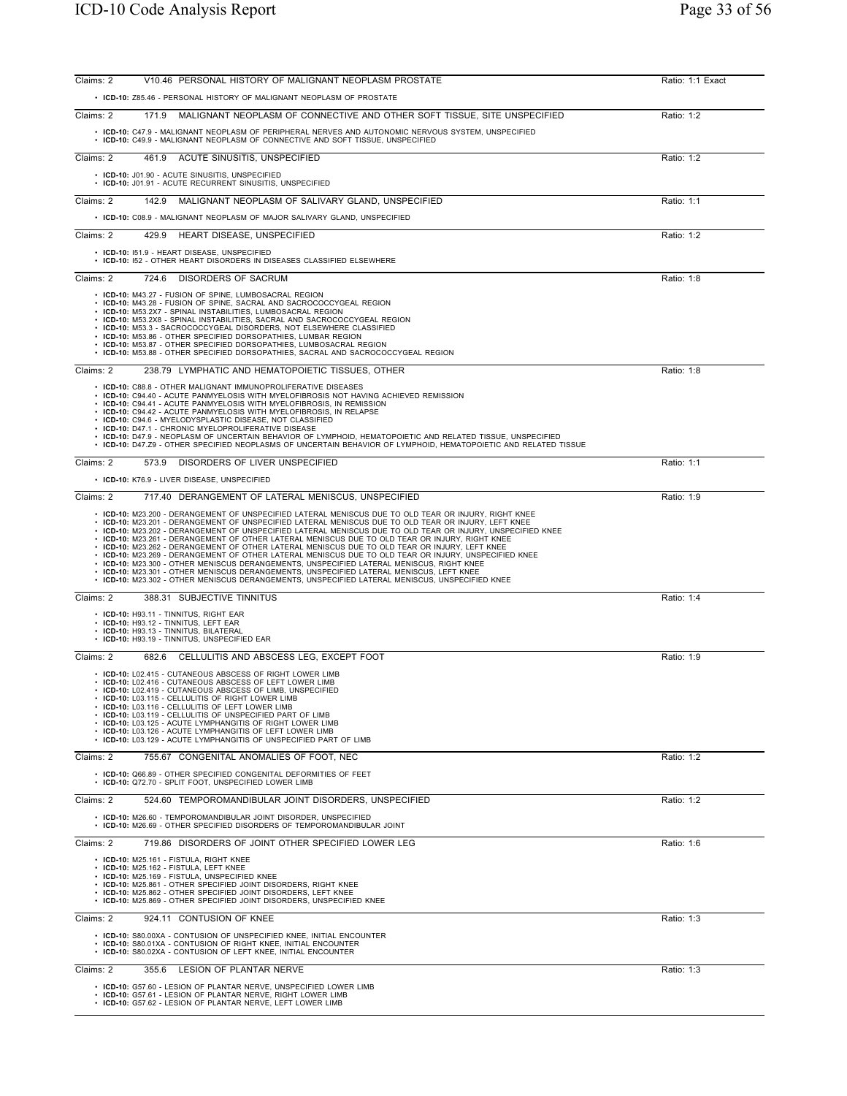| Claims: 2 | V10.46 PERSONAL HISTORY OF MALIGNANT NEOPLASM PROSTATE                                                                                                                                                                                                                                                                                                                                                                                                                                                                                                                                                                                                                                                                                                                                                                        | Ratio: 1:1 Exact |
|-----------|-------------------------------------------------------------------------------------------------------------------------------------------------------------------------------------------------------------------------------------------------------------------------------------------------------------------------------------------------------------------------------------------------------------------------------------------------------------------------------------------------------------------------------------------------------------------------------------------------------------------------------------------------------------------------------------------------------------------------------------------------------------------------------------------------------------------------------|------------------|
|           | • ICD-10: Z85.46 - PERSONAL HISTORY OF MALIGNANT NEOPLASM OF PROSTATE                                                                                                                                                                                                                                                                                                                                                                                                                                                                                                                                                                                                                                                                                                                                                         |                  |
| Claims: 2 | MALIGNANT NEOPLASM OF CONNECTIVE AND OTHER SOFT TISSUE, SITE UNSPECIFIED<br>171.9                                                                                                                                                                                                                                                                                                                                                                                                                                                                                                                                                                                                                                                                                                                                             | Ratio: 1:2       |
|           | • ICD-10: C47.9 - MALIGNANT NEOPLASM OF PERIPHERAL NERVES AND AUTONOMIC NERVOUS SYSTEM, UNSPECIFIED<br>• ICD-10: C49.9 - MALIGNANT NEOPLASM OF CONNECTIVE AND SOFT TISSUE, UNSPECIFIED                                                                                                                                                                                                                                                                                                                                                                                                                                                                                                                                                                                                                                        |                  |
| Claims: 2 | 461.9<br>ACUTE SINUSITIS, UNSPECIFIED                                                                                                                                                                                                                                                                                                                                                                                                                                                                                                                                                                                                                                                                                                                                                                                         | Ratio: 1:2       |
|           | • ICD-10: J01.90 - ACUTE SINUSITIS, UNSPECIFIED<br>• ICD-10: J01.91 - ACUTE RECURRENT SINUSITIS, UNSPECIFIED                                                                                                                                                                                                                                                                                                                                                                                                                                                                                                                                                                                                                                                                                                                  |                  |
| Claims: 2 | 142.9 MALIGNANT NEOPLASM OF SALIVARY GLAND, UNSPECIFIED                                                                                                                                                                                                                                                                                                                                                                                                                                                                                                                                                                                                                                                                                                                                                                       | Ratio: 1:1       |
|           | • ICD-10: C08.9 - MALIGNANT NEOPLASM OF MAJOR SALIVARY GLAND, UNSPECIFIED                                                                                                                                                                                                                                                                                                                                                                                                                                                                                                                                                                                                                                                                                                                                                     |                  |
| Claims: 2 | 429.9<br>HEART DISEASE, UNSPECIFIED                                                                                                                                                                                                                                                                                                                                                                                                                                                                                                                                                                                                                                                                                                                                                                                           | Ratio: 1:2       |
|           | • ICD-10: 151.9 - HEART DISEASE, UNSPECIFIED<br>• ICD-10: 152 - OTHER HEART DISORDERS IN DISEASES CLASSIFIED ELSEWHERE                                                                                                                                                                                                                                                                                                                                                                                                                                                                                                                                                                                                                                                                                                        |                  |
| Claims: 2 | 724.6<br>DISORDERS OF SACRUM                                                                                                                                                                                                                                                                                                                                                                                                                                                                                                                                                                                                                                                                                                                                                                                                  | Ratio: 1:8       |
|           | • ICD-10: M43.27 - FUSION OF SPINE, LUMBOSACRAL REGION<br>• ICD-10: M43.28 - FUSION OF SPINE, SACRAL AND SACROCOCCYGEAL REGION<br>• ICD-10: M53.2X7 - SPINAL INSTABILITIES, LUMBOSACRAL REGION<br>• ICD-10: M53.2X8 - SPINAL INSTABILITIES, SACRAL AND SACROCOCCYGEAL REGION<br>• ICD-10: M53.3 - SACROCOCCYGEAL DISORDERS, NOT ELSEWHERE CLASSIFIED<br>• ICD-10: M53.86 - OTHER SPECIFIED DORSOPATHIES, LUMBAR REGION<br>• ICD-10: M53.87 - OTHER SPECIFIED DORSOPATHIES, LUMBOSACRAL REGION<br>• ICD-10: M53.88 - OTHER SPECIFIED DORSOPATHIES, SACRAL AND SACROCOCCYGEAL REGION                                                                                                                                                                                                                                            |                  |
| Claims: 2 | 238.79 LYMPHATIC AND HEMATOPOIETIC TISSUES, OTHER                                                                                                                                                                                                                                                                                                                                                                                                                                                                                                                                                                                                                                                                                                                                                                             | Ratio: 1:8       |
|           | • ICD-10: C88.8 - OTHER MALIGNANT IMMUNOPROLIFERATIVE DISEASES<br>• ICD-10: C94.40 - ACUTE PANMYELOSIS WITH MYELOFIBROSIS NOT HAVING ACHIEVED REMISSION<br>• ICD-10: C94.41 - ACUTE PANMYELOSIS WITH MYELOFIBROSIS. IN REMISSION<br>• ICD-10: C94.42 - ACUTE PANMYELOSIS WITH MYELOFIBROSIS, IN RELAPSE<br>• ICD-10: C94.6 - MYELODYSPLASTIC DISEASE, NOT CLASSIFIED<br>• ICD-10: D47.1 - CHRONIC MYELOPROLIFERATIVE DISEASE<br>. ICD-10: D47.9 - NEOPLASM OF UNCERTAIN BEHAVIOR OF LYMPHOID, HEMATOPOIETIC AND RELATED TISSUE, UNSPECIFIED<br>· ICD-10: D47.Z9 - OTHER SPECIFIED NEOPLASMS OF UNCERTAIN BEHAVIOR OF LYMPHOID, HEMATOPOIETIC AND RELATED TISSUE                                                                                                                                                               |                  |
| Claims: 2 | 573.9 DISORDERS OF LIVER UNSPECIFIED                                                                                                                                                                                                                                                                                                                                                                                                                                                                                                                                                                                                                                                                                                                                                                                          | Ratio: 1:1       |
|           | • ICD-10: K76.9 - LIVER DISEASE, UNSPECIFIED                                                                                                                                                                                                                                                                                                                                                                                                                                                                                                                                                                                                                                                                                                                                                                                  |                  |
| Claims: 2 | 717.40 DERANGEMENT OF LATERAL MENISCUS, UNSPECIFIED<br>. ICD-10: M23.200 - DERANGEMENT OF UNSPECIFIED LATERAL MENISCUS DUE TO OLD TEAR OR INJURY, RIGHT KNEE                                                                                                                                                                                                                                                                                                                                                                                                                                                                                                                                                                                                                                                                  | Ratio: 1:9       |
|           | . ICD-10: M23.201 - DERANGEMENT OF UNSPECIFIED LATERAL MENISCUS DUE TO OLD TEAR OR INJURY, LEFT KNEE<br>. ICD-10: M23.202 - DERANGEMENT OF UNSPECIFIED LATERAL MENISCUS DUE TO OLD TEAR OR INJURY, UNSPECIFIED KNEE<br>. ICD-10: M23.261 - DERANGEMENT OF OTHER LATERAL MENISCUS DUE TO OLD TEAR OR INJURY, RIGHT KNEE<br>. ICD-10: M23.262 - DERANGEMENT OF OTHER LATERAL MENISCUS DUE TO OLD TEAR OR INJURY, LEFT KNEE<br>. ICD-10: M23.269 - DERANGEMENT OF OTHER LATERAL MENISCUS DUE TO OLD TEAR OR INJURY, UNSPECIFIED KNEE<br>• ICD-10: M23.300 - OTHER MENISCUS DERANGEMENTS, UNSPECIFIED LATERAL MENISCUS, RIGHT KNEE<br>• ICD-10: M23.301 - OTHER MENISCUS DERANGEMENTS, UNSPECIFIED LATERAL MENISCUS, LEFT KNEE<br>· ICD-10: M23.302 - OTHER MENISCUS DERANGEMENTS, UNSPECIFIED LATERAL MENISCUS, UNSPECIFIED KNEE |                  |
| Claims: 2 | 388.31 SUBJECTIVE TINNITUS                                                                                                                                                                                                                                                                                                                                                                                                                                                                                                                                                                                                                                                                                                                                                                                                    | Ratio: 1:4       |
|           | • ICD-10: H93.11 - TINNITUS, RIGHT EAR<br>• ICD-10: H93.12 - TINNITUS, LEFT EAR<br>• ICD-10: H93.13 - TINNITUS, BILATERAL<br>• ICD-10: H93.19 - TINNITUS, UNSPECIFIED EAR                                                                                                                                                                                                                                                                                                                                                                                                                                                                                                                                                                                                                                                     |                  |
| Claims: 2 | 682.6 CELLULITIS AND ABSCESS LEG. EXCEPT FOOT                                                                                                                                                                                                                                                                                                                                                                                                                                                                                                                                                                                                                                                                                                                                                                                 | Ratio: 1:9       |
|           | • ICD-10: L02.415 - CUTANEOUS ABSCESS OF RIGHT LOWER LIMB<br>• ICD-10: L02.416 - CUTANEOUS ABSCESS OF LEFT LOWER LIMB<br>ICD-10: L02.419 - CUTANEOUS ABSCESS OF LIMB, UNSPECIFIED<br>• ICD-10: L03.115 - CELLULITIS OF RIGHT LOWER LIMB<br>• ICD-10: L03.116 - CELLULITIS OF LEFT LOWER LIMB<br>ICD-10: L03.119 - CELLULITIS OF UNSPECIFIED PART OF LIMB<br>• ICD-10: L03.125 - ACUTE LYMPHANGITIS OF RIGHT LOWER LIMB<br>• ICD-10: L03.126 - ACUTE LYMPHANGITIS OF LEFT LOWER LIMB<br>• ICD-10: L03.129 - ACUTE LYMPHANGITIS OF UNSPECIFIED PART OF LIMB                                                                                                                                                                                                                                                                     |                  |
| Claims: 2 | 755.67 CONGENITAL ANOMALIES OF FOOT, NEC                                                                                                                                                                                                                                                                                                                                                                                                                                                                                                                                                                                                                                                                                                                                                                                      | Ratio: 1:2       |
|           | • ICD-10: Q66.89 - OTHER SPECIFIED CONGENITAL DEFORMITIES OF FEET<br>ICD-10: Q72.70 - SPLIT FOOT, UNSPECIFIED LOWER LIMB                                                                                                                                                                                                                                                                                                                                                                                                                                                                                                                                                                                                                                                                                                      |                  |
| Claims: 2 | 524.60 TEMPOROMANDIBULAR JOINT DISORDERS, UNSPECIFIED                                                                                                                                                                                                                                                                                                                                                                                                                                                                                                                                                                                                                                                                                                                                                                         | Ratio: 1:2       |
|           | • ICD-10: M26.60 - TEMPOROMANDIBULAR JOINT DISORDER, UNSPECIFIED<br>• ICD-10: M26.69 - OTHER SPECIFIED DISORDERS OF TEMPOROMANDIBULAR JOINT                                                                                                                                                                                                                                                                                                                                                                                                                                                                                                                                                                                                                                                                                   |                  |
| Claims: 2 | 719.86 DISORDERS OF JOINT OTHER SPECIFIED LOWER LEG                                                                                                                                                                                                                                                                                                                                                                                                                                                                                                                                                                                                                                                                                                                                                                           | Ratio: 1:6       |
|           | • ICD-10: M25.161 - FISTULA, RIGHT KNEE<br>• ICD-10: M25.162 - FISTULA, LEFT KNEE<br>• ICD-10: M25.169 - FISTULA, UNSPECIFIED KNEE<br>• ICD-10: M25.861 - OTHER SPECIFIED JOINT DISORDERS, RIGHT KNEE<br>• ICD-10: M25.862 - OTHER SPECIFIED JOINT DISORDERS, LEFT KNEE<br>• ICD-10: M25.869 - OTHER SPECIFIED JOINT DISORDERS, UNSPECIFIED KNEE                                                                                                                                                                                                                                                                                                                                                                                                                                                                              |                  |
| Claims: 2 | 924.11 CONTUSION OF KNEE                                                                                                                                                                                                                                                                                                                                                                                                                                                                                                                                                                                                                                                                                                                                                                                                      | Ratio: 1:3       |
|           | • ICD-10: S80.00XA - CONTUSION OF UNSPECIFIED KNEE, INITIAL ENCOUNTER<br>• ICD-10: S80.01XA - CONTUSION OF RIGHT KNEE, INITIAL ENCOUNTER<br>• ICD-10: S80.02XA - CONTUSION OF LEFT KNEE, INITIAL ENCOUNTER                                                                                                                                                                                                                                                                                                                                                                                                                                                                                                                                                                                                                    |                  |
| Claims: 2 | 355.6 LESION OF PLANTAR NERVE                                                                                                                                                                                                                                                                                                                                                                                                                                                                                                                                                                                                                                                                                                                                                                                                 | Ratio: 1:3       |
|           | • ICD-10: G57.60 - LESION OF PLANTAR NERVE, UNSPECIFIED LOWER LIMB<br>• ICD-10: G57.61 - LESION OF PLANTAR NERVE, RIGHT LOWER LIMB<br>• ICD-10: G57.62 - LESION OF PLANTAR NERVE, LEFT LOWER LIMB                                                                                                                                                                                                                                                                                                                                                                                                                                                                                                                                                                                                                             |                  |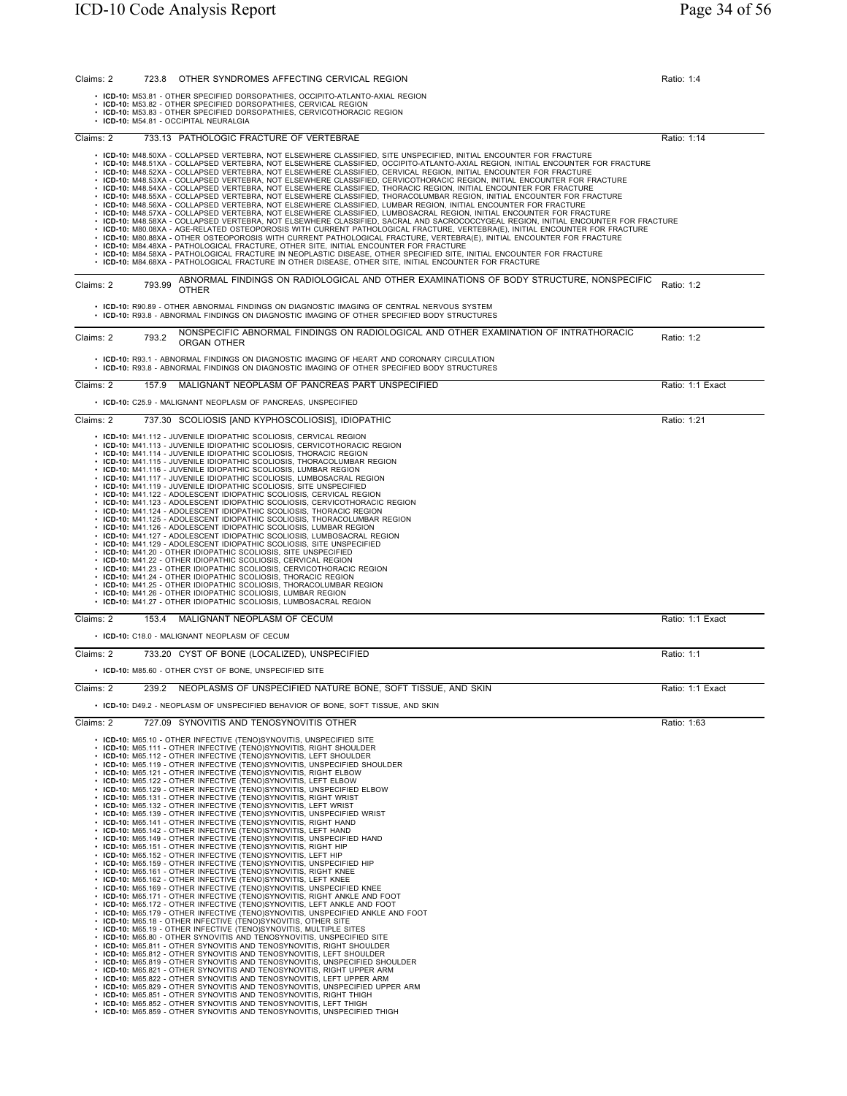| Claims: 2 |        | 723.8 OTHER SYNDROMES AFFECTING CERVICAL REGION                                                                                                                                                                                                                                                                                                                                                                                                                                                                                                                                                                                                                                                                                                                                                                                                                                                                                                                                                                                                                                                                                                                                                                                                                                                                                                                                                                                                                                                                                                                                                                                                                                                                                                                                                                                                                                                                                                                                                                                                                                                                                                                                                                                                                                                                                                                                | Ratio: 1:4       |
|-----------|--------|--------------------------------------------------------------------------------------------------------------------------------------------------------------------------------------------------------------------------------------------------------------------------------------------------------------------------------------------------------------------------------------------------------------------------------------------------------------------------------------------------------------------------------------------------------------------------------------------------------------------------------------------------------------------------------------------------------------------------------------------------------------------------------------------------------------------------------------------------------------------------------------------------------------------------------------------------------------------------------------------------------------------------------------------------------------------------------------------------------------------------------------------------------------------------------------------------------------------------------------------------------------------------------------------------------------------------------------------------------------------------------------------------------------------------------------------------------------------------------------------------------------------------------------------------------------------------------------------------------------------------------------------------------------------------------------------------------------------------------------------------------------------------------------------------------------------------------------------------------------------------------------------------------------------------------------------------------------------------------------------------------------------------------------------------------------------------------------------------------------------------------------------------------------------------------------------------------------------------------------------------------------------------------------------------------------------------------------------------------------------------------|------------------|
|           |        | • ICD-10: M53.81 - OTHER SPECIFIED DORSOPATHIES, OCCIPITO-ATLANTO-AXIAL REGION<br>• ICD-10: M53.82 - OTHER SPECIFIED DORSOPATHIES, CERVICAL REGION<br>• ICD-10: M53.83 - OTHER SPECIFIED DORSOPATHIES, CERVICOTHORACIC REGION                                                                                                                                                                                                                                                                                                                                                                                                                                                                                                                                                                                                                                                                                                                                                                                                                                                                                                                                                                                                                                                                                                                                                                                                                                                                                                                                                                                                                                                                                                                                                                                                                                                                                                                                                                                                                                                                                                                                                                                                                                                                                                                                                  |                  |
|           |        | · ICD-10: M54.81 - OCCIPITAL NEURALGIA                                                                                                                                                                                                                                                                                                                                                                                                                                                                                                                                                                                                                                                                                                                                                                                                                                                                                                                                                                                                                                                                                                                                                                                                                                                                                                                                                                                                                                                                                                                                                                                                                                                                                                                                                                                                                                                                                                                                                                                                                                                                                                                                                                                                                                                                                                                                         |                  |
| Claims: 2 |        | 733.13 PATHOLOGIC FRACTURE OF VERTEBRAE                                                                                                                                                                                                                                                                                                                                                                                                                                                                                                                                                                                                                                                                                                                                                                                                                                                                                                                                                                                                                                                                                                                                                                                                                                                                                                                                                                                                                                                                                                                                                                                                                                                                                                                                                                                                                                                                                                                                                                                                                                                                                                                                                                                                                                                                                                                                        | Ratio: 1:14      |
|           |        | • ICD-10: M48.50XA - COLLAPSED VERTEBRA, NOT ELSEWHERE CLASSIFIED, SITE UNSPECIFIED, INITIAL ENCOUNTER FOR FRACTURE<br>· ICD-10: M48.51XA - COLLAPSED VERTEBRA, NOT ELSEWHERE CLASSIFIED, OCCIPITO-ATLANTO-AXIAL REGION, INITIAL ENCOUNTER FOR FRACTURE<br>· ICD-10: M48.52XA - COLLAPSED VERTEBRA, NOT ELSEWHERE CLASSIFIED, CERVICAL REGION, INITIAL ENCOUNTER FOR FRACTURE<br>· ICD-10: M48.53XA - COLLAPSED VERTEBRA, NOT ELSEWHERE CLASSIFIED, CERVICOTHORACIC REGION, INITIAL ENCOUNTER FOR FRACTURE<br>· ICD-10: M48.54XA - COLLAPSED VERTEBRA, NOT ELSEWHERE CLASSIFIED, THORACIC REGION, INITIAL ENCOUNTER FOR FRACTURE<br>· ICD-10: M48.55XA - COLLAPSED VERTEBRA, NOT ELSEWHERE CLASSIFIED, THORACOLUMBAR REGION, INITIAL ENCOUNTER FOR FRACTURE<br>· ICD-10: M48.56XA - COLLAPSED VERTEBRA, NOT ELSEWHERE CLASSIFIED, LUMBAR REGION, INITIAL ENCOUNTER FOR FRACTURE<br>· ICD-10: M48.57XA - COLLAPSED VERTEBRA, NOT ELSEWHERE CLASSIFIED, LUMBOSACRAL REGION, INITIAL ENCOUNTER FOR FRACTURE<br>· ICD-10: M48.58XA - COLLAPSED VERTEBRA, NOT ELSEWHERE CLASSIFIED, SACRAL AND SACROCOCCYGEAL REGION, INITIAL ENCOUNTER FOR FRACTURE<br>· ICD-10: M80.08XA - AGE-RELATED OSTEOPOROSIS WITH CURRENT PATHOLOGICAL FRACTURE, VERTEBRA(E), INITIAL ENCOUNTER FOR FRACTURE<br>• ICD-10: M80.88XA - OTHER OSTEOPOROSIS WITH CURRENT PATHOLOGICAL FRACTURE, VERTEBRA(E), INITIAL ENCOUNTER FOR FRACTURE<br>• ICD-10: M84.48XA - PATHOLOGICAL FRACTURE, OTHER SITE, INITIAL ENCOUNTER FOR FRACTURE<br>· ICD-10: M84.58XA - PATHOLOGICAL FRACTURE IN NEOPLASTIC DISEASE, OTHER SPECIFIED SITE, INITIAL ENCOUNTER FOR FRACTURE<br>· ICD-10: M84.68XA - PATHOLOGICAL FRACTURE IN OTHER DISEASE, OTHER SITE, INITIAL ENCOUNTER FOR FRACTURE                                                                                                                                                                                                                                                                                                                                                                                                                                                                                                                                                                                                                                     |                  |
| Claims: 2 | 793.99 | ABNORMAL FINDINGS ON RADIOLOGICAL AND OTHER EXAMINATIONS OF BODY STRUCTURE, NONSPECIFIC<br><b>OTHER</b>                                                                                                                                                                                                                                                                                                                                                                                                                                                                                                                                                                                                                                                                                                                                                                                                                                                                                                                                                                                                                                                                                                                                                                                                                                                                                                                                                                                                                                                                                                                                                                                                                                                                                                                                                                                                                                                                                                                                                                                                                                                                                                                                                                                                                                                                        | Ratio: 1:2       |
|           |        | • ICD-10: R90.89 - OTHER ABNORMAL FINDINGS ON DIAGNOSTIC IMAGING OF CENTRAL NERVOUS SYSTEM<br>. ICD-10: R93.8 - ABNORMAL FINDINGS ON DIAGNOSTIC IMAGING OF OTHER SPECIFIED BODY STRUCTURES                                                                                                                                                                                                                                                                                                                                                                                                                                                                                                                                                                                                                                                                                                                                                                                                                                                                                                                                                                                                                                                                                                                                                                                                                                                                                                                                                                                                                                                                                                                                                                                                                                                                                                                                                                                                                                                                                                                                                                                                                                                                                                                                                                                     |                  |
| Claims: 2 | 793.2  | NONSPECIFIC ABNORMAL FINDINGS ON RADIOLOGICAL AND OTHER EXAMINATION OF INTRATHORACIC<br>ORGAN OTHER                                                                                                                                                                                                                                                                                                                                                                                                                                                                                                                                                                                                                                                                                                                                                                                                                                                                                                                                                                                                                                                                                                                                                                                                                                                                                                                                                                                                                                                                                                                                                                                                                                                                                                                                                                                                                                                                                                                                                                                                                                                                                                                                                                                                                                                                            | Ratio: 1:2       |
|           |        | • ICD-10: R93.1 - ABNORMAL FINDINGS ON DIAGNOSTIC IMAGING OF HEART AND CORONARY CIRCULATION<br>• ICD-10: R93.8 - ABNORMAL FINDINGS ON DIAGNOSTIC IMAGING OF OTHER SPECIFIED BODY STRUCTURES                                                                                                                                                                                                                                                                                                                                                                                                                                                                                                                                                                                                                                                                                                                                                                                                                                                                                                                                                                                                                                                                                                                                                                                                                                                                                                                                                                                                                                                                                                                                                                                                                                                                                                                                                                                                                                                                                                                                                                                                                                                                                                                                                                                    |                  |
| Claims: 2 | 157.9  | MALIGNANT NEOPLASM OF PANCREAS PART UNSPECIFIED<br>• ICD-10: C25.9 - MALIGNANT NEOPLASM OF PANCREAS, UNSPECIFIED                                                                                                                                                                                                                                                                                                                                                                                                                                                                                                                                                                                                                                                                                                                                                                                                                                                                                                                                                                                                                                                                                                                                                                                                                                                                                                                                                                                                                                                                                                                                                                                                                                                                                                                                                                                                                                                                                                                                                                                                                                                                                                                                                                                                                                                               | Ratio: 1:1 Exact |
| Claims: 2 |        | 737.30 SCOLIOSIS JAND KYPHOSCOLIOSIS], IDIOPATHIC                                                                                                                                                                                                                                                                                                                                                                                                                                                                                                                                                                                                                                                                                                                                                                                                                                                                                                                                                                                                                                                                                                                                                                                                                                                                                                                                                                                                                                                                                                                                                                                                                                                                                                                                                                                                                                                                                                                                                                                                                                                                                                                                                                                                                                                                                                                              | Ratio: 1:21      |
|           |        | · ICD-10: M41.112 - JUVENILE IDIOPATHIC SCOLIOSIS, CERVICAL REGION<br>· ICD-10: M41.113 - JUVENILE IDIOPATHIC SCOLIOSIS, CERVICOTHORACIC REGION<br>• ICD-10: M41.114 - JUVENILE IDIOPATHIC SCOLIOSIS, THORACIC REGION<br>· ICD-10: M41.115 - JUVENILE IDIOPATHIC SCOLIOSIS, THORACOLUMBAR REGION<br>• ICD-10: M41.116 - JUVENILE IDIOPATHIC SCOLIOSIS, LUMBAR REGION<br>· ICD-10: M41.117 - JUVENILE IDIOPATHIC SCOLIOSIS, LUMBOSACRAL REGION<br>• ICD-10: M41.119 - JUVENILE IDIOPATHIC SCOLIOSIS, SITE UNSPECIFIED<br>• ICD-10: M41.122 - ADOLESCENT IDIOPATHIC SCOLIOSIS, CERVICAL REGION<br>· ICD-10: M41.123 - ADOLESCENT IDIOPATHIC SCOLIOSIS, CERVICOTHORACIC REGION<br>• ICD-10: M41.124 - ADOLESCENT IDIOPATHIC SCOLIOSIS, THORACIC REGION<br>• ICD-10: M41.125 - ADOLESCENT IDIOPATHIC SCOLIOSIS, THORACOLUMBAR REGION<br>• ICD-10: M41.126 - ADOLESCENT IDIOPATHIC SCOLIOSIS, LUMBAR REGION<br>• ICD-10: M41.127 - ADOLESCENT IDIOPATHIC SCOLIOSIS, LUMBOSACRAL REGION<br>• ICD-10: M41.129 - ADOLESCENT IDIOPATHIC SCOLIOSIS, SITE UNSPECIFIED<br>• ICD-10: M41.20 - OTHER IDIOPATHIC SCOLIOSIS, SITE UNSPECIFIED<br>• ICD-10: M41.22 - OTHER IDIOPATHIC SCOLIOSIS, CERVICAL REGION<br>• ICD-10: M41.23 - OTHER IDIOPATHIC SCOLIOSIS, CERVICOTHORACIC REGION<br>• ICD-10: M41.24 - OTHER IDIOPATHIC SCOLIOSIS, THORACIC REGION<br>· ICD-10: M41.25 - OTHER IDIOPATHIC SCOLIOSIS, THORACOLUMBAR REGION<br>• ICD-10: M41.26 - OTHER IDIOPATHIC SCOLIOSIS, LUMBAR REGION<br>• ICD-10: M41.27 - OTHER IDIOPATHIC SCOLIOSIS, LUMBOSACRAL REGION                                                                                                                                                                                                                                                                                                                                                                                                                                                                                                                                                                                                                                                                                                                                                                                                                         |                  |
| Claims: 2 | 153.4  | MALIGNANT NEOPLASM OF CECUM                                                                                                                                                                                                                                                                                                                                                                                                                                                                                                                                                                                                                                                                                                                                                                                                                                                                                                                                                                                                                                                                                                                                                                                                                                                                                                                                                                                                                                                                                                                                                                                                                                                                                                                                                                                                                                                                                                                                                                                                                                                                                                                                                                                                                                                                                                                                                    | Ratio: 1:1 Exact |
|           |        | • ICD-10: C18.0 - MALIGNANT NEOPLASM OF CECUM                                                                                                                                                                                                                                                                                                                                                                                                                                                                                                                                                                                                                                                                                                                                                                                                                                                                                                                                                                                                                                                                                                                                                                                                                                                                                                                                                                                                                                                                                                                                                                                                                                                                                                                                                                                                                                                                                                                                                                                                                                                                                                                                                                                                                                                                                                                                  |                  |
| Claims: 2 |        | 733.20 CYST OF BONE (LOCALIZED), UNSPECIFIED<br>• ICD-10: M85.60 - OTHER CYST OF BONE, UNSPECIFIED SITE                                                                                                                                                                                                                                                                                                                                                                                                                                                                                                                                                                                                                                                                                                                                                                                                                                                                                                                                                                                                                                                                                                                                                                                                                                                                                                                                                                                                                                                                                                                                                                                                                                                                                                                                                                                                                                                                                                                                                                                                                                                                                                                                                                                                                                                                        | Ratio: 1:1       |
| Claims: 2 | 239.2  | NEOPLASMS OF UNSPECIFIED NATURE BONE, SOFT TISSUE, AND SKIN                                                                                                                                                                                                                                                                                                                                                                                                                                                                                                                                                                                                                                                                                                                                                                                                                                                                                                                                                                                                                                                                                                                                                                                                                                                                                                                                                                                                                                                                                                                                                                                                                                                                                                                                                                                                                                                                                                                                                                                                                                                                                                                                                                                                                                                                                                                    | Ratio: 1:1 Exact |
|           |        | • ICD-10: D49.2 - NEOPLASM OF UNSPECIFIED BEHAVIOR OF BONE, SOFT TISSUE, AND SKIN                                                                                                                                                                                                                                                                                                                                                                                                                                                                                                                                                                                                                                                                                                                                                                                                                                                                                                                                                                                                                                                                                                                                                                                                                                                                                                                                                                                                                                                                                                                                                                                                                                                                                                                                                                                                                                                                                                                                                                                                                                                                                                                                                                                                                                                                                              |                  |
| Claims: 2 |        | 727.09 SYNOVITIS AND TENOSYNOVITIS OTHER                                                                                                                                                                                                                                                                                                                                                                                                                                                                                                                                                                                                                                                                                                                                                                                                                                                                                                                                                                                                                                                                                                                                                                                                                                                                                                                                                                                                                                                                                                                                                                                                                                                                                                                                                                                                                                                                                                                                                                                                                                                                                                                                                                                                                                                                                                                                       | Ratio: 1:63      |
|           |        | • ICD-10: M65.10 - OTHER INFECTIVE (TENO)SYNOVITIS, UNSPECIFIED SITE<br>• ICD-10: M65.111 - OTHER INFECTIVE (TENO)SYNOVITIS, RIGHT SHOULDER<br>• ICD-10: M65.112 - OTHER INFECTIVE (TENO)SYNOVITIS, LEFT SHOULDER<br>• ICD-10: M65.119 - OTHER INFECTIVE (TENO)SYNOVITIS, UNSPECIFIED SHOULDER<br>• ICD-10: M65.121 - OTHER INFECTIVE (TENO)SYNOVITIS, RIGHT ELBOW<br>• ICD-10: M65.122 - OTHER INFECTIVE (TENO)SYNOVITIS, LEFT ELBOW<br>• ICD-10: M65.129 - OTHER INFECTIVE (TENO)SYNOVITIS, UNSPECIFIED ELBOW<br>• ICD-10: M65.131 - OTHER INFECTIVE (TENO)SYNOVITIS, RIGHT WRIST<br>• ICD-10: M65.132 - OTHER INFECTIVE (TENO)SYNOVITIS, LEFT WRIST<br>• ICD-10: M65.139 - OTHER INFECTIVE (TENO)SYNOVITIS, UNSPECIFIED WRIST<br>• ICD-10: M65.141 - OTHER INFECTIVE (TENO)SYNOVITIS, RIGHT HAND<br>• ICD-10: M65.142 - OTHER INFECTIVE (TENO)SYNOVITIS, LEFT HAND<br>• ICD-10: M65.149 - OTHER INFECTIVE (TENO)SYNOVITIS, UNSPECIFIED HAND<br>• ICD-10: M65.151 - OTHER INFECTIVE (TENO)SYNOVITIS, RIGHT HIP<br>• ICD-10: M65.152 - OTHER INFECTIVE (TENO)SYNOVITIS, LEFT HIP<br>• ICD-10: M65.159 - OTHER INFECTIVE (TENO)SYNOVITIS, UNSPECIFIED HIP<br>• ICD-10: M65.161 - OTHER INFECTIVE (TENO)SYNOVITIS, RIGHT KNEE<br>• ICD-10: M65.162 - OTHER INFECTIVE (TENO)SYNOVITIS, LEFT KNEE<br>• ICD-10: M65.169 - OTHER INFECTIVE (TENO)SYNOVITIS, UNSPECIFIED KNEE<br>· ICD-10: M65.171 - OTHER INFECTIVE (TENO)SYNOVITIS, RIGHT ANKLE AND FOOT<br>• ICD-10: M65.172 - OTHER INFECTIVE (TENO)SYNOVITIS, LEFT ANKLE AND FOOT<br>• ICD-10: M65.179 - OTHER INFECTIVE (TENO)SYNOVITIS, UNSPECIFIED ANKLE AND FOOT<br>• ICD-10: M65.18 - OTHER INFECTIVE (TENO)SYNOVITIS, OTHER SITE<br>• ICD-10: M65.19 - OTHER INFECTIVE (TENO)SYNOVITIS, MULTIPLE SITES<br>• ICD-10: M65.80 - OTHER SYNOVITIS AND TENOSYNOVITIS, UNSPECIFIED SITE<br>• ICD-10: M65.811 - OTHER SYNOVITIS AND TENOSYNOVITIS, RIGHT SHOULDER<br>• ICD-10: M65.812 - OTHER SYNOVITIS AND TENOSYNOVITIS, LEFT SHOULDER<br>• ICD-10: M65.819 - OTHER SYNOVITIS AND TENOSYNOVITIS, UNSPECIFIED SHOULDER<br>• ICD-10: M65.821 - OTHER SYNOVITIS AND TENOSYNOVITIS, RIGHT UPPER ARM<br>• ICD-10: M65.822 - OTHER SYNOVITIS AND TENOSYNOVITIS, LEFT UPPER ARM<br>• ICD-10: M65.829 - OTHER SYNOVITIS AND TENOSYNOVITIS, UNSPECIFIED UPPER ARM<br>• ICD-10: M65.851 - OTHER SYNOVITIS AND TENOSYNOVITIS, RIGHT THIGH |                  |
|           |        | • ICD-10: M65.852 - OTHER SYNOVITIS AND TENOSYNOVITIS, LEFT THIGH<br>• ICD-10: M65.859 - OTHER SYNOVITIS AND TENOSYNOVITIS, UNSPECIFIED THIGH                                                                                                                                                                                                                                                                                                                                                                                                                                                                                                                                                                                                                                                                                                                                                                                                                                                                                                                                                                                                                                                                                                                                                                                                                                                                                                                                                                                                                                                                                                                                                                                                                                                                                                                                                                                                                                                                                                                                                                                                                                                                                                                                                                                                                                  |                  |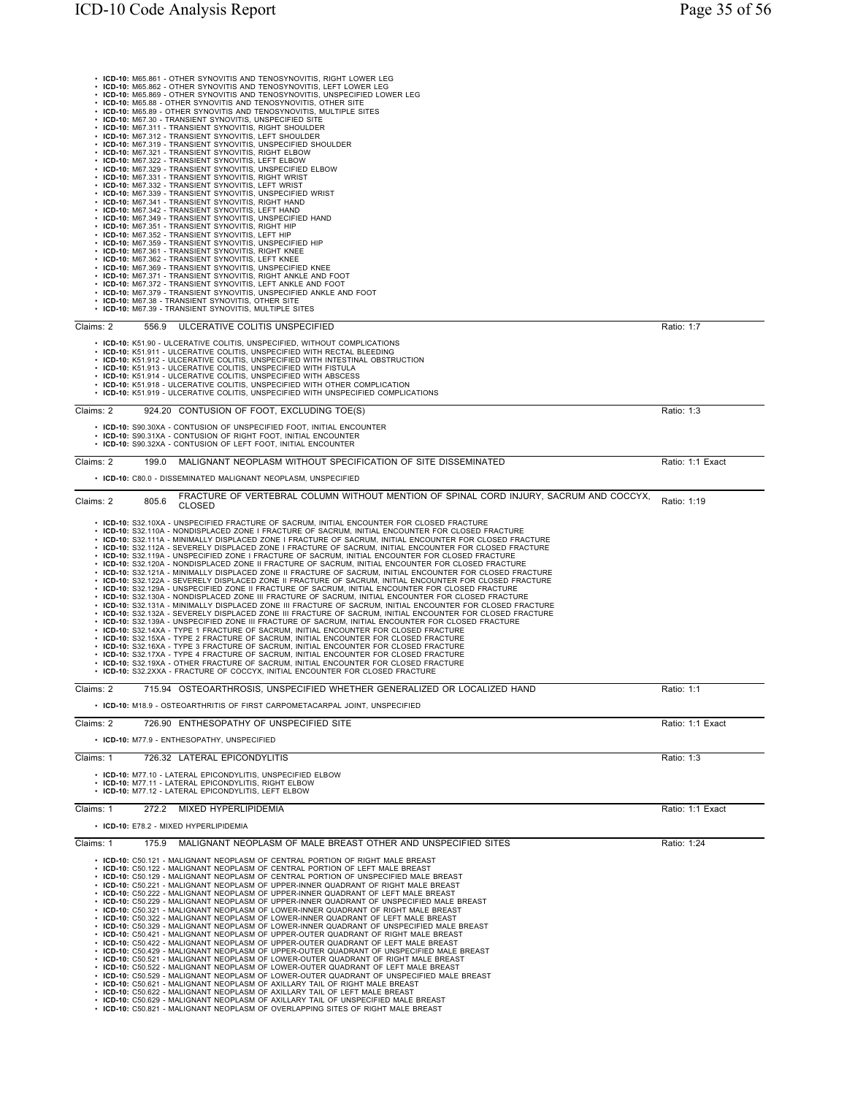| • ICD-10: M65.861 - OTHER SYNOVITIS AND TENOSYNOVITIS, RIGHT LOWER LEG<br>· ICD-10: M65.862 - OTHER SYNOVITIS AND TENOSYNOVITIS, LEFT LOWER LEG<br>· ICD-10: M65.869 - OTHER SYNOVITIS AND TENOSYNOVITIS, UNSPECIFIED LOWER LEG<br>· ICD-10: M65.88 - OTHER SYNOVITIS AND TENOSYNOVITIS, OTHER SITE<br>• ICD-10: M65.89 - OTHER SYNOVITIS AND TENOSYNOVITIS, MULTIPLE SITES<br>• ICD-10: M67.30 - TRANSIENT SYNOVITIS, UNSPECIFIED SITE<br>• ICD-10: M67.311 - TRANSIENT SYNOVITIS, RIGHT SHOULDER<br>· ICD-10: M67.312 - TRANSIENT SYNOVITIS, LEFT SHOULDER<br>· ICD-10: M67.319 - TRANSIENT SYNOVITIS, UNSPECIFIED SHOULDER<br>• ICD-10: M67.321 - TRANSIENT SYNOVITIS, RIGHT ELBOW<br>• ICD-10: M67.322 - TRANSIENT SYNOVITIS, LEFT ELBOW<br>• ICD-10: M67.329 - TRANSIENT SYNOVITIS, UNSPECIFIED ELBOW<br>• ICD-10: M67.331 - TRANSIENT SYNOVITIS, RIGHT WRIST<br>• ICD-10: M67.332 - TRANSIENT SYNOVITIS, LEFT WRIST<br>· ICD-10: M67.339 - TRANSIENT SYNOVITIS, UNSPECIFIED WRIST<br>• ICD-10: M67.341 - TRANSIENT SYNOVITIS, RIGHT HAND<br>• ICD-10: M67.342 - TRANSIENT SYNOVITIS, LEFT HAND<br>• ICD-10: M67.349 - TRANSIENT SYNOVITIS, UNSPECIFIED HAND<br>• ICD-10: M67.351 - TRANSIENT SYNOVITIS, RIGHT HIP<br>• ICD-10: M67.352 - TRANSIENT SYNOVITIS, LEFT HIP<br>• ICD-10: M67.359 - TRANSIENT SYNOVITIS, UNSPECIFIED HIP<br>· ICD-10: M67.361 - TRANSIENT SYNOVITIS, RIGHT KNEE<br>• ICD-10: M67.362 - TRANSIENT SYNOVITIS, LEFT KNEE<br>• ICD-10: M67.369 - TRANSIENT SYNOVITIS, UNSPECIFIED KNEE<br>• ICD-10: M67.371 - TRANSIENT SYNOVITIS, RIGHT ANKLE AND FOOT<br>• ICD-10: M67.372 - TRANSIENT SYNOVITIS, LEFT ANKLE AND FOOT<br>• ICD-10: M67.379 - TRANSIENT SYNOVITIS, UNSPECIFIED ANKLE AND FOOT                                                                                                                                                                                                                                       |                  |
|------------------------------------------------------------------------------------------------------------------------------------------------------------------------------------------------------------------------------------------------------------------------------------------------------------------------------------------------------------------------------------------------------------------------------------------------------------------------------------------------------------------------------------------------------------------------------------------------------------------------------------------------------------------------------------------------------------------------------------------------------------------------------------------------------------------------------------------------------------------------------------------------------------------------------------------------------------------------------------------------------------------------------------------------------------------------------------------------------------------------------------------------------------------------------------------------------------------------------------------------------------------------------------------------------------------------------------------------------------------------------------------------------------------------------------------------------------------------------------------------------------------------------------------------------------------------------------------------------------------------------------------------------------------------------------------------------------------------------------------------------------------------------------------------------------------------------------------------------------------------------------------------------------------------------------------------------------------|------------------|
| • ICD-10: M67.38 - TRANSIENT SYNOVITIS, OTHER SITE<br>• ICD-10: M67.39 - TRANSIENT SYNOVITIS, MULTIPLE SITES                                                                                                                                                                                                                                                                                                                                                                                                                                                                                                                                                                                                                                                                                                                                                                                                                                                                                                                                                                                                                                                                                                                                                                                                                                                                                                                                                                                                                                                                                                                                                                                                                                                                                                                                                                                                                                                     |                  |
| Claims: 2<br>556.9<br>ULCERATIVE COLITIS UNSPECIFIED                                                                                                                                                                                                                                                                                                                                                                                                                                                                                                                                                                                                                                                                                                                                                                                                                                                                                                                                                                                                                                                                                                                                                                                                                                                                                                                                                                                                                                                                                                                                                                                                                                                                                                                                                                                                                                                                                                             | Ratio: 1:7       |
| • ICD-10: K51.90 - ULCERATIVE COLITIS, UNSPECIFIED, WITHOUT COMPLICATIONS<br>• ICD-10: K51.911 - ULCERATIVE COLITIS, UNSPECIFIED WITH RECTAL BLEEDING<br>• ICD-10: K51.912 - ULCERATIVE COLITIS, UNSPECIFIED WITH INTESTINAL OBSTRUCTION<br>• ICD-10: K51.913 - ULCERATIVE COLITIS, UNSPECIFIED WITH FISTULA<br>• ICD-10: K51.914 - ULCERATIVE COLITIS, UNSPECIFIED WITH ABSCESS<br>• ICD-10: K51.918 - ULCERATIVE COLITIS, UNSPECIFIED WITH OTHER COMPLICATION<br>• ICD-10: K51.919 - ULCERATIVE COLITIS, UNSPECIFIED WITH UNSPECIFIED COMPLICATIONS                                                                                                                                                                                                                                                                                                                                                                                                                                                                                                                                                                                                                                                                                                                                                                                                                                                                                                                                                                                                                                                                                                                                                                                                                                                                                                                                                                                                            |                  |
| Claims: 2<br>924.20 CONTUSION OF FOOT, EXCLUDING TOE(S)                                                                                                                                                                                                                                                                                                                                                                                                                                                                                                                                                                                                                                                                                                                                                                                                                                                                                                                                                                                                                                                                                                                                                                                                                                                                                                                                                                                                                                                                                                                                                                                                                                                                                                                                                                                                                                                                                                          | Ratio: 1:3       |
| • ICD-10: S90.30XA - CONTUSION OF UNSPECIFIED FOOT, INITIAL ENCOUNTER<br>• ICD-10: S90.31XA - CONTUSION OF RIGHT FOOT, INITIAL ENCOUNTER<br>• ICD-10: S90.32XA - CONTUSION OF LEFT FOOT, INITIAL ENCOUNTER                                                                                                                                                                                                                                                                                                                                                                                                                                                                                                                                                                                                                                                                                                                                                                                                                                                                                                                                                                                                                                                                                                                                                                                                                                                                                                                                                                                                                                                                                                                                                                                                                                                                                                                                                       |                  |
| Claims: 2<br>MALIGNANT NEOPLASM WITHOUT SPECIFICATION OF SITE DISSEMINATED<br>199.0                                                                                                                                                                                                                                                                                                                                                                                                                                                                                                                                                                                                                                                                                                                                                                                                                                                                                                                                                                                                                                                                                                                                                                                                                                                                                                                                                                                                                                                                                                                                                                                                                                                                                                                                                                                                                                                                              | Ratio: 1:1 Exact |
| • ICD-10: C80.0 - DISSEMINATED MALIGNANT NEOPLASM, UNSPECIFIED                                                                                                                                                                                                                                                                                                                                                                                                                                                                                                                                                                                                                                                                                                                                                                                                                                                                                                                                                                                                                                                                                                                                                                                                                                                                                                                                                                                                                                                                                                                                                                                                                                                                                                                                                                                                                                                                                                   |                  |
| FRACTURE OF VERTEBRAL COLUMN WITHOUT MENTION OF SPINAL CORD INJURY, SACRUM AND COCCYX,<br>805.6<br>Claims: 2<br><b>CLOSED</b>                                                                                                                                                                                                                                                                                                                                                                                                                                                                                                                                                                                                                                                                                                                                                                                                                                                                                                                                                                                                                                                                                                                                                                                                                                                                                                                                                                                                                                                                                                                                                                                                                                                                                                                                                                                                                                    | Ratio: 1:19      |
| • ICD-10: S32.10XA - UNSPECIFIED FRACTURE OF SACRUM, INITIAL ENCOUNTER FOR CLOSED FRACTURE<br>• ICD-10: S32.110A - NONDISPLACED ZONE I FRACTURE OF SACRUM, INITIAL ENCOUNTER FOR CLOSED FRACTURE<br>. ICD-10: S32.111A - MINIMALLY DISPLACED ZONE I FRACTURE OF SACRUM, INITIAL ENCOUNTER FOR CLOSED FRACTURE<br>· ICD-10: S32.112A - SEVERELY DISPLACED ZONE I FRACTURE OF SACRUM, INITIAL ENCOUNTER FOR CLOSED FRACTURE<br>. ICD-10: S32.119A - UNSPECIFIED ZONE I FRACTURE OF SACRUM, INITIAL ENCOUNTER FOR CLOSED FRACTURE<br>• ICD-10: S32.120A - NONDISPLACED ZONE II FRACTURE OF SACRUM, INITIAL ENCOUNTER FOR CLOSED FRACTURE<br>. ICD-10: S32.121A - MINIMALLY DISPLACED ZONE II FRACTURE OF SACRUM, INITIAL ENCOUNTER FOR CLOSED FRACTURE<br>· ICD-10: S32.122A - SEVERELY DISPLACED ZONE II FRACTURE OF SACRUM, INITIAL ENCOUNTER FOR CLOSED FRACTURE<br>. ICD-10: S32.129A - UNSPECIFIED ZONE II FRACTURE OF SACRUM, INITIAL ENCOUNTER FOR CLOSED FRACTURE<br>. ICD-10: S32.130A - NONDISPLACED ZONE III FRACTURE OF SACRUM, INITIAL ENCOUNTER FOR CLOSED FRACTURE<br>· ICD-10: S32.131A - MINIMALLY DISPLACED ZONE III FRACTURE OF SACRUM, INITIAL ENCOUNTER FOR CLOSED FRACTURE<br>· ICD-10: S32.132A - SEVERELY DISPLACED ZONE III FRACTURE OF SACRUM, INITIAL ENCOUNTER FOR CLOSED FRACTURE<br>. ICD-10: S32.139A - UNSPECIFIED ZONE III FRACTURE OF SACRUM, INITIAL ENCOUNTER FOR CLOSED FRACTURE<br>• ICD-10: S32.14XA - TYPE 1 FRACTURE OF SACRUM, INITIAL ENCOUNTER FOR CLOSED FRACTURE<br>· ICD-10: S32.15XA - TYPE 2 FRACTURE OF SACRUM, INITIAL ENCOUNTER FOR CLOSED FRACTURE<br>• ICD-10: S32.16XA - TYPE 3 FRACTURE OF SACRUM, INITIAL ENCOUNTER FOR CLOSED FRACTURE<br>· ICD-10: S32.17XA - TYPE 4 FRACTURE OF SACRUM, INITIAL ENCOUNTER FOR CLOSED FRACTURE<br>• ICD-10: S32.19XA - OTHER FRACTURE OF SACRUM, INITIAL ENCOUNTER FOR CLOSED FRACTURE<br>• ICD-10: S32.2XXA - FRACTURE OF COCCYX, INITIAL ENCOUNTER FOR CLOSED FRACTURE |                  |
| Claims: 2<br>715.94 OSTEOARTHROSIS, UNSPECIFIED WHETHER GENERALIZED OR LOCALIZED HAND<br>• ICD-10: M18.9 - OSTEOARTHRITIS OF FIRST CARPOMETACARPAL JOINT, UNSPECIFIED                                                                                                                                                                                                                                                                                                                                                                                                                                                                                                                                                                                                                                                                                                                                                                                                                                                                                                                                                                                                                                                                                                                                                                                                                                                                                                                                                                                                                                                                                                                                                                                                                                                                                                                                                                                            | Ratio: 1:1       |
| Claims: 2<br>726.90 ENTHESOPATHY OF UNSPECIFIED SITE                                                                                                                                                                                                                                                                                                                                                                                                                                                                                                                                                                                                                                                                                                                                                                                                                                                                                                                                                                                                                                                                                                                                                                                                                                                                                                                                                                                                                                                                                                                                                                                                                                                                                                                                                                                                                                                                                                             | Ratio: 1:1 Exact |
| • ICD-10: M77.9 - ENTHESOPATHY, UNSPECIFIED                                                                                                                                                                                                                                                                                                                                                                                                                                                                                                                                                                                                                                                                                                                                                                                                                                                                                                                                                                                                                                                                                                                                                                                                                                                                                                                                                                                                                                                                                                                                                                                                                                                                                                                                                                                                                                                                                                                      |                  |
| Claims: 1<br>726.32 LATERAL EPICONDYLITIS                                                                                                                                                                                                                                                                                                                                                                                                                                                                                                                                                                                                                                                                                                                                                                                                                                                                                                                                                                                                                                                                                                                                                                                                                                                                                                                                                                                                                                                                                                                                                                                                                                                                                                                                                                                                                                                                                                                        | Ratio: 1:3       |
| • ICD-10: M77.10 - LATERAL EPICONDYLITIS, UNSPECIFIED ELBOW<br>• ICD-10: M77.11 - LATERAL EPICONDYLITIS, RIGHT ELBOW<br>• ICD-10: M77.12 - LATERAL EPICONDYLITIS, LEFT ELBOW                                                                                                                                                                                                                                                                                                                                                                                                                                                                                                                                                                                                                                                                                                                                                                                                                                                                                                                                                                                                                                                                                                                                                                                                                                                                                                                                                                                                                                                                                                                                                                                                                                                                                                                                                                                     |                  |
| Claims: 1<br>272.2<br>MIXED HYPERLIPIDEMIA<br>• ICD-10: E78.2 - MIXED HYPERLIPIDEMIA                                                                                                                                                                                                                                                                                                                                                                                                                                                                                                                                                                                                                                                                                                                                                                                                                                                                                                                                                                                                                                                                                                                                                                                                                                                                                                                                                                                                                                                                                                                                                                                                                                                                                                                                                                                                                                                                             | Ratio: 1:1 Exact |
| Claims: 1<br>175.9 MALIGNANT NEOPLASM OF MALE BREAST OTHER AND UNSPECIFIED SITES                                                                                                                                                                                                                                                                                                                                                                                                                                                                                                                                                                                                                                                                                                                                                                                                                                                                                                                                                                                                                                                                                                                                                                                                                                                                                                                                                                                                                                                                                                                                                                                                                                                                                                                                                                                                                                                                                 | Ratio: 1:24      |
| • ICD-10: C50.121 - MALIGNANT NEOPLASM OF CENTRAL PORTION OF RIGHT MALE BREAST<br>• ICD-10: C50.122 - MALIGNANT NEOPLASM OF CENTRAL PORTION OF LEFT MALE BREAST<br>• ICD-10: C50.129 - MALIGNANT NEOPLASM OF CENTRAL PORTION OF UNSPECIFIED MALE BREAST<br>• ICD-10: C50.221 - MALIGNANT NEOPLASM OF UPPER-INNER QUADRANT OF RIGHT MALE BREAST<br>. ICD-10: C50.222 - MALIGNANT NEOPLASM OF UPPER-INNER QUADRANT OF LEFT MALE BREAST<br>• ICD-10: C50.229 - MALIGNANT NEOPLASM OF UPPER-INNER QUADRANT OF UNSPECIFIED MALE BREAST<br>• ICD-10: C50.321 - MALIGNANT NEOPLASM OF LOWER-INNER QUADRANT OF RIGHT MALE BREAST<br>. ICD-10: C50.322 - MALIGNANT NEOPLASM OF LOWER-INNER QUADRANT OF LEFT MALE BREAST<br>• ICD-10: C50.329 - MALIGNANT NEOPLASM OF LOWER-INNER QUADRANT OF UNSPECIFIED MALE BREAST<br>• ICD-10: C50.421 - MALIGNANT NEOPLASM OF UPPER-OUTER QUADRANT OF RIGHT MALE BREAST<br>• ICD-10: C50.422 - MALIGNANT NEOPLASM OF UPPER-OUTER QUADRANT OF LEFT MALE BREAST<br>• ICD-10: C50.429 - MALIGNANT NEOPLASM OF UPPER-OUTER QUADRANT OF UNSPECIFIED MALE BREAST<br>• ICD-10: C50.521 - MALIGNANT NEOPLASM OF LOWER-OUTER QUADRANT OF RIGHT MALE BREAST<br>• ICD-10: C50.522 - MALIGNANT NEOPLASM OF LOWER-OUTER QUADRANT OF LEFT MALE BREAST<br>• ICD-10: C50.529 - MALIGNANT NEOPLASM OF LOWER-OUTER QUADRANT OF UNSPECIFIED MALE BREAST<br>• ICD-10: C50.621 - MALIGNANT NEOPLASM OF AXILLARY TAIL OF RIGHT MALE BREAST<br>• ICD-10: C50.622 - MALIGNANT NEOPLASM OF AXILLARY TAIL OF LEFT MALE BREAST<br>• ICD-10: C50.629 - MALIGNANT NEOPLASM OF AXILLARY TAIL OF UNSPECIFIED MALE BREAST<br>• ICD-10: C50.821 - MALIGNANT NEOPLASM OF OVERLAPPING SITES OF RIGHT MALE BREAST                                                                                                                                                                                                                                                         |                  |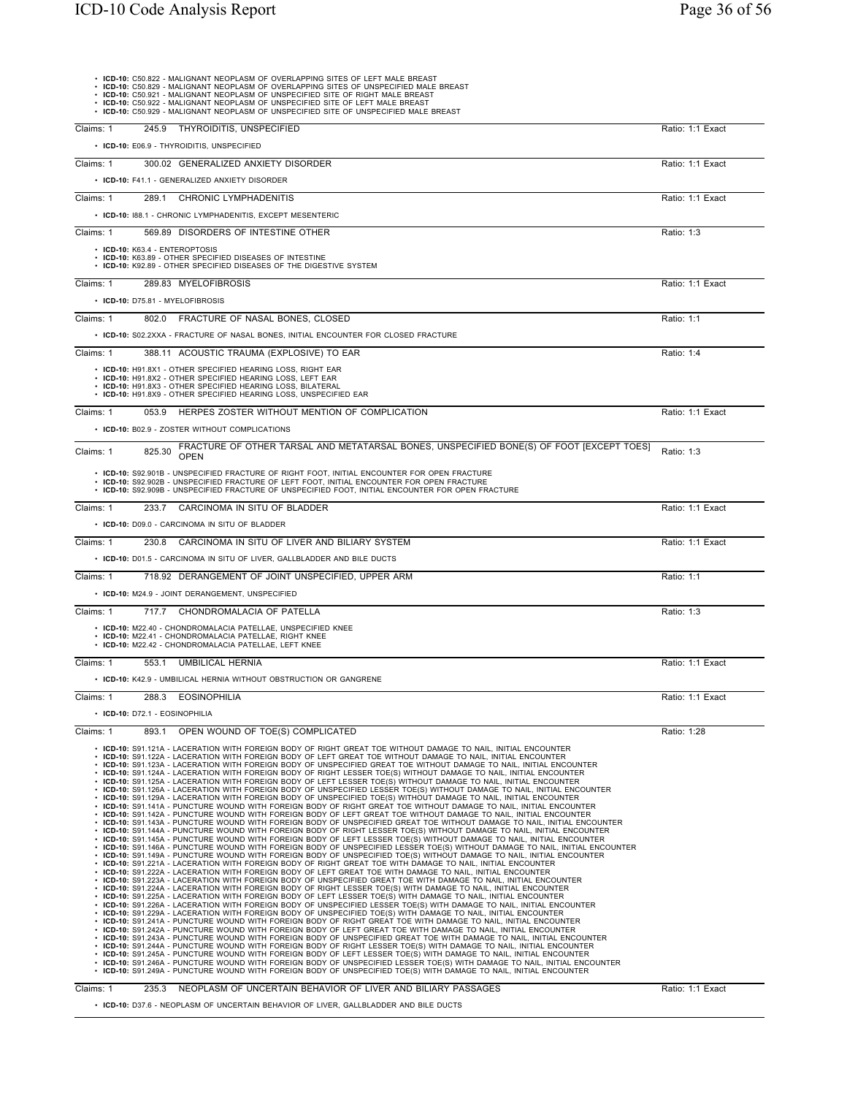| • ICD-10: C50.822 - MALIGNANT NEOPLASM OF OVERLAPPING SITES OF LEFT MALE BREAST<br>• ICD-10: C50.829 - MALIGNANT NEOPLASM OF OVERLAPPING SITES OF UNSPECIFIED MALE BREAST<br>ICD-10: C50.921 - MALIGNANT NEOPLASM OF UNSPECIFIED SITE OF RIGHT MALE BREAST<br>• ICD-10: C50.922 - MALIGNANT NEOPLASM OF UNSPECIFIED SITE OF LEFT MALE BREAST<br>ICD-10: C50.929 - MALIGNANT NEOPLASM OF UNSPECIFIED SITE OF UNSPECIFIED MALE BREAST                                                                                                                                                                                                                                                                                                                                                                                                                                                                                                                                                                                                                                                                                                                                                                                                                                                                                                                                                                                                                                                                                                                                                                                                                                                                                                                                                                                                                                                                                                                                                                                                                                                                                                                                                                                                                                                                                                                                                                                                                                                                                                                                                                                                                                                                                                                                                                                                                                                                                                                                                                                                                                                                                                                                                                                                                                                                                                                                                                                            |                  |
|--------------------------------------------------------------------------------------------------------------------------------------------------------------------------------------------------------------------------------------------------------------------------------------------------------------------------------------------------------------------------------------------------------------------------------------------------------------------------------------------------------------------------------------------------------------------------------------------------------------------------------------------------------------------------------------------------------------------------------------------------------------------------------------------------------------------------------------------------------------------------------------------------------------------------------------------------------------------------------------------------------------------------------------------------------------------------------------------------------------------------------------------------------------------------------------------------------------------------------------------------------------------------------------------------------------------------------------------------------------------------------------------------------------------------------------------------------------------------------------------------------------------------------------------------------------------------------------------------------------------------------------------------------------------------------------------------------------------------------------------------------------------------------------------------------------------------------------------------------------------------------------------------------------------------------------------------------------------------------------------------------------------------------------------------------------------------------------------------------------------------------------------------------------------------------------------------------------------------------------------------------------------------------------------------------------------------------------------------------------------------------------------------------------------------------------------------------------------------------------------------------------------------------------------------------------------------------------------------------------------------------------------------------------------------------------------------------------------------------------------------------------------------------------------------------------------------------------------------------------------------------------------------------------------------------------------------------------------------------------------------------------------------------------------------------------------------------------------------------------------------------------------------------------------------------------------------------------------------------------------------------------------------------------------------------------------------------------------------------------------------------------------------------------------------------|------------------|
| 245.9 THYROIDITIS, UNSPECIFIED<br>Claims: 1                                                                                                                                                                                                                                                                                                                                                                                                                                                                                                                                                                                                                                                                                                                                                                                                                                                                                                                                                                                                                                                                                                                                                                                                                                                                                                                                                                                                                                                                                                                                                                                                                                                                                                                                                                                                                                                                                                                                                                                                                                                                                                                                                                                                                                                                                                                                                                                                                                                                                                                                                                                                                                                                                                                                                                                                                                                                                                                                                                                                                                                                                                                                                                                                                                                                                                                                                                                    | Ratio: 1:1 Exact |
| • ICD-10: E06.9 - THYROIDITIS, UNSPECIFIED                                                                                                                                                                                                                                                                                                                                                                                                                                                                                                                                                                                                                                                                                                                                                                                                                                                                                                                                                                                                                                                                                                                                                                                                                                                                                                                                                                                                                                                                                                                                                                                                                                                                                                                                                                                                                                                                                                                                                                                                                                                                                                                                                                                                                                                                                                                                                                                                                                                                                                                                                                                                                                                                                                                                                                                                                                                                                                                                                                                                                                                                                                                                                                                                                                                                                                                                                                                     |                  |
| 300.02 GENERALIZED ANXIETY DISORDER<br>Claims: 1                                                                                                                                                                                                                                                                                                                                                                                                                                                                                                                                                                                                                                                                                                                                                                                                                                                                                                                                                                                                                                                                                                                                                                                                                                                                                                                                                                                                                                                                                                                                                                                                                                                                                                                                                                                                                                                                                                                                                                                                                                                                                                                                                                                                                                                                                                                                                                                                                                                                                                                                                                                                                                                                                                                                                                                                                                                                                                                                                                                                                                                                                                                                                                                                                                                                                                                                                                               | Ratio: 1:1 Exact |
| • ICD-10: F41.1 - GENERALIZED ANXIETY DISORDER                                                                                                                                                                                                                                                                                                                                                                                                                                                                                                                                                                                                                                                                                                                                                                                                                                                                                                                                                                                                                                                                                                                                                                                                                                                                                                                                                                                                                                                                                                                                                                                                                                                                                                                                                                                                                                                                                                                                                                                                                                                                                                                                                                                                                                                                                                                                                                                                                                                                                                                                                                                                                                                                                                                                                                                                                                                                                                                                                                                                                                                                                                                                                                                                                                                                                                                                                                                 |                  |
| Claims: 1<br>289.1 CHRONIC LYMPHADENITIS                                                                                                                                                                                                                                                                                                                                                                                                                                                                                                                                                                                                                                                                                                                                                                                                                                                                                                                                                                                                                                                                                                                                                                                                                                                                                                                                                                                                                                                                                                                                                                                                                                                                                                                                                                                                                                                                                                                                                                                                                                                                                                                                                                                                                                                                                                                                                                                                                                                                                                                                                                                                                                                                                                                                                                                                                                                                                                                                                                                                                                                                                                                                                                                                                                                                                                                                                                                       | Ratio: 1:1 Exact |
| • ICD-10: 188.1 - CHRONIC LYMPHADENITIS, EXCEPT MESENTERIC                                                                                                                                                                                                                                                                                                                                                                                                                                                                                                                                                                                                                                                                                                                                                                                                                                                                                                                                                                                                                                                                                                                                                                                                                                                                                                                                                                                                                                                                                                                                                                                                                                                                                                                                                                                                                                                                                                                                                                                                                                                                                                                                                                                                                                                                                                                                                                                                                                                                                                                                                                                                                                                                                                                                                                                                                                                                                                                                                                                                                                                                                                                                                                                                                                                                                                                                                                     |                  |
| Claims: 1<br>569.89 DISORDERS OF INTESTINE OTHER                                                                                                                                                                                                                                                                                                                                                                                                                                                                                                                                                                                                                                                                                                                                                                                                                                                                                                                                                                                                                                                                                                                                                                                                                                                                                                                                                                                                                                                                                                                                                                                                                                                                                                                                                                                                                                                                                                                                                                                                                                                                                                                                                                                                                                                                                                                                                                                                                                                                                                                                                                                                                                                                                                                                                                                                                                                                                                                                                                                                                                                                                                                                                                                                                                                                                                                                                                               | Ratio: 1:3       |
|                                                                                                                                                                                                                                                                                                                                                                                                                                                                                                                                                                                                                                                                                                                                                                                                                                                                                                                                                                                                                                                                                                                                                                                                                                                                                                                                                                                                                                                                                                                                                                                                                                                                                                                                                                                                                                                                                                                                                                                                                                                                                                                                                                                                                                                                                                                                                                                                                                                                                                                                                                                                                                                                                                                                                                                                                                                                                                                                                                                                                                                                                                                                                                                                                                                                                                                                                                                                                                |                  |
| • ICD-10: K63.4 - ENTEROPTOSIS<br>• ICD-10: K63.89 - OTHER SPECIFIED DISEASES OF INTESTINE<br>• ICD-10: K92.89 - OTHER SPECIFIED DISEASES OF THE DIGESTIVE SYSTEM                                                                                                                                                                                                                                                                                                                                                                                                                                                                                                                                                                                                                                                                                                                                                                                                                                                                                                                                                                                                                                                                                                                                                                                                                                                                                                                                                                                                                                                                                                                                                                                                                                                                                                                                                                                                                                                                                                                                                                                                                                                                                                                                                                                                                                                                                                                                                                                                                                                                                                                                                                                                                                                                                                                                                                                                                                                                                                                                                                                                                                                                                                                                                                                                                                                              |                  |
| Claims: 1<br>289.83 MYELOFIBROSIS                                                                                                                                                                                                                                                                                                                                                                                                                                                                                                                                                                                                                                                                                                                                                                                                                                                                                                                                                                                                                                                                                                                                                                                                                                                                                                                                                                                                                                                                                                                                                                                                                                                                                                                                                                                                                                                                                                                                                                                                                                                                                                                                                                                                                                                                                                                                                                                                                                                                                                                                                                                                                                                                                                                                                                                                                                                                                                                                                                                                                                                                                                                                                                                                                                                                                                                                                                                              | Ratio: 1:1 Exact |
| • ICD-10: D75.81 - MYELOFIBROSIS                                                                                                                                                                                                                                                                                                                                                                                                                                                                                                                                                                                                                                                                                                                                                                                                                                                                                                                                                                                                                                                                                                                                                                                                                                                                                                                                                                                                                                                                                                                                                                                                                                                                                                                                                                                                                                                                                                                                                                                                                                                                                                                                                                                                                                                                                                                                                                                                                                                                                                                                                                                                                                                                                                                                                                                                                                                                                                                                                                                                                                                                                                                                                                                                                                                                                                                                                                                               |                  |
| Claims: 1<br>802.0 FRACTURE OF NASAL BONES, CLOSED                                                                                                                                                                                                                                                                                                                                                                                                                                                                                                                                                                                                                                                                                                                                                                                                                                                                                                                                                                                                                                                                                                                                                                                                                                                                                                                                                                                                                                                                                                                                                                                                                                                                                                                                                                                                                                                                                                                                                                                                                                                                                                                                                                                                                                                                                                                                                                                                                                                                                                                                                                                                                                                                                                                                                                                                                                                                                                                                                                                                                                                                                                                                                                                                                                                                                                                                                                             | Ratio: 1:1       |
| • ICD-10: S02.2XXA - FRACTURE OF NASAL BONES, INITIAL ENCOUNTER FOR CLOSED FRACTURE                                                                                                                                                                                                                                                                                                                                                                                                                                                                                                                                                                                                                                                                                                                                                                                                                                                                                                                                                                                                                                                                                                                                                                                                                                                                                                                                                                                                                                                                                                                                                                                                                                                                                                                                                                                                                                                                                                                                                                                                                                                                                                                                                                                                                                                                                                                                                                                                                                                                                                                                                                                                                                                                                                                                                                                                                                                                                                                                                                                                                                                                                                                                                                                                                                                                                                                                            |                  |
| Claims: 1<br>388.11 ACOUSTIC TRAUMA (EXPLOSIVE) TO EAR                                                                                                                                                                                                                                                                                                                                                                                                                                                                                                                                                                                                                                                                                                                                                                                                                                                                                                                                                                                                                                                                                                                                                                                                                                                                                                                                                                                                                                                                                                                                                                                                                                                                                                                                                                                                                                                                                                                                                                                                                                                                                                                                                                                                                                                                                                                                                                                                                                                                                                                                                                                                                                                                                                                                                                                                                                                                                                                                                                                                                                                                                                                                                                                                                                                                                                                                                                         | Ratio: 1:4       |
| • ICD-10: H91.8X1 - OTHER SPECIFIED HEARING LOSS, RIGHT EAR                                                                                                                                                                                                                                                                                                                                                                                                                                                                                                                                                                                                                                                                                                                                                                                                                                                                                                                                                                                                                                                                                                                                                                                                                                                                                                                                                                                                                                                                                                                                                                                                                                                                                                                                                                                                                                                                                                                                                                                                                                                                                                                                                                                                                                                                                                                                                                                                                                                                                                                                                                                                                                                                                                                                                                                                                                                                                                                                                                                                                                                                                                                                                                                                                                                                                                                                                                    |                  |
| • ICD-10: H91.8X2 - OTHER SPECIFIED HEARING LOSS, LEFT EAR<br>• ICD-10: H91.8X3 - OTHER SPECIFIED HEARING LOSS, BILATERAL<br>• ICD-10: H91.8X9 - OTHER SPECIFIED HEARING LOSS, UNSPECIFIED EAR                                                                                                                                                                                                                                                                                                                                                                                                                                                                                                                                                                                                                                                                                                                                                                                                                                                                                                                                                                                                                                                                                                                                                                                                                                                                                                                                                                                                                                                                                                                                                                                                                                                                                                                                                                                                                                                                                                                                                                                                                                                                                                                                                                                                                                                                                                                                                                                                                                                                                                                                                                                                                                                                                                                                                                                                                                                                                                                                                                                                                                                                                                                                                                                                                                 |                  |
| Claims: 1<br>053.9 HERPES ZOSTER WITHOUT MENTION OF COMPLICATION                                                                                                                                                                                                                                                                                                                                                                                                                                                                                                                                                                                                                                                                                                                                                                                                                                                                                                                                                                                                                                                                                                                                                                                                                                                                                                                                                                                                                                                                                                                                                                                                                                                                                                                                                                                                                                                                                                                                                                                                                                                                                                                                                                                                                                                                                                                                                                                                                                                                                                                                                                                                                                                                                                                                                                                                                                                                                                                                                                                                                                                                                                                                                                                                                                                                                                                                                               | Ratio: 1:1 Exact |
| • ICD-10: B02.9 - ZOSTER WITHOUT COMPLICATIONS                                                                                                                                                                                                                                                                                                                                                                                                                                                                                                                                                                                                                                                                                                                                                                                                                                                                                                                                                                                                                                                                                                                                                                                                                                                                                                                                                                                                                                                                                                                                                                                                                                                                                                                                                                                                                                                                                                                                                                                                                                                                                                                                                                                                                                                                                                                                                                                                                                                                                                                                                                                                                                                                                                                                                                                                                                                                                                                                                                                                                                                                                                                                                                                                                                                                                                                                                                                 |                  |
| FRACTURE OF OTHER TARSAL AND METATARSAL BONES, UNSPECIFIED BONE(S) OF FOOT [EXCEPT TOES]<br>825.30<br>Claims: 1<br><b>OPEN</b>                                                                                                                                                                                                                                                                                                                                                                                                                                                                                                                                                                                                                                                                                                                                                                                                                                                                                                                                                                                                                                                                                                                                                                                                                                                                                                                                                                                                                                                                                                                                                                                                                                                                                                                                                                                                                                                                                                                                                                                                                                                                                                                                                                                                                                                                                                                                                                                                                                                                                                                                                                                                                                                                                                                                                                                                                                                                                                                                                                                                                                                                                                                                                                                                                                                                                                 | Ratio: 1:3       |
| • ICD-10: S92.901B - UNSPECIFIED FRACTURE OF RIGHT FOOT, INITIAL ENCOUNTER FOR OPEN FRACTURE<br>• ICD-10: S92.902B - UNSPECIFIED FRACTURE OF LEFT FOOT, INITIAL ENCOUNTER FOR OPEN FRACTURE<br>• ICD-10: S92.909B - UNSPECIFIED FRACTURE OF UNSPECIFIED FOOT, INITIAL ENCOUNTER FOR OPEN FRACTURE                                                                                                                                                                                                                                                                                                                                                                                                                                                                                                                                                                                                                                                                                                                                                                                                                                                                                                                                                                                                                                                                                                                                                                                                                                                                                                                                                                                                                                                                                                                                                                                                                                                                                                                                                                                                                                                                                                                                                                                                                                                                                                                                                                                                                                                                                                                                                                                                                                                                                                                                                                                                                                                                                                                                                                                                                                                                                                                                                                                                                                                                                                                              |                  |
| Claims: 1<br>233.7 CARCINOMA IN SITU OF BLADDER                                                                                                                                                                                                                                                                                                                                                                                                                                                                                                                                                                                                                                                                                                                                                                                                                                                                                                                                                                                                                                                                                                                                                                                                                                                                                                                                                                                                                                                                                                                                                                                                                                                                                                                                                                                                                                                                                                                                                                                                                                                                                                                                                                                                                                                                                                                                                                                                                                                                                                                                                                                                                                                                                                                                                                                                                                                                                                                                                                                                                                                                                                                                                                                                                                                                                                                                                                                | Ratio: 1:1 Exact |
| • ICD-10: D09.0 - CARCINOMA IN SITU OF BLADDER                                                                                                                                                                                                                                                                                                                                                                                                                                                                                                                                                                                                                                                                                                                                                                                                                                                                                                                                                                                                                                                                                                                                                                                                                                                                                                                                                                                                                                                                                                                                                                                                                                                                                                                                                                                                                                                                                                                                                                                                                                                                                                                                                                                                                                                                                                                                                                                                                                                                                                                                                                                                                                                                                                                                                                                                                                                                                                                                                                                                                                                                                                                                                                                                                                                                                                                                                                                 |                  |
| Claims: 1<br>230.8 CARCINOMA IN SITU OF LIVER AND BILIARY SYSTEM                                                                                                                                                                                                                                                                                                                                                                                                                                                                                                                                                                                                                                                                                                                                                                                                                                                                                                                                                                                                                                                                                                                                                                                                                                                                                                                                                                                                                                                                                                                                                                                                                                                                                                                                                                                                                                                                                                                                                                                                                                                                                                                                                                                                                                                                                                                                                                                                                                                                                                                                                                                                                                                                                                                                                                                                                                                                                                                                                                                                                                                                                                                                                                                                                                                                                                                                                               | Ratio: 1:1 Exact |
| • ICD-10: D01.5 - CARCINOMA IN SITU OF LIVER, GALLBLADDER AND BILE DUCTS                                                                                                                                                                                                                                                                                                                                                                                                                                                                                                                                                                                                                                                                                                                                                                                                                                                                                                                                                                                                                                                                                                                                                                                                                                                                                                                                                                                                                                                                                                                                                                                                                                                                                                                                                                                                                                                                                                                                                                                                                                                                                                                                                                                                                                                                                                                                                                                                                                                                                                                                                                                                                                                                                                                                                                                                                                                                                                                                                                                                                                                                                                                                                                                                                                                                                                                                                       |                  |
| 718.92 DERANGEMENT OF JOINT UNSPECIFIED, UPPER ARM<br>Claims: 1                                                                                                                                                                                                                                                                                                                                                                                                                                                                                                                                                                                                                                                                                                                                                                                                                                                                                                                                                                                                                                                                                                                                                                                                                                                                                                                                                                                                                                                                                                                                                                                                                                                                                                                                                                                                                                                                                                                                                                                                                                                                                                                                                                                                                                                                                                                                                                                                                                                                                                                                                                                                                                                                                                                                                                                                                                                                                                                                                                                                                                                                                                                                                                                                                                                                                                                                                                | Ratio: 1:1       |
| • ICD-10: M24.9 - JOINT DERANGEMENT, UNSPECIFIED                                                                                                                                                                                                                                                                                                                                                                                                                                                                                                                                                                                                                                                                                                                                                                                                                                                                                                                                                                                                                                                                                                                                                                                                                                                                                                                                                                                                                                                                                                                                                                                                                                                                                                                                                                                                                                                                                                                                                                                                                                                                                                                                                                                                                                                                                                                                                                                                                                                                                                                                                                                                                                                                                                                                                                                                                                                                                                                                                                                                                                                                                                                                                                                                                                                                                                                                                                               |                  |
|                                                                                                                                                                                                                                                                                                                                                                                                                                                                                                                                                                                                                                                                                                                                                                                                                                                                                                                                                                                                                                                                                                                                                                                                                                                                                                                                                                                                                                                                                                                                                                                                                                                                                                                                                                                                                                                                                                                                                                                                                                                                                                                                                                                                                                                                                                                                                                                                                                                                                                                                                                                                                                                                                                                                                                                                                                                                                                                                                                                                                                                                                                                                                                                                                                                                                                                                                                                                                                |                  |
| Claims: 1<br>717.7 CHONDROMALACIA OF PATELLA                                                                                                                                                                                                                                                                                                                                                                                                                                                                                                                                                                                                                                                                                                                                                                                                                                                                                                                                                                                                                                                                                                                                                                                                                                                                                                                                                                                                                                                                                                                                                                                                                                                                                                                                                                                                                                                                                                                                                                                                                                                                                                                                                                                                                                                                                                                                                                                                                                                                                                                                                                                                                                                                                                                                                                                                                                                                                                                                                                                                                                                                                                                                                                                                                                                                                                                                                                                   | Ratio: 1:3       |
| • ICD-10: M22.40 - CHONDROMALACIA PATELLAE, UNSPECIFIED KNEE<br>• ICD-10: M22.41 - CHONDROMALACIA PATELLAE, RIGHT KNEE<br>• ICD-10: M22.42 - CHONDROMALACIA PATELLAE, LEFT KNEE                                                                                                                                                                                                                                                                                                                                                                                                                                                                                                                                                                                                                                                                                                                                                                                                                                                                                                                                                                                                                                                                                                                                                                                                                                                                                                                                                                                                                                                                                                                                                                                                                                                                                                                                                                                                                                                                                                                                                                                                                                                                                                                                                                                                                                                                                                                                                                                                                                                                                                                                                                                                                                                                                                                                                                                                                                                                                                                                                                                                                                                                                                                                                                                                                                                |                  |
| Claims: 1<br>553.1 UMBILICAL HERNIA                                                                                                                                                                                                                                                                                                                                                                                                                                                                                                                                                                                                                                                                                                                                                                                                                                                                                                                                                                                                                                                                                                                                                                                                                                                                                                                                                                                                                                                                                                                                                                                                                                                                                                                                                                                                                                                                                                                                                                                                                                                                                                                                                                                                                                                                                                                                                                                                                                                                                                                                                                                                                                                                                                                                                                                                                                                                                                                                                                                                                                                                                                                                                                                                                                                                                                                                                                                            | Ratio: 1:1 Exact |
| • ICD-10: K42.9 - UMBILICAL HERNIA WITHOUT OBSTRUCTION OR GANGRENE                                                                                                                                                                                                                                                                                                                                                                                                                                                                                                                                                                                                                                                                                                                                                                                                                                                                                                                                                                                                                                                                                                                                                                                                                                                                                                                                                                                                                                                                                                                                                                                                                                                                                                                                                                                                                                                                                                                                                                                                                                                                                                                                                                                                                                                                                                                                                                                                                                                                                                                                                                                                                                                                                                                                                                                                                                                                                                                                                                                                                                                                                                                                                                                                                                                                                                                                                             |                  |
| <b>EOSINOPHILIA</b><br>Claims: 1<br>288.3                                                                                                                                                                                                                                                                                                                                                                                                                                                                                                                                                                                                                                                                                                                                                                                                                                                                                                                                                                                                                                                                                                                                                                                                                                                                                                                                                                                                                                                                                                                                                                                                                                                                                                                                                                                                                                                                                                                                                                                                                                                                                                                                                                                                                                                                                                                                                                                                                                                                                                                                                                                                                                                                                                                                                                                                                                                                                                                                                                                                                                                                                                                                                                                                                                                                                                                                                                                      | Ratio: 1:1 Exact |
| • ICD-10: D72.1 - EOSINOPHILIA                                                                                                                                                                                                                                                                                                                                                                                                                                                                                                                                                                                                                                                                                                                                                                                                                                                                                                                                                                                                                                                                                                                                                                                                                                                                                                                                                                                                                                                                                                                                                                                                                                                                                                                                                                                                                                                                                                                                                                                                                                                                                                                                                                                                                                                                                                                                                                                                                                                                                                                                                                                                                                                                                                                                                                                                                                                                                                                                                                                                                                                                                                                                                                                                                                                                                                                                                                                                 |                  |
| OPEN WOUND OF TOE(S) COMPLICATED<br>Claims: 1<br>893.1                                                                                                                                                                                                                                                                                                                                                                                                                                                                                                                                                                                                                                                                                                                                                                                                                                                                                                                                                                                                                                                                                                                                                                                                                                                                                                                                                                                                                                                                                                                                                                                                                                                                                                                                                                                                                                                                                                                                                                                                                                                                                                                                                                                                                                                                                                                                                                                                                                                                                                                                                                                                                                                                                                                                                                                                                                                                                                                                                                                                                                                                                                                                                                                                                                                                                                                                                                         | Ratio: 1:28      |
| • ICD-10: S91.121A - LACERATION WITH FOREIGN BODY OF RIGHT GREAT TOE WITHOUT DAMAGE TO NAIL, INITIAL ENCOUNTER<br>. ICD-10: S91.122A - LACERATION WITH FOREIGN BODY OF LEFT GREAT TOE WITHOUT DAMAGE TO NAIL, INITIAL ENCOUNTER<br>• ICD-10: S91.123A - LACERATION WITH FOREIGN BODY OF UNSPECIFIED GREAT TOE WITHOUT DAMAGE TO NAIL, INITIAL ENCOUNTER<br>• ICD-10: S91.124A - LACERATION WITH FOREIGN BODY OF RIGHT LESSER TOE(S) WITHOUT DAMAGE TO NAIL. INITIAL ENCOUNTER<br>. ICD-10: S91.125A - LACERATION WITH FOREIGN BODY OF LEFT LESSER TOE(S) WITHOUT DAMAGE TO NAIL, INITIAL ENCOUNTER<br>. ICD-10: S91.126A - LACERATION WITH FOREIGN BODY OF UNSPECIFIED LESSER TOE(S) WITHOUT DAMAGE TO NAIL, INITIAL ENCOUNTER<br>. ICD-10: S91.129A - LACERATION WITH FOREIGN BODY OF UNSPECIFIED TOE(S) WITHOUT DAMAGE TO NAIL, INITIAL ENCOUNTER<br>. ICD-10: S91.141A - PUNCTURE WOUND WITH FOREIGN BODY OF RIGHT GREAT TOE WITHOUT DAMAGE TO NAIL, INITIAL ENCOUNTER<br>. ICD-10: S91.142A - PUNCTURE WOUND WITH FOREIGN BODY OF LEFT GREAT TOE WITHOUT DAMAGE TO NAIL, INITIAL ENCOUNTER<br>. ICD-10: S91.143A - PUNCTURE WOUND WITH FOREIGN BODY OF UNSPECIFIED GREAT TOE WITHOUT DAMAGE TO NAIL, INITIAL ENCOUNTER<br>. ICD-10: S91.144A - PUNCTURE WOUND WITH FOREIGN BODY OF RIGHT LESSER TOE(S) WITHOUT DAMAGE TO NAIL, INITIAL ENCOUNTER<br>. ICD-10: S91.145A - PUNCTURE WOUND WITH FOREIGN BODY OF LEFT LESSER TOE(S) WITHOUT DAMAGE TO NAIL, INITIAL ENCOUNTER<br>. ICD-10: S91.146A - PUNCTURE WOUND WITH FOREIGN BODY OF UNSPECIFIED LESSER TOE(S) WITHOUT DAMAGE TO NAIL, INITIAL ENCOUNTER<br>· ICD-10: S91.149A - PUNCTURE WOUND WITH FOREIGN BODY OF UNSPECIFIED TOE(S) WITHOUT DAMAGE TO NAIL, INITIAL ENCOUNTER<br>. ICD-10: S91.221A - LACERATION WITH FOREIGN BODY OF RIGHT GREAT TOE WITH DAMAGE TO NAIL, INITIAL ENCOUNTER<br>. ICD-10: S91.222A - LACERATION WITH FOREIGN BODY OF LEFT GREAT TOE WITH DAMAGE TO NAIL, INITIAL ENCOUNTER<br>. ICD-10: S91.223A - LACERATION WITH FOREIGN BODY OF UNSPECIFIED GREAT TOE WITH DAMAGE TO NAIL, INITIAL ENCOUNTER<br>. ICD-10: S91.224A - LACERATION WITH FOREIGN BODY OF RIGHT LESSER TOE(S) WITH DAMAGE TO NAIL, INITIAL ENCOUNTER<br>. ICD-10: S91.225A - LACERATION WITH FOREIGN BODY OF LEFT LESSER TOE(S) WITH DAMAGE TO NAIL, INITIAL ENCOUNTER<br>· ICD-10: S91.226A - LACERATION WITH FOREIGN BODY OF UNSPECIFIED LESSER TOE(S) WITH DAMAGE TO NAIL, INITIAL ENCOUNTER<br>· ICD-10: S91.229A - LACERATION WITH FOREIGN BODY OF UNSPECIFIED TOE(S) WITH DAMAGE TO NAIL, INITIAL ENCOUNTER<br>. ICD-10: S91.241A - PUNCTURE WOUND WITH FOREIGN BODY OF RIGHT GREAT TOE WITH DAMAGE TO NAIL, INITIAL ENCOUNTER<br>. ICD-10: S91.242A - PUNCTURE WOUND WITH FOREIGN BODY OF LEFT GREAT TOE WITH DAMAGE TO NAIL, INITIAL ENCOUNTER<br>. ICD-10: S91.243A - PUNCTURE WOUND WITH FOREIGN BODY OF UNSPECIFIED GREAT TOE WITH DAMAGE TO NAIL, INITIAL ENCOUNTER<br>ICD-10: S91.244A - PUNCTURE WOUND WITH FOREIGN BODY OF RIGHT LESSER TOE(S) WITH DAMAGE TO NAIL, INITIAL ENCOUNTER<br>ICD-10: S91.245A - PUNCTURE WOUND WITH FOREIGN BODY OF LEFT LESSER TOE(S) WITH DAMAGE TO NAIL, INITIAL ENCOUNTER<br>ICD-10: S91.246A - PUNCTURE WOUND WITH FOREIGN BODY OF UNSPECIFIED LESSER TOE(S) WITH DAMAGE TO NAIL, INITIAL ENCOUNTER<br>ICD-10: S91.249A - PUNCTURE WOUND WITH FOREIGN BODY OF UNSPECIFIED TOE(S) WITH DAMAGE TO NAIL, INITIAL ENCOUNTER |                  |
| NEOPLASM OF UNCERTAIN BEHAVIOR OF LIVER AND BILIARY PASSAGES<br>Claims: 1<br>235.3                                                                                                                                                                                                                                                                                                                                                                                                                                                                                                                                                                                                                                                                                                                                                                                                                                                                                                                                                                                                                                                                                                                                                                                                                                                                                                                                                                                                                                                                                                                                                                                                                                                                                                                                                                                                                                                                                                                                                                                                                                                                                                                                                                                                                                                                                                                                                                                                                                                                                                                                                                                                                                                                                                                                                                                                                                                                                                                                                                                                                                                                                                                                                                                                                                                                                                                                             | Ratio: 1:1 Exact |
| • ICD-10: D37.6 - NEOPLASM OF UNCERTAIN BEHAVIOR OF LIVER, GALLBLADDER AND BILE DUCTS                                                                                                                                                                                                                                                                                                                                                                                                                                                                                                                                                                                                                                                                                                                                                                                                                                                                                                                                                                                                                                                                                                                                                                                                                                                                                                                                                                                                                                                                                                                                                                                                                                                                                                                                                                                                                                                                                                                                                                                                                                                                                                                                                                                                                                                                                                                                                                                                                                                                                                                                                                                                                                                                                                                                                                                                                                                                                                                                                                                                                                                                                                                                                                                                                                                                                                                                          |                  |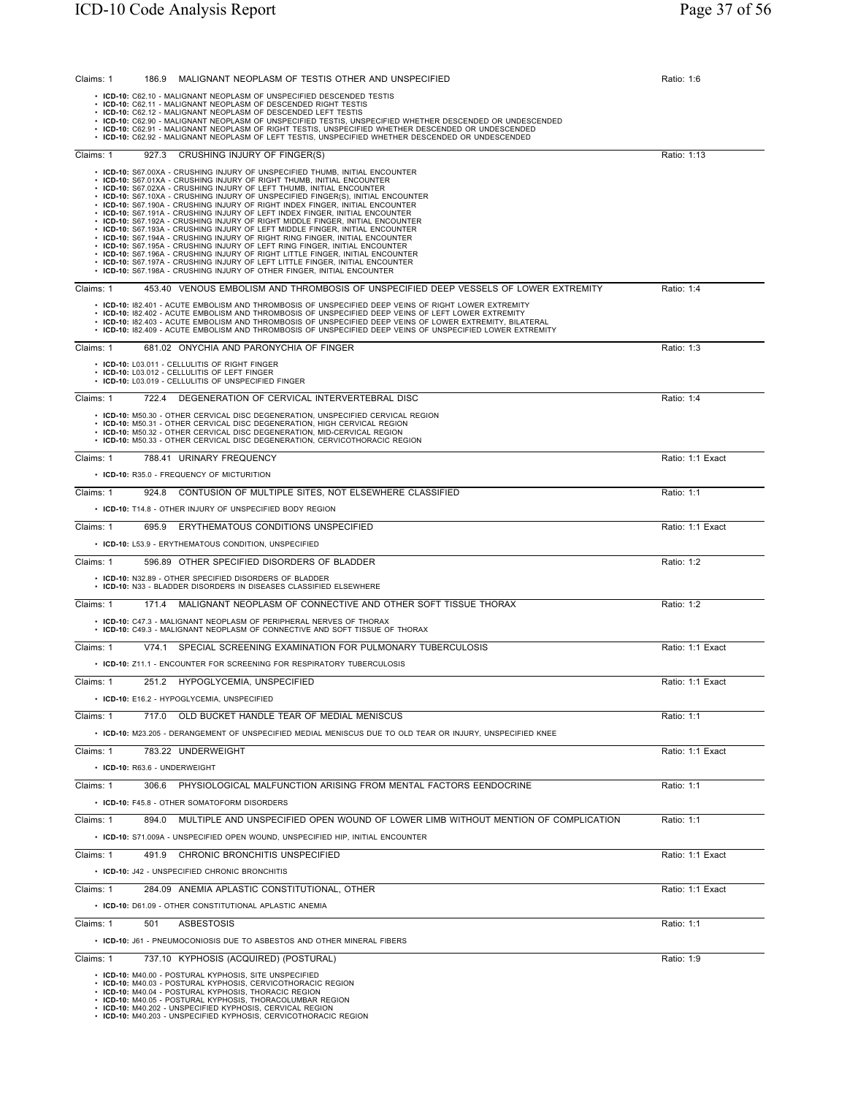| Claims: 1 | MALIGNANT NEOPLASM OF TESTIS OTHER AND UNSPECIFIED<br>186.9                                                                                                                                                      | Ratio: 1:6       |
|-----------|------------------------------------------------------------------------------------------------------------------------------------------------------------------------------------------------------------------|------------------|
|           | • ICD-10: C62.10 - MALIGNANT NEOPLASM OF UNSPECIFIED DESCENDED TESTIS<br>• ICD-10: C62.11 - MALIGNANT NEOPLASM OF DESCENDED RIGHT TESTIS                                                                         |                  |
|           | • ICD-10: C62.12 - MALIGNANT NEOPLASM OF DESCENDED LEFT TESTIS<br>• ICD-10: C62.90 - MALIGNANT NEOPLASM OF UNSPECIFIED TESTIS, UNSPECIFIED WHETHER DESCENDED OR UNDESCENDED                                      |                  |
|           | • ICD-10: C62.91 - MALIGNANT NEOPLASM OF RIGHT TESTIS, UNSPECIFIED WHETHER DESCENDED OR UNDESCENDED<br>• ICD-10: C62.92 - MALIGNANT NEOPLASM OF LEFT TESTIS, UNSPECIFIED WHETHER DESCENDED OR UNDESCENDED        |                  |
|           |                                                                                                                                                                                                                  |                  |
| Claims: 1 | CRUSHING INJURY OF FINGER(S)<br>927.3                                                                                                                                                                            | Ratio: 1:13      |
|           | • ICD-10: S67.00XA - CRUSHING INJURY OF UNSPECIFIED THUMB, INITIAL ENCOUNTER<br>• ICD-10: S67.01XA - CRUSHING INJURY OF RIGHT THUMB, INITIAL ENCOUNTER                                                           |                  |
|           | • ICD-10: S67.02XA - CRUSHING INJURY OF LEFT THUMB, INITIAL ENCOUNTER<br>• ICD-10: S67.10XA - CRUSHING INJURY OF UNSPECIFIED FINGER(S), INITIAL ENCOUNTER                                                        |                  |
|           | • ICD-10: S67.190A - CRUSHING INJURY OF RIGHT INDEX FINGER, INITIAL ENCOUNTER<br>• ICD-10: S67.191A - CRUSHING INJURY OF LEFT INDEX FINGER, INITIAL ENCOUNTER                                                    |                  |
|           | • ICD-10: S67.192A - CRUSHING INJURY OF RIGHT MIDDLE FINGER, INITIAL ENCOUNTER<br>• ICD-10: S67.193A - CRUSHING INJURY OF LEFT MIDDLE FINGER, INITIAL ENCOUNTER                                                  |                  |
|           | • ICD-10: S67.194A - CRUSHING INJURY OF RIGHT RING FINGER, INITIAL ENCOUNTER<br>• ICD-10: S67.195A - CRUSHING INJURY OF LEFT RING FINGER, INITIAL ENCOUNTER                                                      |                  |
|           | • ICD-10: S67.196A - CRUSHING INJURY OF RIGHT LITTLE FINGER, INITIAL ENCOUNTER                                                                                                                                   |                  |
|           | • ICD-10: S67.197A - CRUSHING INJURY OF LEFT LITTLE FINGER, INITIAL ENCOUNTER<br>• ICD-10: S67.198A - CRUSHING INJURY OF OTHER FINGER, INITIAL ENCOUNTER                                                         |                  |
| Claims: 1 | 453.40 VENOUS EMBOLISM AND THROMBOSIS OF UNSPECIFIED DEEP VESSELS OF LOWER EXTREMITY                                                                                                                             | Ratio: 1:4       |
|           | • ICD-10: 182.401 - ACUTE EMBOLISM AND THROMBOSIS OF UNSPECIFIED DEEP VEINS OF RIGHT LOWER EXTREMITY                                                                                                             |                  |
|           | . ICD-10: 182.402 - ACUTE EMBOLISM AND THROMBOSIS OF UNSPECIFIED DEEP VEINS OF LEFT LOWER EXTREMITY<br>. ICD-10: 182.403 - ACUTE EMBOLISM AND THROMBOSIS OF UNSPECIFIED DEEP VEINS OF LOWER EXTREMITY, BILATERAL |                  |
|           | . ICD-10: 182.409 - ACUTE EMBOLISM AND THROMBOSIS OF UNSPECIFIED DEEP VEINS OF UNSPECIFIED LOWER EXTREMITY                                                                                                       |                  |
| Claims: 1 | 681.02 ONYCHIA AND PARONYCHIA OF FINGER                                                                                                                                                                          | Ratio: 1:3       |
|           | • ICD-10: L03.011 - CELLULITIS OF RIGHT FINGER<br>• ICD-10: L03.012 - CELLULITIS OF LEFT FINGER                                                                                                                  |                  |
|           | • ICD-10: L03.019 - CELLULITIS OF UNSPECIFIED FINGER                                                                                                                                                             |                  |
| Claims: 1 | 722.4<br>DEGENERATION OF CERVICAL INTERVERTEBRAL DISC                                                                                                                                                            | Ratio: 1:4       |
|           | • ICD-10: M50.30 - OTHER CERVICAL DISC DEGENERATION. UNSPECIFIED CERVICAL REGION                                                                                                                                 |                  |
|           | • ICD-10: M50.31 - OTHER CERVICAL DISC DEGENERATION. HIGH CERVICAL REGION<br>• ICD-10: M50.32 - OTHER CERVICAL DISC DEGENERATION, MID-CERVICAL REGION                                                            |                  |
|           | • ICD-10: M50.33 - OTHER CERVICAL DISC DEGENERATION. CERVICOTHORACIC REGION                                                                                                                                      |                  |
| Claims: 1 | 788.41 URINARY FREQUENCY                                                                                                                                                                                         | Ratio: 1:1 Exact |
|           | • ICD-10: R35.0 - FREQUENCY OF MICTURITION                                                                                                                                                                       |                  |
| Claims: 1 | 924.8 CONTUSION OF MULTIPLE SITES, NOT ELSEWHERE CLASSIFIED                                                                                                                                                      | Ratio: 1:1       |
|           | • ICD-10: T14.8 - OTHER INJURY OF UNSPECIFIED BODY REGION                                                                                                                                                        |                  |
| Claims: 1 | 695.9<br>ERYTHEMATOUS CONDITIONS UNSPECIFIED                                                                                                                                                                     | Ratio: 1:1 Exact |
|           | • ICD-10: L53.9 - ERYTHEMATOUS CONDITION, UNSPECIFIED                                                                                                                                                            |                  |
| Claims: 1 | 596.89 OTHER SPECIFIED DISORDERS OF BLADDER                                                                                                                                                                      | Ratio: 1:2       |
|           | • ICD-10: N32.89 - OTHER SPECIFIED DISORDERS OF BLADDER<br>• ICD-10: N33 - BLADDER DISORDERS IN DISEASES CLASSIFIED ELSEWHERE                                                                                    |                  |
| Claims: 1 | MALIGNANT NEOPLASM OF CONNECTIVE AND OTHER SOFT TISSUE THORAX<br>171.4                                                                                                                                           | Ratio: 1:2       |
|           | • ICD-10: C47.3 - MALIGNANT NEOPLASM OF PERIPHERAL NERVES OF THORAX                                                                                                                                              |                  |
|           | • ICD-10: C49.3 - MALIGNANT NEOPLASM OF CONNECTIVE AND SOFT TISSUE OF THORAX                                                                                                                                     |                  |
| Claims: 1 | V74.1<br>SPECIAL SCREENING EXAMINATION FOR PULMONARY TUBERCULOSIS                                                                                                                                                | Ratio: 1:1 Exact |
|           | • ICD-10: Z11.1 - ENCOUNTER FOR SCREENING FOR RESPIRATORY TUBERCULOSIS                                                                                                                                           |                  |
| Claims: 1 | 251.2 HYPOGLYCEMIA, UNSPECIFIED                                                                                                                                                                                  | Ratio: 1:1 Exact |
|           | • ICD-10: E16.2 - HYPOGLYCEMIA, UNSPECIFIED                                                                                                                                                                      |                  |
| Claims: 1 | 717.0 OLD BUCKET HANDLE TEAR OF MEDIAL MENISCUS                                                                                                                                                                  | Ratio: 1:1       |
|           | . ICD-10: M23.205 - DERANGEMENT OF UNSPECIFIED MEDIAL MENISCUS DUE TO OLD TEAR OR INJURY, UNSPECIFIED KNEE                                                                                                       |                  |
| Claims: 1 | 783.22 UNDERWEIGHT                                                                                                                                                                                               | Ratio: 1:1 Exact |
|           | • ICD-10: R63.6 - UNDERWEIGHT                                                                                                                                                                                    |                  |
| Claims: 1 | 306.6 PHYSIOLOGICAL MALFUNCTION ARISING FROM MENTAL FACTORS EENDOCRINE                                                                                                                                           | Ratio: 1:1       |
|           | • ICD-10: F45.8 - OTHER SOMATOFORM DISORDERS                                                                                                                                                                     |                  |
|           |                                                                                                                                                                                                                  |                  |
| Claims: 1 | 894.0<br>MULTIPLE AND UNSPECIFIED OPEN WOUND OF LOWER LIMB WITHOUT MENTION OF COMPLICATION                                                                                                                       | Ratio: 1:1       |
|           | • ICD-10: S71.009A - UNSPECIFIED OPEN WOUND, UNSPECIFIED HIP, INITIAL ENCOUNTER                                                                                                                                  |                  |
| Claims: 1 | 491.9 CHRONIC BRONCHITIS UNSPECIFIED                                                                                                                                                                             | Ratio: 1:1 Exact |
|           | • ICD-10: J42 - UNSPECIFIED CHRONIC BRONCHITIS                                                                                                                                                                   |                  |
| Claims: 1 | 284.09 ANEMIA APLASTIC CONSTITUTIONAL, OTHER                                                                                                                                                                     | Ratio: 1:1 Exact |
|           | • ICD-10: D61.09 - OTHER CONSTITUTIONAL APLASTIC ANEMIA                                                                                                                                                          |                  |
| Claims: 1 | 501<br>ASBESTOSIS                                                                                                                                                                                                | Ratio: 1:1       |
|           | • ICD-10: J61 - PNEUMOCONIOSIS DUE TO ASBESTOS AND OTHER MINERAL FIBERS                                                                                                                                          |                  |
| Claims: 1 | 737.10 KYPHOSIS (ACQUIRED) (POSTURAL)                                                                                                                                                                            | Ratio: 1:9       |
|           | • ICD-10: M40.00 - POSTURAL KYPHOSIS, SITE UNSPECIFIED<br>• ICD-10: M40.03 - POSTURAL KYPHOSIS, CERVICOTHORACIC REGION                                                                                           |                  |
|           | • ICD-10: M40.04 - POSTURAL KYPHOSIS, THORACIC REGION<br>• ICD-10: M40.05 - POSTURAL KYPHOSIS, THORACOLUMBAR REGION                                                                                              |                  |
|           | • ICD-10: M40.202 - UNSPECIFIED KYPHOSIS, CERVICAL REGION<br>• ICD-10: M40.203 - UNSPECIFIED KYPHOSIS, CERVICOTHORACIC REGION                                                                                    |                  |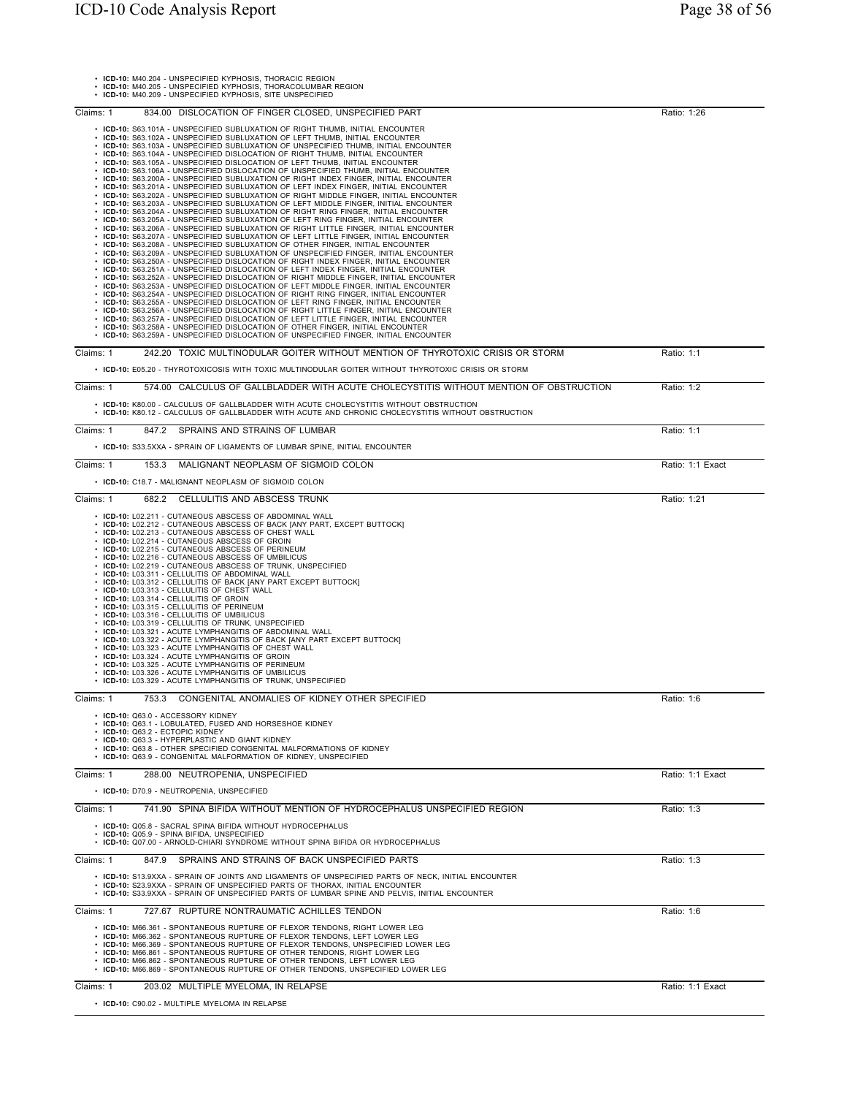| ICD-10: M40.204 - UNSPECIFIED KYPHOSIS, THORACIC REGION<br>• ICD-10: M40.205 - UNSPECIFIED KYPHOSIS, THORACOLUMBAR REGION<br>• ICD-10: M40.209 - UNSPECIFIED KYPHOSIS, SITE UNSPECIFIED                                                                                                                                                                                                                                                                                                                                                                                                                                                                                                                                                                                                                                                                                                                                                                                                                                                                                                                                                                                                                                                                                                                                                                                                                                                                                                                                                                                                                                                                                                                                                                                                                                                                                                                                                                                                                                                                                                                                                                                                                                                                                                                                              |                  |
|--------------------------------------------------------------------------------------------------------------------------------------------------------------------------------------------------------------------------------------------------------------------------------------------------------------------------------------------------------------------------------------------------------------------------------------------------------------------------------------------------------------------------------------------------------------------------------------------------------------------------------------------------------------------------------------------------------------------------------------------------------------------------------------------------------------------------------------------------------------------------------------------------------------------------------------------------------------------------------------------------------------------------------------------------------------------------------------------------------------------------------------------------------------------------------------------------------------------------------------------------------------------------------------------------------------------------------------------------------------------------------------------------------------------------------------------------------------------------------------------------------------------------------------------------------------------------------------------------------------------------------------------------------------------------------------------------------------------------------------------------------------------------------------------------------------------------------------------------------------------------------------------------------------------------------------------------------------------------------------------------------------------------------------------------------------------------------------------------------------------------------------------------------------------------------------------------------------------------------------------------------------------------------------------------------------------------------------|------------------|
| Claims: 1<br>834.00 DISLOCATION OF FINGER CLOSED. UNSPECIFIED PART                                                                                                                                                                                                                                                                                                                                                                                                                                                                                                                                                                                                                                                                                                                                                                                                                                                                                                                                                                                                                                                                                                                                                                                                                                                                                                                                                                                                                                                                                                                                                                                                                                                                                                                                                                                                                                                                                                                                                                                                                                                                                                                                                                                                                                                                   | Ratio: 1:26      |
| • ICD-10: S63.101A - UNSPECIFIED SUBLUXATION OF RIGHT THUMB, INITIAL ENCOUNTER<br>• ICD-10: S63.102A - UNSPECIFIED SUBLUXATION OF LEFT THUMB, INITIAL ENCOUNTER<br>ICD-10: S63.103A - UNSPECIFIED SUBLUXATION OF UNSPECIFIED THUMB, INITIAL ENCOUNTER<br>• ICD-10: S63.104A - UNSPECIFIED DISLOCATION OF RIGHT THUMB, INITIAL ENCOUNTER<br>• ICD-10: S63.105A - UNSPECIFIED DISLOCATION OF LEFT THUMB, INITIAL ENCOUNTER<br>ICD-10: S63.106A - UNSPECIFIED DISLOCATION OF UNSPECIFIED THUMB, INITIAL ENCOUNTER<br>ICD-10: S63.200A - UNSPECIFIED SUBLUXATION OF RIGHT INDEX FINGER, INITIAL ENCOUNTER<br>ICD-10: S63.201A - UNSPECIFIED SUBLUXATION OF LEFT INDEX FINGER, INITIAL ENCOUNTER<br>ICD-10: S63.202A - UNSPECIFIED SUBLUXATION OF RIGHT MIDDLE FINGER, INITIAL ENCOUNTER<br>ICD-10: S63.203A - UNSPECIFIED SUBLUXATION OF LEFT MIDDLE FINGER, INITIAL ENCOUNTER<br>ICD-10: S63.204A - UNSPECIFIED SUBLUXATION OF RIGHT RING FINGER, INITIAL ENCOUNTER<br>ICD-10: S63.205A - UNSPECIFIED SUBLUXATION OF LEFT RING FINGER, INITIAL ENCOUNTER<br>ICD-10: S63.206A - UNSPECIFIED SUBLUXATION OF RIGHT LITTLE FINGER, INITIAL ENCOUNTER<br>• ICD-10: S63.207A - UNSPECIFIED SUBLUXATION OF LEFT LITTLE FINGER, INITIAL ENCOUNTER<br>· ICD-10: S63.208A - UNSPECIFIED SUBLUXATION OF OTHER FINGER, INITIAL ENCOUNTER<br>· ICD-10: S63.209A - UNSPECIFIED SUBLUXATION OF UNSPECIFIED FINGER, INITIAL ENCOUNTER<br>· ICD-10: S63.250A - UNSPECIFIED DISLOCATION OF RIGHT INDEX FINGER, INITIAL ENCOUNTER<br>· ICD-10: S63.251A - UNSPECIFIED DISLOCATION OF LEFT INDEX FINGER, INITIAL ENCOUNTER<br>• ICD-10: S63.252A - UNSPECIFIED DISLOCATION OF RIGHT MIDDLE FINGER, INITIAL ENCOUNTER<br>· ICD-10: S63.253A - UNSPECIFIED DISLOCATION OF LEFT MIDDLE FINGER, INITIAL ENCOUNTER<br>· ICD-10: S63.254A - UNSPECIFIED DISLOCATION OF RIGHT RING FINGER, INITIAL ENCOUNTER<br>• ICD-10: S63.255A - UNSPECIFIED DISLOCATION OF LEFT RING FINGER, INITIAL ENCOUNTER<br>· ICD-10: S63.256A - UNSPECIFIED DISLOCATION OF RIGHT LITTLE FINGER, INITIAL ENCOUNTER<br>· ICD-10: S63.257A - UNSPECIFIED DISLOCATION OF LEFT LITTLE FINGER, INITIAL ENCOUNTER<br>• ICD-10: S63.258A - UNSPECIFIED DISLOCATION OF OTHER FINGER, INITIAL ENCOUNTER<br>• ICD-10: S63.259A - UNSPECIFIED DISLOCATION OF UNSPECIFIED FINGER, INITIAL ENCOUNTER |                  |
| Claims: 1<br>242.20 TOXIC MULTINODULAR GOITER WITHOUT MENTION OF THYROTOXIC CRISIS OR STORM<br>• ICD-10: E05.20 - THYROTOXICOSIS WITH TOXIC MULTINODULAR GOITER WITHOUT THYROTOXIC CRISIS OR STORM                                                                                                                                                                                                                                                                                                                                                                                                                                                                                                                                                                                                                                                                                                                                                                                                                                                                                                                                                                                                                                                                                                                                                                                                                                                                                                                                                                                                                                                                                                                                                                                                                                                                                                                                                                                                                                                                                                                                                                                                                                                                                                                                   | Ratio: 1:1       |
| Claims: 1<br>574.00 CALCULUS OF GALLBLADDER WITH ACUTE CHOLECYSTITIS WITHOUT MENTION OF OBSTRUCTION                                                                                                                                                                                                                                                                                                                                                                                                                                                                                                                                                                                                                                                                                                                                                                                                                                                                                                                                                                                                                                                                                                                                                                                                                                                                                                                                                                                                                                                                                                                                                                                                                                                                                                                                                                                                                                                                                                                                                                                                                                                                                                                                                                                                                                  | Ratio: 1:2       |
| • ICD-10: K80.00 - CALCULUS OF GALLBLADDER WITH ACUTE CHOLECYSTITIS WITHOUT OBSTRUCTION<br>· ICD-10: K80.12 - CALCULUS OF GALLBLADDER WITH ACUTE AND CHRONIC CHOLECYSTITIS WITHOUT OBSTRUCTION                                                                                                                                                                                                                                                                                                                                                                                                                                                                                                                                                                                                                                                                                                                                                                                                                                                                                                                                                                                                                                                                                                                                                                                                                                                                                                                                                                                                                                                                                                                                                                                                                                                                                                                                                                                                                                                                                                                                                                                                                                                                                                                                       |                  |
| SPRAINS AND STRAINS OF LUMBAR<br>Claims: 1<br>847.2                                                                                                                                                                                                                                                                                                                                                                                                                                                                                                                                                                                                                                                                                                                                                                                                                                                                                                                                                                                                                                                                                                                                                                                                                                                                                                                                                                                                                                                                                                                                                                                                                                                                                                                                                                                                                                                                                                                                                                                                                                                                                                                                                                                                                                                                                  | Ratio: 1:1       |
| • ICD-10: S33.5XXA - SPRAIN OF LIGAMENTS OF LUMBAR SPINE, INITIAL ENCOUNTER<br>MALIGNANT NEOPLASM OF SIGMOID COLON<br>Claims: 1<br>153.3                                                                                                                                                                                                                                                                                                                                                                                                                                                                                                                                                                                                                                                                                                                                                                                                                                                                                                                                                                                                                                                                                                                                                                                                                                                                                                                                                                                                                                                                                                                                                                                                                                                                                                                                                                                                                                                                                                                                                                                                                                                                                                                                                                                             | Ratio: 1:1 Exact |
| • ICD-10: C18.7 - MALIGNANT NEOPLASM OF SIGMOID COLON                                                                                                                                                                                                                                                                                                                                                                                                                                                                                                                                                                                                                                                                                                                                                                                                                                                                                                                                                                                                                                                                                                                                                                                                                                                                                                                                                                                                                                                                                                                                                                                                                                                                                                                                                                                                                                                                                                                                                                                                                                                                                                                                                                                                                                                                                |                  |
| 682.2 CELLULITIS AND ABSCESS TRUNK<br>Claims: 1                                                                                                                                                                                                                                                                                                                                                                                                                                                                                                                                                                                                                                                                                                                                                                                                                                                                                                                                                                                                                                                                                                                                                                                                                                                                                                                                                                                                                                                                                                                                                                                                                                                                                                                                                                                                                                                                                                                                                                                                                                                                                                                                                                                                                                                                                      | Ratio: 1:21      |
| • ICD-10: L02.212 - CUTANEOUS ABSCESS OF BACK [ANY PART, EXCEPT BUTTOCK]<br>• ICD-10: L02.213 - CUTANEOUS ABSCESS OF CHEST WALL<br>· ICD-10: L02.214 - CUTANEOUS ABSCESS OF GROIN<br>· ICD-10: L02.215 - CUTANEOUS ABSCESS OF PERINEUM<br>• ICD-10: L02.216 - CUTANEOUS ABSCESS OF UMBILICUS<br>• ICD-10: L02.219 - CUTANEOUS ABSCESS OF TRUNK, UNSPECIFIED<br>· ICD-10: L03.311 - CELLULITIS OF ABDOMINAL WALL<br>• ICD-10: L03.312 - CELLULITIS OF BACK [ANY PART EXCEPT BUTTOCK]<br>• ICD-10: L03.313 - CELLULITIS OF CHEST WALL<br>• ICD-10: L03.314 - CELLULITIS OF GROIN<br>· ICD-10: L03.315 - CELLULITIS OF PERINEUM<br>ICD-10: L03.316 - CELLULITIS OF UMBILICUS<br>ICD-10: L03.319 - CELLULITIS OF TRUNK, UNSPECIFIED<br>ICD-10: L03.321 - ACUTE LYMPHANGITIS OF ABDOMINAL WALL<br>ICD-10: L03.322 - ACUTE LYMPHANGITIS OF BACK [ANY PART EXCEPT BUTTOCK]<br>ICD-10: L03.323 - ACUTE LYMPHANGITIS OF CHEST WALL<br>ICD-10: L03.324 - ACUTE LYMPHANGITIS OF GROIN<br>ICD-10: L03.325 - ACUTE LYMPHANGITIS OF PERINEUM<br>ICD-10: L03.326 - ACUTE LYMPHANGITIS OF UMBILICUS<br>• ICD-10: L03.329 - ACUTE LYMPHANGITIS OF TRUNK, UNSPECIFIED                                                                                                                                                                                                                                                                                                                                                                                                                                                                                                                                                                                                                                                                                                                                                                                                                                                                                                                                                                                                                                                                                                                                                                                  |                  |
| CONGENITAL ANOMALIES OF KIDNEY OTHER SPECIFIED<br>753.3<br>$C$ laims: 1                                                                                                                                                                                                                                                                                                                                                                                                                                                                                                                                                                                                                                                                                                                                                                                                                                                                                                                                                                                                                                                                                                                                                                                                                                                                                                                                                                                                                                                                                                                                                                                                                                                                                                                                                                                                                                                                                                                                                                                                                                                                                                                                                                                                                                                              | Ratio: 1:6       |
| • ICD-10: Q63.0 - ACCESSORY KIDNEY<br>• ICD-10: Q63.1 - LOBULATED. FUSED AND HORSESHOE KIDNEY<br>· ICD-10: Q63.2 - ECTOPIC KIDNEY<br>• ICD-10: Q63.3 - HYPERPLASTIC AND GIANT KIDNEY<br>• ICD-10: Q63.8 - OTHER SPECIFIED CONGENITAL MALFORMATIONS OF KIDNEY<br>• ICD-10: Q63.9 - CONGENITAL MALFORMATION OF KIDNEY, UNSPECIFIED                                                                                                                                                                                                                                                                                                                                                                                                                                                                                                                                                                                                                                                                                                                                                                                                                                                                                                                                                                                                                                                                                                                                                                                                                                                                                                                                                                                                                                                                                                                                                                                                                                                                                                                                                                                                                                                                                                                                                                                                     |                  |
| 288.00 NEUTROPENIA, UNSPECIFIED<br>Claims: 1                                                                                                                                                                                                                                                                                                                                                                                                                                                                                                                                                                                                                                                                                                                                                                                                                                                                                                                                                                                                                                                                                                                                                                                                                                                                                                                                                                                                                                                                                                                                                                                                                                                                                                                                                                                                                                                                                                                                                                                                                                                                                                                                                                                                                                                                                         | Ratio: 1:1 Exact |
| • ICD-10: D70.9 - NEUTROPENIA, UNSPECIFIED                                                                                                                                                                                                                                                                                                                                                                                                                                                                                                                                                                                                                                                                                                                                                                                                                                                                                                                                                                                                                                                                                                                                                                                                                                                                                                                                                                                                                                                                                                                                                                                                                                                                                                                                                                                                                                                                                                                                                                                                                                                                                                                                                                                                                                                                                           |                  |
| Claims: 1<br>741.90 SPINA BIFIDA WITHOUT MENTION OF HYDROCEPHALUS UNSPECIFIED REGION<br>• ICD-10: Q05.8 - SACRAL SPINA BIFIDA WITHOUT HYDROCEPHALUS<br>• ICD-10: Q05.9 - SPINA BIFIDA, UNSPECIFIED<br>• ICD-10: Q07.00 - ARNOLD-CHIARI SYNDROME WITHOUT SPINA BIFIDA OR HYDROCEPHALUS                                                                                                                                                                                                                                                                                                                                                                                                                                                                                                                                                                                                                                                                                                                                                                                                                                                                                                                                                                                                                                                                                                                                                                                                                                                                                                                                                                                                                                                                                                                                                                                                                                                                                                                                                                                                                                                                                                                                                                                                                                                | Ratio: 1:3       |
| Claims: 1<br>847.9 SPRAINS AND STRAINS OF BACK UNSPECIFIED PARTS                                                                                                                                                                                                                                                                                                                                                                                                                                                                                                                                                                                                                                                                                                                                                                                                                                                                                                                                                                                                                                                                                                                                                                                                                                                                                                                                                                                                                                                                                                                                                                                                                                                                                                                                                                                                                                                                                                                                                                                                                                                                                                                                                                                                                                                                     | Ratio: 1:3       |
| • ICD-10: S13.9XXA - SPRAIN OF JOINTS AND LIGAMENTS OF UNSPECIFIED PARTS OF NECK, INITIAL ENCOUNTER<br>• ICD-10: S23.9XXA - SPRAIN OF UNSPECIFIED PARTS OF THORAX, INITIAL ENCOUNTER<br>• ICD-10: S33.9XXA - SPRAIN OF UNSPECIFIED PARTS OF LUMBAR SPINE AND PELVIS, INITIAL ENCOUNTER                                                                                                                                                                                                                                                                                                                                                                                                                                                                                                                                                                                                                                                                                                                                                                                                                                                                                                                                                                                                                                                                                                                                                                                                                                                                                                                                                                                                                                                                                                                                                                                                                                                                                                                                                                                                                                                                                                                                                                                                                                               |                  |
| Claims: 1<br>727.67 RUPTURE NONTRAUMATIC ACHILLES TENDON                                                                                                                                                                                                                                                                                                                                                                                                                                                                                                                                                                                                                                                                                                                                                                                                                                                                                                                                                                                                                                                                                                                                                                                                                                                                                                                                                                                                                                                                                                                                                                                                                                                                                                                                                                                                                                                                                                                                                                                                                                                                                                                                                                                                                                                                             | Ratio: 1:6       |
| • ICD-10: M66.361 - SPONTANEOUS RUPTURE OF FLEXOR TENDONS, RIGHT LOWER LEG<br>• ICD-10: M66.362 - SPONTANEOUS RUPTURE OF FLEXOR TENDONS, LEFT LOWER LEG<br>· ICD-10: M66.369 - SPONTANEOUS RUPTURE OF FLEXOR TENDONS, UNSPECIFIED LOWER LEG<br>• ICD-10: M66.861 - SPONTANEOUS RUPTURE OF OTHER TENDONS, RIGHT LOWER LEG<br>• ICD-10: M66.862 - SPONTANEOUS RUPTURE OF OTHER TENDONS, LEFT LOWER LEG<br>• ICD-10: M66.869 - SPONTANEOUS RUPTURE OF OTHER TENDONS, UNSPECIFIED LOWER LEG                                                                                                                                                                                                                                                                                                                                                                                                                                                                                                                                                                                                                                                                                                                                                                                                                                                                                                                                                                                                                                                                                                                                                                                                                                                                                                                                                                                                                                                                                                                                                                                                                                                                                                                                                                                                                                              |                  |
| 203.02 MULTIPLE MYELOMA, IN RELAPSE<br>Claims: 1                                                                                                                                                                                                                                                                                                                                                                                                                                                                                                                                                                                                                                                                                                                                                                                                                                                                                                                                                                                                                                                                                                                                                                                                                                                                                                                                                                                                                                                                                                                                                                                                                                                                                                                                                                                                                                                                                                                                                                                                                                                                                                                                                                                                                                                                                     | Ratio: 1:1 Exact |
| • ICD-10: C90.02 - MULTIPLE MYELOMA IN RELAPSE                                                                                                                                                                                                                                                                                                                                                                                                                                                                                                                                                                                                                                                                                                                                                                                                                                                                                                                                                                                                                                                                                                                                                                                                                                                                                                                                                                                                                                                                                                                                                                                                                                                                                                                                                                                                                                                                                                                                                                                                                                                                                                                                                                                                                                                                                       |                  |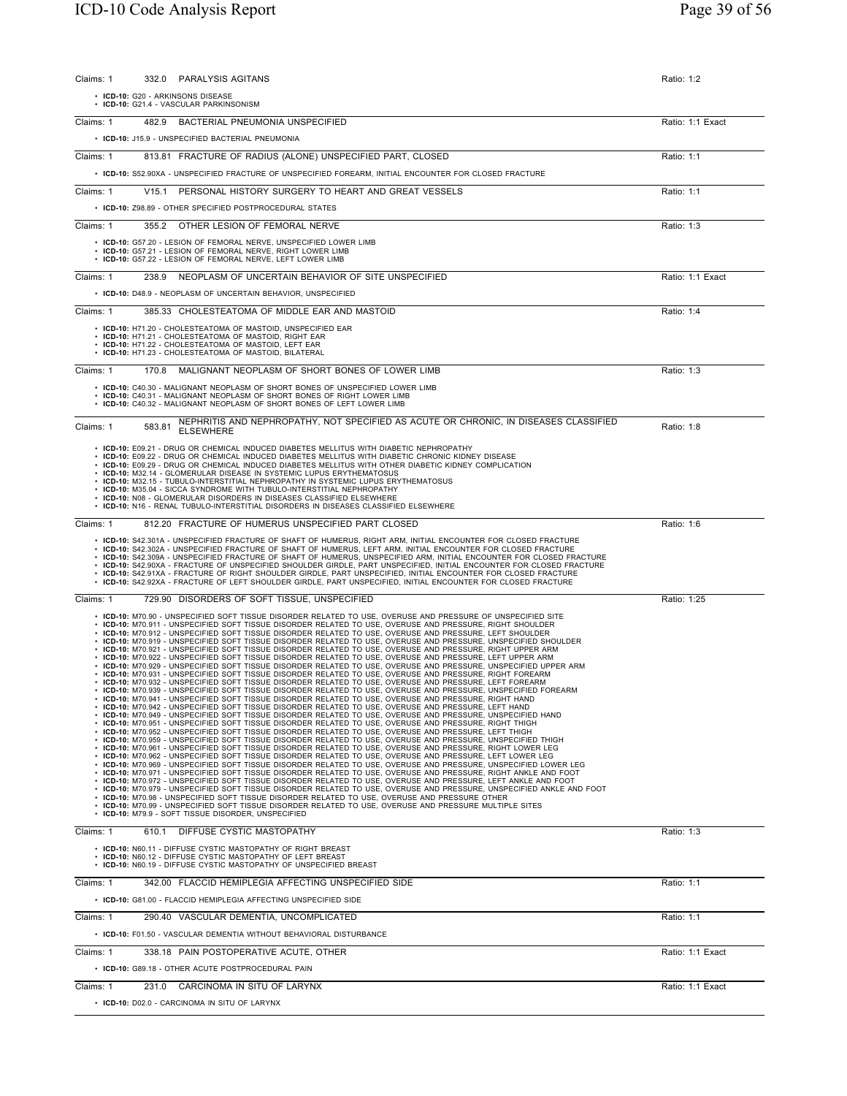| 332.0 PARALYSIS AGITANS<br>Claims: 1                                                                                                                                                                                                                                                                                                                                                                                                                                                                                                                                                                                                                                                                                                                                                                                                                                                                                                                                                                                                                                                                                                                                                                                                                                                                                                                                                                                                                                                                                                                                                                                                                                                                                                                                                                                                                                                                                                                                                                                                                                                                                                                                                                                                                                                                                                                                                                                                                                                                                                                                                                                                                                                                                                                                                                 | Ratio: 1:2       |
|------------------------------------------------------------------------------------------------------------------------------------------------------------------------------------------------------------------------------------------------------------------------------------------------------------------------------------------------------------------------------------------------------------------------------------------------------------------------------------------------------------------------------------------------------------------------------------------------------------------------------------------------------------------------------------------------------------------------------------------------------------------------------------------------------------------------------------------------------------------------------------------------------------------------------------------------------------------------------------------------------------------------------------------------------------------------------------------------------------------------------------------------------------------------------------------------------------------------------------------------------------------------------------------------------------------------------------------------------------------------------------------------------------------------------------------------------------------------------------------------------------------------------------------------------------------------------------------------------------------------------------------------------------------------------------------------------------------------------------------------------------------------------------------------------------------------------------------------------------------------------------------------------------------------------------------------------------------------------------------------------------------------------------------------------------------------------------------------------------------------------------------------------------------------------------------------------------------------------------------------------------------------------------------------------------------------------------------------------------------------------------------------------------------------------------------------------------------------------------------------------------------------------------------------------------------------------------------------------------------------------------------------------------------------------------------------------------------------------------------------------------------------------------------------------|------------------|
| • ICD-10: G20 - ARKINSONS DISEASE<br>· ICD-10: G21.4 - VASCULAR PARKINSONISM                                                                                                                                                                                                                                                                                                                                                                                                                                                                                                                                                                                                                                                                                                                                                                                                                                                                                                                                                                                                                                                                                                                                                                                                                                                                                                                                                                                                                                                                                                                                                                                                                                                                                                                                                                                                                                                                                                                                                                                                                                                                                                                                                                                                                                                                                                                                                                                                                                                                                                                                                                                                                                                                                                                         |                  |
| BACTERIAL PNEUMONIA UNSPECIFIED<br>Claims: 1<br>482.9                                                                                                                                                                                                                                                                                                                                                                                                                                                                                                                                                                                                                                                                                                                                                                                                                                                                                                                                                                                                                                                                                                                                                                                                                                                                                                                                                                                                                                                                                                                                                                                                                                                                                                                                                                                                                                                                                                                                                                                                                                                                                                                                                                                                                                                                                                                                                                                                                                                                                                                                                                                                                                                                                                                                                | Ratio: 1:1 Exact |
| • ICD-10: J15.9 - UNSPECIFIED BACTERIAL PNEUMONIA                                                                                                                                                                                                                                                                                                                                                                                                                                                                                                                                                                                                                                                                                                                                                                                                                                                                                                                                                                                                                                                                                                                                                                                                                                                                                                                                                                                                                                                                                                                                                                                                                                                                                                                                                                                                                                                                                                                                                                                                                                                                                                                                                                                                                                                                                                                                                                                                                                                                                                                                                                                                                                                                                                                                                    |                  |
| 813.81 FRACTURE OF RADIUS (ALONE) UNSPECIFIED PART, CLOSED<br>Claims: 1                                                                                                                                                                                                                                                                                                                                                                                                                                                                                                                                                                                                                                                                                                                                                                                                                                                                                                                                                                                                                                                                                                                                                                                                                                                                                                                                                                                                                                                                                                                                                                                                                                                                                                                                                                                                                                                                                                                                                                                                                                                                                                                                                                                                                                                                                                                                                                                                                                                                                                                                                                                                                                                                                                                              | Ratio: 1:1       |
| • ICD-10: S52.90XA - UNSPECIFIED FRACTURE OF UNSPECIFIED FOREARM, INITIAL ENCOUNTER FOR CLOSED FRACTURE                                                                                                                                                                                                                                                                                                                                                                                                                                                                                                                                                                                                                                                                                                                                                                                                                                                                                                                                                                                                                                                                                                                                                                                                                                                                                                                                                                                                                                                                                                                                                                                                                                                                                                                                                                                                                                                                                                                                                                                                                                                                                                                                                                                                                                                                                                                                                                                                                                                                                                                                                                                                                                                                                              |                  |
| Claims: 1<br>V15.1 PERSONAL HISTORY SURGERY TO HEART AND GREAT VESSELS                                                                                                                                                                                                                                                                                                                                                                                                                                                                                                                                                                                                                                                                                                                                                                                                                                                                                                                                                                                                                                                                                                                                                                                                                                                                                                                                                                                                                                                                                                                                                                                                                                                                                                                                                                                                                                                                                                                                                                                                                                                                                                                                                                                                                                                                                                                                                                                                                                                                                                                                                                                                                                                                                                                               | Ratio: 1:1       |
| • ICD-10: Z98.89 - OTHER SPECIFIED POSTPROCEDURAL STATES                                                                                                                                                                                                                                                                                                                                                                                                                                                                                                                                                                                                                                                                                                                                                                                                                                                                                                                                                                                                                                                                                                                                                                                                                                                                                                                                                                                                                                                                                                                                                                                                                                                                                                                                                                                                                                                                                                                                                                                                                                                                                                                                                                                                                                                                                                                                                                                                                                                                                                                                                                                                                                                                                                                                             |                  |
| Claims: 1<br>355.2 OTHER LESION OF FEMORAL NERVE                                                                                                                                                                                                                                                                                                                                                                                                                                                                                                                                                                                                                                                                                                                                                                                                                                                                                                                                                                                                                                                                                                                                                                                                                                                                                                                                                                                                                                                                                                                                                                                                                                                                                                                                                                                                                                                                                                                                                                                                                                                                                                                                                                                                                                                                                                                                                                                                                                                                                                                                                                                                                                                                                                                                                     | Ratio: 1:3       |
| • ICD-10: G57.20 - LESION OF FEMORAL NERVE, UNSPECIFIED LOWER LIMB<br>. ICD-10: G57.21 - LESION OF FEMORAL NERVE, RIGHT LOWER LIMB<br>• ICD-10: G57.22 - LESION OF FEMORAL NERVE, LEFT LOWER LIMB                                                                                                                                                                                                                                                                                                                                                                                                                                                                                                                                                                                                                                                                                                                                                                                                                                                                                                                                                                                                                                                                                                                                                                                                                                                                                                                                                                                                                                                                                                                                                                                                                                                                                                                                                                                                                                                                                                                                                                                                                                                                                                                                                                                                                                                                                                                                                                                                                                                                                                                                                                                                    |                  |
| NEOPLASM OF UNCERTAIN BEHAVIOR OF SITE UNSPECIFIED<br>Claims: 1<br>238.9                                                                                                                                                                                                                                                                                                                                                                                                                                                                                                                                                                                                                                                                                                                                                                                                                                                                                                                                                                                                                                                                                                                                                                                                                                                                                                                                                                                                                                                                                                                                                                                                                                                                                                                                                                                                                                                                                                                                                                                                                                                                                                                                                                                                                                                                                                                                                                                                                                                                                                                                                                                                                                                                                                                             | Ratio: 1:1 Exact |
| • ICD-10: D48.9 - NEOPLASM OF UNCERTAIN BEHAVIOR, UNSPECIFIED                                                                                                                                                                                                                                                                                                                                                                                                                                                                                                                                                                                                                                                                                                                                                                                                                                                                                                                                                                                                                                                                                                                                                                                                                                                                                                                                                                                                                                                                                                                                                                                                                                                                                                                                                                                                                                                                                                                                                                                                                                                                                                                                                                                                                                                                                                                                                                                                                                                                                                                                                                                                                                                                                                                                        |                  |
| 385.33 CHOLESTEATOMA OF MIDDLE EAR AND MASTOID<br>Claims: 1                                                                                                                                                                                                                                                                                                                                                                                                                                                                                                                                                                                                                                                                                                                                                                                                                                                                                                                                                                                                                                                                                                                                                                                                                                                                                                                                                                                                                                                                                                                                                                                                                                                                                                                                                                                                                                                                                                                                                                                                                                                                                                                                                                                                                                                                                                                                                                                                                                                                                                                                                                                                                                                                                                                                          | Ratio: 1:4       |
| • ICD-10: H71.20 - CHOLESTEATOMA OF MASTOID, UNSPECIFIED EAR<br>• ICD-10: H71.21 - CHOLESTEATOMA OF MASTOID, RIGHT EAR<br>• ICD-10: H71.22 - CHOLESTEATOMA OF MASTOID, LEFT EAR<br>• ICD-10: H71.23 - CHOLESTEATOMA OF MASTOID. BILATERAL                                                                                                                                                                                                                                                                                                                                                                                                                                                                                                                                                                                                                                                                                                                                                                                                                                                                                                                                                                                                                                                                                                                                                                                                                                                                                                                                                                                                                                                                                                                                                                                                                                                                                                                                                                                                                                                                                                                                                                                                                                                                                                                                                                                                                                                                                                                                                                                                                                                                                                                                                            |                  |
| MALIGNANT NEOPLASM OF SHORT BONES OF LOWER LIMB<br>Claims: 1<br>170.8                                                                                                                                                                                                                                                                                                                                                                                                                                                                                                                                                                                                                                                                                                                                                                                                                                                                                                                                                                                                                                                                                                                                                                                                                                                                                                                                                                                                                                                                                                                                                                                                                                                                                                                                                                                                                                                                                                                                                                                                                                                                                                                                                                                                                                                                                                                                                                                                                                                                                                                                                                                                                                                                                                                                | Ratio: 1:3       |
| • ICD-10: C40.30 - MALIGNANT NEOPLASM OF SHORT BONES OF UNSPECIFIED LOWER LIMB<br>• ICD-10: C40.31 - MALIGNANT NEOPLASM OF SHORT BONES OF RIGHT LOWER LIMB<br>• ICD-10: C40.32 - MALIGNANT NEOPLASM OF SHORT BONES OF LEFT LOWER LIMB                                                                                                                                                                                                                                                                                                                                                                                                                                                                                                                                                                                                                                                                                                                                                                                                                                                                                                                                                                                                                                                                                                                                                                                                                                                                                                                                                                                                                                                                                                                                                                                                                                                                                                                                                                                                                                                                                                                                                                                                                                                                                                                                                                                                                                                                                                                                                                                                                                                                                                                                                                |                  |
| NEPHRITIS AND NEPHROPATHY, NOT SPECIFIED AS ACUTE OR CHRONIC, IN DISEASES CLASSIFIED<br>583.81<br>Claims: 1<br><b>ELSEWHERE</b>                                                                                                                                                                                                                                                                                                                                                                                                                                                                                                                                                                                                                                                                                                                                                                                                                                                                                                                                                                                                                                                                                                                                                                                                                                                                                                                                                                                                                                                                                                                                                                                                                                                                                                                                                                                                                                                                                                                                                                                                                                                                                                                                                                                                                                                                                                                                                                                                                                                                                                                                                                                                                                                                      | Ratio: 1:8       |
| • ICD-10: E09.21 - DRUG OR CHEMICAL INDUCED DIABETES MELLITUS WITH DIABETIC NEPHROPATHY<br>• ICD-10: E09.22 - DRUG OR CHEMICAL INDUCED DIABETES MELLITUS WITH DIABETIC CHRONIC KIDNEY DISEASE<br>• ICD-10: E09.29 - DRUG OR CHEMICAL INDUCED DIABETES MELLITUS WITH OTHER DIABETIC KIDNEY COMPLICATION<br>• ICD-10: M32.14 - GLOMERULAR DISEASE IN SYSTEMIC LUPUS ERYTHEMATOSUS<br>• ICD-10: M32.15 - TUBULO-INTERSTITIAL NEPHROPATHY IN SYSTEMIC LUPUS ERYTHEMATOSUS<br>• ICD-10: M35.04 - SICCA SYNDROME WITH TUBULO-INTERSTITIAL NEPHROPATHY<br>• ICD-10: N08 - GLOMERULAR DISORDERS IN DISEASES CLASSIFIED ELSEWHERE<br>• ICD-10: N16 - RENAL TUBULO-INTERSTITIAL DISORDERS IN DISEASES CLASSIFIED ELSEWHERE                                                                                                                                                                                                                                                                                                                                                                                                                                                                                                                                                                                                                                                                                                                                                                                                                                                                                                                                                                                                                                                                                                                                                                                                                                                                                                                                                                                                                                                                                                                                                                                                                                                                                                                                                                                                                                                                                                                                                                                                                                                                                     |                  |
| Claims: 1<br>812.20 FRACTURE OF HUMERUS UNSPECIFIED PART CLOSED                                                                                                                                                                                                                                                                                                                                                                                                                                                                                                                                                                                                                                                                                                                                                                                                                                                                                                                                                                                                                                                                                                                                                                                                                                                                                                                                                                                                                                                                                                                                                                                                                                                                                                                                                                                                                                                                                                                                                                                                                                                                                                                                                                                                                                                                                                                                                                                                                                                                                                                                                                                                                                                                                                                                      | Ratio: 1:6       |
| • ICD-10: S42.301A - UNSPECIFIED FRACTURE OF SHAFT OF HUMERUS, RIGHT ARM, INITIAL ENCOUNTER FOR CLOSED FRACTURE<br>. ICD-10: S42.302A - UNSPECIFIED FRACTURE OF SHAFT OF HUMERUS, LEFT ARM, INITIAL ENCOUNTER FOR CLOSED FRACTURE<br>· ICD-10: S42.309A - UNSPECIFIED FRACTURE OF SHAFT OF HUMERUS, UNSPECIFIED ARM, INITIAL ENCOUNTER FOR CLOSED FRACTURE<br>· ICD-10: S42.90XA - FRACTURE OF UNSPECIFIED SHOULDER GIRDLE, PART UNSPECIFIED, INITIAL ENCOUNTER FOR CLOSED FRACTURE<br>. ICD-10: S42.91XA - FRACTURE OF RIGHT SHOULDER GIRDLE, PART UNSPECIFIED, INITIAL ENCOUNTER FOR CLOSED FRACTURE<br>· ICD-10: S42.92XA - FRACTURE OF LEFT SHOULDER GIRDLE, PART UNSPECIFIED, INITIAL ENCOUNTER FOR CLOSED FRACTURE                                                                                                                                                                                                                                                                                                                                                                                                                                                                                                                                                                                                                                                                                                                                                                                                                                                                                                                                                                                                                                                                                                                                                                                                                                                                                                                                                                                                                                                                                                                                                                                                                                                                                                                                                                                                                                                                                                                                                                                                                                                                             |                  |
| Claims: 1<br>729.90 DISORDERS OF SOFT TISSUE, UNSPECIFIED                                                                                                                                                                                                                                                                                                                                                                                                                                                                                                                                                                                                                                                                                                                                                                                                                                                                                                                                                                                                                                                                                                                                                                                                                                                                                                                                                                                                                                                                                                                                                                                                                                                                                                                                                                                                                                                                                                                                                                                                                                                                                                                                                                                                                                                                                                                                                                                                                                                                                                                                                                                                                                                                                                                                            | Ratio: 1:25      |
| . ICD-10: M70.90 - UNSPECIFIED SOFT TISSUE DISORDER RELATED TO USE, OVERUSE AND PRESSURE OF UNSPECIFIED SITE<br>• ICD-10: M70.911 - UNSPECIFIED SOFT TISSUE DISORDER RELATED TO USE, OVERUSE AND PRESSURE, RIGHT SHOULDER<br>. ICD-10: M70.912 - UNSPECIFIED SOFT TISSUE DISORDER RELATED TO USE, OVERUSE AND PRESSURE, LEFT SHOULDER<br>· ICD-10: M70.919 - UNSPECIFIED SOFT TISSUE DISORDER RELATED TO USE, OVERUSE AND PRESSURE. UNSPECIFIED SHOULDER<br>• ICD-10: M70.921 - UNSPECIFIED SOFT TISSUE DISORDER RELATED TO USE, OVERUSE AND PRESSURE, RIGHT UPPER ARM<br>• ICD-10: M70.922 - UNSPECIFIED SOFT TISSUE DISORDER RELATED TO USE, OVERUSE AND PRESSURE, LEFT UPPER ARM<br>· ICD-10: M70.929 - UNSPECIFIED SOFT TISSUE DISORDER RELATED TO USE, OVERUSE AND PRESSURE, UNSPECIFIED UPPER ARM<br>. ICD-10: M70.931 - UNSPECIFIED SOFT TISSUE DISORDER RELATED TO USE, OVERUSE AND PRESSURE, RIGHT FOREARM<br>. ICD-10: M70.932 - UNSPECIFIED SOFT TISSUE DISORDER RELATED TO USE, OVERUSE AND PRESSURE, LEFT FOREARM<br>· ICD-10: M70.939 - UNSPECIFIED SOFT TISSUE DISORDER RELATED TO USE, OVERUSE AND PRESSURE, UNSPECIFIED FOREARM<br>• ICD-10: M70.941 - UNSPECIFIED SOFT TISSUE DISORDER RELATED TO USE, OVERUSE AND PRESSURE, RIGHT HAND<br>• ICD-10: M70.942 - UNSPECIFIED SOFT TISSUE DISORDER RELATED TO USE, OVERUSE AND PRESSURE, LEFT HAND<br>· ICD-10: M70.949 - UNSPECIFIED SOFT TISSUE DISORDER RELATED TO USE, OVERUSE AND PRESSURE, UNSPECIFIED HAND<br>. ICD-10: M70.951 - UNSPECIFIED SOFT TISSUE DISORDER RELATED TO USE, OVERUSE AND PRESSURE, RIGHT THIGH<br>. ICD-10: M70.952 - UNSPECIFIED SOFT TISSUE DISORDER RELATED TO USE, OVERUSE AND PRESSURE, LEFT THIGH<br>. ICD-10: M70.959 - UNSPECIFIED SOFT TISSUE DISORDER RELATED TO USE, OVERUSE AND PRESSURE, UNSPECIFIED THIGH<br>. ICD-10: M70.961 - UNSPECIFIED SOFT TISSUE DISORDER RELATED TO USE, OVERUSE AND PRESSURE, RIGHT LOWER LEG<br>. ICD-10: M70.962 - UNSPECIFIED SOFT TISSUE DISORDER RELATED TO USE, OVERUSE AND PRESSURE, LEFT LOWER LEG<br>· ICD-10: M70.969 - UNSPECIFIED SOFT TISSUE DISORDER RELATED TO USE, OVERUSE AND PRESSURE, UNSPECIFIED LOWER LEG<br>. ICD-10: M70.971 - UNSPECIFIED SOFT TISSUE DISORDER RELATED TO USE, OVERUSE AND PRESSURE, RIGHT ANKLE AND FOOT<br>. ICD-10: M70.972 - UNSPECIFIED SOFT TISSUE DISORDER RELATED TO USE, OVERUSE AND PRESSURE, LEFT ANKLE AND FOOT<br>. ICD-10: M70.979 - UNSPECIFIED SOFT TISSUE DISORDER RELATED TO USE, OVERUSE AND PRESSURE, UNSPECIFIED ANKLE AND FOOT<br>• ICD-10: M70.98 - UNSPECIFIED SOFT TISSUE DISORDER RELATED TO USE, OVERUSE AND PRESSURE OTHER<br>• ICD-10: M70.99 - UNSPECIFIED SOFT TISSUE DISORDER RELATED TO USE, OVERUSE AND PRESSURE MULTIPLE SITES<br>• ICD-10: M79.9 - SOFT TISSUE DISORDER, UNSPECIFIED |                  |
| Claims: 1<br>DIFFUSE CYSTIC MASTOPATHY<br>610.1                                                                                                                                                                                                                                                                                                                                                                                                                                                                                                                                                                                                                                                                                                                                                                                                                                                                                                                                                                                                                                                                                                                                                                                                                                                                                                                                                                                                                                                                                                                                                                                                                                                                                                                                                                                                                                                                                                                                                                                                                                                                                                                                                                                                                                                                                                                                                                                                                                                                                                                                                                                                                                                                                                                                                      | Ratio: 1:3       |
| • ICD-10: N60.11 - DIFFUSE CYSTIC MASTOPATHY OF RIGHT BREAST<br>• ICD-10: N60.12 - DIFFUSE CYSTIC MASTOPATHY OF LEFT BREAST<br>• ICD-10: N60.19 - DIFFUSE CYSTIC MASTOPATHY OF UNSPECIFIED BREAST                                                                                                                                                                                                                                                                                                                                                                                                                                                                                                                                                                                                                                                                                                                                                                                                                                                                                                                                                                                                                                                                                                                                                                                                                                                                                                                                                                                                                                                                                                                                                                                                                                                                                                                                                                                                                                                                                                                                                                                                                                                                                                                                                                                                                                                                                                                                                                                                                                                                                                                                                                                                    |                  |
| Claims: 1<br>342.00 FLACCID HEMIPLEGIA AFFECTING UNSPECIFIED SIDE                                                                                                                                                                                                                                                                                                                                                                                                                                                                                                                                                                                                                                                                                                                                                                                                                                                                                                                                                                                                                                                                                                                                                                                                                                                                                                                                                                                                                                                                                                                                                                                                                                                                                                                                                                                                                                                                                                                                                                                                                                                                                                                                                                                                                                                                                                                                                                                                                                                                                                                                                                                                                                                                                                                                    | Ratio: 1:1       |
| • ICD-10: G81.00 - FLACCID HEMIPLEGIA AFFECTING UNSPECIFIED SIDE                                                                                                                                                                                                                                                                                                                                                                                                                                                                                                                                                                                                                                                                                                                                                                                                                                                                                                                                                                                                                                                                                                                                                                                                                                                                                                                                                                                                                                                                                                                                                                                                                                                                                                                                                                                                                                                                                                                                                                                                                                                                                                                                                                                                                                                                                                                                                                                                                                                                                                                                                                                                                                                                                                                                     |                  |
| Claims: 1<br>290.40 VASCULAR DEMENTIA, UNCOMPLICATED                                                                                                                                                                                                                                                                                                                                                                                                                                                                                                                                                                                                                                                                                                                                                                                                                                                                                                                                                                                                                                                                                                                                                                                                                                                                                                                                                                                                                                                                                                                                                                                                                                                                                                                                                                                                                                                                                                                                                                                                                                                                                                                                                                                                                                                                                                                                                                                                                                                                                                                                                                                                                                                                                                                                                 | Ratio: 1:1       |
| • ICD-10: F01.50 - VASCULAR DEMENTIA WITHOUT BEHAVIORAL DISTURBANCE                                                                                                                                                                                                                                                                                                                                                                                                                                                                                                                                                                                                                                                                                                                                                                                                                                                                                                                                                                                                                                                                                                                                                                                                                                                                                                                                                                                                                                                                                                                                                                                                                                                                                                                                                                                                                                                                                                                                                                                                                                                                                                                                                                                                                                                                                                                                                                                                                                                                                                                                                                                                                                                                                                                                  |                  |
| Claims: 1<br>338.18 PAIN POSTOPERATIVE ACUTE, OTHER                                                                                                                                                                                                                                                                                                                                                                                                                                                                                                                                                                                                                                                                                                                                                                                                                                                                                                                                                                                                                                                                                                                                                                                                                                                                                                                                                                                                                                                                                                                                                                                                                                                                                                                                                                                                                                                                                                                                                                                                                                                                                                                                                                                                                                                                                                                                                                                                                                                                                                                                                                                                                                                                                                                                                  | Ratio: 1:1 Exact |
| • ICD-10: G89.18 - OTHER ACUTE POSTPROCEDURAL PAIN                                                                                                                                                                                                                                                                                                                                                                                                                                                                                                                                                                                                                                                                                                                                                                                                                                                                                                                                                                                                                                                                                                                                                                                                                                                                                                                                                                                                                                                                                                                                                                                                                                                                                                                                                                                                                                                                                                                                                                                                                                                                                                                                                                                                                                                                                                                                                                                                                                                                                                                                                                                                                                                                                                                                                   |                  |
| Claims: 1<br>231.0 CARCINOMA IN SITU OF LARYNX                                                                                                                                                                                                                                                                                                                                                                                                                                                                                                                                                                                                                                                                                                                                                                                                                                                                                                                                                                                                                                                                                                                                                                                                                                                                                                                                                                                                                                                                                                                                                                                                                                                                                                                                                                                                                                                                                                                                                                                                                                                                                                                                                                                                                                                                                                                                                                                                                                                                                                                                                                                                                                                                                                                                                       | Ratio: 1:1 Exact |
| • ICD-10: D02.0 - CARCINOMA IN SITU OF LARYNX                                                                                                                                                                                                                                                                                                                                                                                                                                                                                                                                                                                                                                                                                                                                                                                                                                                                                                                                                                                                                                                                                                                                                                                                                                                                                                                                                                                                                                                                                                                                                                                                                                                                                                                                                                                                                                                                                                                                                                                                                                                                                                                                                                                                                                                                                                                                                                                                                                                                                                                                                                                                                                                                                                                                                        |                  |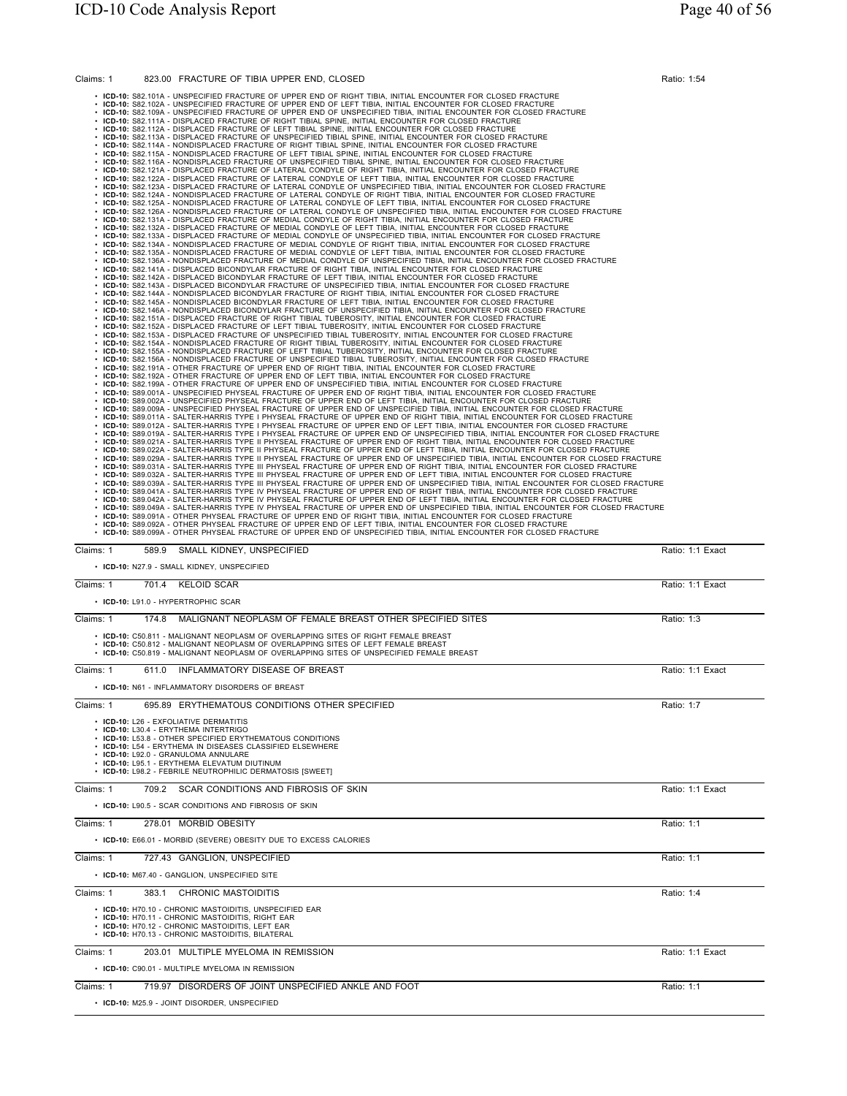| Claims: 1 | 823.00 FRACTURE OF TIBIA UPPER END, CLOSED                                                                                                                                                                                                                                                                                                                                | Ratio: 1:54      |
|-----------|---------------------------------------------------------------------------------------------------------------------------------------------------------------------------------------------------------------------------------------------------------------------------------------------------------------------------------------------------------------------------|------------------|
|           | • ICD-10: S82.101A - UNSPECIFIED FRACTURE OF UPPER END OF RIGHT TIBIA, INITIAL ENCOUNTER FOR CLOSED FRACTURE<br>ICD-10: S82.102A - UNSPECIFIED FRACTURE OF UPPER END OF LEFT TIBIA, INITIAL ENCOUNTER FOR CLOSED FRACTURE                                                                                                                                                 |                  |
|           | ICD-10: S82.109A - UNSPECIFIED FRACTURE OF UPPER END OF UNSPECIFIED TIBIA, INITIAL ENCOUNTER FOR CLOSED FRACTURE<br>ICD-10: S82.111A - DISPLACED FRACTURE OF RIGHT TIBIAL SPINE, INITIAL ENCOUNTER FOR CLOSED FRACTURE                                                                                                                                                    |                  |
|           | ICD-10: S82.112A - DISPLACED FRACTURE OF LEFT TIBIAL SPINE, INITIAL ENCOUNTER FOR CLOSED FRACTURE<br>ICD-10: S82.113A - DISPLACED FRACTURE OF UNSPECIFIED TIBIAL SPINE, INITIAL ENCOUNTER FOR CLOSED FRACTURE                                                                                                                                                             |                  |
|           | ICD-10: S82.114A - NONDISPLACED FRACTURE OF RIGHT TIBIAL SPINE, INITIAL ENCOUNTER FOR CLOSED FRACTURE<br>ICD-10: S82.115A - NONDISPLACED FRACTURE OF LEFT TIBIAL SPINE, INITIAL ENCOUNTER FOR CLOSED FRACTURE                                                                                                                                                             |                  |
|           | ICD-10: S82.116A - NONDISPLACED FRACTURE OF UNSPECIFIED TIBIAL SPINE, INITIAL ENCOUNTER FOR CLOSED FRACTURE<br>ICD-10: S82.121A - DISPLACED FRACTURE OF LATERAL CONDYLE OF RIGHT TIBIA, INITIAL ENCOUNTER FOR CLOSED FRACTURE<br>ICD-10: S82.122A - DISPLACED FRACTURE OF LATERAL CONDYLE OF LEFT TIBIA, INITIAL ENCOUNTER FOR CLOSED FRACTURE                            |                  |
|           | ICD-10: S82.123A - DISPLACED FRACTURE OF LATERAL CONDYLE OF UNSPECIFIED TIBIA, INITIAL ENCOUNTER FOR CLOSED FRACTURE<br>ICD-10: S82.124A - NONDISPLACED FRACTURE OF LATERAL CONDYLE OF RIGHT TIBIA, INITIAL ENCOUNTER FOR CLOSED FRACTURE                                                                                                                                 |                  |
|           | ICD-10: S82.125A - NONDISPLACED FRACTURE OF LATERAL CONDYLE OF LEFT TIBIA, INITIAL ENCOUNTER FOR CLOSED FRACTURE<br>ICD-10: S82.126A - NONDISPLACED FRACTURE OF LATERAL CONDYLE OF UNSPECIFIED TIBIA, INITIAL ENCOUNTER FOR CLOSED FRACTURE                                                                                                                               |                  |
|           | ICD-10: S82.131A - DISPLACED FRACTURE OF MEDIAL CONDYLE OF RIGHT TIBIA, INITIAL ENCOUNTER FOR CLOSED FRACTURE<br>ICD-10: S82.132A - DISPLACED FRACTURE OF MEDIAL CONDYLE OF LEFT TIBIA, INITIAL ENCOUNTER FOR CLOSED FRACTURE                                                                                                                                             |                  |
|           | · ICD-10: S82.133A - DISPLACED FRACTURE OF MEDIAL CONDYLE OF UNSPECIFIED TIBIA, INITIAL ENCOUNTER FOR CLOSED FRACTURE<br>· ICD-10: S82.134A - NONDISPLACED FRACTURE OF MEDIAL CONDYLE OF RIGHT TIBIA, INITIAL ENCOUNTER FOR CLOSED FRACTURE                                                                                                                               |                  |
|           | · ICD-10: S82.135A - NONDISPLACED FRACTURE OF MEDIAL CONDYLE OF LEFT TIBIA, INITIAL ENCOUNTER FOR CLOSED FRACTURE<br>· ICD-10: S82.136A - NONDISPLACED FRACTURE OF MEDIAL CONDYLE OF UNSPECIFIED TIBIA, INITIAL ENCOUNTER FOR CLOSED FRACTURE                                                                                                                             |                  |
|           | · ICD-10: S82.141A - DISPLACED BICONDYLAR FRACTURE OF RIGHT TIBIA, INITIAL ENCOUNTER FOR CLOSED FRACTURE<br>· ICD-10: S82.142A - DISPLACED BICONDYLAR FRACTURE OF LEFT TIBIA, INITIAL ENCOUNTER FOR CLOSED FRACTURE<br>· ICD-10: S82.143A - DISPLACED BICONDYLAR FRACTURE OF UNSPECIFIED TIBIA, INITIAL ENCOUNTER FOR CLOSED FRACTURE                                     |                  |
|           | · ICD-10: S82.144A - NONDISPLACED BICONDYLAR FRACTURE OF RIGHT TIBIA, INITIAL ENCOUNTER FOR CLOSED FRACTURE<br>· ICD-10: S82.145A - NONDISPLACED BICONDYLAR FRACTURE OF LEFT TIBIA, INITIAL ENCOUNTER FOR CLOSED FRACTURE                                                                                                                                                 |                  |
|           | ICD-10: S82.146A - NONDISPLACED BICONDYLAR FRACTURE OF UNSPECIFIED TIBIA, INITIAL ENCOUNTER FOR CLOSED FRACTURE<br>· ICD-10: S82.151A - DISPLACED FRACTURE OF RIGHT TIBIAL TUBEROSITY, INITIAL ENCOUNTER FOR CLOSED FRACTURE                                                                                                                                              |                  |
|           | · ICD-10: S82.152A - DISPLACED FRACTURE OF LEFT TIBIAL TUBEROSITY, INITIAL ENCOUNTER FOR CLOSED FRACTURE<br>· ICD-10: S82.153A - DISPLACED FRACTURE OF UNSPECIFIED TIBIAL TUBEROSITY, INITIAL ENCOUNTER FOR CLOSED FRACTURE                                                                                                                                               |                  |
|           | . ICD-10: S82.154A - NONDISPLACED FRACTURE OF RIGHT TIBIAL TUBEROSITY, INITIAL ENCOUNTER FOR CLOSED FRACTURE<br>ICD-10: S82.155A - NONDISPLACED FRACTURE OF LEFT TIBIAL TUBEROSITY, INITIAL ENCOUNTER FOR CLOSED FRACTURE                                                                                                                                                 |                  |
|           | . ICD-10: S82.156A - NONDISPLACED FRACTURE OF UNSPECIFIED TIBIAL TUBEROSITY, INITIAL ENCOUNTER FOR CLOSED FRACTURE<br>• ICD-10: S82.191A - OTHER FRACTURE OF UPPER END OF RIGHT TIBIA, INITIAL ENCOUNTER FOR CLOSED FRACTURE                                                                                                                                              |                  |
|           | • ICD-10: S82.192A - OTHER FRACTURE OF UPPER END OF LEFT TIBIA, INITIAL ENCOUNTER FOR CLOSED FRACTURE<br>• ICD-10: S82.199A - OTHER FRACTURE OF UPPER END OF UNSPECIFIED TIBIA, INITIAL ENCOUNTER FOR CLOSED FRACTURE                                                                                                                                                     |                  |
|           | . ICD-10: S89.001A - UNSPECIFIED PHYSEAL FRACTURE OF UPPER END OF RIGHT TIBIA, INITIAL ENCOUNTER FOR CLOSED FRACTURE<br>· ICD-10: S89.002A - UNSPECIFIED PHYSEAL FRACTURE OF UPPER END OF LEFT TIBIA, INITIAL ENCOUNTER FOR CLOSED FRACTURE<br>· ICD-10: S89.009A - UNSPECIFIED PHYSEAL FRACTURE OF UPPER END OF UNSPECIFIED TIBIA, INITIAL ENCOUNTER FOR CLOSED FRACTURE |                  |
|           | • ICD-10: S89.011A - SALTER-HARRIS TYPE I PHYSEAL FRACTURE OF UPPER END OF RIGHT TIBIA, INITIAL ENCOUNTER FOR CLOSED FRACTURE<br>· ICD-10: S89.012A - SALTER-HARRIS TYPE I PHYSEAL FRACTURE OF UPPER END OF LEFT TIBIA, INITIAL ENCOUNTER FOR CLOSED FRACTURE                                                                                                             |                  |
|           | · ICD-10: S89.019A - SALTER-HARRIS TYPE I PHYSEAL FRACTURE OF UPPER END OF UNSPECIFIED TIBIA, INITIAL ENCOUNTER FOR CLOSED FRACTURE<br>· ICD-10: S89.021A - SALTER-HARRIS TYPE II PHYSEAL FRACTURE OF UPPER END OF RIGHT TIBIA, INITIAL ENCOUNTER FOR CLOSED FRACTURE                                                                                                     |                  |
|           | · ICD-10: S89.022A - SALTER-HARRIS TYPE II PHYSEAL FRACTURE OF UPPER END OF LEFT TIBIA, INITIAL ENCOUNTER FOR CLOSED FRACTURE<br>· ICD-10: S89.029A - SALTER-HARRIS TYPE II PHYSEAL FRACTURE OF UPPER END OF UNSPECIFIED TIBIA, INITIAL ENCOUNTER FOR CLOSED FRACTURE                                                                                                     |                  |
|           | ICD-10: S89.031A - SALTER-HARRIS TYPE III PHYSEAL FRACTURE OF UPPER END OF RIGHT TIBIA, INITIAL ENCOUNTER FOR CLOSED FRACTURE<br>· ICD-10: S89.032A - SALTER-HARRIS TYPE III PHYSEAL FRACTURE OF UPPER END OF LEFT TIBIA, INITIAL ENCOUNTER FOR CLOSED FRACTURE                                                                                                           |                  |
|           | · ICD-10: S89.039A - SALTER-HARRIS TYPE III PHYSEAL FRACTURE OF UPPER END OF UNSPECIFIED TIBIA, INITIAL ENCOUNTER FOR CLOSED FRACTURE<br>· ICD-10: S89.041A - SALTER-HARRIS TYPE IV PHYSEAL FRACTURE OF UPPER END OF RIGHT TIBIA, INITIAL ENCOUNTER FOR CLOSED FRACTURE                                                                                                   |                  |
| $\bullet$ | ICD-10: S89.042A - SALTER-HARRIS TYPE IV PHYSEAL FRACTURE OF UPPER END OF LEFT TIBIA, INITIAL ENCOUNTER FOR CLOSED FRACTURE<br>ICD-10: S89.049A - SALTER-HARRIS TYPE IV PHYSEAL FRACTURE OF UPPER END OF UNSPECIFIED TIBIA, INITIAL ENCOUNTER FOR CLOSED FRACTURE                                                                                                         |                  |
|           | . ICD-10: S89.091A - OTHER PHYSEAL FRACTURE OF UPPER END OF RIGHT TIBIA, INITIAL ENCOUNTER FOR CLOSED FRACTURE<br>. ICD-10: S89.092A - OTHER PHYSEAL FRACTURE OF UPPER END OF LEFT TIBIA, INITIAL ENCOUNTER FOR CLOSED FRACTURE<br>ICD-10: S89.099A - OTHER PHYSEAL FRACTURE OF UPPER END OF UNSPECIFIED TIBIA, INITIAL ENCOUNTER FOR CLOSED FRACTURE                     |                  |
|           |                                                                                                                                                                                                                                                                                                                                                                           |                  |
|           |                                                                                                                                                                                                                                                                                                                                                                           |                  |
| Claims: 1 | 589.9<br>SMALL KIDNEY, UNSPECIFIED<br>• ICD-10: N27.9 - SMALL KIDNEY, UNSPECIFIED                                                                                                                                                                                                                                                                                         | Ratio: 1:1 Exact |
| Claims: 1 | 701.4<br><b>KELOID SCAR</b>                                                                                                                                                                                                                                                                                                                                               | Ratio: 1:1 Exact |
|           | • ICD-10: L91.0 - HYPERTROPHIC SCAR                                                                                                                                                                                                                                                                                                                                       |                  |
| Claims: 1 | MALIGNANT NEOPLASM OF FEMALE BREAST OTHER SPECIFIED SITES<br>174.8                                                                                                                                                                                                                                                                                                        | Ratio: 1:3       |
|           | • ICD-10: C50.811 - MALIGNANT NEOPLASM OF OVERLAPPING SITES OF RIGHT FEMALE BREAST<br>ICD-10: C50.812 - MALIGNANT NEOPLASM OF OVERLAPPING SITES OF LEFT FEMALE BREAST<br>• ICD-10: C50.819 - MALIGNANT NEOPLASM OF OVERLAPPING SITES OF UNSPECIFIED FEMALE BREAST                                                                                                         |                  |
| Claims: 1 | INFLAMMATORY DISEASE OF BREAST<br>611.0                                                                                                                                                                                                                                                                                                                                   | Ratio: 1:1 Exact |
|           | ICD-10: N61 - INFLAMMATORY DISORDERS OF BREAST                                                                                                                                                                                                                                                                                                                            |                  |
| Claims: 1 | 695.89 ERYTHEMATOUS CONDITIONS OTHER SPECIFIED                                                                                                                                                                                                                                                                                                                            | Ratio: 1:7       |
|           | • ICD-10: L26 - EXFOLIATIVE DERMATITIS                                                                                                                                                                                                                                                                                                                                    |                  |
|           | · ICD-10: L30.4 - ERYTHEMA INTERTRIGO<br>• ICD-10: L53.8 - OTHER SPECIFIED ERYTHEMATOUS CONDITIONS                                                                                                                                                                                                                                                                        |                  |
|           | • ICD-10: L54 - ERYTHEMA IN DISEASES CLASSIFIED ELSEWHERE<br>• ICD-10: L92.0 - GRANULOMA ANNULARE                                                                                                                                                                                                                                                                         |                  |
|           | • ICD-10: L95.1 - ERYTHEMA ELEVATUM DIUTINUM<br>• ICD-10: L98.2 - FEBRILE NEUTROPHILIC DERMATOSIS [SWEET]                                                                                                                                                                                                                                                                 |                  |
| Claims: 1 | 709.2 SCAR CONDITIONS AND FIBROSIS OF SKIN<br>• ICD-10: L90.5 - SCAR CONDITIONS AND FIBROSIS OF SKIN                                                                                                                                                                                                                                                                      | Ratio: 1:1 Exact |
| Claims: 1 | 278.01 MORBID OBESITY                                                                                                                                                                                                                                                                                                                                                     | Ratio: 1:1       |
|           | • ICD-10: E66.01 - MORBID (SEVERE) OBESITY DUE TO EXCESS CALORIES                                                                                                                                                                                                                                                                                                         |                  |
| Claims: 1 | 727.43 GANGLION, UNSPECIFIED                                                                                                                                                                                                                                                                                                                                              | Ratio: 1:1       |
|           | • ICD-10: M67.40 - GANGLION, UNSPECIFIED SITE                                                                                                                                                                                                                                                                                                                             |                  |
| Claims: 1 | 383.1<br>CHRONIC MASTOIDITIS                                                                                                                                                                                                                                                                                                                                              | Ratio: 1:4       |
|           | • ICD-10: H70.10 - CHRONIC MASTOIDITIS, UNSPECIFIED EAR                                                                                                                                                                                                                                                                                                                   |                  |
|           | • ICD-10: H70.11 - CHRONIC MASTOIDITIS, RIGHT EAR<br>• ICD-10: H70.12 - CHRONIC MASTOIDITIS, LEFT EAR<br>• ICD-10: H70.13 - CHRONIC MASTOIDITIS, BILATERAL                                                                                                                                                                                                                |                  |
| Claims: 1 | 203.01 MULTIPLE MYELOMA IN REMISSION                                                                                                                                                                                                                                                                                                                                      | Ratio: 1:1 Exact |
|           | • ICD-10: C90.01 - MULTIPLE MYELOMA IN REMISSION                                                                                                                                                                                                                                                                                                                          |                  |
| Claims: 1 | 719.97 DISORDERS OF JOINT UNSPECIFIED ANKLE AND FOOT                                                                                                                                                                                                                                                                                                                      | Ratio: 1:1       |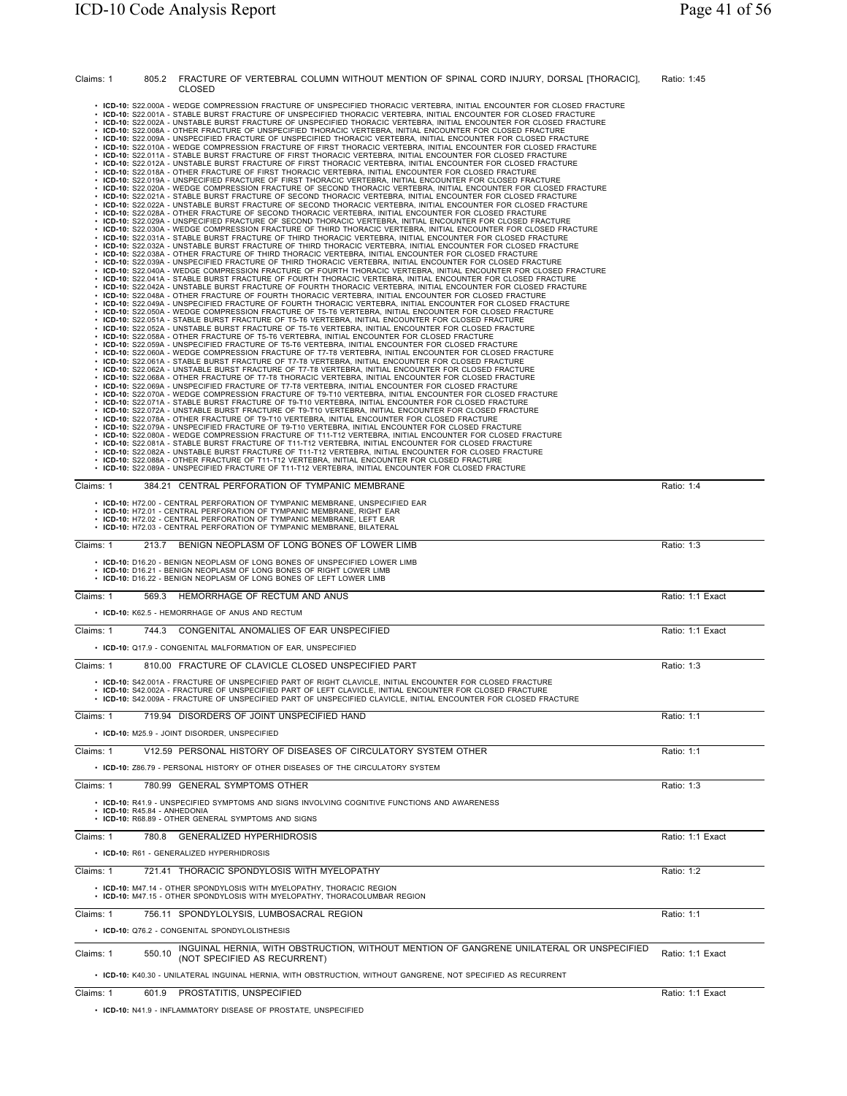| Claims: 1<br>805.2           | FRACTURE OF VERTEBRAL COLUMN WITHOUT MENTION OF SPINAL CORD INJURY, DORSAL [THORACIC],                                                                                                                                                                                                                                                                                                                                                                                                                                                                                                                                                                                                                                                                                                                                                                                                                                                                                                                                                                                                                                                                                                                                                                                                                                                                                                                                                                                                                                                                                                                                                                                                                                                                                                                                                                                                                                                                                                                                                                                                                                                                                                                                                                                                                                                                                                                                                                                                                                                                                                                                                                                                                                                                                                                                                                                                                                                                                                                                                                                                                                                                                                                                                                                                                                                                                                                                                                                                                                                                                                                                                                                                                                                                                                                                                                                                                                                                                                                                                                                                                                                                                                                                                                                                                                                                                                                                                                                                                                                                                                                                                                                                                                                                                                                                                                                                                                                                                                                                                                                        | Ratio: 1:45      |
|------------------------------|-------------------------------------------------------------------------------------------------------------------------------------------------------------------------------------------------------------------------------------------------------------------------------------------------------------------------------------------------------------------------------------------------------------------------------------------------------------------------------------------------------------------------------------------------------------------------------------------------------------------------------------------------------------------------------------------------------------------------------------------------------------------------------------------------------------------------------------------------------------------------------------------------------------------------------------------------------------------------------------------------------------------------------------------------------------------------------------------------------------------------------------------------------------------------------------------------------------------------------------------------------------------------------------------------------------------------------------------------------------------------------------------------------------------------------------------------------------------------------------------------------------------------------------------------------------------------------------------------------------------------------------------------------------------------------------------------------------------------------------------------------------------------------------------------------------------------------------------------------------------------------------------------------------------------------------------------------------------------------------------------------------------------------------------------------------------------------------------------------------------------------------------------------------------------------------------------------------------------------------------------------------------------------------------------------------------------------------------------------------------------------------------------------------------------------------------------------------------------------------------------------------------------------------------------------------------------------------------------------------------------------------------------------------------------------------------------------------------------------------------------------------------------------------------------------------------------------------------------------------------------------------------------------------------------------------------------------------------------------------------------------------------------------------------------------------------------------------------------------------------------------------------------------------------------------------------------------------------------------------------------------------------------------------------------------------------------------------------------------------------------------------------------------------------------------------------------------------------------------------------------------------------------------------------------------------------------------------------------------------------------------------------------------------------------------------------------------------------------------------------------------------------------------------------------------------------------------------------------------------------------------------------------------------------------------------------------------------------------------------------------------------------------------------------------------------------------------------------------------------------------------------------------------------------------------------------------------------------------------------------------------------------------------------------------------------------------------------------------------------------------------------------------------------------------------------------------------------------------------------------------------------------------------------------------------------------------------------------------------------------------------------------------------------------------------------------------------------------------------------------------------------------------------------------------------------------------------------------------------------------------------------------------------------------------------------------------------------------------------------------------------------------------------------------------------------------------------|------------------|
|                              | CLOSED<br>· ICD-10: S22.000A - WEDGE COMPRESSION FRACTURE OF UNSPECIFIED THORACIC VERTEBRA, INITIAL ENCOUNTER FOR CLOSED FRACTURE<br>· ICD-10: S22.001A - STABLE BURST FRACTURE OF UNSPECIFIED THORACIC VERTEBRA, INITIAL ENCOUNTER FOR CLOSED FRACTURE<br>· ICD-10: S22.002A - UNSTABLE BURST FRACTURE OF UNSPECIFIED THORACIC VERTEBRA, INITIAL ENCOUNTER FOR CLOSED FRACTURE<br>· ICD-10: S22.008A - OTHER FRACTURE OF UNSPECIFIED THORACIC VERTEBRA, INITIAL ENCOUNTER FOR CLOSED FRACTURE<br>· ICD-10: S22.009A - UNSPECIFIED FRACTURE OF UNSPECIFIED THORACIC VERTEBRA, INITIAL ENCOUNTER FOR CLOSED FRACTURE<br>· ICD-10: S22.010A - WEDGE COMPRESSION FRACTURE OF FIRST THORACIC VERTEBRA, INITIAL ENCOUNTER FOR CLOSED FRACTURE<br>· ICD-10: S22.011A - STABLE BURST FRACTURE OF FIRST THORACIC VERTEBRA, INITIAL ENCOUNTER FOR CLOSED FRACTURE<br>· ICD-10: S22.012A - UNSTABLE BURST FRACTURE OF FIRST THORACIC VERTEBRA, INITIAL ENCOUNTER FOR CLOSED FRACTURE<br>. ICD-10: S22.018A - OTHER FRACTURE OF FIRST THORACIC VERTEBRA, INITIAL ENCOUNTER FOR CLOSED FRACTURE<br>ICD-10: S22.019A - UNSPECIFIED FRACTURE OF FIRST THORACIC VERTEBRA, INITIAL ENCOUNTER FOR CLOSED FRACTURE<br>ICD-10: S22.020A - WEDGE COMPRESSION FRACTURE OF SECOND THORACIC VERTEBRA, INITIAL ENCOUNTER FOR CLOSED FRACTURE<br>ICD-10: S22.021A - STABLE BURST FRACTURE OF SECOND THORACIC VERTEBRA, INITIAL ENCOUNTER FOR CLOSED FRACTURE<br>ICD-10: S22.022A - UNSTABLE BURST FRACTURE OF SECOND THORACIC VERTEBRA, INITIAL ENCOUNTER FOR CLOSED FRACTURE<br>ICD-10: S22.028A - OTHER FRACTURE OF SECOND THORACIC VERTEBRA, INITIAL ENCOUNTER FOR CLOSED FRACTURE<br>ICD-10: S22.029A - UNSPECIFIED FRACTURE OF SECOND THORACIC VERTEBRA, INITIAL ENCOUNTER FOR CLOSED FRACTURE<br>ICD-10: S22.030A - WEDGE COMPRESSION FRACTURE OF THIRD THORACIC VERTEBRA, INITIAL ENCOUNTER FOR CLOSED FRACTURE<br>ICD-10: S22.031A - STABLE BURST FRACTURE OF THIRD THORACIC VERTEBRA, INITIAL ENCOUNTER FOR CLOSED FRACTURE<br>ICD-10: S22.032A - UNSTABLE BURST FRACTURE OF THIRD THORACIC VERTEBRA, INITIAL ENCOUNTER FOR CLOSED FRACTURE<br>ICD-10: S22.038A - OTHER FRACTURE OF THIRD THORACIC VERTEBRA, INITIAL ENCOUNTER FOR CLOSED FRACTURE<br>ICD-10: S22.039A - UNSPECIFIED FRACTURE OF THIRD THORACIC VERTEBRA, INITIAL ENCOUNTER FOR CLOSED FRACTURE<br>ICD-10: S22.040A - WEDGE COMPRESSION FRACTURE OF FOURTH THORACIC VERTEBRA, INITIAL ENCOUNTER FOR CLOSED FRACTURE<br>ICD-10: S22.041A - STABLE BURST FRACTURE OF FOURTH THORACIC VERTEBRA, INITIAL ENCOUNTER FOR CLOSED FRACTURE<br>ICD-10: S22.042A - UNSTABLE BURST FRACTURE OF FOURTH THORACIC VERTEBRA, INITIAL ENCOUNTER FOR CLOSED FRACTURE<br>ICD-10: S22.048A - OTHER FRACTURE OF FOURTH THORACIC VERTEBRA, INITIAL ENCOUNTER FOR CLOSED FRACTURE<br>ICD-10: S22.049A - UNSPECIFIED FRACTURE OF FOURTH THORACIC VERTEBRA, INITIAL ENCOUNTER FOR CLOSED FRACTURE<br>ICD-10: S22.050A - WEDGE COMPRESSION FRACTURE OF T5-T6 VERTEBRA, INITIAL ENCOUNTER FOR CLOSED FRACTURE<br>ICD-10: S22.051A - STABLE BURST FRACTURE OF T5-T6 VERTEBRA, INITIAL ENCOUNTER FOR CLOSED FRACTURE<br>ICD-10: S22.052A - UNSTABLE BURST FRACTURE OF T5-T6 VERTEBRA, INITIAL ENCOUNTER FOR CLOSED FRACTURE<br>ICD-10: S22.058A - OTHER FRACTURE OF T5-T6 VERTEBRA, INITIAL ENCOUNTER FOR CLOSED FRACTURE<br>ICD-10: S22.059A - UNSPECIFIED FRACTURE OF T5-T6 VERTEBRA, INITIAL ENCOUNTER FOR CLOSED FRACTURE<br>ICD-10: S22.060A - WEDGE COMPRESSION FRACTURE OF T7-T8 VERTEBRA, INITIAL ENCOUNTER FOR CLOSED FRACTURE<br>· ICD-10: S22.061A - STABLE BURST FRACTURE OF T7-T8 VERTEBRA, INITIAL ENCOUNTER FOR CLOSED FRACTURE<br>· ICD-10: S22.062A - UNSTABLE BURST FRACTURE OF T7-T8 VERTEBRA, INITIAL ENCOUNTER FOR CLOSED FRACTURE<br>· ICD-10: S22.068A - OTHER FRACTURE OF T7-T8 THORACIC VERTEBRA, INITIAL ENCOUNTER FOR CLOSED FRACTURE<br>· ICD-10: S22.069A - UNSPECIFIED FRACTURE OF T7-T8 VERTEBRA, INITIAL ENCOUNTER FOR CLOSED FRACTURE<br>· ICD-10: S22.070A - WEDGE COMPRESSION FRACTURE OF T9-T10 VERTEBRA, INITIAL ENCOUNTER FOR CLOSED FRACTURE<br>· ICD-10: S22.071A - STABLE BURST FRACTURE OF T9-T10 VERTEBRA, INITIAL ENCOUNTER FOR CLOSED FRACTURE<br>· ICD-10: S22.072A - UNSTABLE BURST FRACTURE OF T9-T10 VERTEBRA, INITIAL ENCOUNTER FOR CLOSED FRACTURE<br>• ICD-10: S22.078A - OTHER FRACTURE OF T9-T10 VERTEBRA, INITIAL ENCOUNTER FOR CLOSED FRACTURE<br>• ICD-10: S22.079A - UNSPECIFIED FRACTURE OF T9-T10 VERTEBRA, INITIAL ENCOUNTER FOR CLOSED FRACTURE<br>· ICD-10: S22.080A - WEDGE COMPRESSION FRACTURE OF T11-T12 VERTEBRA, INITIAL ENCOUNTER FOR CLOSED FRACTURE<br>· ICD-10: S22.081A - STABLE BURST FRACTURE OF T11-T12 VERTEBRA, INITIAL ENCOUNTER FOR CLOSED FRACTURE<br>. ICD-10: S22.082A - UNSTABLE BURST FRACTURE OF T11-T12 VERTEBRA. INITIAL ENCOUNTER FOR CLOSED FRACTURE<br>• ICD-10: S22.088A - OTHER FRACTURE OF T11-T12 VERTEBRA, INITIAL ENCOUNTER FOR CLOSED FRACTURE<br>· ICD-10: S22.089A - UNSPECIFIED FRACTURE OF T11-T12 VERTEBRA, INITIAL ENCOUNTER FOR CLOSED FRACTURE |                  |
| Claims: 1                    | 384.21 CENTRAL PERFORATION OF TYMPANIC MEMBRANE                                                                                                                                                                                                                                                                                                                                                                                                                                                                                                                                                                                                                                                                                                                                                                                                                                                                                                                                                                                                                                                                                                                                                                                                                                                                                                                                                                                                                                                                                                                                                                                                                                                                                                                                                                                                                                                                                                                                                                                                                                                                                                                                                                                                                                                                                                                                                                                                                                                                                                                                                                                                                                                                                                                                                                                                                                                                                                                                                                                                                                                                                                                                                                                                                                                                                                                                                                                                                                                                                                                                                                                                                                                                                                                                                                                                                                                                                                                                                                                                                                                                                                                                                                                                                                                                                                                                                                                                                                                                                                                                                                                                                                                                                                                                                                                                                                                                                                                                                                                                                               | Ratio: 1:4       |
|                              | • ICD-10: H72.00 - CENTRAL PERFORATION OF TYMPANIC MEMBRANE, UNSPECIFIED EAR                                                                                                                                                                                                                                                                                                                                                                                                                                                                                                                                                                                                                                                                                                                                                                                                                                                                                                                                                                                                                                                                                                                                                                                                                                                                                                                                                                                                                                                                                                                                                                                                                                                                                                                                                                                                                                                                                                                                                                                                                                                                                                                                                                                                                                                                                                                                                                                                                                                                                                                                                                                                                                                                                                                                                                                                                                                                                                                                                                                                                                                                                                                                                                                                                                                                                                                                                                                                                                                                                                                                                                                                                                                                                                                                                                                                                                                                                                                                                                                                                                                                                                                                                                                                                                                                                                                                                                                                                                                                                                                                                                                                                                                                                                                                                                                                                                                                                                                                                                                                  |                  |
|                              | • ICD-10: H72.01 - CENTRAL PERFORATION OF TYMPANIC MEMBRANE, RIGHT EAR<br>• ICD-10: H72.02 - CENTRAL PERFORATION OF TYMPANIC MEMBRANE, LEFT EAR<br>• ICD-10: H72.03 - CENTRAL PERFORATION OF TYMPANIC MEMBRANE, BILATERAL                                                                                                                                                                                                                                                                                                                                                                                                                                                                                                                                                                                                                                                                                                                                                                                                                                                                                                                                                                                                                                                                                                                                                                                                                                                                                                                                                                                                                                                                                                                                                                                                                                                                                                                                                                                                                                                                                                                                                                                                                                                                                                                                                                                                                                                                                                                                                                                                                                                                                                                                                                                                                                                                                                                                                                                                                                                                                                                                                                                                                                                                                                                                                                                                                                                                                                                                                                                                                                                                                                                                                                                                                                                                                                                                                                                                                                                                                                                                                                                                                                                                                                                                                                                                                                                                                                                                                                                                                                                                                                                                                                                                                                                                                                                                                                                                                                                     |                  |
| Claims: 1                    | 213.7 BENIGN NEOPLASM OF LONG BONES OF LOWER LIMB                                                                                                                                                                                                                                                                                                                                                                                                                                                                                                                                                                                                                                                                                                                                                                                                                                                                                                                                                                                                                                                                                                                                                                                                                                                                                                                                                                                                                                                                                                                                                                                                                                                                                                                                                                                                                                                                                                                                                                                                                                                                                                                                                                                                                                                                                                                                                                                                                                                                                                                                                                                                                                                                                                                                                                                                                                                                                                                                                                                                                                                                                                                                                                                                                                                                                                                                                                                                                                                                                                                                                                                                                                                                                                                                                                                                                                                                                                                                                                                                                                                                                                                                                                                                                                                                                                                                                                                                                                                                                                                                                                                                                                                                                                                                                                                                                                                                                                                                                                                                                             | Ratio: 1:3       |
|                              | • ICD-10: D16.20 - BENIGN NEOPLASM OF LONG BONES OF UNSPECIFIED LOWER LIMB<br>• ICD-10: D16.21 - BENIGN NEOPLASM OF LONG BONES OF RIGHT LOWER LIMB<br>• ICD-10: D16.22 - BENIGN NEOPLASM OF LONG BONES OF LEFT LOWER LIMB                                                                                                                                                                                                                                                                                                                                                                                                                                                                                                                                                                                                                                                                                                                                                                                                                                                                                                                                                                                                                                                                                                                                                                                                                                                                                                                                                                                                                                                                                                                                                                                                                                                                                                                                                                                                                                                                                                                                                                                                                                                                                                                                                                                                                                                                                                                                                                                                                                                                                                                                                                                                                                                                                                                                                                                                                                                                                                                                                                                                                                                                                                                                                                                                                                                                                                                                                                                                                                                                                                                                                                                                                                                                                                                                                                                                                                                                                                                                                                                                                                                                                                                                                                                                                                                                                                                                                                                                                                                                                                                                                                                                                                                                                                                                                                                                                                                     |                  |
| 569.3<br>Claims: 1           | HEMORRHAGE OF RECTUM AND ANUS<br>• ICD-10: K62.5 - HEMORRHAGE OF ANUS AND RECTUM                                                                                                                                                                                                                                                                                                                                                                                                                                                                                                                                                                                                                                                                                                                                                                                                                                                                                                                                                                                                                                                                                                                                                                                                                                                                                                                                                                                                                                                                                                                                                                                                                                                                                                                                                                                                                                                                                                                                                                                                                                                                                                                                                                                                                                                                                                                                                                                                                                                                                                                                                                                                                                                                                                                                                                                                                                                                                                                                                                                                                                                                                                                                                                                                                                                                                                                                                                                                                                                                                                                                                                                                                                                                                                                                                                                                                                                                                                                                                                                                                                                                                                                                                                                                                                                                                                                                                                                                                                                                                                                                                                                                                                                                                                                                                                                                                                                                                                                                                                                              | Ratio: 1:1 Exact |
| Claims: 1                    | 744.3 CONGENITAL ANOMALIES OF EAR UNSPECIFIED                                                                                                                                                                                                                                                                                                                                                                                                                                                                                                                                                                                                                                                                                                                                                                                                                                                                                                                                                                                                                                                                                                                                                                                                                                                                                                                                                                                                                                                                                                                                                                                                                                                                                                                                                                                                                                                                                                                                                                                                                                                                                                                                                                                                                                                                                                                                                                                                                                                                                                                                                                                                                                                                                                                                                                                                                                                                                                                                                                                                                                                                                                                                                                                                                                                                                                                                                                                                                                                                                                                                                                                                                                                                                                                                                                                                                                                                                                                                                                                                                                                                                                                                                                                                                                                                                                                                                                                                                                                                                                                                                                                                                                                                                                                                                                                                                                                                                                                                                                                                                                 | Ratio: 1:1 Exact |
|                              | • ICD-10: Q17.9 - CONGENITAL MALFORMATION OF EAR, UNSPECIFIED                                                                                                                                                                                                                                                                                                                                                                                                                                                                                                                                                                                                                                                                                                                                                                                                                                                                                                                                                                                                                                                                                                                                                                                                                                                                                                                                                                                                                                                                                                                                                                                                                                                                                                                                                                                                                                                                                                                                                                                                                                                                                                                                                                                                                                                                                                                                                                                                                                                                                                                                                                                                                                                                                                                                                                                                                                                                                                                                                                                                                                                                                                                                                                                                                                                                                                                                                                                                                                                                                                                                                                                                                                                                                                                                                                                                                                                                                                                                                                                                                                                                                                                                                                                                                                                                                                                                                                                                                                                                                                                                                                                                                                                                                                                                                                                                                                                                                                                                                                                                                 |                  |
| Claims: 1                    | 810.00 FRACTURE OF CLAVICLE CLOSED UNSPECIFIED PART                                                                                                                                                                                                                                                                                                                                                                                                                                                                                                                                                                                                                                                                                                                                                                                                                                                                                                                                                                                                                                                                                                                                                                                                                                                                                                                                                                                                                                                                                                                                                                                                                                                                                                                                                                                                                                                                                                                                                                                                                                                                                                                                                                                                                                                                                                                                                                                                                                                                                                                                                                                                                                                                                                                                                                                                                                                                                                                                                                                                                                                                                                                                                                                                                                                                                                                                                                                                                                                                                                                                                                                                                                                                                                                                                                                                                                                                                                                                                                                                                                                                                                                                                                                                                                                                                                                                                                                                                                                                                                                                                                                                                                                                                                                                                                                                                                                                                                                                                                                                                           | Ratio: 1:3       |
|                              | · ICD-10: S42.001A - FRACTURE OF UNSPECIFIED PART OF RIGHT CLAVICLE, INITIAL ENCOUNTER FOR CLOSED FRACTURE<br>· ICD-10: S42.002A - FRACTURE OF UNSPECIFIED PART OF LEFT CLAVICLE, INITIAL ENCOUNTER FOR CLOSED FRACTURE<br>· ICD-10: S42.009A - FRACTURE OF UNSPECIFIED PART OF UNSPECIFIED CLAVICLE, INITIAL ENCOUNTER FOR CLOSED FRACTURE                                                                                                                                                                                                                                                                                                                                                                                                                                                                                                                                                                                                                                                                                                                                                                                                                                                                                                                                                                                                                                                                                                                                                                                                                                                                                                                                                                                                                                                                                                                                                                                                                                                                                                                                                                                                                                                                                                                                                                                                                                                                                                                                                                                                                                                                                                                                                                                                                                                                                                                                                                                                                                                                                                                                                                                                                                                                                                                                                                                                                                                                                                                                                                                                                                                                                                                                                                                                                                                                                                                                                                                                                                                                                                                                                                                                                                                                                                                                                                                                                                                                                                                                                                                                                                                                                                                                                                                                                                                                                                                                                                                                                                                                                                                                   |                  |
| Claims: 1                    | 719.94 DISORDERS OF JOINT UNSPECIFIED HAND                                                                                                                                                                                                                                                                                                                                                                                                                                                                                                                                                                                                                                                                                                                                                                                                                                                                                                                                                                                                                                                                                                                                                                                                                                                                                                                                                                                                                                                                                                                                                                                                                                                                                                                                                                                                                                                                                                                                                                                                                                                                                                                                                                                                                                                                                                                                                                                                                                                                                                                                                                                                                                                                                                                                                                                                                                                                                                                                                                                                                                                                                                                                                                                                                                                                                                                                                                                                                                                                                                                                                                                                                                                                                                                                                                                                                                                                                                                                                                                                                                                                                                                                                                                                                                                                                                                                                                                                                                                                                                                                                                                                                                                                                                                                                                                                                                                                                                                                                                                                                                    | Ratio: 1:1       |
|                              | • ICD-10: M25.9 - JOINT DISORDER, UNSPECIFIED                                                                                                                                                                                                                                                                                                                                                                                                                                                                                                                                                                                                                                                                                                                                                                                                                                                                                                                                                                                                                                                                                                                                                                                                                                                                                                                                                                                                                                                                                                                                                                                                                                                                                                                                                                                                                                                                                                                                                                                                                                                                                                                                                                                                                                                                                                                                                                                                                                                                                                                                                                                                                                                                                                                                                                                                                                                                                                                                                                                                                                                                                                                                                                                                                                                                                                                                                                                                                                                                                                                                                                                                                                                                                                                                                                                                                                                                                                                                                                                                                                                                                                                                                                                                                                                                                                                                                                                                                                                                                                                                                                                                                                                                                                                                                                                                                                                                                                                                                                                                                                 |                  |
| Claims: 1                    | V12.59 PERSONAL HISTORY OF DISEASES OF CIRCULATORY SYSTEM OTHER<br>• ICD-10: Z86.79 - PERSONAL HISTORY OF OTHER DISEASES OF THE CIRCULATORY SYSTEM                                                                                                                                                                                                                                                                                                                                                                                                                                                                                                                                                                                                                                                                                                                                                                                                                                                                                                                                                                                                                                                                                                                                                                                                                                                                                                                                                                                                                                                                                                                                                                                                                                                                                                                                                                                                                                                                                                                                                                                                                                                                                                                                                                                                                                                                                                                                                                                                                                                                                                                                                                                                                                                                                                                                                                                                                                                                                                                                                                                                                                                                                                                                                                                                                                                                                                                                                                                                                                                                                                                                                                                                                                                                                                                                                                                                                                                                                                                                                                                                                                                                                                                                                                                                                                                                                                                                                                                                                                                                                                                                                                                                                                                                                                                                                                                                                                                                                                                            | Ratio: 1:1       |
| Claims: 1                    | 780.99 GENERAL SYMPTOMS OTHER                                                                                                                                                                                                                                                                                                                                                                                                                                                                                                                                                                                                                                                                                                                                                                                                                                                                                                                                                                                                                                                                                                                                                                                                                                                                                                                                                                                                                                                                                                                                                                                                                                                                                                                                                                                                                                                                                                                                                                                                                                                                                                                                                                                                                                                                                                                                                                                                                                                                                                                                                                                                                                                                                                                                                                                                                                                                                                                                                                                                                                                                                                                                                                                                                                                                                                                                                                                                                                                                                                                                                                                                                                                                                                                                                                                                                                                                                                                                                                                                                                                                                                                                                                                                                                                                                                                                                                                                                                                                                                                                                                                                                                                                                                                                                                                                                                                                                                                                                                                                                                                 | Ratio: 1:3       |
| • ICD-10: R45.84 - ANHEDONIA | • ICD-10: R41.9 - UNSPECIFIED SYMPTOMS AND SIGNS INVOLVING COGNITIVE FUNCTIONS AND AWARENESS<br>• ICD-10: R68.89 - OTHER GENERAL SYMPTOMS AND SIGNS                                                                                                                                                                                                                                                                                                                                                                                                                                                                                                                                                                                                                                                                                                                                                                                                                                                                                                                                                                                                                                                                                                                                                                                                                                                                                                                                                                                                                                                                                                                                                                                                                                                                                                                                                                                                                                                                                                                                                                                                                                                                                                                                                                                                                                                                                                                                                                                                                                                                                                                                                                                                                                                                                                                                                                                                                                                                                                                                                                                                                                                                                                                                                                                                                                                                                                                                                                                                                                                                                                                                                                                                                                                                                                                                                                                                                                                                                                                                                                                                                                                                                                                                                                                                                                                                                                                                                                                                                                                                                                                                                                                                                                                                                                                                                                                                                                                                                                                           |                  |
| Claims: 1                    | 780.8 GENERALIZED HYPERHIDROSIS                                                                                                                                                                                                                                                                                                                                                                                                                                                                                                                                                                                                                                                                                                                                                                                                                                                                                                                                                                                                                                                                                                                                                                                                                                                                                                                                                                                                                                                                                                                                                                                                                                                                                                                                                                                                                                                                                                                                                                                                                                                                                                                                                                                                                                                                                                                                                                                                                                                                                                                                                                                                                                                                                                                                                                                                                                                                                                                                                                                                                                                                                                                                                                                                                                                                                                                                                                                                                                                                                                                                                                                                                                                                                                                                                                                                                                                                                                                                                                                                                                                                                                                                                                                                                                                                                                                                                                                                                                                                                                                                                                                                                                                                                                                                                                                                                                                                                                                                                                                                                                               | Ratio: 1:1 Exact |
|                              | • ICD-10: R61 - GENERALIZED HYPERHIDROSIS                                                                                                                                                                                                                                                                                                                                                                                                                                                                                                                                                                                                                                                                                                                                                                                                                                                                                                                                                                                                                                                                                                                                                                                                                                                                                                                                                                                                                                                                                                                                                                                                                                                                                                                                                                                                                                                                                                                                                                                                                                                                                                                                                                                                                                                                                                                                                                                                                                                                                                                                                                                                                                                                                                                                                                                                                                                                                                                                                                                                                                                                                                                                                                                                                                                                                                                                                                                                                                                                                                                                                                                                                                                                                                                                                                                                                                                                                                                                                                                                                                                                                                                                                                                                                                                                                                                                                                                                                                                                                                                                                                                                                                                                                                                                                                                                                                                                                                                                                                                                                                     |                  |
| Claims: 1                    | 721.41 THORACIC SPONDYLOSIS WITH MYELOPATHY                                                                                                                                                                                                                                                                                                                                                                                                                                                                                                                                                                                                                                                                                                                                                                                                                                                                                                                                                                                                                                                                                                                                                                                                                                                                                                                                                                                                                                                                                                                                                                                                                                                                                                                                                                                                                                                                                                                                                                                                                                                                                                                                                                                                                                                                                                                                                                                                                                                                                                                                                                                                                                                                                                                                                                                                                                                                                                                                                                                                                                                                                                                                                                                                                                                                                                                                                                                                                                                                                                                                                                                                                                                                                                                                                                                                                                                                                                                                                                                                                                                                                                                                                                                                                                                                                                                                                                                                                                                                                                                                                                                                                                                                                                                                                                                                                                                                                                                                                                                                                                   | Ratio: 1:2       |
|                              | • ICD-10: M47.14 - OTHER SPONDYLOSIS WITH MYELOPATHY, THORACIC REGION<br>• ICD-10: M47.15 - OTHER SPONDYLOSIS WITH MYELOPATHY, THORACOLUMBAR REGION                                                                                                                                                                                                                                                                                                                                                                                                                                                                                                                                                                                                                                                                                                                                                                                                                                                                                                                                                                                                                                                                                                                                                                                                                                                                                                                                                                                                                                                                                                                                                                                                                                                                                                                                                                                                                                                                                                                                                                                                                                                                                                                                                                                                                                                                                                                                                                                                                                                                                                                                                                                                                                                                                                                                                                                                                                                                                                                                                                                                                                                                                                                                                                                                                                                                                                                                                                                                                                                                                                                                                                                                                                                                                                                                                                                                                                                                                                                                                                                                                                                                                                                                                                                                                                                                                                                                                                                                                                                                                                                                                                                                                                                                                                                                                                                                                                                                                                                           |                  |
| Claims: 1                    | 756.11 SPONDYLOLYSIS, LUMBOSACRAL REGION                                                                                                                                                                                                                                                                                                                                                                                                                                                                                                                                                                                                                                                                                                                                                                                                                                                                                                                                                                                                                                                                                                                                                                                                                                                                                                                                                                                                                                                                                                                                                                                                                                                                                                                                                                                                                                                                                                                                                                                                                                                                                                                                                                                                                                                                                                                                                                                                                                                                                                                                                                                                                                                                                                                                                                                                                                                                                                                                                                                                                                                                                                                                                                                                                                                                                                                                                                                                                                                                                                                                                                                                                                                                                                                                                                                                                                                                                                                                                                                                                                                                                                                                                                                                                                                                                                                                                                                                                                                                                                                                                                                                                                                                                                                                                                                                                                                                                                                                                                                                                                      | Ratio: 1:1       |
|                              | · ICD-10: Q76.2 - CONGENITAL SPONDYLOLISTHESIS                                                                                                                                                                                                                                                                                                                                                                                                                                                                                                                                                                                                                                                                                                                                                                                                                                                                                                                                                                                                                                                                                                                                                                                                                                                                                                                                                                                                                                                                                                                                                                                                                                                                                                                                                                                                                                                                                                                                                                                                                                                                                                                                                                                                                                                                                                                                                                                                                                                                                                                                                                                                                                                                                                                                                                                                                                                                                                                                                                                                                                                                                                                                                                                                                                                                                                                                                                                                                                                                                                                                                                                                                                                                                                                                                                                                                                                                                                                                                                                                                                                                                                                                                                                                                                                                                                                                                                                                                                                                                                                                                                                                                                                                                                                                                                                                                                                                                                                                                                                                                                |                  |
| 550.10<br>Claims: 1          | INGUINAL HERNIA, WITH OBSTRUCTION, WITHOUT MENTION OF GANGRENE UNILATERAL OR UNSPECIFIED<br>(NOT SPECIFIED AS RECURRENT)                                                                                                                                                                                                                                                                                                                                                                                                                                                                                                                                                                                                                                                                                                                                                                                                                                                                                                                                                                                                                                                                                                                                                                                                                                                                                                                                                                                                                                                                                                                                                                                                                                                                                                                                                                                                                                                                                                                                                                                                                                                                                                                                                                                                                                                                                                                                                                                                                                                                                                                                                                                                                                                                                                                                                                                                                                                                                                                                                                                                                                                                                                                                                                                                                                                                                                                                                                                                                                                                                                                                                                                                                                                                                                                                                                                                                                                                                                                                                                                                                                                                                                                                                                                                                                                                                                                                                                                                                                                                                                                                                                                                                                                                                                                                                                                                                                                                                                                                                      | Ratio: 1:1 Exact |
|                              | • ICD-10: K40.30 - UNILATERAL INGUINAL HERNIA, WITH OBSTRUCTION, WITHOUT GANGRENE, NOT SPECIFIED AS RECURRENT<br>601.9 PROSTATITIS, UNSPECIFIED                                                                                                                                                                                                                                                                                                                                                                                                                                                                                                                                                                                                                                                                                                                                                                                                                                                                                                                                                                                                                                                                                                                                                                                                                                                                                                                                                                                                                                                                                                                                                                                                                                                                                                                                                                                                                                                                                                                                                                                                                                                                                                                                                                                                                                                                                                                                                                                                                                                                                                                                                                                                                                                                                                                                                                                                                                                                                                                                                                                                                                                                                                                                                                                                                                                                                                                                                                                                                                                                                                                                                                                                                                                                                                                                                                                                                                                                                                                                                                                                                                                                                                                                                                                                                                                                                                                                                                                                                                                                                                                                                                                                                                                                                                                                                                                                                                                                                                                               |                  |
| Claims: 1                    |                                                                                                                                                                                                                                                                                                                                                                                                                                                                                                                                                                                                                                                                                                                                                                                                                                                                                                                                                                                                                                                                                                                                                                                                                                                                                                                                                                                                                                                                                                                                                                                                                                                                                                                                                                                                                                                                                                                                                                                                                                                                                                                                                                                                                                                                                                                                                                                                                                                                                                                                                                                                                                                                                                                                                                                                                                                                                                                                                                                                                                                                                                                                                                                                                                                                                                                                                                                                                                                                                                                                                                                                                                                                                                                                                                                                                                                                                                                                                                                                                                                                                                                                                                                                                                                                                                                                                                                                                                                                                                                                                                                                                                                                                                                                                                                                                                                                                                                                                                                                                                                                               | Ratio: 1:1 Exact |

• **ICD-10:** N41.9 - INFLAMMATORY DISEASE OF PROSTATE, UNSPECIFIED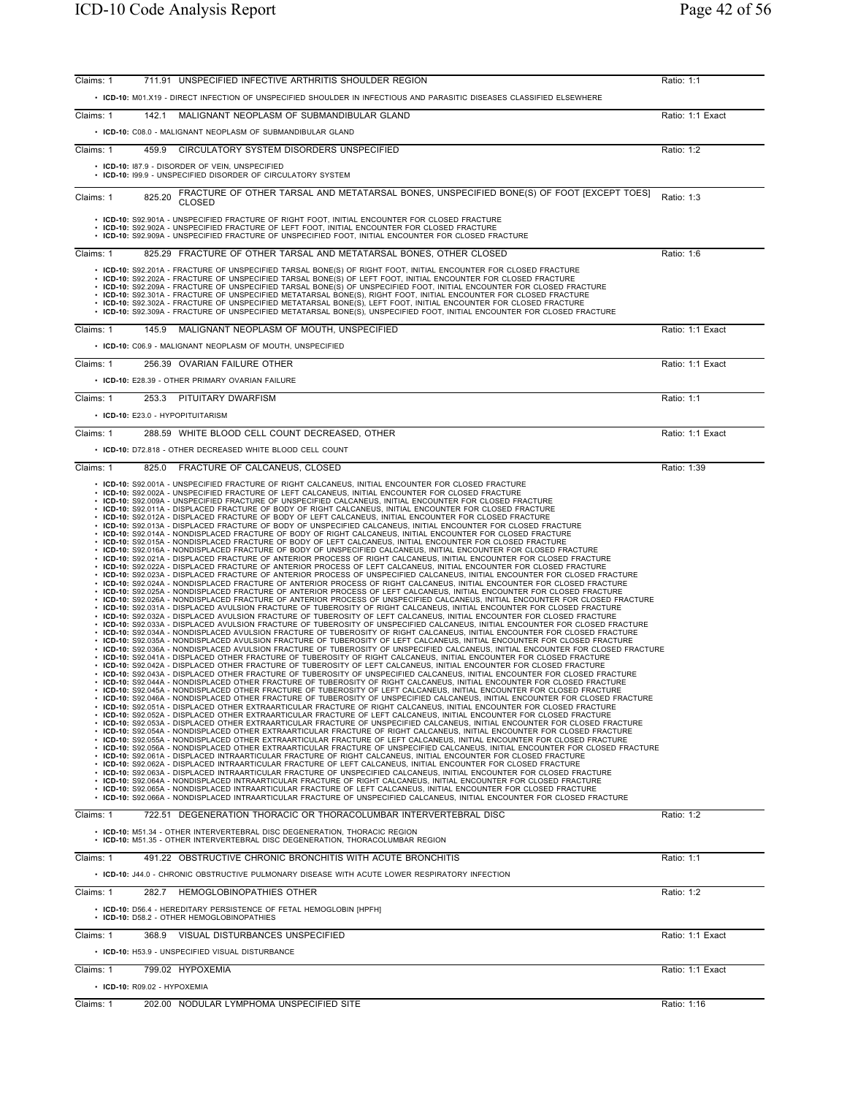| Claims: 1 | 711.91 UNSPECIFIED INFECTIVE ARTHRITIS SHOULDER REGION                                                                                                                                                                                                                                                                                                                                                                                                                                                                                                                                                                                                                                                                                                                                                                                                                                                                                                                                                                                                                                                                                                                                                                                                                                                                                                                                                                                                                                                                                                                                                                                                                                                                                                                                                                                                                                                                                                                                                                                                                                                                                                                                                                                                                                                                                                                                                                                                                                                                                                                                                                                                                                                                                                                                                                                                                                                                                                                                                                                                                                                                                                                                                                                                                                                                                                                                                                                                                                                                                                                                                                                                                                                                                                                                                                                                                                                                                                                                                                                                                                                                                                                                                                                                                                                                                                                                                                                                                                                                                                                                                                                                                                                                                                                                                                                         | Ratio: 1:1       |
|-----------|------------------------------------------------------------------------------------------------------------------------------------------------------------------------------------------------------------------------------------------------------------------------------------------------------------------------------------------------------------------------------------------------------------------------------------------------------------------------------------------------------------------------------------------------------------------------------------------------------------------------------------------------------------------------------------------------------------------------------------------------------------------------------------------------------------------------------------------------------------------------------------------------------------------------------------------------------------------------------------------------------------------------------------------------------------------------------------------------------------------------------------------------------------------------------------------------------------------------------------------------------------------------------------------------------------------------------------------------------------------------------------------------------------------------------------------------------------------------------------------------------------------------------------------------------------------------------------------------------------------------------------------------------------------------------------------------------------------------------------------------------------------------------------------------------------------------------------------------------------------------------------------------------------------------------------------------------------------------------------------------------------------------------------------------------------------------------------------------------------------------------------------------------------------------------------------------------------------------------------------------------------------------------------------------------------------------------------------------------------------------------------------------------------------------------------------------------------------------------------------------------------------------------------------------------------------------------------------------------------------------------------------------------------------------------------------------------------------------------------------------------------------------------------------------------------------------------------------------------------------------------------------------------------------------------------------------------------------------------------------------------------------------------------------------------------------------------------------------------------------------------------------------------------------------------------------------------------------------------------------------------------------------------------------------------------------------------------------------------------------------------------------------------------------------------------------------------------------------------------------------------------------------------------------------------------------------------------------------------------------------------------------------------------------------------------------------------------------------------------------------------------------------------------------------------------------------------------------------------------------------------------------------------------------------------------------------------------------------------------------------------------------------------------------------------------------------------------------------------------------------------------------------------------------------------------------------------------------------------------------------------------------------------------------------------------------------------------------------------------------------------------------------------------------------------------------------------------------------------------------------------------------------------------------------------------------------------------------------------------------------------------------------------------------------------------------------------------------------------------------------------------------------------------------------------------------------------------------------|------------------|
|           | . ICD-10: M01.X19 - DIRECT INFECTION OF UNSPECIFIED SHOULDER IN INFECTIOUS AND PARASITIC DISEASES CLASSIFIED ELSEWHERE                                                                                                                                                                                                                                                                                                                                                                                                                                                                                                                                                                                                                                                                                                                                                                                                                                                                                                                                                                                                                                                                                                                                                                                                                                                                                                                                                                                                                                                                                                                                                                                                                                                                                                                                                                                                                                                                                                                                                                                                                                                                                                                                                                                                                                                                                                                                                                                                                                                                                                                                                                                                                                                                                                                                                                                                                                                                                                                                                                                                                                                                                                                                                                                                                                                                                                                                                                                                                                                                                                                                                                                                                                                                                                                                                                                                                                                                                                                                                                                                                                                                                                                                                                                                                                                                                                                                                                                                                                                                                                                                                                                                                                                                                                                         |                  |
| Claims: 1 | 142.1 MALIGNANT NEOPLASM OF SUBMANDIBULAR GLAND                                                                                                                                                                                                                                                                                                                                                                                                                                                                                                                                                                                                                                                                                                                                                                                                                                                                                                                                                                                                                                                                                                                                                                                                                                                                                                                                                                                                                                                                                                                                                                                                                                                                                                                                                                                                                                                                                                                                                                                                                                                                                                                                                                                                                                                                                                                                                                                                                                                                                                                                                                                                                                                                                                                                                                                                                                                                                                                                                                                                                                                                                                                                                                                                                                                                                                                                                                                                                                                                                                                                                                                                                                                                                                                                                                                                                                                                                                                                                                                                                                                                                                                                                                                                                                                                                                                                                                                                                                                                                                                                                                                                                                                                                                                                                                                                | Ratio: 1:1 Exact |
|           | • ICD-10: C08.0 - MALIGNANT NEOPLASM OF SUBMANDIBULAR GLAND                                                                                                                                                                                                                                                                                                                                                                                                                                                                                                                                                                                                                                                                                                                                                                                                                                                                                                                                                                                                                                                                                                                                                                                                                                                                                                                                                                                                                                                                                                                                                                                                                                                                                                                                                                                                                                                                                                                                                                                                                                                                                                                                                                                                                                                                                                                                                                                                                                                                                                                                                                                                                                                                                                                                                                                                                                                                                                                                                                                                                                                                                                                                                                                                                                                                                                                                                                                                                                                                                                                                                                                                                                                                                                                                                                                                                                                                                                                                                                                                                                                                                                                                                                                                                                                                                                                                                                                                                                                                                                                                                                                                                                                                                                                                                                                    |                  |
| Claims: 1 | 459.9<br>CIRCULATORY SYSTEM DISORDERS UNSPECIFIED                                                                                                                                                                                                                                                                                                                                                                                                                                                                                                                                                                                                                                                                                                                                                                                                                                                                                                                                                                                                                                                                                                                                                                                                                                                                                                                                                                                                                                                                                                                                                                                                                                                                                                                                                                                                                                                                                                                                                                                                                                                                                                                                                                                                                                                                                                                                                                                                                                                                                                                                                                                                                                                                                                                                                                                                                                                                                                                                                                                                                                                                                                                                                                                                                                                                                                                                                                                                                                                                                                                                                                                                                                                                                                                                                                                                                                                                                                                                                                                                                                                                                                                                                                                                                                                                                                                                                                                                                                                                                                                                                                                                                                                                                                                                                                                              | Ratio: 1:2       |
|           | • ICD-10: 187.9 - DISORDER OF VEIN, UNSPECIFIED<br>• ICD-10: 199.9 - UNSPECIFIED DISORDER OF CIRCULATORY SYSTEM                                                                                                                                                                                                                                                                                                                                                                                                                                                                                                                                                                                                                                                                                                                                                                                                                                                                                                                                                                                                                                                                                                                                                                                                                                                                                                                                                                                                                                                                                                                                                                                                                                                                                                                                                                                                                                                                                                                                                                                                                                                                                                                                                                                                                                                                                                                                                                                                                                                                                                                                                                                                                                                                                                                                                                                                                                                                                                                                                                                                                                                                                                                                                                                                                                                                                                                                                                                                                                                                                                                                                                                                                                                                                                                                                                                                                                                                                                                                                                                                                                                                                                                                                                                                                                                                                                                                                                                                                                                                                                                                                                                                                                                                                                                                |                  |
| Claims: 1 | FRACTURE OF OTHER TARSAL AND METATARSAL BONES, UNSPECIFIED BONE(S) OF FOOT [EXCEPT TOES]<br>825.20<br><b>CLOSED</b>                                                                                                                                                                                                                                                                                                                                                                                                                                                                                                                                                                                                                                                                                                                                                                                                                                                                                                                                                                                                                                                                                                                                                                                                                                                                                                                                                                                                                                                                                                                                                                                                                                                                                                                                                                                                                                                                                                                                                                                                                                                                                                                                                                                                                                                                                                                                                                                                                                                                                                                                                                                                                                                                                                                                                                                                                                                                                                                                                                                                                                                                                                                                                                                                                                                                                                                                                                                                                                                                                                                                                                                                                                                                                                                                                                                                                                                                                                                                                                                                                                                                                                                                                                                                                                                                                                                                                                                                                                                                                                                                                                                                                                                                                                                            | Ratio: 1:3       |
|           | • ICD-10: S92.901A - UNSPECIFIED FRACTURE OF RIGHT FOOT, INITIAL ENCOUNTER FOR CLOSED FRACTURE<br>• ICD-10: S92.902A - UNSPECIFIED FRACTURE OF LEFT FOOT, INITIAL ENCOUNTER FOR CLOSED FRACTURE<br>• ICD-10: S92.909A - UNSPECIFIED FRACTURE OF UNSPECIFIED FOOT, INITIAL ENCOUNTER FOR CLOSED FRACTURE                                                                                                                                                                                                                                                                                                                                                                                                                                                                                                                                                                                                                                                                                                                                                                                                                                                                                                                                                                                                                                                                                                                                                                                                                                                                                                                                                                                                                                                                                                                                                                                                                                                                                                                                                                                                                                                                                                                                                                                                                                                                                                                                                                                                                                                                                                                                                                                                                                                                                                                                                                                                                                                                                                                                                                                                                                                                                                                                                                                                                                                                                                                                                                                                                                                                                                                                                                                                                                                                                                                                                                                                                                                                                                                                                                                                                                                                                                                                                                                                                                                                                                                                                                                                                                                                                                                                                                                                                                                                                                                                        |                  |
| Claims: 1 | 825.29 FRACTURE OF OTHER TARSAL AND METATARSAL BONES, OTHER CLOSED                                                                                                                                                                                                                                                                                                                                                                                                                                                                                                                                                                                                                                                                                                                                                                                                                                                                                                                                                                                                                                                                                                                                                                                                                                                                                                                                                                                                                                                                                                                                                                                                                                                                                                                                                                                                                                                                                                                                                                                                                                                                                                                                                                                                                                                                                                                                                                                                                                                                                                                                                                                                                                                                                                                                                                                                                                                                                                                                                                                                                                                                                                                                                                                                                                                                                                                                                                                                                                                                                                                                                                                                                                                                                                                                                                                                                                                                                                                                                                                                                                                                                                                                                                                                                                                                                                                                                                                                                                                                                                                                                                                                                                                                                                                                                                             | Ratio: 1:6       |
|           | • ICD-10: S92.201A - FRACTURE OF UNSPECIFIED TARSAL BONE(S) OF RIGHT FOOT, INITIAL ENCOUNTER FOR CLOSED FRACTURE<br>· ICD-10: S92.202A - FRACTURE OF UNSPECIFIED TARSAL BONE(S) OF LEFT FOOT, INITIAL ENCOUNTER FOR CLOSED FRACTURE<br>· ICD-10: S92.209A - FRACTURE OF UNSPECIFIED TARSAL BONE(S) OF UNSPECIFIED FOOT, INITIAL ENCOUNTER FOR CLOSED FRACTURE<br>· ICD-10: S92.301A - FRACTURE OF UNSPECIFIED METATARSAL BONE(S), RIGHT FOOT, INITIAL ENCOUNTER FOR CLOSED FRACTURE<br>· ICD-10: S92.302A - FRACTURE OF UNSPECIFIED METATARSAL BONE(S), LEFT FOOT, INITIAL ENCOUNTER FOR CLOSED FRACTURE<br>· ICD-10: S92.309A - FRACTURE OF UNSPECIFIED METATARSAL BONE(S), UNSPECIFIED FOOT, INITIAL ENCOUNTER FOR CLOSED FRACTURE                                                                                                                                                                                                                                                                                                                                                                                                                                                                                                                                                                                                                                                                                                                                                                                                                                                                                                                                                                                                                                                                                                                                                                                                                                                                                                                                                                                                                                                                                                                                                                                                                                                                                                                                                                                                                                                                                                                                                                                                                                                                                                                                                                                                                                                                                                                                                                                                                                                                                                                                                                                                                                                                                                                                                                                                                                                                                                                                                                                                                                                                                                                                                                                                                                                                                                                                                                                                                                                                                                                                                                                                                                                                                                                                                                                                                                                                                                                                                                                                                                                                                                           |                  |
| Claims: 1 | MALIGNANT NEOPLASM OF MOUTH, UNSPECIFIED<br>145.9                                                                                                                                                                                                                                                                                                                                                                                                                                                                                                                                                                                                                                                                                                                                                                                                                                                                                                                                                                                                                                                                                                                                                                                                                                                                                                                                                                                                                                                                                                                                                                                                                                                                                                                                                                                                                                                                                                                                                                                                                                                                                                                                                                                                                                                                                                                                                                                                                                                                                                                                                                                                                                                                                                                                                                                                                                                                                                                                                                                                                                                                                                                                                                                                                                                                                                                                                                                                                                                                                                                                                                                                                                                                                                                                                                                                                                                                                                                                                                                                                                                                                                                                                                                                                                                                                                                                                                                                                                                                                                                                                                                                                                                                                                                                                                                              | Ratio: 1:1 Exact |
|           | • ICD-10: C06.9 - MALIGNANT NEOPLASM OF MOUTH, UNSPECIFIED                                                                                                                                                                                                                                                                                                                                                                                                                                                                                                                                                                                                                                                                                                                                                                                                                                                                                                                                                                                                                                                                                                                                                                                                                                                                                                                                                                                                                                                                                                                                                                                                                                                                                                                                                                                                                                                                                                                                                                                                                                                                                                                                                                                                                                                                                                                                                                                                                                                                                                                                                                                                                                                                                                                                                                                                                                                                                                                                                                                                                                                                                                                                                                                                                                                                                                                                                                                                                                                                                                                                                                                                                                                                                                                                                                                                                                                                                                                                                                                                                                                                                                                                                                                                                                                                                                                                                                                                                                                                                                                                                                                                                                                                                                                                                                                     |                  |
| Claims: 1 | 256.39 OVARIAN FAILURE OTHER                                                                                                                                                                                                                                                                                                                                                                                                                                                                                                                                                                                                                                                                                                                                                                                                                                                                                                                                                                                                                                                                                                                                                                                                                                                                                                                                                                                                                                                                                                                                                                                                                                                                                                                                                                                                                                                                                                                                                                                                                                                                                                                                                                                                                                                                                                                                                                                                                                                                                                                                                                                                                                                                                                                                                                                                                                                                                                                                                                                                                                                                                                                                                                                                                                                                                                                                                                                                                                                                                                                                                                                                                                                                                                                                                                                                                                                                                                                                                                                                                                                                                                                                                                                                                                                                                                                                                                                                                                                                                                                                                                                                                                                                                                                                                                                                                   | Ratio: 1:1 Exact |
|           | • ICD-10: E28.39 - OTHER PRIMARY OVARIAN FAILURE                                                                                                                                                                                                                                                                                                                                                                                                                                                                                                                                                                                                                                                                                                                                                                                                                                                                                                                                                                                                                                                                                                                                                                                                                                                                                                                                                                                                                                                                                                                                                                                                                                                                                                                                                                                                                                                                                                                                                                                                                                                                                                                                                                                                                                                                                                                                                                                                                                                                                                                                                                                                                                                                                                                                                                                                                                                                                                                                                                                                                                                                                                                                                                                                                                                                                                                                                                                                                                                                                                                                                                                                                                                                                                                                                                                                                                                                                                                                                                                                                                                                                                                                                                                                                                                                                                                                                                                                                                                                                                                                                                                                                                                                                                                                                                                               |                  |
| Claims: 1 | 253.3 PITUITARY DWARFISM                                                                                                                                                                                                                                                                                                                                                                                                                                                                                                                                                                                                                                                                                                                                                                                                                                                                                                                                                                                                                                                                                                                                                                                                                                                                                                                                                                                                                                                                                                                                                                                                                                                                                                                                                                                                                                                                                                                                                                                                                                                                                                                                                                                                                                                                                                                                                                                                                                                                                                                                                                                                                                                                                                                                                                                                                                                                                                                                                                                                                                                                                                                                                                                                                                                                                                                                                                                                                                                                                                                                                                                                                                                                                                                                                                                                                                                                                                                                                                                                                                                                                                                                                                                                                                                                                                                                                                                                                                                                                                                                                                                                                                                                                                                                                                                                                       | Ratio: 1:1       |
|           | • ICD-10: E23.0 - HYPOPITUITARISM                                                                                                                                                                                                                                                                                                                                                                                                                                                                                                                                                                                                                                                                                                                                                                                                                                                                                                                                                                                                                                                                                                                                                                                                                                                                                                                                                                                                                                                                                                                                                                                                                                                                                                                                                                                                                                                                                                                                                                                                                                                                                                                                                                                                                                                                                                                                                                                                                                                                                                                                                                                                                                                                                                                                                                                                                                                                                                                                                                                                                                                                                                                                                                                                                                                                                                                                                                                                                                                                                                                                                                                                                                                                                                                                                                                                                                                                                                                                                                                                                                                                                                                                                                                                                                                                                                                                                                                                                                                                                                                                                                                                                                                                                                                                                                                                              |                  |
| Claims: 1 | 288.59 WHITE BLOOD CELL COUNT DECREASED, OTHER                                                                                                                                                                                                                                                                                                                                                                                                                                                                                                                                                                                                                                                                                                                                                                                                                                                                                                                                                                                                                                                                                                                                                                                                                                                                                                                                                                                                                                                                                                                                                                                                                                                                                                                                                                                                                                                                                                                                                                                                                                                                                                                                                                                                                                                                                                                                                                                                                                                                                                                                                                                                                                                                                                                                                                                                                                                                                                                                                                                                                                                                                                                                                                                                                                                                                                                                                                                                                                                                                                                                                                                                                                                                                                                                                                                                                                                                                                                                                                                                                                                                                                                                                                                                                                                                                                                                                                                                                                                                                                                                                                                                                                                                                                                                                                                                 | Ratio: 1:1 Exact |
|           | • ICD-10: D72.818 - OTHER DECREASED WHITE BLOOD CELL COUNT                                                                                                                                                                                                                                                                                                                                                                                                                                                                                                                                                                                                                                                                                                                                                                                                                                                                                                                                                                                                                                                                                                                                                                                                                                                                                                                                                                                                                                                                                                                                                                                                                                                                                                                                                                                                                                                                                                                                                                                                                                                                                                                                                                                                                                                                                                                                                                                                                                                                                                                                                                                                                                                                                                                                                                                                                                                                                                                                                                                                                                                                                                                                                                                                                                                                                                                                                                                                                                                                                                                                                                                                                                                                                                                                                                                                                                                                                                                                                                                                                                                                                                                                                                                                                                                                                                                                                                                                                                                                                                                                                                                                                                                                                                                                                                                     |                  |
| Claims: 1 | 825.0 FRACTURE OF CALCANEUS, CLOSED                                                                                                                                                                                                                                                                                                                                                                                                                                                                                                                                                                                                                                                                                                                                                                                                                                                                                                                                                                                                                                                                                                                                                                                                                                                                                                                                                                                                                                                                                                                                                                                                                                                                                                                                                                                                                                                                                                                                                                                                                                                                                                                                                                                                                                                                                                                                                                                                                                                                                                                                                                                                                                                                                                                                                                                                                                                                                                                                                                                                                                                                                                                                                                                                                                                                                                                                                                                                                                                                                                                                                                                                                                                                                                                                                                                                                                                                                                                                                                                                                                                                                                                                                                                                                                                                                                                                                                                                                                                                                                                                                                                                                                                                                                                                                                                                            | Ratio: 1:39      |
|           | • ICD-10: S92.001A - UNSPECIFIED FRACTURE OF RIGHT CALCANEUS, INITIAL ENCOUNTER FOR CLOSED FRACTURE<br>· ICD-10: S92.002A - UNSPECIFIED FRACTURE OF LEFT CALCANEUS, INITIAL ENCOUNTER FOR CLOSED FRACTURE<br>ICD-10: S92.009A - UNSPECIFIED FRACTURE OF UNSPECIFIED CALCANEUS, INITIAL ENCOUNTER FOR CLOSED FRACTURE<br>ICD-10: S92.011A - DISPLACED FRACTURE OF BODY OF RIGHT CALCANEUS, INITIAL ENCOUNTER FOR CLOSED FRACTURE<br>ICD-10: S92.012A - DISPLACED FRACTURE OF BODY OF LEFT CALCANEUS, INITIAL ENCOUNTER FOR CLOSED FRACTURE<br>ICD-10: S92.013A - DISPLACED FRACTURE OF BODY OF UNSPECIFIED CALCANEUS, INITIAL ENCOUNTER FOR CLOSED FRACTURE<br>ICD-10: S92.014A - NONDISPLACED FRACTURE OF BODY OF RIGHT CALCANEUS, INITIAL ENCOUNTER FOR CLOSED FRACTURE<br>ICD-10: S92.015A - NONDISPLACED FRACTURE OF BODY OF LEFT CALCANEUS, INITIAL ENCOUNTER FOR CLOSED FRACTURE<br>ICD-10: S92.016A - NONDISPLACED FRACTURE OF BODY OF UNSPECIFIED CALCANEUS, INITIAL ENCOUNTER FOR CLOSED FRACTURE<br>ICD-10: S92.021A - DISPLACED FRACTURE OF ANTERIOR PROCESS OF RIGHT CALCANEUS, INITIAL ENCOUNTER FOR CLOSED FRACTURE<br>ICD-10: S92.022A - DISPLACED FRACTURE OF ANTERIOR PROCESS OF LEFT CALCANEUS, INITIAL ENCOUNTER FOR CLOSED FRACTURE<br>ICD-10: S92.023A - DISPLACED FRACTURE OF ANTERIOR PROCESS OF UNSPECIFIED CALCANEUS, INITIAL ENCOUNTER FOR CLOSED FRACTURE<br>ICD-10: S92.024A - NONDISPLACED FRACTURE OF ANTERIOR PROCESS OF RIGHT CALCANEUS, INITIAL ENCOUNTER FOR CLOSED FRACTURE<br>ICD-10: S92.025A - NONDISPLACED FRACTURE OF ANTERIOR PROCESS OF LEFT CALCANEUS, INITIAL ENCOUNTER FOR CLOSED FRACTURE<br>ICD-10: S92.026A - NONDISPLACED FRACTURE OF ANTERIOR PROCESS OF UNSPECIFIED CALCANEUS, INITIAL ENCOUNTER FOR CLOSED FRACTURE<br>ICD-10: S92.031A - DISPLACED AVULSION FRACTURE OF TUBEROSITY OF RIGHT CALCANEUS, INITIAL ENCOUNTER FOR CLOSED FRACTURE<br>ICD-10: S92.032A - DISPLACED AVULSION FRACTURE OF TUBEROSITY OF LEFT CALCANEUS, INITIAL ENCOUNTER FOR CLOSED FRACTURE<br>ICD-10: S92.033A - DISPLACED AVULSION FRACTURE OF TUBEROSITY OF UNSPECIFIED CALCANEUS, INITIAL ENCOUNTER FOR CLOSED FRACTURE<br>ICD-10: S92.034A - NONDISPLACED AVULSION FRACTURE OF TUBEROSITY OF RIGHT CALCANEUS, INITIAL ENCOUNTER FOR CLOSED FRACTURE<br>ICD-10: S92.035A - NONDISPLACED AVULSION FRACTURE OF TUBEROSITY OF LEFT CALCANEUS, INITIAL ENCOUNTER FOR CLOSED FRACTURE<br>ICD-10: S92.036A - NONDISPLACED AVULSION FRACTURE OF TUBEROSITY OF UNSPECIFIED CALCANEUS, INITIAL ENCOUNTER FOR CLOSED FRACTURE<br>ICD-10: S92.041A - DISPLACED OTHER FRACTURE OF TUBEROSITY OF RIGHT CALCANEUS, INITIAL ENCOUNTER FOR CLOSED FRACTURE<br>ICD-10: S92.042A - DISPLACED OTHER FRACTURE OF TUBEROSITY OF LEFT CALCANEUS, INITIAL ENCOUNTER FOR CLOSED FRACTURE<br>ICD-10: S92.043A - DISPLACED OTHER FRACTURE OF TUBEROSITY OF UNSPECIFIED CALCANEUS, INITIAL ENCOUNTER FOR CLOSED FRACTURE<br>ICD-10: S92.044A - NONDISPLACED OTHER FRACTURE OF TUBEROSITY OF RIGHT CALCANEUS, INITIAL ENCOUNTER FOR CLOSED FRACTURE<br>ICD-10: S92.045A - NONDISPLACED OTHER FRACTURE OF TUBEROSITY OF LEFT CALCANEUS. INITIAL ENCOUNTER FOR CLOSED FRACTURE<br>• ICD-10: S92.046A - NONDISPLACED OTHER FRACTURE OF TUBEROSITY OF UNSPECIFIED CALCANEUS, INITIAL ENCOUNTER FOR CLOSED FRACTURE<br>. ICD-10: S92.051A - DISPLACED OTHER EXTRAARTICULAR FRACTURE OF RIGHT CALCANEUS, INITIAL ENCOUNTER FOR CLOSED FRACTURE<br>· ICD-10: S92.052A - DISPLACED OTHER EXTRAARTICULAR FRACTURE OF LEFT CALCANEUS, INITIAL ENCOUNTER FOR CLOSED FRACTURE<br>· ICD-10: S92.053A - DISPLACED OTHER EXTRAARTICULAR FRACTURE OF UNSPECIFIED CALCANEUS, INITIAL ENCOUNTER FOR CLOSED FRACTURE<br>· ICD-10: S92.054A - NONDISPLACED OTHER EXTRAARTICULAR FRACTURE OF RIGHT CALCANEUS, INITIAL ENCOUNTER FOR CLOSED FRACTURE<br>· ICD-10: S92.055A - NONDISPLACED OTHER EXTRAARTICULAR FRACTURE OF LEFT CALCANEUS, INITIAL ENCOUNTER FOR CLOSED FRACTURE<br>· ICD-10: S92.056A - NONDISPLACED OTHER EXTRAARTICULAR FRACTURE OF UNSPECIFIED CALCANEUS, INITIAL ENCOUNTER FOR CLOSED FRACTURE<br>· ICD-10: S92.061A - DISPLACED INTRAARTICULAR FRACTURE OF RIGHT CALCANEUS, INITIAL ENCOUNTER FOR CLOSED FRACTURE<br>· ICD-10: S92.062A - DISPLACED INTRAARTICULAR FRACTURE OF LEFT CALCANEUS, INITIAL ENCOUNTER FOR CLOSED FRACTURE<br>· ICD-10: S92.063A - DISPLACED INTRAARTICULAR FRACTURE OF UNSPECIFIED CALCANEUS, INITIAL ENCOUNTER FOR CLOSED FRACTURE<br>· ICD-10: S92.064A - NONDISPLACED INTRAARTICULAR FRACTURE OF RIGHT CALCANEUS, INITIAL ENCOUNTER FOR CLOSED FRACTURE<br>· ICD-10: S92.065A - NONDISPLACED INTRAARTICULAR FRACTURE OF LEFT CALCANEUS, INITIAL ENCOUNTER FOR CLOSED FRACTURE<br>· ICD-10: S92.066A - NONDISPLACED INTRAARTICULAR FRACTURE OF UNSPECIFIED CALCANEUS, INITIAL ENCOUNTER FOR CLOSED FRACTURE |                  |
| Claims: 1 | 722.51 DEGENERATION THORACIC OR THORACOLUMBAR INTERVERTEBRAL DISC                                                                                                                                                                                                                                                                                                                                                                                                                                                                                                                                                                                                                                                                                                                                                                                                                                                                                                                                                                                                                                                                                                                                                                                                                                                                                                                                                                                                                                                                                                                                                                                                                                                                                                                                                                                                                                                                                                                                                                                                                                                                                                                                                                                                                                                                                                                                                                                                                                                                                                                                                                                                                                                                                                                                                                                                                                                                                                                                                                                                                                                                                                                                                                                                                                                                                                                                                                                                                                                                                                                                                                                                                                                                                                                                                                                                                                                                                                                                                                                                                                                                                                                                                                                                                                                                                                                                                                                                                                                                                                                                                                                                                                                                                                                                                                              | Ratio: 1:2       |
|           | • ICD-10: M51.34 - OTHER INTERVERTEBRAL DISC DEGENERATION. THORACIC REGION<br>• ICD-10: M51.35 - OTHER INTERVERTEBRAL DISC DEGENERATION, THORACOLUMBAR REGION                                                                                                                                                                                                                                                                                                                                                                                                                                                                                                                                                                                                                                                                                                                                                                                                                                                                                                                                                                                                                                                                                                                                                                                                                                                                                                                                                                                                                                                                                                                                                                                                                                                                                                                                                                                                                                                                                                                                                                                                                                                                                                                                                                                                                                                                                                                                                                                                                                                                                                                                                                                                                                                                                                                                                                                                                                                                                                                                                                                                                                                                                                                                                                                                                                                                                                                                                                                                                                                                                                                                                                                                                                                                                                                                                                                                                                                                                                                                                                                                                                                                                                                                                                                                                                                                                                                                                                                                                                                                                                                                                                                                                                                                                  |                  |
| Claims: 1 | 491.22 OBSTRUCTIVE CHRONIC BRONCHITIS WITH ACUTE BRONCHITIS                                                                                                                                                                                                                                                                                                                                                                                                                                                                                                                                                                                                                                                                                                                                                                                                                                                                                                                                                                                                                                                                                                                                                                                                                                                                                                                                                                                                                                                                                                                                                                                                                                                                                                                                                                                                                                                                                                                                                                                                                                                                                                                                                                                                                                                                                                                                                                                                                                                                                                                                                                                                                                                                                                                                                                                                                                                                                                                                                                                                                                                                                                                                                                                                                                                                                                                                                                                                                                                                                                                                                                                                                                                                                                                                                                                                                                                                                                                                                                                                                                                                                                                                                                                                                                                                                                                                                                                                                                                                                                                                                                                                                                                                                                                                                                                    | Ratio: 1:1       |
|           | • ICD-10: J44.0 - CHRONIC OBSTRUCTIVE PULMONARY DISEASE WITH ACUTE LOWER RESPIRATORY INFECTION                                                                                                                                                                                                                                                                                                                                                                                                                                                                                                                                                                                                                                                                                                                                                                                                                                                                                                                                                                                                                                                                                                                                                                                                                                                                                                                                                                                                                                                                                                                                                                                                                                                                                                                                                                                                                                                                                                                                                                                                                                                                                                                                                                                                                                                                                                                                                                                                                                                                                                                                                                                                                                                                                                                                                                                                                                                                                                                                                                                                                                                                                                                                                                                                                                                                                                                                                                                                                                                                                                                                                                                                                                                                                                                                                                                                                                                                                                                                                                                                                                                                                                                                                                                                                                                                                                                                                                                                                                                                                                                                                                                                                                                                                                                                                 |                  |
| Claims: 1 | 282.7 HEMOGLOBINOPATHIES OTHER<br>• ICD-10: D56.4 - HEREDITARY PERSISTENCE OF FETAL HEMOGLOBIN [HPFH]                                                                                                                                                                                                                                                                                                                                                                                                                                                                                                                                                                                                                                                                                                                                                                                                                                                                                                                                                                                                                                                                                                                                                                                                                                                                                                                                                                                                                                                                                                                                                                                                                                                                                                                                                                                                                                                                                                                                                                                                                                                                                                                                                                                                                                                                                                                                                                                                                                                                                                                                                                                                                                                                                                                                                                                                                                                                                                                                                                                                                                                                                                                                                                                                                                                                                                                                                                                                                                                                                                                                                                                                                                                                                                                                                                                                                                                                                                                                                                                                                                                                                                                                                                                                                                                                                                                                                                                                                                                                                                                                                                                                                                                                                                                                          | Ratio: 1:2       |
|           | • ICD-10: D58.2 - OTHER HEMOGLOBINOPATHIES                                                                                                                                                                                                                                                                                                                                                                                                                                                                                                                                                                                                                                                                                                                                                                                                                                                                                                                                                                                                                                                                                                                                                                                                                                                                                                                                                                                                                                                                                                                                                                                                                                                                                                                                                                                                                                                                                                                                                                                                                                                                                                                                                                                                                                                                                                                                                                                                                                                                                                                                                                                                                                                                                                                                                                                                                                                                                                                                                                                                                                                                                                                                                                                                                                                                                                                                                                                                                                                                                                                                                                                                                                                                                                                                                                                                                                                                                                                                                                                                                                                                                                                                                                                                                                                                                                                                                                                                                                                                                                                                                                                                                                                                                                                                                                                                     |                  |
| Claims: 1 | 368.9 VISUAL DISTURBANCES UNSPECIFIED                                                                                                                                                                                                                                                                                                                                                                                                                                                                                                                                                                                                                                                                                                                                                                                                                                                                                                                                                                                                                                                                                                                                                                                                                                                                                                                                                                                                                                                                                                                                                                                                                                                                                                                                                                                                                                                                                                                                                                                                                                                                                                                                                                                                                                                                                                                                                                                                                                                                                                                                                                                                                                                                                                                                                                                                                                                                                                                                                                                                                                                                                                                                                                                                                                                                                                                                                                                                                                                                                                                                                                                                                                                                                                                                                                                                                                                                                                                                                                                                                                                                                                                                                                                                                                                                                                                                                                                                                                                                                                                                                                                                                                                                                                                                                                                                          | Ratio: 1:1 Exact |
|           | • ICD-10: H53.9 - UNSPECIFIED VISUAL DISTURBANCE                                                                                                                                                                                                                                                                                                                                                                                                                                                                                                                                                                                                                                                                                                                                                                                                                                                                                                                                                                                                                                                                                                                                                                                                                                                                                                                                                                                                                                                                                                                                                                                                                                                                                                                                                                                                                                                                                                                                                                                                                                                                                                                                                                                                                                                                                                                                                                                                                                                                                                                                                                                                                                                                                                                                                                                                                                                                                                                                                                                                                                                                                                                                                                                                                                                                                                                                                                                                                                                                                                                                                                                                                                                                                                                                                                                                                                                                                                                                                                                                                                                                                                                                                                                                                                                                                                                                                                                                                                                                                                                                                                                                                                                                                                                                                                                               |                  |
| Claims: 1 | 799.02 HYPOXEMIA                                                                                                                                                                                                                                                                                                                                                                                                                                                                                                                                                                                                                                                                                                                                                                                                                                                                                                                                                                                                                                                                                                                                                                                                                                                                                                                                                                                                                                                                                                                                                                                                                                                                                                                                                                                                                                                                                                                                                                                                                                                                                                                                                                                                                                                                                                                                                                                                                                                                                                                                                                                                                                                                                                                                                                                                                                                                                                                                                                                                                                                                                                                                                                                                                                                                                                                                                                                                                                                                                                                                                                                                                                                                                                                                                                                                                                                                                                                                                                                                                                                                                                                                                                                                                                                                                                                                                                                                                                                                                                                                                                                                                                                                                                                                                                                                                               | Ratio: 1:1 Exact |
|           | • ICD-10: R09.02 - HYPOXEMIA                                                                                                                                                                                                                                                                                                                                                                                                                                                                                                                                                                                                                                                                                                                                                                                                                                                                                                                                                                                                                                                                                                                                                                                                                                                                                                                                                                                                                                                                                                                                                                                                                                                                                                                                                                                                                                                                                                                                                                                                                                                                                                                                                                                                                                                                                                                                                                                                                                                                                                                                                                                                                                                                                                                                                                                                                                                                                                                                                                                                                                                                                                                                                                                                                                                                                                                                                                                                                                                                                                                                                                                                                                                                                                                                                                                                                                                                                                                                                                                                                                                                                                                                                                                                                                                                                                                                                                                                                                                                                                                                                                                                                                                                                                                                                                                                                   |                  |
| Claims: 1 | 202.00 NODULAR LYMPHOMA UNSPECIFIED SITE                                                                                                                                                                                                                                                                                                                                                                                                                                                                                                                                                                                                                                                                                                                                                                                                                                                                                                                                                                                                                                                                                                                                                                                                                                                                                                                                                                                                                                                                                                                                                                                                                                                                                                                                                                                                                                                                                                                                                                                                                                                                                                                                                                                                                                                                                                                                                                                                                                                                                                                                                                                                                                                                                                                                                                                                                                                                                                                                                                                                                                                                                                                                                                                                                                                                                                                                                                                                                                                                                                                                                                                                                                                                                                                                                                                                                                                                                                                                                                                                                                                                                                                                                                                                                                                                                                                                                                                                                                                                                                                                                                                                                                                                                                                                                                                                       | Ratio: 1:16      |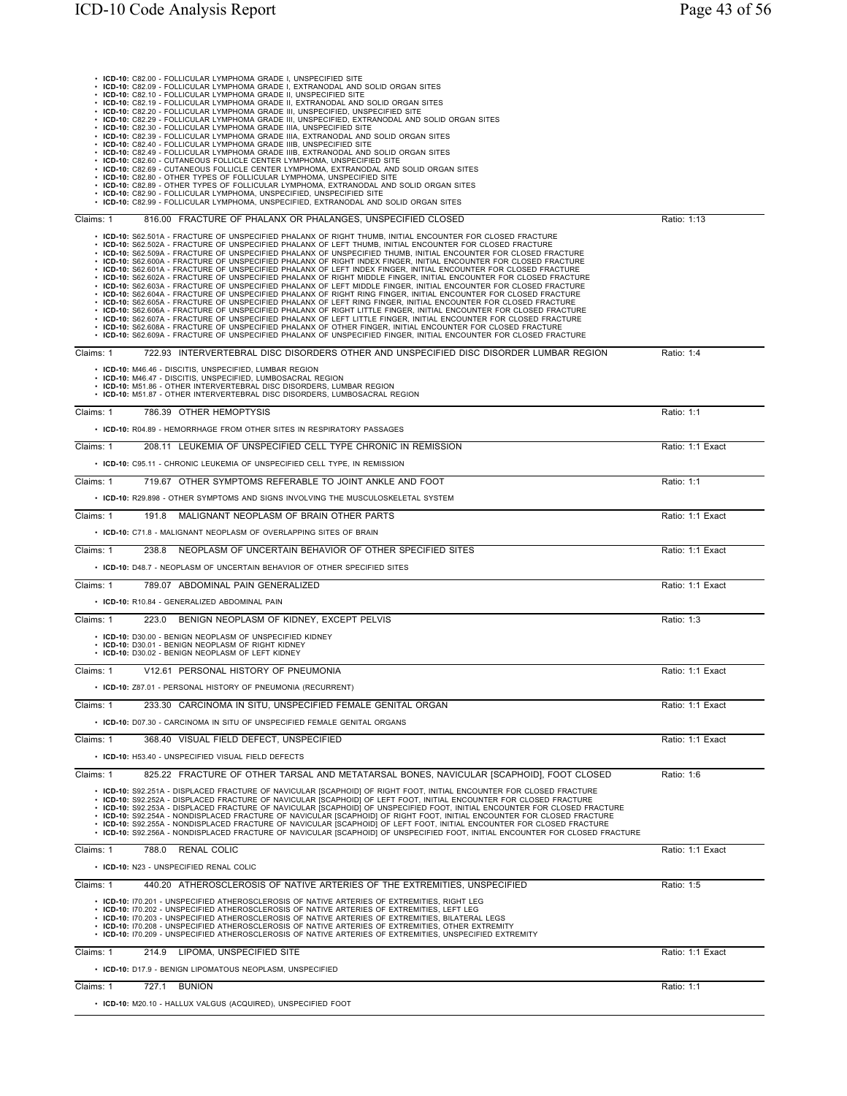| • ICD-10: C82.09 - FOLLICULAR LYMPHOMA GRADE I, EXTRANODAL AND SOLID ORGAN SITES<br>• ICD-10: C82.10 - FOLLICULAR LYMPHOMA GRADE II, UNSPECIFIED SITE                                                                                                                                                                                                                                                                                                                                                                                                                                                                                                                                                                                                                                                                                                                                                                                                                                                                                                                                                                                                                                                                                                                                                                                                                                                                                                                                                                                                 |                  |
|-------------------------------------------------------------------------------------------------------------------------------------------------------------------------------------------------------------------------------------------------------------------------------------------------------------------------------------------------------------------------------------------------------------------------------------------------------------------------------------------------------------------------------------------------------------------------------------------------------------------------------------------------------------------------------------------------------------------------------------------------------------------------------------------------------------------------------------------------------------------------------------------------------------------------------------------------------------------------------------------------------------------------------------------------------------------------------------------------------------------------------------------------------------------------------------------------------------------------------------------------------------------------------------------------------------------------------------------------------------------------------------------------------------------------------------------------------------------------------------------------------------------------------------------------------|------------------|
| • ICD-10: C82.19 - FOLLICULAR LYMPHOMA GRADE II, EXTRANODAL AND SOLID ORGAN SITES<br>• ICD-10: C82.20 - FOLLICULAR LYMPHOMA GRADE III, UNSPECIFIED, UNSPECIFIED SITE                                                                                                                                                                                                                                                                                                                                                                                                                                                                                                                                                                                                                                                                                                                                                                                                                                                                                                                                                                                                                                                                                                                                                                                                                                                                                                                                                                                  |                  |
| · ICD-10: C82.29 - FOLLICULAR LYMPHOMA GRADE III, UNSPECIFIED, EXTRANODAL AND SOLID ORGAN SITES<br>• ICD-10: C82.30 - FOLLICULAR LYMPHOMA GRADE IIIA, UNSPECIFIED SITE                                                                                                                                                                                                                                                                                                                                                                                                                                                                                                                                                                                                                                                                                                                                                                                                                                                                                                                                                                                                                                                                                                                                                                                                                                                                                                                                                                                |                  |
| · ICD-10: C82.39 - FOLLICULAR LYMPHOMA GRADE IIIA, EXTRANODAL AND SOLID ORGAN SITES<br>• ICD-10: C82.40 - FOLLICULAR LYMPHOMA GRADE IIIB, UNSPECIFIED SITE                                                                                                                                                                                                                                                                                                                                                                                                                                                                                                                                                                                                                                                                                                                                                                                                                                                                                                                                                                                                                                                                                                                                                                                                                                                                                                                                                                                            |                  |
| . ICD-10: C82.49 - FOLLICULAR LYMPHOMA GRADE IIIB, EXTRANODAL AND SOLID ORGAN SITES                                                                                                                                                                                                                                                                                                                                                                                                                                                                                                                                                                                                                                                                                                                                                                                                                                                                                                                                                                                                                                                                                                                                                                                                                                                                                                                                                                                                                                                                   |                  |
| • ICD-10: C82.60 - CUTANEOUS FOLLICLE CENTER LYMPHOMA, UNSPECIFIED SITE<br>• ICD-10: C82.69 - CUTANEOUS FOLLICLE CENTER LYMPHOMA, EXTRANODAL AND SOLID ORGAN SITES                                                                                                                                                                                                                                                                                                                                                                                                                                                                                                                                                                                                                                                                                                                                                                                                                                                                                                                                                                                                                                                                                                                                                                                                                                                                                                                                                                                    |                  |
| • ICD-10: C82.80 - OTHER TYPES OF FOLLICULAR LYMPHOMA, UNSPECIFIED SITE<br>• ICD-10: C82.89 - OTHER TYPES OF FOLLICULAR LYMPHOMA, EXTRANODAL AND SOLID ORGAN SITES                                                                                                                                                                                                                                                                                                                                                                                                                                                                                                                                                                                                                                                                                                                                                                                                                                                                                                                                                                                                                                                                                                                                                                                                                                                                                                                                                                                    |                  |
| • ICD-10: C82.90 - FOLLICULAR LYMPHOMA, UNSPECIFIED, UNSPECIFIED SITE<br>• ICD-10: C82.99 - FOLLICULAR LYMPHOMA, UNSPECIFIED, EXTRANODAL AND SOLID ORGAN SITES                                                                                                                                                                                                                                                                                                                                                                                                                                                                                                                                                                                                                                                                                                                                                                                                                                                                                                                                                                                                                                                                                                                                                                                                                                                                                                                                                                                        |                  |
| 816.00 FRACTURE OF PHALANX OR PHALANGES, UNSPECIFIED CLOSED<br>Claims: 1                                                                                                                                                                                                                                                                                                                                                                                                                                                                                                                                                                                                                                                                                                                                                                                                                                                                                                                                                                                                                                                                                                                                                                                                                                                                                                                                                                                                                                                                              | Ratio: 1:13      |
| • ICD-10: S62.501A - FRACTURE OF UNSPECIFIED PHALANX OF RIGHT THUMB. INITIAL ENCOUNTER FOR CLOSED FRACTURE<br>. ICD-10: S62.502A - FRACTURE OF UNSPECIFIED PHALANX OF LEFT THUMB. INITIAL ENCOUNTER FOR CLOSED FRACTURE<br>• ICD-10: S62.509A - FRACTURE OF UNSPECIFIED PHALANX OF UNSPECIFIED THUMB, INITIAL ENCOUNTER FOR CLOSED FRACTURE<br>· ICD-10: S62.600A - FRACTURE OF UNSPECIFIED PHALANX OF RIGHT INDEX FINGER, INITIAL ENCOUNTER FOR CLOSED FRACTURE<br>. ICD-10: S62.601A - FRACTURE OF UNSPECIFIED PHALANX OF LEFT INDEX FINGER, INITIAL ENCOUNTER FOR CLOSED FRACTURE<br>· ICD-10: S62.602A - FRACTURE OF UNSPECIFIED PHALANX OF RIGHT MIDDLE FINGER, INITIAL ENCOUNTER FOR CLOSED FRACTURE<br>· ICD-10: S62.603A - FRACTURE OF UNSPECIFIED PHALANX OF LEFT MIDDLE FINGER, INITIAL ENCOUNTER FOR CLOSED FRACTURE<br>· ICD-10: S62.604A - FRACTURE OF UNSPECIFIED PHALANX OF RIGHT RING FINGER, INITIAL ENCOUNTER FOR CLOSED FRACTURE<br>. ICD-10: S62.605A - FRACTURE OF UNSPECIFIED PHALANX OF LEFT RING FINGER, INITIAL ENCOUNTER FOR CLOSED FRACTURE<br>. ICD-10: S62.606A - FRACTURE OF UNSPECIFIED PHALANX OF RIGHT LITTLE FINGER, INITIAL ENCOUNTER FOR CLOSED FRACTURE<br>. ICD-10: S62.607A - FRACTURE OF UNSPECIFIED PHALANX OF LEFT LITTLE FINGER, INITIAL ENCOUNTER FOR CLOSED FRACTURE<br>. ICD-10: S62.608A - FRACTURE OF UNSPECIFIED PHALANX OF OTHER FINGER, INITIAL ENCOUNTER FOR CLOSED FRACTURE<br>· ICD-10: S62.609A - FRACTURE OF UNSPECIFIED PHALANX OF UNSPECIFIED FINGER, INITIAL ENCOUNTER FOR CLOSED FRACTURE |                  |
| 722.93 INTERVERTEBRAL DISC DISORDERS OTHER AND UNSPECIFIED DISC DISORDER LUMBAR REGION<br>Claims: 1                                                                                                                                                                                                                                                                                                                                                                                                                                                                                                                                                                                                                                                                                                                                                                                                                                                                                                                                                                                                                                                                                                                                                                                                                                                                                                                                                                                                                                                   | Ratio: 1:4       |
| • ICD-10: M46.46 - DISCITIS, UNSPECIFIED, LUMBAR REGION<br>• ICD-10: M46.47 - DISCITIS, UNSPECIFIED, LUMBOSACRAL REGION<br>• ICD-10: M51.86 - OTHER INTERVERTEBRAL DISC DISORDERS, LUMBAR REGION<br>• ICD-10: M51.87 - OTHER INTERVERTEBRAL DISC DISORDERS. LUMBOSACRAL REGION                                                                                                                                                                                                                                                                                                                                                                                                                                                                                                                                                                                                                                                                                                                                                                                                                                                                                                                                                                                                                                                                                                                                                                                                                                                                        |                  |
| 786.39 OTHER HEMOPTYSIS<br>Claims: 1                                                                                                                                                                                                                                                                                                                                                                                                                                                                                                                                                                                                                                                                                                                                                                                                                                                                                                                                                                                                                                                                                                                                                                                                                                                                                                                                                                                                                                                                                                                  | Ratio: 1:1       |
| • ICD-10: R04.89 - HEMORRHAGE FROM OTHER SITES IN RESPIRATORY PASSAGES                                                                                                                                                                                                                                                                                                                                                                                                                                                                                                                                                                                                                                                                                                                                                                                                                                                                                                                                                                                                                                                                                                                                                                                                                                                                                                                                                                                                                                                                                |                  |
| 208.11 LEUKEMIA OF UNSPECIFIED CELL TYPE CHRONIC IN REMISSION<br>Claims: 1                                                                                                                                                                                                                                                                                                                                                                                                                                                                                                                                                                                                                                                                                                                                                                                                                                                                                                                                                                                                                                                                                                                                                                                                                                                                                                                                                                                                                                                                            | Ratio: 1:1 Exact |
| • ICD-10: C95.11 - CHRONIC LEUKEMIA OF UNSPECIFIED CELL TYPE, IN REMISSION                                                                                                                                                                                                                                                                                                                                                                                                                                                                                                                                                                                                                                                                                                                                                                                                                                                                                                                                                                                                                                                                                                                                                                                                                                                                                                                                                                                                                                                                            |                  |
| Claims: 1<br>719.67 OTHER SYMPTOMS REFERABLE TO JOINT ANKLE AND FOOT                                                                                                                                                                                                                                                                                                                                                                                                                                                                                                                                                                                                                                                                                                                                                                                                                                                                                                                                                                                                                                                                                                                                                                                                                                                                                                                                                                                                                                                                                  | Ratio: 1:1       |
| • ICD-10: R29.898 - OTHER SYMPTOMS AND SIGNS INVOLVING THE MUSCULOSKELETAL SYSTEM                                                                                                                                                                                                                                                                                                                                                                                                                                                                                                                                                                                                                                                                                                                                                                                                                                                                                                                                                                                                                                                                                                                                                                                                                                                                                                                                                                                                                                                                     |                  |
| 191.8 MALIGNANT NEOPLASM OF BRAIN OTHER PARTS<br>Claims: 1                                                                                                                                                                                                                                                                                                                                                                                                                                                                                                                                                                                                                                                                                                                                                                                                                                                                                                                                                                                                                                                                                                                                                                                                                                                                                                                                                                                                                                                                                            | Ratio: 1:1 Exact |
| • ICD-10: C71.8 - MALIGNANT NEOPLASM OF OVERLAPPING SITES OF BRAIN                                                                                                                                                                                                                                                                                                                                                                                                                                                                                                                                                                                                                                                                                                                                                                                                                                                                                                                                                                                                                                                                                                                                                                                                                                                                                                                                                                                                                                                                                    |                  |
| 238.8 NEOPLASM OF UNCERTAIN BEHAVIOR OF OTHER SPECIFIED SITES<br>Claims: 1                                                                                                                                                                                                                                                                                                                                                                                                                                                                                                                                                                                                                                                                                                                                                                                                                                                                                                                                                                                                                                                                                                                                                                                                                                                                                                                                                                                                                                                                            | Ratio: 1:1 Exact |
|                                                                                                                                                                                                                                                                                                                                                                                                                                                                                                                                                                                                                                                                                                                                                                                                                                                                                                                                                                                                                                                                                                                                                                                                                                                                                                                                                                                                                                                                                                                                                       |                  |
| • ICD-10: D48.7 - NEOPLASM OF UNCERTAIN BEHAVIOR OF OTHER SPECIFIED SITES                                                                                                                                                                                                                                                                                                                                                                                                                                                                                                                                                                                                                                                                                                                                                                                                                                                                                                                                                                                                                                                                                                                                                                                                                                                                                                                                                                                                                                                                             |                  |
| Claims: 1<br>789.07 ABDOMINAL PAIN GENERALIZED                                                                                                                                                                                                                                                                                                                                                                                                                                                                                                                                                                                                                                                                                                                                                                                                                                                                                                                                                                                                                                                                                                                                                                                                                                                                                                                                                                                                                                                                                                        | Ratio: 1:1 Exact |
| • ICD-10: R10.84 - GENERALIZED ABDOMINAL PAIN                                                                                                                                                                                                                                                                                                                                                                                                                                                                                                                                                                                                                                                                                                                                                                                                                                                                                                                                                                                                                                                                                                                                                                                                                                                                                                                                                                                                                                                                                                         |                  |
| Claims: 1<br>BENIGN NEOPLASM OF KIDNEY. EXCEPT PELVIS<br>223.0                                                                                                                                                                                                                                                                                                                                                                                                                                                                                                                                                                                                                                                                                                                                                                                                                                                                                                                                                                                                                                                                                                                                                                                                                                                                                                                                                                                                                                                                                        | Ratio: 1:3       |
| • ICD-10: D30.00 - BENIGN NEOPLASM OF UNSPECIFIED KIDNEY<br>• ICD-10: D30.01 - BENIGN NEOPLASM OF RIGHT KIDNEY<br>• ICD-10: D30.02 - BENIGN NEOPLASM OF LEFT KIDNEY                                                                                                                                                                                                                                                                                                                                                                                                                                                                                                                                                                                                                                                                                                                                                                                                                                                                                                                                                                                                                                                                                                                                                                                                                                                                                                                                                                                   |                  |
| V12.61 PERSONAL HISTORY OF PNEUMONIA<br>Claims: 1                                                                                                                                                                                                                                                                                                                                                                                                                                                                                                                                                                                                                                                                                                                                                                                                                                                                                                                                                                                                                                                                                                                                                                                                                                                                                                                                                                                                                                                                                                     | Ratio: 1:1 Exact |
| • ICD-10: Z87.01 - PERSONAL HISTORY OF PNEUMONIA (RECURRENT)                                                                                                                                                                                                                                                                                                                                                                                                                                                                                                                                                                                                                                                                                                                                                                                                                                                                                                                                                                                                                                                                                                                                                                                                                                                                                                                                                                                                                                                                                          |                  |
| Claims: 1<br>233.30 CARCINOMA IN SITU, UNSPECIFIED FEMALE GENITAL ORGAN                                                                                                                                                                                                                                                                                                                                                                                                                                                                                                                                                                                                                                                                                                                                                                                                                                                                                                                                                                                                                                                                                                                                                                                                                                                                                                                                                                                                                                                                               | Ratio: 1:1 Exact |
| • ICD-10: D07.30 - CARCINOMA IN SITU OF UNSPECIFIED FEMALE GENITAL ORGANS                                                                                                                                                                                                                                                                                                                                                                                                                                                                                                                                                                                                                                                                                                                                                                                                                                                                                                                                                                                                                                                                                                                                                                                                                                                                                                                                                                                                                                                                             |                  |
| Claims: 1<br>368.40 VISUAL FIELD DEFECT, UNSPECIFIED                                                                                                                                                                                                                                                                                                                                                                                                                                                                                                                                                                                                                                                                                                                                                                                                                                                                                                                                                                                                                                                                                                                                                                                                                                                                                                                                                                                                                                                                                                  | Ratio: 1:1 Exact |
| • ICD-10: H53.40 - UNSPECIFIED VISUAL FIELD DEFECTS                                                                                                                                                                                                                                                                                                                                                                                                                                                                                                                                                                                                                                                                                                                                                                                                                                                                                                                                                                                                                                                                                                                                                                                                                                                                                                                                                                                                                                                                                                   |                  |
| Claims: 1<br>825.22 FRACTURE OF OTHER TARSAL AND METATARSAL BONES, NAVICULAR [SCAPHOID], FOOT CLOSED                                                                                                                                                                                                                                                                                                                                                                                                                                                                                                                                                                                                                                                                                                                                                                                                                                                                                                                                                                                                                                                                                                                                                                                                                                                                                                                                                                                                                                                  | Ratio: 1:6       |
| · ICD-10: S92.251A - DISPLACED FRACTURE OF NAVICULAR [SCAPHOID] OF RIGHT FOOT, INITIAL ENCOUNTER FOR CLOSED FRACTURE<br>· ICD-10: S92.252A - DISPLACED FRACTURE OF NAVICULAR [SCAPHOID] OF LEFT FOOT, INITIAL ENCOUNTER FOR CLOSED FRACTURE<br>· ICD-10: S92.253A - DISPLACED FRACTURE OF NAVICULAR [SCAPHOID] OF UNSPECIFIED FOOT, INITIAL ENCOUNTER FOR CLOSED FRACTURE<br>· ICD-10: S92.254A - NONDISPLACED FRACTURE OF NAVICULAR [SCAPHOID] OF RIGHT FOOT, INITIAL ENCOUNTER FOR CLOSED FRACTURE<br>• ICD-10: S92.255A - NONDISPLACED FRACTURE OF NAVICULAR (SCAPHOID) OF LEFT FOOT, INITIAL ENCOUNTER FOR CLOSED FRACTURE<br>• ICD-10: S92.256A - NONDISPLACED FRACTURE OF NAVICULAR [SCAPHOID] OF UNSPECIFIED FOOT, INITIAL ENCOUNTER FOR CLOSED FRACTURE                                                                                                                                                                                                                                                                                                                                                                                                                                                                                                                                                                                                                                                                                                                                                                                       |                  |
| Claims: 1<br>788.0 RENAL COLIC                                                                                                                                                                                                                                                                                                                                                                                                                                                                                                                                                                                                                                                                                                                                                                                                                                                                                                                                                                                                                                                                                                                                                                                                                                                                                                                                                                                                                                                                                                                        | Ratio: 1:1 Exact |
| • ICD-10: N23 - UNSPECIFIED RENAL COLIC                                                                                                                                                                                                                                                                                                                                                                                                                                                                                                                                                                                                                                                                                                                                                                                                                                                                                                                                                                                                                                                                                                                                                                                                                                                                                                                                                                                                                                                                                                               |                  |
| Claims: 1<br>440.20 ATHEROSCLEROSIS OF NATIVE ARTERIES OF THE EXTREMITIES, UNSPECIFIED                                                                                                                                                                                                                                                                                                                                                                                                                                                                                                                                                                                                                                                                                                                                                                                                                                                                                                                                                                                                                                                                                                                                                                                                                                                                                                                                                                                                                                                                | Ratio: 1:5       |
| . ICD-10: I70.201 - UNSPECIFIED ATHEROSCLEROSIS OF NATIVE ARTERIES OF EXTREMITIES, RIGHT LEG<br>· ICD-10: I70.202 - UNSPECIFIED ATHEROSCLEROSIS OF NATIVE ARTERIES OF EXTREMITIES, LEFT LEG<br>· ICD-10: I70.203 - UNSPECIFIED ATHEROSCLEROSIS OF NATIVE ARTERIES OF EXTREMITIES, BILATERAL LEGS<br>• ICD-10: I70.208 - UNSPECIFIED ATHEROSCLEROSIS OF NATIVE ARTERIES OF EXTREMITIES, OTHER EXTREMITY<br>. ICD-10: I70.209 - UNSPECIFIED ATHEROSCLEROSIS OF NATIVE ARTERIES OF EXTREMITIES, UNSPECIFIED EXTREMITY                                                                                                                                                                                                                                                                                                                                                                                                                                                                                                                                                                                                                                                                                                                                                                                                                                                                                                                                                                                                                                    |                  |
| Claims: 1<br>214.9<br>LIPOMA, UNSPECIFIED SITE                                                                                                                                                                                                                                                                                                                                                                                                                                                                                                                                                                                                                                                                                                                                                                                                                                                                                                                                                                                                                                                                                                                                                                                                                                                                                                                                                                                                                                                                                                        | Ratio: 1:1 Exact |
| • ICD-10: D17.9 - BENIGN LIPOMATOUS NEOPLASM, UNSPECIFIED                                                                                                                                                                                                                                                                                                                                                                                                                                                                                                                                                                                                                                                                                                                                                                                                                                                                                                                                                                                                                                                                                                                                                                                                                                                                                                                                                                                                                                                                                             |                  |
| 727.1 BUNION<br>Claims: 1                                                                                                                                                                                                                                                                                                                                                                                                                                                                                                                                                                                                                                                                                                                                                                                                                                                                                                                                                                                                                                                                                                                                                                                                                                                                                                                                                                                                                                                                                                                             | Ratio: 1:1       |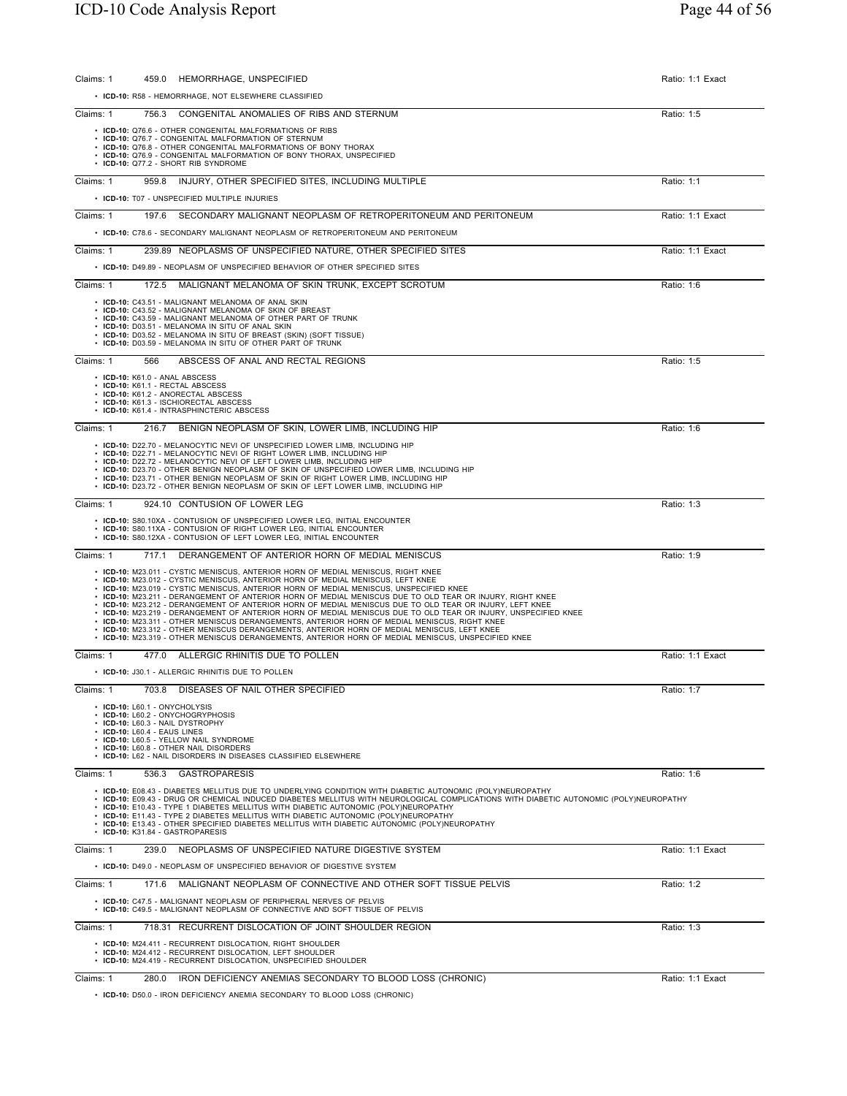| HEMORRHAGE, UNSPECIFIED<br>Claims: 1<br>459.0                                                                                                                                                                                  | Ratio: 1:1 Exact |
|--------------------------------------------------------------------------------------------------------------------------------------------------------------------------------------------------------------------------------|------------------|
| • ICD-10: R58 - HEMORRHAGE, NOT ELSEWHERE CLASSIFIED                                                                                                                                                                           |                  |
| Claims: 1<br>756.3<br>CONGENITAL ANOMALIES OF RIBS AND STERNUM                                                                                                                                                                 | Ratio: 1:5       |
| • ICD-10: Q76.6 - OTHER CONGENITAL MALFORMATIONS OF RIBS<br>• ICD-10: Q76.7 - CONGENITAL MALFORMATION OF STERNUM                                                                                                               |                  |
| • ICD-10: Q76.8 - OTHER CONGENITAL MALFORMATIONS OF BONY THORAX<br>• ICD-10: Q76.9 - CONGENITAL MALFORMATION OF BONY THORAX, UNSPECIFIED                                                                                       |                  |
| · ICD-10: Q77.2 - SHORT RIB SYNDROME                                                                                                                                                                                           |                  |
| 959.8 INJURY, OTHER SPECIFIED SITES, INCLUDING MULTIPLE<br>Claims: 1                                                                                                                                                           | Ratio: 1:1       |
| • ICD-10: T07 - UNSPECIFIED MULTIPLE INJURIES                                                                                                                                                                                  |                  |
| SECONDARY MALIGNANT NEOPLASM OF RETROPERITONEUM AND PERITONEUM<br>Claims: 1<br>197.6                                                                                                                                           | Ratio: 1:1 Exact |
| • ICD-10: C78.6 - SECONDARY MALIGNANT NEOPLASM OF RETROPERITONEUM AND PERITONEUM                                                                                                                                               |                  |
| Claims: 1<br>239.89 NEOPLASMS OF UNSPECIFIED NATURE, OTHER SPECIFIED SITES                                                                                                                                                     | Ratio: 1:1 Exact |
| • ICD-10: D49.89 - NEOPLASM OF UNSPECIFIED BEHAVIOR OF OTHER SPECIFIED SITES                                                                                                                                                   |                  |
| Claims: 1<br>172.5 MALIGNANT MELANOMA OF SKIN TRUNK, EXCEPT SCROTUM                                                                                                                                                            | Ratio: 1:6       |
| • ICD-10: C43.51 - MALIGNANT MELANOMA OF ANAL SKIN<br>• ICD-10: C43.52 - MALIGNANT MELANOMA OF SKIN OF BREAST                                                                                                                  |                  |
| • ICD-10: C43.59 - MALIGNANT MELANOMA OF OTHER PART OF TRUNK<br>· ICD-10: D03.51 - MELANOMA IN SITU OF ANAL SKIN                                                                                                               |                  |
| • ICD-10: D03.52 - MELANOMA IN SITU OF BREAST (SKIN) (SOFT TISSUE)<br>• ICD-10: D03.59 - MELANOMA IN SITU OF OTHER PART OF TRUNK                                                                                               |                  |
| Claims: 1<br>ABSCESS OF ANAL AND RECTAL REGIONS<br>566                                                                                                                                                                         | Ratio: 1:5       |
| • ICD-10: K61.0 - ANAL ABSCESS<br>· ICD-10: K61.1 - RECTAL ABSCESS                                                                                                                                                             |                  |
| • ICD-10: K61.2 - ANORECTAL ABSCESS<br>• ICD-10: K61.3 - ISCHIORECTAL ABSCESS                                                                                                                                                  |                  |
| • ICD-10: K61.4 - INTRASPHINCTERIC ABSCESS                                                                                                                                                                                     |                  |
| Claims: 1<br>216.7 BENIGN NEOPLASM OF SKIN, LOWER LIMB, INCLUDING HIP                                                                                                                                                          | Ratio: 1:6       |
| • ICD-10: D22.70 - MELANOCYTIC NEVI OF UNSPECIFIED LOWER LIMB, INCLUDING HIP<br>• ICD-10: D22.71 - MELANOCYTIC NEVI OF RIGHT LOWER LIMB, INCLUDING HIP                                                                         |                  |
| • ICD-10: D22.72 - MELANOCYTIC NEVI OF LEFT LOWER LIMB, INCLUDING HIP<br>• ICD-10: D23.70 - OTHER BENIGN NEOPLASM OF SKIN OF UNSPECIFIED LOWER LIMB, INCLUDING HIP                                                             |                  |
| • ICD-10: D23.71 - OTHER BENIGN NEOPLASM OF SKIN OF RIGHT LOWER LIMB, INCLUDING HIP<br>• ICD-10: D23.72 - OTHER BENIGN NEOPLASM OF SKIN OF LEFT LOWER LIMB, INCLUDING HIP                                                      |                  |
| Claims: 1<br>924.10 CONTUSION OF LOWER LEG                                                                                                                                                                                     | Ratio: 1:3       |
| • ICD-10: S80.10XA - CONTUSION OF UNSPECIFIED LOWER LEG, INITIAL ENCOUNTER                                                                                                                                                     |                  |
| • ICD-10: S80.11XA - CONTUSION OF RIGHT LOWER LEG, INITIAL ENCOUNTER<br>• ICD-10: S80.12XA - CONTUSION OF LEFT LOWER LEG, INITIAL ENCOUNTER                                                                                    |                  |
| Claims: 1<br>DERANGEMENT OF ANTERIOR HORN OF MEDIAL MENISCUS<br>717.1                                                                                                                                                          | Ratio: 1:9       |
| • ICD-10: M23.011 - CYSTIC MENISCUS, ANTERIOR HORN OF MEDIAL MENISCUS, RIGHT KNEE<br>• ICD-10: M23.012 - CYSTIC MENISCUS, ANTERIOR HORN OF MEDIAL MENISCUS, LEFT KNEE                                                          |                  |
| • ICD-10: M23.019 - CYSTIC MENISCUS, ANTERIOR HORN OF MEDIAL MENISCUS, UNSPECIFIED KNEE<br>. ICD-10: M23.211 - DERANGEMENT OF ANTERIOR HORN OF MEDIAL MENISCUS DUE TO OLD TEAR OR INJURY, RIGHT KNEE                           |                  |
| . ICD-10: M23.212 - DERANGEMENT OF ANTERIOR HORN OF MEDIAL MENISCUS DUE TO OLD TEAR OR INJURY, LEFT KNEE<br>· ICD-10: M23.219 - DERANGEMENT OF ANTERIOR HORN OF MEDIAL MENISCUS DUE TO OLD TEAR OR INJURY, UNSPECIFIED KNEE    |                  |
| . ICD-10: M23.311 - OTHER MENISCUS DERANGEMENTS, ANTERIOR HORN OF MEDIAL MENISCUS, RIGHT KNEE<br>• ICD-10: M23.312 - OTHER MENISCUS DERANGEMENTS, ANTERIOR HORN OF MEDIAL MENISCUS, LEFT KNEE                                  |                  |
| • ICD-10: M23.319 - OTHER MENISCUS DERANGEMENTS, ANTERIOR HORN OF MEDIAL MENISCUS, UNSPECIFIED KNEE                                                                                                                            |                  |
| 477.0 ALLERGIC RHINITIS DUE TO POLLEN<br>Claims: 1                                                                                                                                                                             | Ratio: 1:1 Exact |
| • ICD-10: J30.1 - ALLERGIC RHINITIS DUE TO POLLEN                                                                                                                                                                              |                  |
| Claims: 1<br>703.8 DISEASES OF NAIL OTHER SPECIFIED                                                                                                                                                                            | Ratio: 1:7       |
| • ICD-10: L60.1 - ONYCHOLYSIS<br>• ICD-10: L60.2 - ONYCHOGRYPHOSIS                                                                                                                                                             |                  |
| • ICD-10: L60.3 - NAIL DYSTROPHY<br>$\cdot$ ICD-10: L60.4 - EAUS LINES                                                                                                                                                         |                  |
| • ICD-10: L60.5 - YELLOW NAIL SYNDROME<br>• ICD-10: L60.8 - OTHER NAIL DISORDERS                                                                                                                                               |                  |
| • ICD-10: L62 - NAIL DISORDERS IN DISEASES CLASSIFIED ELSEWHERE<br><b>GASTROPARESIS</b><br>Claims: 1<br>536.3                                                                                                                  | Ratio: 1:6       |
| • ICD-10: E08.43 - DIABETES MELLITUS DUE TO UNDERLYING CONDITION WITH DIABETIC AUTONOMIC (POLY)NEUROPATHY                                                                                                                      |                  |
| · ICD-10: E09.43 - DRUG OR CHEMICAL INDUCED DIABETES MELLITUS WITH NEUROLOGICAL COMPLICATIONS WITH DIABETIC AUTONOMIC (POLY)NEUROPATHY<br>• ICD-10: E10.43 - TYPE 1 DIABETES MELLITUS WITH DIABETIC AUTONOMIC (POLY)NEUROPATHY |                  |
| • ICD-10: E11.43 - TYPE 2 DIABETES MELLITUS WITH DIABETIC AUTONOMIC (POLY)NEUROPATHY<br>• ICD-10: E13.43 - OTHER SPECIFIED DIABETES MELLITUS WITH DIABETIC AUTONOMIC (POLY)NEUROPATHY                                          |                  |
| • ICD-10: K31.84 - GASTROPARESIS                                                                                                                                                                                               |                  |
| 239.0 NEOPLASMS OF UNSPECIFIED NATURE DIGESTIVE SYSTEM<br>Claims: 1                                                                                                                                                            | Ratio: 1:1 Exact |
| • ICD-10: D49.0 - NEOPLASM OF UNSPECIFIED BEHAVIOR OF DIGESTIVE SYSTEM                                                                                                                                                         |                  |
| 171.6 MALIGNANT NEOPLASM OF CONNECTIVE AND OTHER SOFT TISSUE PELVIS<br>Claims: 1                                                                                                                                               | Ratio: 1:2       |
| • ICD-10: C47.5 - MALIGNANT NEOPLASM OF PERIPHERAL NERVES OF PELVIS<br>• ICD-10: C49.5 - MALIGNANT NEOPLASM OF CONNECTIVE AND SOFT TISSUE OF PELVIS                                                                            |                  |
| 718.31 RECURRENT DISLOCATION OF JOINT SHOULDER REGION<br>Claims: 1                                                                                                                                                             | Ratio: 1:3       |
| • ICD-10: M24.411 - RECURRENT DISLOCATION, RIGHT SHOULDER                                                                                                                                                                      |                  |
| • ICD-10: M24.412 - RECURRENT DISLOCATION, LEFT SHOULDER<br>• ICD-10: M24.419 - RECURRENT DISLOCATION, UNSPECIFIED SHOULDER                                                                                                    |                  |
| Claims: 1<br>IRON DEFICIENCY ANEMIAS SECONDARY TO BLOOD LOSS (CHRONIC)<br>280.0                                                                                                                                                | Ratio: 1:1 Exact |
|                                                                                                                                                                                                                                |                  |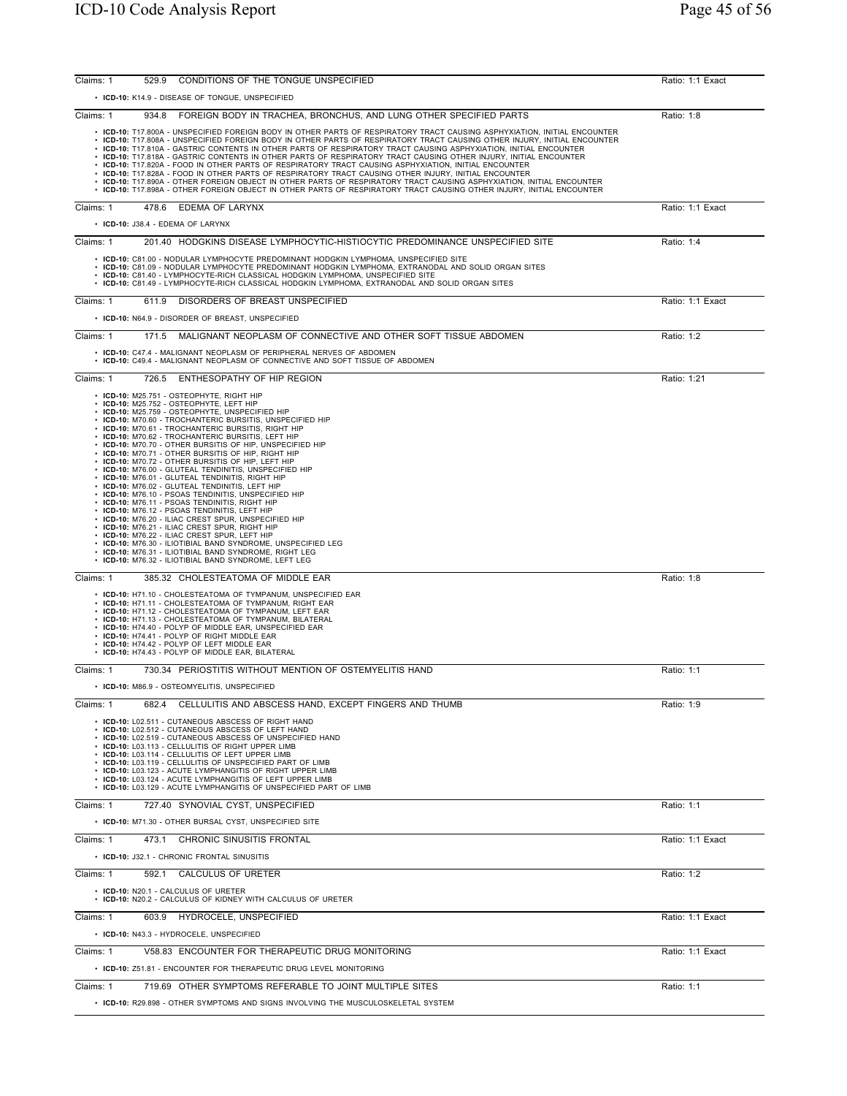| 529.9 CONDITIONS OF THE TONGUE UNSPECIFIED<br>Claims: 1                                                                                                                                                                                                                                                                                                                                                                                                                                                                                                                                                                                                                                                                                                                                                                                                                                                                                                                                                                                                                                                                                                                | Ratio: 1:1 Exact |
|------------------------------------------------------------------------------------------------------------------------------------------------------------------------------------------------------------------------------------------------------------------------------------------------------------------------------------------------------------------------------------------------------------------------------------------------------------------------------------------------------------------------------------------------------------------------------------------------------------------------------------------------------------------------------------------------------------------------------------------------------------------------------------------------------------------------------------------------------------------------------------------------------------------------------------------------------------------------------------------------------------------------------------------------------------------------------------------------------------------------------------------------------------------------|------------------|
| • ICD-10: K14.9 - DISEASE OF TONGUE, UNSPECIFIED                                                                                                                                                                                                                                                                                                                                                                                                                                                                                                                                                                                                                                                                                                                                                                                                                                                                                                                                                                                                                                                                                                                       |                  |
| Claims: 1<br>934.8 FOREIGN BODY IN TRACHEA, BRONCHUS, AND LUNG OTHER SPECIFIED PARTS                                                                                                                                                                                                                                                                                                                                                                                                                                                                                                                                                                                                                                                                                                                                                                                                                                                                                                                                                                                                                                                                                   | Ratio: 1:8       |
| . ICD-10: T17.800A - UNSPECIFIED FOREIGN BODY IN OTHER PARTS OF RESPIRATORY TRACT CAUSING ASPHYXIATION, INITIAL ENCOUNTER<br>. ICD-10: T17.808A - UNSPECIFIED FOREIGN BODY IN OTHER PARTS OF RESPIRATORY TRACT CAUSING OTHER INJURY, INITIAL ENCOUNTER<br>• ICD-10: T17.810A - GASTRIC CONTENTS IN OTHER PARTS OF RESPIRATORY TRACT CAUSING ASPHYXIATION, INITIAL ENCOUNTER<br>. ICD-10: T17.818A - GASTRIC CONTENTS IN OTHER PARTS OF RESPIRATORY TRACT CAUSING OTHER INJURY, INITIAL ENCOUNTER<br>. ICD-10: T17.820A - FOOD IN OTHER PARTS OF RESPIRATORY TRACT CAUSING ASPHYXIATION, INITIAL ENCOUNTER<br>. ICD-10: T17.828A - FOOD IN OTHER PARTS OF RESPIRATORY TRACT CAUSING OTHER INJURY, INITIAL ENCOUNTER<br>. ICD-10: T17.890A - OTHER FOREIGN OBJECT IN OTHER PARTS OF RESPIRATORY TRACT CAUSING ASPHYXIATION, INITIAL ENCOUNTER<br>. ICD-10: T17.898A - OTHER FOREIGN OBJECT IN OTHER PARTS OF RESPIRATORY TRACT CAUSING OTHER INJURY, INITIAL ENCOUNTER                                                                                                                                                                                                   |                  |
| Claims: 1<br>EDEMA OF LARYNX<br>478.6                                                                                                                                                                                                                                                                                                                                                                                                                                                                                                                                                                                                                                                                                                                                                                                                                                                                                                                                                                                                                                                                                                                                  | Ratio: 1:1 Exact |
| • ICD-10: J38.4 - EDEMA OF LARYNX                                                                                                                                                                                                                                                                                                                                                                                                                                                                                                                                                                                                                                                                                                                                                                                                                                                                                                                                                                                                                                                                                                                                      |                  |
| Claims: 1<br>201.40 HODGKINS DISEASE LYMPHOCYTIC-HISTIOCYTIC PREDOMINANCE UNSPECIFIED SITE                                                                                                                                                                                                                                                                                                                                                                                                                                                                                                                                                                                                                                                                                                                                                                                                                                                                                                                                                                                                                                                                             | Ratio: 1:4       |
| • ICD-10: C81.00 - NODULAR LYMPHOCYTE PREDOMINANT HODGKIN LYMPHOMA, UNSPECIFIED SITE<br>• ICD-10: C81.09 - NODULAR LYMPHOCYTE PREDOMINANT HODGKIN LYMPHOMA, EXTRANODAL AND SOLID ORGAN SITES<br>• ICD-10: C81.40 - LYMPHOCYTE-RICH CLASSICAL HODGKIN LYMPHOMA, UNSPECIFIED SITE<br>· ICD-10: C81.49 - LYMPHOCYTE-RICH CLASSICAL HODGKIN LYMPHOMA, EXTRANODAL AND SOLID ORGAN SITES                                                                                                                                                                                                                                                                                                                                                                                                                                                                                                                                                                                                                                                                                                                                                                                     |                  |
| Claims: 1<br>611.9 DISORDERS OF BREAST UNSPECIFIED                                                                                                                                                                                                                                                                                                                                                                                                                                                                                                                                                                                                                                                                                                                                                                                                                                                                                                                                                                                                                                                                                                                     | Ratio: 1:1 Exact |
| • ICD-10: N64.9 - DISORDER OF BREAST, UNSPECIFIED                                                                                                                                                                                                                                                                                                                                                                                                                                                                                                                                                                                                                                                                                                                                                                                                                                                                                                                                                                                                                                                                                                                      |                  |
| Claims: 1<br>171.5<br>MALIGNANT NEOPLASM OF CONNECTIVE AND OTHER SOFT TISSUE ABDOMEN                                                                                                                                                                                                                                                                                                                                                                                                                                                                                                                                                                                                                                                                                                                                                                                                                                                                                                                                                                                                                                                                                   | Ratio: 1:2       |
| • ICD-10: C47.4 - MALIGNANT NEOPLASM OF PERIPHERAL NERVES OF ABDOMEN<br>• ICD-10: C49.4 - MALIGNANT NEOPLASM OF CONNECTIVE AND SOFT TISSUE OF ABDOMEN                                                                                                                                                                                                                                                                                                                                                                                                                                                                                                                                                                                                                                                                                                                                                                                                                                                                                                                                                                                                                  |                  |
| Claims: 1<br>726.5 ENTHESOPATHY OF HIP REGION                                                                                                                                                                                                                                                                                                                                                                                                                                                                                                                                                                                                                                                                                                                                                                                                                                                                                                                                                                                                                                                                                                                          | Ratio: 1:21      |
| • ICD-10: M25.751 - OSTEOPHYTE, RIGHT HIP<br>• ICD-10: M25.752 - OSTEOPHYTE, LEFT HIP<br>• ICD-10: M25.759 - OSTEOPHYTE, UNSPECIFIED HIP<br>• ICD-10: M70.60 - TROCHANTERIC BURSITIS, UNSPECIFIED HIP<br>• ICD-10: M70.61 - TROCHANTERIC BURSITIS, RIGHT HIP<br>• ICD-10: M70.62 - TROCHANTERIC BURSITIS, LEFT HIP<br>• ICD-10: M70.70 - OTHER BURSITIS OF HIP, UNSPECIFIED HIP<br>• ICD-10: M70.71 - OTHER BURSITIS OF HIP, RIGHT HIP<br>• ICD-10: M70.72 - OTHER BURSITIS OF HIP, LEFT HIP<br>• ICD-10: M76.00 - GLUTEAL TENDINITIS, UNSPECIFIED HIP<br>• ICD-10: M76.01 - GLUTEAL TENDINITIS, RIGHT HIP<br>• ICD-10: M76.02 - GLUTEAL TENDINITIS, LEFT HIP<br>• ICD-10: M76.10 - PSOAS TENDINITIS, UNSPECIFIED HIP<br>• ICD-10: M76.11 - PSOAS TENDINITIS, RIGHT HIP<br>• ICD-10: M76.12 - PSOAS TENDINITIS, LEFT HIP<br>• ICD-10: M76.20 - ILIAC CREST SPUR, UNSPECIFIED HIP<br>• ICD-10: M76.21 - ILIAC CREST SPUR, RIGHT HIP<br>• ICD-10: M76.22 - ILIAC CREST SPUR, LEFT HIP<br>• ICD-10: M76.30 - ILIOTIBIAL BAND SYNDROME, UNSPECIFIED LEG<br>• ICD-10: M76.31 - ILIOTIBIAL BAND SYNDROME, RIGHT LEG<br>• ICD-10: M76.32 - ILIOTIBIAL BAND SYNDROME, LEFT LEG |                  |
| 385.32 CHOLESTEATOMA OF MIDDLE EAR<br>Claims: 1                                                                                                                                                                                                                                                                                                                                                                                                                                                                                                                                                                                                                                                                                                                                                                                                                                                                                                                                                                                                                                                                                                                        | Ratio: 1:8       |
| • ICD-10: H71.10 - CHOLESTEATOMA OF TYMPANUM, UNSPECIFIED EAR<br>• ICD-10: H71.11 - CHOLESTEATOMA OF TYMPANUM, RIGHT EAR<br>• ICD-10: H71.12 - CHOLESTEATOMA OF TYMPANUM, LEFT EAR<br>• ICD-10: H71.13 - CHOLESTEATOMA OF TYMPANUM, BILATERAL<br>• ICD-10: H74.40 - POLYP OF MIDDLE EAR, UNSPECIFIED EAR<br>• ICD-10: H74.41 - POLYP OF RIGHT MIDDLE EAR<br>• ICD-10: H74.42 - POLYP OF LEFT MIDDLE EAR<br>• ICD-10: H74.43 - POLYP OF MIDDLE EAR. BILATERAL                                                                                                                                                                                                                                                                                                                                                                                                                                                                                                                                                                                                                                                                                                           |                  |
| 730.34 PERIOSTITIS WITHOUT MENTION OF OSTEMYELITIS HAND<br>Claims: 1                                                                                                                                                                                                                                                                                                                                                                                                                                                                                                                                                                                                                                                                                                                                                                                                                                                                                                                                                                                                                                                                                                   | Ratio: 1:1       |
| • ICD-10: M86.9 - OSTEOMYELITIS, UNSPECIFIED                                                                                                                                                                                                                                                                                                                                                                                                                                                                                                                                                                                                                                                                                                                                                                                                                                                                                                                                                                                                                                                                                                                           |                  |
| Claims: 1<br>CELLULITIS AND ABSCESS HAND, EXCEPT FINGERS AND THUMB<br>682.4<br>• ICD-10: L02.511 - CUTANEOUS ABSCESS OF RIGHT HAND<br>• ICD-10: L02.512 - CUTANEOUS ABSCESS OF LEFT HAND<br>• ICD-10: L02.519 - CUTANEOUS ABSCESS OF UNSPECIFIED HAND<br>• ICD-10: L03.113 - CELLULITIS OF RIGHT UPPER LIMB<br>• ICD-10: L03.114 - CELLULITIS OF LEFT UPPER LIMB<br>• ICD-10: L03.119 - CELLULITIS OF UNSPECIFIED PART OF LIMB<br>• ICD-10: L03.123 - ACUTE LYMPHANGITIS OF RIGHT UPPER LIMB<br>• ICD-10: L03.124 - ACUTE LYMPHANGITIS OF LEFT UPPER LIMB<br>• ICD-10: L03.129 - ACUTE LYMPHANGITIS OF UNSPECIFIED PART OF LIMB                                                                                                                                                                                                                                                                                                                                                                                                                                                                                                                                        | Ratio: 1:9       |
| 727.40 SYNOVIAL CYST, UNSPECIFIED<br>Claims: 1                                                                                                                                                                                                                                                                                                                                                                                                                                                                                                                                                                                                                                                                                                                                                                                                                                                                                                                                                                                                                                                                                                                         | Ratio: 1:1       |
| • ICD-10: M71.30 - OTHER BURSAL CYST, UNSPECIFIED SITE                                                                                                                                                                                                                                                                                                                                                                                                                                                                                                                                                                                                                                                                                                                                                                                                                                                                                                                                                                                                                                                                                                                 |                  |
| 473.1 CHRONIC SINUSITIS FRONTAL<br>Claims: 1                                                                                                                                                                                                                                                                                                                                                                                                                                                                                                                                                                                                                                                                                                                                                                                                                                                                                                                                                                                                                                                                                                                           | Ratio: 1:1 Exact |
| • ICD-10: J32.1 - CHRONIC FRONTAL SINUSITIS                                                                                                                                                                                                                                                                                                                                                                                                                                                                                                                                                                                                                                                                                                                                                                                                                                                                                                                                                                                                                                                                                                                            |                  |
| Claims: 1<br>592.1 CALCULUS OF URETER<br>• ICD-10: N20.1 - CALCULUS OF URETER                                                                                                                                                                                                                                                                                                                                                                                                                                                                                                                                                                                                                                                                                                                                                                                                                                                                                                                                                                                                                                                                                          | Ratio: 1:2       |
| • ICD-10: N20.2 - CALCULUS OF KIDNEY WITH CALCULUS OF URETER                                                                                                                                                                                                                                                                                                                                                                                                                                                                                                                                                                                                                                                                                                                                                                                                                                                                                                                                                                                                                                                                                                           |                  |
| Claims: 1<br>603.9<br>HYDROCELE, UNSPECIFIED                                                                                                                                                                                                                                                                                                                                                                                                                                                                                                                                                                                                                                                                                                                                                                                                                                                                                                                                                                                                                                                                                                                           | Ratio: 1:1 Exact |
| • ICD-10: N43.3 - HYDROCELE, UNSPECIFIED                                                                                                                                                                                                                                                                                                                                                                                                                                                                                                                                                                                                                                                                                                                                                                                                                                                                                                                                                                                                                                                                                                                               |                  |
| Claims: 1<br>V58.83 ENCOUNTER FOR THERAPEUTIC DRUG MONITORING                                                                                                                                                                                                                                                                                                                                                                                                                                                                                                                                                                                                                                                                                                                                                                                                                                                                                                                                                                                                                                                                                                          | Ratio: 1:1 Exact |
| • ICD-10: Z51.81 - ENCOUNTER FOR THERAPEUTIC DRUG LEVEL MONITORING                                                                                                                                                                                                                                                                                                                                                                                                                                                                                                                                                                                                                                                                                                                                                                                                                                                                                                                                                                                                                                                                                                     |                  |
| Claims: 1<br>719.69 OTHER SYMPTOMS REFERABLE TO JOINT MULTIPLE SITES                                                                                                                                                                                                                                                                                                                                                                                                                                                                                                                                                                                                                                                                                                                                                                                                                                                                                                                                                                                                                                                                                                   | Ratio: 1:1       |
| • ICD-10: R29.898 - OTHER SYMPTOMS AND SIGNS INVOLVING THE MUSCULOSKELETAL SYSTEM                                                                                                                                                                                                                                                                                                                                                                                                                                                                                                                                                                                                                                                                                                                                                                                                                                                                                                                                                                                                                                                                                      |                  |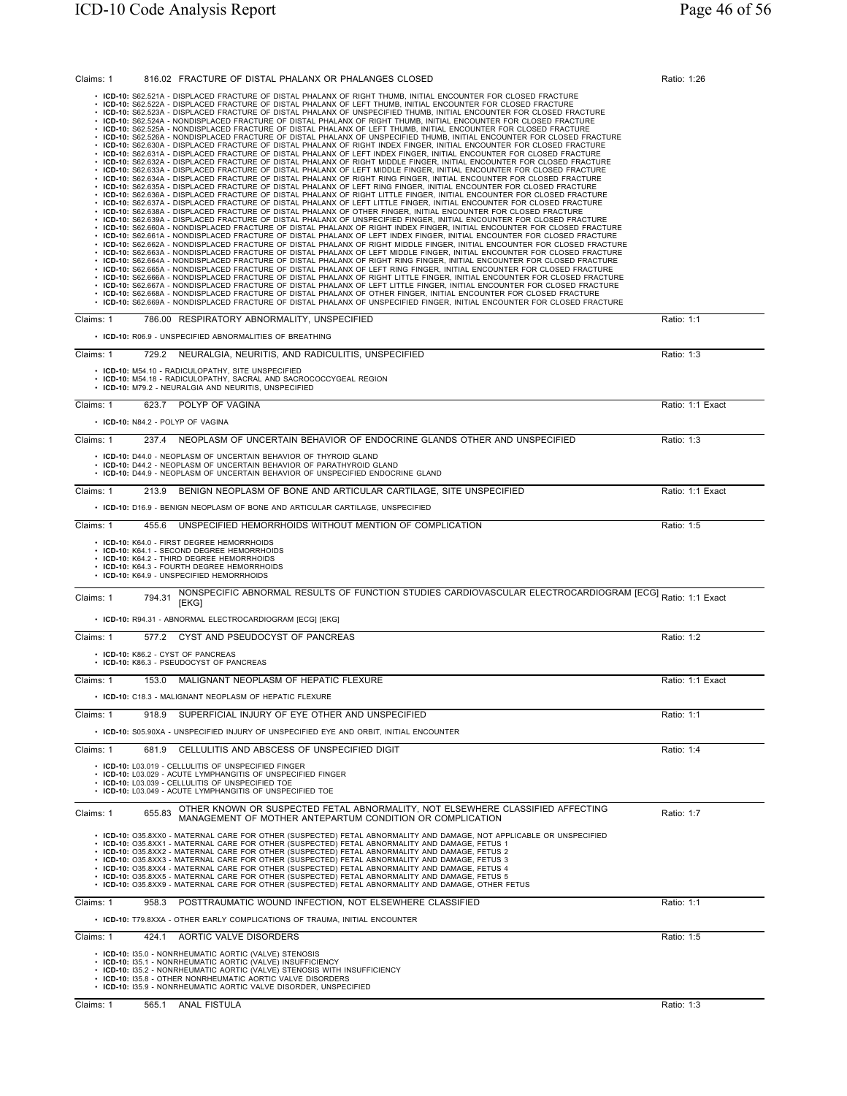| 816.02 FRACTURE OF DISTAL PHALANX OR PHALANGES CLOSED<br>Claims: 1                                                                                                                                                                                                                                                                                                                                                                                                                                                                                                                                                                                                                                                                                                                                                                                                                                                                                                                                                                                                                                                                                                                                                                                                                                                                                                                                                                                                                                                                                                                                                                                                                                                                                                                                                                                                                                                                                                                                                                                                                                                                                                                                                                                                                                                                                                                                                                                                                                                                                                                                                                                                                                                                                                                                                                                                                                                                                                                                                                                                                                                                                                                                                                                  | Ratio: 1:26      |
|-----------------------------------------------------------------------------------------------------------------------------------------------------------------------------------------------------------------------------------------------------------------------------------------------------------------------------------------------------------------------------------------------------------------------------------------------------------------------------------------------------------------------------------------------------------------------------------------------------------------------------------------------------------------------------------------------------------------------------------------------------------------------------------------------------------------------------------------------------------------------------------------------------------------------------------------------------------------------------------------------------------------------------------------------------------------------------------------------------------------------------------------------------------------------------------------------------------------------------------------------------------------------------------------------------------------------------------------------------------------------------------------------------------------------------------------------------------------------------------------------------------------------------------------------------------------------------------------------------------------------------------------------------------------------------------------------------------------------------------------------------------------------------------------------------------------------------------------------------------------------------------------------------------------------------------------------------------------------------------------------------------------------------------------------------------------------------------------------------------------------------------------------------------------------------------------------------------------------------------------------------------------------------------------------------------------------------------------------------------------------------------------------------------------------------------------------------------------------------------------------------------------------------------------------------------------------------------------------------------------------------------------------------------------------------------------------------------------------------------------------------------------------------------------------------------------------------------------------------------------------------------------------------------------------------------------------------------------------------------------------------------------------------------------------------------------------------------------------------------------------------------------------------------------------------------------------------------------------------------------------------|------------------|
| • ICD-10: S62.521A - DISPLACED FRACTURE OF DISTAL PHALANX OF RIGHT THUMB, INITIAL ENCOUNTER FOR CLOSED FRACTURE<br>ICD-10: S62.522A - DISPLACED FRACTURE OF DISTAL PHALANX OF LEFT THUMB, INITIAL ENCOUNTER FOR CLOSED FRACTURE<br>ICD-10: S62.523A - DISPLACED FRACTURE OF DISTAL PHALANX OF UNSPECIFIED THUMB, INITIAL ENCOUNTER FOR CLOSED FRACTURE<br>ICD-10: S62.524A - NONDISPLACED FRACTURE OF DISTAL PHALANX OF RIGHT THUMB, INITIAL ENCOUNTER FOR CLOSED FRACTURE<br>ICD-10: S62.525A - NONDISPLACED FRACTURE OF DISTAL PHALANX OF LEFT THUMB, INITIAL ENCOUNTER FOR CLOSED FRACTURE<br>ICD-10: S62.526A - NONDISPLACED FRACTURE OF DISTAL PHALANX OF UNSPECIFIED THUMB, INITIAL ENCOUNTER FOR CLOSED FRACTURE<br>ICD-10: S62.630A - DISPLACED FRACTURE OF DISTAL PHALANX OF RIGHT INDEX FINGER, INITIAL ENCOUNTER FOR CLOSED FRACTURE<br>ICD-10: S62.631A - DISPLACED FRACTURE OF DISTAL PHALANX OF LEFT INDEX FINGER, INITIAL ENCOUNTER FOR CLOSED FRACTURE<br>ICD-10: S62.632A - DISPLACED FRACTURE OF DISTAL PHALANX OF RIGHT MIDDLE FINGER, INITIAL ENCOUNTER FOR CLOSED FRACTURE<br>ICD-10: S62.633A - DISPLACED FRACTURE OF DISTAL PHALANX OF LEFT MIDDLE FINGER, INITIAL ENCOUNTER FOR CLOSED FRACTURE<br>ICD-10: S62.634A - DISPLACED FRACTURE OF DISTAL PHALANX OF RIGHT RING FINGER, INITIAL ENCOUNTER FOR CLOSED FRACTURE<br>ICD-10: S62.635A - DISPLACED FRACTURE OF DISTAL PHALANX OF LEFT RING FINGER, INITIAL ENCOUNTER FOR CLOSED FRACTURE<br>ICD-10: S62.636A - DISPLACED FRACTURE OF DISTAL PHALANX OF RIGHT LITTLE FINGER, INITIAL ENCOUNTER FOR CLOSED FRACTURE<br>ICD-10: S62.637A - DISPLACED FRACTURE OF DISTAL PHALANX OF LEFT LITTLE FINGER, INITIAL ENCOUNTER FOR CLOSED FRACTURE<br>ICD-10: S62.638A - DISPLACED FRACTURE OF DISTAL PHALANX OF OTHER FINGER, INITIAL ENCOUNTER FOR CLOSED FRACTURE<br>ICD-10: S62.639A - DISPLACED FRACTURE OF DISTAL PHALANX OF UNSPECIFIED FINGER, INITIAL ENCOUNTER FOR CLOSED FRACTURE<br>ICD-10: S62.660A - NONDISPLACED FRACTURE OF DISTAL PHALANX OF RIGHT INDEX FINGER, INITIAL ENCOUNTER FOR CLOSED FRACTURE<br>ICD-10: S62.661A - NONDISPLACED FRACTURE OF DISTAL PHALANX OF LEFT INDEX FINGER, INITIAL ENCOUNTER FOR CLOSED FRACTURE<br>· ICD-10: S62.662A - NONDISPLACED FRACTURE OF DISTAL PHALANX OF RIGHT MIDDLE FINGER, INITIAL ENCOUNTER FOR CLOSED FRACTURE<br>· ICD-10: S62.663A - NONDISPLACED FRACTURE OF DISTAL PHALANX OF LEFT MIDDLE FINGER, INITIAL ENCOUNTER FOR CLOSED FRACTURE<br>· ICD-10: S62.664A - NONDISPLACED FRACTURE OF DISTAL PHALANX OF RIGHT RING FINGER, INITIAL ENCOUNTER FOR CLOSED FRACTURE<br>· ICD-10: S62.665A - NONDISPLACED FRACTURE OF DISTAL PHALANX OF LEFT RING FINGER, INITIAL ENCOUNTER FOR CLOSED FRACTURE<br>· ICD-10: S62.666A - NONDISPLACED FRACTURE OF DISTAL PHALANX OF RIGHT LITTLE FINGER, INITIAL ENCOUNTER FOR CLOSED FRACTURE<br>· ICD-10: S62.667A - NONDISPLACED FRACTURE OF DISTAL PHALANX OF LEFT LITTLE FINGER, INITIAL ENCOUNTER FOR CLOSED FRACTURE<br>ICD-10: S62.668A - NONDISPLACED FRACTURE OF DISTAL PHALANX OF OTHER FINGER, INITIAL ENCOUNTER FOR CLOSED FRACTURE<br>· ICD-10: S62.669A - NONDISPLACED FRACTURE OF DISTAL PHALANX OF UNSPECIFIED FINGER, INITIAL ENCOUNTER FOR CLOSED FRACTURE |                  |
| Claims: 1<br>786.00 RESPIRATORY ABNORMALITY, UNSPECIFIED                                                                                                                                                                                                                                                                                                                                                                                                                                                                                                                                                                                                                                                                                                                                                                                                                                                                                                                                                                                                                                                                                                                                                                                                                                                                                                                                                                                                                                                                                                                                                                                                                                                                                                                                                                                                                                                                                                                                                                                                                                                                                                                                                                                                                                                                                                                                                                                                                                                                                                                                                                                                                                                                                                                                                                                                                                                                                                                                                                                                                                                                                                                                                                                            | Ratio: 1:1       |
| • ICD-10: R06.9 - UNSPECIFIED ABNORMALITIES OF BREATHING                                                                                                                                                                                                                                                                                                                                                                                                                                                                                                                                                                                                                                                                                                                                                                                                                                                                                                                                                                                                                                                                                                                                                                                                                                                                                                                                                                                                                                                                                                                                                                                                                                                                                                                                                                                                                                                                                                                                                                                                                                                                                                                                                                                                                                                                                                                                                                                                                                                                                                                                                                                                                                                                                                                                                                                                                                                                                                                                                                                                                                                                                                                                                                                            |                  |
| Claims: 1<br>729.2<br>NEURALGIA, NEURITIS, AND RADICULITIS, UNSPECIFIED<br>• ICD-10: M54.10 - RADICULOPATHY, SITE UNSPECIFIED<br>• ICD-10: M54.18 - RADICULOPATHY, SACRAL AND SACROCOCCYGEAL REGION<br>• ICD-10: M79.2 - NEURALGIA AND NEURITIS, UNSPECIFIED                                                                                                                                                                                                                                                                                                                                                                                                                                                                                                                                                                                                                                                                                                                                                                                                                                                                                                                                                                                                                                                                                                                                                                                                                                                                                                                                                                                                                                                                                                                                                                                                                                                                                                                                                                                                                                                                                                                                                                                                                                                                                                                                                                                                                                                                                                                                                                                                                                                                                                                                                                                                                                                                                                                                                                                                                                                                                                                                                                                        | Ratio: 1:3       |
| 623.7 POLYP OF VAGINA<br>Claims: 1                                                                                                                                                                                                                                                                                                                                                                                                                                                                                                                                                                                                                                                                                                                                                                                                                                                                                                                                                                                                                                                                                                                                                                                                                                                                                                                                                                                                                                                                                                                                                                                                                                                                                                                                                                                                                                                                                                                                                                                                                                                                                                                                                                                                                                                                                                                                                                                                                                                                                                                                                                                                                                                                                                                                                                                                                                                                                                                                                                                                                                                                                                                                                                                                                  | Ratio: 1:1 Exact |
| • ICD-10: N84.2 - POLYP OF VAGINA                                                                                                                                                                                                                                                                                                                                                                                                                                                                                                                                                                                                                                                                                                                                                                                                                                                                                                                                                                                                                                                                                                                                                                                                                                                                                                                                                                                                                                                                                                                                                                                                                                                                                                                                                                                                                                                                                                                                                                                                                                                                                                                                                                                                                                                                                                                                                                                                                                                                                                                                                                                                                                                                                                                                                                                                                                                                                                                                                                                                                                                                                                                                                                                                                   |                  |
| 237.4<br>NEOPLASM OF UNCERTAIN BEHAVIOR OF ENDOCRINE GLANDS OTHER AND UNSPECIFIED<br>Claims: 1                                                                                                                                                                                                                                                                                                                                                                                                                                                                                                                                                                                                                                                                                                                                                                                                                                                                                                                                                                                                                                                                                                                                                                                                                                                                                                                                                                                                                                                                                                                                                                                                                                                                                                                                                                                                                                                                                                                                                                                                                                                                                                                                                                                                                                                                                                                                                                                                                                                                                                                                                                                                                                                                                                                                                                                                                                                                                                                                                                                                                                                                                                                                                      | Ratio: 1:3       |
| • ICD-10: D44.0 - NEOPLASM OF UNCERTAIN BEHAVIOR OF THYROID GLAND<br>• ICD-10: D44.2 - NEOPLASM OF UNCERTAIN BEHAVIOR OF PARATHYROID GLAND<br>• ICD-10: D44.9 - NEOPLASM OF UNCERTAIN BEHAVIOR OF UNSPECIFIED ENDOCRINE GLAND                                                                                                                                                                                                                                                                                                                                                                                                                                                                                                                                                                                                                                                                                                                                                                                                                                                                                                                                                                                                                                                                                                                                                                                                                                                                                                                                                                                                                                                                                                                                                                                                                                                                                                                                                                                                                                                                                                                                                                                                                                                                                                                                                                                                                                                                                                                                                                                                                                                                                                                                                                                                                                                                                                                                                                                                                                                                                                                                                                                                                       |                  |
| 213.9 BENIGN NEOPLASM OF BONE AND ARTICULAR CARTILAGE, SITE UNSPECIFIED<br>Claims: 1                                                                                                                                                                                                                                                                                                                                                                                                                                                                                                                                                                                                                                                                                                                                                                                                                                                                                                                                                                                                                                                                                                                                                                                                                                                                                                                                                                                                                                                                                                                                                                                                                                                                                                                                                                                                                                                                                                                                                                                                                                                                                                                                                                                                                                                                                                                                                                                                                                                                                                                                                                                                                                                                                                                                                                                                                                                                                                                                                                                                                                                                                                                                                                | Ratio: 1:1 Exact |
| • ICD-10: D16.9 - BENIGN NEOPLASM OF BONE AND ARTICULAR CARTILAGE, UNSPECIFIED                                                                                                                                                                                                                                                                                                                                                                                                                                                                                                                                                                                                                                                                                                                                                                                                                                                                                                                                                                                                                                                                                                                                                                                                                                                                                                                                                                                                                                                                                                                                                                                                                                                                                                                                                                                                                                                                                                                                                                                                                                                                                                                                                                                                                                                                                                                                                                                                                                                                                                                                                                                                                                                                                                                                                                                                                                                                                                                                                                                                                                                                                                                                                                      |                  |
| 455.6 UNSPECIFIED HEMORRHOIDS WITHOUT MENTION OF COMPLICATION<br>Claims: 1<br>• ICD-10: K64.0 - FIRST DEGREE HEMORRHOIDS<br>• ICD-10: K64.1 - SECOND DEGREE HEMORRHOIDS<br>• ICD-10: K64.2 - THIRD DEGREE HEMORRHOIDS<br>• ICD-10: K64.3 - FOURTH DEGREE HEMORRHOIDS<br>• ICD-10: K64.9 - UNSPECIFIED HEMORRHOIDS                                                                                                                                                                                                                                                                                                                                                                                                                                                                                                                                                                                                                                                                                                                                                                                                                                                                                                                                                                                                                                                                                                                                                                                                                                                                                                                                                                                                                                                                                                                                                                                                                                                                                                                                                                                                                                                                                                                                                                                                                                                                                                                                                                                                                                                                                                                                                                                                                                                                                                                                                                                                                                                                                                                                                                                                                                                                                                                                   | Ratio: 1:5       |
| NONSPECIFIC ABNORMAL RESULTS OF FUNCTION STUDIES CARDIOVASCULAR ELECTROCARDIOGRAM [ECG] Ratio: 1:1 Exact<br>Claims: 1<br>794.31<br>[EKG]                                                                                                                                                                                                                                                                                                                                                                                                                                                                                                                                                                                                                                                                                                                                                                                                                                                                                                                                                                                                                                                                                                                                                                                                                                                                                                                                                                                                                                                                                                                                                                                                                                                                                                                                                                                                                                                                                                                                                                                                                                                                                                                                                                                                                                                                                                                                                                                                                                                                                                                                                                                                                                                                                                                                                                                                                                                                                                                                                                                                                                                                                                            |                  |
| • ICD-10: R94.31 - ABNORMAL ELECTROCARDIOGRAM [ECG] [EKG]<br>Claims: 1<br>577.2<br>CYST AND PSEUDOCYST OF PANCREAS                                                                                                                                                                                                                                                                                                                                                                                                                                                                                                                                                                                                                                                                                                                                                                                                                                                                                                                                                                                                                                                                                                                                                                                                                                                                                                                                                                                                                                                                                                                                                                                                                                                                                                                                                                                                                                                                                                                                                                                                                                                                                                                                                                                                                                                                                                                                                                                                                                                                                                                                                                                                                                                                                                                                                                                                                                                                                                                                                                                                                                                                                                                                  | Ratio: 1:2       |
| • ICD-10: K86.2 - CYST OF PANCREAS                                                                                                                                                                                                                                                                                                                                                                                                                                                                                                                                                                                                                                                                                                                                                                                                                                                                                                                                                                                                                                                                                                                                                                                                                                                                                                                                                                                                                                                                                                                                                                                                                                                                                                                                                                                                                                                                                                                                                                                                                                                                                                                                                                                                                                                                                                                                                                                                                                                                                                                                                                                                                                                                                                                                                                                                                                                                                                                                                                                                                                                                                                                                                                                                                  |                  |
| ICD-10: K86.3 - PSEUDOCYST OF PANCREAS                                                                                                                                                                                                                                                                                                                                                                                                                                                                                                                                                                                                                                                                                                                                                                                                                                                                                                                                                                                                                                                                                                                                                                                                                                                                                                                                                                                                                                                                                                                                                                                                                                                                                                                                                                                                                                                                                                                                                                                                                                                                                                                                                                                                                                                                                                                                                                                                                                                                                                                                                                                                                                                                                                                                                                                                                                                                                                                                                                                                                                                                                                                                                                                                              |                  |
| 153.0<br>MALIGNANT NEOPLASM OF HEPATIC FLEXURE<br>Claims: 1<br>• ICD-10: C18.3 - MALIGNANT NEOPLASM OF HEPATIC FLEXURE                                                                                                                                                                                                                                                                                                                                                                                                                                                                                                                                                                                                                                                                                                                                                                                                                                                                                                                                                                                                                                                                                                                                                                                                                                                                                                                                                                                                                                                                                                                                                                                                                                                                                                                                                                                                                                                                                                                                                                                                                                                                                                                                                                                                                                                                                                                                                                                                                                                                                                                                                                                                                                                                                                                                                                                                                                                                                                                                                                                                                                                                                                                              | Ratio: 1:1 Exact |
| 918.9 SUPERFICIAL INJURY OF EYE OTHER AND UNSPECIFIED<br>Claims: 1                                                                                                                                                                                                                                                                                                                                                                                                                                                                                                                                                                                                                                                                                                                                                                                                                                                                                                                                                                                                                                                                                                                                                                                                                                                                                                                                                                                                                                                                                                                                                                                                                                                                                                                                                                                                                                                                                                                                                                                                                                                                                                                                                                                                                                                                                                                                                                                                                                                                                                                                                                                                                                                                                                                                                                                                                                                                                                                                                                                                                                                                                                                                                                                  | Ratio: 1:1       |
| • ICD-10: S05.90XA - UNSPECIFIED INJURY OF UNSPECIFIED EYE AND ORBIT, INITIAL ENCOUNTER                                                                                                                                                                                                                                                                                                                                                                                                                                                                                                                                                                                                                                                                                                                                                                                                                                                                                                                                                                                                                                                                                                                                                                                                                                                                                                                                                                                                                                                                                                                                                                                                                                                                                                                                                                                                                                                                                                                                                                                                                                                                                                                                                                                                                                                                                                                                                                                                                                                                                                                                                                                                                                                                                                                                                                                                                                                                                                                                                                                                                                                                                                                                                             |                  |
| Claims: 1<br>CELLULITIS AND ABSCESS OF UNSPECIFIED DIGIT<br>681.9                                                                                                                                                                                                                                                                                                                                                                                                                                                                                                                                                                                                                                                                                                                                                                                                                                                                                                                                                                                                                                                                                                                                                                                                                                                                                                                                                                                                                                                                                                                                                                                                                                                                                                                                                                                                                                                                                                                                                                                                                                                                                                                                                                                                                                                                                                                                                                                                                                                                                                                                                                                                                                                                                                                                                                                                                                                                                                                                                                                                                                                                                                                                                                                   | Ratio: 1:4       |
| • ICD-10: L03.019 - CELLULITIS OF UNSPECIFIED FINGER<br>• ICD-10: L03.029 - ACUTE LYMPHANGITIS OF UNSPECIFIED FINGER<br>• ICD-10: L03.039 - CELLULITIS OF UNSPECIFIED TOE<br>• ICD-10: L03.049 - ACUTE LYMPHANGITIS OF UNSPECIFIED TOE                                                                                                                                                                                                                                                                                                                                                                                                                                                                                                                                                                                                                                                                                                                                                                                                                                                                                                                                                                                                                                                                                                                                                                                                                                                                                                                                                                                                                                                                                                                                                                                                                                                                                                                                                                                                                                                                                                                                                                                                                                                                                                                                                                                                                                                                                                                                                                                                                                                                                                                                                                                                                                                                                                                                                                                                                                                                                                                                                                                                              |                  |
| OTHER KNOWN OR SUSPECTED FETAL ABNORMALITY, NOT ELSEWHERE CLASSIFIED AFFECTING<br>Claims: 1<br>655.83<br>MANAGEMENT OF MOTHER ANTEPARTUM CONDITION OR COMPLICATION                                                                                                                                                                                                                                                                                                                                                                                                                                                                                                                                                                                                                                                                                                                                                                                                                                                                                                                                                                                                                                                                                                                                                                                                                                                                                                                                                                                                                                                                                                                                                                                                                                                                                                                                                                                                                                                                                                                                                                                                                                                                                                                                                                                                                                                                                                                                                                                                                                                                                                                                                                                                                                                                                                                                                                                                                                                                                                                                                                                                                                                                                  | Ratio: 1:7       |
| · ICD-10: 035.8XX0 - MATERNAL CARE FOR OTHER (SUSPECTED) FETAL ABNORMALITY AND DAMAGE, NOT APPLICABLE OR UNSPECIFIED<br>. ICD-10: 035.8XX1 - MATERNAL CARE FOR OTHER (SUSPECTED) FETAL ABNORMALITY AND DAMAGE, FETUS 1<br>. ICD-10: 035.8XX2 - MATERNAL CARE FOR OTHER (SUSPECTED) FETAL ABNORMALITY AND DAMAGE, FETUS 2<br>. ICD-10: 035.8XX3 - MATERNAL CARE FOR OTHER (SUSPECTED) FETAL ABNORMALITY AND DAMAGE, FETUS 3<br>. ICD-10: 035.8XX4 - MATERNAL CARE FOR OTHER (SUSPECTED) FETAL ABNORMALITY AND DAMAGE, FETUS 4<br>• ICD-10: 035.8XX5 - MATERNAL CARE FOR OTHER (SUSPECTED) FETAL ABNORMALITY AND DAMAGE, FETUS 5<br>• ICD-10: 035.8XX9 - MATERNAL CARE FOR OTHER (SUSPECTED) FETAL ABNORMALITY AND DAMAGE, OTHER FETUS                                                                                                                                                                                                                                                                                                                                                                                                                                                                                                                                                                                                                                                                                                                                                                                                                                                                                                                                                                                                                                                                                                                                                                                                                                                                                                                                                                                                                                                                                                                                                                                                                                                                                                                                                                                                                                                                                                                                                                                                                                                                                                                                                                                                                                                                                                                                                                                                                                                                                                                |                  |
| Claims: 1<br>958.3<br>POSTTRAUMATIC WOUND INFECTION, NOT ELSEWHERE CLASSIFIED                                                                                                                                                                                                                                                                                                                                                                                                                                                                                                                                                                                                                                                                                                                                                                                                                                                                                                                                                                                                                                                                                                                                                                                                                                                                                                                                                                                                                                                                                                                                                                                                                                                                                                                                                                                                                                                                                                                                                                                                                                                                                                                                                                                                                                                                                                                                                                                                                                                                                                                                                                                                                                                                                                                                                                                                                                                                                                                                                                                                                                                                                                                                                                       | Ratio: 1:1       |
| • ICD-10: T79.8XXA - OTHER EARLY COMPLICATIONS OF TRAUMA, INITIAL ENCOUNTER                                                                                                                                                                                                                                                                                                                                                                                                                                                                                                                                                                                                                                                                                                                                                                                                                                                                                                                                                                                                                                                                                                                                                                                                                                                                                                                                                                                                                                                                                                                                                                                                                                                                                                                                                                                                                                                                                                                                                                                                                                                                                                                                                                                                                                                                                                                                                                                                                                                                                                                                                                                                                                                                                                                                                                                                                                                                                                                                                                                                                                                                                                                                                                         |                  |
| Claims: 1<br>AORTIC VALVE DISORDERS<br>424.1<br>• ICD-10: I35.0 - NONRHEUMATIC AORTIC (VALVE) STENOSIS<br>• ICD-10: I35.1 - NONRHEUMATIC AORTIC (VALVE) INSUFFICIENCY<br>• ICD-10: I35.2 - NONRHEUMATIC AORTIC (VALVE) STENOSIS WITH INSUFFICIENCY<br>• ICD-10: I35.8 - OTHER NONRHEUMATIC AORTIC VALVE DISORDERS<br>• ICD-10: I35.9 - NONRHEUMATIC AORTIC VALVE DISORDER, UNSPECIFIED                                                                                                                                                                                                                                                                                                                                                                                                                                                                                                                                                                                                                                                                                                                                                                                                                                                                                                                                                                                                                                                                                                                                                                                                                                                                                                                                                                                                                                                                                                                                                                                                                                                                                                                                                                                                                                                                                                                                                                                                                                                                                                                                                                                                                                                                                                                                                                                                                                                                                                                                                                                                                                                                                                                                                                                                                                                              | Ratio: 1:5       |
| ANAL FISTULA<br>Claims: 1<br>565.1                                                                                                                                                                                                                                                                                                                                                                                                                                                                                                                                                                                                                                                                                                                                                                                                                                                                                                                                                                                                                                                                                                                                                                                                                                                                                                                                                                                                                                                                                                                                                                                                                                                                                                                                                                                                                                                                                                                                                                                                                                                                                                                                                                                                                                                                                                                                                                                                                                                                                                                                                                                                                                                                                                                                                                                                                                                                                                                                                                                                                                                                                                                                                                                                                  | Ratio: 1:3       |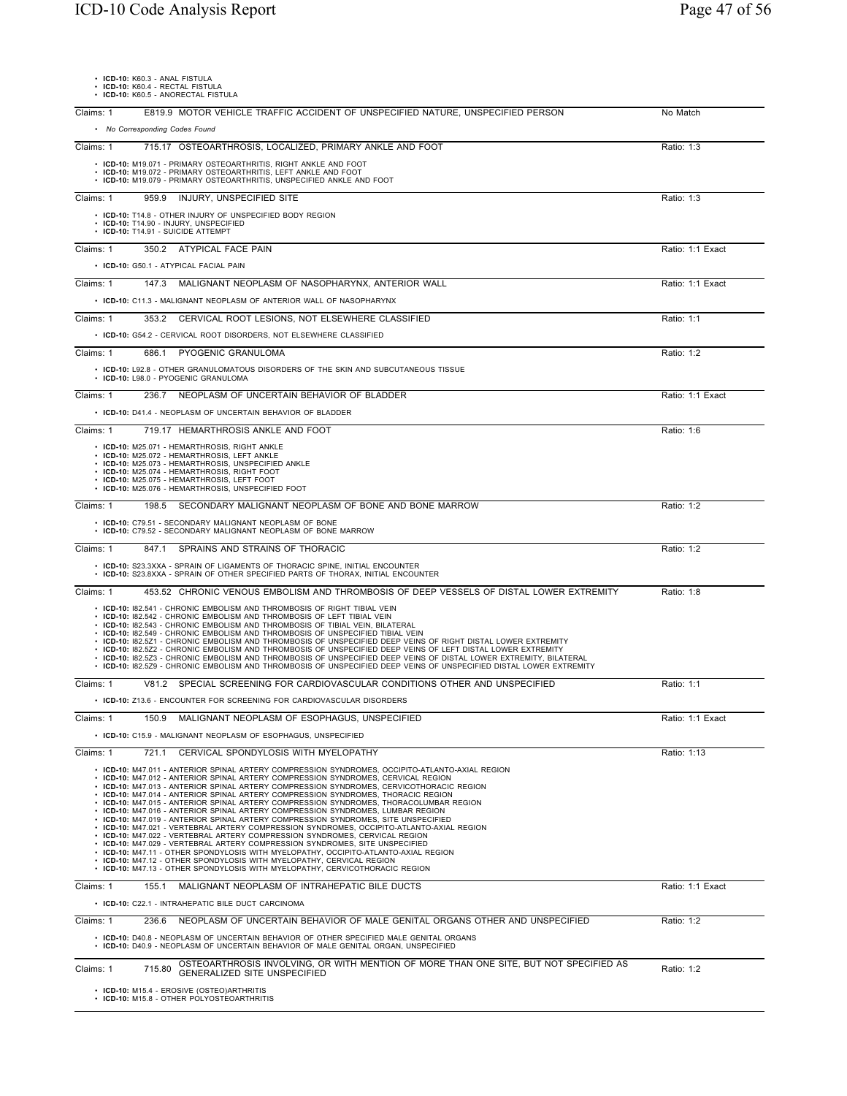|                    | $\cdot$ ICD-10: K60.3 - ANAL FISTULA |  |
|--------------------|--------------------------------------|--|
| $100 - 100 - 1000$ | $P = 27.1$ $P = 27.1$                |  |

• **ICD-10:** K60.3 - ANAL FISTULA • **ICD-10:** K60.4 - RECTAL FISTULA • **ICD-10:** K60.5 - ANORECTAL FISTULA

| E819.9 MOTOR VEHICLE TRAFFIC ACCIDENT OF UNSPECIFIED NATURE, UNSPECIFIED PERSON<br>Claims: 1                                                                                                                                                                                                                                                                                                                                                                                                                                                                                                                                                                                                                                                                                                                                                                                                                                                                                                                                                                                                                                                         | No Match         |
|------------------------------------------------------------------------------------------------------------------------------------------------------------------------------------------------------------------------------------------------------------------------------------------------------------------------------------------------------------------------------------------------------------------------------------------------------------------------------------------------------------------------------------------------------------------------------------------------------------------------------------------------------------------------------------------------------------------------------------------------------------------------------------------------------------------------------------------------------------------------------------------------------------------------------------------------------------------------------------------------------------------------------------------------------------------------------------------------------------------------------------------------------|------------------|
| • No Corresponding Codes Found                                                                                                                                                                                                                                                                                                                                                                                                                                                                                                                                                                                                                                                                                                                                                                                                                                                                                                                                                                                                                                                                                                                       |                  |
| Claims: 1<br>715.17 OSTEOARTHROSIS, LOCALIZED, PRIMARY ANKLE AND FOOT                                                                                                                                                                                                                                                                                                                                                                                                                                                                                                                                                                                                                                                                                                                                                                                                                                                                                                                                                                                                                                                                                | Ratio: 1:3       |
| • ICD-10: M19.071 - PRIMARY OSTEOARTHRITIS, RIGHT ANKLE AND FOOT<br>• ICD-10: M19.072 - PRIMARY OSTEOARTHRITIS. LEFT ANKLE AND FOOT<br>• ICD-10: M19.079 - PRIMARY OSTEOARTHRITIS, UNSPECIFIED ANKLE AND FOOT                                                                                                                                                                                                                                                                                                                                                                                                                                                                                                                                                                                                                                                                                                                                                                                                                                                                                                                                        |                  |
| 959.9 INJURY, UNSPECIFIED SITE<br>Claims: 1                                                                                                                                                                                                                                                                                                                                                                                                                                                                                                                                                                                                                                                                                                                                                                                                                                                                                                                                                                                                                                                                                                          | Ratio: 1:3       |
| • ICD-10: T14.8 - OTHER INJURY OF UNSPECIFIED BODY REGION<br>· ICD-10: T14.90 - INJURY, UNSPECIFIED<br>• ICD-10: T14.91 - SUICIDE ATTEMPT                                                                                                                                                                                                                                                                                                                                                                                                                                                                                                                                                                                                                                                                                                                                                                                                                                                                                                                                                                                                            |                  |
| Claims: 1<br>350.2 ATYPICAL FACE PAIN                                                                                                                                                                                                                                                                                                                                                                                                                                                                                                                                                                                                                                                                                                                                                                                                                                                                                                                                                                                                                                                                                                                | Ratio: 1:1 Exact |
| • ICD-10: G50.1 - ATYPICAL FACIAL PAIN                                                                                                                                                                                                                                                                                                                                                                                                                                                                                                                                                                                                                                                                                                                                                                                                                                                                                                                                                                                                                                                                                                               |                  |
| Claims: 1<br>147.3 MALIGNANT NEOPLASM OF NASOPHARYNX, ANTERIOR WALL                                                                                                                                                                                                                                                                                                                                                                                                                                                                                                                                                                                                                                                                                                                                                                                                                                                                                                                                                                                                                                                                                  | Ratio: 1:1 Exact |
| • ICD-10: C11.3 - MALIGNANT NEOPLASM OF ANTERIOR WALL OF NASOPHARYNX                                                                                                                                                                                                                                                                                                                                                                                                                                                                                                                                                                                                                                                                                                                                                                                                                                                                                                                                                                                                                                                                                 |                  |
| 353.2 CERVICAL ROOT LESIONS, NOT ELSEWHERE CLASSIFIED<br>Claims: 1                                                                                                                                                                                                                                                                                                                                                                                                                                                                                                                                                                                                                                                                                                                                                                                                                                                                                                                                                                                                                                                                                   | Ratio: 1:1       |
| • ICD-10: G54.2 - CERVICAL ROOT DISORDERS, NOT ELSEWHERE CLASSIFIED                                                                                                                                                                                                                                                                                                                                                                                                                                                                                                                                                                                                                                                                                                                                                                                                                                                                                                                                                                                                                                                                                  |                  |
| Claims: 1<br>686.1 PYOGENIC GRANULOMA                                                                                                                                                                                                                                                                                                                                                                                                                                                                                                                                                                                                                                                                                                                                                                                                                                                                                                                                                                                                                                                                                                                | Ratio: 1:2       |
| • ICD-10: L92.8 - OTHER GRANULOMATOUS DISORDERS OF THE SKIN AND SUBCUTANEOUS TISSUE<br>• ICD-10: L98.0 - PYOGENIC GRANULOMA                                                                                                                                                                                                                                                                                                                                                                                                                                                                                                                                                                                                                                                                                                                                                                                                                                                                                                                                                                                                                          |                  |
| Claims: 1<br>236.7<br>NEOPLASM OF UNCERTAIN BEHAVIOR OF BLADDER                                                                                                                                                                                                                                                                                                                                                                                                                                                                                                                                                                                                                                                                                                                                                                                                                                                                                                                                                                                                                                                                                      | Ratio: 1:1 Exact |
| • ICD-10: D41.4 - NEOPLASM OF UNCERTAIN BEHAVIOR OF BLADDER                                                                                                                                                                                                                                                                                                                                                                                                                                                                                                                                                                                                                                                                                                                                                                                                                                                                                                                                                                                                                                                                                          |                  |
| 719.17 HEMARTHROSIS ANKLE AND FOOT<br>Claims: 1                                                                                                                                                                                                                                                                                                                                                                                                                                                                                                                                                                                                                                                                                                                                                                                                                                                                                                                                                                                                                                                                                                      | Ratio: 1:6       |
| • ICD-10: M25.071 - HEMARTHROSIS, RIGHT ANKLE<br>• ICD-10: M25.072 - HEMARTHROSIS, LEFT ANKLE<br>• ICD-10: M25.073 - HEMARTHROSIS, UNSPECIFIED ANKLE<br>• ICD-10: M25.074 - HEMARTHROSIS, RIGHT FOOT<br>• ICD-10: M25.075 - HEMARTHROSIS, LEFT FOOT<br>• ICD-10: M25.076 - HEMARTHROSIS, UNSPECIFIED FOOT                                                                                                                                                                                                                                                                                                                                                                                                                                                                                                                                                                                                                                                                                                                                                                                                                                            |                  |
| Claims: 1<br>198.5<br>SECONDARY MALIGNANT NEOPLASM OF BONE AND BONE MARROW                                                                                                                                                                                                                                                                                                                                                                                                                                                                                                                                                                                                                                                                                                                                                                                                                                                                                                                                                                                                                                                                           | Ratio: 1:2       |
| • ICD-10: C79.51 - SECONDARY MALIGNANT NEOPLASM OF BONE<br>• ICD-10: C79.52 - SECONDARY MALIGNANT NEOPLASM OF BONE MARROW                                                                                                                                                                                                                                                                                                                                                                                                                                                                                                                                                                                                                                                                                                                                                                                                                                                                                                                                                                                                                            |                  |
| Claims: 1<br>SPRAINS AND STRAINS OF THORACIC<br>847.1                                                                                                                                                                                                                                                                                                                                                                                                                                                                                                                                                                                                                                                                                                                                                                                                                                                                                                                                                                                                                                                                                                | Ratio: 1:2       |
| • ICD-10: S23.3XXA - SPRAIN OF LIGAMENTS OF THORACIC SPINE, INITIAL ENCOUNTER<br>• ICD-10: S23.8XXA - SPRAIN OF OTHER SPECIFIED PARTS OF THORAX, INITIAL ENCOUNTER                                                                                                                                                                                                                                                                                                                                                                                                                                                                                                                                                                                                                                                                                                                                                                                                                                                                                                                                                                                   |                  |
| Claims: 1<br>453.52 CHRONIC VENOUS EMBOLISM AND THROMBOSIS OF DEEP VESSELS OF DISTAL LOWER EXTREMITY                                                                                                                                                                                                                                                                                                                                                                                                                                                                                                                                                                                                                                                                                                                                                                                                                                                                                                                                                                                                                                                 | Ratio: 1:8       |
| • ICD-10: 182.541 - CHRONIC EMBOLISM AND THROMBOSIS OF RIGHT TIBIAL VEIN<br>• ICD-10: 182.542 - CHRONIC EMBOLISM AND THROMBOSIS OF LEFT TIBIAL VEIN<br>• ICD-10: 182.543 - CHRONIC EMBOLISM AND THROMBOSIS OF TIBIAL VEIN, BILATERAL<br>• ICD-10: 182.549 - CHRONIC EMBOLISM AND THROMBOSIS OF UNSPECIFIED TIBIAL VEIN<br>. ICD-10: I82.5Z1 - CHRONIC EMBOLISM AND THROMBOSIS OF UNSPECIFIED DEEP VEINS OF RIGHT DISTAL LOWER EXTREMITY<br>. ICD-10: 182.5Z2 - CHRONIC EMBOLISM AND THROMBOSIS OF UNSPECIFIED DEEP VEINS OF LEFT DISTAL LOWER EXTREMITY<br>. ICD-10: 182.5Z3 - CHRONIC EMBOLISM AND THROMBOSIS OF UNSPECIFIED DEEP VEINS OF DISTAL LOWER EXTREMITY, BILATERAL<br>. ICD-10: 182.5Z9 - CHRONIC EMBOLISM AND THROMBOSIS OF UNSPECIFIED DEEP VEINS OF UNSPECIFIED DISTAL LOWER EXTREMITY                                                                                                                                                                                                                                                                                                                                                 |                  |
| V81.2 SPECIAL SCREENING FOR CARDIOVASCULAR CONDITIONS OTHER AND UNSPECIFIED<br>Claims: 1                                                                                                                                                                                                                                                                                                                                                                                                                                                                                                                                                                                                                                                                                                                                                                                                                                                                                                                                                                                                                                                             | Ratio: 1:1       |
| • ICD-10: Z13.6 - ENCOUNTER FOR SCREENING FOR CARDIOVASCULAR DISORDERS                                                                                                                                                                                                                                                                                                                                                                                                                                                                                                                                                                                                                                                                                                                                                                                                                                                                                                                                                                                                                                                                               |                  |
| 150.9 MALIGNANT NEOPLASM OF ESOPHAGUS, UNSPECIFIED<br>Claims: 1                                                                                                                                                                                                                                                                                                                                                                                                                                                                                                                                                                                                                                                                                                                                                                                                                                                                                                                                                                                                                                                                                      | Ratio: 1:1 Exact |
| • ICD-10: C15.9 - MALIGNANT NEOPLASM OF ESOPHAGUS, UNSPECIFIED                                                                                                                                                                                                                                                                                                                                                                                                                                                                                                                                                                                                                                                                                                                                                                                                                                                                                                                                                                                                                                                                                       |                  |
| Claims: 1<br>CERVICAL SPONDYLOSIS WITH MYELOPATHY<br>721.1                                                                                                                                                                                                                                                                                                                                                                                                                                                                                                                                                                                                                                                                                                                                                                                                                                                                                                                                                                                                                                                                                           | Ratio: 1:13      |
| • ICD-10: M47.011 - ANTERIOR SPINAL ARTERY COMPRESSION SYNDROMES, OCCIPITO-ATLANTO-AXIAL REGION<br>• ICD-10: M47.012 - ANTERIOR SPINAL ARTERY COMPRESSION SYNDROMES, CERVICAL REGION<br>• ICD-10: M47.013 - ANTERIOR SPINAL ARTERY COMPRESSION SYNDROMES, CERVICOTHORACIC REGION<br>• ICD-10: M47.014 - ANTERIOR SPINAL ARTERY COMPRESSION SYNDROMES, THORACIC REGION<br>• ICD-10: M47.015 - ANTERIOR SPINAL ARTERY COMPRESSION SYNDROMES, THORACOLUMBAR REGION<br>• ICD-10: M47.016 - ANTERIOR SPINAL ARTERY COMPRESSION SYNDROMES, LUMBAR REGION<br>• ICD-10: M47.019 - ANTERIOR SPINAL ARTERY COMPRESSION SYNDROMES, SITE UNSPECIFIED<br>• ICD-10: M47.021 - VERTEBRAL ARTERY COMPRESSION SYNDROMES, OCCIPITO-ATLANTO-AXIAL REGION<br>• ICD-10: M47.022 - VERTEBRAL ARTERY COMPRESSION SYNDROMES, CERVICAL REGION<br>• ICD-10: M47.029 - VERTEBRAL ARTERY COMPRESSION SYNDROMES, SITE UNSPECIFIED<br>• ICD-10: M47.11 - OTHER SPONDYLOSIS WITH MYELOPATHY, OCCIPITO-ATLANTO-AXIAL REGION<br>• ICD-10: M47.12 - OTHER SPONDYLOSIS WITH MYELOPATHY, CERVICAL REGION<br>• ICD-10: M47.13 - OTHER SPONDYLOSIS WITH MYELOPATHY, CERVICOTHORACIC REGION |                  |
| Claims: 1<br>MALIGNANT NEOPLASM OF INTRAHEPATIC BILE DUCTS<br>155.1                                                                                                                                                                                                                                                                                                                                                                                                                                                                                                                                                                                                                                                                                                                                                                                                                                                                                                                                                                                                                                                                                  | Ratio: 1:1 Exact |
| • ICD-10: C22.1 - INTRAHEPATIC BILE DUCT CARCINOMA                                                                                                                                                                                                                                                                                                                                                                                                                                                                                                                                                                                                                                                                                                                                                                                                                                                                                                                                                                                                                                                                                                   |                  |
| Claims: 1<br>NEOPLASM OF UNCERTAIN BEHAVIOR OF MALE GENITAL ORGANS OTHER AND UNSPECIFIED<br>236.6                                                                                                                                                                                                                                                                                                                                                                                                                                                                                                                                                                                                                                                                                                                                                                                                                                                                                                                                                                                                                                                    | Ratio: 1:2       |
| • ICD-10: D40.8 - NEOPLASM OF UNCERTAIN BEHAVIOR OF OTHER SPECIFIED MALE GENITAL ORGANS<br>• ICD-10: D40.9 - NEOPLASM OF UNCERTAIN BEHAVIOR OF MALE GENITAL ORGAN, UNSPECIFIED                                                                                                                                                                                                                                                                                                                                                                                                                                                                                                                                                                                                                                                                                                                                                                                                                                                                                                                                                                       |                  |
| OSTEOARTHROSIS INVOLVING, OR WITH MENTION OF MORE THAN ONE SITE, BUT NOT SPECIFIED AS<br>Claims: 1<br>715.80<br><b>GENERALIZED SITE UNSPECIFIED</b>                                                                                                                                                                                                                                                                                                                                                                                                                                                                                                                                                                                                                                                                                                                                                                                                                                                                                                                                                                                                  | Ratio: 1:2       |
| • ICD-10: M15.4 - EROSIVE (OSTEO)ARTHRITIS<br>• ICD-10: M15.8 - OTHER POLYOSTEOARTHRITIS                                                                                                                                                                                                                                                                                                                                                                                                                                                                                                                                                                                                                                                                                                                                                                                                                                                                                                                                                                                                                                                             |                  |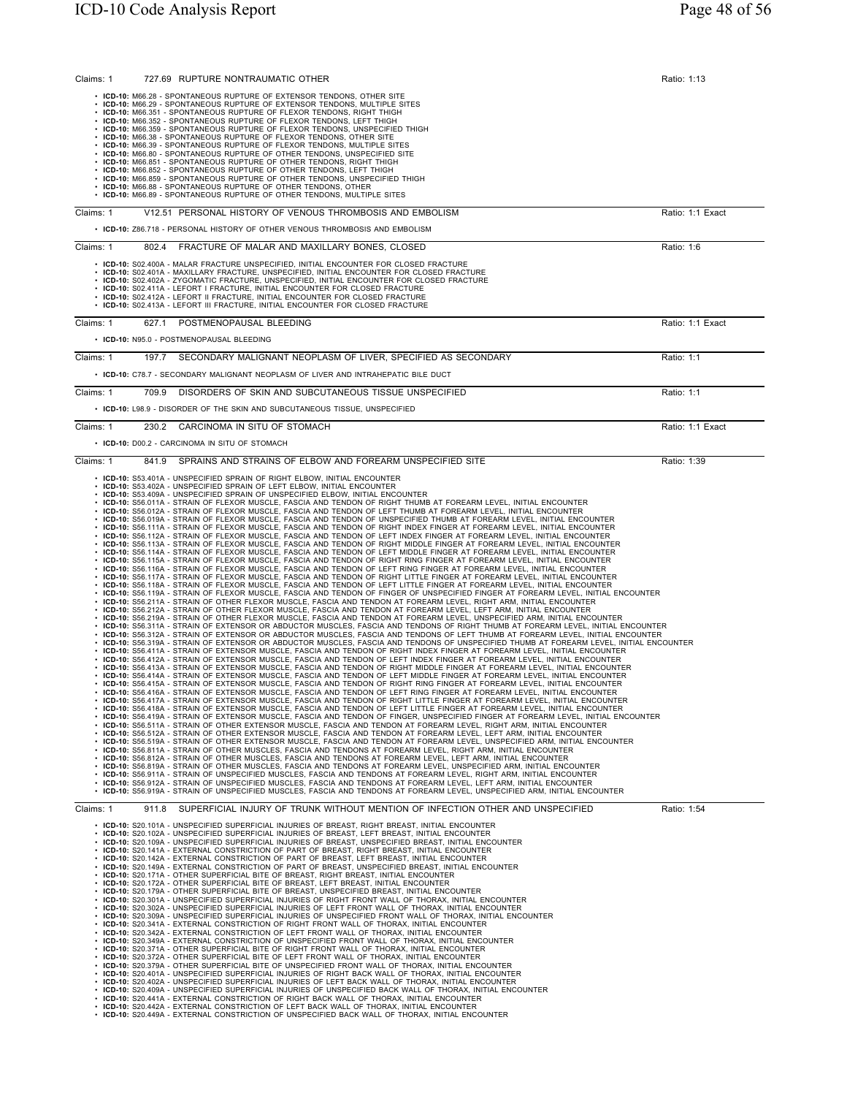| Claims: 1 | 727.69 RUPTURE NONTRAUMATIC OTHER                                                                                                                                                                                                                                                                                                                                                                                                                                                                                                                                                                                                                                                                                                                                                                                                                                                                                                                                                                                                                                                                                                                                                                                                                                                                                                                                                                                                                                                                                                                                                                                                                                                                                                                                                                                                                                                                                                                                                                                                                                                                                                                                                                                                                                                                                                                                                                                                                                                                                                                                                                                                                                                                                                                                                                                                                                                                                                                                                                                                                                                                                                                                                                                                                                                                                                                                                                                                                                                                                                                                                                                                                                                                                                                                                                                                                                                                                                                                                                                                                                                                                                                                                                                                                                                                                                                                                                                                                                                                                                                                                                                                                                                                                                                                                                                                                                                                                                                                | Ratio: 1:13      |
|-----------|------------------------------------------------------------------------------------------------------------------------------------------------------------------------------------------------------------------------------------------------------------------------------------------------------------------------------------------------------------------------------------------------------------------------------------------------------------------------------------------------------------------------------------------------------------------------------------------------------------------------------------------------------------------------------------------------------------------------------------------------------------------------------------------------------------------------------------------------------------------------------------------------------------------------------------------------------------------------------------------------------------------------------------------------------------------------------------------------------------------------------------------------------------------------------------------------------------------------------------------------------------------------------------------------------------------------------------------------------------------------------------------------------------------------------------------------------------------------------------------------------------------------------------------------------------------------------------------------------------------------------------------------------------------------------------------------------------------------------------------------------------------------------------------------------------------------------------------------------------------------------------------------------------------------------------------------------------------------------------------------------------------------------------------------------------------------------------------------------------------------------------------------------------------------------------------------------------------------------------------------------------------------------------------------------------------------------------------------------------------------------------------------------------------------------------------------------------------------------------------------------------------------------------------------------------------------------------------------------------------------------------------------------------------------------------------------------------------------------------------------------------------------------------------------------------------------------------------------------------------------------------------------------------------------------------------------------------------------------------------------------------------------------------------------------------------------------------------------------------------------------------------------------------------------------------------------------------------------------------------------------------------------------------------------------------------------------------------------------------------------------------------------------------------------------------------------------------------------------------------------------------------------------------------------------------------------------------------------------------------------------------------------------------------------------------------------------------------------------------------------------------------------------------------------------------------------------------------------------------------------------------------------------------------------------------------------------------------------------------------------------------------------------------------------------------------------------------------------------------------------------------------------------------------------------------------------------------------------------------------------------------------------------------------------------------------------------------------------------------------------------------------------------------------------------------------------------------------------------------------------------------------------------------------------------------------------------------------------------------------------------------------------------------------------------------------------------------------------------------------------------------------------------------------------------------------------------------------------------------------------------------------------------------------------------------------------------------------|------------------|
|           | • ICD-10: M66.28 - SPONTANEOUS RUPTURE OF EXTENSOR TENDONS, OTHER SITE<br>• ICD-10: M66.29 - SPONTANEOUS RUPTURE OF EXTENSOR TENDONS, MULTIPLE SITES<br>· ICD-10: M66.351 - SPONTANEOUS RUPTURE OF FLEXOR TENDONS, RIGHT THIGH<br>• ICD-10: M66.352 - SPONTANEOUS RUPTURE OF FLEXOR TENDONS, LEFT THIGH<br>• ICD-10: M66.359 - SPONTANEOUS RUPTURE OF FLEXOR TENDONS, UNSPECIFIED THIGH<br>• ICD-10: M66.38 - SPONTANEOUS RUPTURE OF FLEXOR TENDONS, OTHER SITE<br>• ICD-10: M66.39 - SPONTANEOUS RUPTURE OF FLEXOR TENDONS, MULTIPLE SITES                                                                                                                                                                                                                                                                                                                                                                                                                                                                                                                                                                                                                                                                                                                                                                                                                                                                                                                                                                                                                                                                                                                                                                                                                                                                                                                                                                                                                                                                                                                                                                                                                                                                                                                                                                                                                                                                                                                                                                                                                                                                                                                                                                                                                                                                                                                                                                                                                                                                                                                                                                                                                                                                                                                                                                                                                                                                                                                                                                                                                                                                                                                                                                                                                                                                                                                                                                                                                                                                                                                                                                                                                                                                                                                                                                                                                                                                                                                                                                                                                                                                                                                                                                                                                                                                                                                                                                                                                      |                  |
|           | • ICD-10: M66.80 - SPONTANEOUS RUPTURE OF OTHER TENDONS, UNSPECIFIED SITE<br>• ICD-10: M66.851 - SPONTANEOUS RUPTURE OF OTHER TENDONS, RIGHT THIGH<br>· ICD-10: M66.852 - SPONTANEOUS RUPTURE OF OTHER TENDONS, LEFT THIGH<br>• ICD-10: M66.859 - SPONTANEOUS RUPTURE OF OTHER TENDONS, UNSPECIFIED THIGH<br>• ICD-10: M66.88 - SPONTANEOUS RUPTURE OF OTHER TENDONS, OTHER<br>• ICD-10: M66.89 - SPONTANEOUS RUPTURE OF OTHER TENDONS, MULTIPLE SITES                                                                                                                                                                                                                                                                                                                                                                                                                                                                                                                                                                                                                                                                                                                                                                                                                                                                                                                                                                                                                                                                                                                                                                                                                                                                                                                                                                                                                                                                                                                                                                                                                                                                                                                                                                                                                                                                                                                                                                                                                                                                                                                                                                                                                                                                                                                                                                                                                                                                                                                                                                                                                                                                                                                                                                                                                                                                                                                                                                                                                                                                                                                                                                                                                                                                                                                                                                                                                                                                                                                                                                                                                                                                                                                                                                                                                                                                                                                                                                                                                                                                                                                                                                                                                                                                                                                                                                                                                                                                                                           |                  |
| Claims: 1 | V12.51 PERSONAL HISTORY OF VENOUS THROMBOSIS AND EMBOLISM<br>• ICD-10: Z86.718 - PERSONAL HISTORY OF OTHER VENOUS THROMBOSIS AND EMBOLISM                                                                                                                                                                                                                                                                                                                                                                                                                                                                                                                                                                                                                                                                                                                                                                                                                                                                                                                                                                                                                                                                                                                                                                                                                                                                                                                                                                                                                                                                                                                                                                                                                                                                                                                                                                                                                                                                                                                                                                                                                                                                                                                                                                                                                                                                                                                                                                                                                                                                                                                                                                                                                                                                                                                                                                                                                                                                                                                                                                                                                                                                                                                                                                                                                                                                                                                                                                                                                                                                                                                                                                                                                                                                                                                                                                                                                                                                                                                                                                                                                                                                                                                                                                                                                                                                                                                                                                                                                                                                                                                                                                                                                                                                                                                                                                                                                        | Ratio: 1:1 Exact |
| Claims: 1 | 802.4<br>FRACTURE OF MALAR AND MAXILLARY BONES, CLOSED                                                                                                                                                                                                                                                                                                                                                                                                                                                                                                                                                                                                                                                                                                                                                                                                                                                                                                                                                                                                                                                                                                                                                                                                                                                                                                                                                                                                                                                                                                                                                                                                                                                                                                                                                                                                                                                                                                                                                                                                                                                                                                                                                                                                                                                                                                                                                                                                                                                                                                                                                                                                                                                                                                                                                                                                                                                                                                                                                                                                                                                                                                                                                                                                                                                                                                                                                                                                                                                                                                                                                                                                                                                                                                                                                                                                                                                                                                                                                                                                                                                                                                                                                                                                                                                                                                                                                                                                                                                                                                                                                                                                                                                                                                                                                                                                                                                                                                           | Ratio: 1:6       |
|           | • ICD-10: S02.400A - MALAR FRACTURE UNSPECIFIED, INITIAL ENCOUNTER FOR CLOSED FRACTURE<br>• ICD-10: S02.401A - MAXILLARY FRACTURE, UNSPECIFIED, INITIAL ENCOUNTER FOR CLOSED FRACTURE<br>· ICD-10: S02.402A - ZYGOMATIC FRACTURE, UNSPECIFIED, INITIAL ENCOUNTER FOR CLOSED FRACTURE<br>· ICD-10: S02.411A - LEFORT I FRACTURE, INITIAL ENCOUNTER FOR CLOSED FRACTURE<br>• ICD-10: S02.412A - LEFORT II FRACTURE, INITIAL ENCOUNTER FOR CLOSED FRACTURE<br>· ICD-10: S02.413A - LEFORT III FRACTURE, INITIAL ENCOUNTER FOR CLOSED FRACTURE                                                                                                                                                                                                                                                                                                                                                                                                                                                                                                                                                                                                                                                                                                                                                                                                                                                                                                                                                                                                                                                                                                                                                                                                                                                                                                                                                                                                                                                                                                                                                                                                                                                                                                                                                                                                                                                                                                                                                                                                                                                                                                                                                                                                                                                                                                                                                                                                                                                                                                                                                                                                                                                                                                                                                                                                                                                                                                                                                                                                                                                                                                                                                                                                                                                                                                                                                                                                                                                                                                                                                                                                                                                                                                                                                                                                                                                                                                                                                                                                                                                                                                                                                                                                                                                                                                                                                                                                                       |                  |
| Claims: 1 | 627.1<br>POSTMENOPAUSAL BLEEDING                                                                                                                                                                                                                                                                                                                                                                                                                                                                                                                                                                                                                                                                                                                                                                                                                                                                                                                                                                                                                                                                                                                                                                                                                                                                                                                                                                                                                                                                                                                                                                                                                                                                                                                                                                                                                                                                                                                                                                                                                                                                                                                                                                                                                                                                                                                                                                                                                                                                                                                                                                                                                                                                                                                                                                                                                                                                                                                                                                                                                                                                                                                                                                                                                                                                                                                                                                                                                                                                                                                                                                                                                                                                                                                                                                                                                                                                                                                                                                                                                                                                                                                                                                                                                                                                                                                                                                                                                                                                                                                                                                                                                                                                                                                                                                                                                                                                                                                                 | Ratio: 1:1 Exact |
|           | • ICD-10: N95.0 - POSTMENOPAUSAL BLEEDING                                                                                                                                                                                                                                                                                                                                                                                                                                                                                                                                                                                                                                                                                                                                                                                                                                                                                                                                                                                                                                                                                                                                                                                                                                                                                                                                                                                                                                                                                                                                                                                                                                                                                                                                                                                                                                                                                                                                                                                                                                                                                                                                                                                                                                                                                                                                                                                                                                                                                                                                                                                                                                                                                                                                                                                                                                                                                                                                                                                                                                                                                                                                                                                                                                                                                                                                                                                                                                                                                                                                                                                                                                                                                                                                                                                                                                                                                                                                                                                                                                                                                                                                                                                                                                                                                                                                                                                                                                                                                                                                                                                                                                                                                                                                                                                                                                                                                                                        |                  |
| Claims: 1 | 197.7<br>SECONDARY MALIGNANT NEOPLASM OF LIVER, SPECIFIED AS SECONDARY<br>. ICD-10: C78.7 - SECONDARY MALIGNANT NEOPLASM OF LIVER AND INTRAHEPATIC BILE DUCT                                                                                                                                                                                                                                                                                                                                                                                                                                                                                                                                                                                                                                                                                                                                                                                                                                                                                                                                                                                                                                                                                                                                                                                                                                                                                                                                                                                                                                                                                                                                                                                                                                                                                                                                                                                                                                                                                                                                                                                                                                                                                                                                                                                                                                                                                                                                                                                                                                                                                                                                                                                                                                                                                                                                                                                                                                                                                                                                                                                                                                                                                                                                                                                                                                                                                                                                                                                                                                                                                                                                                                                                                                                                                                                                                                                                                                                                                                                                                                                                                                                                                                                                                                                                                                                                                                                                                                                                                                                                                                                                                                                                                                                                                                                                                                                                     | Ratio: 1:1       |
| Claims: 1 | 709.9<br>DISORDERS OF SKIN AND SUBCUTANEOUS TISSUE UNSPECIFIED                                                                                                                                                                                                                                                                                                                                                                                                                                                                                                                                                                                                                                                                                                                                                                                                                                                                                                                                                                                                                                                                                                                                                                                                                                                                                                                                                                                                                                                                                                                                                                                                                                                                                                                                                                                                                                                                                                                                                                                                                                                                                                                                                                                                                                                                                                                                                                                                                                                                                                                                                                                                                                                                                                                                                                                                                                                                                                                                                                                                                                                                                                                                                                                                                                                                                                                                                                                                                                                                                                                                                                                                                                                                                                                                                                                                                                                                                                                                                                                                                                                                                                                                                                                                                                                                                                                                                                                                                                                                                                                                                                                                                                                                                                                                                                                                                                                                                                   | Ratio: 1:1       |
|           | • ICD-10: L98.9 - DISORDER OF THE SKIN AND SUBCUTANEOUS TISSUE, UNSPECIFIED                                                                                                                                                                                                                                                                                                                                                                                                                                                                                                                                                                                                                                                                                                                                                                                                                                                                                                                                                                                                                                                                                                                                                                                                                                                                                                                                                                                                                                                                                                                                                                                                                                                                                                                                                                                                                                                                                                                                                                                                                                                                                                                                                                                                                                                                                                                                                                                                                                                                                                                                                                                                                                                                                                                                                                                                                                                                                                                                                                                                                                                                                                                                                                                                                                                                                                                                                                                                                                                                                                                                                                                                                                                                                                                                                                                                                                                                                                                                                                                                                                                                                                                                                                                                                                                                                                                                                                                                                                                                                                                                                                                                                                                                                                                                                                                                                                                                                      |                  |
| Claims: 1 | CARCINOMA IN SITU OF STOMACH<br>230.2                                                                                                                                                                                                                                                                                                                                                                                                                                                                                                                                                                                                                                                                                                                                                                                                                                                                                                                                                                                                                                                                                                                                                                                                                                                                                                                                                                                                                                                                                                                                                                                                                                                                                                                                                                                                                                                                                                                                                                                                                                                                                                                                                                                                                                                                                                                                                                                                                                                                                                                                                                                                                                                                                                                                                                                                                                                                                                                                                                                                                                                                                                                                                                                                                                                                                                                                                                                                                                                                                                                                                                                                                                                                                                                                                                                                                                                                                                                                                                                                                                                                                                                                                                                                                                                                                                                                                                                                                                                                                                                                                                                                                                                                                                                                                                                                                                                                                                                            | Ratio: 1:1 Exact |
|           | • ICD-10: D00.2 - CARCINOMA IN SITU OF STOMACH                                                                                                                                                                                                                                                                                                                                                                                                                                                                                                                                                                                                                                                                                                                                                                                                                                                                                                                                                                                                                                                                                                                                                                                                                                                                                                                                                                                                                                                                                                                                                                                                                                                                                                                                                                                                                                                                                                                                                                                                                                                                                                                                                                                                                                                                                                                                                                                                                                                                                                                                                                                                                                                                                                                                                                                                                                                                                                                                                                                                                                                                                                                                                                                                                                                                                                                                                                                                                                                                                                                                                                                                                                                                                                                                                                                                                                                                                                                                                                                                                                                                                                                                                                                                                                                                                                                                                                                                                                                                                                                                                                                                                                                                                                                                                                                                                                                                                                                   |                  |
| Claims: 1 | 841.9<br>SPRAINS AND STRAINS OF ELBOW AND FOREARM UNSPECIFIED SITE                                                                                                                                                                                                                                                                                                                                                                                                                                                                                                                                                                                                                                                                                                                                                                                                                                                                                                                                                                                                                                                                                                                                                                                                                                                                                                                                                                                                                                                                                                                                                                                                                                                                                                                                                                                                                                                                                                                                                                                                                                                                                                                                                                                                                                                                                                                                                                                                                                                                                                                                                                                                                                                                                                                                                                                                                                                                                                                                                                                                                                                                                                                                                                                                                                                                                                                                                                                                                                                                                                                                                                                                                                                                                                                                                                                                                                                                                                                                                                                                                                                                                                                                                                                                                                                                                                                                                                                                                                                                                                                                                                                                                                                                                                                                                                                                                                                                                               | Ratio: 1:39      |
|           | • ICD-10: S53.401A - UNSPECIFIED SPRAIN OF RIGHT ELBOW, INITIAL ENCOUNTER<br>• ICD-10: S53.402A - UNSPECIFIED SPRAIN OF LEFT ELBOW, INITIAL ENCOUNTER<br>• ICD-10: S53.409A - UNSPECIFIED SPRAIN OF UNSPECIFIED ELBOW, INITIAL ENCOUNTER<br>· ICD-10: S56.011A - STRAIN OF FLEXOR MUSCLE, FASCIA AND TENDON OF RIGHT THUMB AT FOREARM LEVEL, INITIAL ENCOUNTER<br>· ICD-10: S56.012A - STRAIN OF FLEXOR MUSCLE, FASCIA AND TENDON OF LEFT THUMB AT FOREARM LEVEL, INITIAL ENCOUNTER<br>. ICD-10: S56.019A - STRAIN OF FLEXOR MUSCLE, FASCIA AND TENDON OF UNSPECIFIED THUMB AT FOREARM LEVEL, INITIAL ENCOUNTER<br>· ICD-10: S56.111A - STRAIN OF FLEXOR MUSCLE, FASCIA AND TENDON OF RIGHT INDEX FINGER AT FOREARM LEVEL, INITIAL ENCOUNTER<br>· ICD-10: S56.112A - STRAIN OF FLEXOR MUSCLE, FASCIA AND TENDON OF LEFT INDEX FINGER AT FOREARM LEVEL, INITIAL ENCOUNTER<br>· ICD-10: S56.113A - STRAIN OF FLEXOR MUSCLE, FASCIA AND TENDON OF RIGHT MIDDLE FINGER AT FOREARM LEVEL, INITIAL ENCOUNTER<br>· ICD-10: S56.114A - STRAIN OF FLEXOR MUSCLE, FASCIA AND TENDON OF LEFT MIDDLE FINGER AT FOREARM LEVEL, INITIAL ENCOUNTER<br>• ICD-10: S56.115A - STRAIN OF FLEXOR MUSCLE, FASCIA AND TENDON OF RIGHT RING FINGER AT FOREARM LEVEL, INITIAL ENCOUNTER<br>· ICD-10: S56.116A - STRAIN OF FLEXOR MUSCLE, FASCIA AND TENDON OF LEFT RING FINGER AT FOREARM LEVEL, INITIAL ENCOUNTER<br>· ICD-10: S56.117A - STRAIN OF FLEXOR MUSCLE, FASCIA AND TENDON OF RIGHT LITTLE FINGER AT FOREARM LEVEL, INITIAL ENCOUNTER<br>· ICD-10: S56.118A - STRAIN OF FLEXOR MUSCLE, FASCIA AND TENDON OF LEFT LITTLE FINGER AT FOREARM LEVEL, INITIAL ENCOUNTER<br>· ICD-10: S56.119A - STRAIN OF FLEXOR MUSCLE, FASCIA AND TENDON OF FINGER OF UNSPECIFIED FINGER AT FOREARM LEVEL, INITIAL ENCOUNTER<br>$\cdot$ ICD-10: S56.211A - STRAIN OF OTHER FLEXOR MUSCLE, FASCIA AND TENDON AT FOREARM LEVEL, RIGHT ARM, INITIAL ENCOUNTER<br>$\cdot$ ICD-10: S56.212A - STRAIN OF OTHER FLEXOR MUSCLE, FASCIA AND TENDON AT FOREARM LEVEL, LEFT ARM, INITIAL ENCOUNTER<br>$\cdot$ ICD-10: S56.219A - STRAIN OF OTHER FLEXOR MUSCLE, FASCIA AND TENDON AT FOREARM LEVEL, UNSPECIFIED ARM, INITIAL ENCOUNTER<br>$\cdot$ ICD-10: S56.311A - STRAIN OF EXTENSOR OR ABDUCTOR MUSCLES, FASCIA AND TENDONS OF RIGHT THUMB AT FOREARM LEVEL, INITIAL ENCOUNTER<br>$\cdot$ ICD-10: S56.312A - STRAIN OF EXTENSOR OR ABDUCTOR MUSCLES, FASCIA AND TENDONS OF LEFT THUMB AT FOREARM LEVEL, INITIAL ENCOUNTER<br>· ICD-10: S56.319A - STRAIN OF EXTENSOR OR ABDUCTOR MUSCLES, FASCIA AND TENDONS OF UNSPECIFIED THUMB AT FOREARM LEVEL, INITIAL ENCOUNTER<br>$\cdot$ ICD-10: S56.411A - STRAIN OF EXTENSOR MUSCLE, FASCIA AND TENDON OF RIGHT INDEX FINGER AT FOREARM LEVEL, INITIAL ENCOUNTER<br>· ICD-10: S56.412A - STRAIN OF EXTENSOR MUSCLE, FASCIA AND TENDON OF LEFT INDEX FINGER AT FOREARM LEVEL, INITIAL ENCOUNTER<br>. ICD-10: S56.413A - STRAIN OF EXTENSOR MUSCLE, FASCIA AND TENDON OF RIGHT MIDDLE FINGER AT FOREARM LEVEL, INITIAL ENCOUNTER<br>· ICD-10: S56.414A - STRAIN OF EXTENSOR MUSCLE, FASCIA AND TENDON OF LEFT MIDDLE FINGER AT FOREARM LEVEL, INITIAL ENCOUNTER<br>. ICD-10: S56.415A - STRAIN OF EXTENSOR MUSCLE, FASCIA AND TENDON OF RIGHT RING FINGER AT FOREARM LEVEL, INITIAL ENCOUNTER<br>ICD-10: S56.416A - STRAIN OF EXTENSOR MUSCLE, FASCIA AND TENDON OF LEFT RING FINGER AT FOREARM LEVEL, INITIAL ENCOUNTER<br>· ICD-10: S56.417A - STRAIN OF EXTENSOR MUSCLE, FASCIA AND TENDON OF RIGHT LITTLE FINGER AT FOREARM LEVEL, INITIAL ENCOUNTER<br>. ICD-10: S56.418A - STRAIN OF EXTENSOR MUSCLE, FASCIA AND TENDON OF LEFT LITTLE FINGER AT FOREARM LEVEL, INITIAL ENCOUNTER<br>· ICD-10: S56.419A - STRAIN OF EXTENSOR MUSCLE, FASCIA AND TENDON OF FINGER, UNSPECIFIED FINGER AT FOREARM LEVEL, INITIAL ENCOUNTER<br>· ICD-10: S56.511A - STRAIN OF OTHER EXTENSOR MUSCLE, FASCIA AND TENDON AT FOREARM LEVEL, RIGHT ARM, INITIAL ENCOUNTER<br>· ICD-10: S56.512A - STRAIN OF OTHER EXTENSOR MUSCLE, FASCIA AND TENDON AT FOREARM LEVEL, LEFT ARM, INITIAL ENCOUNTER<br>. ICD-10: S56.519A - STRAIN OF OTHER EXTENSOR MUSCLE, FASCIA AND TENDON AT FOREARM LEVEL, UNSPECIFIED ARM, INITIAL ENCOUNTER<br>. ICD-10: S56.811A - STRAIN OF OTHER MUSCLES, FASCIA AND TENDONS AT FOREARM LEVEL, RIGHT ARM, INITIAL ENCOUNTER<br>. ICD-10: S56.812A - STRAIN OF OTHER MUSCLES, FASCIA AND TENDONS AT FOREARM LEVEL, LEFT ARM, INITIAL ENCOUNTER<br>. ICD-10: S56.819A - STRAIN OF OTHER MUSCLES, FASCIA AND TENDONS AT FOREARM LEVEL, UNSPECIFIED ARM, INITIAL ENCOUNTER<br>· ICD-10: S56.911A - STRAIN OF UNSPECIFIED MUSCLES, FASCIA AND TENDONS AT FOREARM LEVEL, RIGHT ARM, INITIAL ENCOUNTER<br>. ICD-10: S56.912A - STRAIN OF UNSPECIFIED MUSCLES, FASCIA AND TENDONS AT FOREARM LEVEL, LEFT ARM, INITIAL ENCOUNTER<br>. ICD-10: S56.919A - STRAIN OF UNSPECIFIED MUSCLES, FASCIA AND TENDONS AT FOREARM LEVEL, UNSPECIFIED ARM, INITIAL ENCOUNTER |                  |
| Claims: 1 | 911.8 SUPERFICIAL INJURY OF TRUNK WITHOUT MENTION OF INFECTION OTHER AND UNSPECIFIED                                                                                                                                                                                                                                                                                                                                                                                                                                                                                                                                                                                                                                                                                                                                                                                                                                                                                                                                                                                                                                                                                                                                                                                                                                                                                                                                                                                                                                                                                                                                                                                                                                                                                                                                                                                                                                                                                                                                                                                                                                                                                                                                                                                                                                                                                                                                                                                                                                                                                                                                                                                                                                                                                                                                                                                                                                                                                                                                                                                                                                                                                                                                                                                                                                                                                                                                                                                                                                                                                                                                                                                                                                                                                                                                                                                                                                                                                                                                                                                                                                                                                                                                                                                                                                                                                                                                                                                                                                                                                                                                                                                                                                                                                                                                                                                                                                                                             | Ratio: 1:54      |
|           | • ICD-10: S20.101A - UNSPECIFIED SUPERFICIAL INJURIES OF BREAST, RIGHT BREAST, INITIAL ENCOUNTER<br>• ICD-10: S20.102A - UNSPECIFIED SUPERFICIAL INJURIES OF BREAST, LEFT BREAST, INITIAL ENCOUNTER<br>• ICD-10: S20.109A - UNSPECIFIED SUPERFICIAL INJURIES OF BREAST, UNSPECIFIED BREAST, INITIAL ENCOUNTER<br>· ICD-10: S20.141A - EXTERNAL CONSTRICTION OF PART OF BREAST, RIGHT BREAST, INITIAL ENCOUNTER<br>• ICD-10: S20.142A - EXTERNAL CONSTRICTION OF PART OF BREAST, LEFT BREAST, INITIAL ENCOUNTER<br>· ICD-10: S20.149A - EXTERNAL CONSTRICTION OF PART OF BREAST, UNSPECIFIED BREAST, INITIAL ENCOUNTER<br>• ICD-10: S20.171A - OTHER SUPERFICIAL BITE OF BREAST, RIGHT BREAST, INITIAL ENCOUNTER<br>• ICD-10: S20.172A - OTHER SUPERFICIAL BITE OF BREAST, LEFT BREAST, INITIAL ENCOUNTER<br>• ICD-10: S20.179A - OTHER SUPERFICIAL BITE OF BREAST, UNSPECIFIED BREAST, INITIAL ENCOUNTER<br>. ICD-10: S20.301A - UNSPECIFIED SUPERFICIAL INJURIES OF RIGHT FRONT WALL OF THORAX, INITIAL ENCOUNTER<br>. ICD-10: S20.302A - UNSPECIFIED SUPERFICIAL INJURIES OF LEFT FRONT WALL OF THORAX, INITIAL ENCOUNTER<br>· ICD-10: S20.309A - UNSPECIFIED SUPERFICIAL INJURIES OF UNSPECIFIED FRONT WALL OF THORAX, INITIAL ENCOUNTER<br>• ICD-10: S20.341A - EXTERNAL CONSTRICTION OF RIGHT FRONT WALL OF THORAX, INITIAL ENCOUNTER<br>· ICD-10: S20.342A - EXTERNAL CONSTRICTION OF LEFT FRONT WALL OF THORAX, INITIAL ENCOUNTER<br>• ICD-10: S20.349A - EXTERNAL CONSTRICTION OF UNSPECIFIED FRONT WALL OF THORAX, INITIAL ENCOUNTER<br>• ICD-10: S20.371A - OTHER SUPERFICIAL BITE OF RIGHT FRONT WALL OF THORAX, INITIAL ENCOUNTER<br>. ICD-10: S20.372A - OTHER SUPERFICIAL BITE OF LEFT FRONT WALL OF THORAX, INITIAL ENCOUNTER<br>. ICD-10: S20.379A - OTHER SUPERFICIAL BITE OF UNSPECIFIED FRONT WALL OF THORAX, INITIAL ENCOUNTER<br>. ICD-10: S20.401A - UNSPECIFIED SUPERFICIAL INJURIES OF RIGHT BACK WALL OF THORAX, INITIAL ENCOUNTER<br>. ICD-10: S20.402A - UNSPECIFIED SUPERFICIAL INJURIES OF LEFT BACK WALL OF THORAX, INITIAL ENCOUNTER<br>· ICD-10: S20.409A - UNSPECIFIED SUPERFICIAL INJURIES OF UNSPECIFIED BACK WALL OF THORAX, INITIAL ENCOUNTER<br>• ICD-10: S20.441A - EXTERNAL CONSTRICTION OF RIGHT BACK WALL OF THORAX, INITIAL ENCOUNTER<br>• ICD-10: S20.442A - EXTERNAL CONSTRICTION OF LEFT BACK WALL OF THORAX, INITIAL ENCOUNTER<br>• ICD-10: S20.449A - EXTERNAL CONSTRICTION OF UNSPECIFIED BACK WALL OF THORAX, INITIAL ENCOUNTER                                                                                                                                                                                                                                                                                                                                                                                                                                                                                                                                                                                                                                                                                                                                                                                                                                                                                                                                                                                                                                                                                                                                                                                                                                                                                                                                                                                                                                                                                                                                                                                                                                                                                                                                                                                                                                                                                                                                                                                                                                                                                                                                                                                                                                                                                                                                                                                                                                                                                |                  |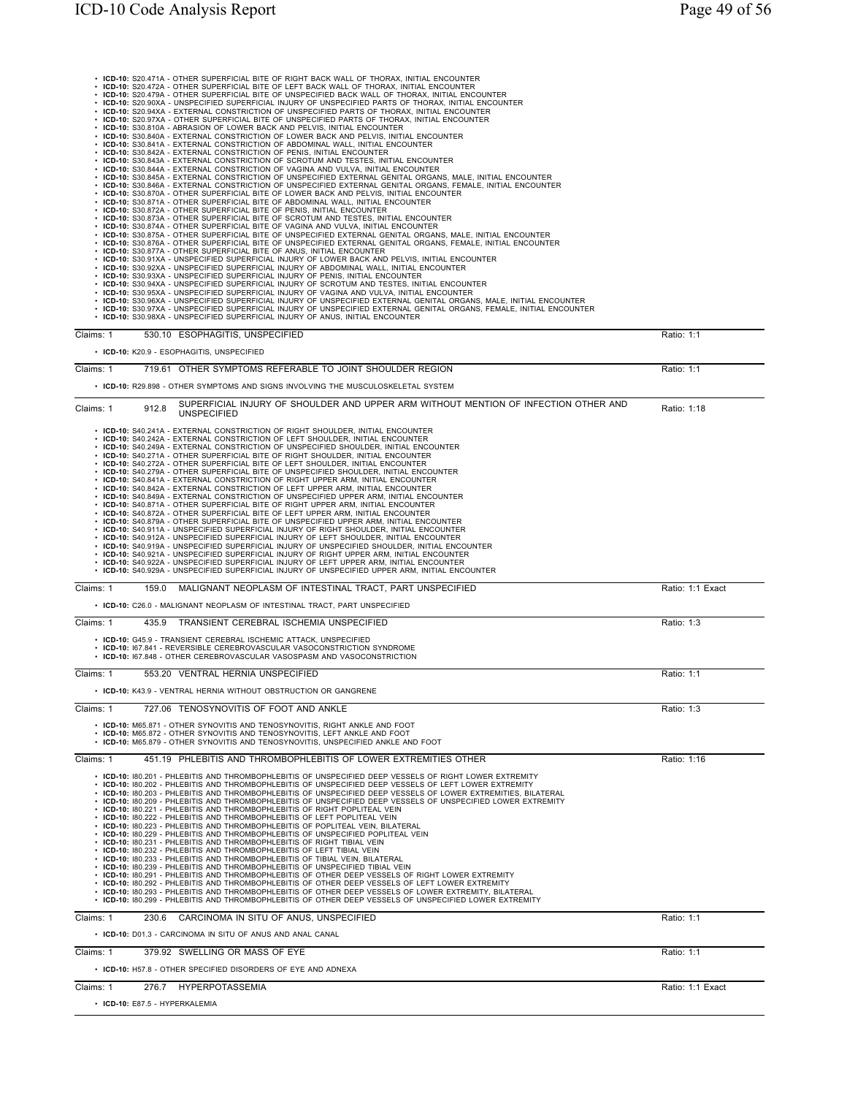• ICD-10: 520 A71A - OTHER SUPERFICIAL BITE OF RIGHT BACK WALL OF THORAX, INITIAL ENCOUNTER<br>• ICD-10: 520 A72A - OTHER SUPERFICIAL BITE OF LIGHT BACK WALL OF THORAX, INITIAL ENCOUNTER<br>• ICD-10: 520 A79A - OTHER SUPERFICIA Claims: 1 530.10 ESOPHAGITIS, UNSPECIFIED Ratio: 1:1 • **ICD-10:** K20.9 - ESOPHAGITIS, UNSPECIFIED Claims: 1 719.61 OTHER SYMPTOMS REFERABLE TO JOINT SHOULDER REGION Ratio: 1:1 • **ICD-10:** R29.898 - OTHER SYMPTOMS AND SIGNS INVOLVING THE MUSCULOSKELETAL SYSTEM Claims: 1 912.8 SUPERFICIAL INJURY OF SHOULDER AND UPPER ARM WITHOUT MENTION OF INFECTION OTHER AND UNSPECIFIED Ratio: 1:18 COLDEN AND OFFER ARM WITHOUT MENTION OF INFECTION OTHER AND Ratio: 1:18 • ICD-10: S40.2414 - EXTERNAL CONSTRICTION OF RIGHT SHOULDER, INITIAL ENCOUNTER<br>• ICD-10: S40.242A - EXTERNAL CONSTRICTION OF LEFT SHOULDER, INITIAL ENCOUNTER<br>• ICD-10: S40.242A - EXTERNAL CONSTRICTION OF LEFT SHOULDER, IN Claims: 1 159.0 MALIGNANT NEOPLASM OF INTESTINAL TRACT. PART UNSPECIFIED RATIO: 1:1 Exact • **ICD-10:** C26.0 - MALIGNANT NEOPLASM OF INTESTINAL TRACT, PART UNSPECIFIED Claims: 1 435.9 TRANSIENT CEREBRAL ISCHEMIA UNSPECIFIED Ratio: 1:3 • **ICD-10:** G45.9 - TRANSIENT CEREBRAL ISCHEMIC ATTACK, UNSPECIFIED • **ICD-10:** I67.841 - REVERSIBLE CEREBROVASCULAR VASOCONSTRICTION SYNDROME • **ICD-10:** I67.848 - OTHER CEREBROVASCULAR VASOSPASM AND VASOCONSTRICTION Claims: 1 553.20 VENTRAL HERNIA UNSPECIFIED Ratio: 1:1 • **ICD-10:** K43.9 - VENTRAL HERNIA WITHOUT OBSTRUCTION OR GANGRENE Claims: 1 727.06 TENOSYNOVITIS OF FOOT AND ANKLE **Claims: 1** 727.06 TENOSYNOVITIS OF FOOT AND ANKLE • **ICD-10:** M65.871 - OTHER SYNOVITIS AND TENOSYNOVITIS, RIGHT ANKLE AND FOOT • **ICD-10:** M65.872 - OTHER SYNOVITIS AND TENOSYNOVITIS, LEFT ANKLE AND FOOT • **ICD-10:** M65.879 - OTHER SYNOVITIS AND TENOSYNOVITIS, UNSPECIFIED ANKLE AND FOOT Claims: 1 451.19 PHLEBITIS AND THROMBOPHLEBITIS OF LOWER EXTREMITIES OTHER **Ratio: 1:16** Ratio: 1:16 • ICD-10: 180.201 - PHLEBITIS AND THROMBOPHLEBITIS OF UNSPECIFIED DEEP VESSELS OF RIGHT LOWER EXTREMITY<br>• ICD-10: 180.202 - PHLEBITIS AND THROMBOPHLEBITIS OF UNSPECIFIED DEEP VESSELS OF RIGHT LOWER EXTREMITY<br>• ICD-10: 180. Claims: 1 230.6 CARCINOMA IN SITU OF ANUS, UNSPECIFIED Ratio: 1:1 • **ICD-10:** D01.3 - CARCINOMA IN SITU OF ANUS AND ANAL CANAL Claims: 1 379.92 SWELLING OR MASS OF EYE **Ratio: 1:1** Ratio: 1:1 • **ICD-10:** H57.8 - OTHER SPECIFIED DISORDERS OF EYE AND ADNEXA Claims: 1 276.7 HYPERPOTASSEMIA Ratio: 1:1 Exact • **ICD-10:** E87.5 - HYPERKALEMIA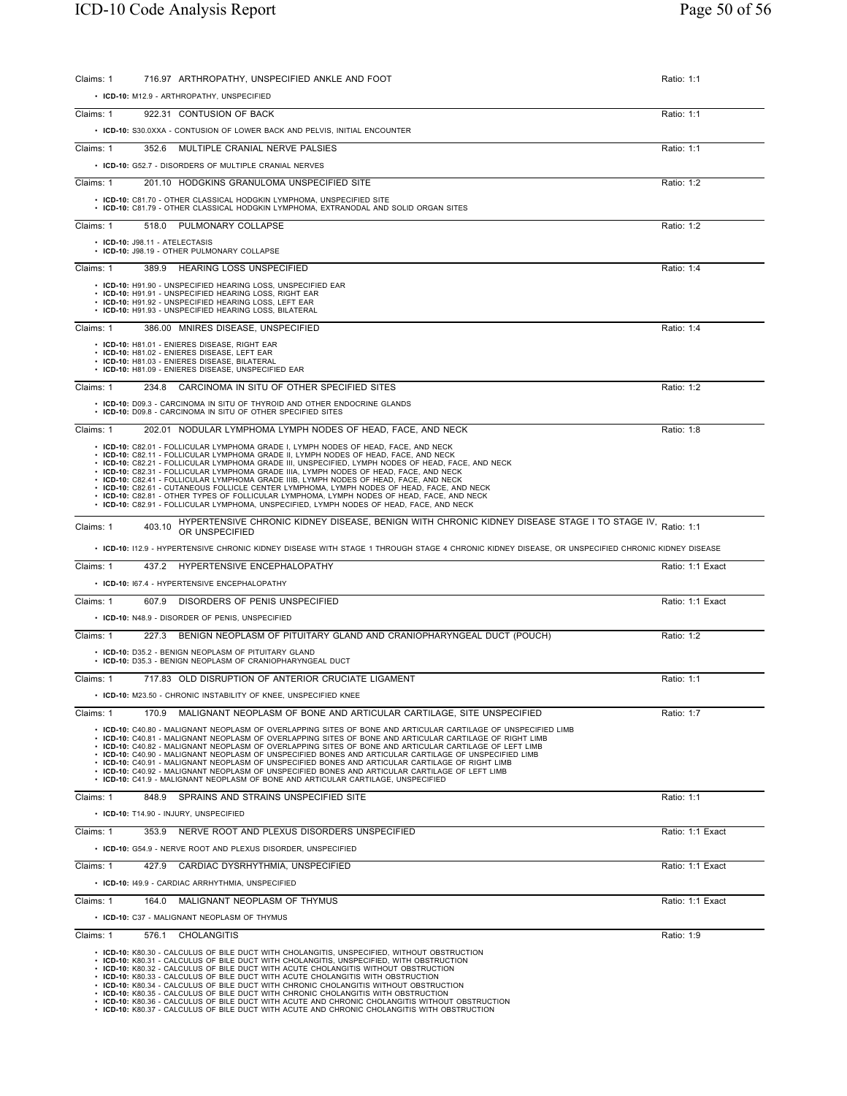| Claims: 1 | 716.97 ARTHROPATHY, UNSPECIFIED ANKLE AND FOOT                                                                                                                                                                                                                                                                                                                                                                                                                                                                                                                                                                                                                                                                                                                | Ratio: 1:1       |
|-----------|---------------------------------------------------------------------------------------------------------------------------------------------------------------------------------------------------------------------------------------------------------------------------------------------------------------------------------------------------------------------------------------------------------------------------------------------------------------------------------------------------------------------------------------------------------------------------------------------------------------------------------------------------------------------------------------------------------------------------------------------------------------|------------------|
|           | • ICD-10: M12.9 - ARTHROPATHY, UNSPECIFIED                                                                                                                                                                                                                                                                                                                                                                                                                                                                                                                                                                                                                                                                                                                    |                  |
| Claims: 1 | 922.31 CONTUSION OF BACK                                                                                                                                                                                                                                                                                                                                                                                                                                                                                                                                                                                                                                                                                                                                      | Ratio: 1:1       |
|           | • ICD-10: S30.0XXA - CONTUSION OF LOWER BACK AND PELVIS, INITIAL ENCOUNTER                                                                                                                                                                                                                                                                                                                                                                                                                                                                                                                                                                                                                                                                                    |                  |
| Claims: 1 | 352.6 MULTIPLE CRANIAL NERVE PALSIES                                                                                                                                                                                                                                                                                                                                                                                                                                                                                                                                                                                                                                                                                                                          | Ratio: 1:1       |
|           | • ICD-10: G52.7 - DISORDERS OF MULTIPLE CRANIAL NERVES                                                                                                                                                                                                                                                                                                                                                                                                                                                                                                                                                                                                                                                                                                        |                  |
| Claims: 1 | 201.10 HODGKINS GRANULOMA UNSPECIFIED SITE                                                                                                                                                                                                                                                                                                                                                                                                                                                                                                                                                                                                                                                                                                                    | Ratio: 1:2       |
|           | • ICD-10: C81.70 - OTHER CLASSICAL HODGKIN LYMPHOMA, UNSPECIFIED SITE                                                                                                                                                                                                                                                                                                                                                                                                                                                                                                                                                                                                                                                                                         |                  |
|           | • ICD-10: C81.79 - OTHER CLASSICAL HODGKIN LYMPHOMA, EXTRANODAL AND SOLID ORGAN SITES                                                                                                                                                                                                                                                                                                                                                                                                                                                                                                                                                                                                                                                                         |                  |
| Claims: 1 | PULMONARY COLLAPSE<br>518.0                                                                                                                                                                                                                                                                                                                                                                                                                                                                                                                                                                                                                                                                                                                                   | Ratio: 1:2       |
|           | • ICD-10: J98.11 - ATELECTASIS<br>• ICD-10: J98.19 - OTHER PULMONARY COLLAPSE                                                                                                                                                                                                                                                                                                                                                                                                                                                                                                                                                                                                                                                                                 |                  |
| Claims: 1 | 389.9 HEARING LOSS UNSPECIFIED                                                                                                                                                                                                                                                                                                                                                                                                                                                                                                                                                                                                                                                                                                                                |                  |
|           |                                                                                                                                                                                                                                                                                                                                                                                                                                                                                                                                                                                                                                                                                                                                                               | Ratio: 1:4       |
|           | • ICD-10: H91.90 - UNSPECIFIED HEARING LOSS, UNSPECIFIED EAR<br>• ICD-10: H91.91 - UNSPECIFIED HEARING LOSS, RIGHT EAR<br>• ICD-10: H91.92 - UNSPECIFIED HEARING LOSS, LEFT EAR<br>• ICD-10: H91.93 - UNSPECIFIED HEARING LOSS, BILATERAL                                                                                                                                                                                                                                                                                                                                                                                                                                                                                                                     |                  |
| Claims: 1 | 386.00 MNIRES DISEASE, UNSPECIFIED                                                                                                                                                                                                                                                                                                                                                                                                                                                                                                                                                                                                                                                                                                                            | Ratio: 1:4       |
|           | • ICD-10: H81.01 - ENIERES DISEASE, RIGHT EAR<br>• ICD-10: H81.02 - ENIERES DISEASE, LEFT EAR<br>• ICD-10: H81.03 - ENIERES DISEASE, BILATERAL<br>• ICD-10: H81.09 - ENIERES DISEASE, UNSPECIFIED EAR                                                                                                                                                                                                                                                                                                                                                                                                                                                                                                                                                         |                  |
| Claims: 1 | 234.8 CARCINOMA IN SITU OF OTHER SPECIFIED SITES                                                                                                                                                                                                                                                                                                                                                                                                                                                                                                                                                                                                                                                                                                              | Ratio: 1:2       |
|           | • ICD-10: D09.3 - CARCINOMA IN SITU OF THYROID AND OTHER ENDOCRINE GLANDS<br>• ICD-10: D09.8 - CARCINOMA IN SITU OF OTHER SPECIFIED SITES                                                                                                                                                                                                                                                                                                                                                                                                                                                                                                                                                                                                                     |                  |
| Claims: 1 | 202.01 NODULAR LYMPHOMA LYMPH NODES OF HEAD, FACE, AND NECK                                                                                                                                                                                                                                                                                                                                                                                                                                                                                                                                                                                                                                                                                                   | Ratio: 1:8       |
|           | • ICD-10: C82.01 - FOLLICULAR LYMPHOMA GRADE I, LYMPH NODES OF HEAD, FACE, AND NECK<br>• ICD-10: C82.11 - FOLLICULAR LYMPHOMA GRADE II. LYMPH NODES OF HEAD. FACE. AND NECK<br>. ICD-10: C82.21 - FOLLICULAR LYMPHOMA GRADE III, UNSPECIFIED, LYMPH NODES OF HEAD, FACE, AND NECK<br>· ICD-10: C82.31 - FOLLICULAR LYMPHOMA GRADE IIIA, LYMPH NODES OF HEAD, FACE, AND NECK<br>. ICD-10: C82.41 - FOLLICULAR LYMPHOMA GRADE IIIB, LYMPH NODES OF HEAD, FACE, AND NECK<br>• ICD-10: C82.61 - CUTANEOUS FOLLICLE CENTER LYMPHOMA, LYMPH NODES OF HEAD, FACE, AND NECK<br>. ICD-10: C82.81 - OTHER TYPES OF FOLLICULAR LYMPHOMA, LYMPH NODES OF HEAD, FACE, AND NECK<br>• ICD-10: C82.91 - FOLLICULAR LYMPHOMA, UNSPECIFIED, LYMPH NODES OF HEAD, FACE, AND NECK |                  |
| Claims: 1 | HYPERTENSIVE CHRONIC KIDNEY DISEASE, BENIGN WITH CHRONIC KIDNEY DISEASE STAGE I TO STAGE IV, Ratio: 1:1<br>403.10<br>OR UNSPECIFIED                                                                                                                                                                                                                                                                                                                                                                                                                                                                                                                                                                                                                           |                  |
|           | . ICD-10: 112.9 - HYPERTENSIVE CHRONIC KIDNEY DISEASE WITH STAGE 1 THROUGH STAGE 4 CHRONIC KIDNEY DISEASE, OR UNSPECIFIED CHRONIC KIDNEY DISEASE                                                                                                                                                                                                                                                                                                                                                                                                                                                                                                                                                                                                              |                  |
| Claims: 1 | 437.2 HYPERTENSIVE ENCEPHALOPATHY                                                                                                                                                                                                                                                                                                                                                                                                                                                                                                                                                                                                                                                                                                                             | Ratio: 1:1 Exact |
|           | • ICD-10: 167.4 - HYPERTENSIVE ENCEPHALOPATHY                                                                                                                                                                                                                                                                                                                                                                                                                                                                                                                                                                                                                                                                                                                 |                  |
| Claims: 1 | 607.9 DISORDERS OF PENIS UNSPECIFIED                                                                                                                                                                                                                                                                                                                                                                                                                                                                                                                                                                                                                                                                                                                          | Ratio: 1:1 Exact |
|           | • ICD-10: N48.9 - DISORDER OF PENIS, UNSPECIFIED                                                                                                                                                                                                                                                                                                                                                                                                                                                                                                                                                                                                                                                                                                              |                  |
| Claims: 1 | 227.3 BENIGN NEOPLASM OF PITUITARY GLAND AND CRANIOPHARYNGEAL DUCT (POUCH)                                                                                                                                                                                                                                                                                                                                                                                                                                                                                                                                                                                                                                                                                    | Ratio: 1:2       |
|           | • ICD-10: D35.2 - BENIGN NEOPLASM OF PITUITARY GLAND<br>• ICD-10: D35.3 - BENIGN NEOPLASM OF CRANIOPHARYNGEAL DUCT                                                                                                                                                                                                                                                                                                                                                                                                                                                                                                                                                                                                                                            |                  |
| Claims: 1 | 717.83 OLD DISRUPTION OF ANTERIOR CRUCIATE LIGAMENT                                                                                                                                                                                                                                                                                                                                                                                                                                                                                                                                                                                                                                                                                                           | Ratio: 1:1       |
|           | • ICD-10: M23.50 - CHRONIC INSTABILITY OF KNEE, UNSPECIFIED KNEE                                                                                                                                                                                                                                                                                                                                                                                                                                                                                                                                                                                                                                                                                              |                  |
| Claims: 1 | MALIGNANT NEOPLASM OF BONE AND ARTICULAR CARTILAGE. SITE UNSPECIFIED<br>170.9                                                                                                                                                                                                                                                                                                                                                                                                                                                                                                                                                                                                                                                                                 | Ratio: 1:7       |
|           | . ICD-10: C40.80 - MALIGNANT NEOPLASM OF OVERLAPPING SITES OF BONE AND ARTICULAR CARTILAGE OF UNSPECIFIED LIMB<br>. ICD-10: C40.81 - MALIGNANT NEOPLASM OF OVERLAPPING SITES OF BONE AND ARTICULAR CARTILAGE OF RIGHT LIMB<br>. ICD-10: C40.82 - MALIGNANT NEOPLASM OF OVERLAPPING SITES OF BONE AND ARTICULAR CARTILAGE OF LEFT LIMB<br>· ICD-10: C40.90 - MALIGNANT NEOPLASM OF UNSPECIFIED BONES AND ARTICULAR CARTILAGE OF UNSPECIFIED LIMB<br>• ICD-10: C40.91 - MALIGNANT NEOPLASM OF UNSPECIFIED BONES AND ARTICULAR CARTILAGE OF RIGHT LIMB<br>. ICD-10: C40.92 - MALIGNANT NEOPLASM OF UNSPECIFIED BONES AND ARTICULAR CARTILAGE OF LEFT LIMB<br>• ICD-10: C41.9 - MALIGNANT NEOPLASM OF BONE AND ARTICULAR CARTILAGE, UNSPECIFIED                   |                  |
| Claims: 1 | SPRAINS AND STRAINS UNSPECIFIED SITE<br>848.9                                                                                                                                                                                                                                                                                                                                                                                                                                                                                                                                                                                                                                                                                                                 | Ratio: 1:1       |
|           | • ICD-10: T14.90 - INJURY, UNSPECIFIED                                                                                                                                                                                                                                                                                                                                                                                                                                                                                                                                                                                                                                                                                                                        |                  |
| Claims: 1 | NERVE ROOT AND PLEXUS DISORDERS UNSPECIFIED<br>353.9                                                                                                                                                                                                                                                                                                                                                                                                                                                                                                                                                                                                                                                                                                          | Ratio: 1:1 Exact |
|           | • ICD-10: G54.9 - NERVE ROOT AND PLEXUS DISORDER, UNSPECIFIED                                                                                                                                                                                                                                                                                                                                                                                                                                                                                                                                                                                                                                                                                                 |                  |
| Claims: 1 | 427.9<br>CARDIAC DYSRHYTHMIA, UNSPECIFIED                                                                                                                                                                                                                                                                                                                                                                                                                                                                                                                                                                                                                                                                                                                     | Ratio: 1:1 Exact |
|           | • ICD-10: 149.9 - CARDIAC ARRHYTHMIA, UNSPECIFIED                                                                                                                                                                                                                                                                                                                                                                                                                                                                                                                                                                                                                                                                                                             |                  |
| Claims: 1 | 164.0<br>MALIGNANT NEOPLASM OF THYMUS                                                                                                                                                                                                                                                                                                                                                                                                                                                                                                                                                                                                                                                                                                                         | Ratio: 1:1 Exact |
|           | • ICD-10: C37 - MALIGNANT NEOPLASM OF THYMUS                                                                                                                                                                                                                                                                                                                                                                                                                                                                                                                                                                                                                                                                                                                  |                  |
| Claims: 1 | 576.1<br>CHOLANGITIS                                                                                                                                                                                                                                                                                                                                                                                                                                                                                                                                                                                                                                                                                                                                          | Ratio: 1:9       |
|           | • ICD-10: K80.30 - CALCULUS OF BILE DUCT WITH CHOLANGITIS, UNSPECIFIED, WITHOUT OBSTRUCTION<br>• ICD-10: K80.31 - CALCULUS OF BILE DUCT WITH CHOLANGITIS, UNSPECIFIED, WITH OBSTRUCTION<br>• ICD-10: K80.32 - CALCULUS OF BILE DUCT WITH ACUTE CHOLANGITIS WITHOUT OBSTRUCTION<br>• ICD-10: K80.33 - CALCULUS OF BILE DUCT WITH ACUTE CHOLANGITIS WITH OBSTRUCTION<br>• ICD-10: K80.34 - CALCULUS OF BILE DUCT WITH CHRONIC CHOLANGITIS WITHOUT OBSTRUCTION<br>• ICD-10: K80.35 - CALCULUS OF BILE DUCT WITH CHRONIC CHOLANGITIS WITH OBSTRUCTION<br>• ICD-10: K80.36 - CALCULUS OF BILE DUCT WITH ACUTE AND CHRONIC CHOLANGITIS WITHOUT OBSTRUCTION<br>• ICD-10: K80.37 - CALCULUS OF BILE DUCT WITH ACUTE AND CHRONIC CHOLANGITIS WITH OBSTRUCTION          |                  |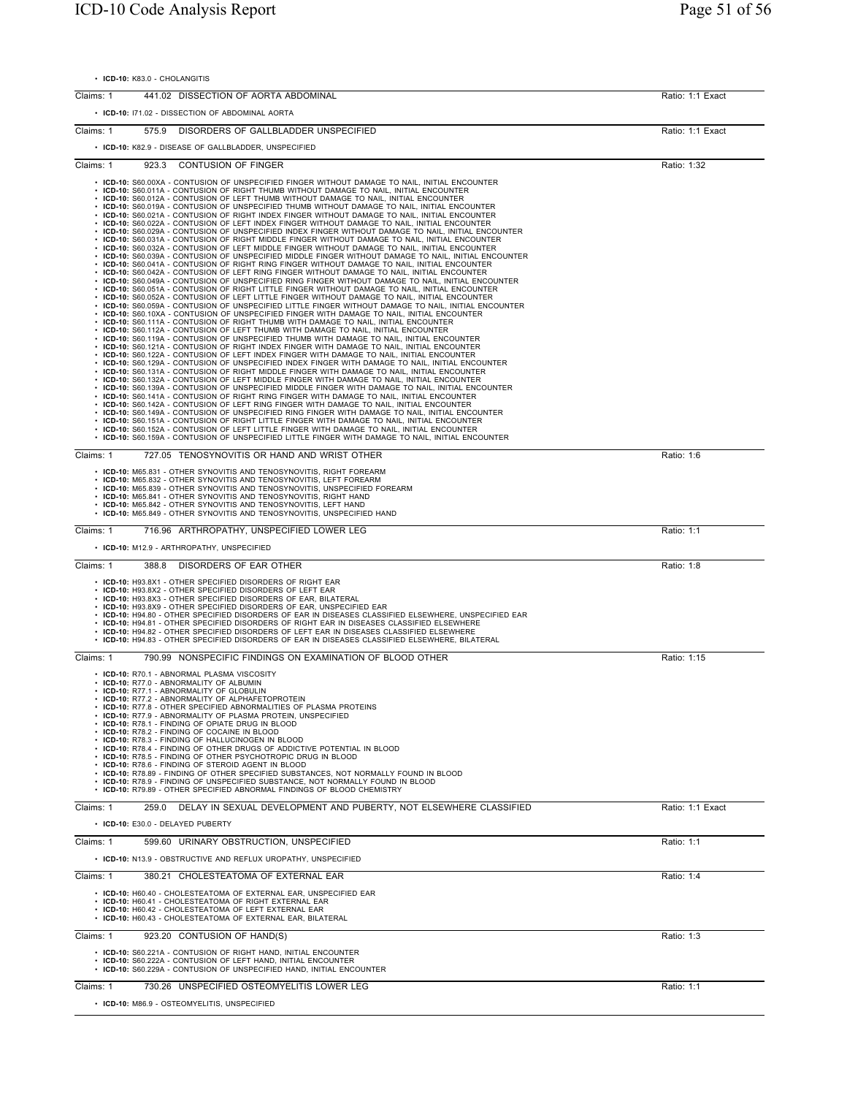• **ICD-10:** K83.0 - CHOLANGITIS

| Claims: 1 | 441.02 DISSECTION OF AORTA ABDOMINAL                                                                                                                                                                   | Ratio: 1:1 Exact |
|-----------|--------------------------------------------------------------------------------------------------------------------------------------------------------------------------------------------------------|------------------|
|           | • ICD-10: 171.02 - DISSECTION OF ABDOMINAL AORTA                                                                                                                                                       |                  |
|           |                                                                                                                                                                                                        |                  |
| Claims: 1 | 575.9<br>DISORDERS OF GALLBLADDER UNSPECIFIED                                                                                                                                                          | Ratio: 1:1 Exact |
|           | • ICD-10: K82.9 - DISEASE OF GALLBLADDER, UNSPECIFIED                                                                                                                                                  |                  |
| Claims: 1 | 923.3<br><b>CONTUSION OF FINGER</b>                                                                                                                                                                    | Ratio: 1:32      |
|           | • ICD-10: S60.00XA - CONTUSION OF UNSPECIFIED FINGER WITHOUT DAMAGE TO NAIL, INITIAL ENCOUNTER<br>• ICD-10: S60.011A - CONTUSION OF RIGHT THUMB WITHOUT DAMAGE TO NAIL, INITIAL ENCOUNTER              |                  |
|           | • ICD-10: S60.012A - CONTUSION OF LEFT THUMB WITHOUT DAMAGE TO NAIL, INITIAL ENCOUNTER<br>• ICD-10: S60.019A - CONTUSION OF UNSPECIFIED THUMB WITHOUT DAMAGE TO NAIL, INITIAL ENCOUNTER                |                  |
|           | . ICD-10: S60.021A - CONTUSION OF RIGHT INDEX FINGER WITHOUT DAMAGE TO NAIL, INITIAL ENCOUNTER                                                                                                         |                  |
|           | . ICD-10: S60.022A - CONTUSION OF LEFT INDEX FINGER WITHOUT DAMAGE TO NAIL, INITIAL ENCOUNTER<br>. ICD-10: S60.029A - CONTUSION OF UNSPECIFIED INDEX FINGER WITHOUT DAMAGE TO NAIL, INITIAL ENCOUNTER  |                  |
|           | . ICD-10: S60.031A - CONTUSION OF RIGHT MIDDLE FINGER WITHOUT DAMAGE TO NAIL, INITIAL ENCOUNTER<br>. ICD-10: S60.032A - CONTUSION OF LEFT MIDDLE FINGER WITHOUT DAMAGE TO NAIL, INITIAL ENCOUNTER      |                  |
|           | · ICD-10: S60.039A - CONTUSION OF UNSPECIFIED MIDDLE FINGER WITHOUT DAMAGE TO NAIL, INITIAL ENCOUNTER<br>. ICD-10: S60.041A - CONTUSION OF RIGHT RING FINGER WITHOUT DAMAGE TO NAIL, INITIAL ENCOUNTER |                  |
|           | . ICD-10: S60.042A - CONTUSION OF LEFT RING FINGER WITHOUT DAMAGE TO NAIL, INITIAL ENCOUNTER<br>· ICD-10: S60.049A - CONTUSION OF UNSPECIFIED RING FINGER WITHOUT DAMAGE TO NAIL, INITIAL ENCOUNTER    |                  |
|           | . ICD-10: S60.051A - CONTUSION OF RIGHT LITTLE FINGER WITHOUT DAMAGE TO NAIL, INITIAL ENCOUNTER<br>. ICD-10: S60.052A - CONTUSION OF LEFT LITTLE FINGER WITHOUT DAMAGE TO NAIL, INITIAL ENCOUNTER      |                  |
|           | . ICD-10: S60.059A - CONTUSION OF UNSPECIFIED LITTLE FINGER WITHOUT DAMAGE TO NAIL, INITIAL ENCOUNTER<br>. ICD-10: S60.10XA - CONTUSION OF UNSPECIFIED FINGER WITH DAMAGE TO NAIL, INITIAL ENCOUNTER   |                  |
|           | • ICD-10: S60.111A - CONTUSION OF RIGHT THUMB WITH DAMAGE TO NAIL, INITIAL ENCOUNTER<br>• ICD-10: S60.112A - CONTUSION OF LEFT THUMB WITH DAMAGE TO NAIL, INITIAL ENCOUNTER                            |                  |
|           | • ICD-10: S60.119A - CONTUSION OF UNSPECIFIED THUMB WITH DAMAGE TO NAIL, INITIAL ENCOUNTER                                                                                                             |                  |
|           | . ICD-10: S60.121A - CONTUSION OF RIGHT INDEX FINGER WITH DAMAGE TO NAIL, INITIAL ENCOUNTER<br>· ICD-10: S60.122A - CONTUSION OF LEFT INDEX FINGER WITH DAMAGE TO NAIL, INITIAL ENCOUNTER              |                  |
|           | · ICD-10: S60.129A - CONTUSION OF UNSPECIFIED INDEX FINGER WITH DAMAGE TO NAIL, INITIAL ENCOUNTER<br>. ICD-10: S60.131A - CONTUSION OF RIGHT MIDDLE FINGER WITH DAMAGE TO NAIL, INITIAL ENCOUNTER      |                  |
|           | . ICD-10: S60.132A - CONTUSION OF LEFT MIDDLE FINGER WITH DAMAGE TO NAIL, INITIAL ENCOUNTER<br>. ICD-10: S60.139A - CONTUSION OF UNSPECIFIED MIDDLE FINGER WITH DAMAGE TO NAIL, INITIAL ENCOUNTER      |                  |
|           | . ICD-10: S60.141A - CONTUSION OF RIGHT RING FINGER WITH DAMAGE TO NAIL, INITIAL ENCOUNTER<br>. ICD-10: S60.142A - CONTUSION OF LEFT RING FINGER WITH DAMAGE TO NAIL, INITIAL ENCOUNTER                |                  |
|           | . ICD-10: S60.149A - CONTUSION OF UNSPECIFIED RING FINGER WITH DAMAGE TO NAIL, INITIAL ENCOUNTER<br>. ICD-10: S60.151A - CONTUSION OF RIGHT LITTLE FINGER WITH DAMAGE TO NAIL, INITIAL ENCOUNTER       |                  |
|           | • ICD-10: S60.152A - CONTUSION OF LEFT LITTLE FINGER WITH DAMAGE TO NAIL, INITIAL ENCOUNTER<br>• ICD-10: S60.159A - CONTUSION OF UNSPECIFIED LITTLE FINGER WITH DAMAGE TO NAIL, INITIAL ENCOUNTER      |                  |
|           |                                                                                                                                                                                                        |                  |
| Claims: 1 | 727.05 TENOSYNOVITIS OR HAND AND WRIST OTHER                                                                                                                                                           | Ratio: 1:6       |
|           | • ICD-10: M65.831 - OTHER SYNOVITIS AND TENOSYNOVITIS, RIGHT FOREARM<br>• ICD-10: M65.832 - OTHER SYNOVITIS AND TENOSYNOVITIS, LEFT FOREARM                                                            |                  |
|           | • ICD-10: M65.839 - OTHER SYNOVITIS AND TENOSYNOVITIS, UNSPECIFIED FOREARM<br>• ICD-10: M65.841 - OTHER SYNOVITIS AND TENOSYNOVITIS, RIGHT HAND                                                        |                  |
|           | • ICD-10: M65.842 - OTHER SYNOVITIS AND TENOSYNOVITIS, LEFT HAND<br>• ICD-10: M65.849 - OTHER SYNOVITIS AND TENOSYNOVITIS, UNSPECIFIED HAND                                                            |                  |
| Claims: 1 | 716.96 ARTHROPATHY, UNSPECIFIED LOWER LEG                                                                                                                                                              | Ratio: 1:1       |
|           | • ICD-10: M12.9 - ARTHROPATHY, UNSPECIFIED                                                                                                                                                             |                  |
| Claims: 1 |                                                                                                                                                                                                        |                  |
|           | 388.8<br>DISORDERS OF EAR OTHER                                                                                                                                                                        | Ratio: 1:8       |
|           | • ICD-10: H93.8X1 - OTHER SPECIFIED DISORDERS OF RIGHT EAR<br>• ICD-10: H93.8X2 - OTHER SPECIFIED DISORDERS OF LEFT EAR                                                                                |                  |
|           | • ICD-10: H93.8X3 - OTHER SPECIFIED DISORDERS OF EAR, BILATERAL<br>• ICD-10: H93.8X9 - OTHER SPECIFIED DISORDERS OF EAR, UNSPECIFIED EAR                                                               |                  |
|           | · ICD-10: H94.80 - OTHER SPECIFIED DISORDERS OF EAR IN DISEASES CLASSIFIED ELSEWHERE, UNSPECIFIED EAR<br>• ICD-10: H94.81 - OTHER SPECIFIED DISORDERS OF RIGHT EAR IN DISEASES CLASSIFIED ELSEWHERE    |                  |
|           | • ICD-10: H94.82 - OTHER SPECIFIED DISORDERS OF LEFT EAR IN DISEASES CLASSIFIED ELSEWHERE<br>• ICD-10: H94.83 - OTHER SPECIFIED DISORDERS OF EAR IN DISEASES CLASSIFIED ELSEWHERE, BILATERAL           |                  |
| Claims: 1 | 790.99 NONSPECIFIC FINDINGS ON EXAMINATION OF BLOOD OTHER                                                                                                                                              | Ratio: 1:15      |
|           | • ICD-10: R70.1 - ABNORMAL PLASMA VISCOSITY                                                                                                                                                            |                  |
|           | · ICD-10: R77.0 - ABNORMALITY OF ALBUMIN<br>• ICD-10: R77.1 - ABNORMALITY OF GLOBULIN                                                                                                                  |                  |
|           | • ICD-10: R77.2 - ABNORMALITY OF ALPHAFETOPROTEIN                                                                                                                                                      |                  |
|           | ICD-10: R77.8 - OTHER SPECIFIED ABNORMALITIES OF PLASMA PROTEINS<br>• ICD-10: R77.9 - ABNORMALITY OF PLASMA PROTEIN, UNSPECIFIED                                                                       |                  |
|           | • ICD-10: R78.1 - FINDING OF OPIATE DRUG IN BLOOD<br>• ICD-10: R78.2 - FINDING OF COCAINE IN BLOOD                                                                                                     |                  |
|           | · ICD-10: R78.3 - FINDING OF HALLUCINOGEN IN BLOOD<br>• ICD-10: R78.4 - FINDING OF OTHER DRUGS OF ADDICTIVE POTENTIAL IN BLOOD                                                                         |                  |
|           | • ICD-10: R78.5 - FINDING OF OTHER PSYCHOTROPIC DRUG IN BLOOD<br>• ICD-10: R78.6 - FINDING OF STEROID AGENT IN BLOOD                                                                                   |                  |
|           | • ICD-10: R78.89 - FINDING OF OTHER SPECIFIED SUBSTANCES, NOT NORMALLY FOUND IN BLOOD<br>• ICD-10: R78.9 - FINDING OF UNSPECIFIED SUBSTANCE, NOT NORMALLY FOUND IN BLOOD                               |                  |
|           | • ICD-10: R79.89 - OTHER SPECIFIED ABNORMAL FINDINGS OF BLOOD CHEMISTRY                                                                                                                                |                  |
| Claims: 1 | 259.0 DELAY IN SEXUAL DEVELOPMENT AND PUBERTY, NOT ELSEWHERE CLASSIFIED                                                                                                                                | Ratio: 1:1 Exact |
|           | • ICD-10: E30.0 - DELAYED PUBERTY                                                                                                                                                                      |                  |
| Claims: 1 | 599.60 URINARY OBSTRUCTION, UNSPECIFIED                                                                                                                                                                | Ratio: 1:1       |
|           | • ICD-10: N13.9 - OBSTRUCTIVE AND REFLUX UROPATHY, UNSPECIFIED                                                                                                                                         |                  |
| Claims: 1 | 380.21 CHOLESTEATOMA OF EXTERNAL EAR                                                                                                                                                                   | Ratio: 1:4       |
|           | • ICD-10: H60.40 - CHOLESTEATOMA OF EXTERNAL EAR, UNSPECIFIED EAR<br>• ICD-10: H60.41 - CHOLESTEATOMA OF RIGHT EXTERNAL EAR                                                                            |                  |
|           | • ICD-10: H60.42 - CHOLESTEATOMA OF LEFT EXTERNAL EAR                                                                                                                                                  |                  |
|           | • ICD-10: H60.43 - CHOLESTEATOMA OF EXTERNAL EAR, BILATERAL                                                                                                                                            |                  |
| Claims: 1 | 923.20 CONTUSION OF HAND(S)                                                                                                                                                                            | Ratio: 1:3       |
|           | • ICD-10: S60.221A - CONTUSION OF RIGHT HAND, INITIAL ENCOUNTER<br>• ICD-10: S60.222A - CONTUSION OF LEFT HAND, INITIAL ENCOUNTER                                                                      |                  |
|           | • ICD-10: S60.229A - CONTUSION OF UNSPECIFIED HAND, INITIAL ENCOUNTER                                                                                                                                  |                  |
| Claims: 1 | 730.26 UNSPECIFIED OSTEOMYELITIS LOWER LEG                                                                                                                                                             | Ratio: 1:1       |
|           | • ICD-10: M86.9 - OSTEOMYELITIS, UNSPECIFIED                                                                                                                                                           |                  |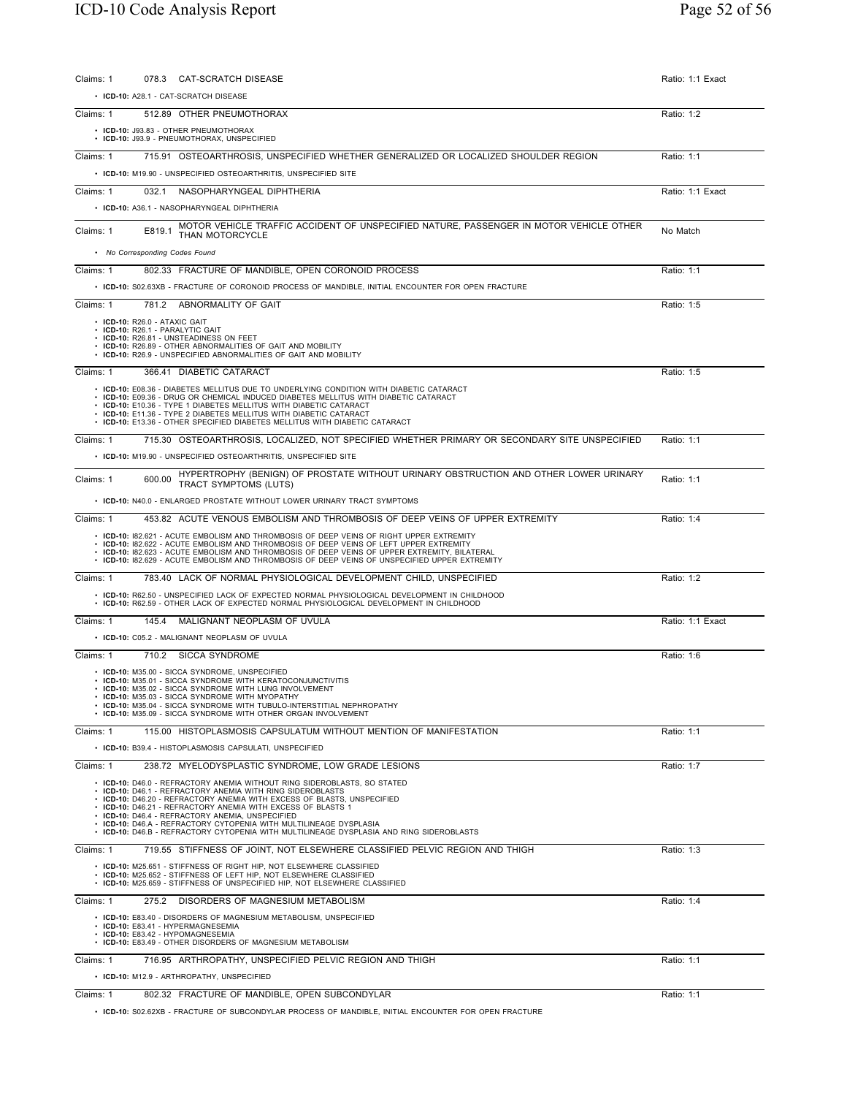| 078.3 CAT-SCRATCH DISEASE<br>Claims: 1                                                                                                                                                                                                                                                                                                                                                                                                                                                                  | Ratio: 1:1 Exact |
|---------------------------------------------------------------------------------------------------------------------------------------------------------------------------------------------------------------------------------------------------------------------------------------------------------------------------------------------------------------------------------------------------------------------------------------------------------------------------------------------------------|------------------|
| • ICD-10: A28.1 - CAT-SCRATCH DISEASE                                                                                                                                                                                                                                                                                                                                                                                                                                                                   |                  |
| Claims: 1<br>512.89 OTHER PNEUMOTHORAX                                                                                                                                                                                                                                                                                                                                                                                                                                                                  | Ratio: 1:2       |
| • ICD-10: J93.83 - OTHER PNEUMOTHORAX<br>• ICD-10: J93.9 - PNEUMOTHORAX, UNSPECIFIED                                                                                                                                                                                                                                                                                                                                                                                                                    |                  |
| 715.91 OSTEOARTHROSIS, UNSPECIFIED WHETHER GENERALIZED OR LOCALIZED SHOULDER REGION<br>Claims: 1                                                                                                                                                                                                                                                                                                                                                                                                        | Ratio: 1:1       |
| • ICD-10: M19.90 - UNSPECIFIED OSTEOARTHRITIS, UNSPECIFIED SITE                                                                                                                                                                                                                                                                                                                                                                                                                                         |                  |
| Claims: 1<br>032.1 NASOPHARYNGEAL DIPHTHERIA                                                                                                                                                                                                                                                                                                                                                                                                                                                            | Ratio: 1:1 Exact |
| · ICD-10: A36.1 - NASOPHARYNGEAL DIPHTHERIA                                                                                                                                                                                                                                                                                                                                                                                                                                                             |                  |
| MOTOR VEHICLE TRAFFIC ACCIDENT OF UNSPECIFIED NATURE, PASSENGER IN MOTOR VEHICLE OTHER<br>Claims: 1<br>E819.1<br>THAN MOTORCYCLE                                                                                                                                                                                                                                                                                                                                                                        | No Match         |
| • No Corresponding Codes Found                                                                                                                                                                                                                                                                                                                                                                                                                                                                          |                  |
| 802.33 FRACTURE OF MANDIBLE, OPEN CORONOID PROCESS<br>Claims: 1                                                                                                                                                                                                                                                                                                                                                                                                                                         | Ratio: 1:1       |
| • ICD-10: S02.63XB - FRACTURE OF CORONOID PROCESS OF MANDIBLE, INITIAL ENCOUNTER FOR OPEN FRACTURE                                                                                                                                                                                                                                                                                                                                                                                                      |                  |
| Claims: 1<br>781.2 ABNORMALITY OF GAIT<br>• ICD-10: R26.0 - ATAXIC GAIT                                                                                                                                                                                                                                                                                                                                                                                                                                 | Ratio: 1:5       |
| • ICD-10: R26.1 - PARALYTIC GAIT<br>• ICD-10: R26.81 - UNSTEADINESS ON FEET<br>• ICD-10: R26.89 - OTHER ABNORMALITIES OF GAIT AND MOBILITY<br>• ICD-10: R26.9 - UNSPECIFIED ABNORMALITIES OF GAIT AND MOBILITY                                                                                                                                                                                                                                                                                          |                  |
| 366.41 DIABETIC CATARACT<br>Claims: 1                                                                                                                                                                                                                                                                                                                                                                                                                                                                   | Ratio: 1:5       |
| • ICD-10: E08.36 - DIABETES MELLITUS DUE TO UNDERLYING CONDITION WITH DIABETIC CATARACT<br>• ICD-10: E09.36 - DRUG OR CHEMICAL INDUCED DIABETES MELLITUS WITH DIABETIC CATARACT<br>• ICD-10: E10.36 - TYPE 1 DIABETES MELLITUS WITH DIABETIC CATARACT<br>• ICD-10: E11.36 - TYPE 2 DIABETES MELLITUS WITH DIABETIC CATARACT<br>• ICD-10: E13.36 - OTHER SPECIFIED DIABETES MELLITUS WITH DIABETIC CATARACT                                                                                              |                  |
| Claims: 1<br>715.30 OSTEOARTHROSIS, LOCALIZED, NOT SPECIFIED WHETHER PRIMARY OR SECONDARY SITE UNSPECIFIED                                                                                                                                                                                                                                                                                                                                                                                              | Ratio: 1:1       |
| • ICD-10: M19.90 - UNSPECIFIED OSTEOARTHRITIS, UNSPECIFIED SITE                                                                                                                                                                                                                                                                                                                                                                                                                                         |                  |
| HYPERTROPHY (BENIGN) OF PROSTATE WITHOUT URINARY OBSTRUCTION AND OTHER LOWER URINARY<br>Claims: 1<br>600.00<br><b>TRACT SYMPTOMS (LUTS)</b>                                                                                                                                                                                                                                                                                                                                                             | Ratio: 1:1       |
| • ICD-10: N40.0 - ENLARGED PROSTATE WITHOUT LOWER URINARY TRACT SYMPTOMS                                                                                                                                                                                                                                                                                                                                                                                                                                |                  |
| Claims: 1<br>453.82 ACUTE VENOUS EMBOLISM AND THROMBOSIS OF DEEP VEINS OF UPPER EXTREMITY                                                                                                                                                                                                                                                                                                                                                                                                               | Ratio: 1:4       |
| • ICD-10: 182.621 - ACUTE EMBOLISM AND THROMBOSIS OF DEEP VEINS OF RIGHT UPPER EXTREMITY<br>• ICD-10: 182.622 - ACUTE EMBOLISM AND THROMBOSIS OF DEEP VEINS OF LEFT UPPER EXTREMITY<br>• ICD-10: 182.623 - ACUTE EMBOLISM AND THROMBOSIS OF DEEP VEINS OF UPPER EXTREMITY, BILATERAL<br>• ICD-10: 182.629 - ACUTE EMBOLISM AND THROMBOSIS OF DEEP VEINS OF UNSPECIFIED UPPER EXTREMITY                                                                                                                  |                  |
| 783.40 LACK OF NORMAL PHYSIOLOGICAL DEVELOPMENT CHILD, UNSPECIFIED<br>Claims: 1                                                                                                                                                                                                                                                                                                                                                                                                                         | Ratio: 1:2       |
| • ICD-10: R62.50 - UNSPECIFIED LACK OF EXPECTED NORMAL PHYSIOLOGICAL DEVELOPMENT IN CHILDHOOD<br>. ICD-10: R62.59 - OTHER LACK OF EXPECTED NORMAL PHYSIOLOGICAL DEVELOPMENT IN CHILDHOOD                                                                                                                                                                                                                                                                                                                |                  |
| 145.4 MALIGNANT NEOPLASM OF UVULA<br>Claims: 1                                                                                                                                                                                                                                                                                                                                                                                                                                                          | Ratio: 1:1 Exact |
| • ICD-10: C05.2 - MALIGNANT NEOPLASM OF UVULA                                                                                                                                                                                                                                                                                                                                                                                                                                                           |                  |
| Claims: 1<br>710.2 SICCA SYNDROME                                                                                                                                                                                                                                                                                                                                                                                                                                                                       | Ratio: 1:6       |
| • ICD-10: M35.00 - SICCA SYNDROME, UNSPECIFIED<br>• ICD-10: M35.01 - SICCA SYNDROME WITH KERATOCONJUNCTIVITIS<br>• ICD-10: M35.02 - SICCA SYNDROME WITH LUNG INVOLVEMENT<br>• ICD-10: M35.03 - SICCA SYNDROME WITH MYOPATHY<br>• ICD-10: M35.04 - SICCA SYNDROME WITH TUBULO-INTERSTITIAL NEPHROPATHY<br>• ICD-10: M35.09 - SICCA SYNDROME WITH OTHER ORGAN INVOLVEMENT                                                                                                                                 |                  |
| Claims: 1<br>115.00 HISTOPLASMOSIS CAPSULATUM WITHOUT MENTION OF MANIFESTATION                                                                                                                                                                                                                                                                                                                                                                                                                          | Ratio: 1:1       |
| • ICD-10: B39.4 - HISTOPLASMOSIS CAPSULATI, UNSPECIFIED                                                                                                                                                                                                                                                                                                                                                                                                                                                 |                  |
| Claims: 1<br>238.72 MYELODYSPLASTIC SYNDROME, LOW GRADE LESIONS                                                                                                                                                                                                                                                                                                                                                                                                                                         | Ratio: 1:7       |
| • ICD-10: D46.0 - REFRACTORY ANEMIA WITHOUT RING SIDEROBLASTS, SO STATED<br>• ICD-10: D46.1 - REFRACTORY ANEMIA WITH RING SIDEROBLASTS<br>• ICD-10: D46.20 - REFRACTORY ANEMIA WITH EXCESS OF BLASTS, UNSPECIFIED<br>• ICD-10: D46.21 - REFRACTORY ANEMIA WITH EXCESS OF BLASTS 1<br>• ICD-10: D46.4 - REFRACTORY ANEMIA, UNSPECIFIED<br>• ICD-10: D46.A - REFRACTORY CYTOPENIA WITH MULTILINEAGE DYSPLASIA<br>• ICD-10: D46.B - REFRACTORY CYTOPENIA WITH MULTILINEAGE DYSPLASIA AND RING SIDEROBLASTS |                  |
| 719.55 STIFFNESS OF JOINT, NOT ELSEWHERE CLASSIFIED PELVIC REGION AND THIGH<br>Claims: 1                                                                                                                                                                                                                                                                                                                                                                                                                | Ratio: 1:3       |
| • ICD-10: M25.651 - STIFFNESS OF RIGHT HIP, NOT ELSEWHERE CLASSIFIED<br>• ICD-10: M25.652 - STIFFNESS OF LEFT HIP, NOT ELSEWHERE CLASSIFIED<br>• ICD-10: M25.659 - STIFFNESS OF UNSPECIFIED HIP, NOT ELSEWHERE CLASSIFIED                                                                                                                                                                                                                                                                               |                  |
| Claims: 1<br>275.2 DISORDERS OF MAGNESIUM METABOLISM                                                                                                                                                                                                                                                                                                                                                                                                                                                    | Ratio: 1:4       |
| • ICD-10: E83.40 - DISORDERS OF MAGNESIUM METABOLISM, UNSPECIFIED<br>• ICD-10: E83.41 - HYPERMAGNESEMIA<br>• ICD-10: E83.42 - HYPOMAGNESEMIA<br>• ICD-10: E83.49 - OTHER DISORDERS OF MAGNESIUM METABOLISM                                                                                                                                                                                                                                                                                              |                  |
| 716.95 ARTHROPATHY, UNSPECIFIED PELVIC REGION AND THIGH<br>Claims: 1                                                                                                                                                                                                                                                                                                                                                                                                                                    | Ratio: 1:1       |
| • ICD-10: M12.9 - ARTHROPATHY, UNSPECIFIED                                                                                                                                                                                                                                                                                                                                                                                                                                                              |                  |
| 802.32 FRACTURE OF MANDIBLE, OPEN SUBCONDYLAR<br>Claims: 1                                                                                                                                                                                                                                                                                                                                                                                                                                              | Ratio: 1:1       |

• **ICD-10:** S02.62XB - FRACTURE OF SUBCONDYLAR PROCESS OF MANDIBLE, INITIAL ENCOUNTER FOR OPEN FRACTURE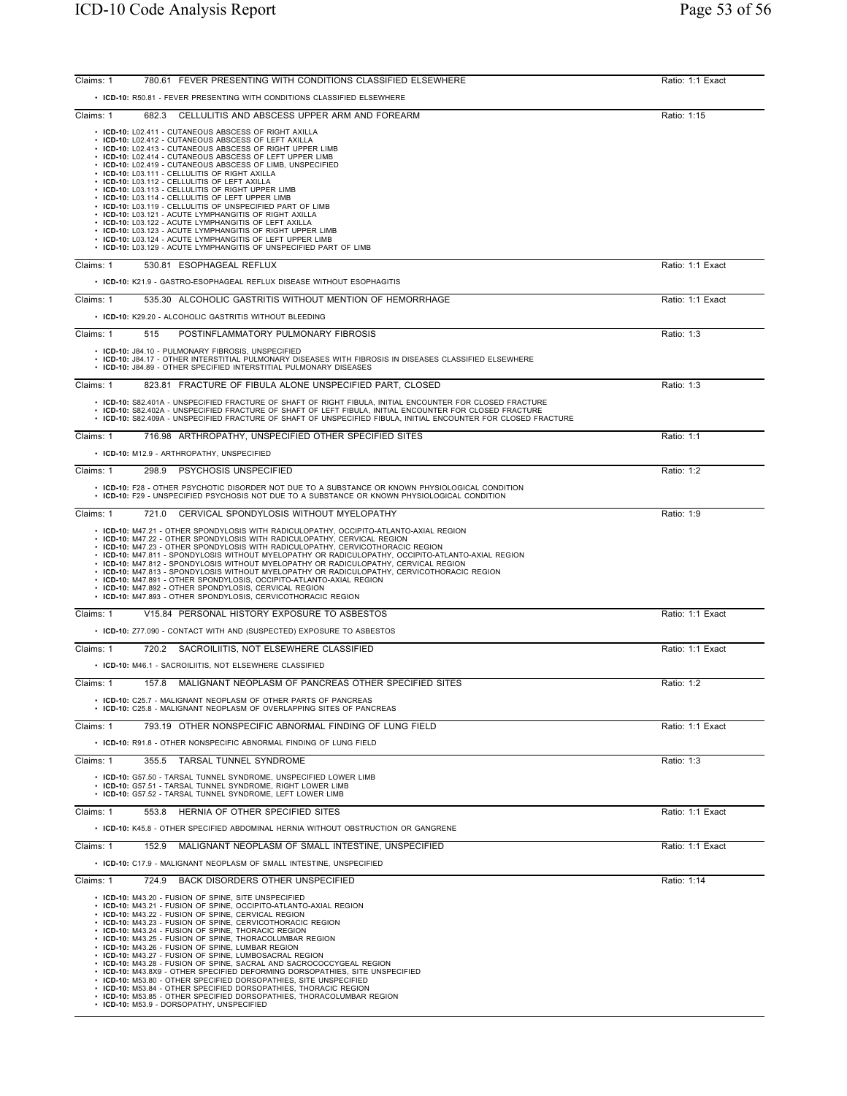| Claims: 1 | 780.61 FEVER PRESENTING WITH CONDITIONS CLASSIFIED ELSEWHERE                                                                                                                                                                                                                                                                                                                                                                                                                                                                                                                                                                                                                                                                                                                                                                                                                     | Ratio: 1:1 Exact |
|-----------|----------------------------------------------------------------------------------------------------------------------------------------------------------------------------------------------------------------------------------------------------------------------------------------------------------------------------------------------------------------------------------------------------------------------------------------------------------------------------------------------------------------------------------------------------------------------------------------------------------------------------------------------------------------------------------------------------------------------------------------------------------------------------------------------------------------------------------------------------------------------------------|------------------|
|           | • ICD-10: R50.81 - FEVER PRESENTING WITH CONDITIONS CLASSIFIED ELSEWHERE                                                                                                                                                                                                                                                                                                                                                                                                                                                                                                                                                                                                                                                                                                                                                                                                         |                  |
| Claims: 1 | 682.3 CELLULITIS AND ABSCESS UPPER ARM AND FOREARM                                                                                                                                                                                                                                                                                                                                                                                                                                                                                                                                                                                                                                                                                                                                                                                                                               | Ratio: 1:15      |
|           | • ICD-10: L02.411 - CUTANEOUS ABSCESS OF RIGHT AXILLA<br>• ICD-10: L02.412 - CUTANEOUS ABSCESS OF LEFT AXILLA<br>ICD-10: L02.413 - CUTANEOUS ABSCESS OF RIGHT UPPER LIMB<br>ICD-10: L02.414 - CUTANEOUS ABSCESS OF LEFT UPPER LIMB<br>ICD-10: L02.419 - CUTANEOUS ABSCESS OF LIMB, UNSPECIFIED<br>ICD-10: L03.111 - CELLULITIS OF RIGHT AXILLA<br>• ICD-10: L03.112 - CELLULITIS OF LEFT AXILLA<br>ICD-10: L03.113 - CELLULITIS OF RIGHT UPPER LIMB<br>ICD-10: L03.114 - CELLULITIS OF LEFT UPPER LIMB<br>ICD-10: L03.119 - CELLULITIS OF UNSPECIFIED PART OF LIMB<br>ICD-10: L03.121 - ACUTE LYMPHANGITIS OF RIGHT AXILLA<br>ICD-10: L03.122 - ACUTE LYMPHANGITIS OF LEFT AXILLA<br>ICD-10: L03.123 - ACUTE LYMPHANGITIS OF RIGHT UPPER LIMB<br>• ICD-10: L03.124 - ACUTE LYMPHANGITIS OF LEFT UPPER LIMB<br>• ICD-10: L03.129 - ACUTE LYMPHANGITIS OF UNSPECIFIED PART OF LIMB |                  |
| Claims: 1 | 530.81 ESOPHAGEAL REFLUX                                                                                                                                                                                                                                                                                                                                                                                                                                                                                                                                                                                                                                                                                                                                                                                                                                                         | Ratio: 1:1 Exact |
|           | • ICD-10: K21.9 - GASTRO-ESOPHAGEAL REFLUX DISEASE WITHOUT ESOPHAGITIS                                                                                                                                                                                                                                                                                                                                                                                                                                                                                                                                                                                                                                                                                                                                                                                                           |                  |
| Claims: 1 | 535.30 ALCOHOLIC GASTRITIS WITHOUT MENTION OF HEMORRHAGE                                                                                                                                                                                                                                                                                                                                                                                                                                                                                                                                                                                                                                                                                                                                                                                                                         | Ratio: 1:1 Exact |
|           | • ICD-10: K29.20 - ALCOHOLIC GASTRITIS WITHOUT BLEEDING                                                                                                                                                                                                                                                                                                                                                                                                                                                                                                                                                                                                                                                                                                                                                                                                                          |                  |
| Claims: 1 | POSTINFLAMMATORY PULMONARY FIBROSIS<br>515                                                                                                                                                                                                                                                                                                                                                                                                                                                                                                                                                                                                                                                                                                                                                                                                                                       | Ratio: 1:3       |
|           | • ICD-10: J84.10 - PULMONARY FIBROSIS, UNSPECIFIED<br>. ICD-10: J84.17 - OTHER INTERSTITIAL PULMONARY DISEASES WITH FIBROSIS IN DISEASES CLASSIFIED ELSEWHERE<br>• ICD-10: J84.89 - OTHER SPECIFIED INTERSTITIAL PULMONARY DISEASES                                                                                                                                                                                                                                                                                                                                                                                                                                                                                                                                                                                                                                              |                  |
| Claims: 1 | 823.81 FRACTURE OF FIBULA ALONE UNSPECIFIED PART, CLOSED                                                                                                                                                                                                                                                                                                                                                                                                                                                                                                                                                                                                                                                                                                                                                                                                                         | Ratio: 1:3       |
|           | • ICD-10: S82.401A - UNSPECIFIED FRACTURE OF SHAFT OF RIGHT FIBULA, INITIAL ENCOUNTER FOR CLOSED FRACTURE<br>. ICD-10: S82.402A - UNSPECIFIED FRACTURE OF SHAFT OF LEFT FIBULA, INITIAL ENCOUNTER FOR CLOSED FRACTURE<br>· ICD-10: S82.409A - UNSPECIFIED FRACTURE OF SHAFT OF UNSPECIFIED FIBULA, INITIAL ENCOUNTER FOR CLOSED FRACTURE                                                                                                                                                                                                                                                                                                                                                                                                                                                                                                                                         |                  |
| Claims: 1 | 716.98 ARTHROPATHY, UNSPECIFIED OTHER SPECIFIED SITES                                                                                                                                                                                                                                                                                                                                                                                                                                                                                                                                                                                                                                                                                                                                                                                                                            | Ratio: 1:1       |
|           | • ICD-10: M12.9 - ARTHROPATHY, UNSPECIFIED                                                                                                                                                                                                                                                                                                                                                                                                                                                                                                                                                                                                                                                                                                                                                                                                                                       |                  |
| Claims: 1 | PSYCHOSIS UNSPECIFIED<br>298.9                                                                                                                                                                                                                                                                                                                                                                                                                                                                                                                                                                                                                                                                                                                                                                                                                                                   | Ratio: 1:2       |
|           | • ICD-10: F28 - OTHER PSYCHOTIC DISORDER NOT DUE TO A SUBSTANCE OR KNOWN PHYSIOLOGICAL CONDITION<br>• ICD-10: F29 - UNSPECIFIED PSYCHOSIS NOT DUE TO A SUBSTANCE OR KNOWN PHYSIOLOGICAL CONDITION                                                                                                                                                                                                                                                                                                                                                                                                                                                                                                                                                                                                                                                                                |                  |
| Claims: 1 | CERVICAL SPONDYLOSIS WITHOUT MYELOPATHY<br>721.0                                                                                                                                                                                                                                                                                                                                                                                                                                                                                                                                                                                                                                                                                                                                                                                                                                 | Ratio: 1:9       |
|           | • ICD-10: M47.21 - OTHER SPONDYLOSIS WITH RADICULOPATHY, OCCIPITO-ATLANTO-AXIAL REGION<br>• ICD-10: M47.22 - OTHER SPONDYLOSIS WITH RADICULOPATHY, CERVICAL REGION<br>• ICD-10: M47.23 - OTHER SPONDYLOSIS WITH RADICULOPATHY, CERVICOTHORACIC REGION<br>· ICD-10: M47.811 - SPONDYLOSIS WITHOUT MYELOPATHY OR RADICULOPATHY, OCCIPITO-ATLANTO-AXIAL REGION<br>• ICD-10: M47.812 - SPONDYLOSIS WITHOUT MYELOPATHY OR RADICULOPATHY, CERVICAL REGION<br>• ICD-10: M47.813 - SPONDYLOSIS WITHOUT MYELOPATHY OR RADICULOPATHY, CERVICOTHORACIC REGION<br>• ICD-10: M47.891 - OTHER SPONDYLOSIS, OCCIPITO-ATLANTO-AXIAL REGION<br>• ICD-10: M47.892 - OTHER SPONDYLOSIS, CERVICAL REGION<br>• ICD-10: M47.893 - OTHER SPONDYLOSIS, CERVICOTHORACIC REGION                                                                                                                            |                  |
| Claims: 1 | V15.84 PERSONAL HISTORY EXPOSURE TO ASBESTOS                                                                                                                                                                                                                                                                                                                                                                                                                                                                                                                                                                                                                                                                                                                                                                                                                                     | Ratio: 1:1 Exact |
|           | • ICD-10: Z77.090 - CONTACT WITH AND (SUSPECTED) EXPOSURE TO ASBESTOS                                                                                                                                                                                                                                                                                                                                                                                                                                                                                                                                                                                                                                                                                                                                                                                                            |                  |
| Claims: 1 | 720.2 SACROILIITIS, NOT ELSEWHERE CLASSIFIED                                                                                                                                                                                                                                                                                                                                                                                                                                                                                                                                                                                                                                                                                                                                                                                                                                     | Ratio: 1:1 Exact |
|           | • ICD-10: M46.1 - SACROILIITIS, NOT ELSEWHERE CLASSIFIED                                                                                                                                                                                                                                                                                                                                                                                                                                                                                                                                                                                                                                                                                                                                                                                                                         |                  |
| Claims: 1 | MALIGNANT NEOPLASM OF PANCREAS OTHER SPECIFIED SITES<br>157.8                                                                                                                                                                                                                                                                                                                                                                                                                                                                                                                                                                                                                                                                                                                                                                                                                    | Ratio: 1:2       |
|           | • ICD-10: C25.7 - MALIGNANT NEOPLASM OF OTHER PARTS OF PANCREAS<br>• ICD-10: C25.8 - MALIGNANT NEOPLASM OF OVERLAPPING SITES OF PANCREAS                                                                                                                                                                                                                                                                                                                                                                                                                                                                                                                                                                                                                                                                                                                                         |                  |
| Claims: 1 | 793.19 OTHER NONSPECIFIC ABNORMAL FINDING OF LUNG FIELD                                                                                                                                                                                                                                                                                                                                                                                                                                                                                                                                                                                                                                                                                                                                                                                                                          | Ratio: 1:1 Exact |
|           | • ICD-10: R91.8 - OTHER NONSPECIFIC ABNORMAL FINDING OF LUNG FIELD                                                                                                                                                                                                                                                                                                                                                                                                                                                                                                                                                                                                                                                                                                                                                                                                               |                  |
| Claims: 1 | 355.5 TARSAL TUNNEL SYNDROME                                                                                                                                                                                                                                                                                                                                                                                                                                                                                                                                                                                                                                                                                                                                                                                                                                                     | Ratio: 1:3       |
|           | • ICD-10: G57.50 - TARSAL TUNNEL SYNDROME, UNSPECIFIED LOWER LIMB<br>• ICD-10: G57.51 - TARSAL TUNNEL SYNDROME, RIGHT LOWER LIMB<br>• ICD-10: G57.52 - TARSAL TUNNEL SYNDROME, LEFT LOWER LIMB                                                                                                                                                                                                                                                                                                                                                                                                                                                                                                                                                                                                                                                                                   |                  |
| Claims: 1 | HERNIA OF OTHER SPECIFIED SITES<br>553.8                                                                                                                                                                                                                                                                                                                                                                                                                                                                                                                                                                                                                                                                                                                                                                                                                                         | Ratio: 1:1 Exact |
|           | • ICD-10: K45.8 - OTHER SPECIFIED ABDOMINAL HERNIA WITHOUT OBSTRUCTION OR GANGRENE                                                                                                                                                                                                                                                                                                                                                                                                                                                                                                                                                                                                                                                                                                                                                                                               |                  |
| Claims: 1 | 152.9<br>MALIGNANT NEOPLASM OF SMALL INTESTINE, UNSPECIFIED                                                                                                                                                                                                                                                                                                                                                                                                                                                                                                                                                                                                                                                                                                                                                                                                                      | Ratio: 1:1 Exact |
|           | • ICD-10: C17.9 - MALIGNANT NEOPLASM OF SMALL INTESTINE, UNSPECIFIED                                                                                                                                                                                                                                                                                                                                                                                                                                                                                                                                                                                                                                                                                                                                                                                                             |                  |
| Claims: 1 | BACK DISORDERS OTHER UNSPECIFIED<br>724.9                                                                                                                                                                                                                                                                                                                                                                                                                                                                                                                                                                                                                                                                                                                                                                                                                                        | Ratio: 1:14      |
|           | • ICD-10: M43.20 - FUSION OF SPINE, SITE UNSPECIFIED<br>• ICD-10: M43.21 - FUSION OF SPINE, OCCIPITO-ATLANTO-AXIAL REGION<br>• ICD-10: M43.22 - FUSION OF SPINE, CERVICAL REGION<br>• ICD-10: M43.23 - FUSION OF SPINE, CERVICOTHORACIC REGION<br>• ICD-10: M43.24 - FUSION OF SPINE, THORACIC REGION<br>• ICD-10: M43.25 - FUSION OF SPINE, THORACOLUMBAR REGION<br>• ICD-10: M43.26 - FUSION OF SPINE, LUMBAR REGION<br>• ICD-10: M43.27 - FUSION OF SPINE, LUMBOSACRAL REGION<br>• ICD-10: M43.28 - FUSION OF SPINE, SACRAL AND SACROCOCCYGEAL REGION<br>ICD-10: M43.8X9 - OTHER SPECIFIED DEFORMING DORSOPATHIES, SITE UNSPECIFIED<br>• ICD-10: M53.80 - OTHER SPECIFIED DORSOPATHIES, SITE UNSPECIFIED<br>• ICD-10: M53.84 - OTHER SPECIFIED DORSOPATHIES, THORACIC REGION                                                                                                  |                  |
|           | • ICD-10: M53.85 - OTHER SPECIFIED DORSOPATHIES, THORACOLUMBAR REGION<br>• ICD-10: M53.9 - DORSOPATHY, UNSPECIFIED                                                                                                                                                                                                                                                                                                                                                                                                                                                                                                                                                                                                                                                                                                                                                               |                  |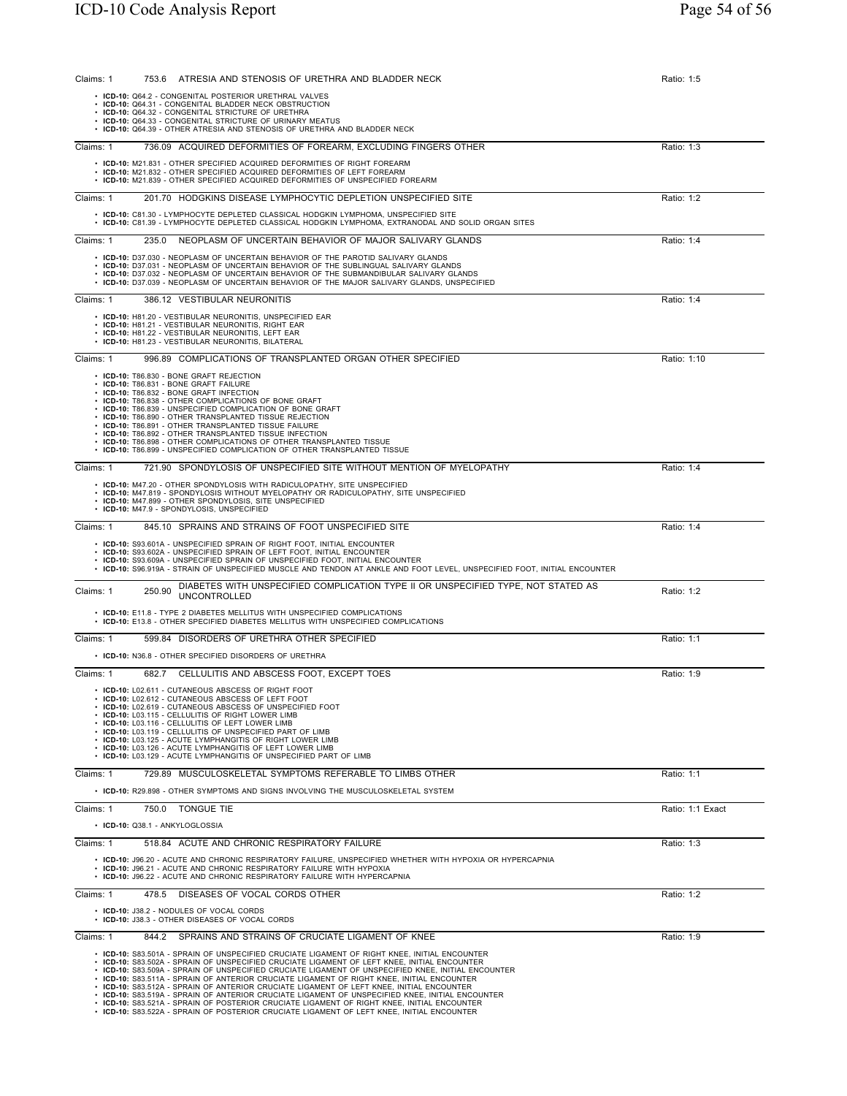| Claims: 1 | 753.6 ATRESIA AND STENOSIS OF URETHRA AND BLADDER NECK                                                                                                                                                                                                                                                                                                                                                                                                                                                                                                                                                                                                                                                                                                                                           | Ratio: 1:5       |
|-----------|--------------------------------------------------------------------------------------------------------------------------------------------------------------------------------------------------------------------------------------------------------------------------------------------------------------------------------------------------------------------------------------------------------------------------------------------------------------------------------------------------------------------------------------------------------------------------------------------------------------------------------------------------------------------------------------------------------------------------------------------------------------------------------------------------|------------------|
|           | · ICD-10: Q64.2 - CONGENITAL POSTERIOR URETHRAL VALVES<br>• ICD-10: Q64.31 - CONGENITAL BLADDER NECK OBSTRUCTION<br>• ICD-10: Q64.32 - CONGENITAL STRICTURE OF URETHRA<br>• ICD-10: Q64.33 - CONGENITAL STRICTURE OF URINARY MEATUS<br>• ICD-10: Q64.39 - OTHER ATRESIA AND STENOSIS OF URETHRA AND BLADDER NECK                                                                                                                                                                                                                                                                                                                                                                                                                                                                                 |                  |
| Claims: 1 | 736.09 ACQUIRED DEFORMITIES OF FOREARM, EXCLUDING FINGERS OTHER                                                                                                                                                                                                                                                                                                                                                                                                                                                                                                                                                                                                                                                                                                                                  | Ratio: 1:3       |
|           | • ICD-10: M21.831 - OTHER SPECIFIED ACQUIRED DEFORMITIES OF RIGHT FOREARM<br>• ICD-10: M21.832 - OTHER SPECIFIED ACQUIRED DEFORMITIES OF LEFT FOREARM<br>• ICD-10: M21.839 - OTHER SPECIFIED ACQUIRED DEFORMITIES OF UNSPECIFIED FOREARM                                                                                                                                                                                                                                                                                                                                                                                                                                                                                                                                                         |                  |
| Claims: 1 | 201.70 HODGKINS DISEASE LYMPHOCYTIC DEPLETION UNSPECIFIED SITE                                                                                                                                                                                                                                                                                                                                                                                                                                                                                                                                                                                                                                                                                                                                   | Ratio: 1:2       |
|           | • ICD-10: C81.30 - LYMPHOCYTE DEPLETED CLASSICAL HODGKIN LYMPHOMA, UNSPECIFIED SITE<br>ICD-10: C81.39 - LYMPHOCYTE DEPLETED CLASSICAL HODGKIN LYMPHOMA, EXTRANODAL AND SOLID ORGAN SITES                                                                                                                                                                                                                                                                                                                                                                                                                                                                                                                                                                                                         |                  |
| Claims: 1 | NEOPLASM OF UNCERTAIN BEHAVIOR OF MAJOR SALIVARY GLANDS<br>235.0                                                                                                                                                                                                                                                                                                                                                                                                                                                                                                                                                                                                                                                                                                                                 | Ratio: 1:4       |
|           | • ICD-10: D37.030 - NEOPLASM OF UNCERTAIN BEHAVIOR OF THE PAROTID SALIVARY GLANDS<br>• ICD-10: D37.031 - NEOPLASM OF UNCERTAIN BEHAVIOR OF THE SUBLINGUAL SALIVARY GLANDS<br>• ICD-10: D37.032 - NEOPLASM OF UNCERTAIN BEHAVIOR OF THE SUBMANDIBULAR SALIVARY GLANDS<br>• ICD-10: D37.039 - NEOPLASM OF UNCERTAIN BEHAVIOR OF THE MAJOR SALIVARY GLANDS, UNSPECIFIED                                                                                                                                                                                                                                                                                                                                                                                                                             |                  |
| Claims: 1 | 386.12 VESTIBULAR NEURONITIS                                                                                                                                                                                                                                                                                                                                                                                                                                                                                                                                                                                                                                                                                                                                                                     | Ratio: 1:4       |
|           | • ICD-10: H81.20 - VESTIBULAR NEURONITIS, UNSPECIFIED EAR<br>• ICD-10: H81.21 - VESTIBULAR NEURONITIS, RIGHT EAR<br>• ICD-10: H81.22 - VESTIBULAR NEURONITIS, LEFT EAR<br>• ICD-10: H81.23 - VESTIBULAR NEURONITIS, BILATERAL                                                                                                                                                                                                                                                                                                                                                                                                                                                                                                                                                                    |                  |
| Claims: 1 | 996.89 COMPLICATIONS OF TRANSPLANTED ORGAN OTHER SPECIFIED                                                                                                                                                                                                                                                                                                                                                                                                                                                                                                                                                                                                                                                                                                                                       | Ratio: 1:10      |
|           | • ICD-10: T86.830 - BONE GRAFT REJECTION<br>ICD-10: T86.831 - BONE GRAFT FAILURE<br>ICD-10: T86.832 - BONE GRAFT INFECTION<br>ICD-10: T86.838 - OTHER COMPLICATIONS OF BONE GRAFT<br>ICD-10: T86.839 - UNSPECIFIED COMPLICATION OF BONE GRAFT<br>ICD-10: T86.890 - OTHER TRANSPLANTED TISSUE REJECTION<br>ICD-10: T86.891 - OTHER TRANSPLANTED TISSUE FAILURE<br>ICD-10: T86.892 - OTHER TRANSPLANTED TISSUE INFECTION<br>ICD-10: T86.898 - OTHER COMPLICATIONS OF OTHER TRANSPLANTED TISSUE<br>• ICD-10: T86.899 - UNSPECIFIED COMPLICATION OF OTHER TRANSPLANTED TISSUE                                                                                                                                                                                                                        |                  |
| Claims: 1 | 721.90 SPONDYLOSIS OF UNSPECIFIED SITE WITHOUT MENTION OF MYELOPATHY                                                                                                                                                                                                                                                                                                                                                                                                                                                                                                                                                                                                                                                                                                                             | Ratio: 1:4       |
|           | • ICD-10: M47.20 - OTHER SPONDYLOSIS WITH RADICULOPATHY, SITE UNSPECIFIED<br>• ICD-10: M47.819 - SPONDYLOSIS WITHOUT MYELOPATHY OR RADICULOPATHY, SITE UNSPECIFIED<br>• ICD-10: M47.899 - OTHER SPONDYLOSIS, SITE UNSPECIFIED<br>• ICD-10: M47.9 - SPONDYLOSIS, UNSPECIFIED                                                                                                                                                                                                                                                                                                                                                                                                                                                                                                                      |                  |
| Claims: 1 | 845.10 SPRAINS AND STRAINS OF FOOT UNSPECIFIED SITE                                                                                                                                                                                                                                                                                                                                                                                                                                                                                                                                                                                                                                                                                                                                              | Ratio: 1:4       |
|           | • ICD-10: S93.601A - UNSPECIFIED SPRAIN OF RIGHT FOOT, INITIAL ENCOUNTER<br>• ICD-10: S93.602A - UNSPECIFIED SPRAIN OF LEFT FOOT, INITIAL ENCOUNTER<br>• ICD-10: S93.609A - UNSPECIFIED SPRAIN OF UNSPECIFIED FOOT, INITIAL ENCOUNTER<br>· ICD-10: S96.919A - STRAIN OF UNSPECIFIED MUSCLE AND TENDON AT ANKLE AND FOOT LEVEL, UNSPECIFIED FOOT, INITIAL ENCOUNTER                                                                                                                                                                                                                                                                                                                                                                                                                               |                  |
| Claims: 1 | DIABETES WITH UNSPECIFIED COMPLICATION TYPE II OR UNSPECIFIED TYPE, NOT STATED AS<br>250.90<br><b>UNCONTROLLED</b>                                                                                                                                                                                                                                                                                                                                                                                                                                                                                                                                                                                                                                                                               | Ratio: 1:2       |
|           | • ICD-10: E11.8 - TYPE 2 DIABETES MELLITUS WITH UNSPECIFIED COMPLICATIONS<br>• ICD-10: E13.8 - OTHER SPECIFIED DIABETES MELLITUS WITH UNSPECIFIED COMPLICATIONS                                                                                                                                                                                                                                                                                                                                                                                                                                                                                                                                                                                                                                  |                  |
| Claims: 1 | 599.84 DISORDERS OF URETHRA OTHER SPECIFIED                                                                                                                                                                                                                                                                                                                                                                                                                                                                                                                                                                                                                                                                                                                                                      | Ratio: 1:1       |
|           | • ICD-10: N36.8 - OTHER SPECIFIED DISORDERS OF URETHRA                                                                                                                                                                                                                                                                                                                                                                                                                                                                                                                                                                                                                                                                                                                                           |                  |
| Claims: 1 | 682.7 CELLULITIS AND ABSCESS FOOT. EXCEPT TOES                                                                                                                                                                                                                                                                                                                                                                                                                                                                                                                                                                                                                                                                                                                                                   | Ratio: 1:9       |
|           | ICD-10: L02.611 - CUTANEOUS ABSCESS OF RIGHT FOOT<br>• ICD-10: L02.612 - CUTANEOUS ABSCESS OF LEFT FOOT<br>• ICD-10: L02.619 - CUTANEOUS ABSCESS OF UNSPECIFIED FOOT<br>ICD-10: L03.115 - CELLULITIS OF RIGHT LOWER LIMB<br>• ICD-10: L03.116 - CELLULITIS OF LEFT LOWER LIMB<br>• ICD-10: L03.119 - CELLULITIS OF UNSPECIFIED PART OF LIMB<br>• ICD-10: L03.125 - ACUTE LYMPHANGITIS OF RIGHT LOWER LIMB<br>• ICD-10: L03.126 - ACUTE LYMPHANGITIS OF LEFT LOWER LIMB<br>• ICD-10: L03.129 - ACUTE LYMPHANGITIS OF UNSPECIFIED PART OF LIMB                                                                                                                                                                                                                                                     |                  |
| Claims: 1 | 729.89 MUSCULOSKELETAL SYMPTOMS REFERABLE TO LIMBS OTHER                                                                                                                                                                                                                                                                                                                                                                                                                                                                                                                                                                                                                                                                                                                                         | Ratio: 1:1       |
|           | • ICD-10: R29.898 - OTHER SYMPTOMS AND SIGNS INVOLVING THE MUSCULOSKELETAL SYSTEM                                                                                                                                                                                                                                                                                                                                                                                                                                                                                                                                                                                                                                                                                                                |                  |
| Claims: 1 | 750.0 TONGUE TIE                                                                                                                                                                                                                                                                                                                                                                                                                                                                                                                                                                                                                                                                                                                                                                                 | Ratio: 1:1 Exact |
|           | • ICD-10: Q38.1 - ANKYLOGLOSSIA                                                                                                                                                                                                                                                                                                                                                                                                                                                                                                                                                                                                                                                                                                                                                                  |                  |
| Claims: 1 | 518.84 ACUTE AND CHRONIC RESPIRATORY FAILURE<br>• ICD-10: J96.20 - ACUTE AND CHRONIC RESPIRATORY FAILURE, UNSPECIFIED WHETHER WITH HYPOXIA OR HYPERCAPNIA<br>• ICD-10: J96.21 - ACUTE AND CHRONIC RESPIRATORY FAILURE WITH HYPOXIA<br>• ICD-10: J96.22 - ACUTE AND CHRONIC RESPIRATORY FAILURE WITH HYPERCAPNIA                                                                                                                                                                                                                                                                                                                                                                                                                                                                                  | Ratio: 1:3       |
| Claims: 1 | 478.5<br>DISEASES OF VOCAL CORDS OTHER                                                                                                                                                                                                                                                                                                                                                                                                                                                                                                                                                                                                                                                                                                                                                           | Ratio: 1:2       |
|           | • ICD-10: J38.2 - NODULES OF VOCAL CORDS<br>• ICD-10: J38.3 - OTHER DISEASES OF VOCAL CORDS                                                                                                                                                                                                                                                                                                                                                                                                                                                                                                                                                                                                                                                                                                      |                  |
| Claims: 1 | 844.2 SPRAINS AND STRAINS OF CRUCIATE LIGAMENT OF KNEE                                                                                                                                                                                                                                                                                                                                                                                                                                                                                                                                                                                                                                                                                                                                           | Ratio: 1:9       |
|           | • ICD-10: S83.501A - SPRAIN OF UNSPECIFIED CRUCIATE LIGAMENT OF RIGHT KNEE, INITIAL ENCOUNTER<br>• ICD-10: S83.502A - SPRAIN OF UNSPECIFIED CRUCIATE LIGAMENT OF LEFT KNEE, INITIAL ENCOUNTER<br>• ICD-10: S83.509A - SPRAIN OF UNSPECIFIED CRUCIATE LIGAMENT OF UNSPECIFIED KNEE, INITIAL ENCOUNTER<br>• ICD-10: S83.511A - SPRAIN OF ANTERIOR CRUCIATE LIGAMENT OF RIGHT KNEE, INITIAL ENCOUNTER<br>• ICD-10: S83.512A - SPRAIN OF ANTERIOR CRUCIATE LIGAMENT OF LEFT KNEE, INITIAL ENCOUNTER<br>• ICD-10: S83.519A - SPRAIN OF ANTERIOR CRUCIATE LIGAMENT OF UNSPECIFIED KNEE, INITIAL ENCOUNTER<br>• ICD-10: S83.521A - SPRAIN OF POSTERIOR CRUCIATE LIGAMENT OF RIGHT KNEE, INITIAL ENCOUNTER<br>• ICD-10: S83.522A - SPRAIN OF POSTERIOR CRUCIATE LIGAMENT OF LEFT KNEE, INITIAL ENCOUNTER |                  |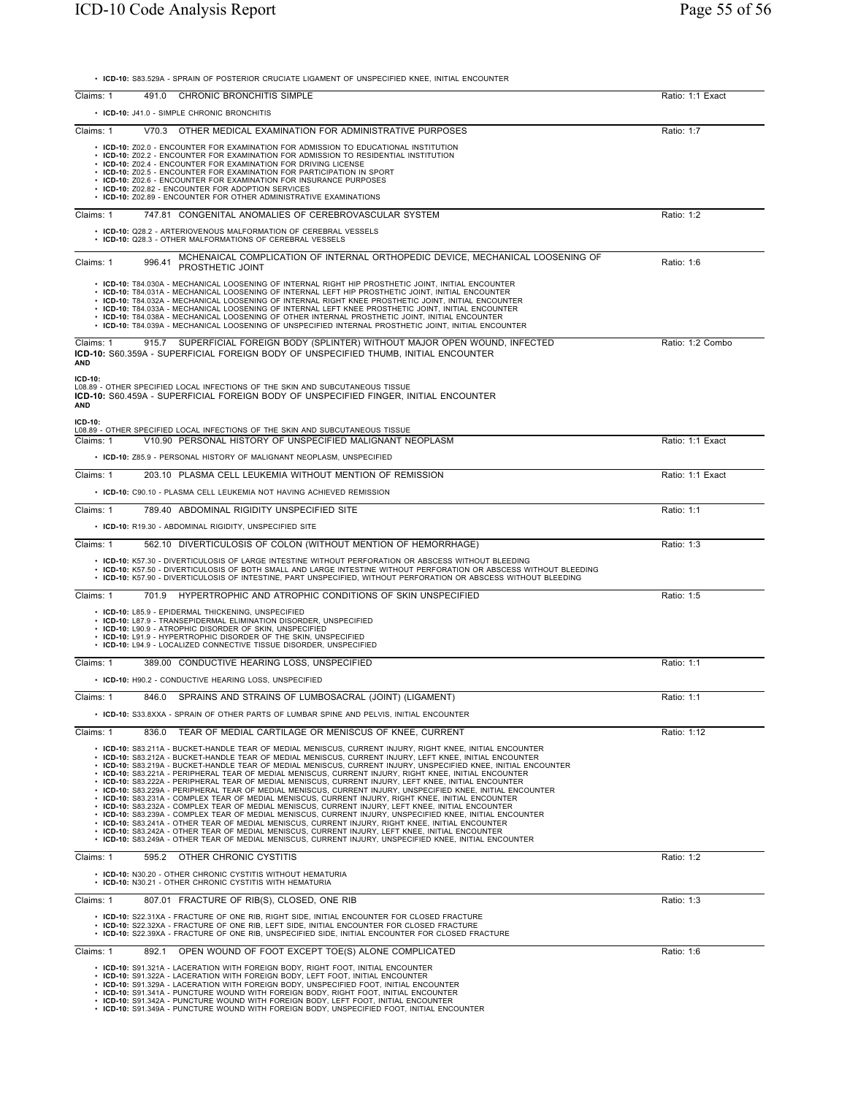• **ICD-10:** S83.529A - SPRAIN OF POSTERIOR CRUCIATE LIGAMENT OF UNSPECIFIED KNEE, INITIAL ENCOUNTER

| Claims: 1               | CHRONIC BRONCHITIS SIMPLE<br>491.0                                                                                                                                                                                                                                                                                                                                                                                                                                                                                                                                                                                                                                                                                                                                                                                                                                                                                                                                                                                                                                                                                                                                                                                                                                                                                      | Ratio: 1:1 Exact |
|-------------------------|-------------------------------------------------------------------------------------------------------------------------------------------------------------------------------------------------------------------------------------------------------------------------------------------------------------------------------------------------------------------------------------------------------------------------------------------------------------------------------------------------------------------------------------------------------------------------------------------------------------------------------------------------------------------------------------------------------------------------------------------------------------------------------------------------------------------------------------------------------------------------------------------------------------------------------------------------------------------------------------------------------------------------------------------------------------------------------------------------------------------------------------------------------------------------------------------------------------------------------------------------------------------------------------------------------------------------|------------------|
|                         | • ICD-10: J41.0 - SIMPLE CHRONIC BRONCHITIS                                                                                                                                                                                                                                                                                                                                                                                                                                                                                                                                                                                                                                                                                                                                                                                                                                                                                                                                                                                                                                                                                                                                                                                                                                                                             |                  |
| Claims: 1               | V70.3 OTHER MEDICAL EXAMINATION FOR ADMINISTRATIVE PURPOSES                                                                                                                                                                                                                                                                                                                                                                                                                                                                                                                                                                                                                                                                                                                                                                                                                                                                                                                                                                                                                                                                                                                                                                                                                                                             | Ratio: 1:7       |
|                         | • ICD-10: Z02.0 - ENCOUNTER FOR EXAMINATION FOR ADMISSION TO EDUCATIONAL INSTITUTION<br>• ICD-10: Z02.2 - ENCOUNTER FOR EXAMINATION FOR ADMISSION TO RESIDENTIAL INSTITUTION<br>• ICD-10: Z02.4 - ENCOUNTER FOR EXAMINATION FOR DRIVING LICENSE<br>• ICD-10: Z02.5 - ENCOUNTER FOR EXAMINATION FOR PARTICIPATION IN SPORT<br>• ICD-10: Z02.6 - ENCOUNTER FOR EXAMINATION FOR INSURANCE PURPOSES<br>• ICD-10: Z02.82 - ENCOUNTER FOR ADOPTION SERVICES<br>• ICD-10: Z02.89 - ENCOUNTER FOR OTHER ADMINISTRATIVE EXAMINATIONS                                                                                                                                                                                                                                                                                                                                                                                                                                                                                                                                                                                                                                                                                                                                                                                             |                  |
| Claims: 1               | 747.81 CONGENITAL ANOMALIES OF CEREBROVASCULAR SYSTEM                                                                                                                                                                                                                                                                                                                                                                                                                                                                                                                                                                                                                                                                                                                                                                                                                                                                                                                                                                                                                                                                                                                                                                                                                                                                   | Ratio: 1:2       |
|                         | • ICD-10: Q28.2 - ARTERIOVENOUS MALFORMATION OF CEREBRAL VESSELS<br>• ICD-10: Q28.3 - OTHER MALFORMATIONS OF CEREBRAL VESSELS                                                                                                                                                                                                                                                                                                                                                                                                                                                                                                                                                                                                                                                                                                                                                                                                                                                                                                                                                                                                                                                                                                                                                                                           |                  |
| Claims: 1               | MCHENAICAL COMPLICATION OF INTERNAL ORTHOPEDIC DEVICE, MECHANICAL LOOSENING OF<br>996.41<br>PROSTHETIC JOINT                                                                                                                                                                                                                                                                                                                                                                                                                                                                                                                                                                                                                                                                                                                                                                                                                                                                                                                                                                                                                                                                                                                                                                                                            | Ratio: 1:6       |
|                         | • ICD-10: T84.030A - MECHANICAL LOOSENING OF INTERNAL RIGHT HIP PROSTHETIC JOINT, INITIAL ENCOUNTER<br>· ICD-10: T84.031A - MECHANICAL LOOSENING OF INTERNAL LEFT HIP PROSTHETIC JOINT, INITIAL ENCOUNTER<br>· ICD-10: T84.032A - MECHANICAL LOOSENING OF INTERNAL RIGHT KNEE PROSTHETIC JOINT, INITIAL ENCOUNTER<br>. ICD-10: T84.033A - MECHANICAL LOOSENING OF INTERNAL LEFT KNEE PROSTHETIC JOINT, INITIAL ENCOUNTER<br>. ICD-10: T84.038A - MECHANICAL LOOSENING OF OTHER INTERNAL PROSTHETIC JOINT, INITIAL ENCOUNTER<br>• ICD-10: T84.039A - MECHANICAL LOOSENING OF UNSPECIFIED INTERNAL PROSTHETIC JOINT, INITIAL ENCOUNTER                                                                                                                                                                                                                                                                                                                                                                                                                                                                                                                                                                                                                                                                                    |                  |
| Claims: 1<br><b>AND</b> | 915.7 SUPERFICIAL FOREIGN BODY (SPLINTER) WITHOUT MAJOR OPEN WOUND, INFECTED<br>ICD-10: S60.359A - SUPERFICIAL FOREIGN BODY OF UNSPECIFIED THUMB, INITIAL ENCOUNTER                                                                                                                                                                                                                                                                                                                                                                                                                                                                                                                                                                                                                                                                                                                                                                                                                                                                                                                                                                                                                                                                                                                                                     | Ratio: 1:2 Combo |
| ICD-10:<br><b>AND</b>   | L08.89 - OTHER SPECIFIED LOCAL INFECTIONS OF THE SKIN AND SUBCUTANEOUS TISSUE<br>ICD-10: S60.459A - SUPERFICIAL FOREIGN BODY OF UNSPECIFIED FINGER, INITIAL ENCOUNTER                                                                                                                                                                                                                                                                                                                                                                                                                                                                                                                                                                                                                                                                                                                                                                                                                                                                                                                                                                                                                                                                                                                                                   |                  |
| ICD-10:                 | L08.89 - OTHER SPECIFIED LOCAL INFECTIONS OF THE SKIN AND SUBCUTANEOUS TISSUE                                                                                                                                                                                                                                                                                                                                                                                                                                                                                                                                                                                                                                                                                                                                                                                                                                                                                                                                                                                                                                                                                                                                                                                                                                           |                  |
| Claims: 1               | V10.90 PERSONAL HISTORY OF UNSPECIFIED MALIGNANT NEOPLASM<br>• ICD-10: Z85.9 - PERSONAL HISTORY OF MALIGNANT NEOPLASM, UNSPECIFIED                                                                                                                                                                                                                                                                                                                                                                                                                                                                                                                                                                                                                                                                                                                                                                                                                                                                                                                                                                                                                                                                                                                                                                                      | Ratio: 1:1 Exact |
| Claims: 1               | 203.10 PLASMA CELL LEUKEMIA WITHOUT MENTION OF REMISSION                                                                                                                                                                                                                                                                                                                                                                                                                                                                                                                                                                                                                                                                                                                                                                                                                                                                                                                                                                                                                                                                                                                                                                                                                                                                | Ratio: 1:1 Exact |
|                         | • ICD-10: C90.10 - PLASMA CELL LEUKEMIA NOT HAVING ACHIEVED REMISSION                                                                                                                                                                                                                                                                                                                                                                                                                                                                                                                                                                                                                                                                                                                                                                                                                                                                                                                                                                                                                                                                                                                                                                                                                                                   |                  |
| Claims: 1               | 789.40 ABDOMINAL RIGIDITY UNSPECIFIED SITE                                                                                                                                                                                                                                                                                                                                                                                                                                                                                                                                                                                                                                                                                                                                                                                                                                                                                                                                                                                                                                                                                                                                                                                                                                                                              | Ratio: 1:1       |
|                         | • ICD-10: R19.30 - ABDOMINAL RIGIDITY, UNSPECIFIED SITE                                                                                                                                                                                                                                                                                                                                                                                                                                                                                                                                                                                                                                                                                                                                                                                                                                                                                                                                                                                                                                                                                                                                                                                                                                                                 |                  |
| Claims: 1               | 562.10 DIVERTICULOSIS OF COLON (WITHOUT MENTION OF HEMORRHAGE)                                                                                                                                                                                                                                                                                                                                                                                                                                                                                                                                                                                                                                                                                                                                                                                                                                                                                                                                                                                                                                                                                                                                                                                                                                                          | Ratio: 1:3       |
|                         | • ICD-10: K57.30 - DIVERTICULOSIS OF LARGE INTESTINE WITHOUT PERFORATION OR ABSCESS WITHOUT BLEEDING<br>. ICD-10: K57.50 - DIVERTICULOSIS OF BOTH SMALL AND LARGE INTESTINE WITHOUT PERFORATION OR ABSCESS WITHOUT BLEEDING<br>· ICD-10: K57.90 - DIVERTICULOSIS OF INTESTINE, PART UNSPECIFIED, WITHOUT PERFORATION OR ABSCESS WITHOUT BLEEDING                                                                                                                                                                                                                                                                                                                                                                                                                                                                                                                                                                                                                                                                                                                                                                                                                                                                                                                                                                        |                  |
| Claims: 1               | 701.9 HYPERTROPHIC AND ATROPHIC CONDITIONS OF SKIN UNSPECIFIED                                                                                                                                                                                                                                                                                                                                                                                                                                                                                                                                                                                                                                                                                                                                                                                                                                                                                                                                                                                                                                                                                                                                                                                                                                                          | Ratio: 1:5       |
|                         | • ICD-10: L85.9 - EPIDERMAL THICKENING, UNSPECIFIED<br>• ICD-10: L87.9 - TRANSEPIDERMAL ELIMINATION DISORDER, UNSPECIFIED<br>• ICD-10: L90.9 - ATROPHIC DISORDER OF SKIN, UNSPECIFIED<br>• ICD-10: L91.9 - HYPERTROPHIC DISORDER OF THE SKIN, UNSPECIFIED<br>• ICD-10: L94.9 - LOCALIZED CONNECTIVE TISSUE DISORDER, UNSPECIFIED                                                                                                                                                                                                                                                                                                                                                                                                                                                                                                                                                                                                                                                                                                                                                                                                                                                                                                                                                                                        |                  |
| Claims: 1               | 389.00 CONDUCTIVE HEARING LOSS, UNSPECIFIED                                                                                                                                                                                                                                                                                                                                                                                                                                                                                                                                                                                                                                                                                                                                                                                                                                                                                                                                                                                                                                                                                                                                                                                                                                                                             | Ratio: 1:1       |
|                         | • ICD-10: H90.2 - CONDUCTIVE HEARING LOSS, UNSPECIFIED                                                                                                                                                                                                                                                                                                                                                                                                                                                                                                                                                                                                                                                                                                                                                                                                                                                                                                                                                                                                                                                                                                                                                                                                                                                                  |                  |
| Claims: 1               | SPRAINS AND STRAINS OF LUMBOSACRAL (JOINT) (LIGAMENT)<br>846.0                                                                                                                                                                                                                                                                                                                                                                                                                                                                                                                                                                                                                                                                                                                                                                                                                                                                                                                                                                                                                                                                                                                                                                                                                                                          | Ratio: 1:1       |
|                         | . ICD-10: S33.8XXA - SPRAIN OF OTHER PARTS OF LUMBAR SPINE AND PELVIS, INITIAL ENCOUNTER                                                                                                                                                                                                                                                                                                                                                                                                                                                                                                                                                                                                                                                                                                                                                                                                                                                                                                                                                                                                                                                                                                                                                                                                                                |                  |
| Claims: 1               | TEAR OF MEDIAL CARTILAGE OR MENISCUS OF KNEE, CURRENT<br>836.0                                                                                                                                                                                                                                                                                                                                                                                                                                                                                                                                                                                                                                                                                                                                                                                                                                                                                                                                                                                                                                                                                                                                                                                                                                                          | Ratio: 1:12      |
|                         | · ICD-10: S83.211A - BUCKET-HANDLE TEAR OF MEDIAL MENISCUS, CURRENT INJURY, RIGHT KNEE, INITIAL ENCOUNTER<br>· ICD-10: S83.212A - BUCKET-HANDLE TEAR OF MEDIAL MENISCUS, CURRENT INJURY, LEFT KNEE, INITIAL ENCOUNTER<br>• ICD-10: S83.219A - BUCKET-HANDLE TEAR OF MEDIAL MENISCUS, CURRENT INJURY, UNSPECIFIED KNEE, INITIAL ENCOUNTER<br>· ICD-10: S83.221A - PERIPHERAL TEAR OF MEDIAL MENISCUS, CURRENT INJURY, RIGHT KNEE, INITIAL ENCOUNTER<br>• ICD-10: S83.222A - PERIPHERAL TEAR OF MEDIAL MENISCUS, CURRENT INJURY, LEFT KNEE, INITIAL ENCOUNTER<br>• ICD-10: S83.229A - PERIPHERAL TEAR OF MEDIAL MENISCUS, CURRENT INJURY, UNSPECIFIED KNEE, INITIAL ENCOUNTER<br>· ICD-10: S83.231A - COMPLEX TEAR OF MEDIAL MENISCUS, CURRENT INJURY, RIGHT KNEE, INITIAL ENCOUNTER<br>. ICD-10: S83.232A - COMPLEX TEAR OF MEDIAL MENISCUS, CURRENT INJURY, LEFT KNEE, INITIAL ENCOUNTER<br>ICD-10: S83.239A - COMPLEX TEAR OF MEDIAL MENISCUS, CURRENT INJURY, UNSPECIFIED KNEE, INITIAL ENCOUNTER<br>. ICD-10: S83.241A - OTHER TEAR OF MEDIAL MENISCUS, CURRENT INJURY, RIGHT KNEE, INITIAL ENCOUNTER<br>. ICD-10: S83.242A - OTHER TEAR OF MEDIAL MENISCUS, CURRENT INJURY, LEFT KNEE, INITIAL ENCOUNTER<br>· ICD-10: S83.249A - OTHER TEAR OF MEDIAL MENISCUS, CURRENT INJURY, UNSPECIFIED KNEE, INITIAL ENCOUNTER |                  |
| Claims: 1               | 595.2<br>OTHER CHRONIC CYSTITIS                                                                                                                                                                                                                                                                                                                                                                                                                                                                                                                                                                                                                                                                                                                                                                                                                                                                                                                                                                                                                                                                                                                                                                                                                                                                                         | Ratio: 1:2       |
|                         | • ICD-10: N30.20 - OTHER CHRONIC CYSTITIS WITHOUT HEMATURIA<br>• ICD-10: N30.21 - OTHER CHRONIC CYSTITIS WITH HEMATURIA                                                                                                                                                                                                                                                                                                                                                                                                                                                                                                                                                                                                                                                                                                                                                                                                                                                                                                                                                                                                                                                                                                                                                                                                 |                  |
| Claims: 1               | 807.01 FRACTURE OF RIB(S), CLOSED, ONE RIB                                                                                                                                                                                                                                                                                                                                                                                                                                                                                                                                                                                                                                                                                                                                                                                                                                                                                                                                                                                                                                                                                                                                                                                                                                                                              | Ratio: 1:3       |
|                         | • ICD-10: S22.31XA - FRACTURE OF ONE RIB, RIGHT SIDE, INITIAL ENCOUNTER FOR CLOSED FRACTURE<br>• ICD-10: S22.32XA - FRACTURE OF ONE RIB, LEFT SIDE, INITIAL ENCOUNTER FOR CLOSED FRACTURE<br>· ICD-10: S22.39XA - FRACTURE OF ONE RIB, UNSPECIFIED SIDE, INITIAL ENCOUNTER FOR CLOSED FRACTURE                                                                                                                                                                                                                                                                                                                                                                                                                                                                                                                                                                                                                                                                                                                                                                                                                                                                                                                                                                                                                          |                  |
| Claims: 1               | 892.1<br>OPEN WOUND OF FOOT EXCEPT TOE(S) ALONE COMPLICATED                                                                                                                                                                                                                                                                                                                                                                                                                                                                                                                                                                                                                                                                                                                                                                                                                                                                                                                                                                                                                                                                                                                                                                                                                                                             | Ratio: 1:6       |
|                         | • ICD-10: S91.321A - LACERATION WITH FOREIGN BODY, RIGHT FOOT, INITIAL ENCOUNTER<br>• ICD-10: S91.322A - LACERATION WITH FOREIGN BODY, LEFT FOOT, INITIAL ENCOUNTER<br>• ICD-10: S91.329A - LACERATION WITH FOREIGN BODY, UNSPECIFIED FOOT, INITIAL ENCOUNTER<br>• ICD-10: S91.341A - PUNCTURE WOUND WITH FOREIGN BODY, RIGHT FOOT, INITIAL ENCOUNTER<br>• ICD-10: S91.342A - PUNCTURE WOUND WITH FOREIGN BODY, LEFT FOOT, INITIAL ENCOUNTER                                                                                                                                                                                                                                                                                                                                                                                                                                                                                                                                                                                                                                                                                                                                                                                                                                                                            |                  |

• **ICD-10:** S91.342A - PUNCTURE WOUND WITH FOREIGN BODY, LEFT FOOT, INITIAL ENCOUNTER • **ICD-10:** S91.349A - PUNCTURE WOUND WITH FOREIGN BODY, UNSPECIFIED FOOT, INITIAL ENCOUNTER